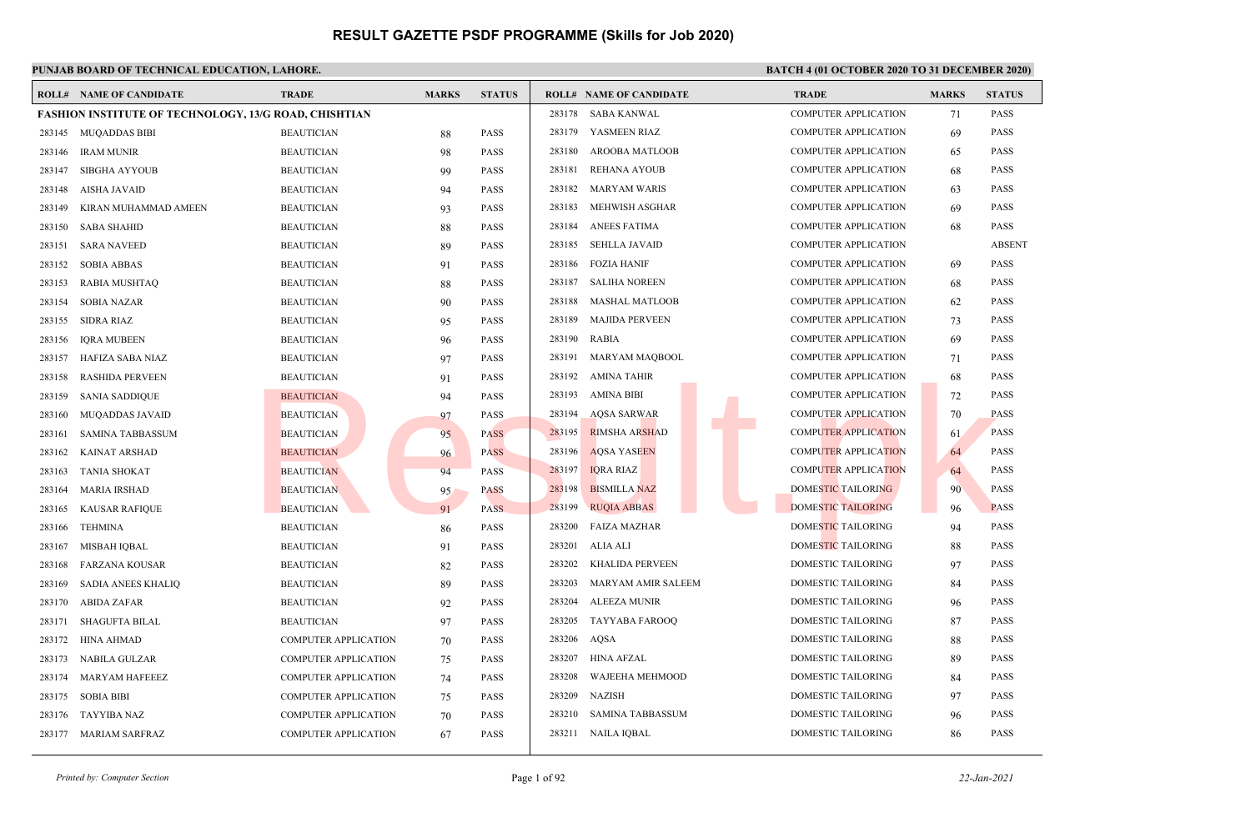### **PUNJAB BOARD OF TECHNICAL EDUCATION, LAHORE. BATCH 4 (01 OCTOBER 2020 TO 31 DECEMBER 2020)**

|        | <b>ROLL# NAME OF CANDIDATE</b>                               | <b>TRADE</b>                | <b>MARKS</b> | <b>STATUS</b> |        | <b>ROLL# NAME OF CANDIDATE</b> | <b>TRADE</b>                | <b>MARKS</b> | <b>STATUS</b> |
|--------|--------------------------------------------------------------|-----------------------------|--------------|---------------|--------|--------------------------------|-----------------------------|--------------|---------------|
|        | <b>FASHION INSTITUTE OF TECHNOLOGY, 13/G ROAD, CHISHTIAN</b> |                             |              |               |        | 283178 SABA KANWAL             | <b>COMPUTER APPLICATION</b> | 71           | <b>PASS</b>   |
|        | 283145 MUQADDAS BIBI                                         | <b>BEAUTICIAN</b>           | 88           | PASS          |        | 283179 YASMEEN RIAZ            | <b>COMPUTER APPLICATION</b> | 69           | <b>PASS</b>   |
| 283146 | <b>IRAM MUNIR</b>                                            | <b>BEAUTICIAN</b>           | 98           | <b>PASS</b>   | 283180 | <b>AROOBA MATLOOB</b>          | <b>COMPUTER APPLICATION</b> | 65           | <b>PASS</b>   |
| 283147 | SIBGHA AYYOUB                                                | <b>BEAUTICIAN</b>           | 99           | <b>PASS</b>   | 283181 | <b>REHANA AYOUB</b>            | <b>COMPUTER APPLICATION</b> | 68           | <b>PASS</b>   |
| 283148 | AISHA JAVAID                                                 | <b>BEAUTICIAN</b>           | 94           | <b>PASS</b>   | 283182 | <b>MARYAM WARIS</b>            | <b>COMPUTER APPLICATION</b> | 63           | <b>PASS</b>   |
| 283149 | KIRAN MUHAMMAD AMEEN                                         | <b>BEAUTICIAN</b>           | 93           | PASS          | 283183 | MEHWISH ASGHAR                 | <b>COMPUTER APPLICATION</b> | 69           | <b>PASS</b>   |
| 283150 | <b>SABA SHAHID</b>                                           | <b>BEAUTICIAN</b>           | 88           | PASS          | 283184 | <b>ANEES FATIMA</b>            | <b>COMPUTER APPLICATION</b> | 68           | PASS          |
| 283151 | <b>SARA NAVEED</b>                                           | <b>BEAUTICIAN</b>           | 89           | PASS          | 283185 | <b>SEHLLA JAVAID</b>           | <b>COMPUTER APPLICATION</b> |              | <b>ABSENT</b> |
| 283152 | <b>SOBIA ABBAS</b>                                           | <b>BEAUTICIAN</b>           | 91           | PASS          | 283186 | <b>FOZIA HANIF</b>             | <b>COMPUTER APPLICATION</b> | 69           | <b>PASS</b>   |
| 283153 | RABIA MUSHTAQ                                                | <b>BEAUTICIAN</b>           | 88           | PASS          | 283187 | <b>SALIHA NOREEN</b>           | <b>COMPUTER APPLICATION</b> | 68           | <b>PASS</b>   |
| 283154 | <b>SOBIA NAZAR</b>                                           | <b>BEAUTICIAN</b>           | 90           | <b>PASS</b>   | 283188 | <b>MASHAL MATLOOB</b>          | <b>COMPUTER APPLICATION</b> | 62           | <b>PASS</b>   |
| 283155 | SIDRA RIAZ                                                   | <b>BEAUTICIAN</b>           | 95           | PASS          | 283189 | <b>MAJIDA PERVEEN</b>          | <b>COMPUTER APPLICATION</b> | 73           | <b>PASS</b>   |
| 283156 | <b>IORA MUBEEN</b>                                           | <b>BEAUTICIAN</b>           | 96           | PASS          | 283190 | <b>RABIA</b>                   | <b>COMPUTER APPLICATION</b> | 69           | <b>PASS</b>   |
| 283157 | HAFIZA SABA NIAZ                                             | <b>BEAUTICIAN</b>           | 97           | PASS          | 283191 | MARYAM MAQBOOL                 | <b>COMPUTER APPLICATION</b> | 71           | <b>PASS</b>   |
| 283158 | <b>RASHIDA PERVEEN</b>                                       | <b>BEAUTICIAN</b>           | 91           | PASS          | 283192 | AMINA TAHIR                    | <b>COMPUTER APPLICATION</b> | 68           | <b>PASS</b>   |
| 283159 | <b>SANIA SADDIQUE</b>                                        | <b>BEAUTICIAN</b>           | 94           | PASS          | 283193 | <b>AMINA BIBI</b>              | <b>COMPUTER APPLICATION</b> | 72           | PASS          |
| 283160 | MUQADDAS JAVAID                                              | <b>BEAUTICIAN</b>           | 97           | PASS          | 283194 | <b>AQSA SARWAR</b>             | <b>COMPUTER APPLICATION</b> | 70           | <b>PASS</b>   |
| 283161 | SAMINA TABBASSUM                                             | <b>BEAUTICIAN</b>           | 95           | <b>PASS</b>   | 283195 | <b>RIMSHA ARSHAD</b>           | <b>COMPUTER APPLICATION</b> | 61           | <b>PASS</b>   |
| 283162 | <b>KAINAT ARSHAD</b>                                         | <b>BEAUTICIAN</b>           | 96           | <b>PASS</b>   | 283196 | <b>AQSA YASEEN</b>             | <b>COMPUTER APPLICATION</b> | 64           | <b>PASS</b>   |
| 283163 | <b>TANIA SHOKAT</b>                                          | <b>BEAUTICIAN</b>           | 94           | <b>PASS</b>   | 283197 | <b>IQRA RIAZ</b>               | <b>COMPUTER APPLICATION</b> | 64           | <b>PASS</b>   |
| 283164 | <b>MARIA IRSHAD</b>                                          | <b>BEAUTICIAN</b>           | 95           | <b>PASS</b>   | 283198 | <b>BISMILLA NAZ</b>            | <b>DOMESTIC TAILORING</b>   | 90           | <b>PASS</b>   |
| 283165 | <b>KAUSAR RAFIQUE</b>                                        | <b>BEAUTICIAN</b>           | 91           | <b>PASS</b>   | 283199 | <b>RUQIA ABBAS</b>             | <b>DOMESTIC TAILORING</b>   | 96           | <b>PASS</b>   |
| 283166 | <b>TEHMINA</b>                                               | <b>BEAUTICIAN</b>           | 86           | PASS          | 283200 | <b>FAIZA MAZHAR</b>            | DOMESTIC TAILORING          | 94           | <b>PASS</b>   |
| 283167 | MISBAH IQBAL                                                 | <b>BEAUTICIAN</b>           | 91           | PASS          | 283201 | ALIA ALI                       | DOMESTIC TAILORING          | 88           | PASS          |
| 283168 | FARZANA KOUSAR                                               | <b>BEAUTICIAN</b>           | 82           | PASS          | 283202 | <b>KHALIDA PERVEEN</b>         | DOMESTIC TAILORING          | 97           | <b>PASS</b>   |
| 283169 | <b>SADIA ANEES KHALIQ</b>                                    | <b>BEAUTICIAN</b>           | 89           | PASS          | 283203 | MARYAM AMIR SALEEM             | DOMESTIC TAILORING          | 84           | PASS          |
| 283170 | <b>ABIDA ZAFAR</b>                                           | <b>BEAUTICIAN</b>           | 92           | PASS          | 283204 | <b>ALEEZA MUNIR</b>            | DOMESTIC TAILORING          | 96           | <b>PASS</b>   |
| 283171 | <b>SHAGUFTA BILAL</b>                                        | <b>BEAUTICIAN</b>           | 97           | PASS          | 283205 | TAYYABA FAROOQ                 | DOMESTIC TAILORING          | 87           | PASS          |
| 283172 | HINA AHMAD                                                   | <b>COMPUTER APPLICATION</b> | 70           | PASS          | 283206 | <b>AOSA</b>                    | <b>DOMESTIC TAILORING</b>   | 88           | <b>PASS</b>   |
| 283173 | <b>NABILA GULZAR</b>                                         | <b>COMPUTER APPLICATION</b> | 75           | PASS          | 283207 | HINA AFZAL                     | <b>DOMESTIC TAILORING</b>   | 89           | <b>PASS</b>   |
| 283174 | MARYAM HAFEEEZ                                               | <b>COMPUTER APPLICATION</b> | 74           | PASS          | 283208 | WAJEEHA MEHMOOD                | DOMESTIC TAILORING          | 84           | <b>PASS</b>   |
| 283175 | <b>SOBIA BIBI</b>                                            | <b>COMPUTER APPLICATION</b> | 75           | PASS          | 283209 | <b>NAZISH</b>                  | <b>DOMESTIC TAILORING</b>   | 97           | <b>PASS</b>   |
| 283176 | TAYYIBA NAZ                                                  | <b>COMPUTER APPLICATION</b> | 70           | PASS          | 283210 | <b>SAMINA TABBASSUM</b>        | DOMESTIC TAILORING          | 96           | PASS          |
|        | 283177 MARIAM SARFRAZ                                        | <b>COMPUTER APPLICATION</b> | 67           | PASS          |        | 283211 NAILA IQBAL             | DOMESTIC TAILORING          | 86           | <b>PASS</b>   |
|        |                                                              |                             |              |               |        |                                |                             |              |               |

*Printed by: Computer Section* 22-Jan-2021<br> **Page 1 of 92** 22-Jan-2021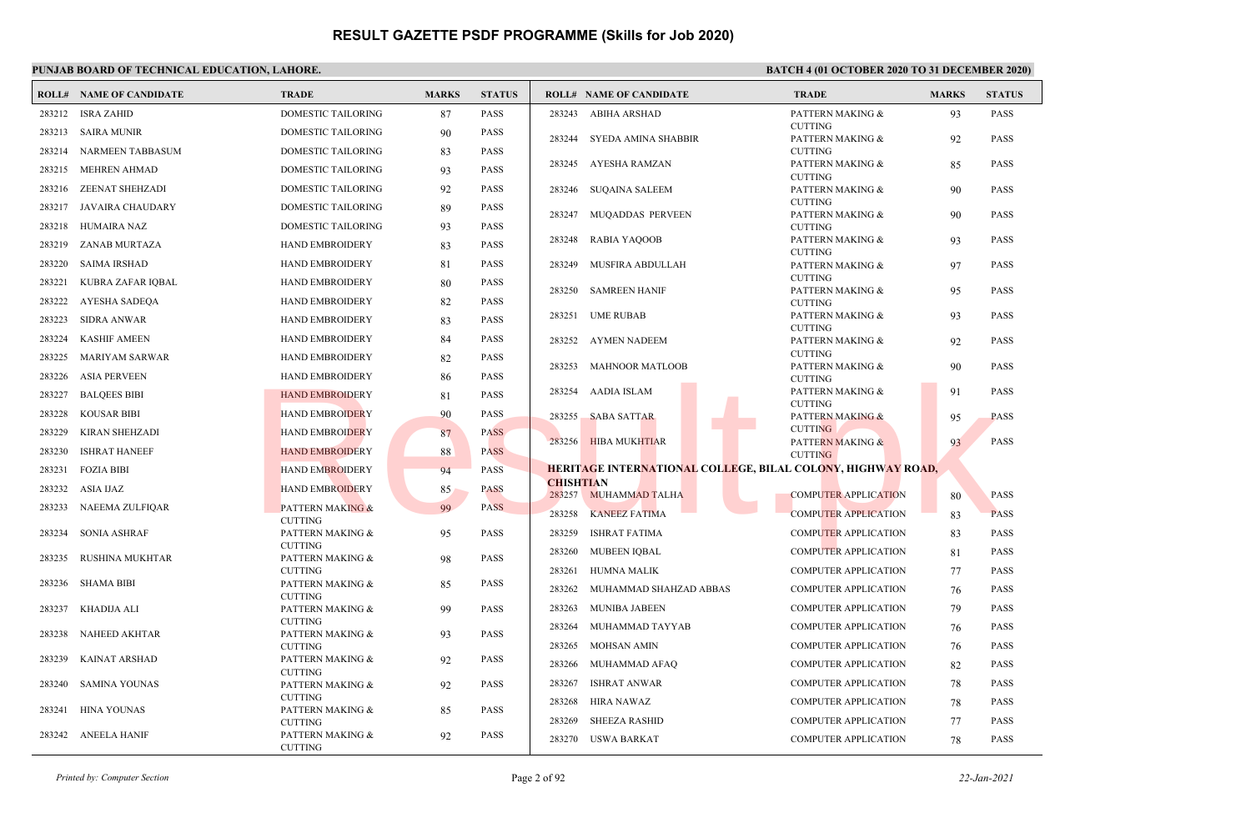|        | <b>ROLL# NAME OF CANDIDATE</b> | <b>TRADE</b>                       | <b>MARKS</b> | <b>STATUS</b> |                  | <b>ROLL# NAME OF CANDIDATE</b>                                     | <b>TRADE</b>                       | <b>MARKS</b> | <b>STATUS</b> |
|--------|--------------------------------|------------------------------------|--------------|---------------|------------------|--------------------------------------------------------------------|------------------------------------|--------------|---------------|
| 283212 | ISRA ZAHID                     | DOMESTIC TAILORING                 | 87           | <b>PASS</b>   | 283243           | ABIHA ARSHAD                                                       | PATTERN MAKING &                   | 93           | <b>PASS</b>   |
|        | 283213 SAIRA MUNIR             | DOMESTIC TAILORING                 | 90           | <b>PASS</b>   | 283244           | SYEDA AMINA SHABBIR                                                | <b>CUTTING</b><br>PATTERN MAKING & | 92           | PASS          |
| 283214 | NARMEEN TABBASUM               | DOMESTIC TAILORING                 | 83           | <b>PASS</b>   |                  |                                                                    | <b>CUTTING</b>                     |              |               |
|        | 283215 MEHREN AHMAD            | DOMESTIC TAILORING                 | 93           | <b>PASS</b>   |                  | 283245 AYESHA RAMZAN                                               | PATTERN MAKING &                   | 85           | <b>PASS</b>   |
|        | 283216 ZEENAT SHEHZADI         | DOMESTIC TAILORING                 | 92           | <b>PASS</b>   | 283246           | SUQAINA SALEEM                                                     | <b>CUTTING</b><br>PATTERN MAKING & | 90           | PASS          |
|        | 283217 JAVAIRA CHAUDARY        | DOMESTIC TAILORING                 |              | <b>PASS</b>   |                  |                                                                    | <b>CUTTING</b>                     |              |               |
|        |                                |                                    | 89           |               | 283247           | MUQADDAS PERVEEN                                                   | PATTERN MAKING &                   | 90           | <b>PASS</b>   |
| 283218 | HUMAIRA NAZ                    | DOMESTIC TAILORING                 | 93           | <b>PASS</b>   | 283248           | RABIA YAQOOB                                                       | <b>CUTTING</b><br>PATTERN MAKING & | 93           | <b>PASS</b>   |
| 283219 | ZANAB MURTAZA                  | HAND EMBROIDERY                    | 83           | <b>PASS</b>   |                  |                                                                    | <b>CUTTING</b>                     |              |               |
| 283220 | <b>SAIMA IRSHAD</b>            | <b>HAND EMBROIDERY</b>             | 81           | <b>PASS</b>   | 283249           | MUSFIRA ABDULLAH                                                   | PATTERN MAKING &                   | 97           | PASS          |
| 283221 | KUBRA ZAFAR IQBAL              | <b>HAND EMBROIDERY</b>             | 80           | <b>PASS</b>   | 283250           | SAMREEN HANIF                                                      | <b>CUTTING</b><br>PATTERN MAKING & | 95           | PASS          |
| 283222 | AYESHA SADEQA                  | <b>HAND EMBROIDERY</b>             | 82           | <b>PASS</b>   |                  |                                                                    | <b>CUTTING</b>                     |              |               |
| 283223 | <b>SIDRA ANWAR</b>             | <b>HAND EMBROIDERY</b>             | 83           | <b>PASS</b>   | 283251           | <b>UME RUBAB</b>                                                   | PATTERN MAKING &                   | 93           | <b>PASS</b>   |
| 283224 | <b>KASHIF AMEEN</b>            | HAND EMBROIDERY                    | 84           | <b>PASS</b>   | 283252           | AYMEN NADEEM                                                       | <b>CUTTING</b><br>PATTERN MAKING & |              | PASS          |
| 283225 | MARIYAM SARWAR                 | HAND EMBROIDERY                    |              | <b>PASS</b>   |                  |                                                                    | <b>CUTTING</b>                     | 92           |               |
|        |                                |                                    | 82           |               | 283253           | <b>MAHNOOR MATLOOB</b>                                             | PATTERN MAKING &                   | 90           | <b>PASS</b>   |
| 283226 | ASIA PERVEEN                   | HAND EMBROIDERY                    | 86           | <b>PASS</b>   |                  |                                                                    | <b>CUTTING</b>                     |              |               |
| 283227 | <b>BALQEES BIBI</b>            | <b>HAND EMBROIDERY</b>             | 81           | <b>PASS</b>   | 283254           | AADIA ISLAM                                                        | PATTERN MAKING &<br><b>CUTTING</b> | 91           | <b>PASS</b>   |
| 283228 | KOUSAR BIBI                    | <b>HAND EMBROIDERY</b>             | 90           | <b>PASS</b>   | 283255           | <b>SABA SATTAR</b>                                                 | <b>PATTERN MAKING &amp;</b>        | 95           | <b>PASS</b>   |
| 283229 | <b>KIRAN SHEHZADI</b>          | <b>HAND EMBROIDERY</b>             | 87           | <b>PASS</b>   |                  | 283256 HIBA MUKHTIAR                                               | <b>CUTTING</b>                     |              | <b>PASS</b>   |
| 283230 | <b>ISHRAT HANEEF</b>           | <b>HAND EMBROIDERY</b>             | 88           | <b>PASS</b>   |                  |                                                                    | PATTERN MAKING &<br><b>CUTTING</b> | 93           |               |
| 283231 | FOZIA BIBI                     | <b>HAND EMBROIDERY</b>             | 94           | <b>PASS</b>   |                  | <b>HERITAGE INTERNATIONAL COLLEGE, BILAL COLONY, HIGHWAY ROAD,</b> |                                    |              |               |
|        | 283232 ASIA IJAZ               | <b>HAND EMBROIDERY</b>             | 85           | <b>PASS</b>   | <b>CHISHTIAN</b> |                                                                    |                                    |              |               |
| 283233 | NAEEMA ZULFIQAR                | <b>PATTERN MAKING &amp;</b>        | 99           | <b>PASS</b>   | 283257           | <b>MUHAMMAD TALHA</b>                                              | <b>COMPUTER APPLICATION</b>        | 80           | <b>PASS</b>   |
|        |                                | <b>CUTTING</b>                     |              |               | 283258           | <b>KANEEZ FATIMA</b>                                               | <b>COMPUTER APPLICATION</b>        | 83           | <b>PASS</b>   |
| 283234 | <b>SONIA ASHRAF</b>            | PATTERN MAKING &                   | 95           | <b>PASS</b>   | 283259           | <b>ISHRAT FATIMA</b>                                               | <b>COMPUTER APPLICATION</b>        | 83           | PASS          |
| 283235 | RUSHINA MUKHTAR                | <b>CUTTING</b><br>PATTERN MAKING & | 98           | <b>PASS</b>   | 283260           | MUBEEN IQBAL                                                       | <b>COMPUTER APPLICATION</b>        | 81           | PASS          |
|        |                                | <b>CUTTING</b>                     |              |               | 283261           | <b>HUMNA MALIK</b>                                                 | <b>COMPUTER APPLICATION</b>        | 77           | PASS          |
| 283236 | <b>SHAMA BIBI</b>              | PATTERN MAKING &                   | 85           | <b>PASS</b>   | 283262           | MUHAMMAD SHAHZAD ABBAS                                             | <b>COMPUTER APPLICATION</b>        | 76           | PASS          |
| 283237 | KHADIJA ALI                    | <b>CUTTING</b><br>PATTERN MAKING & | 99           | <b>PASS</b>   | 283263           | MUNIBA JABEEN                                                      | <b>COMPUTER APPLICATION</b>        | 79           | <b>PASS</b>   |
|        |                                | <b>CUTTING</b>                     |              |               | 283264           | MUHAMMAD TAYYAB                                                    | <b>COMPUTER APPLICATION</b>        | 76           | PASS          |
| 283238 | NAHEED AKHTAR                  | PATTERN MAKING &                   | 93           | <b>PASS</b>   |                  |                                                                    |                                    |              |               |
| 283239 | <b>KAINAT ARSHAD</b>           | <b>CUTTING</b><br>PATTERN MAKING & | 92           | <b>PASS</b>   | 283265           | MOHSAN AMIN                                                        | <b>COMPUTER APPLICATION</b>        | 76           | <b>PASS</b>   |
|        |                                | <b>CUTTING</b>                     |              |               | 283266           | MUHAMMAD AFAQ                                                      | <b>COMPUTER APPLICATION</b>        | 82           | <b>PASS</b>   |
| 283240 | <b>SAMINA YOUNAS</b>           | PATTERN MAKING &                   | 92           | <b>PASS</b>   | 283267           | <b>ISHRAT ANWAR</b>                                                | <b>COMPUTER APPLICATION</b>        | 78           | PASS          |
| 283241 | <b>HINA YOUNAS</b>             | <b>CUTTING</b><br>PATTERN MAKING & | 85           | <b>PASS</b>   | 283268           | HIRA NAWAZ                                                         | COMPUTER APPLICATION               | 78           | PASS          |
|        |                                | <b>CUTTING</b>                     |              |               | 283269           | <b>SHEEZA RASHID</b>                                               | <b>COMPUTER APPLICATION</b>        | 77           | <b>PASS</b>   |
|        | 283242 ANEELA HANIF            | PATTERN MAKING &<br><b>CUTTING</b> | 92           | <b>PASS</b>   |                  | 283270 USWA BARKAT                                                 | <b>COMPUTER APPLICATION</b>        | 78           | <b>PASS</b>   |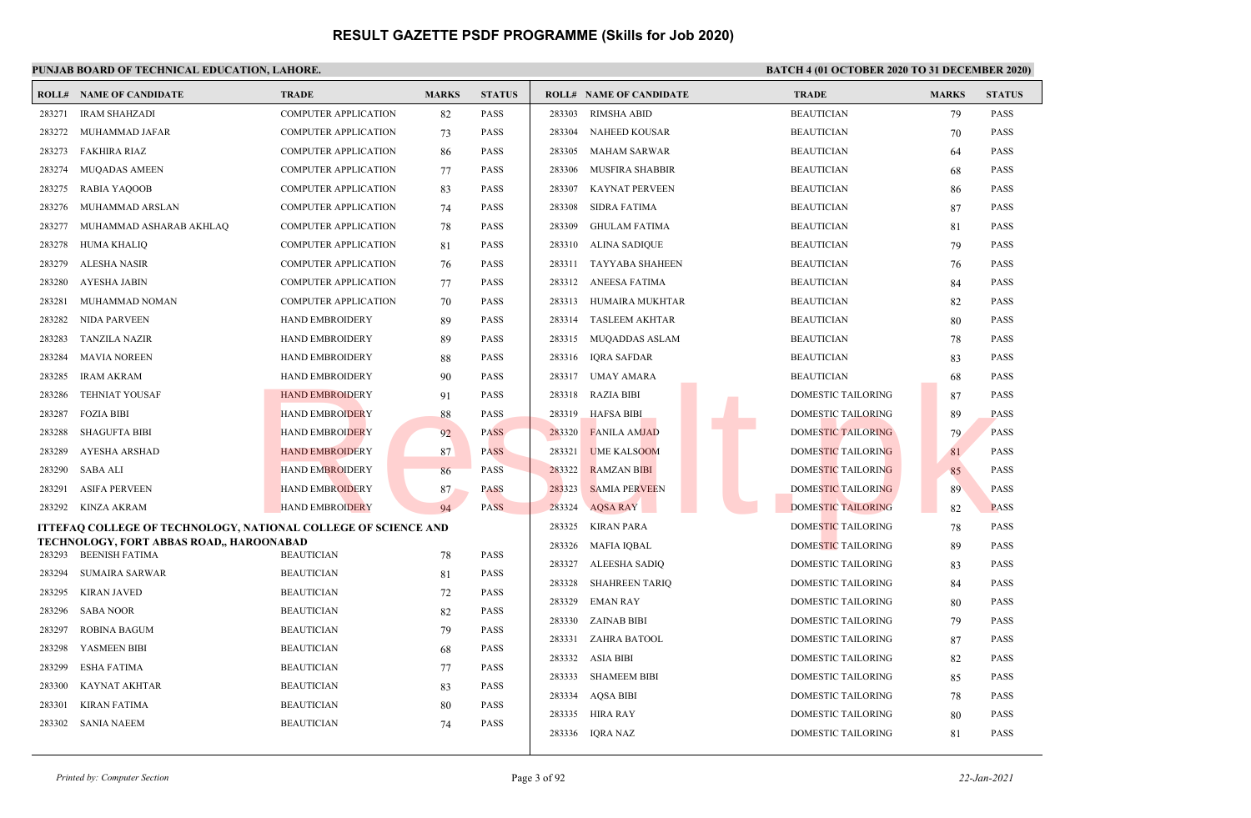|        | <b>ROLL# NAME OF CANDIDATE</b>                                    | <b>TRADE</b>                | <b>MARKS</b> | <b>STATUS</b>              | <b>ROLL# NAME OF CANDIDATE</b>   | <b>TRADE</b>              | <b>MARKS</b> | <b>STATUS</b> |
|--------|-------------------------------------------------------------------|-----------------------------|--------------|----------------------------|----------------------------------|---------------------------|--------------|---------------|
| 283271 | <b>IRAM SHAHZADI</b>                                              | <b>COMPUTER APPLICATION</b> | 82           | <b>PASS</b>                | <b>RIMSHA ABID</b><br>283303     | <b>BEAUTICIAN</b>         | 79           | <b>PASS</b>   |
| 283272 | MUHAMMAD JAFAR                                                    | <b>COMPUTER APPLICATION</b> | 73           | <b>PASS</b>                | 283304<br>NAHEED KOUSAR          | <b>BEAUTICIAN</b>         | 70           | <b>PASS</b>   |
| 283273 | <b>FAKHIRA RIAZ</b>                                               | <b>COMPUTER APPLICATION</b> | 86           | <b>PASS</b>                | 283305<br>MAHAM SARWAR           | <b>BEAUTICIAN</b>         | 64           | <b>PASS</b>   |
| 283274 | <b>MUQADAS AMEEN</b>                                              | <b>COMPUTER APPLICATION</b> | 77           | <b>PASS</b>                | 283306<br><b>MUSFIRA SHABBIR</b> | <b>BEAUTICIAN</b>         | 68           | <b>PASS</b>   |
| 283275 | <b>RABIA YAQOOB</b>                                               | <b>COMPUTER APPLICATION</b> | 83           | <b>PASS</b>                | 283307<br><b>KAYNAT PERVEEN</b>  | <b>BEAUTICIAN</b>         | 86           | <b>PASS</b>   |
| 283276 | MUHAMMAD ARSLAN                                                   | <b>COMPUTER APPLICATION</b> | 74           | <b>PASS</b>                | 283308<br><b>SIDRA FATIMA</b>    | <b>BEAUTICIAN</b>         | 87           | PASS          |
| 283277 | MUHAMMAD ASHARAB AKHLAQ                                           | <b>COMPUTER APPLICATION</b> | 78           | <b>PASS</b>                | 283309<br><b>GHULAM FATIMA</b>   | <b>BEAUTICIAN</b>         | 81           | <b>PASS</b>   |
| 283278 | HUMA KHALIQ                                                       | <b>COMPUTER APPLICATION</b> | 81           | <b>PASS</b>                | ALINA SADIQUE<br>283310          | <b>BEAUTICIAN</b>         | 79           | <b>PASS</b>   |
| 283279 | ALESHA NASIR                                                      | <b>COMPUTER APPLICATION</b> | 76           | <b>PASS</b>                | 283311<br>TAYYABA SHAHEEN        | <b>BEAUTICIAN</b>         | 76           | <b>PASS</b>   |
| 283280 | <b>AYESHA JABIN</b>                                               | <b>COMPUTER APPLICATION</b> | 77           | <b>PASS</b>                | 283312<br>ANEESA FATIMA          | <b>BEAUTICIAN</b>         | 84           | <b>PASS</b>   |
| 283281 | MUHAMMAD NOMAN                                                    | <b>COMPUTER APPLICATION</b> | 70           | <b>PASS</b>                | 283313<br>HUMAIRA MUKHTAR        | <b>BEAUTICIAN</b>         | 82           | <b>PASS</b>   |
| 283282 | NIDA PARVEEN                                                      | <b>HAND EMBROIDERY</b>      | 89           | <b>PASS</b>                | <b>TASLEEM AKHTAR</b><br>283314  | <b>BEAUTICIAN</b>         | 80           | <b>PASS</b>   |
| 283283 | <b>TANZILA NAZIR</b>                                              | HAND EMBROIDERY             | 89           | <b>PASS</b>                | 283315 MUQADDAS ASLAM            | <b>BEAUTICIAN</b>         | 78           | <b>PASS</b>   |
| 283284 | <b>MAVIA NOREEN</b>                                               | HAND EMBROIDERY             | 88           | <b>PASS</b>                | 283316<br>IQRA SAFDAR            | <b>BEAUTICIAN</b>         | 83           | PASS          |
| 283285 | <b>IRAM AKRAM</b>                                                 | <b>HAND EMBROIDERY</b>      | 90           | <b>PASS</b>                | 283317<br>UMAY AMARA             | <b>BEAUTICIAN</b>         | 68           | <b>PASS</b>   |
| 283286 | <b>TEHNIAT YOUSAF</b>                                             | <b>HAND EMBROIDERY</b>      | 91           | <b>PASS</b>                | 283318<br><b>RAZIA BIBI</b>      | <b>DOMESTIC TAILORING</b> | 87           | <b>PASS</b>   |
| 283287 | <b>FOZIA BIBI</b>                                                 | <b>HAND EMBROIDERY</b>      | 88           | <b>PASS</b>                | 283319<br><b>HAFSA BIBI</b>      | <b>DOMESTIC TAILORING</b> | -89          | <b>PASS</b>   |
| 283288 | SHAGUFTA BIBI                                                     | <b>HAND EMBROIDERY</b>      | 92           | <b>PASS</b>                | 283320<br><b>FANILA AMJAD</b>    | <b>DOMESTIC TAILORING</b> | 79           | <b>PASS</b>   |
| 283289 | AYESHA ARSHAD                                                     | <b>HAND EMBROIDERY</b>      | 87           | <b>PASS</b>                | 283321<br><b>UME KALSOOM</b>     | <b>DOMESTIC TAILORING</b> | 81           | <b>PASS</b>   |
| 283290 | SABA ALI                                                          | <b>HAND EMBROIDERY</b>      | 86           | <b>PASS</b>                | 283322<br><b>RAMZAN BIBI</b>     | DOMESTIC TAILORING        | 85           | <b>PASS</b>   |
| 283291 | <b>ASIFA PERVEEN</b>                                              | <b>HAND EMBROIDERY</b>      | 87           | <b>PASS</b>                | 283323<br><b>SAMIA PERVEEN</b>   | DOMESTIC TAILORING        | 89           | <b>PASS</b>   |
| 283292 | <b>KINZA AKRAM</b>                                                | <b>HAND EMBROIDERY</b>      | 94           | <b>PASS</b>                | 283324<br><b>AQSA RAY</b>        | <b>DOMESTIC TAILORING</b> | 82           | <b>PASS</b>   |
|        | ITTEFAQ COLLEGE OF TECHNOLOGY, NATIONAL COLLEGE OF SCIENCE AND    |                             |              |                            | 283325<br><b>KIRAN PARA</b>      | DOMESTIC TAILORING        | 78           | <b>PASS</b>   |
| 283293 | TECHNOLOGY, FORT ABBAS ROAD,, HAROONABAD<br><b>BEENISH FATIMA</b> | <b>BEAUTICIAN</b>           |              | <b>PASS</b>                | 283326<br><b>MAFIA IOBAL</b>     | <b>DOMESTIC TAILORING</b> | 89           | <b>PASS</b>   |
| 283294 |                                                                   |                             | 78           |                            | 283327<br>ALEESHA SADIO          | DOMESTIC TAILORING        | 83           | <b>PASS</b>   |
|        | <b>SUMAIRA SARWAR</b>                                             | <b>BEAUTICIAN</b>           | 81           | <b>PASS</b>                | 283328<br><b>SHAHREEN TARIO</b>  | <b>DOMESTIC TAILORING</b> | 84           | <b>PASS</b>   |
| 283295 | KIRAN JAVED                                                       | <b>BEAUTICIAN</b>           | 72           | <b>PASS</b>                | 283329<br>EMAN RAY               | <b>DOMESTIC TAILORING</b> | 80           | <b>PASS</b>   |
| 283296 | <b>SABA NOOR</b>                                                  | <b>BEAUTICIAN</b>           | 82           | <b>PASS</b>                | <b>ZAINAB BIBI</b><br>283330     | <b>DOMESTIC TAILORING</b> | 79           | <b>PASS</b>   |
| 283297 | <b>ROBINA BAGUM</b>                                               | <b>BEAUTICIAN</b>           | 79           | <b>PASS</b><br><b>PASS</b> | 283331<br>ZAHRA BATOOL           | DOMESTIC TAILORING        | 87           | <b>PASS</b>   |
| 283298 | YASMEEN BIBI                                                      | <b>BEAUTICIAN</b>           | 68           |                            | 283332<br>ASIA BIBI              | DOMESTIC TAILORING        | 82           | <b>PASS</b>   |
| 283299 | <b>ESHA FATIMA</b>                                                | <b>BEAUTICIAN</b>           | 77           | <b>PASS</b>                | 283333<br><b>SHAMEEM BIBI</b>    | DOMESTIC TAILORING        | 85           | <b>PASS</b>   |
| 283300 | KAYNAT AKHTAR                                                     | <b>BEAUTICIAN</b>           | 83           | <b>PASS</b>                | 283334<br>AQSA BIBI              | DOMESTIC TAILORING        | 78           | <b>PASS</b>   |
| 283301 | <b>KIRAN FATIMA</b>                                               | <b>BEAUTICIAN</b>           | 80           | <b>PASS</b>                | 283335<br>HIRA RAY               | <b>DOMESTIC TAILORING</b> | 80           | <b>PASS</b>   |
| 283302 | <b>SANIA NAEEM</b>                                                | <b>BEAUTICIAN</b>           | 74           | <b>PASS</b>                | 283336<br>IQRA NAZ               | <b>DOMESTIC TAILORING</b> | 81           | <b>PASS</b>   |
|        |                                                                   |                             |              |                            |                                  |                           |              |               |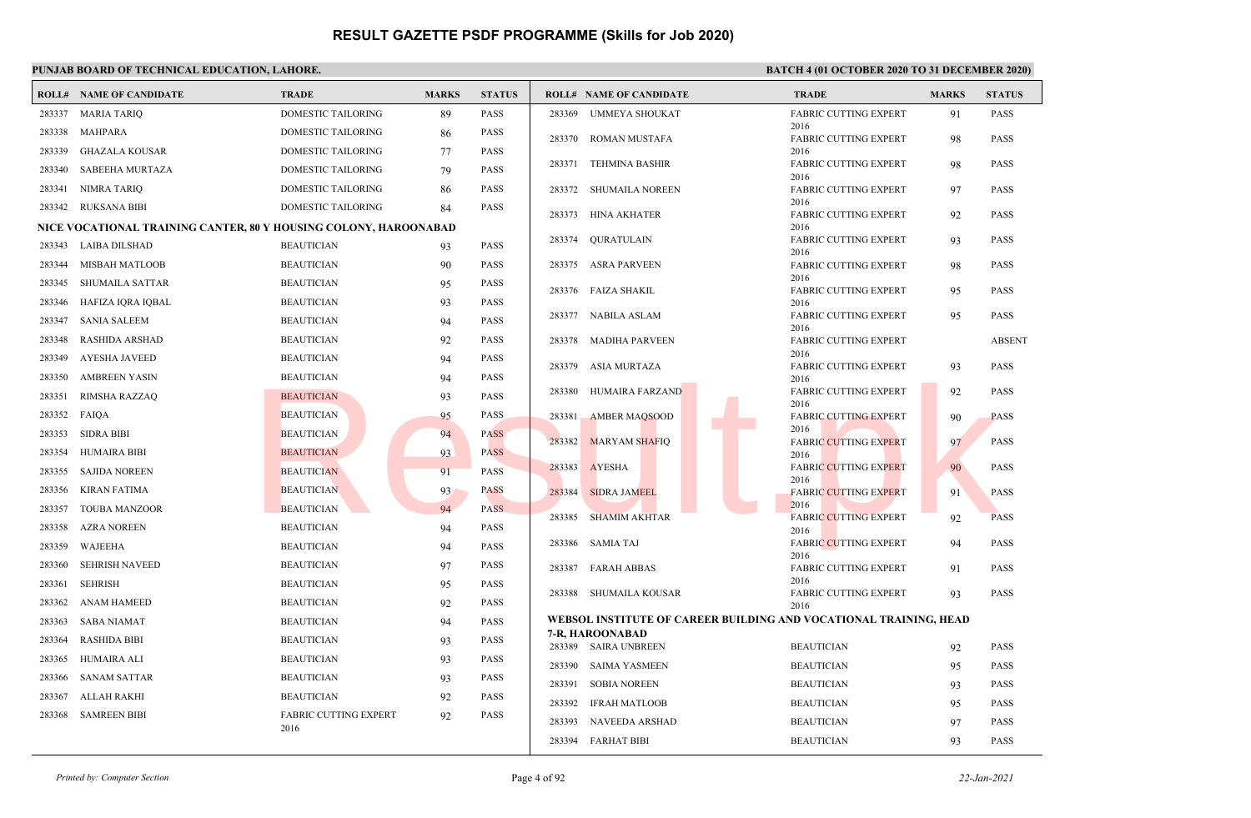|        | <b>ROLL# NAME OF CANDIDATE</b>                                   | <b>TRADE</b>                 | <b>MARKS</b> | <b>STATUS</b> |        | <b>ROLL# NAME OF CANDIDATE</b>                                    | <b>TRADE</b>                         | <b>MARKS</b> | <b>STATUS</b> |
|--------|------------------------------------------------------------------|------------------------------|--------------|---------------|--------|-------------------------------------------------------------------|--------------------------------------|--------------|---------------|
| 283337 | <b>MARIA TARIO</b>                                               | <b>DOMESTIC TAILORING</b>    | 89           | <b>PASS</b>   | 283369 | UMMEYA SHOUKAT                                                    | <b>FABRIC CUTTING EXPERT</b>         | 91           | <b>PASS</b>   |
| 283338 | MAHPARA                                                          | DOMESTIC TAILORING           | 86           | <b>PASS</b>   |        | 283370 ROMAN MUSTAFA                                              | 2016<br><b>FABRIC CUTTING EXPERT</b> | 98           | <b>PASS</b>   |
| 283339 | GHAZALA KOUSAR                                                   | DOMESTIC TAILORING           | 77           | <b>PASS</b>   |        |                                                                   | 2016                                 |              |               |
| 283340 | SABEEHA MURTAZA                                                  | DOMESTIC TAILORING           | 79           | <b>PASS</b>   |        | 283371 TEHMINA BASHIR                                             | <b>FABRIC CUTTING EXPERT</b><br>2016 | 98           | <b>PASS</b>   |
| 283341 | NIMRA TARIQ                                                      | DOMESTIC TAILORING           | 86           | <b>PASS</b>   | 283372 | SHUMAILA NOREEN                                                   | <b>FABRIC CUTTING EXPERT</b>         | 97           | <b>PASS</b>   |
|        | 283342 RUKSANA BIBI                                              | DOMESTIC TAILORING           | 84           | <b>PASS</b>   |        | 283373 HINA AKHATER                                               | 2016<br><b>FABRIC CUTTING EXPERT</b> |              | <b>PASS</b>   |
|        | NICE VOCATIONAL TRAINING CANTER, 80 Y HOUSING COLONY, HAROONABAD |                              |              |               |        |                                                                   | 2016                                 | 92           |               |
| 283343 | LAIBA DILSHAD                                                    | <b>BEAUTICIAN</b>            | 93           | <b>PASS</b>   | 283374 | QURATULAIN                                                        | <b>FABRIC CUTTING EXPERT</b><br>2016 | 93           | PASS          |
| 283344 | <b>MISBAH MATLOOB</b>                                            | <b>BEAUTICIAN</b>            | 90           | <b>PASS</b>   |        | 283375 ASRA PARVEEN                                               | <b>FABRIC CUTTING EXPERT</b>         | 98           | <b>PASS</b>   |
| 283345 | SHUMAILA SATTAR                                                  | <b>BEAUTICIAN</b>            | 95           | <b>PASS</b>   |        | 283376 FAIZA SHAKIL                                               | 2016<br><b>FABRIC CUTTING EXPERT</b> | 95           | <b>PASS</b>   |
| 283346 | HAFIZA IQRA IQBAL                                                | <b>BEAUTICIAN</b>            | 93           | <b>PASS</b>   |        |                                                                   | 2016                                 |              |               |
| 283347 | SANIA SALEEM                                                     | <b>BEAUTICIAN</b>            | 94           | <b>PASS</b>   |        | 283377 NABILA ASLAM                                               | <b>FABRIC CUTTING EXPERT</b><br>2016 | 95           | PASS          |
| 283348 | RASHIDA ARSHAD                                                   | <b>BEAUTICIAN</b>            | 92           | <b>PASS</b>   |        | 283378 MADIHA PARVEEN                                             | <b>FABRIC CUTTING EXPERT</b>         |              | <b>ABSENT</b> |
| 283349 | AYESHA JAVEED                                                    | <b>BEAUTICIAN</b>            | 94           | <b>PASS</b>   | 283379 | ASIA MURTAZA                                                      | 2016<br><b>FABRIC CUTTING EXPERT</b> | 93           | <b>PASS</b>   |
| 283350 | <b>AMBREEN YASIN</b>                                             | <b>BEAUTICIAN</b>            | 94           | <b>PASS</b>   |        |                                                                   | 2016                                 |              |               |
| 283351 | RIMSHA RAZZAQ                                                    | <b>BEAUTICIAN</b>            | 93           | <b>PASS</b>   | 283380 | HUMAIRA FARZAND                                                   | FABRIC CUTTING EXPERT<br>2016        | 92           | PASS          |
| 283352 | FAIQA                                                            | <b>BEAUTICIAN</b>            | 95           | <b>PASS</b>   | 283381 | <b>AMBER MAQSOOD</b>                                              | <b>FABRIC CUTTING EXPERT</b>         | 90           | <b>PASS</b>   |
| 283353 | <b>SIDRA BIBI</b>                                                | <b>BEAUTICIAN</b>            | 94           | <b>PASS</b>   |        |                                                                   | 2016                                 |              | <b>PASS</b>   |
| 283354 | <b>HUMAIRA BIBI</b>                                              | <b>BEAUTICIAN</b>            | 93           | <b>PASS</b>   |        | 283382 MARYAM SHAFIQ                                              | <b>FABRIC CUTTING EXPERT</b><br>2016 | 97           |               |
| 283355 | <b>SAJIDA NOREEN</b>                                             | <b>BEAUTICIAN</b>            | 91           | <b>PASS</b>   |        | 283383 AYESHA                                                     | <b>FABRIC CUTTING EXPERT</b>         | 90           | PASS          |
| 283356 | KIRAN FATIMA                                                     | <b>BEAUTICIAN</b>            | 93           | <b>PASS</b>   | 283384 | <b>SIDRA JAMEEL</b>                                               | 2016<br><b>FABRIC CUTTING EXPERT</b> | 91           | <b>PASS</b>   |
| 283357 | <b>TOUBA MANZOOR</b>                                             | <b>BEAUTICIAN</b>            | 94           | <b>PASS</b>   |        |                                                                   | 2016                                 |              |               |
| 283358 | <b>AZRA NOREEN</b>                                               | <b>BEAUTICIAN</b>            | 94           | <b>PASS</b>   |        | 283385 SHAMIM AKHTAR                                              | <b>FABRIC CUTTING EXPERT</b><br>2016 | 92           | PASS          |
| 283359 | WAJEEHA                                                          | <b>BEAUTICIAN</b>            | 94           | <b>PASS</b>   | 283386 | <b>SAMIA TAJ</b>                                                  | <b>FABRIC CUTTING EXPERT</b>         | 94           | PASS          |
| 283360 | <b>SEHRISH NAVEED</b>                                            | <b>BEAUTICIAN</b>            | 97           | <b>PASS</b>   |        | 283387 FARAH ABBAS                                                | 2016<br><b>FABRIC CUTTING EXPERT</b> | 91           | <b>PASS</b>   |
| 283361 | SEHRISH                                                          | <b>BEAUTICIAN</b>            | 95           | <b>PASS</b>   |        |                                                                   | 2016                                 |              |               |
| 283362 | ANAM HAMEED                                                      | <b>BEAUTICIAN</b>            | 92           | <b>PASS</b>   |        | 283388 SHUMAILA KOUSAR                                            | <b>FABRIC CUTTING EXPERT</b><br>2016 | 93           | PASS          |
| 283363 | <b>SABA NIAMAT</b>                                               | <b>BEAUTICIAN</b>            | 94           | <b>PASS</b>   |        | WEBSOL INSTITUTE OF CAREER BUILDING AND VOCATIONAL TRAINING, HEAD |                                      |              |               |
| 283364 | <b>RASHIDA BIBI</b>                                              | <b>BEAUTICIAN</b>            | 93           | <b>PASS</b>   |        | 7-R, HAROONABAD<br>283389 SAIRA UNBREEN                           | <b>BEAUTICIAN</b>                    | 92           | <b>PASS</b>   |
| 283365 | HUMAIRA ALI                                                      | <b>BEAUTICIAN</b>            | 93           | <b>PASS</b>   | 283390 | SAIMA YASMEEN                                                     | <b>BEAUTICIAN</b>                    | 95           | <b>PASS</b>   |
| 283366 | SANAM SATTAR                                                     | <b>BEAUTICIAN</b>            | 93           | <b>PASS</b>   | 283391 | <b>SOBIA NOREEN</b>                                               | <b>BEAUTICIAN</b>                    | 93           | PASS          |
| 283367 | ALLAH RAKHI                                                      | <b>BEAUTICIAN</b>            | 92           | <b>PASS</b>   | 283392 | IFRAH MATLOOB                                                     | <b>BEAUTICIAN</b>                    | 95           | PASS          |
| 283368 | <b>SAMREEN BIBI</b>                                              | <b>FABRIC CUTTING EXPERT</b> | 92           | <b>PASS</b>   | 283393 | NAVEEDA ARSHAD                                                    | <b>BEAUTICIAN</b>                    | 97           | PASS          |
|        |                                                                  | 2016                         |              |               |        | 283394 FARHAT BIBI                                                | <b>BEAUTICIAN</b>                    | 93           | PASS          |
|        |                                                                  |                              |              |               |        |                                                                   |                                      |              |               |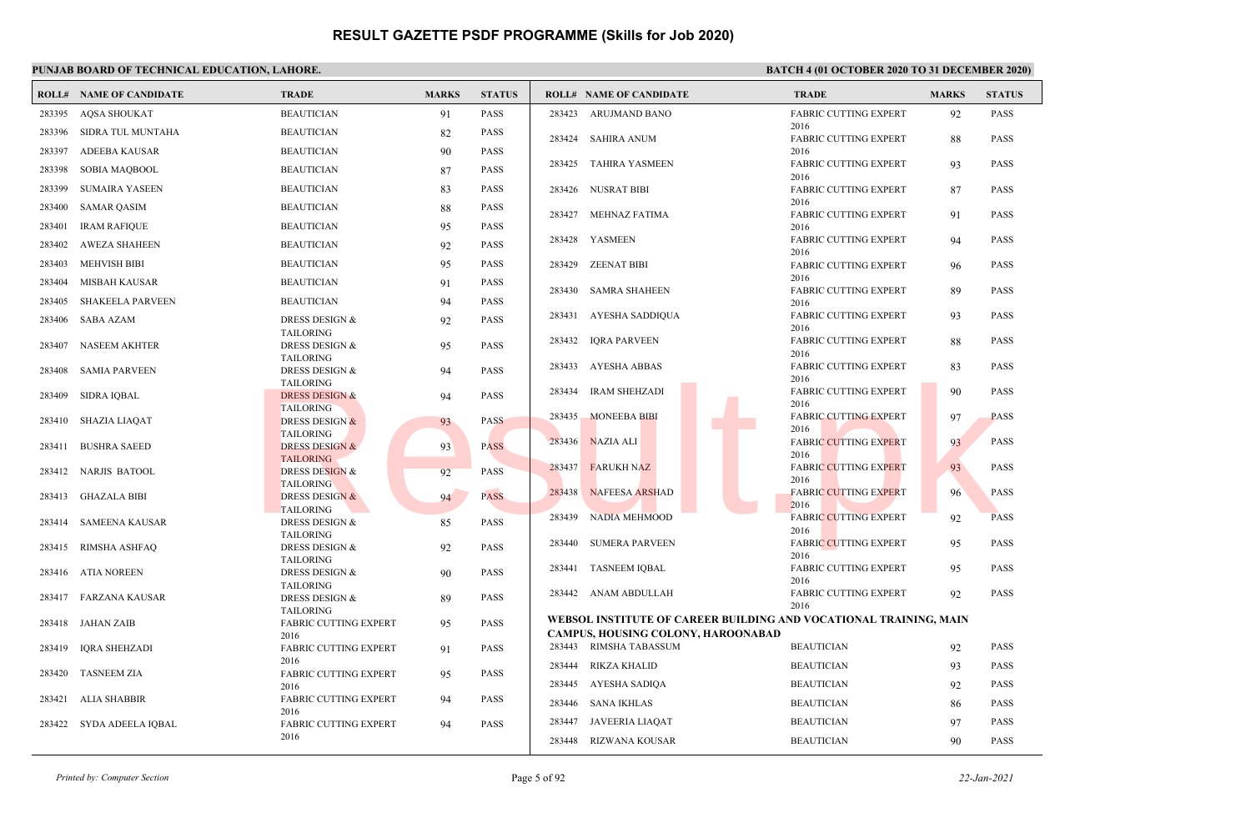|        | <b>ROLL# NAME OF CANDIDATE</b> | <b>TRADE</b>                                     | <b>MARKS</b> | <b>STATUS</b> |        | <b>ROLL# NAME OF CANDIDATE</b>                                    | <b>TRADE</b>                         | <b>MARKS</b> | <b>STATUS</b> |
|--------|--------------------------------|--------------------------------------------------|--------------|---------------|--------|-------------------------------------------------------------------|--------------------------------------|--------------|---------------|
| 283395 | <b>AQSA SHOUKAT</b>            | <b>BEAUTICIAN</b>                                | 91           | <b>PASS</b>   |        | 283423 ARUJMAND BANO                                              | <b>FABRIC CUTTING EXPERT</b>         | 92           | <b>PASS</b>   |
| 283396 | SIDRA TUL MUNTAHA              | <b>BEAUTICIAN</b>                                | 82           | <b>PASS</b>   |        | 283424 SAHIRA ANUM                                                | 2016<br><b>FABRIC CUTTING EXPERT</b> | 88           | <b>PASS</b>   |
| 283397 | ADEEBA KAUSAR                  | <b>BEAUTICIAN</b>                                | 90           | <b>PASS</b>   |        |                                                                   | 2016                                 |              |               |
| 283398 | SOBIA MAQBOOL                  | <b>BEAUTICIAN</b>                                | 87           | <b>PASS</b>   |        | 283425 TAHIRA YASMEEN                                             | <b>FABRIC CUTTING EXPERT</b><br>2016 | 93           | <b>PASS</b>   |
| 283399 | <b>SUMAIRA YASEEN</b>          | <b>BEAUTICIAN</b>                                | 83           | <b>PASS</b>   |        | 283426 NUSRAT BIBI                                                | <b>FABRIC CUTTING EXPERT</b>         | 87           | <b>PASS</b>   |
| 283400 | <b>SAMAR QASIM</b>             | <b>BEAUTICIAN</b>                                | 88           | <b>PASS</b>   |        |                                                                   | 2016                                 |              |               |
| 283401 | <b>IRAM RAFIQUE</b>            | <b>BEAUTICIAN</b>                                | 95           | <b>PASS</b>   | 283427 | <b>MEHNAZ FATIMA</b>                                              | <b>FABRIC CUTTING EXPERT</b><br>2016 | 91           | <b>PASS</b>   |
| 283402 | <b>AWEZA SHAHEEN</b>           | <b>BEAUTICIAN</b>                                | 92           | <b>PASS</b>   |        | 283428 YASMEEN                                                    | <b>FABRIC CUTTING EXPERT</b>         | 94           | <b>PASS</b>   |
| 283403 | <b>MEHVISH BIBI</b>            | <b>BEAUTICIAN</b>                                | 95           | <b>PASS</b>   | 283429 | <b>ZEENAT BIBI</b>                                                | 2016<br><b>FABRIC CUTTING EXPERT</b> | 96           | <b>PASS</b>   |
| 283404 | MISBAH KAUSAR                  | <b>BEAUTICIAN</b>                                | 91           | PASS          |        |                                                                   | 2016                                 |              |               |
| 283405 | <b>SHAKEELA PARVEEN</b>        | <b>BEAUTICIAN</b>                                | 94           | PASS          |        | 283430 SAMRA SHAHEEN                                              | <b>FABRIC CUTTING EXPERT</b><br>2016 | 89           | <b>PASS</b>   |
| 283406 | SABA AZAM                      | DRESS DESIGN &                                   | 92           | <b>PASS</b>   | 283431 | AYESHA SADDIQUA                                                   | <b>FABRIC CUTTING EXPERT</b>         | 93           | <b>PASS</b>   |
|        |                                | <b>TAILORING</b>                                 |              |               |        |                                                                   | 2016                                 |              |               |
| 283407 | NASEEM AKHTER                  | DRESS DESIGN &<br><b>TAILORING</b>               | 95           | <b>PASS</b>   |        | 283432 IQRA PARVEEN                                               | <b>FABRIC CUTTING EXPERT</b><br>2016 | 88           | <b>PASS</b>   |
| 283408 | <b>SAMIA PARVEEN</b>           | DRESS DESIGN &                                   | 94           | PASS          | 283433 | AYESHA ABBAS                                                      | <b>FABRIC CUTTING EXPERT</b>         | 83           | <b>PASS</b>   |
|        |                                | <b>TAILORING</b>                                 |              |               | 283434 | <b>IRAM SHEHZADI</b>                                              | 2016<br><b>FABRIC CUTTING EXPERT</b> | 90           | <b>PASS</b>   |
| 283409 | SIDRA IQBAL                    | <b>DRESS DESIGN &amp;</b><br><b>TAILORING</b>    | 94           | <b>PASS</b>   |        |                                                                   | 2016                                 |              |               |
| 283410 | SHAZIA LIAQAT                  | <b>DRESS DESIGN &amp;</b>                        | 93           | <b>PASS</b>   | 283435 | <b>MONEEBA BIBI</b>                                               | <b>FABRIC CUTTING EXPERT</b><br>2016 | 97           | <b>PASS</b>   |
| 283411 | <b>BUSHRA SAEED</b>            | <b>TAILORING</b><br><b>DRESS DESIGN &amp;</b>    | 93           | <b>PASS</b>   |        | 283436 NAZIA ALI                                                  | <b>FABRIC CUTTING EXPERT</b>         | 93           | <b>PASS</b>   |
|        |                                | <b>TAILORING</b>                                 |              |               |        |                                                                   | 2016                                 |              |               |
|        | 283412 NARJIS BATOOL           | <b>DRESS DESIGN &amp;</b>                        | 92           | <b>PASS</b>   | 283437 | <b>FARUKH NAZ</b>                                                 | <b>FABRIC CUTTING EXPERT</b><br>2016 | 93           | <b>PASS</b>   |
| 283413 | GHAZALA BIBI                   | <b>TAILORING</b><br><b>DRESS DESIGN &amp;</b>    | 94           | <b>PASS</b>   | 283438 | <b>NAFEESA ARSHAD</b>                                             | <b>FABRIC CUTTING EXPERT</b>         | 96           | <b>PASS</b>   |
|        |                                | <b>TAILORING</b>                                 |              |               | 283439 | <b>NADIA MEHMOOD</b>                                              | 2016<br><b>FABRIC CUTTING EXPERT</b> | 92           | <b>PASS</b>   |
| 283414 | SAMEENA KAUSAR                 | <b>DRESS DESIGN &amp;</b><br><b>TAILORING</b>    | 85           | <b>PASS</b>   |        |                                                                   | 2016                                 |              |               |
| 283415 | RIMSHA ASHFAQ                  | <b>DRESS DESIGN &amp;</b>                        | 92           | <b>PASS</b>   | 283440 | <b>SUMERA PARVEEN</b>                                             | <b>FABRIC CUTTING EXPERT</b><br>2016 | 95           | <b>PASS</b>   |
| 283416 | ATIA NOREEN                    | <b>TAILORING</b><br>DRESS DESIGN &               | 90           | <b>PASS</b>   | 283441 | <b>TASNEEM IQBAL</b>                                              | <b>FABRIC CUTTING EXPERT</b>         | 95           | <b>PASS</b>   |
|        |                                | <b>TAILORING</b>                                 |              |               |        |                                                                   | 2016                                 |              |               |
|        | 283417 FARZANA KAUSAR          | DRESS DESIGN &                                   | 89           | <b>PASS</b>   |        | 283442 ANAM ABDULLAH                                              | <b>FABRIC CUTTING EXPERT</b><br>2016 | 92           | <b>PASS</b>   |
|        | 283418 JAHAN ZAIB              | <b>TAILORING</b><br><b>FABRIC CUTTING EXPERT</b> | 95           | PASS          |        | WEBSOL INSTITUTE OF CAREER BUILDING AND VOCATIONAL TRAINING, MAIN |                                      |              |               |
|        |                                | 2016                                             |              |               |        | <b>CAMPUS, HOUSING COLONY, HAROONABAD</b>                         |                                      |              |               |
| 283419 | IQRA SHEHZADI                  | <b>FABRIC CUTTING EXPERT</b><br>2016             | 91           | <b>PASS</b>   |        | 283443 RIMSHA TABASSUM                                            | <b>BEAUTICIAN</b>                    | 92           | <b>PASS</b>   |
| 283420 | TASNEEM ZIA                    | <b>FABRIC CUTTING EXPERT</b>                     | 95           | <b>PASS</b>   | 283444 | RIKZA KHALID                                                      | <b>BEAUTICIAN</b>                    | 93           | <b>PASS</b>   |
|        |                                | 2016                                             |              | <b>PASS</b>   |        | 283445 AYESHA SADIQA                                              | <b>BEAUTICIAN</b>                    | 92           | <b>PASS</b>   |
| 283421 | ALIA SHABBIR                   | <b>FABRIC CUTTING EXPERT</b><br>2016             | 94           |               | 283446 | SANA IKHLAS                                                       | <b>BEAUTICIAN</b>                    | 86           | <b>PASS</b>   |
| 283422 | SYDA ADEELA IQBAL              | <b>FABRIC CUTTING EXPERT</b>                     | 94           | <b>PASS</b>   | 283447 | <b>JAVEERIA LIAQAT</b>                                            | <b>BEAUTICIAN</b>                    | 97           | <b>PASS</b>   |
|        |                                | 2016                                             |              |               | 283448 | RIZWANA KOUSAR                                                    | <b>BEAUTICIAN</b>                    | 90           | <b>PASS</b>   |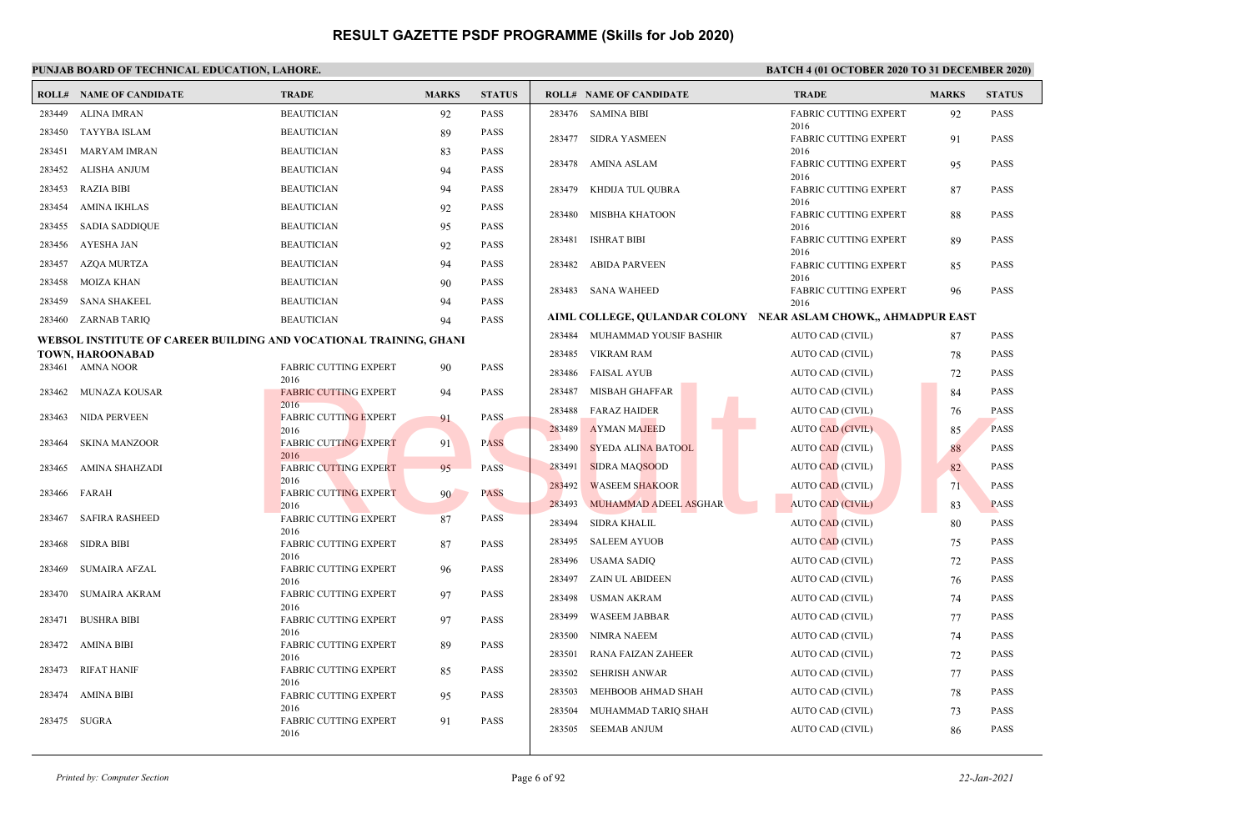|        | <b>ROLL# NAME OF CANDIDATE</b>                                     | <b>TRADE</b>                         | <b>MARKS</b> | <b>STATUS</b> |        | <b>ROLL# NAME OF CANDIDATE</b> | <b>TRADE</b>                                                   | <b>MARKS</b> | <b>STATUS</b> |
|--------|--------------------------------------------------------------------|--------------------------------------|--------------|---------------|--------|--------------------------------|----------------------------------------------------------------|--------------|---------------|
| 283449 | <b>ALINA IMRAN</b>                                                 | <b>BEAUTICIAN</b>                    | 92           | <b>PASS</b>   |        | 283476 SAMINA BIBI             | <b>FABRIC CUTTING EXPERT</b>                                   | 92           | <b>PASS</b>   |
| 283450 | TAYYBA ISLAM                                                       | <b>BEAUTICIAN</b>                    | 89           | <b>PASS</b>   |        | 283477 SIDRA YASMEEN           | 2016<br><b>FABRIC CUTTING EXPERT</b>                           | 91           | <b>PASS</b>   |
| 283451 | MARYAM IMRAN                                                       | <b>BEAUTICIAN</b>                    | 83           | <b>PASS</b>   |        |                                | 2016                                                           |              |               |
| 283452 | ALISHA ANJUM                                                       | <b>BEAUTICIAN</b>                    | 94           | PASS          |        | 283478 AMINA ASLAM             | <b>FABRIC CUTTING EXPERT</b><br>2016                           | 95           | <b>PASS</b>   |
| 283453 | <b>RAZIA BIBI</b>                                                  | <b>BEAUTICIAN</b>                    | 94           | <b>PASS</b>   | 283479 | KHDIJA TUL QUBRA               | <b>FABRIC CUTTING EXPERT</b>                                   | 87           | <b>PASS</b>   |
| 283454 | <b>AMINA IKHLAS</b>                                                | <b>BEAUTICIAN</b>                    | 92           | <b>PASS</b>   | 283480 | MISBHA KHATOON                 | 2016<br><b>FABRIC CUTTING EXPERT</b>                           | 88           | <b>PASS</b>   |
| 283455 | <b>SADIA SADDIQUE</b>                                              | <b>BEAUTICIAN</b>                    | 95           | <b>PASS</b>   |        |                                | 2016                                                           |              |               |
| 283456 | AYESHA JAN                                                         | <b>BEAUTICIAN</b>                    | 92           | <b>PASS</b>   | 283481 | <b>ISHRAT BIBI</b>             | <b>FABRIC CUTTING EXPERT</b><br>2016                           | 89           | <b>PASS</b>   |
| 283457 | <b>AZQA MURTZA</b>                                                 | <b>BEAUTICIAN</b>                    | 94           | <b>PASS</b>   | 283482 | <b>ABIDA PARVEEN</b>           | <b>FABRIC CUTTING EXPERT</b>                                   | 85           | <b>PASS</b>   |
| 283458 | <b>MOIZA KHAN</b>                                                  | <b>BEAUTICIAN</b>                    | 90           | <b>PASS</b>   |        | 283483 SANA WAHEED             | 2016<br><b>FABRIC CUTTING EXPERT</b>                           | 96           | <b>PASS</b>   |
| 283459 | <b>SANA SHAKEEL</b>                                                | <b>BEAUTICIAN</b>                    | 94           | <b>PASS</b>   |        |                                | 2016                                                           |              |               |
| 283460 | ZARNAB TARIQ                                                       | <b>BEAUTICIAN</b>                    | 94           | PASS          |        |                                | AIML COLLEGE, QULANDAR COLONY NEAR ASLAM CHOWK,, AHMADPUR EAST |              |               |
|        | WEBSOL INSTITUTE OF CAREER BUILDING AND VOCATIONAL TRAINING, GHANI |                                      |              |               | 283484 | MUHAMMAD YOUSIF BASHIR         | AUTO CAD (CIVIL)                                               | 87           | <b>PASS</b>   |
|        | TOWN, HAROONABAD                                                   |                                      |              |               | 283485 | VIKRAM RAM                     | AUTO CAD (CIVIL)                                               | 78           | <b>PASS</b>   |
|        | 283461 AMNA NOOR                                                   | FABRIC CUTTING EXPERT<br>2016        | 90           | <b>PASS</b>   | 283486 | <b>FAISAL AYUB</b>             | AUTO CAD (CIVIL)                                               | 72           | <b>PASS</b>   |
| 283462 | MUNAZA KOUSAR                                                      | <b>FABRIC CUTTING EXPERT</b>         | 94           | <b>PASS</b>   | 283487 | MISBAH GHAFFAR                 | AUTO CAD (CIVIL)                                               | 84           | <b>PASS</b>   |
| 283463 | NIDA PERVEEN                                                       | 2016<br><b>FABRIC CUTTING EXPERT</b> | 91           | <b>PASS</b>   | 283488 | <b>FARAZ HAIDER</b>            | AUTO CAD (CIVIL)                                               | 76           | <b>PASS</b>   |
|        |                                                                    | 2016                                 |              |               | 283489 | <b>AYMAN MAJEED</b>            | <b>AUTO CAD (CIVIL)</b>                                        | 85           | <b>PASS</b>   |
| 283464 | <b>SKINA MANZOOR</b>                                               | <b>FABRIC CUTTING EXPERT</b><br>2016 | 91           | <b>PASS</b>   | 283490 | <b>SYEDA ALINA BATOOL</b>      | <b>AUTO CAD (CIVIL)</b>                                        | 88           | <b>PASS</b>   |
| 283465 | AMINA SHAHZADI                                                     | <b>FABRIC CUTTING EXPERT</b>         | 95           | <b>PASS</b>   | 283491 | <b>SIDRA MAQSOOD</b>           | AUTO CAD (CIVIL)                                               | 82           | <b>PASS</b>   |
| 283466 | FARAH                                                              | 2016<br><b>FABRIC CUTTING EXPERT</b> | 90           | <b>PASS</b>   | 283492 | <b>WASEEM SHAKOOR</b>          | <b>AUTO CAD (CIVIL)</b>                                        | 71           | <b>PASS</b>   |
|        |                                                                    | 2016                                 |              |               | 283493 | <b>MUHAMMAD ADEEL ASGHAR</b>   | <b>AUTO CAD (CIVIL)</b>                                        | 83           | <b>PASS</b>   |
| 283467 | <b>SAFIRA RASHEED</b>                                              | <b>FABRIC CUTTING EXPERT</b>         | 87           | <b>PASS</b>   | 283494 | <b>SIDRA KHALIL</b>            | <b>AUTO CAD (CIVIL)</b>                                        | 80           | <b>PASS</b>   |
| 283468 | <b>SIDRA BIBI</b>                                                  | 2016<br><b>FABRIC CUTTING EXPERT</b> | 87           | <b>PASS</b>   | 283495 | <b>SALEEM AYUOB</b>            | <b>AUTO CAD (CIVIL)</b>                                        | 75           | <b>PASS</b>   |
|        |                                                                    | 2016                                 |              |               | 283496 | <b>USAMA SADIQ</b>             | AUTO CAD (CIVIL)                                               | 72           | <b>PASS</b>   |
| 283469 | <b>SUMAIRA AFZAL</b>                                               | <b>FABRIC CUTTING EXPERT</b><br>2016 | 96           | <b>PASS</b>   | 283497 | <b>ZAIN UL ABIDEEN</b>         | AUTO CAD (CIVIL)                                               | 76           | <b>PASS</b>   |
| 283470 | <b>SUMAIRA AKRAM</b>                                               | FABRIC CUTTING EXPERT                | 97           | <b>PASS</b>   | 283498 | <b>USMAN AKRAM</b>             | AUTO CAD (CIVIL)                                               | 74           | <b>PASS</b>   |
| 283471 | <b>BUSHRA BIBI</b>                                                 | 2016<br><b>FABRIC CUTTING EXPERT</b> | 97           | <b>PASS</b>   | 283499 | <b>WASEEM JABBAR</b>           | AUTO CAD (CIVIL)                                               | 77           | <b>PASS</b>   |
|        |                                                                    | 2016                                 |              |               | 283500 | <b>NIMRA NAEEM</b>             | AUTO CAD (CIVIL)                                               | 74           | <b>PASS</b>   |
|        | 283472 AMINA BIBI                                                  | FABRIC CUTTING EXPERT<br>2016        | 89           | PASS          | 283501 | RANA FAIZAN ZAHEER             | AUTO CAD (CIVIL)                                               | 72           | <b>PASS</b>   |
| 283473 | <b>RIFAT HANIF</b>                                                 | FABRIC CUTTING EXPERT                | 85           | <b>PASS</b>   | 283502 | <b>SEHRISH ANWAR</b>           | AUTO CAD (CIVIL)                                               | 77           | <b>PASS</b>   |
| 283474 | AMINA BIBI                                                         | 2016<br><b>FABRIC CUTTING EXPERT</b> | 95           | <b>PASS</b>   | 283503 | MEHBOOB AHMAD SHAH             | AUTO CAD (CIVIL)                                               | 78           | <b>PASS</b>   |
|        |                                                                    | 2016                                 |              |               | 283504 | MUHAMMAD TARIO SHAH            | <b>AUTO CAD (CIVIL)</b>                                        | 73           | <b>PASS</b>   |
| 283475 | SUGRA                                                              | <b>FABRIC CUTTING EXPERT</b><br>2016 | 91           | <b>PASS</b>   |        | 283505 SEEMAB ANJUM            | AUTO CAD (CIVIL)                                               | 86           | <b>PASS</b>   |
|        |                                                                    |                                      |              |               |        |                                |                                                                |              |               |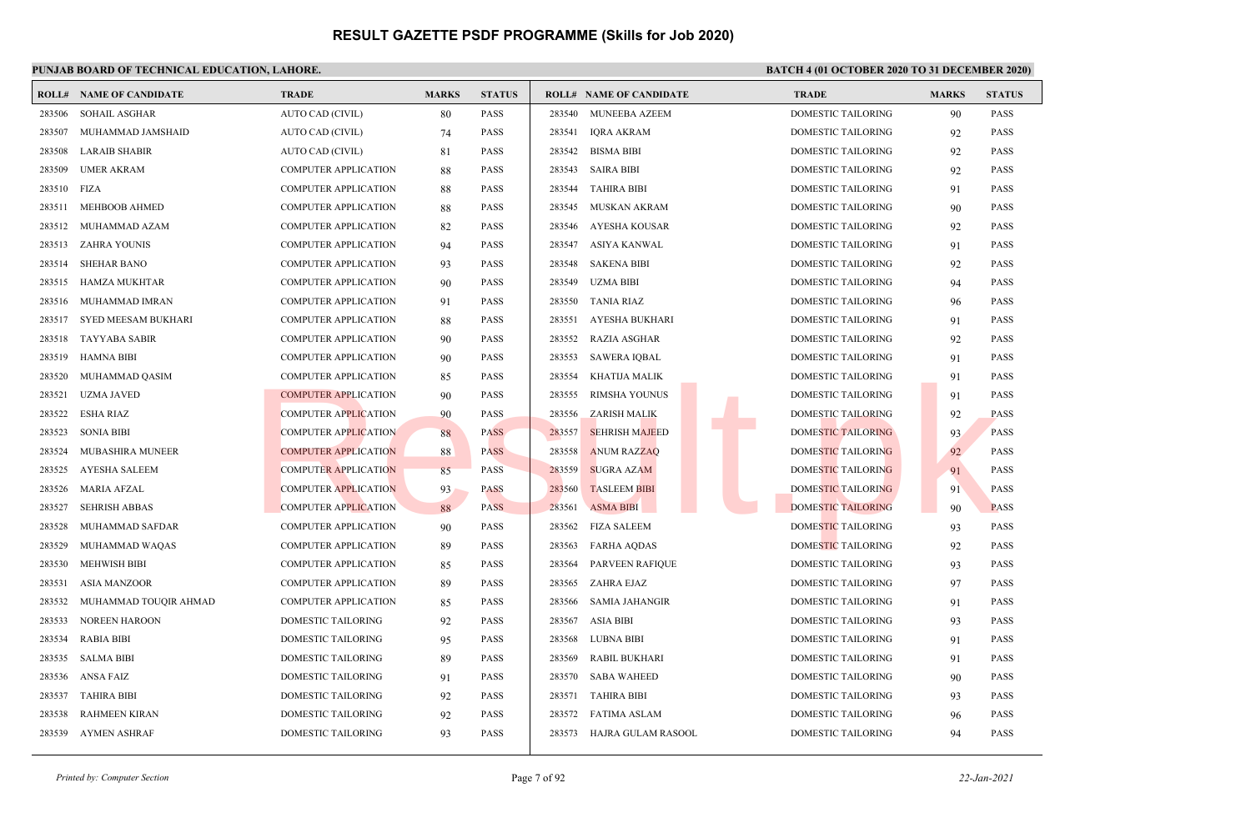### **PUNJAB BOARD OF TECHNICAL EDUCATION, LAHORE. BATCH 4 (01 OCTOBER 2020 TO 31 DECEMBER 2020)**

| <b>ROLL#</b> | <b>NAME OF CANDIDATE</b>   | <b>TRADE</b>                | <b>MARKS</b> | <b>STATUS</b> |        | <b>ROLL# NAME OF CANDIDATE</b> | <b>TRADE</b>              | <b>MARKS</b> | <b>STATUS</b> |
|--------------|----------------------------|-----------------------------|--------------|---------------|--------|--------------------------------|---------------------------|--------------|---------------|
| 283506       | <b>SOHAIL ASGHAR</b>       | AUTO CAD (CIVIL)            | 80           | <b>PASS</b>   | 283540 | <b>MUNEEBA AZEEM</b>           | DOMESTIC TAILORING        | 90           | <b>PASS</b>   |
| 283507       | MUHAMMAD JAMSHAID          | AUTO CAD (CIVIL)            | 74           | <b>PASS</b>   | 283541 | <b>IORA AKRAM</b>              | <b>DOMESTIC TAILORING</b> | 92           | <b>PASS</b>   |
| 283508       | <b>LARAIB SHABIR</b>       | AUTO CAD (CIVIL)            | 81           | <b>PASS</b>   | 283542 | <b>BISMA BIBI</b>              | DOMESTIC TAILORING        | 92           | <b>PASS</b>   |
| 283509       | <b>UMER AKRAM</b>          | <b>COMPUTER APPLICATION</b> | 88           | <b>PASS</b>   | 283543 | <b>SAIRA BIBI</b>              | <b>DOMESTIC TAILORING</b> | 92           | <b>PASS</b>   |
| 283510       | FIZA                       | <b>COMPUTER APPLICATION</b> | 88           | <b>PASS</b>   | 283544 | <b>TAHIRA BIBI</b>             | <b>DOMESTIC TAILORING</b> | 91           | <b>PASS</b>   |
| 283511       | MEHBOOB AHMED              | <b>COMPUTER APPLICATION</b> | 88           | <b>PASS</b>   | 283545 | MUSKAN AKRAM                   | DOMESTIC TAILORING        | 90           | <b>PASS</b>   |
| 283512       | MUHAMMAD AZAM              | <b>COMPUTER APPLICATION</b> | 82           | <b>PASS</b>   | 283546 | AYESHA KOUSAR                  | DOMESTIC TAILORING        | 92           | <b>PASS</b>   |
| 283513       | ZAHRA YOUNIS               | <b>COMPUTER APPLICATION</b> | 94           | <b>PASS</b>   | 283547 | ASIYA KANWAL                   | <b>DOMESTIC TAILORING</b> | 91           | <b>PASS</b>   |
| 283514       | <b>SHEHAR BANO</b>         | <b>COMPUTER APPLICATION</b> | 93           | <b>PASS</b>   | 283548 | <b>SAKENA BIBI</b>             | <b>DOMESTIC TAILORING</b> | 92           | <b>PASS</b>   |
| 283515       | <b>HAMZA MUKHTAR</b>       | <b>COMPUTER APPLICATION</b> | 90           | <b>PASS</b>   | 283549 | <b>UZMA BIBI</b>               | DOMESTIC TAILORING        | 94           | <b>PASS</b>   |
| 283516       | MUHAMMAD IMRAN             | <b>COMPUTER APPLICATION</b> | 91           | <b>PASS</b>   | 283550 | <b>TANIA RIAZ</b>              | <b>DOMESTIC TAILORING</b> | 96           | <b>PASS</b>   |
| 283517       | <b>SYED MEESAM BUKHARI</b> | <b>COMPUTER APPLICATION</b> | 88           | <b>PASS</b>   | 283551 | AYESHA BUKHARI                 | <b>DOMESTIC TAILORING</b> | 91           | <b>PASS</b>   |
| 283518       | <b>TAYYABA SABIR</b>       | <b>COMPUTER APPLICATION</b> | 90           | <b>PASS</b>   | 283552 | <b>RAZIA ASGHAR</b>            | <b>DOMESTIC TAILORING</b> | 92           | <b>PASS</b>   |
| 283519       | <b>HAMNA BIBI</b>          | <b>COMPUTER APPLICATION</b> | 90           | <b>PASS</b>   | 283553 | <b>SAWERA IQBAL</b>            | DOMESTIC TAILORING        | 91           | <b>PASS</b>   |
| 283520       | MUHAMMAD QASIM             | <b>COMPUTER APPLICATION</b> | 85           | <b>PASS</b>   | 283554 | KHATIJA MALIK                  | <b>DOMESTIC TAILORING</b> | 91           | <b>PASS</b>   |
| 283521       | <b>UZMA JAVED</b>          | <b>COMPUTER APPLICATION</b> | 90           | <b>PASS</b>   | 283555 | RIMSHA YOUNUS                  | DOMESTIC TAILORING        | 91           | <b>PASS</b>   |
| 283522       | <b>ESHA RIAZ</b>           | <b>COMPUTER APPLICATION</b> | 90           | <b>PASS</b>   | 283556 | ZARISH MALIK                   | DOMESTIC TAILORING        | 92           | <b>PASS</b>   |
| 283523       | SONIA BIBI                 | <b>COMPUTER APPLICATION</b> | 88           | <b>PASS</b>   | 283557 | <b>SEHRISH MAJEED</b>          | <b>DOMESTIC TAILORING</b> | 93           | <b>PASS</b>   |
| 283524       | MUBASHIRA MUNEER           | <b>COMPUTER APPLICATION</b> | 88           | <b>PASS</b>   | 283558 | <b>ANUM RAZZAQ</b>             | DOMESTIC TAILORING        | 92           | <b>PASS</b>   |
| 283525       | <b>AYESHA SALEEM</b>       | <b>COMPUTER APPLICATION</b> | 85           | <b>PASS</b>   | 283559 | <b>SUGRA AZAM</b>              | DOMESTIC TAILORING        | 91           | <b>PASS</b>   |
| 283526       | <b>MARIA AFZAL</b>         | <b>COMPUTER APPLICATION</b> | 93           | <b>PASS</b>   | 283560 | <b>TASLEEM BIBI</b>            | DOMESTIC TAILORING        | 91           | <b>PASS</b>   |
| 283527       | <b>SEHRISH ABBAS</b>       | <b>COMPUTER APPLICATION</b> | 88           | <b>PASS</b>   | 283561 | <b>ASMA BIBI</b>               | <b>DOMESTIC TAILORING</b> | 90           | <b>PASS</b>   |
| 283528       | MUHAMMAD SAFDAR            | <b>COMPUTER APPLICATION</b> | 90           | <b>PASS</b>   |        | 283562 FIZA SALEEM             | DOMESTIC TAILORING        | 93           | <b>PASS</b>   |
| 283529       | MUHAMMAD WAQAS             | <b>COMPUTER APPLICATION</b> | 89           | <b>PASS</b>   | 283563 | <b>FARHA AODAS</b>             | <b>DOMESTIC TAILORING</b> | 92           | <b>PASS</b>   |
| 283530       | <b>MEHWISH BIBI</b>        | <b>COMPUTER APPLICATION</b> | 85           | <b>PASS</b>   | 283564 | <b>PARVEEN RAFIQUE</b>         | DOMESTIC TAILORING        | 93           | <b>PASS</b>   |
| 283531       | <b>ASIA MANZOOR</b>        | <b>COMPUTER APPLICATION</b> | 89           | <b>PASS</b>   | 283565 | ZAHRA EJAZ                     | DOMESTIC TAILORING        | 97           | <b>PASS</b>   |
| 283532       | MUHAMMAD TOUQIR AHMAD      | <b>COMPUTER APPLICATION</b> | 85           | <b>PASS</b>   | 283566 | <b>SAMIA JAHANGIR</b>          | <b>DOMESTIC TAILORING</b> | 91           | <b>PASS</b>   |
| 283533       | <b>NOREEN HAROON</b>       | DOMESTIC TAILORING          | 92           | <b>PASS</b>   | 283567 | <b>ASIA BIBI</b>               | <b>DOMESTIC TAILORING</b> | 93           | <b>PASS</b>   |
| 283534       | <b>RABIA BIBI</b>          | DOMESTIC TAILORING          | 95           | <b>PASS</b>   | 283568 | <b>LUBNA BIBI</b>              | <b>DOMESTIC TAILORING</b> | 91           | <b>PASS</b>   |
| 283535       | <b>SALMA BIBI</b>          | DOMESTIC TAILORING          | 89           | <b>PASS</b>   | 283569 | <b>RABIL BUKHARI</b>           | DOMESTIC TAILORING        | 91           | <b>PASS</b>   |
| 283536       | ANSA FAIZ                  | <b>DOMESTIC TAILORING</b>   | 91           | <b>PASS</b>   | 283570 | <b>SABA WAHEED</b>             | <b>DOMESTIC TAILORING</b> | 90           | <b>PASS</b>   |
| 283537       | <b>TAHIRA BIBI</b>         | DOMESTIC TAILORING          | 92           | <b>PASS</b>   | 283571 | <b>TAHIRA BIBI</b>             | DOMESTIC TAILORING        | 93           | <b>PASS</b>   |
| 283538       | <b>RAHMEEN KIRAN</b>       | DOMESTIC TAILORING          | 92           | <b>PASS</b>   | 283572 | FATIMA ASLAM                   | DOMESTIC TAILORING        | 96           | <b>PASS</b>   |
| 283539       | AYMEN ASHRAF               | DOMESTIC TAILORING          | 93           | <b>PASS</b>   | 283573 | HAJRA GULAM RASOOL             | <b>DOMESTIC TAILORING</b> | 94           | <b>PASS</b>   |
|              |                            |                             |              |               |        |                                |                           |              |               |

*Printed by: Computer Section* 22-Jan-2021<br> **Page 7 of 92** 22-Jan-2021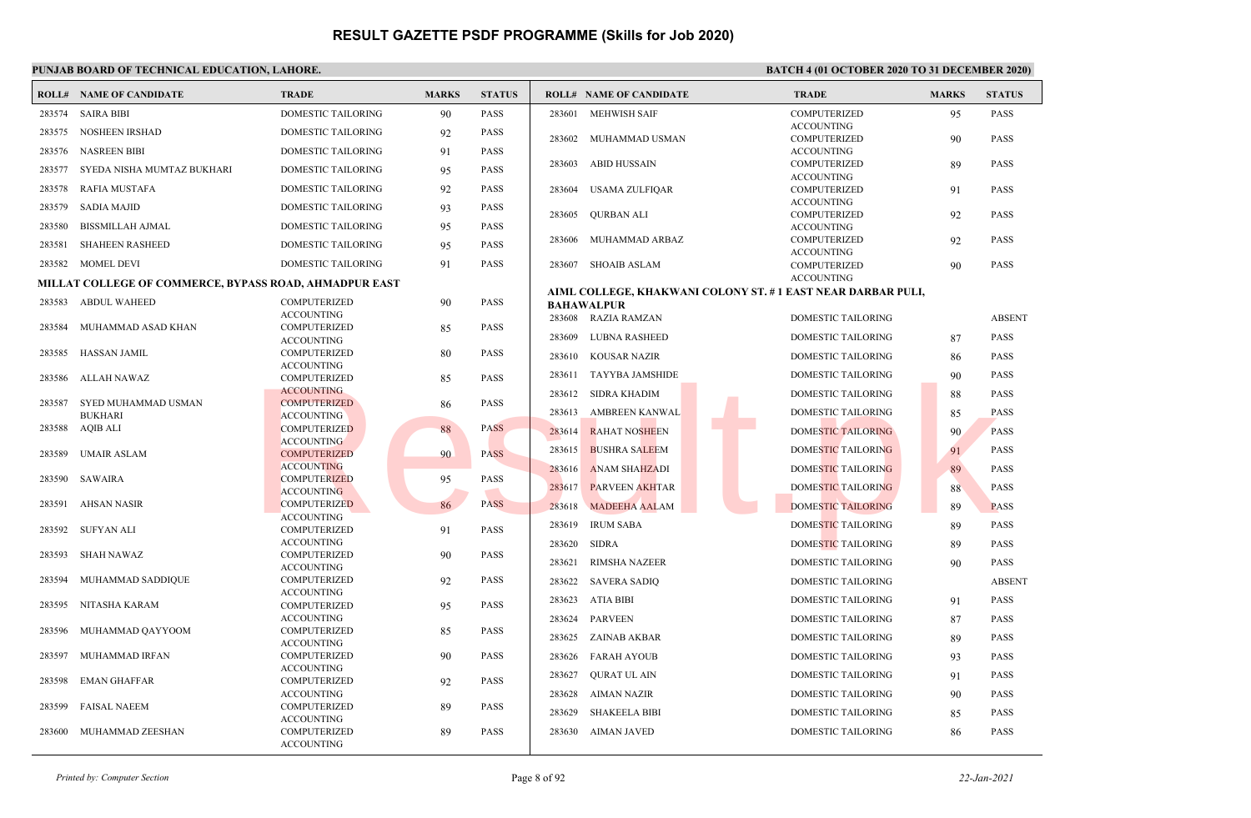|        | <b>ROLL# NAME OF CANDIDATE</b>                         | <b>TRADE</b>                             | <b>MARKS</b> | <b>STATUS</b> |        | <b>ROLL# NAME OF CANDIDATE</b> | <b>TRADE</b>                                                | <b>MARKS</b> | <b>STATUS</b> |
|--------|--------------------------------------------------------|------------------------------------------|--------------|---------------|--------|--------------------------------|-------------------------------------------------------------|--------------|---------------|
| 283574 | <b>SAIRA BIBI</b>                                      | DOMESTIC TAILORING                       | 90           | <b>PASS</b>   | 283601 | <b>MEHWISH SAIF</b>            | <b>COMPUTERIZED</b>                                         | 95           | <b>PASS</b>   |
| 283575 | <b>NOSHEEN IRSHAD</b>                                  | <b>DOMESTIC TAILORING</b>                | 92           | <b>PASS</b>   |        |                                | <b>ACCOUNTING</b>                                           |              |               |
| 283576 | <b>NASREEN BIBI</b>                                    | <b>DOMESTIC TAILORING</b>                | 91           | <b>PASS</b>   | 283602 | MUHAMMAD USMAN                 | COMPUTERIZED<br><b>ACCOUNTING</b>                           | 90           | <b>PASS</b>   |
|        |                                                        |                                          |              |               | 283603 | ABID HUSSAIN                   | COMPUTERIZED                                                | 89           | <b>PASS</b>   |
| 283577 | SYEDA NISHA MUMTAZ BUKHARI                             | <b>DOMESTIC TAILORING</b>                | 95           | <b>PASS</b>   |        |                                | <b>ACCOUNTING</b>                                           |              |               |
| 283578 | RAFIA MUSTAFA                                          | DOMESTIC TAILORING                       | 92           | <b>PASS</b>   | 283604 | <b>USAMA ZULFIQAR</b>          | COMPUTERIZED                                                | 91           | <b>PASS</b>   |
| 283579 | <b>SADIA MAJID</b>                                     | <b>DOMESTIC TAILORING</b>                | 93           | <b>PASS</b>   | 283605 | <b>OURBAN ALI</b>              | <b>ACCOUNTING</b><br>COMPUTERIZED                           | 92           | <b>PASS</b>   |
| 283580 | <b>BISSMILLAH AJMAL</b>                                | DOMESTIC TAILORING                       | 95           | <b>PASS</b>   |        |                                | <b>ACCOUNTING</b>                                           |              |               |
| 283581 | <b>SHAHEEN RASHEED</b>                                 | DOMESTIC TAILORING                       | 95           | <b>PASS</b>   | 283606 | MUHAMMAD ARBAZ                 | COMPUTERIZED                                                | 92           | <b>PASS</b>   |
|        | 283582 MOMEL DEVI                                      | <b>DOMESTIC TAILORING</b>                | 91           | <b>PASS</b>   |        | 283607 SHOAIB ASLAM            | <b>ACCOUNTING</b><br>COMPUTERIZED                           | 90           | <b>PASS</b>   |
|        | MILLAT COLLEGE OF COMMERCE, BYPASS ROAD, AHMADPUR EAST |                                          |              |               |        |                                | <b>ACCOUNTING</b>                                           |              |               |
| 283583 | ABDUL WAHEED                                           | <b>COMPUTERIZED</b>                      |              | <b>PASS</b>   |        |                                | AIML COLLEGE, KHAKWANI COLONY ST. #1 EAST NEAR DARBAR PULI, |              |               |
|        |                                                        | <b>ACCOUNTING</b>                        | 90           |               |        | <b>BAHAWALPUR</b>              |                                                             |              |               |
| 283584 | MUHAMMAD ASAD KHAN                                     | COMPUTERIZED                             | 85           | <b>PASS</b>   |        | 283608 RAZIA RAMZAN            | <b>DOMESTIC TAILORING</b>                                   |              | <b>ABSENT</b> |
|        |                                                        | <b>ACCOUNTING</b>                        |              |               | 283609 | LUBNA RASHEED                  | DOMESTIC TAILORING                                          | 87           | <b>PASS</b>   |
| 283585 | HASSAN JAMIL                                           | COMPUTERIZED<br><b>ACCOUNTING</b>        | 80           | <b>PASS</b>   | 283610 | <b>KOUSAR NAZIR</b>            | <b>DOMESTIC TAILORING</b>                                   | 86           | <b>PASS</b>   |
| 283586 | ALLAH NAWAZ                                            | COMPUTERIZED                             | 85           | <b>PASS</b>   | 283611 | <b>TAYYBA JAMSHIDE</b>         | <b>DOMESTIC TAILORING</b>                                   | 90           | <b>PASS</b>   |
|        |                                                        | <b>ACCOUNTING</b>                        |              |               |        | 283612 SIDRA KHADIM            | <b>DOMESTIC TAILORING</b>                                   | 88           | <b>PASS</b>   |
| 283587 | SYED MUHAMMAD USMAN<br><b>BUKHARI</b>                  | <b>COMPUTERIZED</b><br><b>ACCOUNTING</b> | 86           | <b>PASS</b>   | 283613 | AMBREEN KANWAL                 | <b>DOMESTIC TAILORING</b>                                   | 85           | <b>PASS</b>   |
|        | 283588 AQIB ALI                                        | <b>COMPUTERIZED</b>                      | 88           | <b>PASS</b>   | 283614 | <b>RAHAT NOSHEEN</b>           | <b>DOMESTIC TAILORING</b>                                   | 90           | <b>PASS</b>   |
|        |                                                        | <b>ACCOUNTING</b>                        |              |               |        |                                |                                                             |              |               |
| 283589 | <b>UMAIR ASLAM</b>                                     | <b>COMPUTERIZED</b>                      | 90           | <b>PASS</b>   | 283615 | <b>BUSHRA SALEEM</b>           | DOMESTIC TAILORING                                          | 91           | <b>PASS</b>   |
| 283590 | SAWAIRA                                                | <b>ACCOUNTING</b><br><b>COMPUTERIZED</b> | 95           | <b>PASS</b>   | 283616 | <b>ANAM SHAHZADI</b>           | DOMESTIC TAILORING                                          | 89           | <b>PASS</b>   |
|        |                                                        | <b>ACCOUNTING</b>                        |              |               | 283617 | <b>PARVEEN AKHTAR</b>          | DOMESTIC TAILORING                                          | 88           | <b>PASS</b>   |
| 283591 | AHSAN NASIR                                            | <b>COMPUTERIZED</b>                      | 86           | <b>PASS</b>   | 283618 | <b>MADEEHA AALAM</b>           | <b>DOMESTIC TAILORING</b>                                   | 89           | <b>PASS</b>   |
| 283592 | SUFYAN ALI                                             | <b>ACCOUNTING</b><br>COMPUTERIZED        | 91           | <b>PASS</b>   | 283619 | <b>IRUM SABA</b>               | DOMESTIC TAILORING                                          | 89           | <b>PASS</b>   |
|        |                                                        | <b>ACCOUNTING</b>                        |              |               | 283620 | <b>SIDRA</b>                   | <b>DOMESTIC TAILORING</b>                                   | 89           | <b>PASS</b>   |
| 283593 | <b>SHAH NAWAZ</b>                                      | COMPUTERIZED                             | 90           | <b>PASS</b>   | 283621 | <b>RIMSHA NAZEER</b>           | DOMESTIC TAILORING                                          | 90           | <b>PASS</b>   |
| 283594 | MUHAMMAD SADDIQUE                                      | <b>ACCOUNTING</b><br><b>COMPUTERIZED</b> | 92           | <b>PASS</b>   | 283622 | <b>SAVERA SADIQ</b>            | DOMESTIC TAILORING                                          |              | <b>ABSENT</b> |
|        |                                                        | <b>ACCOUNTING</b>                        |              |               |        |                                |                                                             |              |               |
| 283595 | NITASHA KARAM                                          | COMPUTERIZED                             | 95           | <b>PASS</b>   | 283623 | ATIA BIBI                      | DOMESTIC TAILORING                                          | 91           | <b>PASS</b>   |
|        |                                                        | <b>ACCOUNTING</b>                        |              |               | 283624 | <b>PARVEEN</b>                 | <b>DOMESTIC TAILORING</b>                                   | 87           | <b>PASS</b>   |
| 283596 | MUHAMMAD QAYYOOM                                       | COMPUTERIZED<br><b>ACCOUNTING</b>        | 85           | <b>PASS</b>   | 283625 | ZAINAB AKBAR                   | <b>DOMESTIC TAILORING</b>                                   | 89           | <b>PASS</b>   |
| 283597 | MUHAMMAD IRFAN                                         | COMPUTERIZED                             | 90           | <b>PASS</b>   |        | 283626 FARAH AYOUB             | DOMESTIC TAILORING                                          | 93           | <b>PASS</b>   |
| 283598 | EMAN GHAFFAR                                           | <b>ACCOUNTING</b><br>COMPUTERIZED        | 92           | <b>PASS</b>   | 283627 | QURAT UL AIN                   | DOMESTIC TAILORING                                          | 91           | <b>PASS</b>   |
|        |                                                        | <b>ACCOUNTING</b>                        |              |               | 283628 | AIMAN NAZIR                    | <b>DOMESTIC TAILORING</b>                                   | 90           | <b>PASS</b>   |
| 283599 | <b>FAISAL NAEEM</b>                                    | COMPUTERIZED                             | 89           | <b>PASS</b>   | 283629 | <b>SHAKEELA BIBI</b>           | <b>DOMESTIC TAILORING</b>                                   | 85           | <b>PASS</b>   |
|        |                                                        | <b>ACCOUNTING</b>                        |              |               |        |                                |                                                             |              |               |
| 283600 | MUHAMMAD ZEESHAN                                       | COMPUTERIZED<br><b>ACCOUNTING</b>        | 89           | <b>PASS</b>   |        | 283630 AIMAN JAVED             | <b>DOMESTIC TAILORING</b>                                   | 86           | <b>PASS</b>   |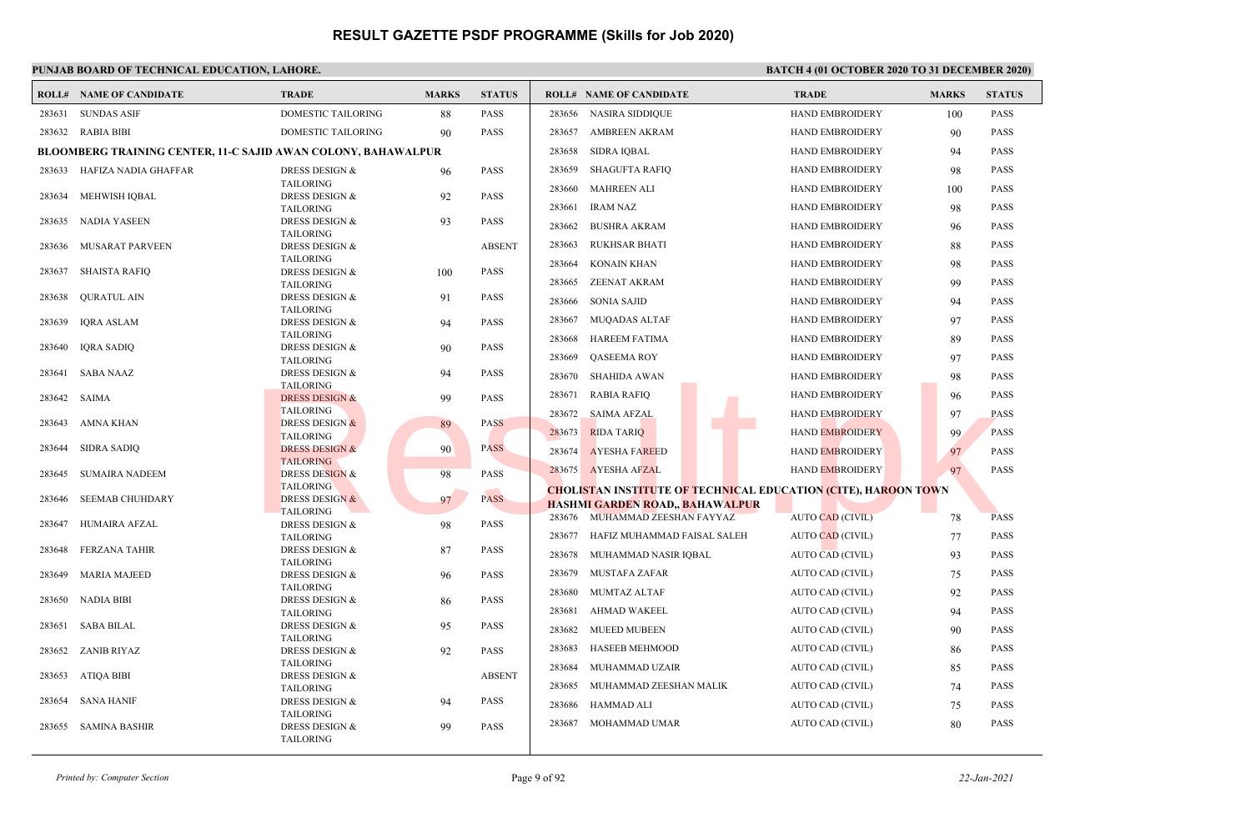|        | <b>ROLL# NAME OF CANDIDATE</b>                                       | <b>TRADE</b>                                  | <b>MARKS</b> | <b>STATUS</b> |        | <b>ROLL# NAME OF CANDIDATE</b>                                        | <b>TRADE</b>            | <b>MARKS</b> | <b>STATUS</b> |
|--------|----------------------------------------------------------------------|-----------------------------------------------|--------------|---------------|--------|-----------------------------------------------------------------------|-------------------------|--------------|---------------|
| 283631 | <b>SUNDAS ASIF</b>                                                   | <b>DOMESTIC TAILORING</b>                     | 88           | <b>PASS</b>   | 283656 | <b>NASIRA SIDDIQUE</b>                                                | HAND EMBROIDERY         | 100          | <b>PASS</b>   |
|        | 283632 RABIA BIBI                                                    | DOMESTIC TAILORING                            | 90           | <b>PASS</b>   | 283657 | <b>AMBREEN AKRAM</b>                                                  | HAND EMBROIDERY         | 90           | <b>PASS</b>   |
|        | <b>BLOOMBERG TRAINING CENTER, 11-C SAJID AWAN COLONY, BAHAWALPUR</b> |                                               |              |               | 283658 | <b>SIDRA IQBAL</b>                                                    | <b>HAND EMBROIDERY</b>  | 94           | <b>PASS</b>   |
|        | 283633 HAFIZA NADIA GHAFFAR                                          | DRESS DESIGN &                                | 96           | <b>PASS</b>   | 283659 | <b>SHAGUFTA RAFIQ</b>                                                 | HAND EMBROIDERY         | 98           | <b>PASS</b>   |
|        |                                                                      | <b>TAILORING</b>                              |              |               | 283660 | <b>MAHREEN ALI</b>                                                    | <b>HAND EMBROIDERY</b>  | 100          | <b>PASS</b>   |
|        | 283634 MEHWISH IQBAL                                                 | <b>DRESS DESIGN &amp;</b><br><b>TAILORING</b> | 92           | <b>PASS</b>   | 283661 | <b>IRAM NAZ</b>                                                       | <b>HAND EMBROIDERY</b>  | 98           | <b>PASS</b>   |
| 283635 | NADIA YASEEN                                                         | <b>DRESS DESIGN &amp;</b>                     | 93           | <b>PASS</b>   | 283662 | <b>BUSHRA AKRAM</b>                                                   |                         |              | <b>PASS</b>   |
|        |                                                                      | <b>TAILORING</b>                              |              |               |        |                                                                       | HAND EMBROIDERY         | 96           |               |
| 283636 | MUSARAT PARVEEN                                                      | <b>DRESS DESIGN &amp;</b>                     |              | <b>ABSENT</b> | 283663 | <b>RUKHSAR BHATI</b>                                                  | <b>HAND EMBROIDERY</b>  | 88           | <b>PASS</b>   |
|        | 283637 SHAISTA RAFIQ                                                 | <b>TAILORING</b><br>DRESS DESIGN &            | 100          | <b>PASS</b>   | 283664 | <b>KONAIN KHAN</b>                                                    | <b>HAND EMBROIDERY</b>  | 98           | <b>PASS</b>   |
|        |                                                                      | <b>TAILORING</b>                              |              |               | 283665 | <b>ZEENAT AKRAM</b>                                                   | <b>HAND EMBROIDERY</b>  | 99           | <b>PASS</b>   |
| 283638 | <b>QURATUL AIN</b>                                                   | <b>DRESS DESIGN &amp;</b>                     | 91           | <b>PASS</b>   | 283666 | <b>SONIA SAJID</b>                                                    | <b>HAND EMBROIDERY</b>  | 94           | <b>PASS</b>   |
|        |                                                                      | <b>TAILORING</b>                              |              |               | 283667 | <b>MUQADAS ALTAF</b>                                                  | <b>HAND EMBROIDERY</b>  | 97           | <b>PASS</b>   |
| 283639 | IORA ASLAM                                                           | DRESS DESIGN &<br><b>TAILORING</b>            | 94           | <b>PASS</b>   |        |                                                                       |                         |              |               |
| 283640 | <b>IQRA SADIQ</b>                                                    | DRESS DESIGN &                                | 90           | <b>PASS</b>   | 283668 | <b>HAREEM FATIMA</b>                                                  | <b>HAND EMBROIDERY</b>  | 89           | <b>PASS</b>   |
|        |                                                                      | <b>TAILORING</b>                              |              |               | 283669 | <b>OASEEMA ROY</b>                                                    | <b>HAND EMBROIDERY</b>  | 97           | <b>PASS</b>   |
| 283641 | SABA NAAZ                                                            | <b>DRESS DESIGN &amp;</b>                     | 94           | <b>PASS</b>   | 283670 | <b>SHAHIDA AWAN</b>                                                   | HAND EMBROIDERY         | 98           | <b>PASS</b>   |
| 283642 | SAIMA                                                                | <b>TAILORING</b><br><b>DRESS DESIGN &amp;</b> | 99           | <b>PASS</b>   | 283671 | <b>RABIA RAFIO</b>                                                    | <b>HAND EMBROIDERY</b>  | 96           | <b>PASS</b>   |
|        |                                                                      | <b>TAILORING</b>                              |              |               | 283672 | <b>SAIMA AFZAL</b>                                                    | <b>HAND EMBROIDERY</b>  | 97           | <b>PASS</b>   |
| 283643 | AMNA KHAN                                                            | <b>DRESS DESIGN &amp;</b>                     | 89           | <b>PASS</b>   | 283673 | <b>RIDA TARIO</b>                                                     | <b>HAND EMBROIDERY</b>  |              | <b>PASS</b>   |
| 283644 |                                                                      | <b>TAILORING</b><br><b>DRESS DESIGN &amp;</b> |              | <b>PASS</b>   |        |                                                                       |                         | 99           |               |
|        | <b>SIDRA SADIQ</b>                                                   | <b>TAILORING</b>                              | 90           |               | 283674 | <b>AYESHA FAREED</b>                                                  | <b>HAND EMBROIDERY</b>  | 97           | <b>PASS</b>   |
| 283645 | <b>SUMAIRA NADEEM</b>                                                | <b>DRESS DESIGN &amp;</b>                     | 98           | <b>PASS</b>   |        | 283675 AYESHA AFZAL                                                   | HAND EMBROIDERY         | 97           | <b>PASS</b>   |
|        |                                                                      | <b>TAILORING</b>                              |              |               |        | <b>CHOLISTAN INSTITUTE OF TECHNICAL EDUCATION (CITE), HAROON TOWN</b> |                         |              |               |
| 283646 | <b>SEEMAB CHUHDARY</b>                                               | <b>DRESS DESIGN &amp;</b><br><b>TAILORING</b> | 97           | <b>PASS</b>   |        | HASHMI GARDEN ROAD., BAHAWALPUR                                       |                         |              |               |
| 283647 | HUMAIRA AFZAL                                                        | DRESS DESIGN &                                | 98           | <b>PASS</b>   |        | 283676 MUHAMMAD ZEESHAN FAYYAZ                                        | <b>AUTO CAD (CIVIL)</b> | 78           | <b>PASS</b>   |
|        |                                                                      | <b>TAILORING</b>                              |              |               |        | 283677 HAFIZ MUHAMMAD FAISAL SALEH                                    | <b>AUTO CAD (CIVIL)</b> | 77           | <b>PASS</b>   |
| 283648 | <b>FERZANA TAHIR</b>                                                 | <b>DRESS DESIGN &amp;</b>                     | 87           | <b>PASS</b>   | 283678 | MUHAMMAD NASIR IQBAL                                                  | AUTO CAD (CIVIL)        | 93           | <b>PASS</b>   |
| 283649 | <b>MARIA MAJEED</b>                                                  | <b>TAILORING</b><br><b>DRESS DESIGN &amp;</b> | 96           | <b>PASS</b>   | 283679 | MUSTAFA ZAFAR                                                         | AUTO CAD (CIVIL)        | 75           | <b>PASS</b>   |
|        |                                                                      | <b>TAILORING</b>                              |              |               |        |                                                                       |                         |              |               |
| 283650 | NADIA BIBI                                                           | DRESS DESIGN &                                | 86           | <b>PASS</b>   | 283680 | <b>MUMTAZ ALTAF</b>                                                   | AUTO CAD (CIVIL)        | 92           | <b>PASS</b>   |
|        |                                                                      | <b>TAILORING</b>                              |              |               | 283681 | AHMAD WAKEEL                                                          | AUTO CAD (CIVIL)        | 94           | <b>PASS</b>   |
|        | 283651 SABA BILAL                                                    | DRESS DESIGN &<br><b>TAILORING</b>            | 95           | <b>PASS</b>   | 283682 | <b>MUEED MUBEEN</b>                                                   | AUTO CAD (CIVIL)        | 90           | <b>PASS</b>   |
|        | 283652 ZANIB RIYAZ                                                   | DRESS DESIGN &                                | 92           | <b>PASS</b>   | 283683 | <b>HASEEB MEHMOOD</b>                                                 | AUTO CAD (CIVIL)        | 86           | <b>PASS</b>   |
|        |                                                                      | <b>TAILORING</b>                              |              |               | 283684 | MUHAMMAD UZAIR                                                        | AUTO CAD (CIVIL)        | 85           | <b>PASS</b>   |
|        | 283653 ATIQA BIBI                                                    | DRESS DESIGN &                                |              | <b>ABSENT</b> | 283685 | MUHAMMAD ZEESHAN MALIK                                                | AUTO CAD (CIVIL)        | 74           | <b>PASS</b>   |
| 283654 | <b>SANA HANIF</b>                                                    | <b>TAILORING</b><br><b>DRESS DESIGN &amp;</b> | 94           | <b>PASS</b>   |        |                                                                       |                         |              |               |
|        |                                                                      | <b>TAILORING</b>                              |              |               | 283686 | <b>HAMMAD ALI</b>                                                     | AUTO CAD (CIVIL)        | 75           | <b>PASS</b>   |
|        | 283655 SAMINA BASHIR                                                 | <b>DRESS DESIGN &amp;</b><br><b>TAILORING</b> | 99           | <b>PASS</b>   | 283687 | MOHAMMAD UMAR                                                         | AUTO CAD (CIVIL)        | 80           | <b>PASS</b>   |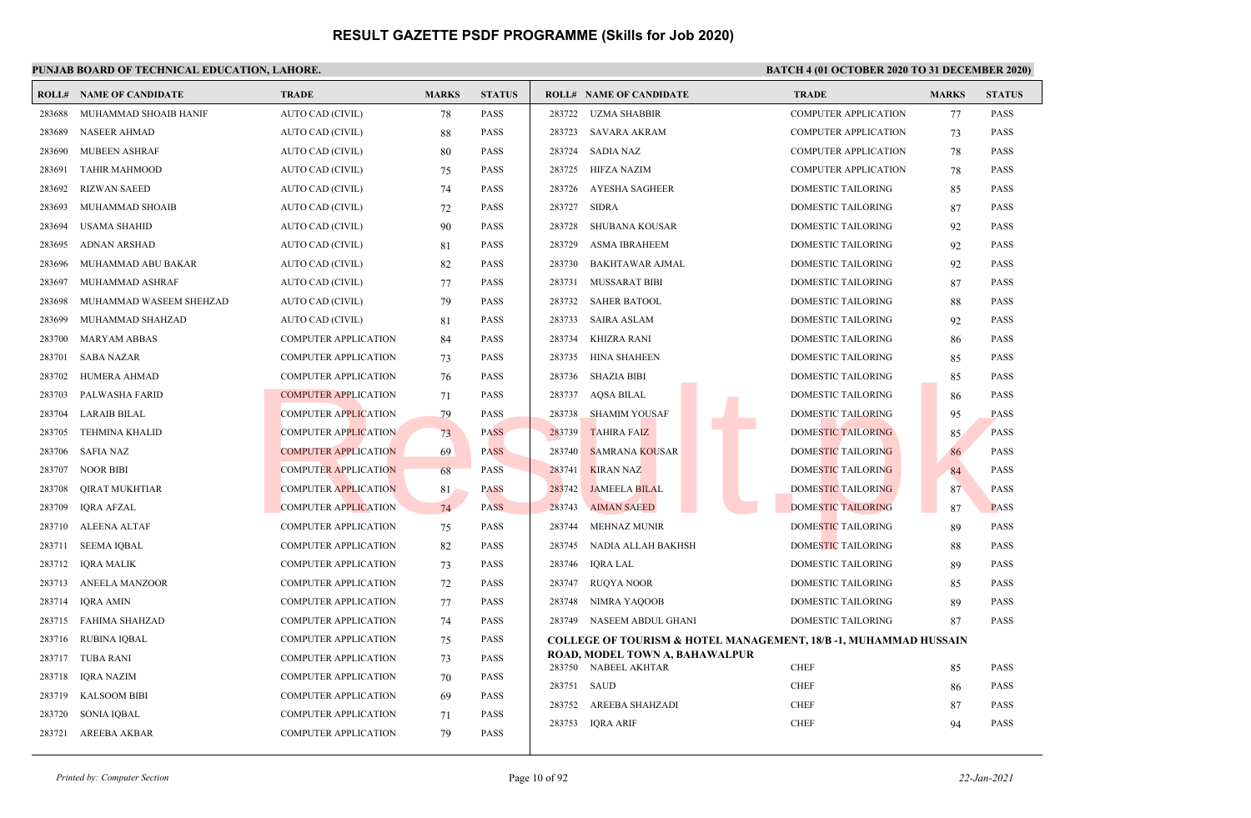|        | <b>ROLL# NAME OF CANDIDATE</b> | <b>TRADE</b>                | <b>MARKS</b> | <b>STATUS</b> | <b>ROLL# NAME OF CANDIDATE</b>                                   | <b>TRADE</b>                | <b>MARKS</b> | <b>STATUS</b> |
|--------|--------------------------------|-----------------------------|--------------|---------------|------------------------------------------------------------------|-----------------------------|--------------|---------------|
| 283688 | MUHAMMAD SHOAIB HANIF          | AUTO CAD (CIVIL)            | 78           | <b>PASS</b>   | 283722<br><b>UZMA SHABBIR</b>                                    | <b>COMPUTER APPLICATION</b> | 77           | <b>PASS</b>   |
| 283689 | <b>NASEER AHMAD</b>            | AUTO CAD (CIVIL)            | 88           | <b>PASS</b>   | 283723<br>SAVARA AKRAM                                           | <b>COMPUTER APPLICATION</b> | 73           | <b>PASS</b>   |
| 283690 | <b>MUBEEN ASHRAF</b>           | AUTO CAD (CIVIL)            | 80           | <b>PASS</b>   | 283724<br><b>SADIA NAZ</b>                                       | <b>COMPUTER APPLICATION</b> | 78           | <b>PASS</b>   |
| 283691 | <b>TAHIR MAHMOOD</b>           | AUTO CAD (CIVIL)            | 75           | <b>PASS</b>   | 283725<br>HIFZA NAZIM                                            | <b>COMPUTER APPLICATION</b> | 78           | <b>PASS</b>   |
| 283692 | <b>RIZWAN SAEED</b>            | AUTO CAD (CIVIL)            | 74           | <b>PASS</b>   | 283726<br><b>AYESHA SAGHEER</b>                                  | DOMESTIC TAILORING          | 85           | <b>PASS</b>   |
| 283693 | MUHAMMAD SHOAIB                | AUTO CAD (CIVIL)            | 72           | <b>PASS</b>   | 283727<br><b>SIDRA</b>                                           | DOMESTIC TAILORING          | 87           | <b>PASS</b>   |
| 283694 | <b>USAMA SHAHID</b>            | AUTO CAD (CIVIL)            | 90           | PASS          | 283728<br><b>SHUBANA KOUSAR</b>                                  | DOMESTIC TAILORING          | 92           | <b>PASS</b>   |
| 283695 | <b>ADNAN ARSHAD</b>            | AUTO CAD (CIVIL)            | 81           | <b>PASS</b>   | 283729<br><b>ASMA IBRAHEEM</b>                                   | DOMESTIC TAILORING          | 92           | <b>PASS</b>   |
| 283696 | MUHAMMAD ABU BAKAR             | AUTO CAD (CIVIL)            | 82           | <b>PASS</b>   | 283730<br><b>BAKHTAWAR AJMAL</b>                                 | DOMESTIC TAILORING          | 92           | <b>PASS</b>   |
| 283697 | MUHAMMAD ASHRAF                | AUTO CAD (CIVIL)            | 77           | <b>PASS</b>   | 283731<br><b>MUSSARAT BIBI</b>                                   | <b>DOMESTIC TAILORING</b>   | 87           | <b>PASS</b>   |
| 283698 | MUHAMMAD WASEEM SHEHZAD        | AUTO CAD (CIVIL)            | 79           | PASS          | <b>SAHER BATOOL</b><br>283732                                    | DOMESTIC TAILORING          | 88           | <b>PASS</b>   |
| 283699 | MUHAMMAD SHAHZAD               | AUTO CAD (CIVIL)            | 81           | <b>PASS</b>   | 283733<br><b>SAIRA ASLAM</b>                                     | <b>DOMESTIC TAILORING</b>   | 92           | <b>PASS</b>   |
| 283700 | MARYAM ABBAS                   | <b>COMPUTER APPLICATION</b> | 84           | PASS          | 283734<br><b>KHIZRA RANI</b>                                     | <b>DOMESTIC TAILORING</b>   | 86           | <b>PASS</b>   |
| 283701 | <b>SABA NAZAR</b>              | <b>COMPUTER APPLICATION</b> | 73           | PASS          | 283735<br><b>HINA SHAHEEN</b>                                    | DOMESTIC TAILORING          | 85           | <b>PASS</b>   |
| 283702 | <b>HUMERA AHMAD</b>            | <b>COMPUTER APPLICATION</b> | 76           | <b>PASS</b>   | 283736<br>SHAZIA BIBI                                            | <b>DOMESTIC TAILORING</b>   | 85           | <b>PASS</b>   |
| 283703 | PALWASHA FARID                 | <b>COMPUTER APPLICATION</b> | 71           | <b>PASS</b>   | 283737<br>AQSA BILAL                                             | DOMESTIC TAILORING          | 86           | <b>PASS</b>   |
| 283704 | <b>LARAIB BILAL</b>            | <b>COMPUTER APPLICATION</b> | 79           | <b>PASS</b>   | <b>SHAMIM YOUSAF</b><br>283738                                   | <b>DOMESTIC TAILORING</b>   | 95           | <b>PASS</b>   |
| 283705 | <b>TEHMINA KHALID</b>          | <b>COMPUTER APPLICATION</b> | 73           | <b>PASS</b>   | <b>TAHIRA FAIZ</b><br>283739                                     | <b>DOMESTIC TAILORING</b>   | 85           | <b>PASS</b>   |
| 283706 | SAFIA NAZ                      | <b>COMPUTER APPLICATION</b> | 69           | <b>PASS</b>   | 283740<br><b>SAMRANA KOUSAR</b>                                  | DOMESTIC TAILORING          | 86           | <b>PASS</b>   |
| 283707 | <b>NOOR BIBI</b>               | <b>COMPUTER APPLICATION</b> | 68           | <b>PASS</b>   | 283741<br><b>KIRAN NAZ</b>                                       | DOMESTIC TAILORING          | 84           | <b>PASS</b>   |
| 283708 | <b>QIRAT MUKHTIAR</b>          | <b>COMPUTER APPLICATION</b> | 81           | <b>PASS</b>   | 283742<br><b>JAMEELA BILAL</b>                                   | DOMESTIC TAILORING          | 87           | <b>PASS</b>   |
| 283709 | IQRA AFZAL                     | <b>COMPUTER APPLICATION</b> | 74           | <b>PASS</b>   | 283743<br><b>AIMAN SAEED</b>                                     | <b>DOMESTIC TAILORING</b>   | 87           | <b>PASS</b>   |
| 283710 | <b>ALEENA ALTAF</b>            | <b>COMPUTER APPLICATION</b> | 75           | PASS          | 283744<br><b>MEHNAZ MUNIR</b>                                    | DOMESTIC TAILORING          | 89           | <b>PASS</b>   |
| 283711 | <b>SEEMA IQBAL</b>             | <b>COMPUTER APPLICATION</b> | 82           | <b>PASS</b>   | 283745<br>NADIA ALLAH BAKHSH                                     | DOMESTIC TAILORING          | 88           | <b>PASS</b>   |
| 283712 | <b>IQRA MALIK</b>              | <b>COMPUTER APPLICATION</b> | 73           | <b>PASS</b>   | 283746<br>IQRA LAL                                               | DOMESTIC TAILORING          | 89           | <b>PASS</b>   |
| 283713 | ANEELA MANZOOR                 | <b>COMPUTER APPLICATION</b> | 72           | <b>PASS</b>   | <b>RUQYA NOOR</b><br>283747                                      | <b>DOMESTIC TAILORING</b>   | 85           | <b>PASS</b>   |
| 283714 | <b>IQRA AMIN</b>               | <b>COMPUTER APPLICATION</b> | 77           | <b>PASS</b>   | 283748<br>NIMRA YAQOOB                                           | DOMESTIC TAILORING          | 89           | <b>PASS</b>   |
| 283715 | <b>FAHIMA SHAHZAD</b>          | <b>COMPUTER APPLICATION</b> | 74           | <b>PASS</b>   | 283749<br>NASEEM ABDUL GHANI                                     | <b>DOMESTIC TAILORING</b>   | 87           | <b>PASS</b>   |
| 283716 | <b>RUBINA IQBAL</b>            | <b>COMPUTER APPLICATION</b> | 75           | PASS          | COLLEGE OF TOURISM & HOTEL MANAGEMENT, 18/B -1, MUHAMMAD HUSSAIN |                             |              |               |
| 283717 | <b>TUBA RANI</b>               | <b>COMPUTER APPLICATION</b> | 73           | <b>PASS</b>   | ROAD, MODEL TOWN A, BAHAWALPUR<br>283750 NABEEL AKHTAR           | <b>CHEF</b>                 | 85           | <b>PASS</b>   |
| 283718 | IORA NAZIM                     | <b>COMPUTER APPLICATION</b> | 70           | <b>PASS</b>   | 283751<br>SAUD                                                   | <b>CHEF</b>                 | 86           | <b>PASS</b>   |
| 283719 | <b>KALSOOM BIBI</b>            | <b>COMPUTER APPLICATION</b> | 69           | <b>PASS</b>   | 283752<br>AREEBA SHAHZADI                                        | <b>CHEF</b>                 | 87           | <b>PASS</b>   |
| 283720 | <b>SONIA IQBAL</b>             | <b>COMPUTER APPLICATION</b> | 71           | <b>PASS</b>   | 283753<br><b>IQRA ARIF</b>                                       | <b>CHEF</b>                 | 94           | <b>PASS</b>   |
| 283721 | AREEBA AKBAR                   | <b>COMPUTER APPLICATION</b> | 79           | PASS          |                                                                  |                             |              |               |
|        |                                |                             |              |               |                                                                  |                             |              |               |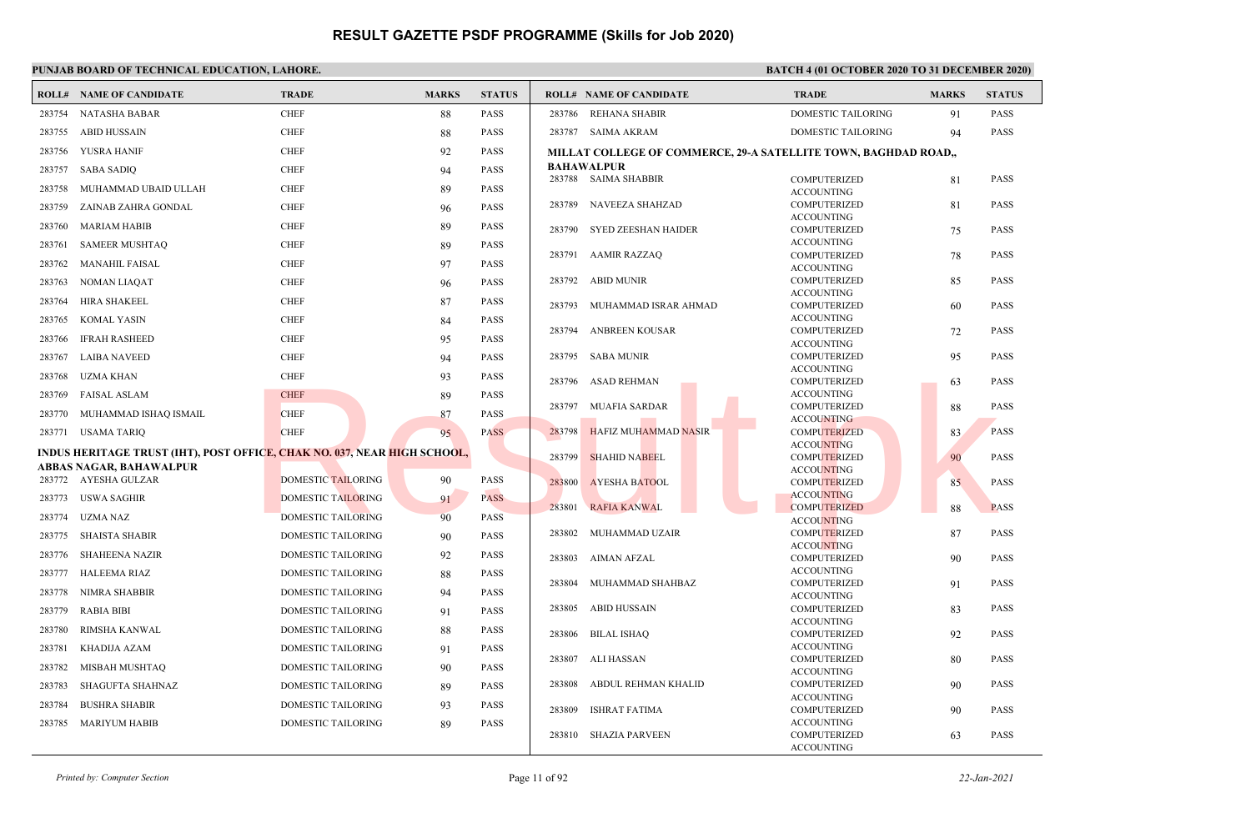|        | <b>ROLL# NAME OF CANDIDATE</b>                                           | <b>TRADE</b>              | <b>MARKS</b> | <b>STATUS</b> |        | <b>ROLL# NAME OF CANDIDATE</b> | <b>TRADE</b>                                                    | <b>MARKS</b> | <b>STATUS</b> |
|--------|--------------------------------------------------------------------------|---------------------------|--------------|---------------|--------|--------------------------------|-----------------------------------------------------------------|--------------|---------------|
|        | 283754 NATASHA BABAR                                                     | <b>CHEF</b>               | 88           | <b>PASS</b>   |        | 283786 REHANA SHABIR           | DOMESTIC TAILORING                                              | 91           | PASS          |
| 283755 | <b>ABID HUSSAIN</b>                                                      | <b>CHEF</b>               | 88           | <b>PASS</b>   |        | 283787 SAIMA AKRAM             | <b>DOMESTIC TAILORING</b>                                       | 94           | <b>PASS</b>   |
| 283756 | YUSRA HANIF                                                              | <b>CHEF</b>               | 92           | <b>PASS</b>   |        |                                | MILLAT COLLEGE OF COMMERCE, 29-A SATELLITE TOWN, BAGHDAD ROAD,, |              |               |
| 283757 | <b>SABA SADIQ</b>                                                        | <b>CHEF</b>               | 94           | <b>PASS</b>   |        | <b>BAHAWALPUR</b>              |                                                                 |              |               |
| 283758 | MUHAMMAD UBAID ULLAH                                                     | <b>CHEF</b>               |              | <b>PASS</b>   |        | 283788 SAIMA SHABBIR           | <b>COMPUTERIZED</b>                                             | 81           | PASS          |
|        |                                                                          |                           | 89           |               | 283789 | <b>NAVEEZA SHAHZAD</b>         | <b>ACCOUNTING</b><br><b>COMPUTERIZED</b>                        | 81           | <b>PASS</b>   |
| 283759 | ZAINAB ZAHRA GONDAL                                                      | <b>CHEF</b>               | 96           | <b>PASS</b>   |        |                                | <b>ACCOUNTING</b>                                               |              |               |
| 283760 | MARIAM HABIB                                                             | <b>CHEF</b>               | 89           | <b>PASS</b>   | 283790 | SYED ZEESHAN HAIDER            | COMPUTERIZED                                                    | 75           | <b>PASS</b>   |
| 283761 | <b>SAMEER MUSHTAQ</b>                                                    | <b>CHEF</b>               | 89           | <b>PASS</b>   |        |                                | <b>ACCOUNTING</b>                                               |              |               |
| 283762 | <b>MANAHIL FAISAL</b>                                                    | <b>CHEF</b>               | 97           | <b>PASS</b>   |        | 283791 AAMIR RAZZAQ            | <b>COMPUTERIZED</b><br><b>ACCOUNTING</b>                        | 78           | PASS          |
| 283763 | <b>NOMAN LIAQAT</b>                                                      | <b>CHEF</b>               | 96           | <b>PASS</b>   | 283792 | ABID MUNIR                     | COMPUTERIZED                                                    | 85           | <b>PASS</b>   |
| 283764 | HIRA SHAKEEL                                                             | <b>CHEF</b>               |              | <b>PASS</b>   |        |                                | <b>ACCOUNTING</b>                                               |              |               |
|        |                                                                          |                           | 87           |               | 283793 | MUHAMMAD ISRAR AHMAD           | <b>COMPUTERIZED</b>                                             | 60           | <b>PASS</b>   |
| 283765 | <b>KOMAL YASIN</b>                                                       | <b>CHEF</b>               | 84           | <b>PASS</b>   | 283794 | <b>ANBREEN KOUSAR</b>          | <b>ACCOUNTING</b><br>COMPUTERIZED                               | 72           | <b>PASS</b>   |
| 283766 | <b>IFRAH RASHEED</b>                                                     | <b>CHEF</b>               | 95           | <b>PASS</b>   |        |                                | <b>ACCOUNTING</b>                                               |              |               |
| 283767 | <b>LAIBA NAVEED</b>                                                      | <b>CHEF</b>               | 94           | <b>PASS</b>   | 283795 | <b>SABA MUNIR</b>              | <b>COMPUTERIZED</b>                                             | 95           | <b>PASS</b>   |
| 283768 | UZMA KHAN                                                                | <b>CHEF</b>               | 93           | <b>PASS</b>   |        | 283796 ASAD REHMAN             | <b>ACCOUNTING</b><br>COMPUTERIZED                               |              | <b>PASS</b>   |
| 283769 | <b>FAISAL ASLAM</b>                                                      | <b>CHEF</b>               | 89           | <b>PASS</b>   |        |                                | <b>ACCOUNTING</b>                                               | 63           |               |
|        |                                                                          |                           |              |               | 283797 | <b>MUAFIA SARDAR</b>           | <b>COMPUTERIZED</b>                                             | 88           | PASS          |
| 283770 | MUHAMMAD ISHAQ ISMAIL                                                    | <b>CHEF</b>               | 87           | <b>PASS</b>   |        |                                | <b>ACCOUNTING</b>                                               |              |               |
|        | 283771 USAMA TARIQ                                                       | <b>CHEF</b>               | 95           | <b>PASS</b>   | 283798 | <b>HAFIZ MUHAMMAD NASIR</b>    | <b>COMPUTERIZED</b><br><b>ACCOUNTING</b>                        | 83           | <b>PASS</b>   |
|        | INDUS HERITAGE TRUST (IHT), POST OFFICE, CHAK NO. 037, NEAR HIGH SCHOOL, |                           |              |               | 283799 | <b>SHAHID NABEEL</b>           | <b>COMPUTERIZED</b>                                             | 90           | <b>PASS</b>   |
|        | ABBAS NAGAR, BAHAWALPUR                                                  |                           |              |               |        |                                | <b>ACCOUNTING</b>                                               |              |               |
|        | 283772 AYESHA GULZAR                                                     | <b>DOMESTIC TAILORING</b> | 90           | <b>PASS</b>   | 283800 | <b>AYESHA BATOOL</b>           | COMPUTERIZED                                                    | 85           | <b>PASS</b>   |
|        | 283773 USWA SAGHIR                                                       | <b>DOMESTIC TAILORING</b> | 91           | <b>PASS</b>   | 283801 | <b>RAFIA KANWAL</b>            | <b>ACCOUNTING</b><br><b>COMPUTERIZED</b>                        | 88           | <b>PASS</b>   |
| 283774 | <b>UZMA NAZ</b>                                                          | <b>DOMESTIC TAILORING</b> | 90           | <b>PASS</b>   |        |                                | <b>ACCOUNTING</b>                                               |              |               |
| 283775 | <b>SHAISTA SHABIR</b>                                                    | DOMESTIC TAILORING        | 90           | <b>PASS</b>   | 283802 | MUHAMMAD UZAIR                 | <b>COMPUTERIZED</b>                                             | 87           | <b>PASS</b>   |
| 283776 | <b>SHAHEENA NAZIR</b>                                                    | <b>DOMESTIC TAILORING</b> | 92           | <b>PASS</b>   |        |                                | <b>ACCOUNTING</b>                                               |              |               |
| 283777 | <b>HALEEMA RIAZ</b>                                                      | <b>DOMESTIC TAILORING</b> |              | <b>PASS</b>   | 283803 | AIMAN AFZAL                    | <b>COMPUTERIZED</b><br><b>ACCOUNTING</b>                        | 90           | <b>PASS</b>   |
|        |                                                                          |                           | 88           |               | 283804 | MUHAMMAD SHAHBAZ               | <b>COMPUTERIZED</b>                                             | 91           | <b>PASS</b>   |
| 283778 | NIMRA SHABBIR                                                            | DOMESTIC TAILORING        | 94           | <b>PASS</b>   |        |                                | <b>ACCOUNTING</b>                                               |              |               |
| 283779 | <b>RABIA BIBI</b>                                                        | DOMESTIC TAILORING        | 91           | <b>PASS</b>   | 283805 | ABID HUSSAIN                   | COMPUTERIZED<br><b>ACCOUNTING</b>                               | 83           | <b>PASS</b>   |
| 283780 | RIMSHA KANWAL                                                            | DOMESTIC TAILORING        | 88           | <b>PASS</b>   | 283806 | BILAL ISHAQ                    | <b>COMPUTERIZED</b>                                             | 92           | <b>PASS</b>   |
| 283781 | KHADIJA AZAM                                                             | DOMESTIC TAILORING        | 91           | <b>PASS</b>   |        |                                | <b>ACCOUNTING</b>                                               |              |               |
| 283782 | MISBAH MUSHTAQ                                                           | DOMESTIC TAILORING        | 90           | <b>PASS</b>   | 283807 | ALI HASSAN                     | COMPUTERIZED                                                    | 80           | <b>PASS</b>   |
| 283783 | <b>SHAGUFTA SHAHNAZ</b>                                                  | <b>DOMESTIC TAILORING</b> |              | <b>PASS</b>   | 283808 | ABDUL REHMAN KHALID            | <b>ACCOUNTING</b><br><b>COMPUTERIZED</b>                        | 90           | <b>PASS</b>   |
|        |                                                                          |                           | 89           |               |        |                                | <b>ACCOUNTING</b>                                               |              |               |
| 283784 | <b>BUSHRA SHABIR</b>                                                     | DOMESTIC TAILORING        | 93           | <b>PASS</b>   | 283809 | <b>ISHRAT FATIMA</b>           | <b>COMPUTERIZED</b>                                             | 90           | <b>PASS</b>   |
| 283785 | <b>MARIYUM HABIB</b>                                                     | <b>DOMESTIC TAILORING</b> | 89           | <b>PASS</b>   |        | 283810 SHAZIA PARVEEN          | <b>ACCOUNTING</b><br><b>COMPUTERIZED</b>                        |              | <b>PASS</b>   |
|        |                                                                          |                           |              |               |        |                                | <b>ACCOUNTING</b>                                               | 63           |               |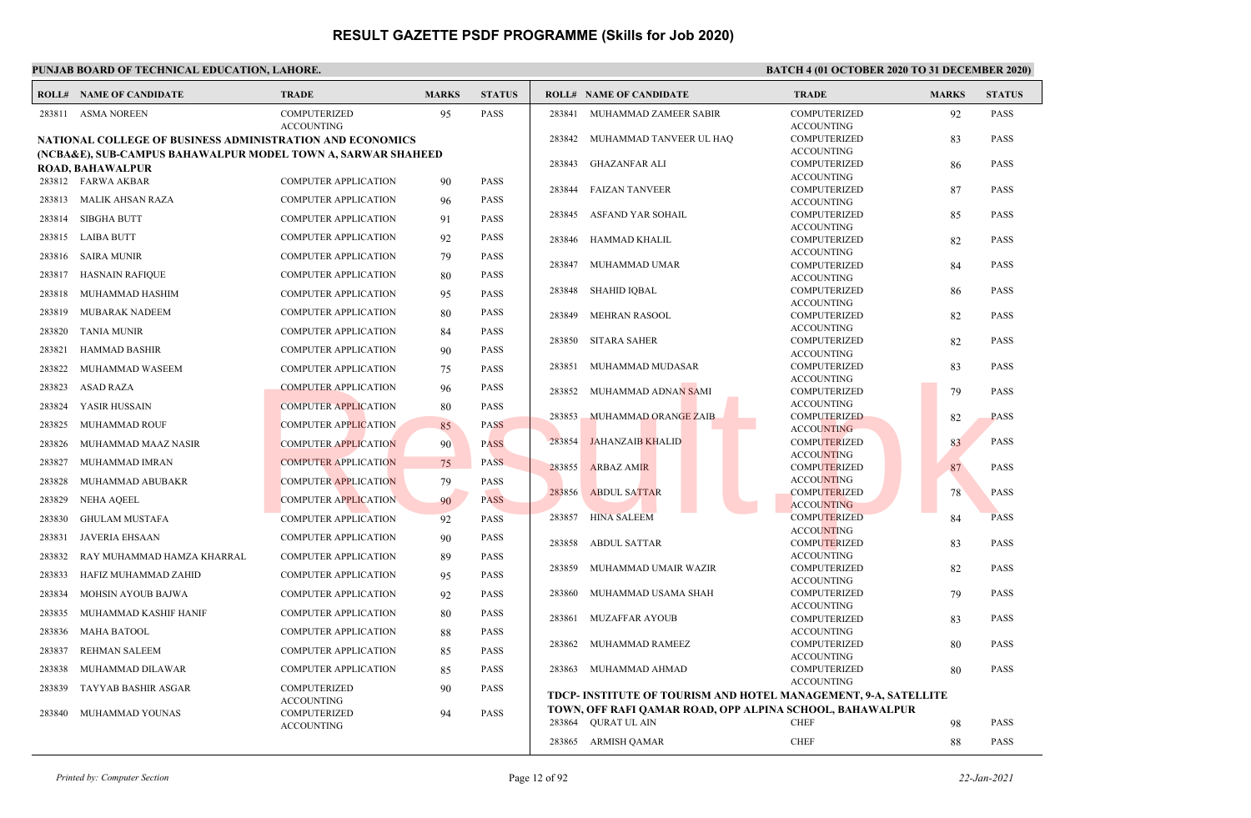|        | <b>ROLL# NAME OF CANDIDATE</b>                                                          | <b>TRADE</b>                             | <b>MARKS</b> | <b>STATUS</b> |        | <b>ROLL# NAME OF CANDIDATE</b>                                  | <b>TRADE</b>                             | <b>MARKS</b> | <b>STATUS</b> |
|--------|-----------------------------------------------------------------------------------------|------------------------------------------|--------------|---------------|--------|-----------------------------------------------------------------|------------------------------------------|--------------|---------------|
| 283811 | <b>ASMA NOREEN</b>                                                                      | <b>COMPUTERIZED</b><br><b>ACCOUNTING</b> | 95           | <b>PASS</b>   | 283841 | MUHAMMAD ZAMEER SABIR                                           | COMPUTERIZED<br><b>ACCOUNTING</b>        | 92           | <b>PASS</b>   |
|        | <b>NATIONAL COLLEGE OF BUSINESS ADMINISTRATION AND ECONOMICS</b>                        |                                          |              |               | 283842 | MUHAMMAD TANVEER UL HAQ                                         | <b>COMPUTERIZED</b><br><b>ACCOUNTING</b> | 83           | PASS          |
|        | (NCBA&E), SUB-CAMPUS BAHAWALPUR MODEL TOWN A, SARWAR SHAHEED<br><b>ROAD, BAHAWALPUR</b> |                                          |              |               | 283843 | <b>GHAZANFAR ALI</b>                                            | <b>COMPUTERIZED</b><br><b>ACCOUNTING</b> | -86          | PASS          |
|        | 283812 FARWA AKBAR                                                                      | <b>COMPUTER APPLICATION</b>              | 90           | <b>PASS</b>   | 283844 | <b>FAIZAN TANVEER</b>                                           | COMPUTERIZED                             | 87           | <b>PASS</b>   |
|        | 283813 MALIK AHSAN RAZA                                                                 | <b>COMPUTER APPLICATION</b>              | 96           | <b>PASS</b>   |        |                                                                 | <b>ACCOUNTING</b>                        |              |               |
|        | 283814 SIBGHA BUTT                                                                      | <b>COMPUTER APPLICATION</b>              | 91           | <b>PASS</b>   | 283845 | ASFAND YAR SOHAIL                                               | COMPUTERIZED                             | 85           | <b>PASS</b>   |
|        | 283815 LAIBA BUTT                                                                       | <b>COMPUTER APPLICATION</b>              |              | <b>PASS</b>   |        |                                                                 | <b>ACCOUNTING</b>                        |              |               |
|        |                                                                                         |                                          | 92           |               | 283846 | HAMMAD KHALIL                                                   | COMPUTERIZED                             | 82           | <b>PASS</b>   |
| 283816 | SAIRA MUNIR                                                                             | <b>COMPUTER APPLICATION</b>              | 79           | <b>PASS</b>   | 283847 | MUHAMMAD UMAR                                                   | <b>ACCOUNTING</b><br>COMPUTERIZED        | 84           | <b>PASS</b>   |
| 283817 | HASNAIN RAFIQUE                                                                         | <b>COMPUTER APPLICATION</b>              | 80           | PASS          |        |                                                                 | <b>ACCOUNTING</b>                        |              |               |
| 283818 | MUHAMMAD HASHIM                                                                         | <b>COMPUTER APPLICATION</b>              | 95           | <b>PASS</b>   | 283848 | <b>SHAHID IQBAL</b>                                             | COMPUTERIZED                             | 86           | <b>PASS</b>   |
|        |                                                                                         |                                          |              |               |        |                                                                 | <b>ACCOUNTING</b>                        |              |               |
| 283819 | MUBARAK NADEEM                                                                          | <b>COMPUTER APPLICATION</b>              | 80           | <b>PASS</b>   | 283849 | MEHRAN RASOOL                                                   | <b>COMPUTERIZED</b>                      | 82           | PASS          |
| 283820 | TANIA MUNIR                                                                             | <b>COMPUTER APPLICATION</b>              | 84           | <b>PASS</b>   | 283850 | <b>SITARA SAHER</b>                                             | <b>ACCOUNTING</b><br>COMPUTERIZED        | 82           | <b>PASS</b>   |
| 283821 | <b>HAMMAD BASHIR</b>                                                                    | <b>COMPUTER APPLICATION</b>              | 90           | <b>PASS</b>   |        |                                                                 | <b>ACCOUNTING</b>                        |              |               |
| 283822 | MUHAMMAD WASEEM                                                                         | <b>COMPUTER APPLICATION</b>              | 75           | PASS          | 283851 | MUHAMMAD MUDASAR                                                | COMPUTERIZED                             | 83           | PASS          |
|        |                                                                                         |                                          |              |               |        |                                                                 | <b>ACCOUNTING</b>                        |              |               |
| 283823 | ASAD RAZA                                                                               | <b>COMPUTER APPLICATION</b>              | 96           | <b>PASS</b>   | 283852 | MUHAMMAD ADNAN SAMI                                             | COMPUTERIZED                             | 79           | <b>PASS</b>   |
| 283824 | YASIR HUSSAIN                                                                           | <b>COMPUTER APPLICATION</b>              | 80           | <b>PASS</b>   |        |                                                                 | <b>ACCOUNTING</b>                        |              |               |
| 283825 | <b>MUHAMMAD ROUF</b>                                                                    | <b>COMPUTER APPLICATION</b>              | 85           | <b>PASS</b>   | 283853 | MUHAMMAD ORANGE ZAIB                                            | <b>COMPUTERIZED</b><br><b>ACCOUNTING</b> | 82           | <b>PASS</b>   |
| 283826 | MUHAMMAD MAAZ NASIR                                                                     | <b>COMPUTER APPLICATION</b>              | 90           | <b>PASS</b>   | 283854 | <b>JAHANZAIB KHALID</b>                                         | <b>COMPUTERIZED</b>                      | 83           | <b>PASS</b>   |
| 283827 | MUHAMMAD IMRAN                                                                          | <b>COMPUTER APPLICATION</b>              | 75           | <b>PASS</b>   | 283855 | <b>ARBAZ AMIR</b>                                               | <b>ACCOUNTING</b><br><b>COMPUTERIZED</b> | 87           | <b>PASS</b>   |
| 283828 | MUHAMMAD ABUBAKR                                                                        | <b>COMPUTER APPLICATION</b>              | 79           | <b>PASS</b>   |        |                                                                 | <b>ACCOUNTING</b>                        |              |               |
|        |                                                                                         |                                          |              | <b>PASS</b>   | 283856 | <b>ABDUL SATTAR</b>                                             | <b>COMPUTERIZED</b>                      | 78           | <b>PASS</b>   |
| 283829 | NEHA AQEEL                                                                              | <b>COMPUTER APPLICATION</b>              | 90           |               |        |                                                                 | <b>ACCOUNTING</b>                        |              |               |
| 283830 | <b>GHULAM MUSTAFA</b>                                                                   | <b>COMPUTER APPLICATION</b>              | 92           | <b>PASS</b>   | 283857 | <b>HINA SALEEM</b>                                              | <b>COMPUTERIZED</b>                      | 84           | PASS          |
| 283831 | <b>JAVERIA EHSAAN</b>                                                                   | <b>COMPUTER APPLICATION</b>              | 90           | PASS          | 283858 | <b>ABDUL SATTAR</b>                                             | <b>ACCOUNTING</b><br><b>COMPUTERIZED</b> | 83           | <b>PASS</b>   |
| 283832 | RAY MUHAMMAD HAMZA KHARRAL                                                              | <b>COMPUTER APPLICATION</b>              | 89           | <b>PASS</b>   |        |                                                                 | <b>ACCOUNTING</b>                        |              |               |
| 283833 | HAFIZ MUHAMMAD ZAHID                                                                    | <b>COMPUTER APPLICATION</b>              |              | <b>PASS</b>   | 283859 | MUHAMMAD UMAIR WAZIR                                            | COMPUTERIZED                             | 82           | <b>PASS</b>   |
|        |                                                                                         |                                          | 95           |               |        |                                                                 | <b>ACCOUNTING</b>                        |              |               |
| 283834 | MOHSIN AYOUB BAJWA                                                                      | <b>COMPUTER APPLICATION</b>              | 92           | <b>PASS</b>   | 283860 | MUHAMMAD USAMA SHAH                                             | <b>COMPUTERIZED</b><br><b>ACCOUNTING</b> | 79           | <b>PASS</b>   |
| 283835 | MUHAMMAD KASHIF HANIF                                                                   | <b>COMPUTER APPLICATION</b>              | 80           | <b>PASS</b>   | 283861 | <b>MUZAFFAR AYOUB</b>                                           | <b>COMPUTERIZED</b>                      | 83           | PASS          |
| 283836 | <b>MAHA BATOOL</b>                                                                      | <b>COMPUTER APPLICATION</b>              | 88           | PASS          |        |                                                                 | <b>ACCOUNTING</b>                        |              |               |
| 283837 | <b>REHMAN SALEEM</b>                                                                    | <b>COMPUTER APPLICATION</b>              |              | <b>PASS</b>   | 283862 | MUHAMMAD RAMEEZ                                                 | COMPUTERIZED                             | -80          | <b>PASS</b>   |
|        |                                                                                         |                                          | 85           |               |        |                                                                 | <b>ACCOUNTING</b>                        |              |               |
| 283838 | MUHAMMAD DILAWAR                                                                        | <b>COMPUTER APPLICATION</b>              | 85           | <b>PASS</b>   | 283863 | MUHAMMAD AHMAD                                                  | <b>COMPUTERIZED</b>                      | 80           | PASS          |
| 283839 | <b>TAYYAB BASHIR ASGAR</b>                                                              | <b>COMPUTERIZED</b>                      | 90           | <b>PASS</b>   |        | TDCP- INSTITUTE OF TOURISM AND HOTEL MANAGEMENT, 9-A, SATELLITE | <b>ACCOUNTING</b>                        |              |               |
|        |                                                                                         | <b>ACCOUNTING</b>                        |              |               |        | TOWN, OFF RAFI QAMAR ROAD, OPP ALPINA SCHOOL, BAHAWALPUR        |                                          |              |               |
| 283840 | MUHAMMAD YOUNAS                                                                         | <b>COMPUTERIZED</b><br><b>ACCOUNTING</b> | 94           | <b>PASS</b>   |        | 283864 QURAT UL AIN                                             | <b>CHEF</b>                              | 98           | PASS          |
|        |                                                                                         |                                          |              |               |        | 283865 ARMISH QAMAR                                             | <b>CHEF</b>                              | 88           | PASS          |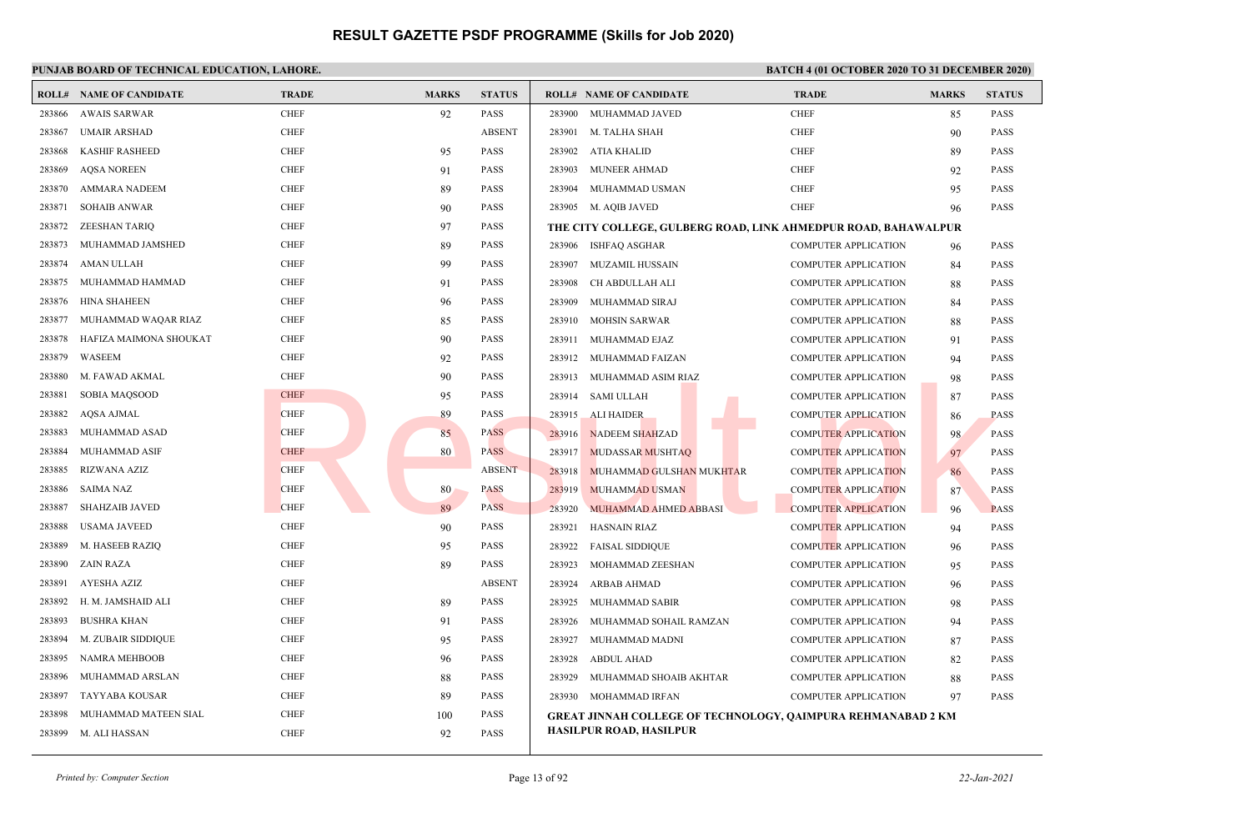|        | <b>ROLL# NAME OF CANDIDATE</b> | <b>TRADE</b> | <b>MARKS</b> | <b>STATUS</b> | <b>ROLL# NAME OF CANDIDATE</b>                                 | <b>TRADE</b>                | <b>MARKS</b> | <b>STATUS</b> |
|--------|--------------------------------|--------------|--------------|---------------|----------------------------------------------------------------|-----------------------------|--------------|---------------|
| 283866 | <b>AWAIS SARWAR</b>            | <b>CHEF</b>  | 92           | <b>PASS</b>   | 283900 MUHAMMAD JAVED                                          | <b>CHEF</b>                 | 85           | <b>PASS</b>   |
| 283867 | <b>UMAIR ARSHAD</b>            | <b>CHEF</b>  |              | <b>ABSENT</b> | 283901 M. TALHA SHAH                                           | <b>CHEF</b>                 | 90           | <b>PASS</b>   |
| 283868 | <b>KASHIF RASHEED</b>          | <b>CHEF</b>  | 95           | <b>PASS</b>   | <b>ATIA KHALID</b><br>283902                                   | <b>CHEF</b>                 | 89           | <b>PASS</b>   |
| 283869 | <b>AQSA NOREEN</b>             | <b>CHEF</b>  | 91           | <b>PASS</b>   | 283903<br><b>MUNEER AHMAD</b>                                  | <b>CHEF</b>                 | 92           | <b>PASS</b>   |
| 283870 | <b>AMMARA NADEEM</b>           | <b>CHEF</b>  | 89           | <b>PASS</b>   | MUHAMMAD USMAN<br>283904                                       | <b>CHEF</b>                 | 95           | <b>PASS</b>   |
| 283871 | <b>SOHAIB ANWAR</b>            | <b>CHEF</b>  | 90           | <b>PASS</b>   | 283905 M. AQIB JAVED                                           | <b>CHEF</b>                 | 96           | <b>PASS</b>   |
| 283872 | <b>ZEESHAN TARIQ</b>           | <b>CHEF</b>  | 97           | <b>PASS</b>   | THE CITY COLLEGE, GULBERG ROAD, LINK AHMEDPUR ROAD, BAHAWALPUR |                             |              |               |
| 283873 | MUHAMMAD JAMSHED               | <b>CHEF</b>  | 89           | <b>PASS</b>   | ISHFAQ ASGHAR<br>283906                                        | <b>COMPUTER APPLICATION</b> | 96           | <b>PASS</b>   |
| 283874 | AMAN ULLAH                     | <b>CHEF</b>  | 99           | <b>PASS</b>   | 283907<br><b>MUZAMIL HUSSAIN</b>                               | <b>COMPUTER APPLICATION</b> | 84           | <b>PASS</b>   |
| 283875 | MUHAMMAD HAMMAD                | <b>CHEF</b>  | 91           | <b>PASS</b>   | CH ABDULLAH ALI<br>283908                                      | <b>COMPUTER APPLICATION</b> | 88           | <b>PASS</b>   |
| 283876 | <b>HINA SHAHEEN</b>            | <b>CHEF</b>  | 96           | <b>PASS</b>   | 283909<br>MUHAMMAD SIRAJ                                       | <b>COMPUTER APPLICATION</b> | 84           | <b>PASS</b>   |
| 283877 | MUHAMMAD WAQAR RIAZ            | <b>CHEF</b>  | 85           | <b>PASS</b>   | 283910<br><b>MOHSIN SARWAR</b>                                 | <b>COMPUTER APPLICATION</b> | 88           | <b>PASS</b>   |
| 283878 | HAFIZA MAIMONA SHOUKAT         | <b>CHEF</b>  | 90           | <b>PASS</b>   | 283911<br>MUHAMMAD EJAZ                                        | <b>COMPUTER APPLICATION</b> | 91           | <b>PASS</b>   |
| 283879 | WASEEM                         | <b>CHEF</b>  | 92           | PASS          | 283912<br>MUHAMMAD FAIZAN                                      | <b>COMPUTER APPLICATION</b> | 94           | <b>PASS</b>   |
| 283880 | M. FAWAD AKMAL                 | <b>CHEF</b>  | 90           | <b>PASS</b>   | MUHAMMAD ASIM RIAZ<br>283913                                   | <b>COMPUTER APPLICATION</b> | 98           | <b>PASS</b>   |
| 283881 | SOBIA MAQSOOD                  | <b>CHEF</b>  | 95           | <b>PASS</b>   | 283914<br><b>SAMI ULLAH</b>                                    | <b>COMPUTER APPLICATION</b> | 87           | <b>PASS</b>   |
| 283882 | AQSA AJMAL                     | <b>CHEF</b>  | 89           | <b>PASS</b>   | 283915<br><b>ALI HAIDER</b>                                    | <b>COMPUTER APPLICATION</b> | 86           | <b>PASS</b>   |
| 283883 | MUHAMMAD ASAD                  | <b>CHEF</b>  | 85           | <b>PASS</b>   | 283916<br><b>NADEEM SHAHZAD</b>                                | <b>COMPUTER APPLICATION</b> | 98           | <b>PASS</b>   |
| 283884 | MUHAMMAD ASIF                  | <b>CHEF</b>  | 80           | <b>PASS</b>   | 283917<br><b>MUDASSAR MUSHTAQ</b>                              | <b>COMPUTER APPLICATION</b> | 97           | <b>PASS</b>   |
| 283885 | <b>RIZWANA AZIZ</b>            | <b>CHEF</b>  |              | <b>ABSENT</b> | 283918<br>MUHAMMAD GULSHAN MUKHTAR                             | <b>COMPUTER APPLICATION</b> | 86           | <b>PASS</b>   |
| 283886 | <b>SAIMA NAZ</b>               | <b>CHEF</b>  | 80           | <b>PASS</b>   | 283919<br><b>MUHAMMAD USMAN</b>                                | <b>COMPUTER APPLICATION</b> | 87           | <b>PASS</b>   |
| 283887 | <b>SHAHZAIB JAVED</b>          | <b>CHEF</b>  | 89           | <b>PASS</b>   | <b>MUHAMMAD AHMED ABBASI</b><br>283920                         | <b>COMPUTER APPLICATION</b> | 96           | <b>PASS</b>   |
| 283888 | USAMA JAVEED                   | <b>CHEF</b>  | 90           | PASS          | 283921<br><b>HASNAIN RIAZ</b>                                  | <b>COMPUTER APPLICATION</b> | 94           | <b>PASS</b>   |
| 283889 | M. HASEEB RAZIQ                | <b>CHEF</b>  | 95           | <b>PASS</b>   | 283922<br><b>FAISAL SIDDIQUE</b>                               | <b>COMPUTER APPLICATION</b> | 96           | <b>PASS</b>   |
| 283890 | ZAIN RAZA                      | <b>CHEF</b>  | 89           | <b>PASS</b>   | 283923<br>MOHAMMAD ZEESHAN                                     | <b>COMPUTER APPLICATION</b> | 95           | <b>PASS</b>   |
| 283891 | AYESHA AZIZ                    | <b>CHEF</b>  |              | <b>ABSENT</b> | 283924<br><b>ARBAB AHMAD</b>                                   | <b>COMPUTER APPLICATION</b> | 96           | <b>PASS</b>   |
| 283892 | H. M. JAMSHAID ALI             | <b>CHEF</b>  | 89           | <b>PASS</b>   | 283925<br>MUHAMMAD SABIR                                       | <b>COMPUTER APPLICATION</b> | 98           | <b>PASS</b>   |
| 283893 | <b>BUSHRA KHAN</b>             | <b>CHEF</b>  | 91           | <b>PASS</b>   | 283926<br>MUHAMMAD SOHAIL RAMZAN                               | <b>COMPUTER APPLICATION</b> | 94           | <b>PASS</b>   |
| 283894 | M. ZUBAIR SIDDIQUE             | <b>CHEF</b>  | 95           | <b>PASS</b>   | 283927<br>MUHAMMAD MADNI                                       | <b>COMPUTER APPLICATION</b> | 87           | <b>PASS</b>   |
| 283895 | NAMRA MEHBOOB                  | <b>CHEF</b>  | 96           | <b>PASS</b>   | 283928<br><b>ABDUL AHAD</b>                                    | <b>COMPUTER APPLICATION</b> | 82           | <b>PASS</b>   |
| 283896 | MUHAMMAD ARSLAN                | <b>CHEF</b>  | 88           | <b>PASS</b>   | 283929<br>MUHAMMAD SHOAIB AKHTAR                               | <b>COMPUTER APPLICATION</b> | 88           | <b>PASS</b>   |
| 283897 | <b>TAYYABA KOUSAR</b>          | <b>CHEF</b>  | 89           | PASS          | 283930 MOHAMMAD IRFAN                                          | <b>COMPUTER APPLICATION</b> | 97           | <b>PASS</b>   |
| 283898 | MUHAMMAD MATEEN SIAL           | <b>CHEF</b>  | 100          | <b>PASS</b>   | GREAT JINNAH COLLEGE OF TECHNOLOGY, QAIMPURA REHMANABAD 2 KM   |                             |              |               |
| 283899 | M. ALI HASSAN                  | <b>CHEF</b>  | 92           | <b>PASS</b>   | HASILPUR ROAD, HASILPUR                                        |                             |              |               |
|        |                                |              |              |               |                                                                |                             |              |               |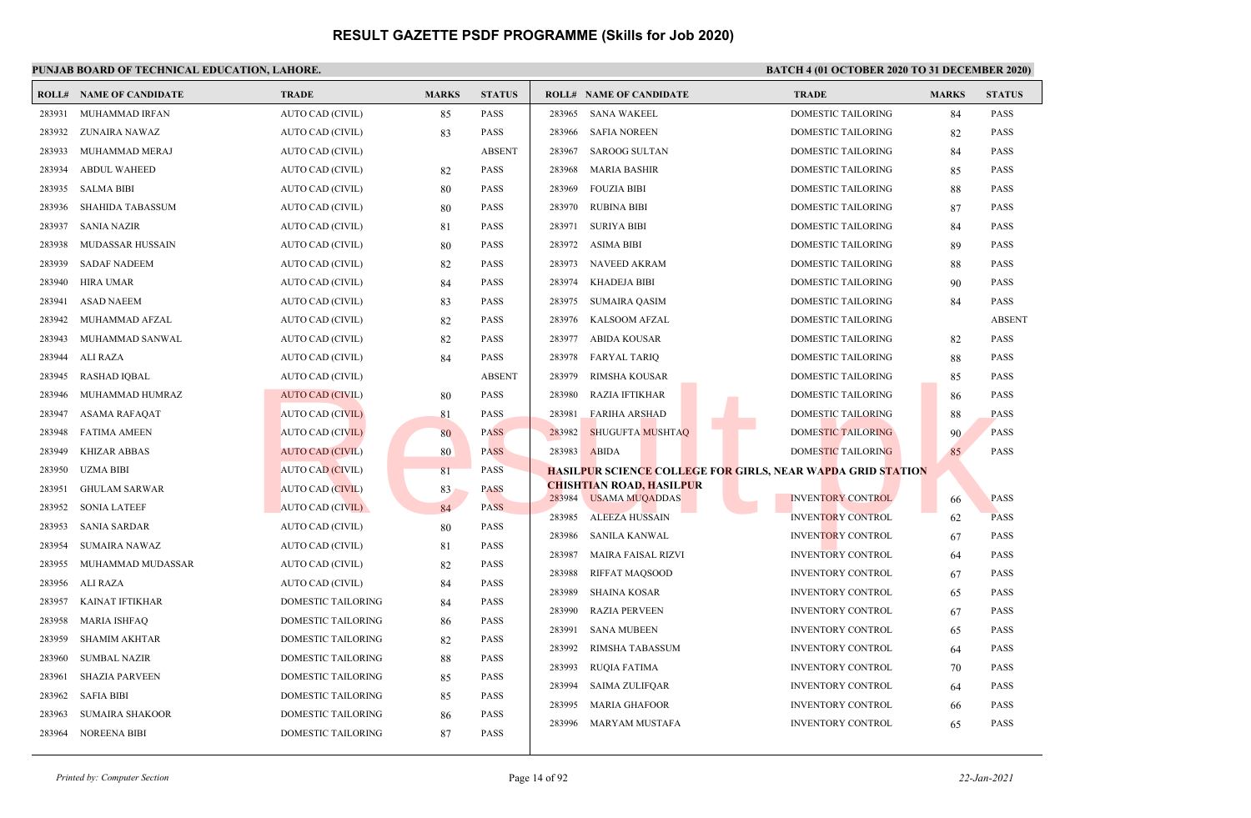|        | <b>ROLL# NAME OF CANDIDATE</b> | <b>TRADE</b>              | <b>MARKS</b> | <b>STATUS</b> |        | <b>ROLL# NAME OF CANDIDATE</b>                    | <b>TRADE</b>                                                       | <b>MARKS</b> | <b>STATUS</b> |
|--------|--------------------------------|---------------------------|--------------|---------------|--------|---------------------------------------------------|--------------------------------------------------------------------|--------------|---------------|
| 283931 | MUHAMMAD IRFAN                 | AUTO CAD (CIVIL)          | 85           | PASS          | 283965 | <b>SANA WAKEEL</b>                                | <b>DOMESTIC TAILORING</b>                                          | 84           | <b>PASS</b>   |
| 283932 | ZUNAIRA NAWAZ                  | AUTO CAD (CIVIL)          | 83           | PASS          | 283966 | <b>SAFIA NOREEN</b>                               | DOMESTIC TAILORING                                                 | 82           | <b>PASS</b>   |
| 283933 | MUHAMMAD MERAJ                 | AUTO CAD (CIVIL)          |              | <b>ABSENT</b> | 283967 | <b>SAROOG SULTAN</b>                              | <b>DOMESTIC TAILORING</b>                                          | 84           | <b>PASS</b>   |
| 283934 | <b>ABDUL WAHEED</b>            | AUTO CAD (CIVIL)          | 82           | PASS          | 283968 | <b>MARIA BASHIR</b>                               | <b>DOMESTIC TAILORING</b>                                          | 85           | <b>PASS</b>   |
| 283935 | <b>SALMA BIBI</b>              | AUTO CAD (CIVIL)          | 80           | PASS          | 283969 | <b>FOUZIA BIBI</b>                                | DOMESTIC TAILORING                                                 | 88           | <b>PASS</b>   |
| 283936 | <b>SHAHIDA TABASSUM</b>        | AUTO CAD (CIVIL)          | 80           | PASS          | 283970 | <b>RUBINA BIBI</b>                                | DOMESTIC TAILORING                                                 | 87           | <b>PASS</b>   |
| 283937 | <b>SANIA NAZIR</b>             | AUTO CAD (CIVIL)          | 81           | PASS          | 283971 | <b>SURIYA BIBI</b>                                | DOMESTIC TAILORING                                                 | 84           | <b>PASS</b>   |
| 283938 | MUDASSAR HUSSAIN               | AUTO CAD (CIVIL)          | 80           | <b>PASS</b>   | 283972 | <b>ASIMA BIBI</b>                                 | DOMESTIC TAILORING                                                 | 89           | <b>PASS</b>   |
| 283939 | <b>SADAF NADEEM</b>            | AUTO CAD (CIVIL)          | 82           | PASS          | 283973 | <b>NAVEED AKRAM</b>                               | <b>DOMESTIC TAILORING</b>                                          | 88           | <b>PASS</b>   |
| 283940 | HIRA UMAR                      | AUTO CAD (CIVIL)          | 84           | PASS          | 283974 | <b>KHADEJA BIBI</b>                               | <b>DOMESTIC TAILORING</b>                                          | 90           | <b>PASS</b>   |
| 283941 | <b>ASAD NAEEM</b>              | AUTO CAD (CIVIL)          | 83           | PASS          | 283975 | <b>SUMAIRA QASIM</b>                              | DOMESTIC TAILORING                                                 | 84           | <b>PASS</b>   |
| 283942 | MUHAMMAD AFZAL                 | AUTO CAD (CIVIL)          | 82           | PASS          | 283976 | <b>KALSOOM AFZAL</b>                              | <b>DOMESTIC TAILORING</b>                                          |              | <b>ABSENT</b> |
| 283943 | MUHAMMAD SANWAL                | AUTO CAD (CIVIL)          | 82           | PASS          | 283977 | <b>ABIDA KOUSAR</b>                               | DOMESTIC TAILORING                                                 | 82           | <b>PASS</b>   |
| 283944 | <b>ALI RAZA</b>                | AUTO CAD (CIVIL)          | 84           | PASS          | 283978 | <b>FARYAL TARIQ</b>                               | DOMESTIC TAILORING                                                 | 88           | <b>PASS</b>   |
| 283945 | <b>RASHAD IOBAL</b>            | AUTO CAD (CIVIL)          |              | <b>ABSENT</b> | 283979 | <b>RIMSHA KOUSAR</b>                              | <b>DOMESTIC TAILORING</b>                                          | 85           | <b>PASS</b>   |
| 283946 | MUHAMMAD HUMRAZ                | <b>AUTO CAD (CIVIL)</b>   | 80           | <b>PASS</b>   | 283980 | <b>RAZIA IFTIKHAR</b>                             | DOMESTIC TAILORING                                                 | 86           | <b>PASS</b>   |
| 283947 | ASAMA RAFAQAT                  | <b>AUTO CAD (CIVIL)</b>   | 81           | PASS          | 283981 | <b>FARIHA ARSHAD</b>                              | DOMESTIC TAILORING                                                 | 88           | <b>PASS</b>   |
| 283948 | <b>FATIMA AMEEN</b>            | AUTO CAD (CIVIL)          | 80           | PASS          | 283982 | <b>SHUGUFTA MUSHTAQ</b>                           | <b>DOMESTIC TAILORING</b>                                          | 90           | <b>PASS</b>   |
| 283949 | <b>KHIZAR ABBAS</b>            | <b>AUTO CAD (CIVIL)</b>   | 80           | <b>PASS</b>   | 283983 | <b>ABIDA</b>                                      | DOMESTIC TAILORING                                                 | 85           | <b>PASS</b>   |
| 283950 | <b>UZMA BIBI</b>               | AUTO CAD (CIVIL)          | 81           | <b>PASS</b>   |        |                                                   | <u>HASILPUR SCIENCE COLLEGE FOR GIRLS, NEAR WAPDA GRID STATION</u> |              |               |
| 283951 | <b>GHULAM SARWAR</b>           | AUTO CAD (CIVIL)          | 83           | <b>PASS</b>   | 283984 | CHISHTIAN ROAD, HASILPUR<br><b>USAMA MUQADDAS</b> | <b>INVENTORY CONTROL</b>                                           | 66           | <b>PASS</b>   |
| 283952 | <b>SONIA LATEEF</b>            | AUTO CAD (CIVIL)          | 84           | <b>PASS</b>   | 283985 | <b>ALEEZA HUSSAIN</b>                             | <b>INVENTORY CONTROL</b>                                           |              | <b>PASS</b>   |
| 283953 | <b>SANIA SARDAR</b>            | AUTO CAD (CIVIL)          | 80           | PASS          | 283986 | <b>SANILA KANWAL</b>                              | <b>INVENTORY CONTROL</b>                                           | 62           | <b>PASS</b>   |
| 283954 | <b>SUMAIRA NAWAZ</b>           | AUTO CAD (CIVIL)          | 81           | PASS          | 283987 | <b>MAIRA FAISAL RIZVI</b>                         | <b>INVENTORY CONTROL</b>                                           | 67           | <b>PASS</b>   |
| 283955 | MUHAMMAD MUDASSAR              | AUTO CAD (CIVIL)          | 82           | PASS          | 283988 | RIFFAT MAQSOOD                                    | <b>INVENTORY CONTROL</b>                                           | 64<br>67     | <b>PASS</b>   |
| 283956 | <b>ALI RAZA</b>                | AUTO CAD (CIVIL)          | 84           | PASS          | 283989 | <b>SHAINA KOSAR</b>                               | <b>INVENTORY CONTROL</b>                                           | 65           | <b>PASS</b>   |
| 283957 | <b>KAINAT IFTIKHAR</b>         | DOMESTIC TAILORING        | 84           | PASS          | 283990 | <b>RAZIA PERVEEN</b>                              | <b>INVENTORY CONTROL</b>                                           | 67           | <b>PASS</b>   |
| 283958 | <b>MARIA ISHFAQ</b>            | <b>DOMESTIC TAILORING</b> | 86           | PASS          | 283991 | <b>SANA MUBEEN</b>                                | <b>INVENTORY CONTROL</b>                                           | 65           | <b>PASS</b>   |
| 283959 | <b>SHAMIM AKHTAR</b>           | DOMESTIC TAILORING        | 82           | PASS          | 283992 | RIMSHA TABASSUM                                   | <b>INVENTORY CONTROL</b>                                           | 64           | <b>PASS</b>   |
| 283960 | <b>SUMBAL NAZIR</b>            | DOMESTIC TAILORING        | 88           | <b>PASS</b>   | 283993 | <b>RUQIA FATIMA</b>                               | <b>INVENTORY CONTROL</b>                                           | 70           | <b>PASS</b>   |
| 283961 | <b>SHAZIA PARVEEN</b>          | DOMESTIC TAILORING        | 85           | PASS          | 283994 | <b>SAIMA ZULIFQAR</b>                             | <b>INVENTORY CONTROL</b>                                           | 64           | <b>PASS</b>   |
| 283962 | <b>SAFIA BIBI</b>              | DOMESTIC TAILORING        | 85           | PASS          | 283995 | <b>MARIA GHAFOOR</b>                              | <b>INVENTORY CONTROL</b>                                           | 66           | <b>PASS</b>   |
| 283963 | <b>SUMAIRA SHAKOOR</b>         | <b>DOMESTIC TAILORING</b> | 86           | PASS          | 283996 | MARYAM MUSTAFA                                    | <b>INVENTORY CONTROL</b>                                           | 65           | <b>PASS</b>   |
| 283964 | <b>NOREENA BIBI</b>            | DOMESTIC TAILORING        | 87           | <b>PASS</b>   |        |                                                   |                                                                    |              |               |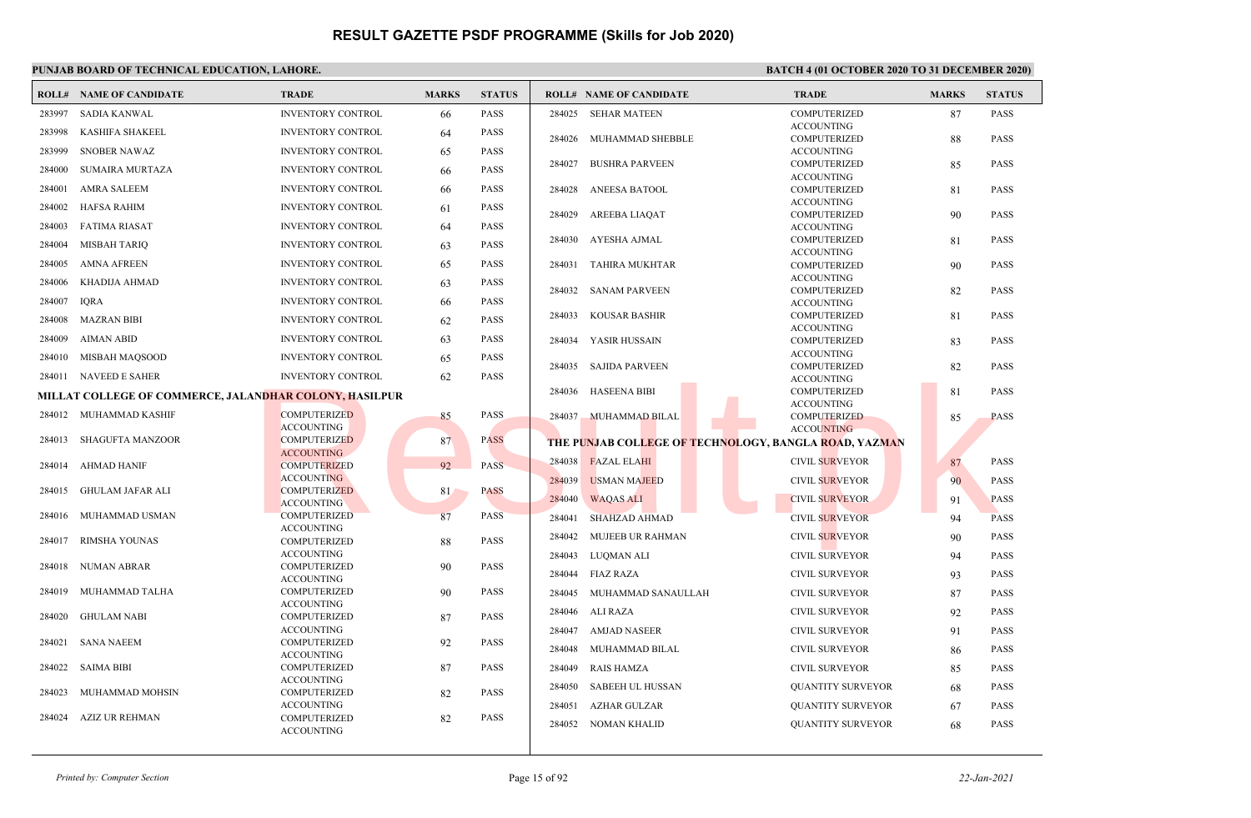|        | <b>ROLL# NAME OF CANDIDATE</b>                         | <b>TRADE</b>                             | <b>MARKS</b> | <b>STATUS</b> | <b>ROLL# NAME OF CANDIDATE</b> |                                                       | <b>TRADE</b>                             | <b>MARKS</b> | <b>STATUS</b> |
|--------|--------------------------------------------------------|------------------------------------------|--------------|---------------|--------------------------------|-------------------------------------------------------|------------------------------------------|--------------|---------------|
| 283997 | <b>SADIA KANWAL</b>                                    | <b>INVENTORY CONTROL</b>                 | 66           | <b>PASS</b>   | 284025                         | SEHAR MATEEN                                          | <b>COMPUTERIZED</b>                      | 87           | <b>PASS</b>   |
| 283998 | KASHIFA SHAKEEL                                        | <b>INVENTORY CONTROL</b>                 | 64           | <b>PASS</b>   |                                |                                                       | <b>ACCOUNTING</b>                        |              |               |
| 283999 | <b>SNOBER NAWAZ</b>                                    | <b>INVENTORY CONTROL</b>                 |              | <b>PASS</b>   | 284026                         | MUHAMMAD SHEBBLE                                      | <b>COMPUTERIZED</b>                      | 88           | <b>PASS</b>   |
|        |                                                        |                                          | 65           |               | 284027                         | <b>BUSHRA PARVEEN</b>                                 | <b>ACCOUNTING</b><br>COMPUTERIZED        | 85           | <b>PASS</b>   |
| 284000 | <b>SUMAIRA MURTAZA</b>                                 | <b>INVENTORY CONTROL</b>                 | 66           | <b>PASS</b>   |                                |                                                       | <b>ACCOUNTING</b>                        |              |               |
| 284001 | <b>AMRA SALEEM</b>                                     | <b>INVENTORY CONTROL</b>                 | 66           | <b>PASS</b>   | 284028                         | ANEESA BATOOL                                         | <b>COMPUTERIZED</b>                      | 81           | <b>PASS</b>   |
| 284002 | <b>HAFSA RAHIM</b>                                     | <b>INVENTORY CONTROL</b>                 | 61           | <b>PASS</b>   | 284029                         | AREEBA LIAQAT                                         | <b>ACCOUNTING</b><br><b>COMPUTERIZED</b> | 90           | <b>PASS</b>   |
| 284003 | <b>FATIMA RIASAT</b>                                   | <b>INVENTORY CONTROL</b>                 | 64           | <b>PASS</b>   |                                |                                                       | <b>ACCOUNTING</b>                        |              |               |
| 284004 | <b>MISBAH TARIQ</b>                                    | <b>INVENTORY CONTROL</b>                 | 63           | <b>PASS</b>   | 284030                         | AYESHA AJMAL                                          | <b>COMPUTERIZED</b>                      | 81           | <b>PASS</b>   |
| 284005 | <b>AMNA AFREEN</b>                                     | <b>INVENTORY CONTROL</b>                 | 65           | <b>PASS</b>   | 284031                         | TAHIRA MUKHTAR                                        | <b>ACCOUNTING</b><br>COMPUTERIZED        | 90           | <b>PASS</b>   |
| 284006 | KHADIJA AHMAD                                          | <b>INVENTORY CONTROL</b>                 | 63           | <b>PASS</b>   |                                |                                                       | <b>ACCOUNTING</b>                        |              |               |
| 284007 | <b>IORA</b>                                            | <b>INVENTORY CONTROL</b>                 | 66           | <b>PASS</b>   | 284032                         | <b>SANAM PARVEEN</b>                                  | <b>COMPUTERIZED</b><br><b>ACCOUNTING</b> | 82           | <b>PASS</b>   |
|        |                                                        |                                          |              |               | 284033                         | KOUSAR BASHIR                                         | COMPUTERIZED                             | 81           | <b>PASS</b>   |
| 284008 | <b>MAZRAN BIBI</b>                                     | <b>INVENTORY CONTROL</b>                 | 62           | <b>PASS</b>   |                                |                                                       | <b>ACCOUNTING</b>                        |              |               |
| 284009 | <b>AIMAN ABID</b>                                      | <b>INVENTORY CONTROL</b>                 | 63           | <b>PASS</b>   | 284034                         | YASIR HUSSAIN                                         | <b>COMPUTERIZED</b>                      | 83           | <b>PASS</b>   |
| 284010 | MISBAH MAQSOOD                                         | <b>INVENTORY CONTROL</b>                 | 65           | <b>PASS</b>   | 284035                         | SAJIDA PARVEEN                                        | <b>ACCOUNTING</b><br><b>COMPUTERIZED</b> | 82           | <b>PASS</b>   |
|        | 284011 NAVEED E SAHER                                  | <b>INVENTORY CONTROL</b>                 | 62           | <b>PASS</b>   |                                |                                                       | <b>ACCOUNTING</b>                        |              |               |
|        | MILLAT COLLEGE OF COMMERCE, JALANDHAR COLONY, HASILPUR |                                          |              |               | <b>HASEENA BIBI</b><br>284036  |                                                       | COMPUTERIZED                             | 81           | <b>PASS</b>   |
|        | 284012 MUHAMMAD KASHIF                                 | <b>COMPUTERIZED</b>                      | 85           | <b>PASS</b>   | 284037                         | <b>MUHAMMAD BILAL</b>                                 | <b>ACCOUNTING</b><br><b>COMPUTERIZED</b> |              | <b>PASS</b>   |
|        |                                                        | <b>ACCOUNTING</b>                        |              |               |                                |                                                       | <b>ACCOUNTING</b>                        | 85           |               |
| 284013 | <b>SHAGUFTA MANZOOR</b>                                | <b>COMPUTERIZED</b>                      | 87           | <b>PASS</b>   |                                | THE PUNJAB COLLEGE OF TECHNOLOGY, BANGLA ROAD, YAZMAN |                                          |              |               |
|        |                                                        | <b>ACCOUNTING</b>                        |              |               | 284038<br><b>FAZAL ELAHI</b>   |                                                       | <b>CIVIL SURVEYOR</b>                    | 87           | <b>PASS</b>   |
| 284014 | AHMAD HANIF                                            | <b>COMPUTERIZED</b><br><b>ACCOUNTING</b> | 92           | <b>PASS</b>   |                                |                                                       |                                          |              |               |
| 284015 | GHULAM JAFAR ALI                                       | <b>COMPUTERIZED</b>                      | 81           | <b>PASS</b>   | 284039                         | <b>USMAN MAJEED</b>                                   | CIVIL SURVEYOR                           | 90           | <b>PASS</b>   |
|        |                                                        | <b>ACCOUNTING</b>                        |              |               | 284040<br><b>WAQAS ALI</b>     |                                                       | <b>CIVIL SURVEYOR</b>                    | 91           | <b>PASS</b>   |
| 284016 | MUHAMMAD USMAN                                         | <b>COMPUTERIZED</b>                      | 87           | <b>PASS</b>   | 284041                         | <b>SHAHZAD AHMAD</b>                                  | <b>CIVIL SURVEYOR</b>                    | 94           | <b>PASS</b>   |
| 284017 | RIMSHA YOUNAS                                          | <b>ACCOUNTING</b><br><b>COMPUTERIZED</b> | 88           | <b>PASS</b>   | 284042                         | MUJEEB UR RAHMAN                                      | <b>CIVIL SURVEYOR</b>                    | 90           | <b>PASS</b>   |
|        |                                                        | <b>ACCOUNTING</b>                        |              |               | 284043<br>LUQMAN ALI           |                                                       | <b>CIVIL SURVEYOR</b>                    | 94           | <b>PASS</b>   |
| 284018 | <b>NUMAN ABRAR</b>                                     | <b>COMPUTERIZED</b>                      | 90           | <b>PASS</b>   | 284044<br>FIAZ RAZA            |                                                       | <b>CIVIL SURVEYOR</b>                    | 93           | <b>PASS</b>   |
| 284019 | MUHAMMAD TALHA                                         | <b>ACCOUNTING</b><br><b>COMPUTERIZED</b> |              | <b>PASS</b>   |                                |                                                       |                                          |              |               |
|        |                                                        | <b>ACCOUNTING</b>                        | 90           |               | 284045                         | MUHAMMAD SANAULLAH                                    | CIVIL SURVEYOR                           | 87           | <b>PASS</b>   |
| 284020 | <b>GHULAM NABI</b>                                     | COMPUTERIZED                             | 87           | <b>PASS</b>   | 284046<br>ALI RAZA             |                                                       | <b>CIVIL SURVEYOR</b>                    | 92           | <b>PASS</b>   |
|        |                                                        | <b>ACCOUNTING</b>                        |              |               | 284047                         | AMJAD NASEER                                          | <b>CIVIL SURVEYOR</b>                    | 91           | <b>PASS</b>   |
| 284021 | <b>SANA NAEEM</b>                                      | <b>COMPUTERIZED</b><br><b>ACCOUNTING</b> | 92           | <b>PASS</b>   | 284048                         | MUHAMMAD BILAL                                        | <b>CIVIL SURVEYOR</b>                    | 86           | <b>PASS</b>   |
| 284022 | <b>SAIMA BIBI</b>                                      | <b>COMPUTERIZED</b>                      | 87           | <b>PASS</b>   | 284049<br><b>RAIS HAMZA</b>    |                                                       | <b>CIVIL SURVEYOR</b>                    | 85           | <b>PASS</b>   |
|        |                                                        | <b>ACCOUNTING</b>                        |              |               | 284050                         | <b>SABEEH UL HUSSAN</b>                               | <b>QUANTITY SURVEYOR</b>                 | 68           | <b>PASS</b>   |
| 284023 | MUHAMMAD MOHSIN                                        | <b>COMPUTERIZED</b>                      | 82           | <b>PASS</b>   |                                |                                                       |                                          |              |               |
| 284024 | AZIZ UR REHMAN                                         | <b>ACCOUNTING</b>                        |              | <b>PASS</b>   | 284051                         | AZHAR GULZAR                                          | <b>QUANTITY SURVEYOR</b>                 | 67           | <b>PASS</b>   |
|        |                                                        | <b>COMPUTERIZED</b><br><b>ACCOUNTING</b> | 82           |               | 284052                         | NOMAN KHALID                                          | <b>OUANTITY SURVEYOR</b>                 | 68           | <b>PASS</b>   |
|        |                                                        |                                          |              |               |                                |                                                       |                                          |              |               |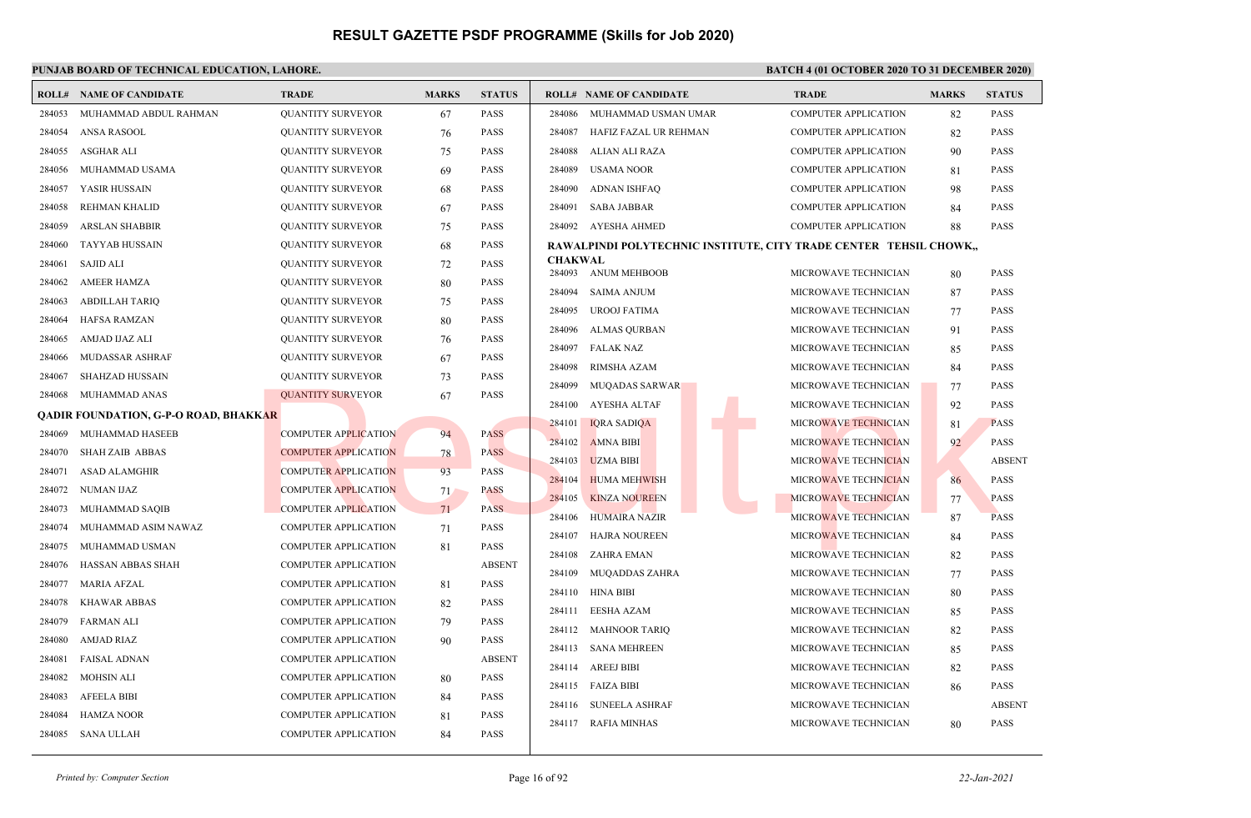### **PUNJAB BOARD OF TECHNICAL EDUCATION, LAHORE. BATCH 4 (01 OCTOBER 2020 TO 31 DECEMBER 2020)**

|        | <b>ROLL# NAME OF CANDIDATE</b>               | <b>TRADE</b>                | <b>MARKS</b> | <b>STATUS</b> |                          | <b>ROLL# NAME OF CANDIDATE</b>                                     | <b>TRADE</b>                | <b>MARKS</b> | <b>STATUS</b> |
|--------|----------------------------------------------|-----------------------------|--------------|---------------|--------------------------|--------------------------------------------------------------------|-----------------------------|--------------|---------------|
| 284053 | MUHAMMAD ABDUL RAHMAN                        | <b>QUANTITY SURVEYOR</b>    | 67           | <b>PASS</b>   | 284086                   | MUHAMMAD USMAN UMAR                                                | <b>COMPUTER APPLICATION</b> | 82           | <b>PASS</b>   |
| 284054 | ANSA RASOOL                                  | <b>QUANTITY SURVEYOR</b>    | 76           | <b>PASS</b>   | 284087                   | HAFIZ FAZAL UR REHMAN                                              | <b>COMPUTER APPLICATION</b> | 82           | <b>PASS</b>   |
| 284055 | ASGHAR ALI                                   | <b>QUANTITY SURVEYOR</b>    | 75           | <b>PASS</b>   | 284088                   | ALIAN ALI RAZA                                                     | <b>COMPUTER APPLICATION</b> | 90           | <b>PASS</b>   |
| 284056 | MUHAMMAD USAMA                               | <b>QUANTITY SURVEYOR</b>    | 69           | <b>PASS</b>   | 284089                   | <b>USAMA NOOR</b>                                                  | <b>COMPUTER APPLICATION</b> | 81           | <b>PASS</b>   |
| 284057 | YASIR HUSSAIN                                | <b>QUANTITY SURVEYOR</b>    | 68           | <b>PASS</b>   | 284090                   | <b>ADNAN ISHFAQ</b>                                                | <b>COMPUTER APPLICATION</b> | 98           | <b>PASS</b>   |
| 284058 | REHMAN KHALID                                | <b>QUANTITY SURVEYOR</b>    | 67           | <b>PASS</b>   | 284091                   | <b>SABA JABBAR</b>                                                 | COMPUTER APPLICATION        | 84           | PASS          |
| 284059 | <b>ARSLAN SHABBIR</b>                        | <b>QUANTITY SURVEYOR</b>    | 75           | <b>PASS</b>   | 284092                   | AYESHA AHMED                                                       | <b>COMPUTER APPLICATION</b> | 88           | PASS          |
| 284060 | <b>TAYYAB HUSSAIN</b>                        | <b>QUANTITY SURVEYOR</b>    | 68           | <b>PASS</b>   |                          | RAWALPINDI POLYTECHNIC INSTITUTE, CITY TRADE CENTER TEHSIL CHOWK,, |                             |              |               |
| 284061 | <b>SAJID ALI</b>                             | <b>QUANTITY SURVEYOR</b>    | 72           | <b>PASS</b>   | <b>CHAKWAL</b><br>284093 | <b>ANUM MEHBOOB</b>                                                | MICROWAVE TECHNICIAN        | 80           | <b>PASS</b>   |
| 284062 | <b>AMEER HAMZA</b>                           | <b>QUANTITY SURVEYOR</b>    | 80           | <b>PASS</b>   | 284094                   | <b>SAIMA ANJUM</b>                                                 | MICROWAVE TECHNICIAN        |              | PASS          |
| 284063 | <b>ABDILLAH TARIO</b>                        | <b>QUANTITY SURVEYOR</b>    | 75           | <b>PASS</b>   | 284095                   | <b>UROOJ FATIMA</b>                                                | MICROWAVE TECHNICIAN        | 87           | <b>PASS</b>   |
| 284064 | <b>HAFSA RAMZAN</b>                          | <b>QUANTITY SURVEYOR</b>    | 80           | <b>PASS</b>   | 284096                   | <b>ALMAS QURBAN</b>                                                | MICROWAVE TECHNICIAN        | 77<br>91     | <b>PASS</b>   |
| 284065 | AMJAD IJAZ ALI                               | <b>QUANTITY SURVEYOR</b>    | 76           | <b>PASS</b>   | 284097                   | <b>FALAK NAZ</b>                                                   | MICROWAVE TECHNICIAN        | 85           | <b>PASS</b>   |
| 284066 | MUDASSAR ASHRAF                              | <b>QUANTITY SURVEYOR</b>    | 67           | <b>PASS</b>   | 284098                   | RIMSHA AZAM                                                        | MICROWAVE TECHNICIAN        | 84           | PASS          |
| 284067 | SHAHZAD HUSSAIN                              | <b>QUANTITY SURVEYOR</b>    | 73           | <b>PASS</b>   | 284099                   | <b>MUQADAS SARWAR</b>                                              | MICROWAVE TECHNICIAN        | 77           | <b>PASS</b>   |
| 284068 | MUHAMMAD ANAS                                | <b>QUANTITY SURVEYOR</b>    | 67           | <b>PASS</b>   | 284100                   | <b>AYESHA ALTAF</b>                                                | MICROWAVE TECHNICIAN        | 92           | <b>PASS</b>   |
|        | <b>QADIR FOUNDATION, G-P-O ROAD, BHAKKAR</b> |                             |              |               | 284101                   | <b>IQRA SADIQA</b>                                                 | MICROWAVE TECHNICIAN        | 81           | <b>PASS</b>   |
| 284069 | MUHAMMAD HASEEB                              | <b>COMPUTER APPLICATION</b> | 94           | PASS          | 284102                   | <b>AMNA BIBI</b>                                                   | MICROWAVE TECHNICIAN        | 92           | <b>PASS</b>   |
| 284070 | <b>SHAH ZAIB ABBAS</b>                       | <b>COMPUTER APPLICATION</b> | 78           | <b>PASS</b>   | 284103                   | <b>UZMA BIBI</b>                                                   | MICROWAVE TECHNICIAN        |              | <b>ABSENT</b> |
| 284071 | <b>ASAD ALAMGHIR</b>                         | <b>COMPUTER APPLICATION</b> | 93           | <b>PASS</b>   | 284104                   | <b>HUMA MEHWISH</b>                                                | <b>MICROWAVE TECHNICIAN</b> | 86           | <b>PASS</b>   |
| 284072 | NUMAN IJAZ                                   | <b>COMPUTER APPLICATION</b> | 71           | <b>PASS</b>   | 284105                   | <b>KINZA NOUREEN</b>                                               | MICROWAVE TECHNICIAN        | 77           | PASS          |
| 284073 | MUHAMMAD SAQIB                               | <b>COMPUTER APPLICATION</b> | 71           | <b>PASS</b>   | 284106                   | <b>HUMAIRA NAZIR</b>                                               | MICROWAVE TECHNICIAN        | 87           | PASS          |
| 284074 | MUHAMMAD ASIM NAWAZ                          | <b>COMPUTER APPLICATION</b> | 71           | <b>PASS</b>   | 284107                   | <b>HAJRA NOUREEN</b>                                               | MICROWAVE TECHNICIAN        | 84           | <b>PASS</b>   |
| 284075 | MUHAMMAD USMAN                               | <b>COMPUTER APPLICATION</b> | 81           | <b>PASS</b>   | 284108                   | <b>ZAHRA EMAN</b>                                                  | MICROWAVE TECHNICIAN        | 82           | <b>PASS</b>   |
| 284076 | HASSAN ABBAS SHAH                            | COMPUTER APPLICATION        |              | <b>ABSENT</b> | 284109                   | <b>MUQADDAS ZAHRA</b>                                              | MICROWAVE TECHNICIAN        | 77           | <b>PASS</b>   |
| 284077 | <b>MARIA AFZAL</b>                           | COMPUTER APPLICATION        | 81           | <b>PASS</b>   | 284110                   | <b>HINA BIBI</b>                                                   | MICROWAVE TECHNICIAN        | 80           | <b>PASS</b>   |
| 284078 | <b>KHAWAR ABBAS</b>                          | <b>COMPUTER APPLICATION</b> | 82           | <b>PASS</b>   | 284111                   | EESHA AZAM                                                         | MICROWAVE TECHNICIAN        | 85           | <b>PASS</b>   |
| 284079 | <b>FARMAN ALI</b>                            | <b>COMPUTER APPLICATION</b> | 79           | <b>PASS</b>   | 284112                   | <b>MAHNOOR TARIQ</b>                                               | MICROWAVE TECHNICIAN        | 82           | <b>PASS</b>   |
| 284080 | <b>AMJAD RIAZ</b>                            | <b>COMPUTER APPLICATION</b> | 90           | <b>PASS</b>   | 284113                   | <b>SANA MEHREEN</b>                                                | MICROWAVE TECHNICIAN        | 85           | PASS          |
| 284081 | <b>FAISAL ADNAN</b>                          | <b>COMPUTER APPLICATION</b> |              | <b>ABSENT</b> | 284114                   | AREEJ BIBI                                                         | MICROWAVE TECHNICIAN        | 82           | <b>PASS</b>   |
| 284082 | MOHSIN ALI                                   | <b>COMPUTER APPLICATION</b> | 80           | <b>PASS</b>   |                          | 284115 FAIZA BIBI                                                  | MICROWAVE TECHNICIAN        | 86           | PASS          |
| 284083 | <b>AFEELA BIBI</b>                           | <b>COMPUTER APPLICATION</b> | 84           | <b>PASS</b>   |                          | 284116 SUNEELA ASHRAF                                              | MICROWAVE TECHNICIAN        |              | <b>ABSENT</b> |
| 284084 | <b>HAMZA NOOR</b>                            | COMPUTER APPLICATION        | 81           | <b>PASS</b>   | 284117                   | <b>RAFIA MINHAS</b>                                                | MICROWAVE TECHNICIAN        | 80           | PASS          |
| 284085 | SANA ULLAH                                   | <b>COMPUTER APPLICATION</b> | 84           | <b>PASS</b>   |                          |                                                                    |                             |              |               |

*Printed by: Computer Section* Page 16 of 92 *22-Jan-2021*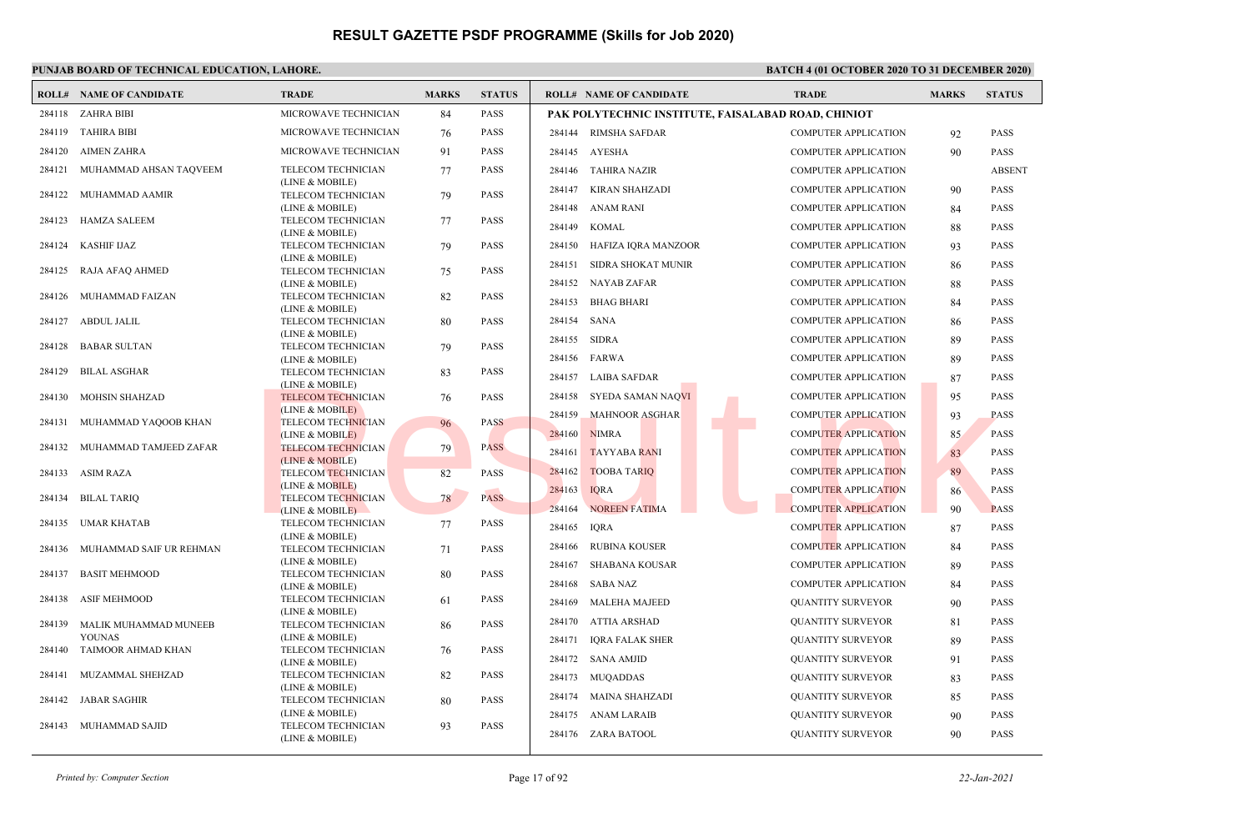## **PUNJAB BOARD OF TECHNICAL EDUCATION, LAHORE. BATCH 4 (01 OCTOBER 2020 TO 31 DECEMBER 2020)**

|        | <b>ROLL# NAME OF CANDIDATE</b>         | <b>TRADE</b>                                 | <b>MARKS</b> | <b>STATUS</b> |                       | <b>ROLL# NAME OF CANDIDATE</b>                      | <b>TRADE</b>                | <b>MARKS</b> | <b>STATUS</b> |
|--------|----------------------------------------|----------------------------------------------|--------------|---------------|-----------------------|-----------------------------------------------------|-----------------------------|--------------|---------------|
|        | 284118 ZAHRA BIBI                      | MICROWAVE TECHNICIAN                         | 84           | PASS          |                       | PAK POLYTECHNIC INSTITUTE, FAISALABAD ROAD, CHINIOT |                             |              |               |
| 284119 | TAHIRA BIBI                            | MICROWAVE TECHNICIAN                         | 76           | <b>PASS</b>   |                       | 284144 RIMSHA SAFDAR                                | <b>COMPUTER APPLICATION</b> | 92           | <b>PASS</b>   |
| 284120 | <b>AIMEN ZAHRA</b>                     | MICROWAVE TECHNICIAN                         | 91           | PASS          | 284145 AYESHA         |                                                     | <b>COMPUTER APPLICATION</b> | 90           | <b>PASS</b>   |
| 284121 | MUHAMMAD AHSAN TAQVEEM                 | TELECOM TECHNICIAN                           | 77           | <b>PASS</b>   | 284146                | TAHIRA NAZIR                                        | <b>COMPUTER APPLICATION</b> |              | <b>ABSENT</b> |
|        |                                        | (LINE & MOBILE)                              |              |               | 284147                | KIRAN SHAHZADI                                      | <b>COMPUTER APPLICATION</b> | 90           | <b>PASS</b>   |
|        | 284122 MUHAMMAD AAMIR                  | TELECOM TECHNICIAN<br>(LINE & MOBILE)        | 79           | PASS          | 284148                | <b>ANAM RANI</b>                                    | <b>COMPUTER APPLICATION</b> |              | <b>PASS</b>   |
|        | 284123 HAMZA SALEEM                    | TELECOM TECHNICIAN                           | 77           | <b>PASS</b>   |                       |                                                     |                             | 84           |               |
|        |                                        | (LINE & MOBILE)                              |              |               | 284149                | <b>KOMAL</b>                                        | <b>COMPUTER APPLICATION</b> | 88           | <b>PASS</b>   |
| 284124 | KASHIF IJAZ                            | TELECOM TECHNICIAN                           | 79           | PASS          | 284150                | HAFIZA IQRA MANZOOR                                 | <b>COMPUTER APPLICATION</b> | 93           | <b>PASS</b>   |
| 284125 | RAJA AFAQ AHMED                        | (LINE & MOBILE)<br>TELECOM TECHNICIAN        | 75           | PASS          | 284151                | SIDRA SHOKAT MUNIR                                  | COMPUTER APPLICATION        | 86           | <b>PASS</b>   |
|        |                                        | (LINE & MOBILE)                              |              |               |                       | 284152 NAYAB ZAFAR                                  | <b>COMPUTER APPLICATION</b> | 88           | <b>PASS</b>   |
| 284126 | MUHAMMAD FAIZAN                        | TELECOM TECHNICIAN                           | 82           | <b>PASS</b>   | 284153                | <b>BHAG BHARI</b>                                   | <b>COMPUTER APPLICATION</b> | 84           | <b>PASS</b>   |
|        |                                        | (LINE & MOBILE)                              |              |               |                       |                                                     |                             |              |               |
| 284127 | ABDUL JALIL                            | TELECOM TECHNICIAN<br>(LINE & MOBILE)        | 80           | PASS          | 284154                | <b>SANA</b>                                         | <b>COMPUTER APPLICATION</b> | 86           | <b>PASS</b>   |
| 284128 | <b>BABAR SULTAN</b>                    | TELECOM TECHNICIAN                           | 79           | PASS          | 284155 SIDRA          |                                                     | <b>COMPUTER APPLICATION</b> | 89           | <b>PASS</b>   |
|        |                                        | (LINE & MOBILE)                              |              |               | 284156                | FARWA                                               | <b>COMPUTER APPLICATION</b> | 89           | <b>PASS</b>   |
| 284129 | <b>BILAL ASGHAR</b>                    | TELECOM TECHNICIAN                           | 83           | <b>PASS</b>   | 284157                | LAIBA SAFDAR                                        | <b>COMPUTER APPLICATION</b> | 87           | <b>PASS</b>   |
|        | 284130 MOHSIN SHAHZAD                  | (LINE & MOBILE)<br><b>TELECOM TECHNICIAN</b> | 76           | <b>PASS</b>   | 284158                | SYEDA SAMAN NAQVI                                   | <b>COMPUTER APPLICATION</b> | 95           | <b>PASS</b>   |
|        |                                        | (LINE & MOBILE)                              |              |               | 284159                | <b>MAHNOOR ASGHAR</b>                               | <b>COMPUTER APPLICATION</b> | 93           | <b>PASS</b>   |
| 284131 | MUHAMMAD YAQOOB KHAN                   | <b>TELECOM TECHNICIAN</b>                    | 96           | <b>PASS</b>   |                       |                                                     |                             |              |               |
|        |                                        | (LINE & MOBILE)                              |              |               | 284160                | <b>NIMRA</b>                                        | <b>COMPUTER APPLICATION</b> | 85           | <b>PASS</b>   |
|        | 284132 MUHAMMAD TAMJEED ZAFAR          | <b>TELECOM TECHNICIAN</b><br>(LINE & MOBILE) | 79           | <b>PASS</b>   | 284161                | <b>TAYYABA RANI</b>                                 | <b>COMPUTER APPLICATION</b> | 83           | <b>PASS</b>   |
| 284133 | ASIM RAZA                              | <b>TELECOM TECHNICIAN</b>                    | 82           | PASS          | 284162                | <b>TOOBA TARIQ</b>                                  | COMPUTER APPLICATION        | 89           | <b>PASS</b>   |
|        |                                        | (LINE & MOBILE)                              |              |               | 284163<br><b>IQRA</b> |                                                     | <b>COMPUTER APPLICATION</b> | 86           | <b>PASS</b>   |
| 284134 | <b>BILAL TARIQ</b>                     | <b>TELECOM TECHNICIAN</b>                    | 78           | <b>PASS</b>   | 284164                | <b>NOREEN FATIMA</b>                                | <b>COMPUTER APPLICATION</b> | 90           | <b>PASS</b>   |
| 284135 | UMAR KHATAB                            | (LINE & MOBILE)<br>TELECOM TECHNICIAN        | 77           | PASS          |                       |                                                     |                             |              |               |
|        |                                        | (LINE & MOBILE)                              |              |               | <b>IQRA</b><br>284165 |                                                     | <b>COMPUTER APPLICATION</b> | 87           | <b>PASS</b>   |
| 284136 | MUHAMMAD SAIF UR REHMAN                | TELECOM TECHNICIAN                           | 71           | PASS          | 284166                | <b>RUBINA KOUSER</b>                                | <b>COMPUTER APPLICATION</b> | 84           | <b>PASS</b>   |
| 284137 | <b>BASIT MEHMOOD</b>                   | (LINE & MOBILE)<br>TELECOM TECHNICIAN        |              | PASS          | 284167                | <b>SHABANA KOUSAR</b>                               | <b>COMPUTER APPLICATION</b> | 89           | <b>PASS</b>   |
|        |                                        | (LINE & MOBILE)                              | 80           |               | 284168                | SABA NAZ                                            | <b>COMPUTER APPLICATION</b> | 84           | <b>PASS</b>   |
| 284138 | <b>ASIF MEHMOOD</b>                    | TELECOM TECHNICIAN                           | 61           | <b>PASS</b>   | 284169                | <b>MALEHA MAJEED</b>                                | <b>QUANTITY SURVEYOR</b>    | 90           | <b>PASS</b>   |
|        |                                        | (LINE & MOBILE)                              |              |               | 284170                | ATTIA ARSHAD                                        | <b>QUANTITY SURVEYOR</b>    | 81           | <b>PASS</b>   |
| 284139 | MALIK MUHAMMAD MUNEEB<br><b>YOUNAS</b> | TELECOM TECHNICIAN<br>(LINE & MOBILE)        | 86           | <b>PASS</b>   |                       |                                                     |                             |              |               |
| 284140 | TAIMOOR AHMAD KHAN                     | TELECOM TECHNICIAN                           | 76           | <b>PASS</b>   | 284171                | IQRA FALAK SHER                                     | <b>QUANTITY SURVEYOR</b>    | 89           | <b>PASS</b>   |
|        |                                        | (LINE & MOBILE)                              |              |               | 284172 SANA AMJID     |                                                     | <b>QUANTITY SURVEYOR</b>    | 91           | <b>PASS</b>   |
| 284141 | MUZAMMAL SHEHZAD                       | TELECOM TECHNICIAN                           | 82           | PASS          | 284173 MUQADDAS       |                                                     | <b>QUANTITY SURVEYOR</b>    | 83           | <b>PASS</b>   |
|        | 284142 JABAR SAGHIR                    | (LINE & MOBILE)<br>TELECOM TECHNICIAN        |              | <b>PASS</b>   |                       | 284174 MAINA SHAHZADI                               | <b>QUANTITY SURVEYOR</b>    | 85           | <b>PASS</b>   |
|        |                                        | (LINE & MOBILE)                              | 80           |               |                       | 284175 ANAM LARAIB                                  | <b>QUANTITY SURVEYOR</b>    | 90           | <b>PASS</b>   |
|        | 284143 MUHAMMAD SAJID                  | TELECOM TECHNICIAN                           | 93           | PASS          |                       |                                                     |                             |              |               |
|        |                                        | (LINE & MOBILE)                              |              |               |                       | 284176 ZARA BATOOL                                  | <b>QUANTITY SURVEYOR</b>    | 90           | <b>PASS</b>   |

*Printed by: Computer Section* Page 17 of 92 *22-Jan-2021*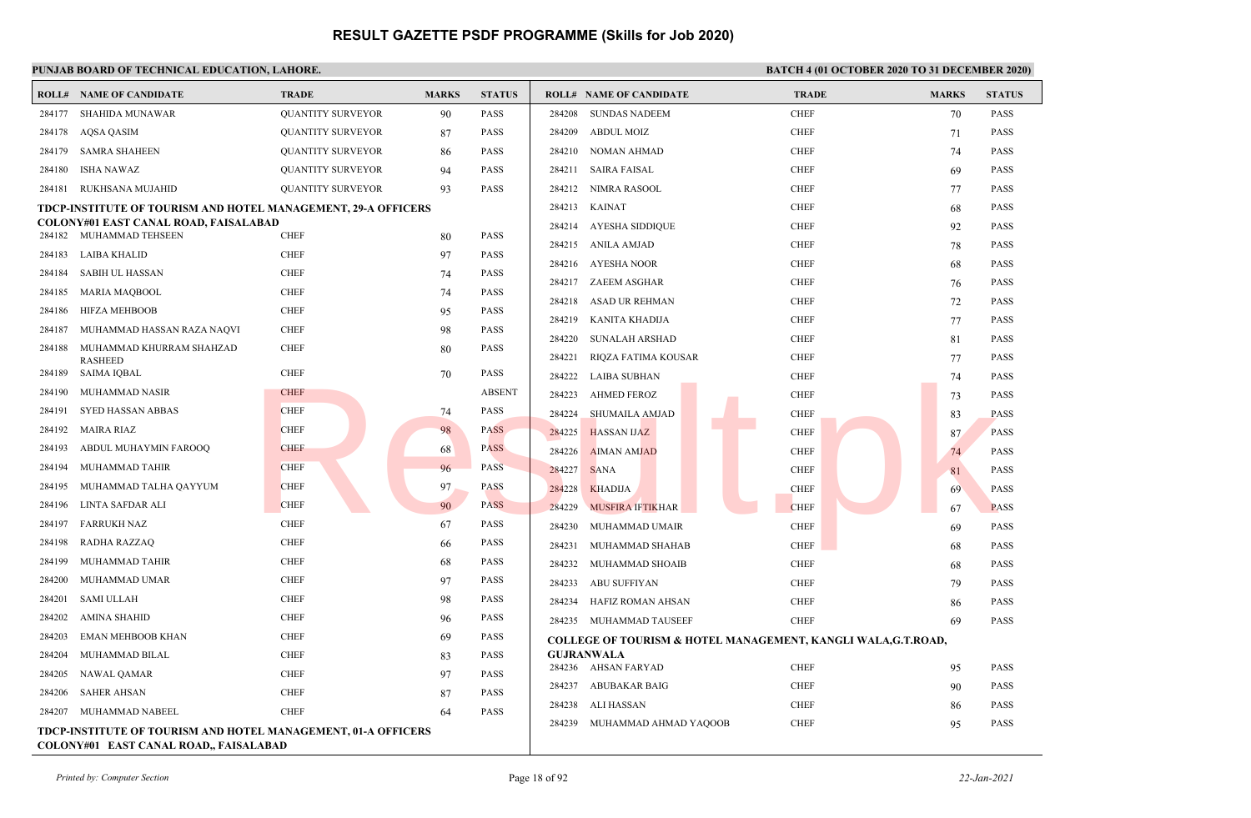|        | <b>ROLL# NAME OF CANDIDATE</b>                                                                          | <b>TRADE</b>             | <b>MARKS</b> | <b>STATUS</b> |                       | <b>ROLL# NAME OF CANDIDATE</b> | <b>TRADE</b>                                                  | <b>MARKS</b> | <b>STATUS</b> |
|--------|---------------------------------------------------------------------------------------------------------|--------------------------|--------------|---------------|-----------------------|--------------------------------|---------------------------------------------------------------|--------------|---------------|
| 284177 | SHAHIDA MUNAWAR                                                                                         | <b>QUANTITY SURVEYOR</b> | 90           | PASS          | 284208                | <b>SUNDAS NADEEM</b>           | <b>CHEF</b>                                                   | 70           | <b>PASS</b>   |
| 284178 | AQSA QASIM                                                                                              | <b>QUANTITY SURVEYOR</b> | 87           | PASS          | 284209                | <b>ABDUL MOIZ</b>              | <b>CHEF</b>                                                   | 71           | <b>PASS</b>   |
| 284179 | <b>SAMRA SHAHEEN</b>                                                                                    | <b>QUANTITY SURVEYOR</b> | 86           | PASS          | 284210                | NOMAN AHMAD                    | <b>CHEF</b>                                                   | 74           | <b>PASS</b>   |
| 284180 | ISHA NAWAZ                                                                                              | <b>QUANTITY SURVEYOR</b> | 94           | PASS          | 284211                | <b>SAIRA FAISAL</b>            | <b>CHEF</b>                                                   | 69           | <b>PASS</b>   |
| 284181 | RUKHSANA MUJAHID                                                                                        | <b>QUANTITY SURVEYOR</b> | 93           | PASS          | 284212 NIMRA RASOOL   |                                | <b>CHEF</b>                                                   | 77           | <b>PASS</b>   |
|        | TDCP-INSTITUTE OF TOURISM AND HOTEL MANAGEMENT, 29-A OFFICERS                                           |                          |              |               | 284213 KAINAT         |                                | <b>CHEF</b>                                                   | 68           | <b>PASS</b>   |
|        | <b>COLONY#01 EAST CANAL ROAD, FAISALABAD</b><br>284182 MUHAMMAD TEHSEEN                                 |                          |              | PASS          |                       | 284214 AYESHA SIDDIQUE         | <b>CHEF</b>                                                   | 92           | <b>PASS</b>   |
|        |                                                                                                         | <b>CHEF</b>              | 80           |               | 284215 ANILA AMJAD    |                                | <b>CHEF</b>                                                   | 78           | <b>PASS</b>   |
| 284183 | LAIBA KHALID                                                                                            | <b>CHEF</b>              | 97           | PASS          | 284216 AYESHA NOOR    |                                | <b>CHEF</b>                                                   | 68           | <b>PASS</b>   |
| 284184 | SABIH UL HASSAN                                                                                         | <b>CHEF</b>              | 74           | PASS          | 284217 ZAEEM ASGHAR   |                                | <b>CHEF</b>                                                   | 76           | <b>PASS</b>   |
| 284185 | MARIA MAQBOOL                                                                                           | <b>CHEF</b>              | 74           | PASS          | 284218                | <b>ASAD UR REHMAN</b>          | <b>CHEF</b>                                                   | 72           | <b>PASS</b>   |
| 284186 | <b>HIFZA MEHBOOB</b>                                                                                    | <b>CHEF</b>              | 95           | PASS          | 284219                | KANITA KHADIJA                 | <b>CHEF</b>                                                   | 77           | <b>PASS</b>   |
| 284187 | MUHAMMAD HASSAN RAZA NAQVI                                                                              | <b>CHEF</b>              | 98           | PASS          | 284220                | <b>SUNALAH ARSHAD</b>          | <b>CHEF</b>                                                   | 81           | <b>PASS</b>   |
| 284188 | MUHAMMAD KHURRAM SHAHZAD<br><b>RASHEED</b>                                                              | <b>CHEF</b>              | 80           | PASS          | 284221                | RIQZA FATIMA KOUSAR            | <b>CHEF</b>                                                   | 77           | <b>PASS</b>   |
| 284189 | SAIMA IQBAL                                                                                             | <b>CHEF</b>              | 70           | PASS          | 284222 LAIBA SUBHAN   |                                | <b>CHEF</b>                                                   | 74           | <b>PASS</b>   |
| 284190 | MUHAMMAD NASIR                                                                                          | <b>CHEF</b>              |              | <b>ABSENT</b> | 284223                | <b>AHMED FEROZ</b>             | <b>CHEF</b>                                                   | 73           | <b>PASS</b>   |
| 284191 | SYED HASSAN ABBAS                                                                                       | <b>CHEF</b>              | 74           | PASS          | 284224                | <b>SHUMAILA AMJAD</b>          | <b>CHEF</b>                                                   | 83           | <b>PASS</b>   |
| 284192 | MAIRA RIAZ                                                                                              | <b>CHEF</b>              | 98           | <b>PASS</b>   | 284225                | <b>HASSAN IJAZ</b>             | <b>CHEF</b>                                                   | 87           | <b>PASS</b>   |
| 284193 | ABDUL MUHAYMIN FAROOQ                                                                                   | <b>CHEF</b>              | 68           | <b>PASS</b>   | 284226                | <b>AIMAN AMJAD</b>             | <b>CHEF</b>                                                   | 74           | <b>PASS</b>   |
| 284194 | MUHAMMAD TAHIR                                                                                          | <b>CHEF</b>              | 96           | <b>PASS</b>   | 284227<br><b>SANA</b> |                                | <b>CHEF</b>                                                   | 81           | <b>PASS</b>   |
| 284195 | MUHAMMAD TALHA QAYYUM                                                                                   | <b>CHEF</b>              | 97           | PASS          | 284228                | <b>KHADIJA</b>                 | <b>CHEF</b>                                                   | 69           | <b>PASS</b>   |
| 284196 | LINTA SAFDAR ALI                                                                                        | <b>CHEF</b>              | 90           | <b>PASS</b>   | 284229                | <b>MUSFIRA IFTIKHAR</b>        | <b>CHEF</b>                                                   | 67           | <b>PASS</b>   |
| 284197 | <b>FARRUKH NAZ</b>                                                                                      | <b>CHEF</b>              | 67           | PASS          | 284230                | MUHAMMAD UMAIR                 | <b>CHEF</b>                                                   | 69           | <b>PASS</b>   |
| 284198 | RADHA RAZZAQ                                                                                            | <b>CHEF</b>              | 66           | PASS          | 284231                | MUHAMMAD SHAHAB                | <b>CHEF</b>                                                   | 68           | <b>PASS</b>   |
| 284199 | MUHAMMAD TAHIR                                                                                          | <b>CHEF</b>              | 68           | PASS          | 284232                | MUHAMMAD SHOAIB                | <b>CHEF</b>                                                   | 68           | <b>PASS</b>   |
| 284200 | MUHAMMAD UMAR                                                                                           | <b>CHEF</b>              | 97           | PASS          | 284233                | ABU SUFFIYAN                   | <b>CHEF</b>                                                   | 79           | <b>PASS</b>   |
| 284201 | SAMI ULLAH                                                                                              | <b>CHEF</b>              | 98           | PASS          | 284234                | HAFIZ ROMAN AHSAN              | <b>CHEF</b>                                                   | 86           | <b>PASS</b>   |
| 284202 | AMINA SHAHID                                                                                            | <b>CHEF</b>              | 96           | PASS          |                       | 284235 MUHAMMAD TAUSEEF        | <b>CHEF</b>                                                   | 69           | <b>PASS</b>   |
| 284203 | EMAN MEHBOOB KHAN                                                                                       | <b>CHEF</b>              | 69           | PASS          |                       |                                | COLLEGE OF TOURISM & HOTEL MANAGEMENT, KANGLI WALA, G.T.ROAD, |              |               |
| 284204 | MUHAMMAD BILAL                                                                                          | <b>CHEF</b>              | 83           | PASS          | <b>GUJRANWALA</b>     |                                |                                                               |              |               |
| 284205 | NAWAL QAMAR                                                                                             | <b>CHEF</b>              | 97           | PASS          | 284236 AHSAN FARYAD   |                                | <b>CHEF</b>                                                   | 95           | <b>PASS</b>   |
| 284206 | <b>SAHER AHSAN</b>                                                                                      | <b>CHEF</b>              | 87           | PASS          | 284237                | ABUBAKAR BAIG                  | <b>CHEF</b>                                                   | 90           | <b>PASS</b>   |
| 284207 | MUHAMMAD NABEEL                                                                                         | <b>CHEF</b>              | 64           | PASS          | 284238                | ALI HASSAN                     | <b>CHEF</b>                                                   | 86           | <b>PASS</b>   |
|        | TDCP-INSTITUTE OF TOURISM AND HOTEL MANAGEMENT, 01-A OFFICERS<br>COLONY#01 EAST CANAL ROAD,, FAISALABAD |                          |              |               | 284239                | MUHAMMAD AHMAD YAQOOB          | <b>CHEF</b>                                                   | 95           | <b>PASS</b>   |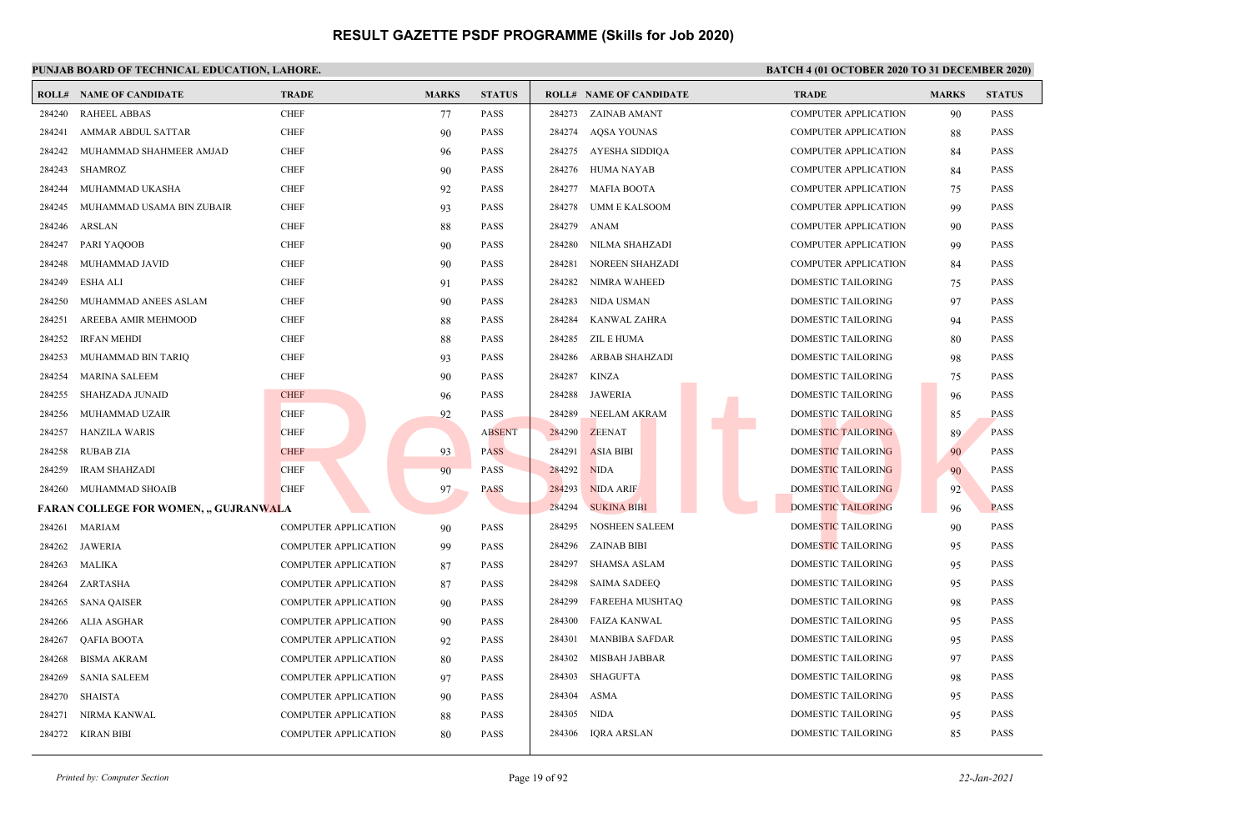### **PUNJAB BOARD OF TECHNICAL EDUCATION, LAHORE. BATCH 4 (01 OCTOBER 2020 TO 31 DECEMBER 2020)**

|        | <b>ROLL# NAME OF CANDIDATE</b>              | <b>TRADE</b>                | <b>MARKS</b> | <b>STATUS</b> |        | <b>ROLL# NAME OF CANDIDATE</b> | TRADE                       | <b>MARKS</b> | <b>STATUS</b> |
|--------|---------------------------------------------|-----------------------------|--------------|---------------|--------|--------------------------------|-----------------------------|--------------|---------------|
| 284240 | <b>RAHEEL ABBAS</b>                         | <b>CHEF</b>                 | 77           | PASS          |        | 284273 ZAINAB AMANT            | COMPUTER APPLICATION        | 90           | <b>PASS</b>   |
| 284241 | AMMAR ABDUL SATTAR                          | <b>CHEF</b>                 | 90           | PASS          | 284274 | AOSA YOUNAS                    | <b>COMPUTER APPLICATION</b> | 88           | <b>PASS</b>   |
| 284242 | MUHAMMAD SHAHMEER AMJAD                     | <b>CHEF</b>                 | 96           | PASS          | 284275 | AYESHA SIDDIQA                 | COMPUTER APPLICATION        | -84          | <b>PASS</b>   |
| 284243 | <b>SHAMROZ</b>                              | <b>CHEF</b>                 | 90           | PASS          | 284276 | <b>HUMA NAYAB</b>              | <b>COMPUTER APPLICATION</b> | 84           | <b>PASS</b>   |
| 284244 | MUHAMMAD UKASHA                             | <b>CHEF</b>                 | 92           | PASS          | 284277 | <b>MAFIA BOOTA</b>             | <b>COMPUTER APPLICATION</b> | 75           | <b>PASS</b>   |
| 284245 | MUHAMMAD USAMA BIN ZUBAIR                   | <b>CHEF</b>                 | 93           | PASS          | 284278 | UMM E KALSOOM                  | <b>COMPUTER APPLICATION</b> | 99           | <b>PASS</b>   |
| 284246 | <b>ARSLAN</b>                               | <b>CHEF</b>                 | 88           | PASS          | 284279 | <b>ANAM</b>                    | <b>COMPUTER APPLICATION</b> | 90           | <b>PASS</b>   |
| 284247 | PARI YAQOOB                                 | <b>CHEF</b>                 | 90           | <b>PASS</b>   | 284280 | NILMA SHAHZADI                 | <b>COMPUTER APPLICATION</b> | 99           | <b>PASS</b>   |
| 284248 | MUHAMMAD JAVID                              | <b>CHEF</b>                 | 90           | PASS          | 284281 | NOREEN SHAHZADI                | <b>COMPUTER APPLICATION</b> | 84           | <b>PASS</b>   |
| 284249 | <b>ESHA ALI</b>                             | <b>CHEF</b>                 | 91           | PASS          | 284282 | NIMRA WAHEED                   | DOMESTIC TAILORING          | 75           | <b>PASS</b>   |
| 284250 | MUHAMMAD ANEES ASLAM                        | <b>CHEF</b>                 | 90           | PASS          | 284283 | NIDA USMAN                     | <b>DOMESTIC TAILORING</b>   | 97           | <b>PASS</b>   |
| 284251 | AREEBA AMIR MEHMOOD                         | <b>CHEF</b>                 | 88           | PASS          | 284284 | KANWAL ZAHRA                   | DOMESTIC TAILORING          | 94           | <b>PASS</b>   |
| 284252 | <b>IRFAN MEHDI</b>                          | <b>CHEF</b>                 | 88           | PASS          | 284285 | ZIL E HUMA                     | <b>DOMESTIC TAILORING</b>   | 80           | <b>PASS</b>   |
| 284253 | MUHAMMAD BIN TARIQ                          | <b>CHEF</b>                 | 93           | PASS          | 284286 | <b>ARBAB SHAHZADI</b>          | DOMESTIC TAILORING          | 98           | <b>PASS</b>   |
| 284254 | <b>MARINA SALEEM</b>                        | <b>CHEF</b>                 | 90           | PASS          | 284287 | <b>KINZA</b>                   | <b>DOMESTIC TAILORING</b>   | 75           | <b>PASS</b>   |
| 284255 | SHAHZADA JUNAID                             | <b>CHEF</b>                 | 96           | PASS          | 284288 | JAWERIA                        | DOMESTIC TAILORING          | 96           | <b>PASS</b>   |
| 284256 | MUHAMMAD UZAIR                              | <b>CHEF</b>                 | 92           | PASS          | 284289 | NEELAM AKRAM                   | <b>DOMESTIC TAILORING</b>   | 85           | <b>PASS</b>   |
| 284257 | <b>HANZILA WARIS</b>                        | <b>CHEF</b>                 |              | <b>ABSENT</b> | 284290 | <b>ZEENAT</b>                  | <b>DOMESTIC TAILORING</b>   | 89           | <b>PASS</b>   |
| 284258 | <b>RUBAB ZIA</b>                            | <b>CHEF</b>                 | 93           | <b>PASS</b>   | 284291 | <b>ASIA BIBI</b>               | DOMESTIC TAILORING          | 90           | <b>PASS</b>   |
| 284259 | <b>IRAM SHAHZADI</b>                        | <b>CHEF</b>                 | 90           | <b>PASS</b>   | 284292 | <b>NIDA</b>                    | DOMESTIC TAILORING          | 90           | <b>PASS</b>   |
| 284260 | MUHAMMAD SHOAIB                             | <b>CHEF</b>                 | 97           | <b>PASS</b>   | 284293 | <b>NIDA ARIF</b>               | DOMESTIC TAILORING          | 92           | <b>PASS</b>   |
|        | <b>FARAN COLLEGE FOR WOMEN, "GUJRANWALA</b> |                             |              |               | 284294 | <b>SUKINA BIBI</b>             | <b>DOMESTIC TAILORING</b>   | 96           | <b>PASS</b>   |
| 284261 | <b>MARIAM</b>                               | <b>COMPUTER APPLICATION</b> | 90           | PASS          | 284295 | <b>NOSHEEN SALEEM</b>          | DOMESTIC TAILORING          | 90           | <b>PASS</b>   |
| 284262 | <b>JAWERIA</b>                              | <b>COMPUTER APPLICATION</b> | 99           | PASS          | 284296 | ZAINAB BIBI                    | DOMESTIC TAILORING          | 95           | <b>PASS</b>   |
| 284263 | MALIKA                                      | <b>COMPUTER APPLICATION</b> | 87           | PASS          | 284297 | SHAMSA ASLAM                   | DOMESTIC TAILORING          | 95           | <b>PASS</b>   |
| 284264 | ZARTASHA                                    | <b>COMPUTER APPLICATION</b> | 87           | PASS          | 284298 | <b>SAIMA SADEEO</b>            | <b>DOMESTIC TAILORING</b>   | 95           | <b>PASS</b>   |
| 284265 | <b>SANA QAISER</b>                          | <b>COMPUTER APPLICATION</b> | 90           | <b>PASS</b>   | 284299 | FAREEHA MUSHTAQ                | DOMESTIC TAILORING          | 98           | <b>PASS</b>   |
| 284266 | <b>ALIA ASGHAR</b>                          | <b>COMPUTER APPLICATION</b> | 90           | PASS          | 284300 | <b>FAIZA KANWAL</b>            | DOMESTIC TAILORING          | 95           | <b>PASS</b>   |
| 284267 | <b>QAFIA BOOTA</b>                          | <b>COMPUTER APPLICATION</b> | 92           | PASS          | 284301 | <b>MANBIBA SAFDAR</b>          | <b>DOMESTIC TAILORING</b>   | 95           | <b>PASS</b>   |
| 284268 | <b>BISMA AKRAM</b>                          | COMPUTER APPLICATION        | 80           | PASS          | 284302 | MISBAH JABBAR                  | <b>DOMESTIC TAILORING</b>   | 97           | <b>PASS</b>   |
| 284269 | <b>SANIA SALEEM</b>                         | <b>COMPUTER APPLICATION</b> | 97           | PASS          | 284303 | <b>SHAGUFTA</b>                | DOMESTIC TAILORING          | 98           | <b>PASS</b>   |
| 284270 | <b>SHAISTA</b>                              | COMPUTER APPLICATION        | 90           | PASS          | 284304 | <b>ASMA</b>                    | DOMESTIC TAILORING          | 95           | <b>PASS</b>   |
| 284271 | NIRMA KANWAL                                | <b>COMPUTER APPLICATION</b> | 88           | PASS          | 284305 | NIDA                           | DOMESTIC TAILORING          | 95           | <b>PASS</b>   |
| 284272 | KIRAN BIBI                                  | <b>COMPUTER APPLICATION</b> | 80           | PASS          | 284306 | IQRA ARSLAN                    | DOMESTIC TAILORING          | 85           | <b>PASS</b>   |
|        |                                             |                             |              |               |        |                                |                             |              |               |

*Printed by: Computer Section* Page 19 of 92 *22-Jan-2021*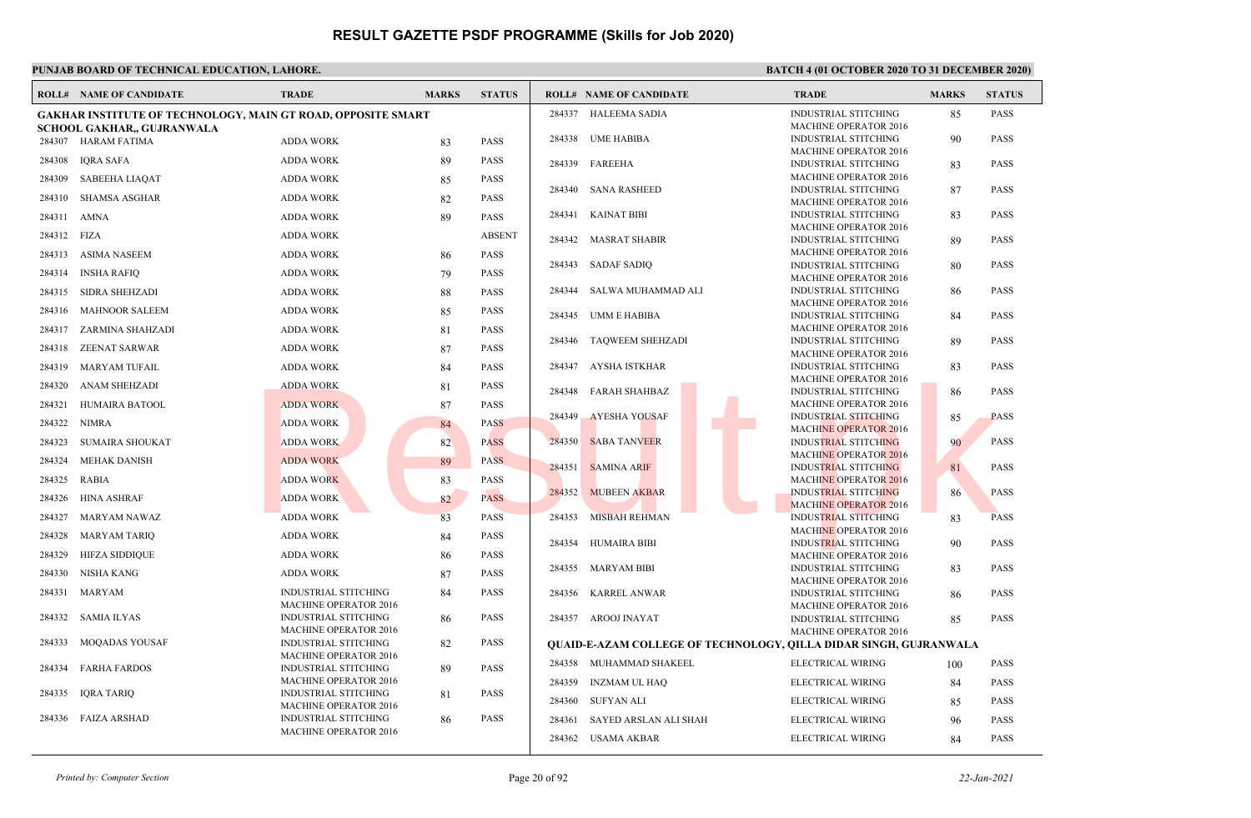|        | <b>ROLL# NAME OF CANDIDATE</b>                                      | <b>TRADE</b>                                         | <b>MARKS</b> | <b>STATUS</b> |        | <b>ROLL# NAME OF CANDIDATE</b>                                    | <b>TRADE</b>                                                | <b>MARKS</b> | <b>STATUS</b> |
|--------|---------------------------------------------------------------------|------------------------------------------------------|--------------|---------------|--------|-------------------------------------------------------------------|-------------------------------------------------------------|--------------|---------------|
|        | <b>GAKHAR INSTITUTE OF TECHNOLOGY, MAIN GT ROAD, OPPOSITE SMART</b> |                                                      |              |               |        | 284337 HALEEMA SADIA                                              | <b>INDUSTRIAL STITCHING</b>                                 | 85           | <b>PASS</b>   |
|        | <b>SCHOOL GAKHAR,, GUJRANWALA</b>                                   |                                                      |              |               |        |                                                                   | <b>MACHINE OPERATOR 2016</b>                                |              |               |
|        | 284307 HARAM FATIMA                                                 | <b>ADDA WORK</b>                                     | 83           | <b>PASS</b>   | 284338 | <b>UME HABIBA</b>                                                 | <b>INDUSTRIAL STITCHING</b>                                 | 90           | <b>PASS</b>   |
| 284308 | IQRA SAFA                                                           | <b>ADDA WORK</b>                                     | 89           | <b>PASS</b>   |        |                                                                   | <b>MACHINE OPERATOR 2016</b>                                |              |               |
|        |                                                                     |                                                      |              |               | 284339 | FAREEHA                                                           | <b>INDUSTRIAL STITCHING</b>                                 | 83           | <b>PASS</b>   |
| 284309 | <b>SABEEHA LIAQAT</b>                                               | <b>ADDA WORK</b>                                     | 85           | <b>PASS</b>   | 284340 | <b>SANA RASHEED</b>                                               | <b>MACHINE OPERATOR 2016</b><br><b>INDUSTRIAL STITCHING</b> | 87           | <b>PASS</b>   |
| 284310 | <b>SHAMSA ASGHAR</b>                                                | <b>ADDA WORK</b>                                     | 82           | <b>PASS</b>   |        |                                                                   | <b>MACHINE OPERATOR 2016</b>                                |              |               |
| 284311 | AMNA                                                                | <b>ADDA WORK</b>                                     | 89           | <b>PASS</b>   | 284341 | <b>KAINAT BIBI</b>                                                | <b>INDUSTRIAL STITCHING</b>                                 | 83           | <b>PASS</b>   |
| 284312 | FIZA                                                                | <b>ADDA WORK</b>                                     |              | <b>ABSENT</b> |        |                                                                   | <b>MACHINE OPERATOR 2016</b>                                |              |               |
| 284313 | <b>ASIMA NASEEM</b>                                                 | <b>ADDA WORK</b>                                     |              | <b>PASS</b>   | 284342 | MASRAT SHABIR                                                     | INDUSTRIAL STITCHING<br><b>MACHINE OPERATOR 2016</b>        | 89           | <b>PASS</b>   |
|        |                                                                     |                                                      | 86           |               | 284343 | <b>SADAF SADIQ</b>                                                | <b>INDUSTRIAL STITCHING</b>                                 | 80           | <b>PASS</b>   |
| 284314 | INSHA RAFIO                                                         | <b>ADDA WORK</b>                                     | 79           | <b>PASS</b>   |        |                                                                   | <b>MACHINE OPERATOR 2016</b>                                |              |               |
| 284315 | SIDRA SHEHZADI                                                      | <b>ADDA WORK</b>                                     | 88           | <b>PASS</b>   | 284344 | SALWA MUHAMMAD ALI                                                | <b>INDUSTRIAL STITCHING</b>                                 | 86           | <b>PASS</b>   |
|        |                                                                     |                                                      |              |               |        |                                                                   | <b>MACHINE OPERATOR 2016</b>                                |              |               |
| 284316 | <b>MAHNOOR SALEEM</b>                                               | <b>ADDA WORK</b>                                     | 85           | <b>PASS</b>   | 284345 | UMM E HABIBA                                                      | <b>INDUSTRIAL STITCHING</b>                                 | 84           | <b>PASS</b>   |
|        | 284317 ZARMINA SHAHZADI                                             | <b>ADDA WORK</b>                                     | 81           | <b>PASS</b>   |        |                                                                   | <b>MACHINE OPERATOR 2016</b>                                |              |               |
| 284318 | ZEENAT SARWAR                                                       | <b>ADDA WORK</b>                                     | 87           | <b>PASS</b>   | 284346 | <b>TAQWEEM SHEHZADI</b>                                           | INDUSTRIAL STITCHING<br><b>MACHINE OPERATOR 2016</b>        | 89           | <b>PASS</b>   |
| 284319 | MARYAM TUFAIL                                                       | <b>ADDA WORK</b>                                     | 84           | <b>PASS</b>   | 284347 | AYSHA ISTKHAR                                                     | <b>INDUSTRIAL STITCHING</b>                                 | 83           | <b>PASS</b>   |
| 284320 | ANAM SHEHZADI                                                       | <b>ADDA WORK</b>                                     |              | PASS          |        |                                                                   | <b>MACHINE OPERATOR 2016</b>                                |              |               |
|        |                                                                     |                                                      | 81           |               | 284348 | FARAH SHAHBAZ                                                     | <b>INDUSTRIAL STITCHING</b>                                 | 86           | <b>PASS</b>   |
| 284321 | HUMAIRA BATOOL                                                      | <b>ADDA WORK</b>                                     | 87           | <b>PASS</b>   |        |                                                                   | <b>MACHINE OPERATOR 2016</b>                                |              |               |
| 284322 | NIMRA                                                               | <b>ADDA WORK</b>                                     | 84           | <b>PASS</b>   | 284349 | <b>AYESHA YOUSAF</b>                                              | <b>INDUSTRIAL STITCHING</b><br><b>MACHINE OPERATOR 2016</b> | 85           | <b>PASS</b>   |
| 284323 | SUMAIRA SHOUKAT                                                     | <b>ADDA WORK</b>                                     | 82           | <b>PASS</b>   | 284350 | <b>SABA TANVEER</b>                                               | <b>INDUSTRIAL STITCHING</b>                                 | 90           | <b>PASS</b>   |
| 284324 | MEHAK DANISH                                                        | <b>ADDA WORK</b>                                     | 89           | <b>PASS</b>   |        |                                                                   | MACHINE OPERATOR 2016                                       |              |               |
|        |                                                                     |                                                      |              |               | 284351 | <b>SAMINA ARIF</b>                                                | INDUSTRIAL STITCHING                                        | 81           | <b>PASS</b>   |
| 284325 | <b>RABIA</b>                                                        | <b>ADDA WORK</b>                                     | 83           | <b>PASS</b>   |        |                                                                   | <b>MACHINE OPERATOR 2016</b>                                |              |               |
| 284326 | <b>HINA ASHRAF</b>                                                  | <b>ADDA WORK</b>                                     | 82           | <b>PASS</b>   | 284352 | <b>MUBEEN AKBAR</b>                                               | <b>INDUSTRIAL STITCHING</b><br><b>MACHINE OPERATOR 2016</b> | 86           | <b>PASS</b>   |
| 284327 | MARYAM NAWAZ                                                        | <b>ADDA WORK</b>                                     | 83           | <b>PASS</b>   | 284353 | MISBAH REHMAN                                                     | <b>INDUSTRIAL STITCHING</b>                                 | 83           | <b>PASS</b>   |
| 284328 | MARYAM TARIQ                                                        | <b>ADDA WORK</b>                                     | 84           | <b>PASS</b>   |        |                                                                   | <b>MACHINE OPERATOR 2016</b>                                |              |               |
|        |                                                                     |                                                      |              |               | 284354 | HUMAIRA BIBI                                                      | <b>INDUSTRIAL STITCHING</b>                                 | 90           | <b>PASS</b>   |
| 284329 | <b>HIFZA SIDDIQUE</b>                                               | <b>ADDA WORK</b>                                     | 86           | <b>PASS</b>   |        |                                                                   | MACHINE OPERATOR 2016                                       |              |               |
| 284330 | NISHA KANG                                                          | <b>ADDA WORK</b>                                     | 87           | <b>PASS</b>   | 284355 | MARYAM BIBI                                                       | <b>INDUSTRIAL STITCHING</b><br><b>MACHINE OPERATOR 2016</b> | 83           | <b>PASS</b>   |
| 284331 | MARYAM                                                              | <b>INDUSTRIAL STITCHING</b>                          | 84           | <b>PASS</b>   | 284356 | KARREL ANWAR                                                      | <b>INDUSTRIAL STITCHING</b>                                 | 86           | <b>PASS</b>   |
|        |                                                                     | <b>MACHINE OPERATOR 2016</b>                         |              |               |        |                                                                   | <b>MACHINE OPERATOR 2016</b>                                |              |               |
| 284332 | SAMIA ILYAS                                                         | <b>INDUSTRIAL STITCHING</b>                          | -86          | <b>PASS</b>   | 284357 | AROOJ INAYAT                                                      | <b>INDUSTRIAL STITCHING</b>                                 | 85           | <b>PASS</b>   |
|        |                                                                     | <b>MACHINE OPERATOR 2016</b>                         |              |               |        |                                                                   | <b>MACHINE OPERATOR 2016</b>                                |              |               |
| 284333 | <b>MOQADAS YOUSAF</b>                                               | INDUSTRIAL STITCHING                                 | 82           | <b>PASS</b>   |        | QUAID-E-AZAM COLLEGE OF TECHNOLOGY, QILLA DIDAR SINGH, GUJRANWALA |                                                             |              |               |
| 284334 | <b>FARHA FARDOS</b>                                                 | <b>MACHINE OPERATOR 2016</b><br>INDUSTRIAL STITCHING | 89           | <b>PASS</b>   |        | 284358 MUHAMMAD SHAKEEL                                           | ELECTRICAL WIRING                                           | 100          | <b>PASS</b>   |
|        |                                                                     | <b>MACHINE OPERATOR 2016</b>                         |              |               | 284359 | INZMAM UL HAQ                                                     | ELECTRICAL WIRING                                           | 84           | <b>PASS</b>   |
| 284335 | IQRA TARIQ                                                          | <b>INDUSTRIAL STITCHING</b>                          | 81           | <b>PASS</b>   |        |                                                                   |                                                             |              |               |
|        |                                                                     | <b>MACHINE OPERATOR 2016</b>                         |              |               | 284360 | SUFYAN ALI                                                        | ELECTRICAL WIRING                                           | 85           | <b>PASS</b>   |
| 284336 | <b>FAIZA ARSHAD</b>                                                 | <b>INDUSTRIAL STITCHING</b>                          | 86           | PASS          | 284361 | SAYED ARSLAN ALI SHAH                                             | ELECTRICAL WIRING                                           | 96           | <b>PASS</b>   |
|        |                                                                     | <b>MACHINE OPERATOR 2016</b>                         |              |               |        | 284362 USAMA AKBAR                                                | ELECTRICAL WIRING                                           | 84           | <b>PASS</b>   |
|        |                                                                     |                                                      |              |               |        |                                                                   |                                                             |              |               |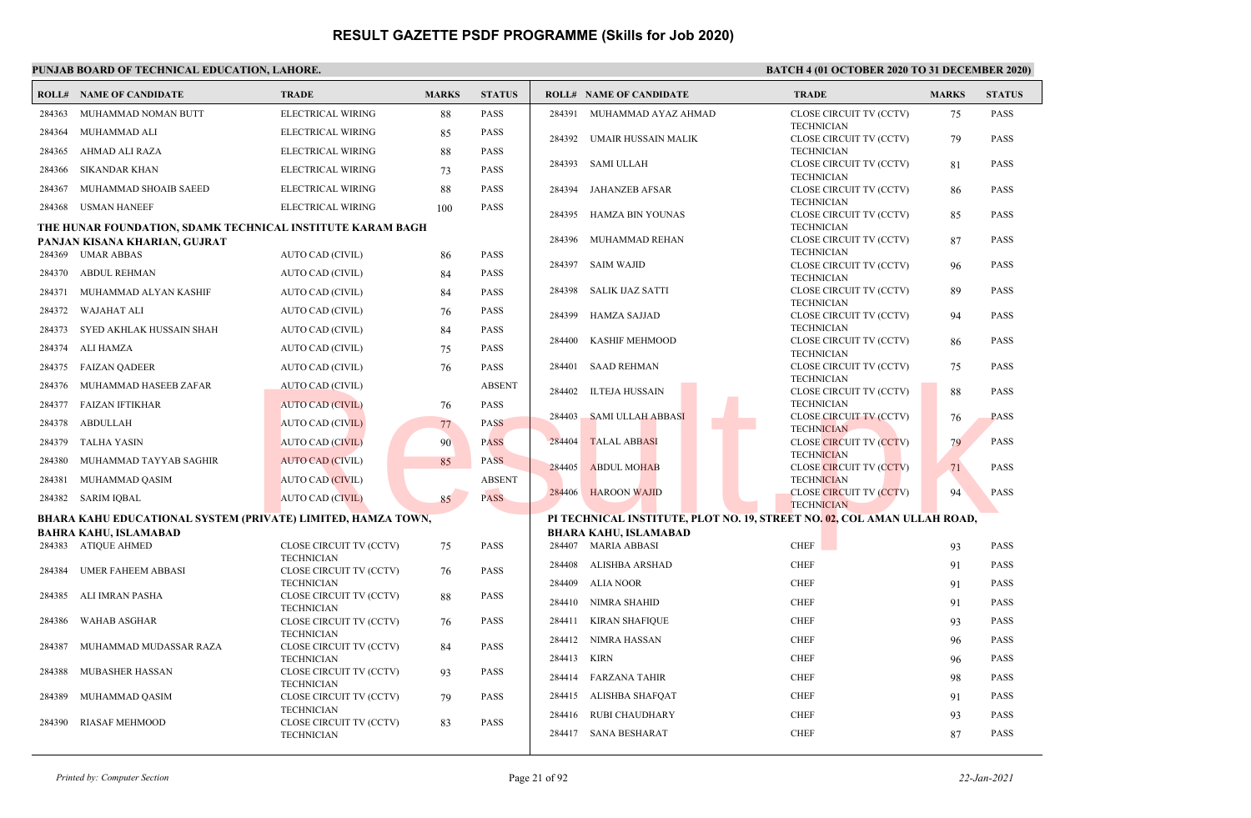|        | <b>ROLL# NAME OF CANDIDATE</b>                               | <b>TRADE</b>                                 | <b>MARKS</b> | <b>STATUS</b> |        | <b>ROLL# NAME OF CANDIDATE</b>                                           | <b>TRADE</b>                                        | <b>MARKS</b> | <b>STATUS</b> |
|--------|--------------------------------------------------------------|----------------------------------------------|--------------|---------------|--------|--------------------------------------------------------------------------|-----------------------------------------------------|--------------|---------------|
| 284363 | MUHAMMAD NOMAN BUTT                                          | ELECTRICAL WIRING                            | 88           | <b>PASS</b>   | 284391 | MUHAMMAD AYAZ AHMAD                                                      | CLOSE CIRCUIT TV (CCTV)                             | 75           | <b>PASS</b>   |
| 284364 | MUHAMMAD ALI                                                 | ELECTRICAL WIRING                            | 85           | <b>PASS</b>   | 284392 | UMAIR HUSSAIN MALIK                                                      | <b>TECHNICIAN</b><br>CLOSE CIRCUIT TV (CCTV)        | 79           | <b>PASS</b>   |
| 284365 | AHMAD ALI RAZA                                               | ELECTRICAL WIRING                            | 88           | <b>PASS</b>   |        |                                                                          | <b>TECHNICIAN</b>                                   |              |               |
| 284366 | <b>SIKANDAR KHAN</b>                                         | ELECTRICAL WIRING                            | 73           | <b>PASS</b>   | 284393 | SAMI ULLAH                                                               | CLOSE CIRCUIT TV (CCTV)<br><b>TECHNICIAN</b>        | 81           | <b>PASS</b>   |
| 284367 | MUHAMMAD SHOAIB SAEED                                        | ELECTRICAL WIRING                            | 88           | PASS          | 284394 | <b>JAHANZEB AFSAR</b>                                                    | CLOSE CIRCUIT TV (CCTV)                             | 86           | <b>PASS</b>   |
| 284368 | <b>USMAN HANEEF</b>                                          | ELECTRICAL WIRING                            | 100          | <b>PASS</b>   | 284395 | <b>HAMZA BIN YOUNAS</b>                                                  | <b>TECHNICIAN</b><br>CLOSE CIRCUIT TV (CCTV)        | 85           | <b>PASS</b>   |
|        | THE HUNAR FOUNDATION, SDAMK TECHNICAL INSTITUTE KARAM BAGH   |                                              |              |               |        |                                                                          | <b>TECHNICIAN</b>                                   |              |               |
|        | PANJAN KISANA KHARIAN, GUJRAT                                |                                              |              |               | 284396 | MUHAMMAD REHAN                                                           | CLOSE CIRCUIT TV (CCTV)                             | 87           | <b>PASS</b>   |
|        | 284369 UMAR ABBAS                                            | AUTO CAD (CIVIL)                             | 86           | <b>PASS</b>   | 284397 | <b>SAIM WAJID</b>                                                        | <b>TECHNICIAN</b><br>CLOSE CIRCUIT TV (CCTV)        | 96           | <b>PASS</b>   |
| 284370 | ABDUL REHMAN                                                 | AUTO CAD (CIVIL)                             | 84           | <b>PASS</b>   |        |                                                                          | <b>TECHNICIAN</b>                                   |              |               |
| 284371 | MUHAMMAD ALYAN KASHIF                                        | AUTO CAD (CIVIL)                             | 84           | <b>PASS</b>   | 284398 | SALIK IJAZ SATTI                                                         | CLOSE CIRCUIT TV (CCTV)                             | 89           | <b>PASS</b>   |
| 284372 | <b>WAJAHAT ALI</b>                                           | AUTO CAD (CIVIL)                             | 76           | <b>PASS</b>   | 284399 | <b>HAMZA SAJJAD</b>                                                      | <b>TECHNICIAN</b><br>CLOSE CIRCUIT TV (CCTV)        | 94           | <b>PASS</b>   |
| 284373 | SYED AKHLAK HUSSAIN SHAH                                     | AUTO CAD (CIVIL)                             | 84           | <b>PASS</b>   |        |                                                                          | <b>TECHNICIAN</b>                                   |              |               |
| 284374 | ALI HAMZA                                                    | AUTO CAD (CIVIL)                             | 75           | <b>PASS</b>   | 284400 | <b>KASHIF MEHMOOD</b>                                                    | CLOSE CIRCUIT TV (CCTV)<br><b>TECHNICIAN</b>        | 86           | <b>PASS</b>   |
|        | 284375 FAIZAN QADEER                                         | <b>AUTO CAD (CIVIL)</b>                      | 76           | <b>PASS</b>   | 284401 | <b>SAAD REHMAN</b>                                                       | CLOSE CIRCUIT TV (CCTV)                             | 75           | <b>PASS</b>   |
| 284376 | MUHAMMAD HASEEB ZAFAR                                        | <b>AUTO CAD (CIVIL)</b>                      |              | <b>ABSENT</b> | 284402 | <b>ILTEJA HUSSAIN</b>                                                    | <b>TECHNICIAN</b><br>CLOSE CIRCUIT TV (CCTV)        |              | <b>PASS</b>   |
| 284377 | <b>FAIZAN IFTIKHAR</b>                                       | <b>AUTO CAD (CIVIL)</b>                      | 76           | <b>PASS</b>   |        |                                                                          | <b>TECHNICIAN</b>                                   | 88           |               |
| 284378 | ABDULLAH                                                     | AUTO CAD (CIVIL)                             | 77           | <b>PASS</b>   | 284403 | SAMI ULLAH ABBASI                                                        | <b>CLOSE CIRCUIT TV (CCTV)</b><br><b>TECHNICIAN</b> | 76           | <b>PASS</b>   |
| 284379 | <b>TALHA YASIN</b>                                           | <b>AUTO CAD (CIVIL)</b>                      | 90           | <b>PASS</b>   | 284404 | <b>TALAL ABBASI</b>                                                      | <b>CLOSE CIRCUIT TV (CCTV)</b>                      | 79           | <b>PASS</b>   |
| 284380 | MUHAMMAD TAYYAB SAGHIR                                       | <b>AUTO CAD (CIVIL)</b>                      | 85           | <b>PASS</b>   | 284405 | <b>ABDUL MOHAB</b>                                                       | <b>TECHNICIAN</b><br><b>CLOSE CIRCUIT TV (CCTV)</b> | 71           | <b>PASS</b>   |
| 284381 | MUHAMMAD QASIM                                               | <b>AUTO CAD (CIVIL)</b>                      |              | <b>ABSENT</b> |        |                                                                          | <b>TECHNICIAN</b>                                   |              |               |
| 284382 | SARIM IQBAL                                                  | AUTO CAD (CIVIL)                             | 85           | <b>PASS</b>   | 284406 | <b>HAROON WAJID</b>                                                      | <b>CLOSE CIRCUIT TV (CCTV)</b>                      | 94           | <b>PASS</b>   |
|        | BHARA KAHU EDUCATIONAL SYSTEM (PRIVATE) LIMITED, HAMZA TOWN, |                                              |              |               |        | PI TECHNICAL INSTITUTE, PLOT NO. 19, STREET NO. 02, COL AMAN ULLAH ROAD, | <b>TECHNICIAN</b>                                   |              |               |
|        | <b>BAHRA KAHU, ISLAMABAD</b>                                 |                                              |              |               |        | <b>BHARA KAHU, ISLAMABAD</b>                                             |                                                     |              |               |
|        | 284383 ATIQUE AHMED                                          | CLOSE CIRCUIT TV (CCTV)                      | 75           | <b>PASS</b>   |        | 284407 MARIA ABBASI                                                      | <b>CHEF</b>                                         | 93           | <b>PASS</b>   |
| 284384 | <b>UMER FAHEEM ABBASI</b>                                    | <b>TECHNICIAN</b><br>CLOSE CIRCUIT TV (CCTV) | 76           | <b>PASS</b>   | 284408 | ALISHBA ARSHAD                                                           | <b>CHEF</b>                                         | 91           | <b>PASS</b>   |
|        |                                                              | <b>TECHNICIAN</b>                            |              |               | 284409 | ALIA NOOR                                                                | <b>CHEF</b>                                         | 91           | <b>PASS</b>   |
| 284385 | ALI IMRAN PASHA                                              | CLOSE CIRCUIT TV (CCTV)<br><b>TECHNICIAN</b> | 88           | <b>PASS</b>   | 284410 | <b>NIMRA SHAHID</b>                                                      | <b>CHEF</b>                                         | 91           | <b>PASS</b>   |
| 284386 | <b>WAHAB ASGHAR</b>                                          | CLOSE CIRCUIT TV (CCTV)                      | 76           | <b>PASS</b>   | 284411 | <b>KIRAN SHAFIQUE</b>                                                    | <b>CHEF</b>                                         | 93           | <b>PASS</b>   |
| 284387 | MUHAMMAD MUDASSAR RAZA                                       | <b>TECHNICIAN</b><br>CLOSE CIRCUIT TV (CCTV) | 84           | <b>PASS</b>   | 284412 | NIMRA HASSAN                                                             | <b>CHEF</b>                                         | 96           | <b>PASS</b>   |
|        |                                                              | <b>TECHNICIAN</b>                            |              |               | 284413 | <b>KIRN</b>                                                              | <b>CHEF</b>                                         | 96           | <b>PASS</b>   |
| 284388 | <b>MUBASHER HASSAN</b>                                       | CLOSE CIRCUIT TV (CCTV)<br><b>TECHNICIAN</b> | 93           | <b>PASS</b>   | 284414 | <b>FARZANA TAHIR</b>                                                     | <b>CHEF</b>                                         | 98           | <b>PASS</b>   |
| 284389 | MUHAMMAD QASIM                                               | CLOSE CIRCUIT TV (CCTV)                      | 79           | <b>PASS</b>   | 284415 | ALISHBA SHAFOAT                                                          | <b>CHEF</b>                                         | 91           | <b>PASS</b>   |
|        |                                                              | <b>TECHNICIAN</b>                            |              |               | 284416 | <b>RUBI CHAUDHARY</b>                                                    | <b>CHEF</b>                                         | 93           | <b>PASS</b>   |
| 284390 | <b>RIASAF MEHMOOD</b>                                        | CLOSE CIRCUIT TV (CCTV)<br><b>TECHNICIAN</b> | 83           | PASS          |        | 284417 SANA BESHARAT                                                     | <b>CHEF</b>                                         | 87           | <b>PASS</b>   |
|        |                                                              |                                              |              |               |        |                                                                          |                                                     |              |               |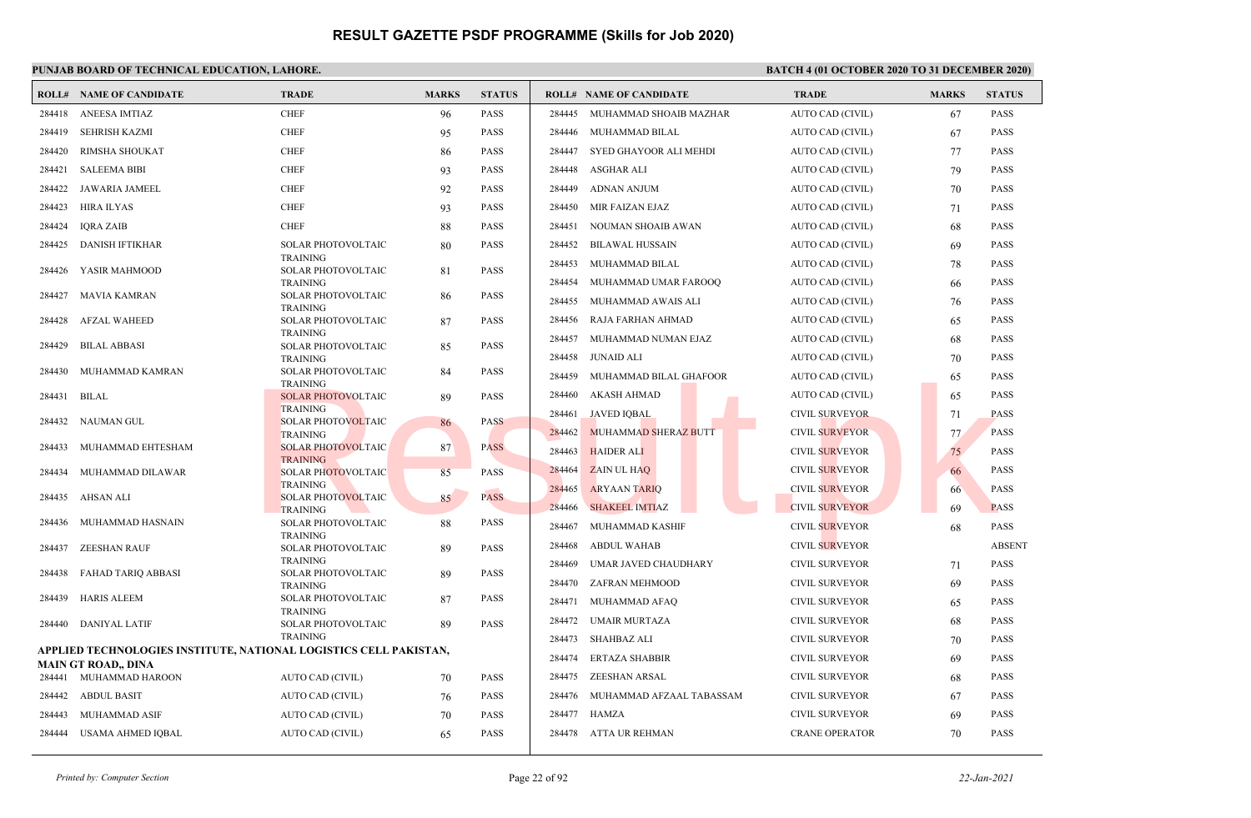### **PUNJAB BOARD OF TECHNICAL EDUCATION, LAHORE. BATCH 4 (01 OCTOBER 2020 TO 31 DECEMBER 2020)**

|        | <b>ROLL# NAME OF CANDIDATE</b>                                    | <b>TRADE</b>                                 | <b>MARKS</b> | <b>STATUS</b> |        | <b>ROLL# NAME OF CANDIDATE</b> | <b>TRADE</b>          | <b>MARKS</b> | <b>STATUS</b> |
|--------|-------------------------------------------------------------------|----------------------------------------------|--------------|---------------|--------|--------------------------------|-----------------------|--------------|---------------|
| 284418 | <b>ANEESA IMTIAZ</b>                                              | <b>CHEF</b>                                  | 96           | PASS          | 284445 | MUHAMMAD SHOAIB MAZHAR         | AUTO CAD (CIVIL)      | 67           | <b>PASS</b>   |
| 284419 | <b>SEHRISH KAZMI</b>                                              | <b>CHEF</b>                                  | 95           | PASS          | 284446 | MUHAMMAD BILAL                 | AUTO CAD (CIVIL)      | 67           | <b>PASS</b>   |
| 284420 | <b>RIMSHA SHOUKAT</b>                                             | <b>CHEF</b>                                  | 86           | PASS          | 284447 | SYED GHAYOOR ALI MEHDI         | AUTO CAD (CIVIL)      | 77           | <b>PASS</b>   |
| 284421 | <b>SALEEMA BIBI</b>                                               | <b>CHEF</b>                                  | 93           | PASS          | 284448 | ASGHAR ALI                     | AUTO CAD (CIVIL)      | 79           | <b>PASS</b>   |
| 284422 | <b>JAWARIA JAMEEL</b>                                             | <b>CHEF</b>                                  | 92           | PASS          | 284449 | <b>ADNAN ANJUM</b>             | AUTO CAD (CIVIL)      | 70           | <b>PASS</b>   |
| 284423 | <b>HIRA ILYAS</b>                                                 | <b>CHEF</b>                                  | 93           | PASS          | 284450 | MIR FAIZAN EJAZ                | AUTO CAD (CIVIL)      | 71           | <b>PASS</b>   |
| 284424 | <b>IQRA ZAIB</b>                                                  | <b>CHEF</b>                                  | 88           | PASS          | 284451 | NOUMAN SHOAIB AWAN             | AUTO CAD (CIVIL)      | 68           | <b>PASS</b>   |
| 284425 | <b>DANISH IFTIKHAR</b>                                            | SOLAR PHOTOVOLTAIC                           | 80           | PASS          | 284452 | <b>BILAWAL HUSSAIN</b>         | AUTO CAD (CIVIL)      | 69           | <b>PASS</b>   |
|        |                                                                   | <b>TRAINING</b>                              |              |               | 284453 | MUHAMMAD BILAL                 | AUTO CAD (CIVIL)      | 78           | <b>PASS</b>   |
| 284426 | YASIR MAHMOOD                                                     | SOLAR PHOTOVOLTAIC<br><b>TRAINING</b>        | 81           | PASS          | 284454 | MUHAMMAD UMAR FAROOQ           | AUTO CAD (CIVIL)      | 66           | <b>PASS</b>   |
| 284427 | <b>MAVIA KAMRAN</b>                                               | SOLAR PHOTOVOLTAIC                           | 86           | PASS          | 284455 | MUHAMMAD AWAIS ALI             | AUTO CAD (CIVIL)      | 76           | <b>PASS</b>   |
| 284428 | <b>AFZAL WAHEED</b>                                               | <b>TRAINING</b><br><b>SOLAR PHOTOVOLTAIC</b> | 87           | PASS          | 284456 | RAJA FARHAN AHMAD              | AUTO CAD (CIVIL)      | 65           | <b>PASS</b>   |
|        |                                                                   | <b>TRAINING</b>                              |              |               | 284457 | MUHAMMAD NUMAN EJAZ            | AUTO CAD (CIVIL)      | 68           | <b>PASS</b>   |
| 284429 | <b>BILAL ABBASI</b>                                               | <b>SOLAR PHOTOVOLTAIC</b><br><b>TRAINING</b> | 85           | PASS          | 284458 | <b>JUNAID ALI</b>              | AUTO CAD (CIVIL)      | 70           | <b>PASS</b>   |
| 284430 | MUHAMMAD KAMRAN                                                   | <b>SOLAR PHOTOVOLTAIC</b>                    | 84           | PASS          | 284459 | MUHAMMAD BILAL GHAFOOR         | AUTO CAD (CIVIL)      | 65           | <b>PASS</b>   |
| 284431 | <b>BILAL</b>                                                      | <b>TRAINING</b><br><b>SOLAR PHOTOVOLTAIC</b> | 89           | PASS          | 284460 | <b>AKASH AHMAD</b>             | AUTO CAD (CIVIL)      | 65           | <b>PASS</b>   |
|        |                                                                   | <b>TRAINING</b>                              |              |               | 284461 | JAVED IQBAL                    | <b>CIVIL SURVEYOR</b> | 71           | <b>PASS</b>   |
| 284432 | <b>NAUMAN GUL</b>                                                 | <b>SOLAR PHOTOVOLTAIC</b>                    | 86           | <b>PASS</b>   | 284462 | MUHAMMAD SHERAZ BUTT           | <b>CIVIL SURVEYOR</b> |              | <b>PASS</b>   |
| 284433 | MUHAMMAD EHTESHAM                                                 | <b>TRAINING</b><br><b>SOLAR PHOTOVOLTAIC</b> | 87           | <b>PASS</b>   |        |                                |                       | 77           |               |
|        |                                                                   | <b>TRAINING</b>                              |              |               | 284463 | <b>HAIDER ALI</b>              | <b>CIVIL SURVEYOR</b> | 75           | <b>PASS</b>   |
| 284434 | MUHAMMAD DILAWAR                                                  | <b>SOLAR PHOTOVOLTAIC</b>                    | 85           | <b>PASS</b>   | 284464 | <b>ZAIN UL HAQ</b>             | <b>CIVIL SURVEYOR</b> | 66           | <b>PASS</b>   |
| 284435 | AHSAN ALI                                                         | <b>TRAINING</b><br><b>SOLAR PHOTOVOLTAIC</b> | 85           | <b>PASS</b>   | 284465 | <b>ARYAAN TARIO</b>            | <b>CIVIL SURVEYOR</b> | 66           | <b>PASS</b>   |
|        |                                                                   | <b>TRAINING</b>                              |              |               | 284466 | <b>SHAKEEL IMTIAZ</b>          | <b>CIVIL SURVEYOR</b> | 69           | <b>PASS</b>   |
| 284436 | MUHAMMAD HASNAIN                                                  | <b>SOLAR PHOTOVOLTAIC</b>                    | 88           | PASS          | 284467 | MUHAMMAD KASHIF                | <b>CIVIL SURVEYOR</b> | 68           | PASS          |
| 284437 | <b>ZEESHAN RAUF</b>                                               | <b>TRAINING</b><br>SOLAR PHOTOVOLTAIC        | 89           | PASS          | 284468 | <b>ABDUL WAHAB</b>             | <b>CIVIL SURVEYOR</b> |              | <b>ABSENT</b> |
|        |                                                                   | <b>TRAINING</b>                              |              |               | 284469 | UMAR JAVED CHAUDHARY           | <b>CIVIL SURVEYOR</b> | 71           | <b>PASS</b>   |
| 284438 | <b>FAHAD TARIQ ABBASI</b>                                         | <b>SOLAR PHOTOVOLTAIC</b><br><b>TRAINING</b> | 89           | PASS          | 284470 | ZAFRAN MEHMOOD                 | <b>CIVIL SURVEYOR</b> | 69           | <b>PASS</b>   |
| 284439 | <b>HARIS ALEEM</b>                                                | <b>SOLAR PHOTOVOLTAIC</b>                    | 87           | PASS          | 284471 | MUHAMMAD AFAQ                  | <b>CIVIL SURVEYOR</b> | 65           | <b>PASS</b>   |
| 284440 | DANIYAL LATIF                                                     | <b>TRAINING</b><br><b>SOLAR PHOTOVOLTAIC</b> | 89           | PASS          | 284472 | <b>UMAIR MURTAZA</b>           | <b>CIVIL SURVEYOR</b> | 68           | <b>PASS</b>   |
|        |                                                                   | <b>TRAINING</b>                              |              |               | 284473 | <b>SHAHBAZ ALI</b>             | <b>CIVIL SURVEYOR</b> | 70           | <b>PASS</b>   |
|        | APPLIED TECHNOLOGIES INSTITUTE, NATIONAL LOGISTICS CELL PAKISTAN, |                                              |              |               | 284474 | <b>ERTAZA SHABBIR</b>          | <b>CIVIL SURVEYOR</b> | 69           | <b>PASS</b>   |
|        | MAIN GT ROAD,, DINA<br>284441 MUHAMMAD HAROON                     | AUTO CAD (CIVIL)                             | 70           | <b>PASS</b>   | 284475 | ZEESHAN ARSAL                  | <b>CIVIL SURVEYOR</b> | 68           | <b>PASS</b>   |
|        |                                                                   |                                              |              |               |        |                                |                       |              |               |
| 284442 | <b>ABDUL BASIT</b>                                                | AUTO CAD (CIVIL)                             | 76           | PASS          | 284476 | MUHAMMAD AFZAAL TABASSAM       | <b>CIVIL SURVEYOR</b> | 67           | <b>PASS</b>   |
| 284443 | <b>MUHAMMAD ASIF</b>                                              | AUTO CAD (CIVIL)                             | 70           | PASS          | 284477 | HAMZA                          | <b>CIVIL SURVEYOR</b> | 69           | <b>PASS</b>   |
| 284444 | USAMA AHMED IQBAL                                                 | AUTO CAD (CIVIL)                             | 65           | PASS          |        | 284478 ATTA UR REHMAN          | <b>CRANE OPERATOR</b> | 70           | <b>PASS</b>   |

*Printed by: Computer Section* Page 22 of 92 *22-Jan-2021*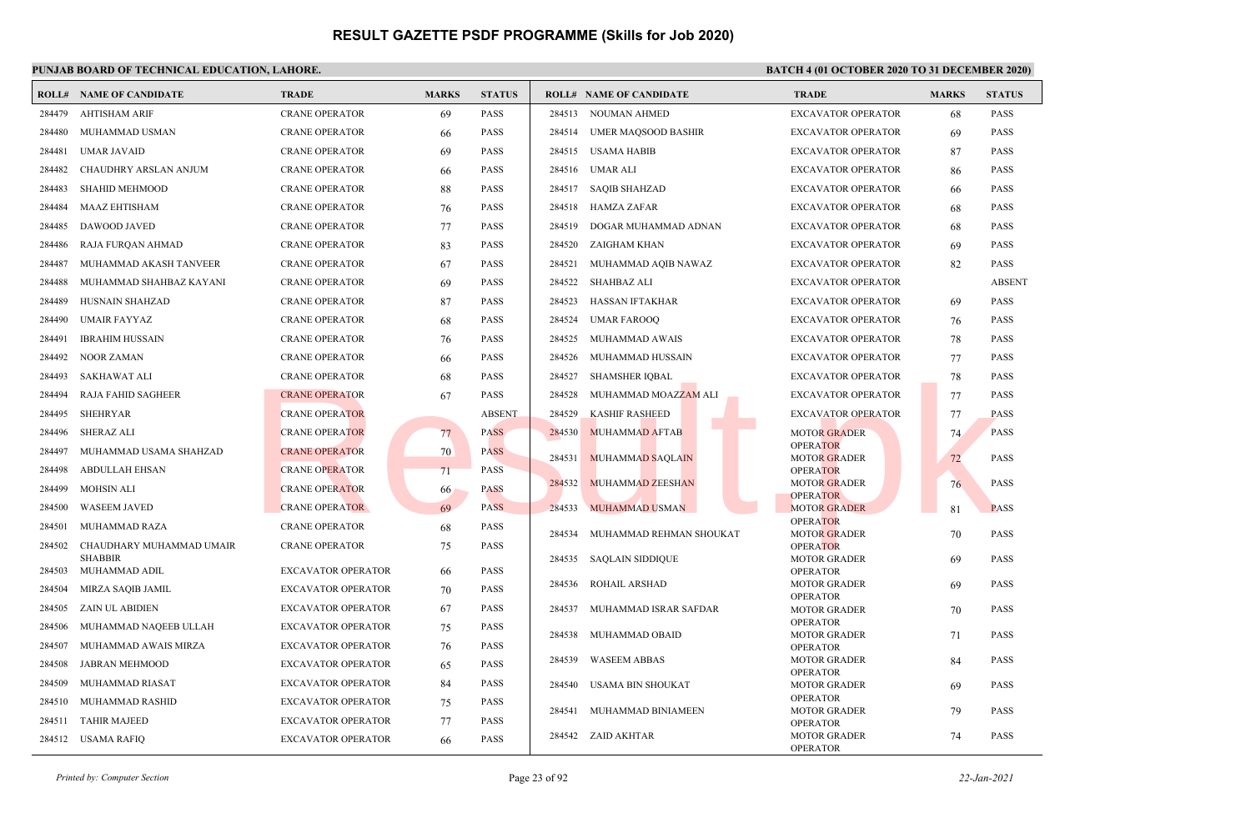### **PUNJAB BOARD OF TECHNICAL EDUCATION, LAHORE. BATCH 4 (01 OCTOBER 2020 TO 31 DECEMBER 2020)**

|                  | <b>ROLL# NAME OF CANDIDATE</b>              | <b>TRADE</b>                                           | <b>MARKS</b> | <b>STATUS</b>              |        | <b>ROLL# NAME OF CANDIDATE</b> | <b>TRADE</b>                           | <b>MARKS</b> | <b>STATUS</b> |
|------------------|---------------------------------------------|--------------------------------------------------------|--------------|----------------------------|--------|--------------------------------|----------------------------------------|--------------|---------------|
| 284479           | <b>AHTISHAM ARIF</b>                        | <b>CRANE OPERATOR</b>                                  | 69           | <b>PASS</b>                |        | 284513 NOUMAN AHMED            | <b>EXCAVATOR OPERATOR</b>              | 68           | <b>PASS</b>   |
| 284480           | MUHAMMAD USMAN                              | <b>CRANE OPERATOR</b>                                  | 66           | PASS                       |        | 284514 UMER MAQSOOD BASHIR     | <b>EXCAVATOR OPERATOR</b>              | 69           | <b>PASS</b>   |
| 284481           | <b>UMAR JAVAID</b>                          | <b>CRANE OPERATOR</b>                                  | 69           | <b>PASS</b>                |        | 284515 USAMA HABIB             | <b>EXCAVATOR OPERATOR</b>              | 87           | <b>PASS</b>   |
| 284482           | CHAUDHRY ARSLAN ANJUM                       | <b>CRANE OPERATOR</b>                                  | 66           | <b>PASS</b>                |        | 284516 UMAR ALI                | <b>EXCAVATOR OPERATOR</b>              | 86           | <b>PASS</b>   |
| 284483           | <b>SHAHID MEHMOOD</b>                       | <b>CRANE OPERATOR</b>                                  | 88           | <b>PASS</b>                | 284517 | <b>SAQIB SHAHZAD</b>           | <b>EXCAVATOR OPERATOR</b>              | 66           | <b>PASS</b>   |
| 284484           | <b>MAAZ EHTISHAM</b>                        | <b>CRANE OPERATOR</b>                                  | 76           | <b>PASS</b>                | 284518 | HAMZA ZAFAR                    | <b>EXCAVATOR OPERATOR</b>              | 68           | <b>PASS</b>   |
| 284485           | <b>DAWOOD JAVED</b>                         | <b>CRANE OPERATOR</b>                                  | 77           | <b>PASS</b>                | 284519 | DOGAR MUHAMMAD ADNAN           | <b>EXCAVATOR OPERATOR</b>              | 68           | <b>PASS</b>   |
| 284486           | RAJA FURQAN AHMAD                           | <b>CRANE OPERATOR</b>                                  | 83           | <b>PASS</b>                | 284520 | ZAIGHAM KHAN                   | <b>EXCAVATOR OPERATOR</b>              | 69           | <b>PASS</b>   |
| 284487           | MUHAMMAD AKASH TANVEER                      | <b>CRANE OPERATOR</b>                                  | 67           | <b>PASS</b>                | 284521 | MUHAMMAD AQIB NAWAZ            | <b>EXCAVATOR OPERATOR</b>              | 82           | <b>PASS</b>   |
| 284488           | MUHAMMAD SHAHBAZ KAYANI                     | <b>CRANE OPERATOR</b>                                  | 69           | <b>PASS</b>                | 284522 | <b>SHAHBAZ ALI</b>             | <b>EXCAVATOR OPERATOR</b>              |              | <b>ABSENT</b> |
| 284489           | HUSNAIN SHAHZAD                             | <b>CRANE OPERATOR</b>                                  | 87           | PASS                       | 284523 | HASSAN IFTAKHAR                | <b>EXCAVATOR OPERATOR</b>              | 69           | <b>PASS</b>   |
| 284490           | <b>UMAIR FAYYAZ</b>                         | <b>CRANE OPERATOR</b>                                  | 68           | <b>PASS</b>                | 284524 | <b>UMAR FAROOQ</b>             | <b>EXCAVATOR OPERATOR</b>              | 76           | <b>PASS</b>   |
| 284491           | <b>IBRAHIM HUSSAIN</b>                      | <b>CRANE OPERATOR</b>                                  | 76           | <b>PASS</b>                | 284525 | MUHAMMAD AWAIS                 | <b>EXCAVATOR OPERATOR</b>              | 78           | <b>PASS</b>   |
| 284492           | <b>NOOR ZAMAN</b>                           | <b>CRANE OPERATOR</b>                                  | 66           | <b>PASS</b>                | 284526 | MUHAMMAD HUSSAIN               | <b>EXCAVATOR OPERATOR</b>              | 77           | <b>PASS</b>   |
| 284493           | <b>SAKHAWAT ALI</b>                         | <b>CRANE OPERATOR</b>                                  | 68           | PASS                       | 284527 | <b>SHAMSHER IQBAL</b>          | <b>EXCAVATOR OPERATOR</b>              | 78           | <b>PASS</b>   |
| 284494           | <b>RAJA FAHID SAGHEER</b>                   | <b>CRANE OPERATOR</b>                                  | 67           | <b>PASS</b>                | 284528 | MUHAMMAD MOAZZAM ALI           | <b>EXCAVATOR OPERATOR</b>              | 77           | <b>PASS</b>   |
| 284495           | <b>SHEHRYAR</b>                             | <b>CRANE OPERATOR</b>                                  |              | <b>ABSENT</b>              | 284529 | <b>KASHIF RASHEED</b>          | <b>EXCAVATOR OPERATOR</b>              | 77           | <b>PASS</b>   |
| 284496           | <b>SHERAZ ALI</b>                           | <b>CRANE OPERATOR</b>                                  | 77           | <b>PASS</b>                | 284530 | <b>MUHAMMAD AFTAB</b>          | <b>MOTOR GRADER</b>                    | 74           | <b>PASS</b>   |
| 284497           | MUHAMMAD USAMA SHAHZAD                      | <b>CRANE OPERATOR</b>                                  | 70           | <b>PASS</b>                | 284531 | <b>MUHAMMAD SAQLAIN</b>        | <b>OPERATOR</b><br><b>MOTOR GRADER</b> |              | <b>PASS</b>   |
| 284498           | <b>ABDULLAH EHSAN</b>                       | <b>CRANE OPERATOR</b>                                  | 71           | <b>PASS</b>                |        |                                | <b>OPERATOR</b>                        | 72           |               |
| 284499           | MOHSIN ALI                                  | <b>CRANE OPERATOR</b>                                  | 66           | <b>PASS</b>                | 284532 | <b>MUHAMMAD ZEESHAN</b>        | <b>MOTOR GRADER</b><br><b>OPERATOR</b> | 76           | <b>PASS</b>   |
| 284500           | <b>WASEEM JAVED</b>                         | <b>CRANE OPERATOR</b>                                  | 69           | <b>PASS</b>                | 284533 | <b>MUHAMMAD USMAN</b>          | <b>MOTOR GRADER</b>                    | 81           | <b>PASS</b>   |
| 284501           | <b>MUHAMMAD RAZA</b>                        | <b>CRANE OPERATOR</b>                                  | 68           | PASS                       |        |                                | <b>OPERATOR</b>                        |              |               |
| 284502           | CHAUDHARY MUHAMMAD UMAIR                    | <b>CRANE OPERATOR</b>                                  | 75           | <b>PASS</b>                | 284534 | MUHAMMAD REHMAN SHOUKAT        | <b>MOTOR GRADER</b><br><b>OPERATOR</b> | 70           | <b>PASS</b>   |
| 284503           | <b>SHABBIR</b><br>MUHAMMAD ADIL             | <b>EXCAVATOR OPERATOR</b>                              |              | <b>PASS</b>                | 284535 | <b>SAQLAIN SIDDIQUE</b>        | <b>MOTOR GRADER</b>                    | 69           | <b>PASS</b>   |
|                  |                                             |                                                        | 66           |                            | 284536 | ROHAIL ARSHAD                  | <b>OPERATOR</b><br><b>MOTOR GRADER</b> | 69           | <b>PASS</b>   |
| 284504<br>284505 | MIRZA SAQIB JAMIL<br><b>ZAIN UL ABIDIEN</b> | <b>EXCAVATOR OPERATOR</b><br><b>EXCAVATOR OPERATOR</b> | 70           | <b>PASS</b><br><b>PASS</b> |        |                                | <b>OPERATOR</b>                        |              |               |
|                  |                                             |                                                        | 67           |                            | 284537 | MUHAMMAD ISRAR SAFDAR          | <b>MOTOR GRADER</b><br><b>OPERATOR</b> | 70           | <b>PASS</b>   |
| 284506           | MUHAMMAD NAQEEB ULLAH                       | <b>EXCAVATOR OPERATOR</b>                              | 75           | PASS                       | 284538 | MUHAMMAD OBAID                 | <b>MOTOR GRADER</b>                    | 71           | <b>PASS</b>   |
| 284507           | MUHAMMAD AWAIS MIRZA                        | <b>EXCAVATOR OPERATOR</b>                              | 76           | <b>PASS</b>                | 284539 | <b>WASEEM ABBAS</b>            | <b>OPERATOR</b><br><b>MOTOR GRADER</b> | 84           | <b>PASS</b>   |
| 284508           | JABRAN MEHMOOD                              | <b>EXCAVATOR OPERATOR</b>                              | 65           | <b>PASS</b>                |        |                                | <b>OPERATOR</b>                        |              |               |
| 284509           | MUHAMMAD RIASAT                             | <b>EXCAVATOR OPERATOR</b>                              | 84           | <b>PASS</b>                | 284540 | <b>USAMA BIN SHOUKAT</b>       | <b>MOTOR GRADER</b><br><b>OPERATOR</b> | 69           | <b>PASS</b>   |
| 284510           | MUHAMMAD RASHID                             | <b>EXCAVATOR OPERATOR</b>                              | 75           | <b>PASS</b>                | 284541 | MUHAMMAD BINIAMEEN             | <b>MOTOR GRADER</b>                    | 79           | <b>PASS</b>   |
| 284511           | <b>TAHIR MAJEED</b>                         | <b>EXCAVATOR OPERATOR</b>                              | 77           | <b>PASS</b>                |        | 284542 ZAID AKHTAR             | <b>OPERATOR</b><br><b>MOTOR GRADER</b> | 74           | <b>PASS</b>   |
|                  | 284512 USAMA RAFIQ                          | <b>EXCAVATOR OPERATOR</b>                              | 66           | <b>PASS</b>                |        |                                | <b>OPERATOR</b>                        |              |               |

*Printed by: Computer Section* Page 23 of 92 *22-Jan-2021*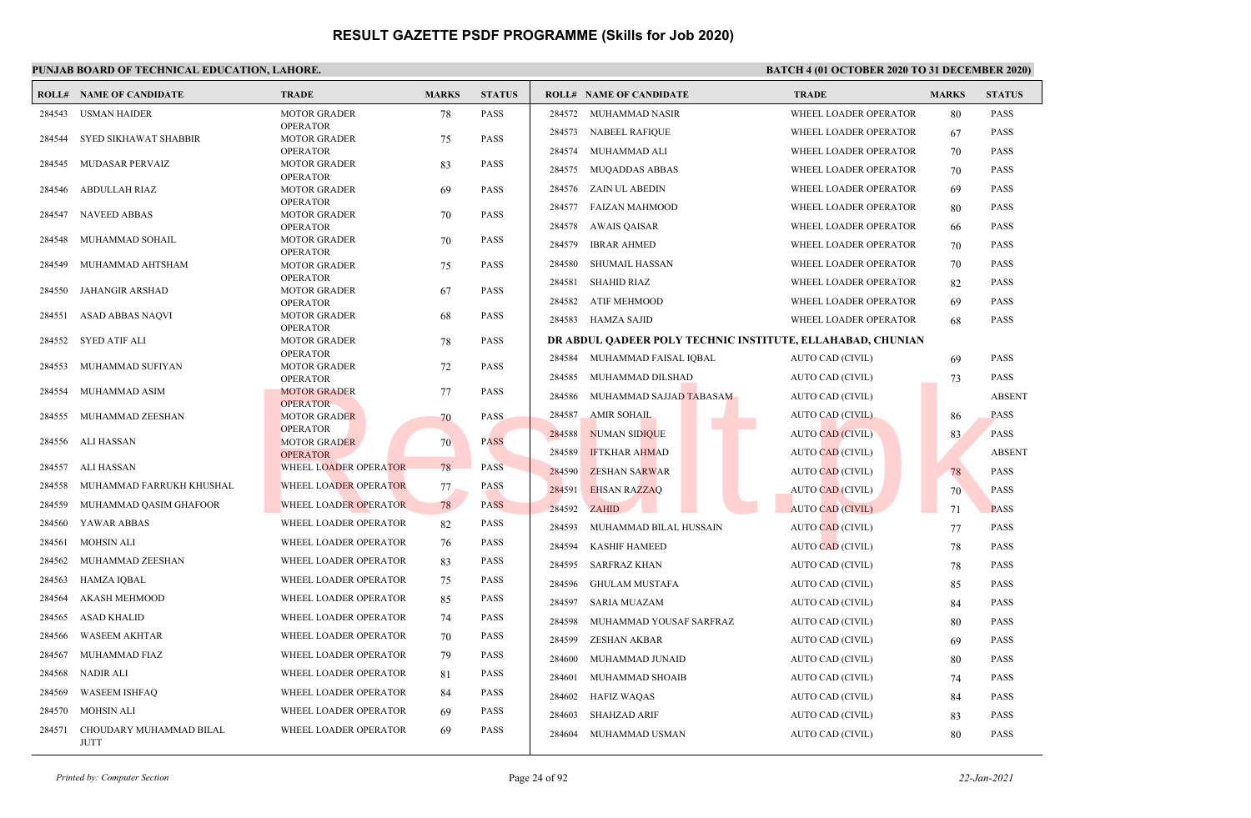### **PUNJAB BOARD OF TECHNICAL EDUCATION, LAHORE. BATCH 4 (01 OCTOBER 2020 TO 31 DECEMBER 2020)**

|        | <b>ROLL# NAME OF CANDIDATE</b>         | <b>TRADE</b>                           | <b>MARKS</b> | <b>STATUS</b> |        | <b>ROLL# NAME OF CANDIDATE</b>                             | <b>TRADE</b>            | <b>MARKS</b> | <b>STATUS</b> |
|--------|----------------------------------------|----------------------------------------|--------------|---------------|--------|------------------------------------------------------------|-------------------------|--------------|---------------|
| 284543 | <b>USMAN HAIDER</b>                    | <b>MOTOR GRADER</b>                    | 78           | <b>PASS</b>   | 284572 | MUHAMMAD NASIR                                             | WHEEL LOADER OPERATOR   | 80           | <b>PASS</b>   |
|        |                                        | <b>OPERATOR</b>                        |              |               | 284573 | <b>NABEEL RAFIQUE</b>                                      | WHEEL LOADER OPERATOR   | 67           | PASS          |
| 284544 | <b>SYED SIKHAWAT SHABBIR</b>           | <b>MOTOR GRADER</b><br><b>OPERATOR</b> | 75           | <b>PASS</b>   | 284574 | MUHAMMAD ALI                                               | WHEEL LOADER OPERATOR   | 70           | <b>PASS</b>   |
| 284545 | MUDASAR PERVAIZ                        | <b>MOTOR GRADER</b>                    | 83           | <b>PASS</b>   | 284575 | <b>MUQADDAS ABBAS</b>                                      | WHEEL LOADER OPERATOR   | 70           | <b>PASS</b>   |
| 284546 | <b>ABDULLAH RIAZ</b>                   | <b>OPERATOR</b><br><b>MOTOR GRADER</b> |              | <b>PASS</b>   | 284576 | ZAIN UL ABEDIN                                             | WHEEL LOADER OPERATOR   | 69           | <b>PASS</b>   |
|        |                                        | <b>OPERATOR</b>                        | 69           |               |        |                                                            |                         |              |               |
| 284547 | <b>NAVEED ABBAS</b>                    | <b>MOTOR GRADER</b>                    | 70           | <b>PASS</b>   | 284577 | <b>FAIZAN MAHMOOD</b>                                      | WHEEL LOADER OPERATOR   | 80           | <b>PASS</b>   |
| 284548 | MUHAMMAD SOHAIL                        | <b>OPERATOR</b><br><b>MOTOR GRADER</b> | 70           | <b>PASS</b>   | 284578 | AWAIS QAISAR                                               | WHEEL LOADER OPERATOR   | 66           | <b>PASS</b>   |
|        |                                        | <b>OPERATOR</b>                        |              |               | 284579 | <b>IBRAR AHMED</b>                                         | WHEEL LOADER OPERATOR   | 70           | <b>PASS</b>   |
| 284549 | MUHAMMAD AHTSHAM                       | <b>MOTOR GRADER</b>                    | 75           | <b>PASS</b>   | 284580 | <b>SHUMAIL HASSAN</b>                                      | WHEEL LOADER OPERATOR   | 70           | <b>PASS</b>   |
| 284550 | JAHANGIR ARSHAD                        | <b>OPERATOR</b><br><b>MOTOR GRADER</b> | 67           | <b>PASS</b>   | 284581 | <b>SHAHID RIAZ</b>                                         | WHEEL LOADER OPERATOR   | 82           | PASS          |
|        |                                        | <b>OPERATOR</b>                        |              |               | 284582 | ATIF MEHMOOD                                               | WHEEL LOADER OPERATOR   | 69           | PASS          |
| 284551 | ASAD ABBAS NAQVI                       | <b>MOTOR GRADER</b>                    | 68           | <b>PASS</b>   | 284583 | HAMZA SAJID                                                | WHEEL LOADER OPERATOR   | 68           | <b>PASS</b>   |
| 284552 | SYED ATIF ALI                          | <b>OPERATOR</b><br><b>MOTOR GRADER</b> | 78           | <b>PASS</b>   |        | DR ABDUL OADEER POLY TECHNIC INSTITUTE, ELLAHABAD, CHUNIAN |                         |              |               |
|        |                                        | <b>OPERATOR</b>                        |              |               | 284584 | MUHAMMAD FAISAL IQBAL                                      | AUTO CAD (CIVIL)        | 69           | PASS          |
| 284553 | MUHAMMAD SUFIYAN                       | <b>MOTOR GRADER</b>                    | 72           | <b>PASS</b>   |        |                                                            |                         |              |               |
| 284554 | MUHAMMAD ASIM                          | <b>OPERATOR</b><br><b>MOTOR GRADER</b> | 77           | <b>PASS</b>   | 284585 | MUHAMMAD DILSHAD                                           | AUTO CAD (CIVIL)        | 73           | <b>PASS</b>   |
|        |                                        | <b>OPERATOR</b>                        |              |               | 284586 | MUHAMMAD SAJJAD TABASAM                                    | AUTO CAD (CIVIL)        |              | <b>ABSENT</b> |
| 284555 | MUHAMMAD ZEESHAN                       | <b>MOTOR GRADER</b>                    | 70           | <b>PASS</b>   | 284587 | <b>AMIR SOHAIL</b>                                         | <b>AUTO CAD (CIVIL)</b> | 86           | PASS          |
| 284556 | ALI HASSAN                             | <b>OPERATOR</b><br><b>MOTOR GRADER</b> | 70           | <b>PASS</b>   | 284588 | <b>NUMAN SIDIOUE</b>                                       | <b>AUTO CAD (CIVIL)</b> | 83           | <b>PASS</b>   |
|        |                                        | <b>OPERATOR</b>                        |              |               | 284589 | <b>IFTKHAR AHMAD</b>                                       | <b>AUTO CAD (CIVIL)</b> |              | <b>ABSENT</b> |
| 284557 | ALI HASSAN                             | WHEEL LOADER OPERATOR                  | 78           | <b>PASS</b>   | 284590 | <b>ZESHAN SARWAR</b>                                       | AUTO CAD (CIVIL)        | 78           | <b>PASS</b>   |
| 284558 | MUHAMMAD FARRUKH KHUSHAL               | WHEEL LOADER OPERATOR                  | 77.          | <b>PASS</b>   | 284591 | <b>EHSAN RAZZAQ</b>                                        | <b>AUTO CAD (CIVIL)</b> | 70           | <b>PASS</b>   |
| 284559 | MUHAMMAD QASIM GHAFOOR                 | WHEEL LOADER OPERATOR                  | 78           | <b>PASS</b>   | 284592 | <b>ZAHID</b>                                               | <b>AUTO CAD (CIVIL)</b> | 71           | <b>PASS</b>   |
| 284560 | YAWAR ABBAS                            | WHEEL LOADER OPERATOR                  | 82           | <b>PASS</b>   | 284593 | MUHAMMAD BILAL HUSSAIN                                     | <b>AUTO CAD (CIVIL)</b> | 77           | <b>PASS</b>   |
| 284561 | <b>MOHSIN ALI</b>                      | WHEEL LOADER OPERATOR                  | 76           | <b>PASS</b>   | 284594 | <b>KASHIF HAMEED</b>                                       | <b>AUTO CAD (CIVIL)</b> | 78           | <b>PASS</b>   |
| 284562 | MUHAMMAD ZEESHAN                       | WHEEL LOADER OPERATOR                  | 83           | <b>PASS</b>   | 284595 | <b>SARFRAZ KHAN</b>                                        | AUTO CAD (CIVIL)        | 78           | PASS          |
| 284563 | <b>HAMZA IQBAL</b>                     | WHEEL LOADER OPERATOR                  | 75           | <b>PASS</b>   | 284596 | <b>GHULAM MUSTAFA</b>                                      | AUTO CAD (CIVIL)        | 85           | <b>PASS</b>   |
| 284564 | <b>AKASH MEHMOOD</b>                   | WHEEL LOADER OPERATOR                  | 85           | <b>PASS</b>   | 284597 | <b>SARIA MUAZAM</b>                                        | AUTO CAD (CIVIL)        | 84           | PASS          |
| 284565 | <b>ASAD KHALID</b>                     | WHEEL LOADER OPERATOR                  | 74           | <b>PASS</b>   | 284598 | MUHAMMAD YOUSAF SARFRAZ                                    | AUTO CAD (CIVIL)        | 80           | <b>PASS</b>   |
| 284566 | <b>WASEEM AKHTAR</b>                   | WHEEL LOADER OPERATOR                  | 70           | <b>PASS</b>   | 284599 | <b>ZESHAN AKBAR</b>                                        | AUTO CAD (CIVIL)        | 69           | <b>PASS</b>   |
| 284567 | MUHAMMAD FIAZ                          | WHEEL LOADER OPERATOR                  | 79           | <b>PASS</b>   | 284600 | MUHAMMAD JUNAID                                            | AUTO CAD (CIVIL)        | 80           | <b>PASS</b>   |
| 284568 | <b>NADIR ALI</b>                       | WHEEL LOADER OPERATOR                  | 81           | <b>PASS</b>   | 284601 | MUHAMMAD SHOAIB                                            | AUTO CAD (CIVIL)        | 74           | <b>PASS</b>   |
| 284569 | <b>WASEEM ISHFAO</b>                   | WHEEL LOADER OPERATOR                  | 84           | <b>PASS</b>   | 284602 | <b>HAFIZ WAQAS</b>                                         | AUTO CAD (CIVIL)        | 84           | <b>PASS</b>   |
| 284570 | <b>MOHSIN ALI</b>                      | WHEEL LOADER OPERATOR                  | 69           | <b>PASS</b>   | 284603 | <b>SHAHZAD ARIF</b>                                        | AUTO CAD (CIVIL)        | 83           | <b>PASS</b>   |
| 284571 | CHOUDARY MUHAMMAD BILAL<br><b>JUTT</b> | WHEEL LOADER OPERATOR                  | 69           | <b>PASS</b>   | 284604 | MUHAMMAD USMAN                                             | AUTO CAD (CIVIL)        | 80           | <b>PASS</b>   |

*Printed by: Computer Section* Page 24 of 92 *22-Jan-2021*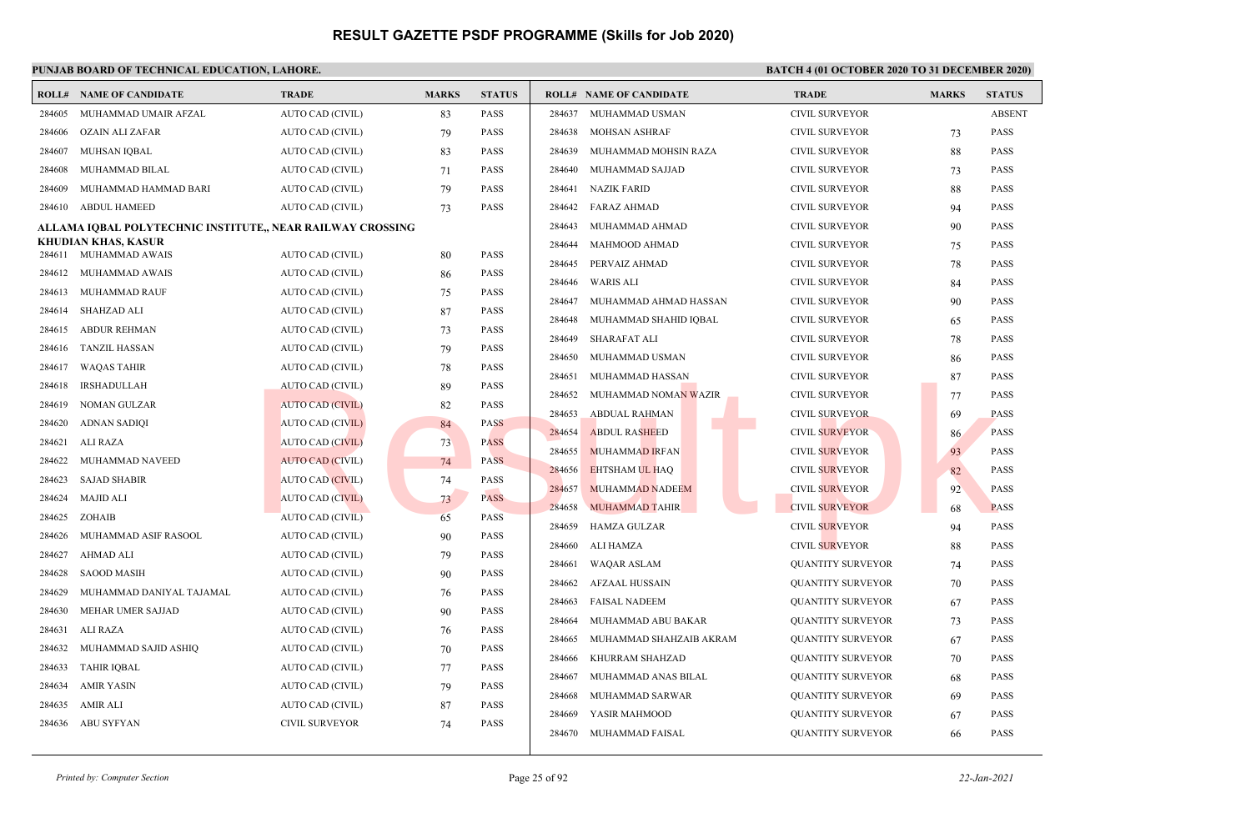|                  | <b>ROLL# NAME OF CANDIDATE</b>                             | <b>TRADE</b>                                | <b>MARKS</b> | <b>STATUS</b>              |        | <b>ROLL# NAME OF CANDIDATE</b> | <b>TRADE</b>             | <b>MARKS</b> | <b>STATUS</b> |
|------------------|------------------------------------------------------------|---------------------------------------------|--------------|----------------------------|--------|--------------------------------|--------------------------|--------------|---------------|
| 284605           | MUHAMMAD UMAIR AFZAL                                       | AUTO CAD (CIVIL)                            | 83           | <b>PASS</b>                | 284637 | MUHAMMAD USMAN                 | <b>CIVIL SURVEYOR</b>    |              | <b>ABSENT</b> |
| 284606           | OZAIN ALI ZAFAR                                            | AUTO CAD (CIVIL)                            | 79           | <b>PASS</b>                | 284638 | <b>MOHSAN ASHRAF</b>           | <b>CIVIL SURVEYOR</b>    | 73           | <b>PASS</b>   |
| 284607           | MUHSAN IQBAL                                               | AUTO CAD (CIVIL)                            | 83           | <b>PASS</b>                | 284639 | MUHAMMAD MOHSIN RAZA           | <b>CIVIL SURVEYOR</b>    | 88           | <b>PASS</b>   |
| 284608           | MUHAMMAD BILAL                                             | AUTO CAD (CIVIL)                            | 71           | <b>PASS</b>                | 284640 | MUHAMMAD SAJJAD                | <b>CIVIL SURVEYOR</b>    | 73           | <b>PASS</b>   |
| 284609           | MUHAMMAD HAMMAD BARI                                       | AUTO CAD (CIVIL)                            | 79           | <b>PASS</b>                | 284641 | <b>NAZIK FARID</b>             | <b>CIVIL SURVEYOR</b>    | 88           | <b>PASS</b>   |
| 284610           | <b>ABDUL HAMEED</b>                                        | AUTO CAD (CIVIL)                            | 73           | PASS                       | 284642 | <b>FARAZ AHMAD</b>             | <b>CIVIL SURVEYOR</b>    | 94           | <b>PASS</b>   |
|                  | ALLAMA IQBAL POLYTECHNIC INSTITUTE,, NEAR RAILWAY CROSSING |                                             |              |                            | 284643 | MUHAMMAD AHMAD                 | <b>CIVIL SURVEYOR</b>    | 90           | <b>PASS</b>   |
| 284611           | KHUDIAN KHAS, KASUR<br>MUHAMMAD AWAIS                      | AUTO CAD (CIVIL)                            |              | PASS                       | 284644 | MAHMOOD AHMAD                  | <b>CIVIL SURVEYOR</b>    | 75           | <b>PASS</b>   |
| 284612           | MUHAMMAD AWAIS                                             | AUTO CAD (CIVIL)                            | 80           | <b>PASS</b>                | 284645 | PERVAIZ AHMAD                  | <b>CIVIL SURVEYOR</b>    | 78           | <b>PASS</b>   |
| 284613           | MUHAMMAD RAUF                                              | AUTO CAD (CIVIL)                            | 86           | PASS                       | 284646 | <b>WARIS ALI</b>               | <b>CIVIL SURVEYOR</b>    | 84           | <b>PASS</b>   |
| 284614           | SHAHZAD ALI                                                | AUTO CAD (CIVIL)                            | 75<br>87     | <b>PASS</b>                | 284647 | MUHAMMAD AHMAD HASSAN          | <b>CIVIL SURVEYOR</b>    | 90           | <b>PASS</b>   |
| 284615           | <b>ABDUR REHMAN</b>                                        | AUTO CAD (CIVIL)                            |              | PASS                       | 284648 | MUHAMMAD SHAHID IQBAL          | <b>CIVIL SURVEYOR</b>    | 65           | <b>PASS</b>   |
| 284616           | TANZIL HASSAN                                              |                                             | 73           | <b>PASS</b>                | 284649 | SHARAFAT ALI                   | <b>CIVIL SURVEYOR</b>    | 78           | <b>PASS</b>   |
| 284617           | <b>WAQAS TAHIR</b>                                         | AUTO CAD (CIVIL)<br>AUTO CAD (CIVIL)        | 79           | <b>PASS</b>                | 284650 | MUHAMMAD USMAN                 | <b>CIVIL SURVEYOR</b>    | 86           | <b>PASS</b>   |
|                  |                                                            |                                             | 78           |                            | 284651 | MUHAMMAD HASSAN                | <b>CIVIL SURVEYOR</b>    | 87           | <b>PASS</b>   |
| 284618<br>284619 | <b>IRSHADULLAH</b>                                         | <b>AUTO CAD (CIVIL)</b>                     | 89           | <b>PASS</b><br><b>PASS</b> | 284652 | MUHAMMAD NOMAN WAZIR           | <b>CIVIL SURVEYOR</b>    | 77           | <b>PASS</b>   |
| 284620           | NOMAN GULZAR<br><b>ADNAN SADIQI</b>                        | <b>AUTO CAD (CIVIL)</b><br>AUTO CAD (CIVIL) | 82           | <b>PASS</b>                | 284653 | <b>ABDUAL RAHMAN</b>           | <b>CIVIL SURVEYOR</b>    | 69           | <b>PASS</b>   |
|                  | ALI RAZA                                                   |                                             | 84           |                            | 284654 | <b>ABDUL RASHEED</b>           | <b>CIVIL SURVEYOR</b>    | 86           | <b>PASS</b>   |
| 284621<br>284622 | MUHAMMAD NAVEED                                            | <b>AUTO CAD (CIVIL)</b>                     | 73           | <b>PASS</b><br><b>PASS</b> | 284655 | <b>MUHAMMAD IRFAN</b>          | <b>CIVIL SURVEYOR</b>    | 93           | <b>PASS</b>   |
|                  |                                                            | <b>AUTO CAD (CIVIL)</b>                     | 74           |                            | 284656 | <b>EHTSHAM UL HAQ</b>          | <b>CIVIL SURVEYOR</b>    | 82           | <b>PASS</b>   |
| 284623           | <b>SAJAD SHABIR</b>                                        | <b>AUTO CAD (CIVIL)</b>                     | 74           | <b>PASS</b>                | 284657 | <b>MUHAMMAD NADEEM</b>         | <b>CIVIL SURVEYOR</b>    | 92           | <b>PASS</b>   |
| 284624           | MAJID ALI                                                  | <b>AUTO CAD (CIVIL)</b>                     | 73           | <b>PASS</b>                | 284658 | <b>MUHAMMAD TAHIR</b>          | <b>CIVIL SURVEYOR</b>    | 68           | <b>PASS</b>   |
| 284625           | ZOHAIB                                                     | <b>AUTO CAD (CIVIL)</b>                     | 65           | PASS                       | 284659 | <b>HAMZA GULZAR</b>            | <b>CIVIL SURVEYOR</b>    | 94           | <b>PASS</b>   |
| 284626           | MUHAMMAD ASIF RASOOL                                       | AUTO CAD (CIVIL)                            | 90           | <b>PASS</b>                | 284660 | ALI HAMZA                      | <b>CIVIL SURVEYOR</b>    | 88           | <b>PASS</b>   |
| 284627           | AHMAD ALI                                                  | AUTO CAD (CIVIL)                            | 79           | PASS                       | 284661 | <b>WAQAR ASLAM</b>             | <b>QUANTITY SURVEYOR</b> | 74           | <b>PASS</b>   |
| 284628           | <b>SAOOD MASIH</b>                                         | AUTO CAD (CIVIL)                            | 90           | <b>PASS</b>                | 284662 | <b>AFZAAL HUSSAIN</b>          | <b>QUANTITY SURVEYOR</b> | 70           | <b>PASS</b>   |
| 284629           | MUHAMMAD DANIYAL TAJAMAL                                   | AUTO CAD (CIVIL)                            | 76           | <b>PASS</b>                | 284663 | <b>FAISAL NADEEM</b>           | <b>QUANTITY SURVEYOR</b> | 67           | <b>PASS</b>   |
| 284630           | MEHAR UMER SAJJAD                                          | AUTO CAD (CIVIL)                            | 90           | PASS                       | 284664 | MUHAMMAD ABU BAKAR             | <b>QUANTITY SURVEYOR</b> | 73           | <b>PASS</b>   |
| 284631           | ALI RAZA                                                   | AUTO CAD (CIVIL)                            | 76           | <b>PASS</b>                | 284665 | MUHAMMAD SHAHZAIB AKRAM        | <b>QUANTITY SURVEYOR</b> | 67           | <b>PASS</b>   |
| 284632           | MUHAMMAD SAJID ASHIQ                                       | AUTO CAD (CIVIL)                            | 70           | PASS                       | 284666 | KHURRAM SHAHZAD                | <b>QUANTITY SURVEYOR</b> | 70           | <b>PASS</b>   |
| 284633           | <b>TAHIR IQBAL</b>                                         | AUTO CAD (CIVIL)                            | 77           | <b>PASS</b>                | 284667 | MUHAMMAD ANAS BILAL            | <b>QUANTITY SURVEYOR</b> | 68           | <b>PASS</b>   |
| 284634           | AMIR YASIN                                                 | AUTO CAD (CIVIL)                            | 79           | <b>PASS</b>                | 284668 | MUHAMMAD SARWAR                | <b>QUANTITY SURVEYOR</b> | 69           | <b>PASS</b>   |
| 284635           | <b>AMIR ALI</b>                                            | AUTO CAD (CIVIL)                            | 87           | PASS                       | 284669 | YASIR MAHMOOD                  | <b>QUANTITY SURVEYOR</b> | 67           | <b>PASS</b>   |
| 284636           | ABU SYFYAN                                                 | <b>CIVIL SURVEYOR</b>                       | 74           | <b>PASS</b>                | 284670 | MUHAMMAD FAISAL                | <b>QUANTITY SURVEYOR</b> | 66           | <b>PASS</b>   |
|                  |                                                            |                                             |              |                            |        |                                |                          |              |               |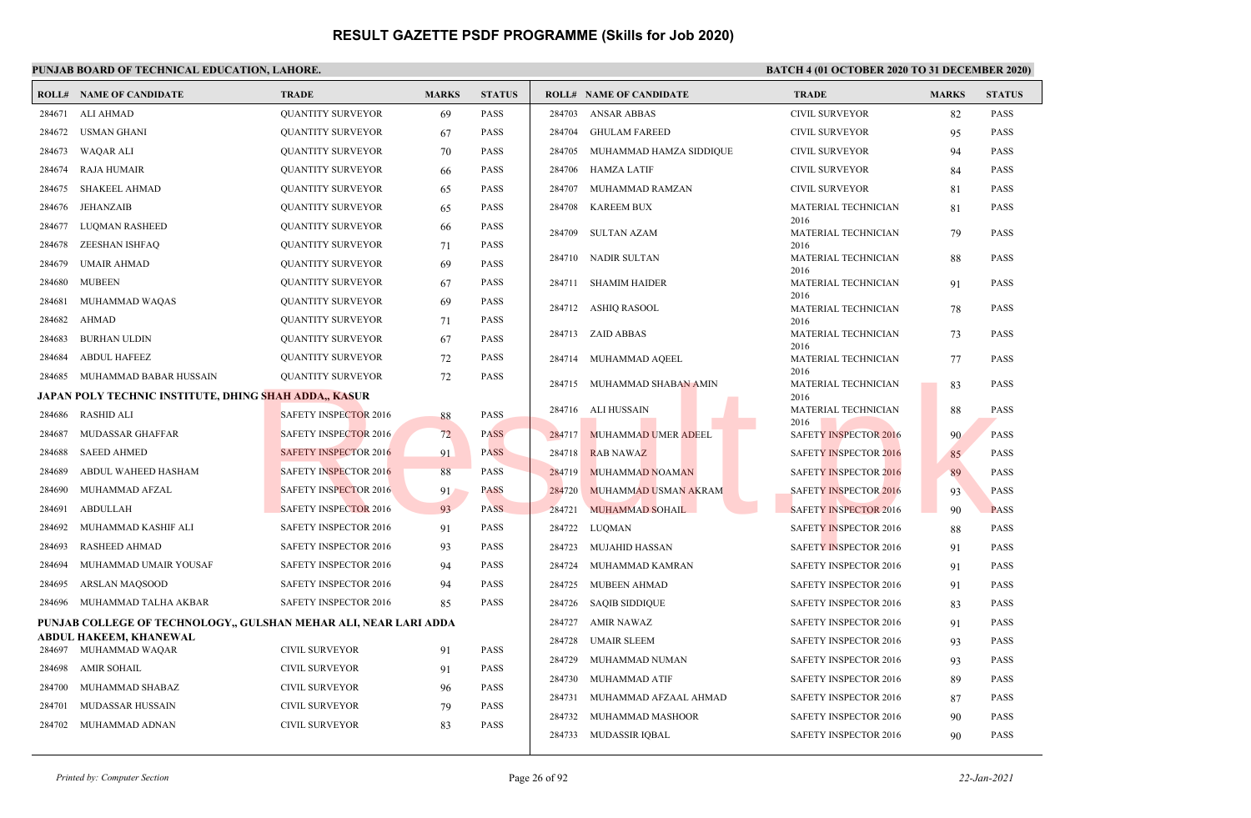|        | <b>ROLL# NAME OF CANDIDATE</b>                                   | <b>TRADE</b>                 | <b>MARKS</b> | <b>STATUS</b> |        | <b>ROLL# NAME OF CANDIDATE</b> | <b>TRADE</b>                 | <b>MARKS</b> | <b>STATUS</b> |
|--------|------------------------------------------------------------------|------------------------------|--------------|---------------|--------|--------------------------------|------------------------------|--------------|---------------|
| 284671 | ALI AHMAD                                                        | <b>QUANTITY SURVEYOR</b>     | 69           | <b>PASS</b>   | 284703 | <b>ANSAR ABBAS</b>             | <b>CIVIL SURVEYOR</b>        | 82           | <b>PASS</b>   |
| 284672 | USMAN GHANI                                                      | <b>QUANTITY SURVEYOR</b>     | 67           | <b>PASS</b>   | 284704 | <b>GHULAM FAREED</b>           | <b>CIVIL SURVEYOR</b>        | 95           | <b>PASS</b>   |
| 284673 | WAQAR ALI                                                        | <b>QUANTITY SURVEYOR</b>     | 70           | <b>PASS</b>   | 284705 | MUHAMMAD HAMZA SIDDIQUE        | <b>CIVIL SURVEYOR</b>        | 94           | <b>PASS</b>   |
| 284674 | <b>RAJA HUMAIR</b>                                               | <b>QUANTITY SURVEYOR</b>     | 66           | <b>PASS</b>   | 284706 | HAMZA LATIF                    | <b>CIVIL SURVEYOR</b>        | 84           | <b>PASS</b>   |
| 284675 | SHAKEEL AHMAD                                                    | <b>QUANTITY SURVEYOR</b>     | 65           | <b>PASS</b>   | 284707 | MUHAMMAD RAMZAN                | <b>CIVIL SURVEYOR</b>        | 81           | <b>PASS</b>   |
| 284676 | JEHANZAIB                                                        | <b>QUANTITY SURVEYOR</b>     | 65           | <b>PASS</b>   | 284708 | <b>KAREEM BUX</b>              | MATERIAL TECHNICIAN          | 81           | <b>PASS</b>   |
| 284677 | LUQMAN RASHEED                                                   | <b>QUANTITY SURVEYOR</b>     | 66           | <b>PASS</b>   | 284709 | <b>SULTAN AZAM</b>             | 2016<br>MATERIAL TECHNICIAN  | 79           | <b>PASS</b>   |
| 284678 | ZEESHAN ISHFAQ                                                   | <b>QUANTITY SURVEYOR</b>     | 71           | <b>PASS</b>   |        |                                | 2016                         |              |               |
| 284679 | <b>UMAIR AHMAD</b>                                               | <b>QUANTITY SURVEYOR</b>     | 69           | <b>PASS</b>   |        | 284710 NADIR SULTAN            | MATERIAL TECHNICIAN<br>2016  | 88           | <b>PASS</b>   |
| 284680 | <b>MUBEEN</b>                                                    | <b>OUANTITY SURVEYOR</b>     | 67           | <b>PASS</b>   | 284711 | <b>SHAMIM HAIDER</b>           | MATERIAL TECHNICIAN          | 91           | <b>PASS</b>   |
| 284681 | MUHAMMAD WAQAS                                                   | <b>QUANTITY SURVEYOR</b>     | 69           | <b>PASS</b>   |        | 284712 ASHIO RASOOL            | 2016<br>MATERIAL TECHNICIAN  | 78           | <b>PASS</b>   |
| 284682 | <b>AHMAD</b>                                                     | <b>QUANTITY SURVEYOR</b>     | 71           | <b>PASS</b>   |        |                                | 2016                         |              |               |
| 284683 | <b>BURHAN ULDIN</b>                                              | <b>QUANTITY SURVEYOR</b>     | 67           | <b>PASS</b>   |        | 284713 ZAID ABBAS              | MATERIAL TECHNICIAN<br>2016  | 73           | <b>PASS</b>   |
| 284684 | <b>ABDUL HAFEEZ</b>                                              | <b>QUANTITY SURVEYOR</b>     | 72           | <b>PASS</b>   |        | 284714 MUHAMMAD AQEEL          | MATERIAL TECHNICIAN          | 77           | <b>PASS</b>   |
| 284685 | MUHAMMAD BABAR HUSSAIN                                           | <b>QUANTITY SURVEYOR</b>     | 72           | <b>PASS</b>   | 284715 | MUHAMMAD SHABAN AMIN           | 2016<br>MATERIAL TECHNICIAN  | 83           | <b>PASS</b>   |
|        | JAPAN POLY TECHNIC INSTITUTE, DHING SHAH ADDA,, KASUR            |                              |              |               |        |                                | 2016                         |              |               |
| 284686 | RASHID ALI                                                       | <b>SAFETY INSPECTOR 2016</b> | 88           | <b>PASS</b>   |        | 284716 ALI HUSSAIN             | MATERIAL TECHNICIAN<br>2016  | 88           | <b>PASS</b>   |
| 284687 | MUDASSAR GHAFFAR                                                 | <b>SAFETY INSPECTOR 2016</b> | 72           | <b>PASS</b>   | 284717 | <b>MUHAMMAD UMER ADEEL</b>     | <b>SAFETY INSPECTOR 2016</b> | 90           | <b>PASS</b>   |
| 284688 | <b>SAEED AHMED</b>                                               | <b>SAFETY INSPECTOR 2016</b> | 91           | <b>PASS</b>   | 284718 | <b>RAB NAWAZ</b>               | <b>SAFETY INSPECTOR 2016</b> | 85           | <b>PASS</b>   |
| 284689 | ABDUL WAHEED HASHAM                                              | <b>SAFETY INSPECTOR 2016</b> | 88           | <b>PASS</b>   | 284719 | <b>MUHAMMAD NOAMAN</b>         | <b>SAFETY INSPECTOR 2016</b> | 89           | <b>PASS</b>   |
| 284690 | MUHAMMAD AFZAL                                                   | <b>SAFETY INSPECTOR 2016</b> | 91           | <b>PASS</b>   | 284720 | MUHAMMAD USMAN AKRAM           | <b>SAFETY INSPECTOR 2016</b> | 93           | <b>PASS</b>   |
| 284691 | ABDULLAH                                                         | <b>SAFETY INSPECTOR 2016</b> | 93           | <b>PASS</b>   | 284721 | <b>MUHAMMAD SOHAIL</b>         | <b>SAFETY INSPECTOR 2016</b> | 90           | <b>PASS</b>   |
| 284692 | MUHAMMAD KASHIF ALI                                              | SAFETY INSPECTOR 2016        | 91           | <b>PASS</b>   | 284722 | LUQMAN                         | SAFETY INSPECTOR 2016        | 88           | <b>PASS</b>   |
| 284693 | <b>RASHEED AHMAD</b>                                             | SAFETY INSPECTOR 2016        | 93           | <b>PASS</b>   | 284723 | <b>MUJAHID HASSAN</b>          | <b>SAFETY INSPECTOR 2016</b> | 91           | <b>PASS</b>   |
| 284694 | MUHAMMAD UMAIR YOUSAF                                            | SAFETY INSPECTOR 2016        | 94           | <b>PASS</b>   | 284724 | MUHAMMAD KAMRAN                | <b>SAFETY INSPECTOR 2016</b> | 91           | <b>PASS</b>   |
| 284695 | <b>ARSLAN MAOSOOD</b>                                            | <b>SAFETY INSPECTOR 2016</b> | 94           | <b>PASS</b>   | 284725 | <b>MUBEEN AHMAD</b>            | SAFETY INSPECTOR 2016        | 91           | <b>PASS</b>   |
| 284696 | MUHAMMAD TALHA AKBAR                                             | <b>SAFETY INSPECTOR 2016</b> | 85           | <b>PASS</b>   | 284726 | <b>SAQIB SIDDIQUE</b>          | SAFETY INSPECTOR 2016        | 83           | <b>PASS</b>   |
|        | PUNJAB COLLEGE OF TECHNOLOGY,, GULSHAN MEHAR ALI, NEAR LARI ADDA |                              |              |               | 284727 | AMIR NAWAZ                     | SAFETY INSPECTOR 2016        | 91           | <b>PASS</b>   |
| 284697 | <b>ABDUL HAKEEM, KHANEWAL</b><br>MUHAMMAD WAQAR                  | <b>CIVIL SURVEYOR</b>        | 91           | <b>PASS</b>   | 284728 | <b>UMAIR SLEEM</b>             | SAFETY INSPECTOR 2016        | 93           | <b>PASS</b>   |
| 284698 | <b>AMIR SOHAIL</b>                                               | <b>CIVIL SURVEYOR</b>        | 91           | <b>PASS</b>   | 284729 | MUHAMMAD NUMAN                 | SAFETY INSPECTOR 2016        | 93           | <b>PASS</b>   |
| 284700 | MUHAMMAD SHABAZ                                                  | <b>CIVIL SURVEYOR</b>        | 96           | <b>PASS</b>   | 284730 | MUHAMMAD ATIF                  | SAFETY INSPECTOR 2016        | 89           | <b>PASS</b>   |
| 284701 | MUDASSAR HUSSAIN                                                 | <b>CIVIL SURVEYOR</b>        | 79           | <b>PASS</b>   | 284731 | MUHAMMAD AFZAAL AHMAD          | SAFETY INSPECTOR 2016        | 87           | <b>PASS</b>   |
| 284702 | MUHAMMAD ADNAN                                                   | <b>CIVIL SURVEYOR</b>        | 83           | <b>PASS</b>   | 284732 | MUHAMMAD MASHOOR               | <b>SAFETY INSPECTOR 2016</b> | 90           | <b>PASS</b>   |
|        |                                                                  |                              |              |               |        | 284733 MUDASSIR IQBAL          | <b>SAFETY INSPECTOR 2016</b> | 90           | <b>PASS</b>   |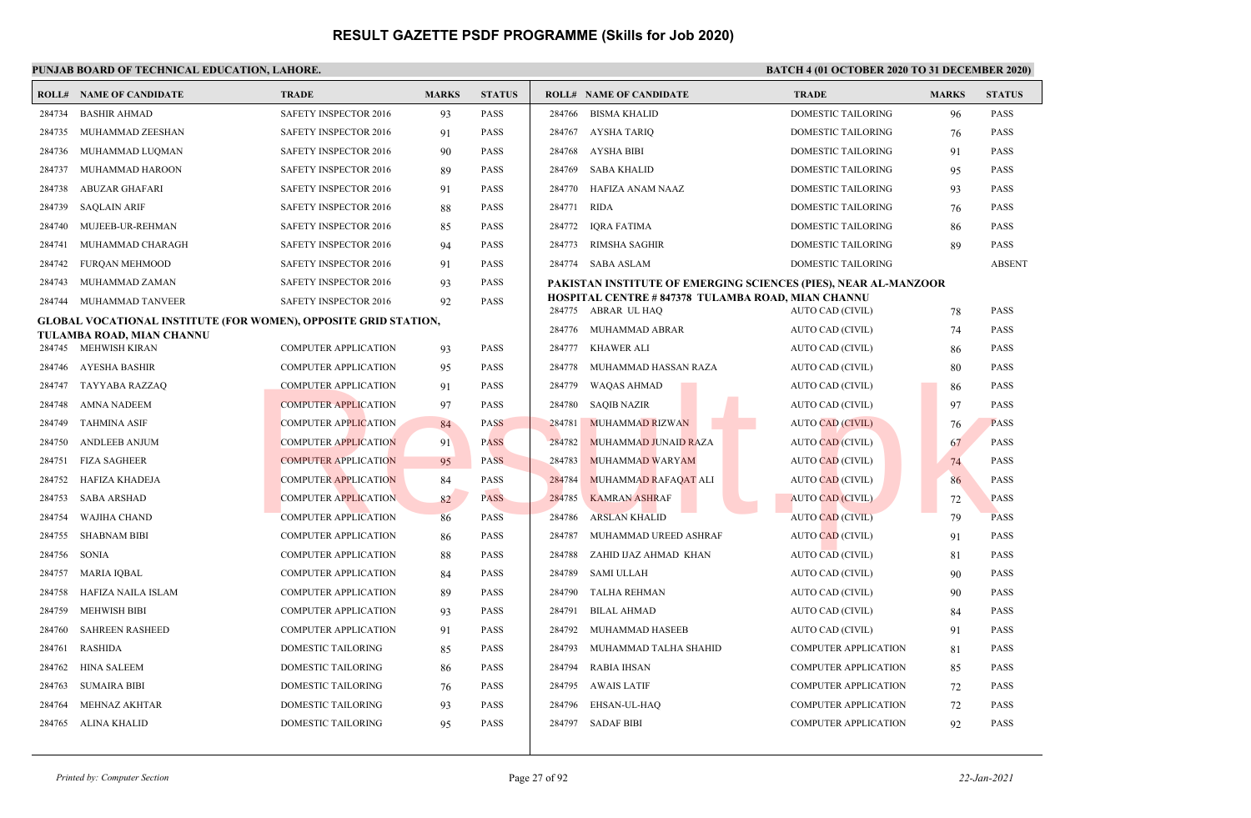|        | PUNJAB BOARD OF TECHNICAL EDUCATION, LAHORE.                    |                              |              |               | <b>BATCH 4 (01 OCTOBER 2020 TO 31 DECEMBER 2020)</b>                     |                             |              |               |
|--------|-----------------------------------------------------------------|------------------------------|--------------|---------------|--------------------------------------------------------------------------|-----------------------------|--------------|---------------|
|        | <b>ROLL# NAME OF CANDIDATE</b>                                  | <b>TRADE</b>                 | <b>MARKS</b> | <b>STATUS</b> | <b>ROLL# NAME OF CANDIDATE</b>                                           | <b>TRADE</b>                | <b>MARKS</b> | <b>STATUS</b> |
| 284734 | <b>BASHIR AHMAD</b>                                             | SAFETY INSPECTOR 2016        | 93           | PASS          | <b>BISMA KHALID</b><br>284766                                            | DOMESTIC TAILORING          | 96           | PASS          |
| 284735 | MUHAMMAD ZEESHAN                                                | <b>SAFETY INSPECTOR 2016</b> | 91           | <b>PASS</b>   | 284767 AYSHA TARIQ                                                       | <b>DOMESTIC TAILORING</b>   | 76           | <b>PASS</b>   |
| 284736 | MUHAMMAD LUQMAN                                                 | <b>SAFETY INSPECTOR 2016</b> | 90           | <b>PASS</b>   | AYSHA BIBI<br>284768                                                     | <b>DOMESTIC TAILORING</b>   | 91           | <b>PASS</b>   |
| 284737 | MUHAMMAD HAROON                                                 | SAFETY INSPECTOR 2016        | 89           | PASS          | 284769<br><b>SABA KHALID</b>                                             | <b>DOMESTIC TAILORING</b>   | 95           | <b>PASS</b>   |
| 284738 | ABUZAR GHAFARI                                                  | <b>SAFETY INSPECTOR 2016</b> | 91           | <b>PASS</b>   | 284770<br>HAFIZA ANAM NAAZ                                               | <b>DOMESTIC TAILORING</b>   | 93           | <b>PASS</b>   |
| 284739 | <b>SAQLAIN ARIF</b>                                             | SAFETY INSPECTOR 2016        | 88           | <b>PASS</b>   | 284771<br>RIDA                                                           | DOMESTIC TAILORING          | 76           | <b>PASS</b>   |
| 284740 | MUJEEB-UR-REHMAN                                                | SAFETY INSPECTOR 2016        | 85           | <b>PASS</b>   | 284772<br>IQRA FATIMA                                                    | DOMESTIC TAILORING          | 86           | <b>PASS</b>   |
| 284741 | MUHAMMAD CHARAGH                                                | SAFETY INSPECTOR 2016        | 94           | <b>PASS</b>   | 284773<br>RIMSHA SAGHIR                                                  | DOMESTIC TAILORING          | 89           | PASS          |
| 284742 | FURQAN MEHMOOD                                                  | SAFETY INSPECTOR 2016        | 91           | PASS          | 284774 SABA ASLAM                                                        | <b>DOMESTIC TAILORING</b>   |              | <b>ABSENT</b> |
| 284743 | MUHAMMAD ZAMAN                                                  | SAFETY INSPECTOR 2016        | 93           | <b>PASS</b>   | PAKISTAN INSTITUTE OF EMERGING SCIENCES (PIES), NEAR AL-MANZOOR          |                             |              |               |
| 284744 | MUHAMMAD TANVEER                                                | <b>SAFETY INSPECTOR 2016</b> | 92           | <b>PASS</b>   | HOSPITAL CENTRE #847378 TULAMBA ROAD, MIAN CHANNU<br>284775 ABRAR UL HAO | AUTO CAD (CIVIL)            | 78           | <b>PASS</b>   |
|        | GLOBAL VOCATIONAL INSTITUTE (FOR WOMEN), OPPOSITE GRID STATION, |                              |              |               | 284776 MUHAMMAD ABRAR                                                    | AUTO CAD (CIVIL)            | 74           | <b>PASS</b>   |
|        | TULAMBA ROAD, MIAN CHANNU<br>284745 MEHWISH KIRAN               | <b>COMPUTER APPLICATION</b>  | 93           | <b>PASS</b>   | KHAWER ALI<br>284777                                                     | AUTO CAD (CIVIL)            | 86           | <b>PASS</b>   |
| 284746 | AYESHA BASHIR                                                   | <b>COMPUTER APPLICATION</b>  | 95           | <b>PASS</b>   | 284778<br>MUHAMMAD HASSAN RAZA                                           | AUTO CAD (CIVIL)            | 80           | <b>PASS</b>   |
| 284747 | TAYYABA RAZZAQ                                                  | <b>COMPUTER APPLICATION</b>  | 91           | PASS          | 284779<br><b>WAQAS AHMAD</b>                                             | AUTO CAD (CIVIL)            | 86           | <b>PASS</b>   |
| 284748 | <b>AMNA NADEEM</b>                                              | <b>COMPUTER APPLICATION</b>  | 97           | <b>PASS</b>   | 284780<br><b>SAQIB NAZIR</b>                                             | AUTO CAD (CIVIL)            | 97           | <b>PASS</b>   |
| 284749 | <b>TAHMINA ASIF</b>                                             | <b>COMPUTER APPLICATION</b>  | 84           | <b>PASS</b>   | 284781<br><b>MUHAMMAD RIZWAN</b>                                         | AUTO CAD (CIVIL)            | 76           | <b>PASS</b>   |
| 284750 | <b>ANDLEEB ANJUM</b>                                            | <b>COMPUTER APPLICATION</b>  | 91           | <b>PASS</b>   | 284782<br>MUHAMMAD JUNAID RAZA                                           | <b>AUTO CAD (CIVIL)</b>     | 67           | <b>PASS</b>   |
| 284751 | <b>FIZA SAGHEER</b>                                             | <b>COMPUTER APPLICATION</b>  | 95           | <b>PASS</b>   | 284783<br>MUHAMMAD WARYAM                                                | <b>AUTO CAD (CIVIL)</b>     | 74           | <b>PASS</b>   |
| 284752 | HAFIZA KHADEJA                                                  | <b>COMPUTER APPLICATION</b>  | 84           | <b>PASS</b>   | 284784<br>MUHAMMAD RAFAQAT ALI                                           | <b>AUTO CAD (CIVIL)</b>     | 86           | <b>PASS</b>   |
| 284753 | <b>SABA ARSHAD</b>                                              | <b>COMPUTER APPLICATION</b>  | 82           | <b>PASS</b>   | 284785<br><b>KAMRAN ASHRAF</b>                                           | <b>AUTO CAD (CIVIL)</b>     | 72           | <b>PASS</b>   |
| 284754 | WAJIHA CHAND                                                    | <b>COMPUTER APPLICATION</b>  | 86           | <b>PASS</b>   | 284786<br><b>ARSLAN KHALID</b>                                           | <b>AUTO CAD (CIVIL)</b>     | 79           | <b>PASS</b>   |
| 284755 | <b>SHABNAM BIBI</b>                                             | <b>COMPUTER APPLICATION</b>  | 86           | <b>PASS</b>   | 284787<br>MUHAMMAD UREED ASHRAF                                          | <b>AUTO CAD (CIVIL)</b>     | 91           | <b>PASS</b>   |
| 284756 | SONIA                                                           | <b>COMPUTER APPLICATION</b>  | 88           | <b>PASS</b>   | 284788<br>ZAHID IJAZ AHMAD KHAN                                          | AUTO CAD (CIVIL)            | 81           | <b>PASS</b>   |
| 284757 | <b>MARIA IQBAL</b>                                              | <b>COMPUTER APPLICATION</b>  | 84           | <b>PASS</b>   | 284789<br><b>SAMI ULLAH</b>                                              | AUTO CAD (CIVIL)            | 90           | <b>PASS</b>   |
| 284758 | HAFIZA NAILA ISLAM                                              | <b>COMPUTER APPLICATION</b>  | 89           | <b>PASS</b>   | 284790<br>TALHA REHMAN                                                   | AUTO CAD (CIVIL)            | 90           | <b>PASS</b>   |
| 284759 | <b>MEHWISH BIBI</b>                                             | COMPUTER APPLICATION         | 93           | <b>PASS</b>   | 284791<br><b>BILAL AHMAD</b>                                             | AUTO CAD (CIVIL)            | 84           | <b>PASS</b>   |
| 284760 | <b>SAHREEN RASHEED</b>                                          | <b>COMPUTER APPLICATION</b>  | 91           | PASS          | 284792<br>MUHAMMAD HASEEB                                                | AUTO CAD (CIVIL)            | 91           | <b>PASS</b>   |
| 284761 | <b>RASHIDA</b>                                                  | <b>DOMESTIC TAILORING</b>    | 85           | <b>PASS</b>   | 284793<br>MUHAMMAD TALHA SHAHID                                          | <b>COMPUTER APPLICATION</b> | 81           | <b>PASS</b>   |
| 284762 | HINA SALEEM                                                     | DOMESTIC TAILORING           | 86           | <b>PASS</b>   | 284794<br>RABIA IHSAN                                                    | <b>COMPUTER APPLICATION</b> | 85           | <b>PASS</b>   |
| 284763 | <b>SUMAIRA BIBI</b>                                             | DOMESTIC TAILORING           | 76           | <b>PASS</b>   | 284795<br>AWAIS LATIF                                                    | <b>COMPUTER APPLICATION</b> | 72           | <b>PASS</b>   |
| 284764 | MEHNAZ AKHTAR                                                   | DOMESTIC TAILORING           | 93           | <b>PASS</b>   | 284796<br>EHSAN-UL-HAQ                                                   | <b>COMPUTER APPLICATION</b> | 72           | <b>PASS</b>   |
|        | 284765 ALINA KHALID                                             | DOMESTIC TAILORING           | 95           | <b>PASS</b>   | 284797 SADAF BIBI                                                        | <b>COMPUTER APPLICATION</b> | 92           | <b>PASS</b>   |
|        |                                                                 |                              |              |               |                                                                          |                             |              |               |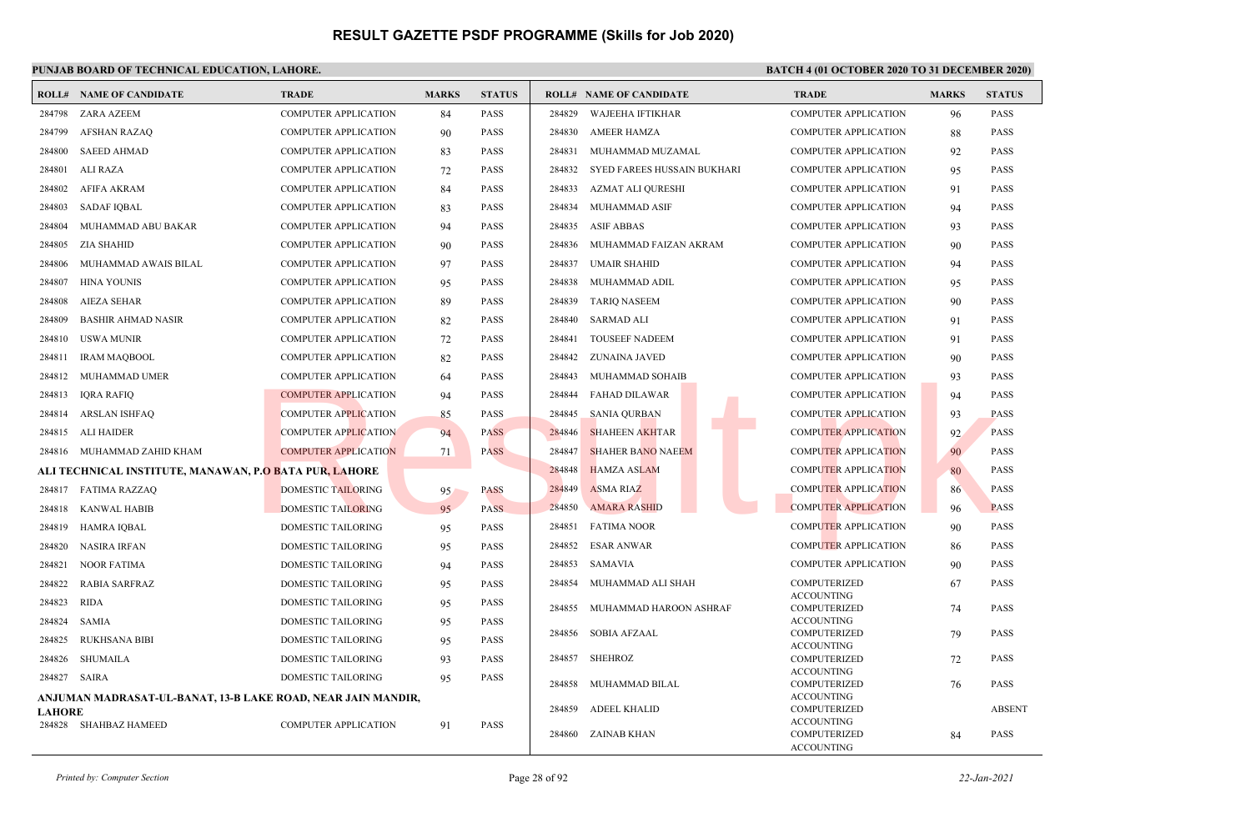|               | <b>ROLL# NAME OF CANDIDATE</b>                               | <b>TRADE</b>                | <b>MARKS</b> | <b>STATUS</b> |        | <b>ROLL# NAME OF CANDIDATE</b> | <b>TRADE</b>                             | <b>MARKS</b> | <b>STATUS</b> |
|---------------|--------------------------------------------------------------|-----------------------------|--------------|---------------|--------|--------------------------------|------------------------------------------|--------------|---------------|
| 284798        | <b>ZARA AZEEM</b>                                            | <b>COMPUTER APPLICATION</b> | 84           | <b>PASS</b>   | 284829 | <b>WAJEEHA IFTIKHAR</b>        | <b>COMPUTER APPLICATION</b>              | 96           | <b>PASS</b>   |
| 284799        | <b>AFSHAN RAZAQ</b>                                          | <b>COMPUTER APPLICATION</b> | 90           | <b>PASS</b>   | 284830 | <b>AMEER HAMZA</b>             | <b>COMPUTER APPLICATION</b>              | 88           | <b>PASS</b>   |
| 284800        | <b>SAEED AHMAD</b>                                           | <b>COMPUTER APPLICATION</b> | 83           | <b>PASS</b>   | 284831 | MUHAMMAD MUZAMAL               | <b>COMPUTER APPLICATION</b>              | 92           | <b>PASS</b>   |
| 284801        | ALI RAZA                                                     | <b>COMPUTER APPLICATION</b> | 72           | <b>PASS</b>   | 284832 | SYED FAREES HUSSAIN BUKHARI    | <b>COMPUTER APPLICATION</b>              | 95           | <b>PASS</b>   |
| 284802        | AFIFA AKRAM                                                  | <b>COMPUTER APPLICATION</b> | 84           | <b>PASS</b>   | 284833 | AZMAT ALI QURESHI              | <b>COMPUTER APPLICATION</b>              | 91           | <b>PASS</b>   |
| 284803        | <b>SADAF IQBAL</b>                                           | <b>COMPUTER APPLICATION</b> | 83           | <b>PASS</b>   | 284834 | MUHAMMAD ASIF                  | <b>COMPUTER APPLICATION</b>              | 94           | <b>PASS</b>   |
| 284804        | MUHAMMAD ABU BAKAR                                           | <b>COMPUTER APPLICATION</b> | 94           | <b>PASS</b>   | 284835 | <b>ASIF ABBAS</b>              | <b>COMPUTER APPLICATION</b>              | 93           | <b>PASS</b>   |
| 284805        | ZIA SHAHID                                                   | <b>COMPUTER APPLICATION</b> | 90           | <b>PASS</b>   | 284836 | MUHAMMAD FAIZAN AKRAM          | <b>COMPUTER APPLICATION</b>              | 90           | <b>PASS</b>   |
| 284806        | MUHAMMAD AWAIS BILAL                                         | <b>COMPUTER APPLICATION</b> | 97           | <b>PASS</b>   | 284837 | <b>UMAIR SHAHID</b>            | <b>COMPUTER APPLICATION</b>              | 94           | <b>PASS</b>   |
| 284807        | <b>HINA YOUNIS</b>                                           | <b>COMPUTER APPLICATION</b> | 95           | <b>PASS</b>   | 284838 | MUHAMMAD ADIL                  | <b>COMPUTER APPLICATION</b>              | 95           | <b>PASS</b>   |
| 284808        | <b>AIEZA SEHAR</b>                                           | <b>COMPUTER APPLICATION</b> | 89           | <b>PASS</b>   | 284839 | <b>TARIQ NASEEM</b>            | <b>COMPUTER APPLICATION</b>              | 90           | <b>PASS</b>   |
| 284809        | <b>BASHIR AHMAD NASIR</b>                                    | <b>COMPUTER APPLICATION</b> | 82           | <b>PASS</b>   | 284840 | <b>SARMAD ALI</b>              | <b>COMPUTER APPLICATION</b>              | 91           | <b>PASS</b>   |
| 284810        | USWA MUNIR                                                   | <b>COMPUTER APPLICATION</b> | 72           | <b>PASS</b>   | 284841 | <b>TOUSEEF NADEEM</b>          | <b>COMPUTER APPLICATION</b>              | 91           | <b>PASS</b>   |
| 284811        | <b>IRAM MAQBOOL</b>                                          | <b>COMPUTER APPLICATION</b> | 82           | <b>PASS</b>   | 284842 | ZUNAINA JAVED                  | <b>COMPUTER APPLICATION</b>              | 90           | <b>PASS</b>   |
| 284812        | MUHAMMAD UMER                                                | <b>COMPUTER APPLICATION</b> | 64           | <b>PASS</b>   | 284843 | MUHAMMAD SOHAIB                | <b>COMPUTER APPLICATION</b>              | 93           | <b>PASS</b>   |
| 284813        | IQRA RAFIQ                                                   | <b>COMPUTER APPLICATION</b> | 94           | <b>PASS</b>   | 284844 | <b>FAHAD DILAWAR</b>           | <b>COMPUTER APPLICATION</b>              | 94           | <b>PASS</b>   |
| 284814        | <b>ARSLAN ISHFAQ</b>                                         | <b>COMPUTER APPLICATION</b> | 85           | <b>PASS</b>   | 284845 | <b>SANIA QURBAN</b>            | <b>COMPUTER APPLICATION</b>              | 93           | <b>PASS</b>   |
| 284815        | ALI HAIDER                                                   | <b>COMPUTER APPLICATION</b> | 94           | <b>PASS</b>   | 284846 | <b>SHAHEEN AKHTAR</b>          | <b>COMPUTER APPLICATION</b>              | 92           | <b>PASS</b>   |
|               | 284816 MUHAMMAD ZAHID KHAM                                   | <b>COMPUTER APPLICATION</b> | 71           | <b>PASS</b>   | 284847 | <b>SHAHER BANO NAEEM</b>       | <b>COMPUTER APPLICATION</b>              | 90           | <b>PASS</b>   |
|               | ALI TECHNICAL INSTITUTE, MANAWAN, P.O BATA PUR, LAHORE       |                             |              |               | 284848 | <b>HAMZA ASLAM</b>             | <b>COMPUTER APPLICATION</b>              | 80           | <b>PASS</b>   |
|               | 284817 FATIMA RAZZAQ                                         | <b>DOMESTIC TAILORING</b>   | 95           | <b>PASS</b>   | 284849 | <b>ASMA RIAZ</b>               | <b>COMPUTER APPLICATION</b>              | 86           | <b>PASS</b>   |
| 284818        | KANWAL HABIB                                                 | <b>DOMESTIC TAILORING</b>   | 95           | <b>PASS</b>   | 284850 | <b>AMARA RASHID</b>            | <b>COMPUTER APPLICATION</b>              | 96           | <b>PASS</b>   |
| 284819        | HAMRA IQBAL                                                  | DOMESTIC TAILORING          | 95           | <b>PASS</b>   | 284851 | <b>FATIMA NOOR</b>             | <b>COMPUTER APPLICATION</b>              | 90           | <b>PASS</b>   |
| 284820        | <b>NASIRA IRFAN</b>                                          | DOMESTIC TAILORING          | 95           | <b>PASS</b>   | 284852 | <b>ESAR ANWAR</b>              | <b>COMPUTER APPLICATION</b>              | 86           | <b>PASS</b>   |
| 284821        | <b>NOOR FATIMA</b>                                           | DOMESTIC TAILORING          | 94           | <b>PASS</b>   | 284853 | <b>SAMAVIA</b>                 | <b>COMPUTER APPLICATION</b>              | 90           | <b>PASS</b>   |
| 284822        | RABIA SARFRAZ                                                | DOMESTIC TAILORING          | 95           | PASS          | 284854 | MUHAMMAD ALI SHAH              | COMPUTERIZED                             | 67           | <b>PASS</b>   |
| 284823        | <b>RIDA</b>                                                  | DOMESTIC TAILORING          | 95           | <b>PASS</b>   | 284855 | MUHAMMAD HAROON ASHRAF         | <b>ACCOUNTING</b><br>COMPUTERIZED        | 74           | <b>PASS</b>   |
| 284824        | SAMIA                                                        | DOMESTIC TAILORING          | 95           | <b>PASS</b>   |        |                                | <b>ACCOUNTING</b>                        |              |               |
| 284825        | <b>RUKHSANA BIBI</b>                                         | DOMESTIC TAILORING          | 95           | PASS          | 284856 | <b>SOBIA AFZAAL</b>            | COMPUTERIZED<br><b>ACCOUNTING</b>        | 79           | <b>PASS</b>   |
| 284826        | SHUMAILA                                                     | DOMESTIC TAILORING          | 93           | <b>PASS</b>   | 284857 | <b>SHEHROZ</b>                 | COMPUTERIZED                             | 72           | <b>PASS</b>   |
| 284827 SAIRA  |                                                              | <b>DOMESTIC TAILORING</b>   | 95           | PASS          | 284858 | MUHAMMAD BILAL                 | <b>ACCOUNTING</b><br>COMPUTERIZED        | 76           | <b>PASS</b>   |
|               | ANJUMAN MADRASAT-UL-BANAT, 13-B LAKE ROAD, NEAR JAIN MANDIR, |                             |              |               |        |                                | <b>ACCOUNTING</b>                        |              |               |
| <b>LAHORE</b> |                                                              |                             |              |               | 284859 | <b>ADEEL KHALID</b>            | <b>COMPUTERIZED</b><br><b>ACCOUNTING</b> |              | <b>ABSENT</b> |
| 284828        | SHAHBAZ HAMEED                                               | <b>COMPUTER APPLICATION</b> | 91           | <b>PASS</b>   | 284860 | ZAINAB KHAN                    | COMPUTERIZED<br><b>ACCOUNTING</b>        | 84           | <b>PASS</b>   |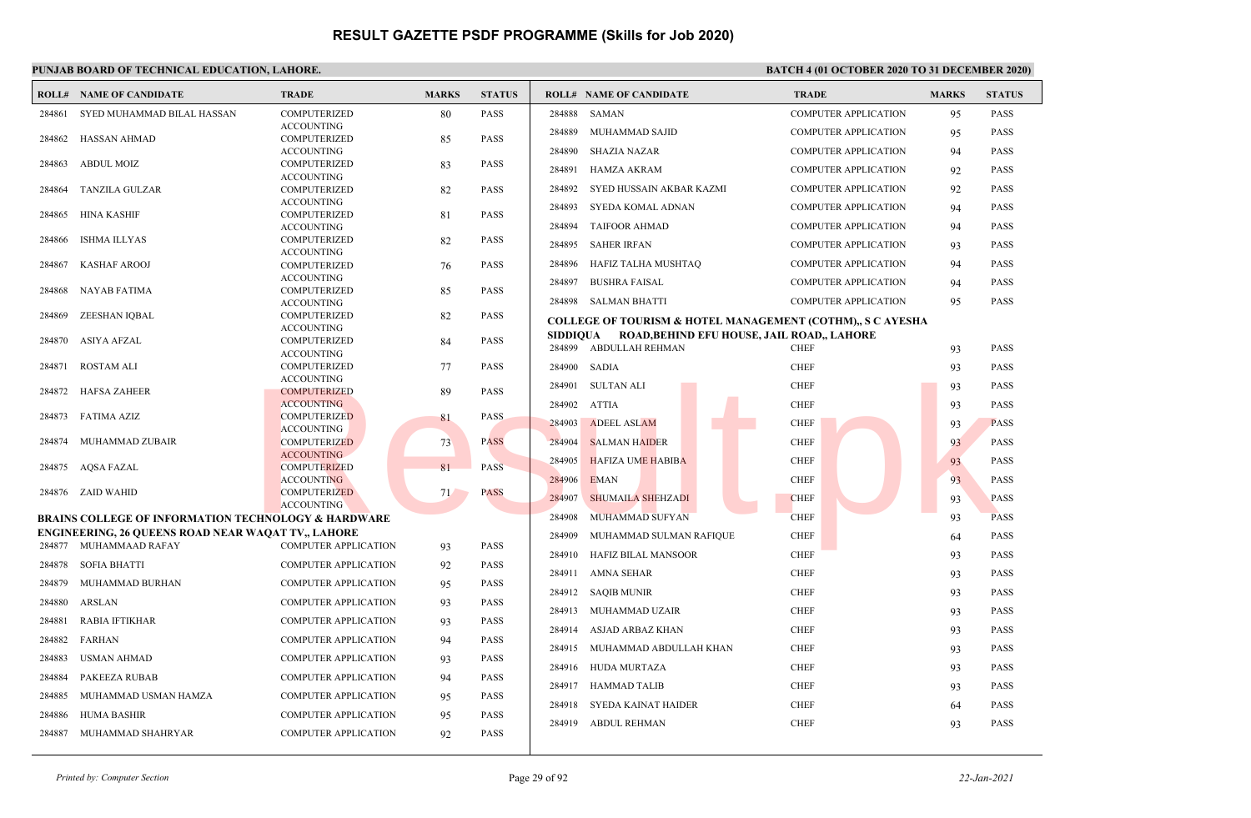|        | <b>ROLL# NAME OF CANDIDATE</b>                                                      | <b>TRADE</b>                             | <b>MARKS</b> | <b>STATUS</b> |              | <b>ROLL# NAME OF CANDIDATE</b>                                        | <b>TRADE</b>                | <b>MARKS</b> | <b>STATUS</b> |
|--------|-------------------------------------------------------------------------------------|------------------------------------------|--------------|---------------|--------------|-----------------------------------------------------------------------|-----------------------------|--------------|---------------|
| 284861 | SYED MUHAMMAD BILAL HASSAN                                                          | <b>COMPUTERIZED</b>                      | 80           | <b>PASS</b>   | 284888       | SAMAN                                                                 | <b>COMPUTER APPLICATION</b> | 95           | <b>PASS</b>   |
|        |                                                                                     | <b>ACCOUNTING</b>                        |              |               | 284889       | MUHAMMAD SAJID                                                        | <b>COMPUTER APPLICATION</b> | 95           | <b>PASS</b>   |
| 284862 | HASSAN AHMAD                                                                        | <b>COMPUTERIZED</b><br><b>ACCOUNTING</b> | 85           | <b>PASS</b>   | 284890       | <b>SHAZIA NAZAR</b>                                                   | <b>COMPUTER APPLICATION</b> | 94           | <b>PASS</b>   |
| 284863 | <b>ABDUL MOIZ</b>                                                                   | <b>COMPUTERIZED</b>                      | 83           | <b>PASS</b>   |              |                                                                       |                             |              |               |
|        |                                                                                     | <b>ACCOUNTING</b>                        |              |               | 284891       | <b>HAMZA AKRAM</b>                                                    | <b>COMPUTER APPLICATION</b> | 92           | <b>PASS</b>   |
| 284864 | <b>TANZILA GULZAR</b>                                                               | <b>COMPUTERIZED</b>                      | 82           | <b>PASS</b>   | 284892       | SYED HUSSAIN AKBAR KAZMI                                              | <b>COMPUTER APPLICATION</b> | 92           | <b>PASS</b>   |
| 284865 | HINA KASHIF                                                                         | <b>ACCOUNTING</b><br><b>COMPUTERIZED</b> | 81           | <b>PASS</b>   | 284893       | SYEDA KOMAL ADNAN                                                     | <b>COMPUTER APPLICATION</b> | 94           | <b>PASS</b>   |
|        |                                                                                     | <b>ACCOUNTING</b>                        |              |               | 284894       | <b>TAIFOOR AHMAD</b>                                                  | <b>COMPUTER APPLICATION</b> | 94           | <b>PASS</b>   |
| 284866 | <b>ISHMA ILLYAS</b>                                                                 | <b>COMPUTERIZED</b>                      | 82           | <b>PASS</b>   | 284895       | <b>SAHER IRFAN</b>                                                    | <b>COMPUTER APPLICATION</b> | 93           | <b>PASS</b>   |
|        |                                                                                     | <b>ACCOUNTING</b>                        |              |               | 284896       | HAFIZ TALHA MUSHTAQ                                                   | <b>COMPUTER APPLICATION</b> | 94           | <b>PASS</b>   |
| 284867 | <b>KASHAF AROOJ</b>                                                                 | <b>COMPUTERIZED</b><br><b>ACCOUNTING</b> | 76           | <b>PASS</b>   |              |                                                                       |                             |              |               |
| 284868 | NAYAB FATIMA                                                                        | <b>COMPUTERIZED</b>                      | 85           | <b>PASS</b>   | 284897       | <b>BUSHRA FAISAL</b>                                                  | <b>COMPUTER APPLICATION</b> | 94           | <b>PASS</b>   |
|        |                                                                                     | <b>ACCOUNTING</b>                        |              |               |              | 284898 SALMAN BHATTI                                                  | <b>COMPUTER APPLICATION</b> | 95           | <b>PASS</b>   |
| 284869 | ZEESHAN IQBAL                                                                       | <b>COMPUTERIZED</b>                      | 82           | <b>PASS</b>   |              | <b>COLLEGE OF TOURISM &amp; HOTEL MANAGEMENT (COTHM),, S C AYESHA</b> |                             |              |               |
|        | 284870 ASIYA AFZAL                                                                  | <b>ACCOUNTING</b><br><b>COMPUTERIZED</b> | 84           | <b>PASS</b>   |              | SIDDIQUA ROAD, BEHIND EFU HOUSE, JAIL ROAD,, LAHORE                   |                             |              |               |
|        |                                                                                     | <b>ACCOUNTING</b>                        |              |               |              | 284899 ABDULLAH REHMAN                                                | <b>CHEF</b>                 | 93           | <b>PASS</b>   |
| 284871 | <b>ROSTAM ALI</b>                                                                   | <b>COMPUTERIZED</b>                      | 77           | <b>PASS</b>   | 284900 SADIA |                                                                       | <b>CHEF</b>                 | 93           | <b>PASS</b>   |
|        |                                                                                     | <b>ACCOUNTING</b>                        |              |               | 284901       | <b>SULTAN ALI</b>                                                     | <b>CHEF</b>                 | 93           | <b>PASS</b>   |
| 284872 | HAFSA ZAHEER                                                                        | <b>COMPUTERIZED</b><br><b>ACCOUNTING</b> | 89           | <b>PASS</b>   | 284902       | <b>ATTIA</b>                                                          | <b>CHEF</b>                 |              | <b>PASS</b>   |
| 284873 | <b>FATIMA AZIZ</b>                                                                  | <b>COMPUTERIZED</b>                      | 81           | PASS          |              |                                                                       |                             | 93           |               |
|        |                                                                                     | <b>ACCOUNTING</b>                        |              |               | 284903       | <b>ADEEL ASLAM</b>                                                    | <b>CHEF</b>                 | 93           | <b>PASS</b>   |
| 284874 | MUHAMMAD ZUBAIR                                                                     | <b>COMPUTERIZED</b>                      | 73           | <b>PASS</b>   | 284904       | <b>SALMAN HAIDER</b>                                                  | <b>CHEF</b>                 | 93           | <b>PASS</b>   |
|        | 284875 AQSA FAZAL                                                                   | <b>ACCOUNTING</b><br><b>COMPUTERIZED</b> | 81           | <b>PASS</b>   | 284905       | <b>HAFIZA UME HABIBA</b>                                              | <b>CHEF</b>                 | 93           | <b>PASS</b>   |
|        |                                                                                     | <b>ACCOUNTING</b>                        |              |               | 284906       | <b>EMAN</b>                                                           | <b>CHEF</b>                 | 93           | <b>PASS</b>   |
|        | 284876 ZAID WAHID                                                                   | <b>COMPUTERIZED</b>                      | 71           | <b>PASS</b>   | 284907       | SHUMAILA SHEHZADI                                                     | <b>CHEF</b>                 | 93           | <b>PASS</b>   |
|        |                                                                                     | <b>ACCOUNTING</b>                        |              |               |              |                                                                       |                             |              |               |
|        | <b>BRAINS COLLEGE OF INFORMATION TECHNOLOGY &amp; HARDWARE</b>                      |                                          |              |               | 284908       | MUHAMMAD SUFYAN                                                       | <b>CHEF</b>                 | 93           | <b>PASS</b>   |
|        | <b>ENGINEERING, 26 QUEENS ROAD NEAR WAQAT TV., LAHORE</b><br>284877 MUHAMMAAD RAFAY | COMPUTER APPLICATION                     | 93           | <b>PASS</b>   | 284909       | MUHAMMAD SULMAN RAFIQUE                                               | <b>CHEF</b>                 | 64           | <b>PASS</b>   |
|        |                                                                                     |                                          |              |               | 284910       | <b>HAFIZ BILAL MANSOOR</b>                                            | <b>CHEF</b>                 | 93           | <b>PASS</b>   |
| 284878 | <b>SOFIA BHATTI</b>                                                                 | COMPUTER APPLICATION                     | 92           | <b>PASS</b>   | 284911       | <b>AMNA SEHAR</b>                                                     | <b>CHEF</b>                 | 93           | <b>PASS</b>   |
| 284879 | MUHAMMAD BURHAN                                                                     | <b>COMPUTER APPLICATION</b>              | 95           | <b>PASS</b>   | 284912       | <b>SAQIB MUNIR</b>                                                    | <b>CHEF</b>                 | 93           | <b>PASS</b>   |
| 284880 | ARSLAN                                                                              | <b>COMPUTER APPLICATION</b>              | 93           | <b>PASS</b>   |              |                                                                       |                             |              |               |
| 284881 | <b>RABIA IFTIKHAR</b>                                                               | <b>COMPUTER APPLICATION</b>              | 93           | <b>PASS</b>   | 284913       | MUHAMMAD UZAIR                                                        | <b>CHEF</b>                 | 93           | <b>PASS</b>   |
| 284882 | FARHAN                                                                              | <b>COMPUTER APPLICATION</b>              | 94           | <b>PASS</b>   | 284914       | ASJAD ARBAZ KHAN                                                      | <b>CHEF</b>                 | 93           | <b>PASS</b>   |
|        |                                                                                     |                                          |              |               | 284915       | MUHAMMAD ABDULLAH KHAN                                                | <b>CHEF</b>                 | 93           | <b>PASS</b>   |
| 284883 | USMAN AHMAD                                                                         | <b>COMPUTER APPLICATION</b>              | 93           | <b>PASS</b>   |              | 284916 HUDA MURTAZA                                                   | <b>CHEF</b>                 | 93           | <b>PASS</b>   |
| 284884 | <b>PAKEEZA RUBAB</b>                                                                | <b>COMPUTER APPLICATION</b>              | 94           | <b>PASS</b>   |              | 284917 HAMMAD TALIB                                                   | <b>CHEF</b>                 | 93           | <b>PASS</b>   |
| 284885 | MUHAMMAD USMAN HAMZA                                                                | <b>COMPUTER APPLICATION</b>              | 95           | <b>PASS</b>   |              |                                                                       |                             |              |               |
| 284886 | <b>HUMA BASHIR</b>                                                                  | <b>COMPUTER APPLICATION</b>              | 95           | <b>PASS</b>   | 284918       | SYEDA KAINAT HAIDER                                                   | <b>CHEF</b>                 | 64           | <b>PASS</b>   |
| 284887 | MUHAMMAD SHAHRYAR                                                                   | <b>COMPUTER APPLICATION</b>              | 92           | <b>PASS</b>   | 284919       | <b>ABDUL REHMAN</b>                                                   | <b>CHEF</b>                 | 93           | <b>PASS</b>   |
|        |                                                                                     |                                          |              |               |              |                                                                       |                             |              |               |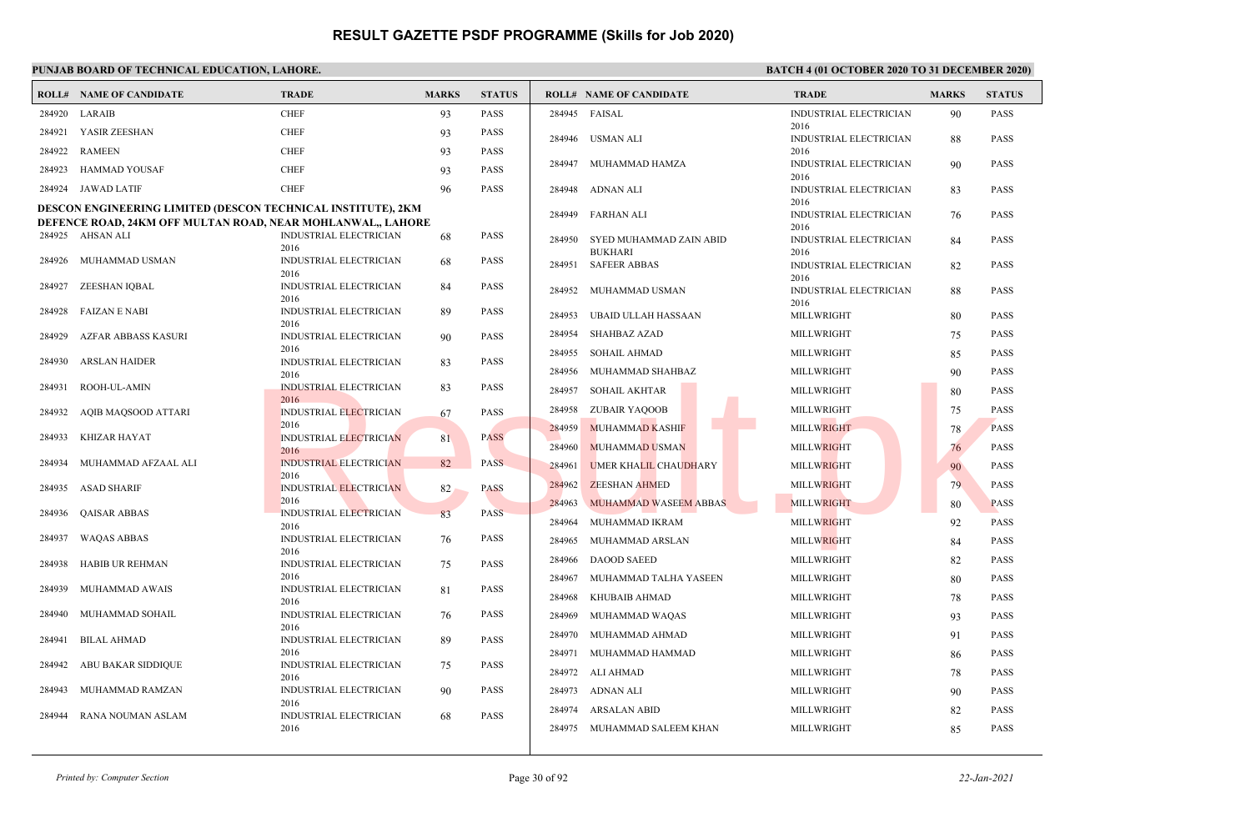|        | <b>ROLL# NAME OF CANDIDATE</b>                                      | <b>TRADE</b>                          | <b>MARKS</b> | <b>STATUS</b> |        | <b>ROLL# NAME OF CANDIDATE</b>        | <b>TRADE</b>                   | <b>MARKS</b> | <b>STATUS</b> |
|--------|---------------------------------------------------------------------|---------------------------------------|--------------|---------------|--------|---------------------------------------|--------------------------------|--------------|---------------|
| 284920 | LARAIB                                                              | <b>CHEF</b>                           | 93           | <b>PASS</b>   | 284945 | FAISAL                                | <b>INDUSTRIAL ELECTRICIAN</b>  | 90           | <b>PASS</b>   |
| 284921 | YASIR ZEESHAN                                                       | <b>CHEF</b>                           | 93           | <b>PASS</b>   | 284946 | USMAN ALI                             | 2016<br>INDUSTRIAL ELECTRICIAN | 88           | <b>PASS</b>   |
| 284922 | <b>RAMEEN</b>                                                       | <b>CHEF</b>                           | 93           | <b>PASS</b>   |        |                                       | 2016                           |              |               |
| 284923 | HAMMAD YOUSAF                                                       | <b>CHEF</b>                           | 93           | <b>PASS</b>   |        | 284947 MUHAMMAD HAMZA                 | INDUSTRIAL ELECTRICIAN<br>2016 | 90           | <b>PASS</b>   |
|        | 284924 JAWAD LATIF                                                  | <b>CHEF</b>                           | 96           | <b>PASS</b>   |        | 284948 ADNAN ALI                      | INDUSTRIAL ELECTRICIAN         | 83           | <b>PASS</b>   |
|        | <b>DESCON ENGINEERING LIMITED (DESCON TECHNICAL INSTITUTE), 2KM</b> |                                       |              |               | 284949 | <b>FARHAN ALI</b>                     | 2016<br>INDUSTRIAL ELECTRICIAN | 76           | <b>PASS</b>   |
|        | DEFENCE ROAD, 24KM OFF MULTAN ROAD, NEAR MOHLANWAL,, LAHORE         |                                       |              |               |        |                                       | 2016                           |              |               |
|        | 284925 AHSAN ALI                                                    | <b>INDUSTRIAL ELECTRICIAN</b><br>2016 | 68           | PASS          | 284950 | SYED MUHAMMAD ZAIN ABID               | INDUSTRIAL ELECTRICIAN         | 84           | <b>PASS</b>   |
| 284926 | MUHAMMAD USMAN                                                      | INDUSTRIAL ELECTRICIAN<br>2016        | 68           | PASS          | 284951 | <b>BUKHARI</b><br><b>SAFEER ABBAS</b> | 2016<br>INDUSTRIAL ELECTRICIAN | 82           | <b>PASS</b>   |
| 284927 | ZEESHAN IQBAL                                                       | <b>INDUSTRIAL ELECTRICIAN</b><br>2016 | 84           | <b>PASS</b>   | 284952 | MUHAMMAD USMAN                        | 2016<br>INDUSTRIAL ELECTRICIAN | 88           | <b>PASS</b>   |
| 284928 | FAIZAN E NABI                                                       | INDUSTRIAL ELECTRICIAN                | 89           | <b>PASS</b>   | 284953 | UBAID ULLAH HASSAAN                   | 2016<br>MILLWRIGHT             | 80           | <b>PASS</b>   |
| 284929 | AZFAR ABBASS KASURI                                                 | 2016<br><b>INDUSTRIAL ELECTRICIAN</b> | 90           | <b>PASS</b>   | 284954 | <b>SHAHBAZ AZAD</b>                   | <b>MILLWRIGHT</b>              | 75           | <b>PASS</b>   |
|        |                                                                     | 2016                                  |              |               | 284955 | <b>SOHAIL AHMAD</b>                   | MILLWRIGHT                     | 85           | <b>PASS</b>   |
| 284930 | <b>ARSLAN HAIDER</b>                                                | <b>INDUSTRIAL ELECTRICIAN</b><br>2016 | 83           | <b>PASS</b>   | 284956 | MUHAMMAD SHAHBAZ                      | MILLWRIGHT                     | 90           | <b>PASS</b>   |
| 284931 | ROOH-UL-AMIN                                                        | <b>INDUSTRIAL ELECTRICIAN</b>         | 83           | <b>PASS</b>   | 284957 | <b>SOHAIL AKHTAR</b>                  | MILLWRIGHT                     | 80           | <b>PASS</b>   |
| 284932 | AQIB MAQSOOD ATTARI                                                 | 2016<br><b>INDUSTRIAL ELECTRICIAN</b> | 67           | PASS          | 284958 | ZUBAIR YAQOOB                         | MILLWRIGHT                     | 75           | <b>PASS</b>   |
|        |                                                                     | 2016                                  |              |               | 284959 | <b>MUHAMMAD KASHIF</b>                | MILLWRIGHT                     | 78           | <b>PASS</b>   |
| 284933 | KHIZAR HAYAT                                                        | <b>INDUSTRIAL ELECTRICIAN</b><br>2016 | 81           | <b>PASS</b>   | 284960 | MUHAMMAD USMAN                        | <b>MILLWRIGHT</b>              | 76           | <b>PASS</b>   |
| 284934 | MUHAMMAD AFZAAL ALI                                                 | <b>INDUSTRIAL ELECTRICIAN</b>         | 82           | <b>PASS</b>   | 284961 | <b>UMER KHALIL CHAUDHARY</b>          | <b>MILLWRIGHT</b>              | 90           | <b>PASS</b>   |
| 284935 | <b>ASAD SHARIF</b>                                                  | 2016<br><b>INDUSTRIAL ELECTRICIAN</b> | 82           | <b>PASS</b>   | 284962 | <b>ZEESHAN AHMED</b>                  | <b>MILLWRIGHT</b>              | 79           | <b>PASS</b>   |
|        |                                                                     | 2016                                  |              |               | 284963 | MUHAMMAD WASEEM ABBAS                 | MILLWRIGHT                     | 80           | <b>PASS</b>   |
| 284936 | <b>QAISAR ABBAS</b>                                                 | INDUSTRIAL ELECTRICIAN<br>2016        | 83           | <b>PASS</b>   | 284964 | MUHAMMAD IKRAM                        | MILLWRIGHT                     | 92           | <b>PASS</b>   |
| 284937 | <b>WAQAS ABBAS</b>                                                  | <b>INDUSTRIAL ELECTRICIAN</b>         | 76           | <b>PASS</b>   | 284965 | MUHAMMAD ARSLAN                       | <b>MILLWRIGHT</b>              | 84           | <b>PASS</b>   |
| 284938 | <b>HABIB UR REHMAN</b>                                              | 2016<br>INDUSTRIAL ELECTRICIAN        | 75           | <b>PASS</b>   | 284966 | <b>DAOOD SAEED</b>                    | MILLWRIGHT                     | 82           | <b>PASS</b>   |
|        |                                                                     | 2016                                  |              |               | 284967 | MUHAMMAD TALHA YASEEN                 | MILLWRIGHT                     | 80           | <b>PASS</b>   |
| 284939 | MUHAMMAD AWAIS                                                      | INDUSTRIAL ELECTRICIAN<br>2016        | 81           | <b>PASS</b>   | 284968 | KHUBAIB AHMAD                         | MILLWRIGHT                     | 78           | <b>PASS</b>   |
| 284940 | MUHAMMAD SOHAIL                                                     | <b>INDUSTRIAL ELECTRICIAN</b>         | 76           | <b>PASS</b>   | 284969 | MUHAMMAD WAQAS                        | MILLWRIGHT                     | 93           | <b>PASS</b>   |
| 284941 | <b>BILAL AHMAD</b>                                                  | 2016<br>INDUSTRIAL ELECTRICIAN        | 89           | PASS          | 284970 | MUHAMMAD AHMAD                        | MILLWRIGHT                     | 91           | <b>PASS</b>   |
|        |                                                                     | 2016                                  |              |               |        | 284971 MUHAMMAD HAMMAD                | MILLWRIGHT                     | 86           | <b>PASS</b>   |
| 284942 | <b>ABU BAKAR SIDDIQUE</b>                                           | INDUSTRIAL ELECTRICIAN<br>2016        | 75           | PASS          | 284972 | ALI AHMAD                             | MILLWRIGHT                     | 78           | <b>PASS</b>   |
| 284943 | MUHAMMAD RAMZAN                                                     | <b>INDUSTRIAL ELECTRICIAN</b>         | 90           | <b>PASS</b>   | 284973 | ADNAN ALI                             | MILLWRIGHT                     | 90           | <b>PASS</b>   |
| 284944 | RANA NOUMAN ASLAM                                                   | 2016<br>INDUSTRIAL ELECTRICIAN        | 68           | PASS          | 284974 | ARSALAN ABID                          | MILLWRIGHT                     | 82           | <b>PASS</b>   |
|        |                                                                     | 2016                                  |              |               |        | 284975 MUHAMMAD SALEEM KHAN           | MILLWRIGHT                     | 85           | <b>PASS</b>   |
|        |                                                                     |                                       |              |               |        |                                       |                                |              |               |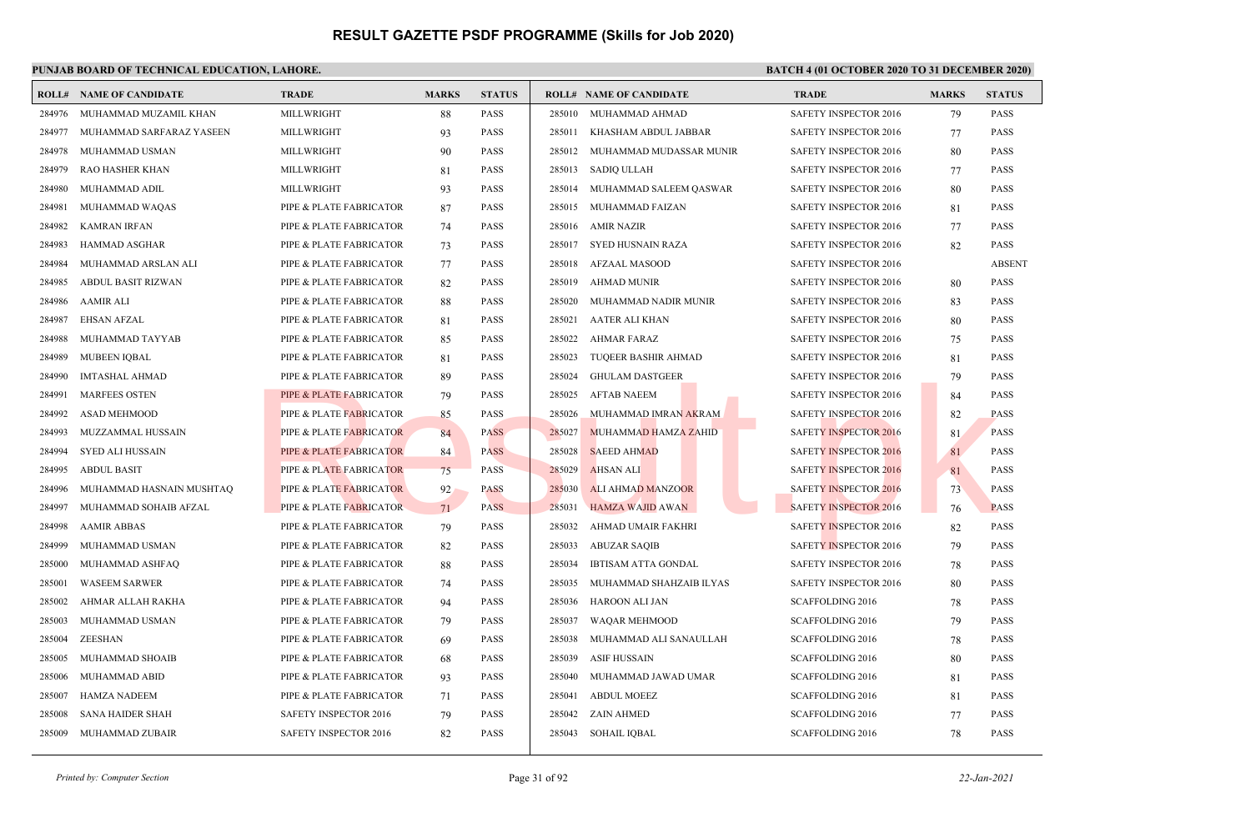## **PUNJAB BOARD OF TECHNICAL EDUCATION, LAHORE. BATCH 4 (01 OCTOBER 2020 TO 31 DECEMBER 2020)**

|        | <b>ROLL# NAME OF CANDIDATE</b> | <b>TRADE</b>            | <b>MARKS</b> | <b>STATUS</b> |        | <b>ROLL# NAME OF CANDIDATE</b> | <b>TRADE</b>                 | <b>MARKS</b> | <b>STATUS</b> |
|--------|--------------------------------|-------------------------|--------------|---------------|--------|--------------------------------|------------------------------|--------------|---------------|
| 284976 | MUHAMMAD MUZAMIL KHAN          | MILLWRIGHT              | 88           | PASS          |        | 285010 MUHAMMAD AHMAD          | SAFETY INSPECTOR 2016        | 79           | <b>PASS</b>   |
| 284977 | MUHAMMAD SARFARAZ YASEEN       | MILLWRIGHT              | 93           | PASS          | 285011 | KHASHAM ABDUL JABBAR           | SAFETY INSPECTOR 2016        | 77           | <b>PASS</b>   |
| 284978 | MUHAMMAD USMAN                 | MILLWRIGHT              | 90           | PASS          | 285012 | MUHAMMAD MUDASSAR MUNIR        | SAFETY INSPECTOR 2016        | 80           | <b>PASS</b>   |
| 284979 | <b>RAO HASHER KHAN</b>         | MILLWRIGHT              | 81           | PASS          | 285013 | <b>SADIQ ULLAH</b>             | SAFETY INSPECTOR 2016        | 77           | <b>PASS</b>   |
| 284980 | MUHAMMAD ADIL                  | MILLWRIGHT              | 93           | PASS          | 285014 | MUHAMMAD SALEEM QASWAR         | SAFETY INSPECTOR 2016        | 80           | <b>PASS</b>   |
| 284981 | MUHAMMAD WAQAS                 | PIPE & PLATE FABRICATOR | 87           | PASS          | 285015 | MUHAMMAD FAIZAN                | SAFETY INSPECTOR 2016        | 81           | <b>PASS</b>   |
| 284982 | <b>KAMRAN IRFAN</b>            | PIPE & PLATE FABRICATOR | 74           | PASS          | 285016 | <b>AMIR NAZIR</b>              | SAFETY INSPECTOR 2016        | 77           | <b>PASS</b>   |
| 284983 | <b>HAMMAD ASGHAR</b>           | PIPE & PLATE FABRICATOR | 73           | PASS          | 285017 | SYED HUSNAIN RAZA              | SAFETY INSPECTOR 2016        | 82           | <b>PASS</b>   |
| 284984 | MUHAMMAD ARSLAN ALI            | PIPE & PLATE FABRICATOR | 77           | PASS          | 285018 | <b>AFZAAL MASOOD</b>           | SAFETY INSPECTOR 2016        |              | <b>ABSENT</b> |
| 284985 | <b>ABDUL BASIT RIZWAN</b>      | PIPE & PLATE FABRICATOR | 82           | PASS          | 285019 | <b>AHMAD MUNIR</b>             | SAFETY INSPECTOR 2016        | 80           | PASS          |
| 284986 | <b>AAMIR ALI</b>               | PIPE & PLATE FABRICATOR | 88           | PASS          | 285020 | MUHAMMAD NADIR MUNIR           | SAFETY INSPECTOR 2016        | 83           | <b>PASS</b>   |
| 284987 | <b>EHSAN AFZAL</b>             | PIPE & PLATE FABRICATOR | 81           | PASS          | 285021 | AATER ALI KHAN                 | <b>SAFETY INSPECTOR 2016</b> | 80           | <b>PASS</b>   |
| 284988 | MUHAMMAD TAYYAB                | PIPE & PLATE FABRICATOR | 85           | PASS          | 285022 | AHMAR FARAZ                    | SAFETY INSPECTOR 2016        | 75           | <b>PASS</b>   |
| 284989 | <b>MUBEEN IOBAL</b>            | PIPE & PLATE FABRICATOR | 81           | PASS          | 285023 | TUQEER BASHIR AHMAD            | <b>SAFETY INSPECTOR 2016</b> | 81           | <b>PASS</b>   |
| 284990 | <b>IMTASHAL AHMAD</b>          | PIPE & PLATE FABRICATOR | 89           | PASS          | 285024 | <b>GHULAM DASTGEER</b>         | SAFETY INSPECTOR 2016        | 79           | PASS          |
| 284991 | <b>MARFEES OSTEN</b>           | PIPE & PLATE FABRICATOR | 79           | PASS          | 285025 | <b>AFTAB NAEEM</b>             | <b>SAFETY INSPECTOR 2016</b> | 84           | <b>PASS</b>   |
| 284992 | <b>ASAD MEHMOOD</b>            | PIPE & PLATE FABRICATOR | 85           | PASS          | 285026 | MUHAMMAD IMRAN AKRAM           | SAFETY INSPECTOR 2016        | 82           | <b>PASS</b>   |
| 284993 | MUZZAMMAL HUSSAIN              | PIPE & PLATE FABRICATOR | 84           | <b>PASS</b>   | 285027 | MUHAMMAD HAMZA ZAHID           | <b>SAFETY INSPECTOR 2016</b> | 81           | <b>PASS</b>   |
| 284994 | <b>SYED ALI HUSSAIN</b>        | PIPE & PLATE FABRICATOR | 84           | <b>PASS</b>   | 285028 | <b>SAEED AHMAD</b>             | <b>SAFETY INSPECTOR 2016</b> | 81           | <b>PASS</b>   |
| 284995 | <b>ABDUL BASIT</b>             | PIPE & PLATE FABRICATOR | 75           | <b>PASS</b>   | 285029 | <b>AHSAN ALI</b>               | <b>SAFETY INSPECTOR 2016</b> | 81           | <b>PASS</b>   |
| 284996 | MUHAMMAD HASNAIN MUSHTAQ       | PIPE & PLATE FABRICATOR | 92           | PASS          | 285030 | <b>ALI AHMAD MANZOOR</b>       | <b>SAFETY INSPECTOR 2016</b> | 73           | PASS          |
| 284997 | MUHAMMAD SOHAIB AFZAL          | PIPE & PLATE FABRICATOR | 71           | <b>PASS</b>   | 285031 | HAMZA WAJID AWAN               | <b>SAFETY INSPECTOR 2016</b> | 76           | <b>PASS</b>   |
| 284998 | <b>AAMIR ABBAS</b>             | PIPE & PLATE FABRICATOR | 79           | PASS          | 285032 | AHMAD UMAIR FAKHRI             | SAFETY INSPECTOR 2016        | 82           | <b>PASS</b>   |
| 284999 | MUHAMMAD USMAN                 | PIPE & PLATE FABRICATOR | 82           | PASS          | 285033 | <b>ABUZAR SAQIB</b>            | <b>SAFETY INSPECTOR 2016</b> | 79           | <b>PASS</b>   |
| 285000 | MUHAMMAD ASHFAQ                | PIPE & PLATE FABRICATOR | 88           | PASS          | 285034 | <b>IBTISAM ATTA GONDAL</b>     | SAFETY INSPECTOR 2016        | 78           | <b>PASS</b>   |
| 285001 | <b>WASEEM SARWER</b>           | PIPE & PLATE FABRICATOR | 74           | PASS          | 285035 | MUHAMMAD SHAHZAIB ILYAS        | SAFETY INSPECTOR 2016        | 80           | <b>PASS</b>   |
| 285002 | AHMAR ALLAH RAKHA              | PIPE & PLATE FABRICATOR | 94           | PASS          | 285036 | HAROON ALI JAN                 | <b>SCAFFOLDING 2016</b>      | 78           | <b>PASS</b>   |
| 285003 | MUHAMMAD USMAN                 | PIPE & PLATE FABRICATOR | 79           | PASS          | 285037 | WAQAR MEHMOOD                  | SCAFFOLDING 2016             | 79           | <b>PASS</b>   |
| 285004 | ZEESHAN                        | PIPE & PLATE FABRICATOR | 69           | PASS          | 285038 | MUHAMMAD ALI SANAULLAH         | <b>SCAFFOLDING 2016</b>      | 78           | <b>PASS</b>   |
| 285005 | MUHAMMAD SHOAIB                | PIPE & PLATE FABRICATOR | 68           | PASS          | 285039 | ASIF HUSSAIN                   | <b>SCAFFOLDING 2016</b>      | 80           | <b>PASS</b>   |
| 285006 | MUHAMMAD ABID                  | PIPE & PLATE FABRICATOR | 93           | PASS          | 285040 | MUHAMMAD JAWAD UMAR            | <b>SCAFFOLDING 2016</b>      | 81           | <b>PASS</b>   |
| 285007 | HAMZA NADEEM                   | PIPE & PLATE FABRICATOR | 71           | PASS          | 285041 | <b>ABDUL MOEEZ</b>             | SCAFFOLDING 2016             | 81           | <b>PASS</b>   |
| 285008 | <b>SANA HAIDER SHAH</b>        | SAFETY INSPECTOR 2016   | 79           | PASS          | 285042 | <b>ZAIN AHMED</b>              | SCAFFOLDING 2016             | 77           | <b>PASS</b>   |
| 285009 | MUHAMMAD ZUBAIR                | SAFETY INSPECTOR 2016   | 82           | PASS          | 285043 | SOHAIL IQBAL                   | <b>SCAFFOLDING 2016</b>      | 78           | <b>PASS</b>   |
|        |                                |                         |              |               |        |                                |                              |              |               |

*Printed by: Computer Section* Page 31 of 92 *22-Jan-2021*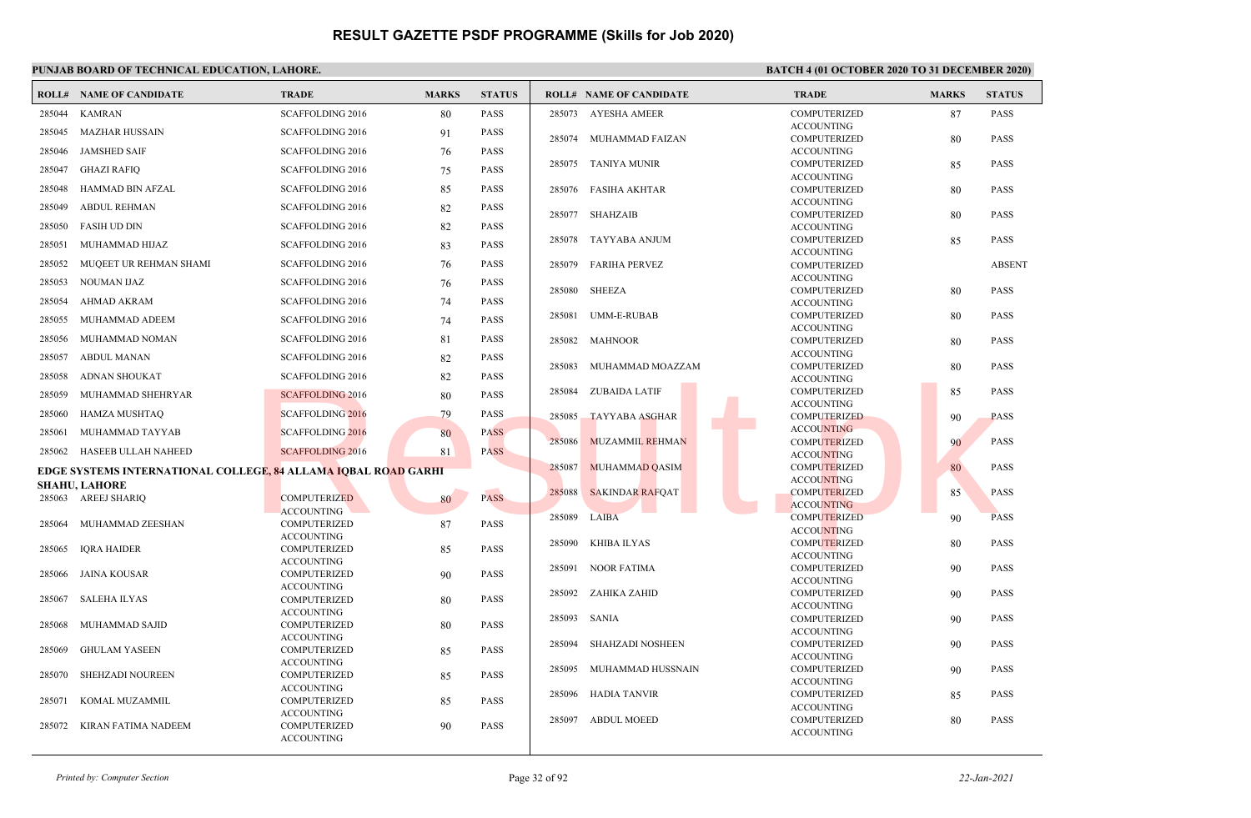### **PUNJAB BOARD OF TECHNICAL EDUCATION, LAHORE. BATCH 4 (01 OCTOBER 2020 TO 31 DECEMBER 2020)**

|        | <b>ROLL# NAME OF CANDIDATE</b>                                               | <b>TRADE</b>                             | <b>MARKS</b> | <b>STATUS</b> |        | <b>ROLL# NAME OF CANDIDATE</b> | <b>TRADE</b>                             | <b>MARKS</b> | <b>STATUS</b> |
|--------|------------------------------------------------------------------------------|------------------------------------------|--------------|---------------|--------|--------------------------------|------------------------------------------|--------------|---------------|
| 285044 | <b>KAMRAN</b>                                                                | <b>SCAFFOLDING 2016</b>                  | 80           | <b>PASS</b>   |        | 285073 AYESHA AMEER            | <b>COMPUTERIZED</b>                      | 87           | <b>PASS</b>   |
| 285045 | MAZHAR HUSSAIN                                                               | <b>SCAFFOLDING 2016</b>                  | 91           | <b>PASS</b>   |        |                                | <b>ACCOUNTING</b>                        |              |               |
|        |                                                                              |                                          |              |               | 285074 | MUHAMMAD FAIZAN                | COMPUTERIZED                             | 80           | <b>PASS</b>   |
| 285046 | JAMSHED SAIF                                                                 | <b>SCAFFOLDING 2016</b>                  | 76           | <b>PASS</b>   |        | 285075 TANIYA MUNIR            | <b>ACCOUNTING</b><br>COMPUTERIZED        |              | <b>PASS</b>   |
| 285047 | <b>GHAZI RAFIQ</b>                                                           | <b>SCAFFOLDING 2016</b>                  | 75           | <b>PASS</b>   |        |                                | <b>ACCOUNTING</b>                        | 85           |               |
| 285048 | HAMMAD BIN AFZAL                                                             | SCAFFOLDING 2016                         | 85           | <b>PASS</b>   |        | 285076 FASIHA AKHTAR           | <b>COMPUTERIZED</b>                      | 80           | <b>PASS</b>   |
| 285049 | <b>ABDUL REHMAN</b>                                                          | <b>SCAFFOLDING 2016</b>                  | 82           | <b>PASS</b>   | 285077 | SHAHZAIB                       | <b>ACCOUNTING</b><br><b>COMPUTERIZED</b> | 80           | <b>PASS</b>   |
| 285050 | <b>FASIH UD DIN</b>                                                          | <b>SCAFFOLDING 2016</b>                  | 82           | PASS          |        |                                | <b>ACCOUNTING</b>                        |              |               |
| 285051 | MUHAMMAD HIJAZ                                                               | <b>SCAFFOLDING 2016</b>                  | 83           | <b>PASS</b>   | 285078 | TAYYABA ANJUM                  | <b>COMPUTERIZED</b>                      | 85           | <b>PASS</b>   |
|        |                                                                              |                                          |              |               |        |                                | <b>ACCOUNTING</b>                        |              |               |
| 285052 | MUQEET UR REHMAN SHAMI                                                       | <b>SCAFFOLDING 2016</b>                  | 76           | <b>PASS</b>   | 285079 | FARIHA PERVEZ                  | <b>COMPUTERIZED</b><br><b>ACCOUNTING</b> |              | <b>ABSENT</b> |
| 285053 | NOUMAN IJAZ                                                                  | <b>SCAFFOLDING 2016</b>                  | 76           | <b>PASS</b>   | 285080 | <b>SHEEZA</b>                  | <b>COMPUTERIZED</b>                      | 80           | <b>PASS</b>   |
| 285054 | <b>AHMAD AKRAM</b>                                                           | <b>SCAFFOLDING 2016</b>                  | 74           | <b>PASS</b>   |        |                                | <b>ACCOUNTING</b>                        |              |               |
| 285055 | MUHAMMAD ADEEM                                                               | <b>SCAFFOLDING 2016</b>                  | 74           | PASS          | 285081 | UMM-E-RUBAB                    | COMPUTERIZED                             | 80           | <b>PASS</b>   |
|        |                                                                              |                                          |              | <b>PASS</b>   |        |                                | <b>ACCOUNTING</b>                        |              |               |
| 285056 | MUHAMMAD NOMAN                                                               | <b>SCAFFOLDING 2016</b>                  | 81           |               | 285082 | <b>MAHNOOR</b>                 | <b>COMPUTERIZED</b>                      | 80           | <b>PASS</b>   |
| 285057 | <b>ABDUL MANAN</b>                                                           | <b>SCAFFOLDING 2016</b>                  | 82           | <b>PASS</b>   | 285083 | MUHAMMAD MOAZZAM               | <b>ACCOUNTING</b><br><b>COMPUTERIZED</b> | 80           | <b>PASS</b>   |
| 285058 | <b>ADNAN SHOUKAT</b>                                                         | <b>SCAFFOLDING 2016</b>                  | 82           | <b>PASS</b>   |        |                                | <b>ACCOUNTING</b>                        |              |               |
| 285059 | MUHAMMAD SHEHRYAR                                                            | <b>SCAFFOLDING 2016</b>                  | 80           | <b>PASS</b>   | 285084 | <b>ZUBAIDA LATIF</b>           | <b>COMPUTERIZED</b>                      | 85           | <b>PASS</b>   |
| 285060 | HAMZA MUSHTAQ                                                                | <b>SCAFFOLDING 2016</b>                  | 79           | <b>PASS</b>   | 285085 | <b>TAYYABA ASGHAR</b>          | <b>ACCOUNTING</b><br><b>COMPUTERIZED</b> |              | <b>PASS</b>   |
| 285061 | MUHAMMAD TAYYAB                                                              | <b>SCAFFOLDING 2016</b>                  | 80           | <b>PASS</b>   |        |                                | <b>ACCOUNTING</b>                        | 90           |               |
|        |                                                                              |                                          |              |               | 285086 | <b>MUZAMMIL REHMAN</b>         | <b>COMPUTERIZED</b>                      | 90           | <b>PASS</b>   |
|        | 285062 HASEEB ULLAH NAHEED                                                   | <b>SCAFFOLDING 2016</b>                  | 81           | <b>PASS</b>   |        |                                | <b>ACCOUNTING</b>                        |              |               |
|        | EDGE SYSTEMS INTERNATIONAL COLLEGE <mark>, 84</mark> ALLAMA IOBAL ROAD GARHI |                                          |              |               | 285087 | MUHAMMAD QASIM                 | <b>COMPUTERIZED</b><br><b>ACCOUNTING</b> | 80           | <b>PASS</b>   |
|        | <b>SHAHU, LAHORE</b>                                                         |                                          |              |               | 285088 | <b>SAKINDAR RAFQAT</b>         | <b>COMPUTERIZED</b>                      | 85           | <b>PASS</b>   |
|        | 285063 AREEJ SHARIQ                                                          | <b>COMPUTERIZED</b>                      | 80           | <b>PASS</b>   |        |                                | <b>ACCOUNTING</b>                        |              |               |
| 285064 | MUHAMMAD ZEESHAN                                                             | <b>ACCOUNTING</b><br><b>COMPUTERIZED</b> |              | PASS          | 285089 | LAIBA                          | <b>COMPUTERIZED</b>                      | 90           | <b>PASS</b>   |
|        |                                                                              | <b>ACCOUNTING</b>                        | 87           |               |        |                                | <b>ACCOUNTING</b>                        |              |               |
| 285065 | <b>IORA HAIDER</b>                                                           | <b>COMPUTERIZED</b>                      | 85           | <b>PASS</b>   | 285090 | KHIBA ILYAS                    | <b>COMPUTERIZED</b><br><b>ACCOUNTING</b> | 80           | <b>PASS</b>   |
|        |                                                                              | <b>ACCOUNTING</b>                        |              |               |        | 285091 NOOR FATIMA             | <b>COMPUTERIZED</b>                      | 90           | <b>PASS</b>   |
| 285066 | JAINA KOUSAR                                                                 | <b>COMPUTERIZED</b>                      | 90           | PASS          |        |                                | <b>ACCOUNTING</b>                        |              |               |
| 285067 | <b>SALEHA ILYAS</b>                                                          | <b>ACCOUNTING</b><br><b>COMPUTERIZED</b> |              | <b>PASS</b>   | 285092 | ZAHIKA ZAHID                   | COMPUTERIZED                             | 90           | <b>PASS</b>   |
|        |                                                                              | <b>ACCOUNTING</b>                        | 80           |               |        |                                | <b>ACCOUNTING</b>                        |              |               |
| 285068 | MUHAMMAD SAJID                                                               | <b>COMPUTERIZED</b>                      | 80           | <b>PASS</b>   | 285093 | SANIA                          | <b>COMPUTERIZED</b>                      | 90           | <b>PASS</b>   |
|        |                                                                              | <b>ACCOUNTING</b>                        |              |               |        |                                | <b>ACCOUNTING</b>                        |              |               |
| 285069 | <b>GHULAM YASEEN</b>                                                         | <b>COMPUTERIZED</b>                      | 85           | PASS          | 285094 | SHAHZADI NOSHEEN               | <b>COMPUTERIZED</b><br><b>ACCOUNTING</b> | 90           | <b>PASS</b>   |
|        |                                                                              | <b>ACCOUNTING</b>                        |              |               | 285095 | MUHAMMAD HUSSNAIN              | COMPUTERIZED                             | 90           | <b>PASS</b>   |
| 285070 | SHEHZADI NOUREEN                                                             | <b>COMPUTERIZED</b>                      | 85           | PASS          |        |                                | <b>ACCOUNTING</b>                        |              |               |
| 285071 | KOMAL MUZAMMIL                                                               | <b>ACCOUNTING</b><br><b>COMPUTERIZED</b> | 85           | <b>PASS</b>   | 285096 | HADIA TANVIR                   | <b>COMPUTERIZED</b>                      | 85           | <b>PASS</b>   |
|        |                                                                              | <b>ACCOUNTING</b>                        |              |               |        |                                | <b>ACCOUNTING</b>                        |              |               |
| 285072 | KIRAN FATIMA NADEEM                                                          | <b>COMPUTERIZED</b>                      | 90           | <b>PASS</b>   | 285097 | <b>ABDUL MOEED</b>             | <b>COMPUTERIZED</b><br><b>ACCOUNTING</b> | 80           | <b>PASS</b>   |
|        |                                                                              | <b>ACCOUNTING</b>                        |              |               |        |                                |                                          |              |               |

*Printed by: Computer Section* Page 32 of 92 *22-Jan-2021*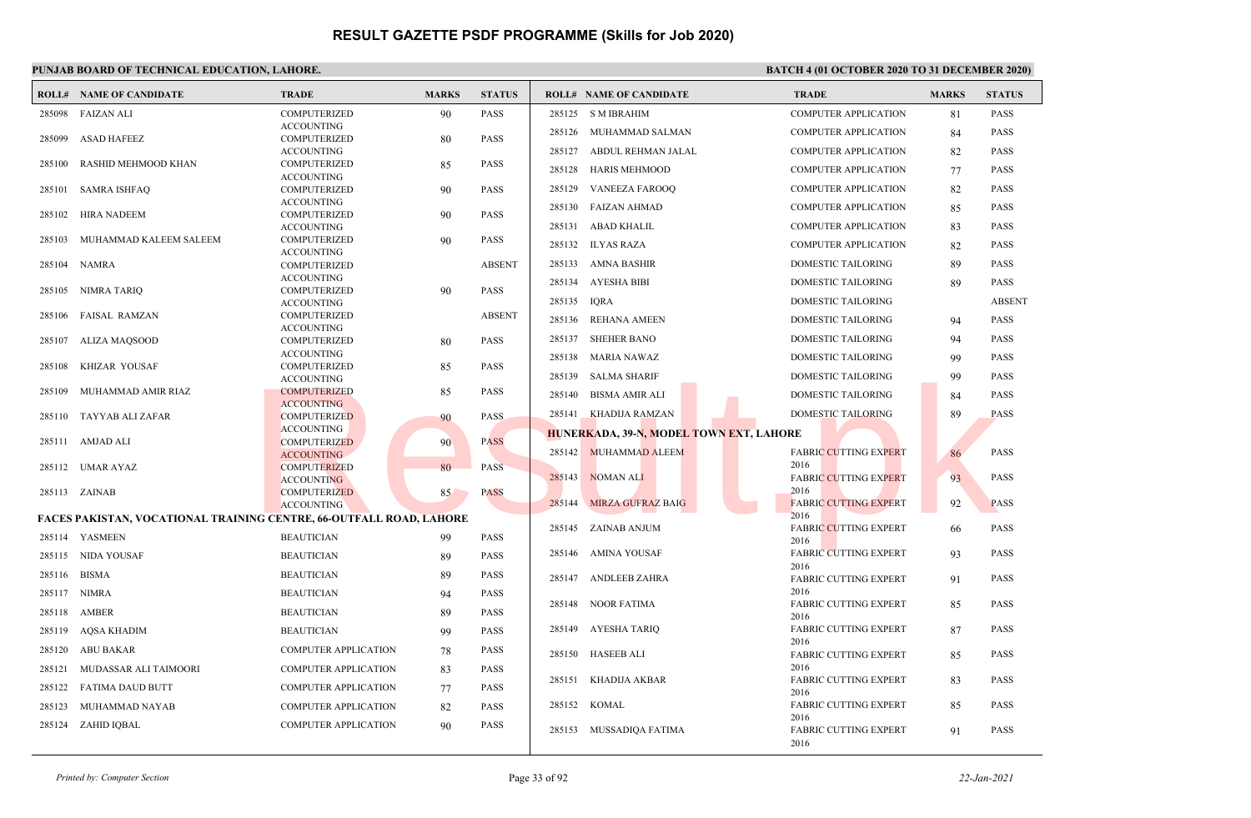|        | <b>ROLL# NAME OF CANDIDATE</b>                                             | <b>TRADE</b>                             | <b>MARKS</b> | <b>STATUS</b> |             | <b>ROLL# NAME OF CANDIDATE</b>          | <b>TRADE</b>                         | <b>MARKS</b> | <b>STATUS</b> |
|--------|----------------------------------------------------------------------------|------------------------------------------|--------------|---------------|-------------|-----------------------------------------|--------------------------------------|--------------|---------------|
| 285098 | FAIZAN ALI                                                                 | <b>COMPUTERIZED</b>                      | 90           | <b>PASS</b>   |             | 285125 S M IBRAHIM                      | <b>COMPUTER APPLICATION</b>          | 81           | <b>PASS</b>   |
|        |                                                                            | <b>ACCOUNTING</b>                        |              |               |             | 285126 MUHAMMAD SALMAN                  | <b>COMPUTER APPLICATION</b>          | 84           | <b>PASS</b>   |
| 285099 | <b>ASAD HAFEEZ</b>                                                         | <b>COMPUTERIZED</b><br><b>ACCOUNTING</b> | 80           | <b>PASS</b>   | 285127      | ABDUL REHMAN JALAL                      | <b>COMPUTER APPLICATION</b>          | 82           | <b>PASS</b>   |
| 285100 | RASHID MEHMOOD KHAN                                                        | <b>COMPUTERIZED</b>                      | 85           | <b>PASS</b>   |             |                                         |                                      |              |               |
|        |                                                                            | <b>ACCOUNTING</b>                        |              |               |             | 285128 HARIS MEHMOOD                    | <b>COMPUTER APPLICATION</b>          | 77           | <b>PASS</b>   |
| 285101 | <b>SAMRA ISHFAQ</b>                                                        | <b>COMPUTERIZED</b>                      | 90           | <b>PASS</b>   | 285129      | VANEEZA FAROOQ                          | <b>COMPUTER APPLICATION</b>          | 82           | <b>PASS</b>   |
| 285102 | HIRA NADEEM                                                                | <b>ACCOUNTING</b><br><b>COMPUTERIZED</b> | 90           | <b>PASS</b>   | 285130      | FAIZAN AHMAD                            | <b>COMPUTER APPLICATION</b>          | 85           | <b>PASS</b>   |
|        |                                                                            | <b>ACCOUNTING</b>                        |              |               |             | 285131 ABAD KHALIL                      | <b>COMPUTER APPLICATION</b>          | 83           | <b>PASS</b>   |
| 285103 | MUHAMMAD KALEEM SALEEM                                                     | <b>COMPUTERIZED</b>                      | 90           | <b>PASS</b>   |             | 285132 ILYAS RAZA                       | <b>COMPUTER APPLICATION</b>          | 82           | <b>PASS</b>   |
|        |                                                                            | <b>ACCOUNTING</b>                        |              | <b>ABSENT</b> |             | 285133 AMNA BASHIR                      | DOMESTIC TAILORING                   | 89           | <b>PASS</b>   |
|        | 285104 NAMRA                                                               | COMPUTERIZED<br><b>ACCOUNTING</b>        |              |               |             |                                         |                                      |              |               |
|        | 285105 NIMRA TARIQ                                                         | <b>COMPUTERIZED</b>                      | 90           | <b>PASS</b>   |             | 285134 AYESHA BIBI                      | <b>DOMESTIC TAILORING</b>            | 89           | <b>PASS</b>   |
|        |                                                                            | <b>ACCOUNTING</b>                        |              |               | 285135 IQRA |                                         | DOMESTIC TAILORING                   |              | <b>ABSENT</b> |
| 285106 | <b>FAISAL RAMZAN</b>                                                       | <b>COMPUTERIZED</b><br><b>ACCOUNTING</b> |              | <b>ABSENT</b> | 285136      | REHANA AMEEN                            | DOMESTIC TAILORING                   | 94           | <b>PASS</b>   |
|        | 285107 ALIZA MAQSOOD                                                       | <b>COMPUTERIZED</b>                      | 80           | <b>PASS</b>   |             | 285137 SHEHER BANO                      | <b>DOMESTIC TAILORING</b>            | 94           | <b>PASS</b>   |
|        |                                                                            | <b>ACCOUNTING</b>                        |              |               |             | 285138 MARIA NAWAZ                      | DOMESTIC TAILORING                   | 99           | <b>PASS</b>   |
| 285108 | KHIZAR YOUSAF                                                              | <b>COMPUTERIZED</b>                      | 85           | <b>PASS</b>   |             | 285139 SALMA SHARIF                     | <b>DOMESTIC TAILORING</b>            |              | <b>PASS</b>   |
| 285109 | MUHAMMAD AMIR RIAZ                                                         | <b>ACCOUNTING</b><br><b>COMPUTERIZED</b> | 85           | <b>PASS</b>   |             |                                         |                                      | 99           |               |
|        |                                                                            | <b>ACCOUNTING</b>                        |              |               | 285140      | <b>BISMA AMIR ALI</b>                   | DOMESTIC TAILORING                   | 84           | <b>PASS</b>   |
|        | 285110 TAYYAB ALI ZAFAR                                                    | <b>COMPUTERIZED</b>                      | 90           | PASS          |             | 285141 KHADIJA RAMZAN                   | DOMESTIC TAILORING                   | 89           | <b>PASS</b>   |
|        |                                                                            | <b>ACCOUNTING</b>                        |              |               |             | HUNERKADA, 39-N, MODEL TOWN EXT, LAHORE |                                      |              |               |
|        | 285111 AMJAD ALI                                                           | <b>COMPUTERIZED</b><br><b>ACCOUNTING</b> | 90           | <b>PASS</b>   |             | 285142 MUHAMMAD ALEEM                   | <b>FABRIC CUTTING EXPERT</b>         | 86           | <b>PASS</b>   |
|        | 285112 UMAR AYAZ                                                           | <b>COMPUTERIZED</b>                      | 80           | <b>PASS</b>   |             |                                         | 2016                                 |              |               |
|        |                                                                            | <b>ACCOUNTING</b>                        |              |               |             | 285143 NOMAN ALI                        | <b>FABRIC CUTTING EXPERT</b>         | 93           | <b>PASS</b>   |
|        | 285113 ZAINAB                                                              | <b>COMPUTERIZED</b>                      | 85           | <b>PASS</b>   |             | 285144 MIRZA GUFRAZ BAIG                | 2016<br><b>FABRIC CUTTING EXPERT</b> | 92           | <b>PASS</b>   |
|        | <b>FACES PAKISTAN, VOCATIONAL TRAINING CENTRE, 66-OUTFALL ROAD, LAHORE</b> | <b>ACCOUNTING</b>                        |              |               |             |                                         | 2016                                 |              |               |
|        |                                                                            |                                          |              |               |             | 285145 ZAINAB ANJUM                     | <b>FABRIC CUTTING EXPERT</b>         | 66           | <b>PASS</b>   |
|        | 285114 YASMEEN                                                             | <b>BEAUTICIAN</b>                        | 99           | <b>PASS</b>   |             |                                         | 2016                                 |              |               |
|        | 285115 NIDA YOUSAF                                                         | <b>BEAUTICIAN</b>                        | 89           | <b>PASS</b>   |             | 285146 AMINA YOUSAF                     | <b>FABRIC CUTTING EXPERT</b><br>2016 | 93           | <b>PASS</b>   |
|        | 285116 BISMA                                                               | <b>BEAUTICIAN</b>                        | 89           | <b>PASS</b>   | 285147      | ANDLEEB ZAHRA                           | <b>FABRIC CUTTING EXPERT</b>         | 91           | <b>PASS</b>   |
|        | 285117 NIMRA                                                               | <b>BEAUTICIAN</b>                        | 94           | <b>PASS</b>   |             |                                         | 2016                                 |              |               |
|        | 285118 AMBER                                                               | <b>BEAUTICIAN</b>                        | 89           | <b>PASS</b>   |             | 285148 NOOR FATIMA                      | <b>FABRIC CUTTING EXPERT</b><br>2016 | 85           | <b>PASS</b>   |
| 285119 | AQSA KHADIM                                                                | <b>BEAUTICIAN</b>                        | 99           | <b>PASS</b>   |             | 285149 AYESHA TARIQ                     | <b>FABRIC CUTTING EXPERT</b>         | 87           | <b>PASS</b>   |
| 285120 | ABU BAKAR                                                                  | <b>COMPUTER APPLICATION</b>              | 78           | <b>PASS</b>   |             |                                         | 2016                                 |              |               |
| 285121 | MUDASSAR ALI TAIMOORI                                                      | <b>COMPUTER APPLICATION</b>              | 83           | <b>PASS</b>   |             | 285150 HASEEB ALI                       | <b>FABRIC CUTTING EXPERT</b><br>2016 | 85           | <b>PASS</b>   |
|        |                                                                            |                                          |              |               |             | 285151 KHADIJA AKBAR                    | <b>FABRIC CUTTING EXPERT</b>         | 83           | <b>PASS</b>   |
| 285122 | FATIMA DAUD BUTT                                                           | <b>COMPUTER APPLICATION</b>              | 77           | <b>PASS</b>   |             |                                         | 2016                                 |              |               |
| 285123 | MUHAMMAD NAYAB                                                             | <b>COMPUTER APPLICATION</b>              | 82           | <b>PASS</b>   |             | 285152 KOMAL                            | <b>FABRIC CUTTING EXPERT</b><br>2016 | 85           | <b>PASS</b>   |
|        | 285124 ZAHID IQBAL                                                         | <b>COMPUTER APPLICATION</b>              | 90           | <b>PASS</b>   |             | 285153 MUSSADIQA FATIMA                 | <b>FABRIC CUTTING EXPERT</b><br>2016 | 91           | <b>PASS</b>   |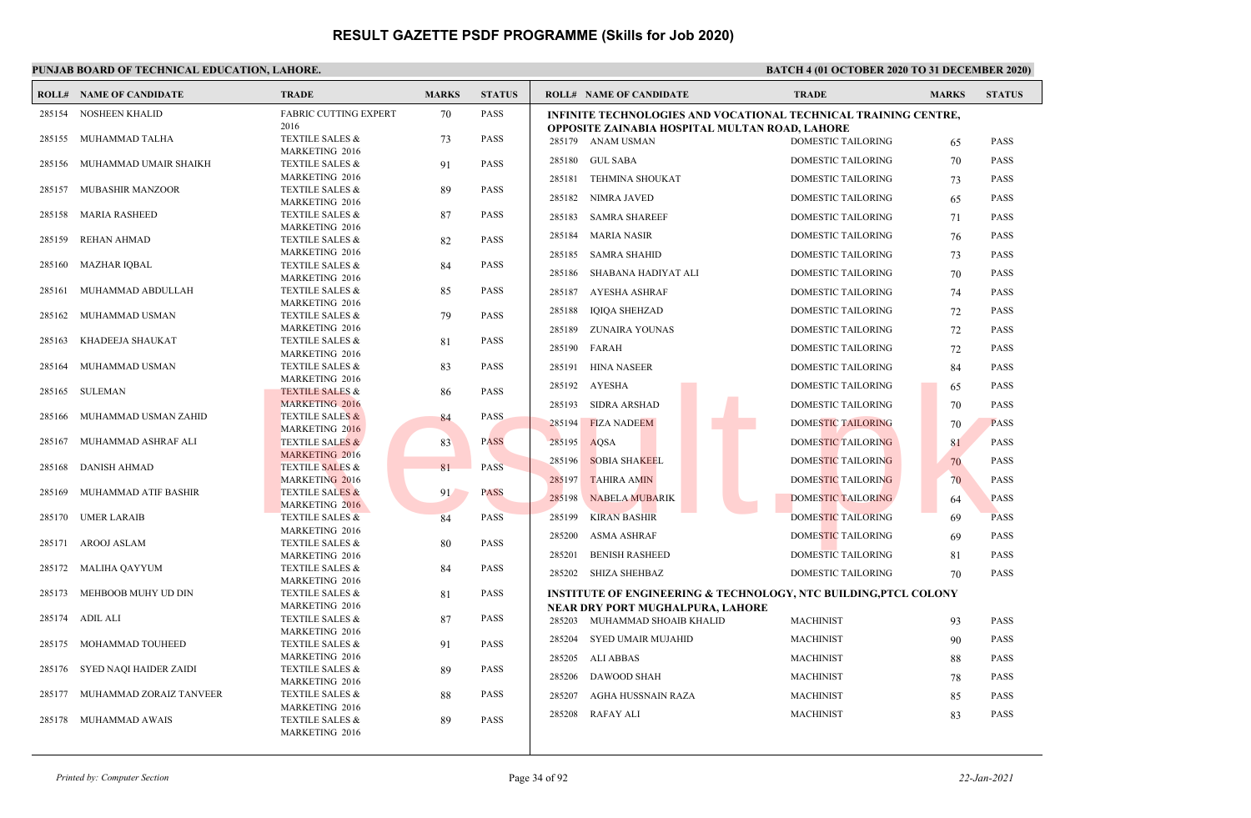|        | <b>ROLL# NAME OF CANDIDATE</b> | <b>TRADE</b>                                        | <b>MARKS</b> | <b>STATUS</b> | <b>ROLL# NAME OF CANDIDATE</b>                                              | <b>TRADE</b>              | <b>MARKS</b> | <b>STATUS</b> |
|--------|--------------------------------|-----------------------------------------------------|--------------|---------------|-----------------------------------------------------------------------------|---------------------------|--------------|---------------|
|        | 285154 NOSHEEN KHALID          | <b>FABRIC CUTTING EXPERT</b>                        | 70           | <b>PASS</b>   | <b>INFINITE TECHNOLOGIES AND VOCATIONAL TECHNICAL TRAINING CENTRE,</b>      |                           |              |               |
|        | 285155 MUHAMMAD TALHA          | 2016<br><b>TEXTILE SALES &amp;</b>                  | 73           | <b>PASS</b>   | OPPOSITE ZAINABIA HOSPITAL MULTAN ROAD, LAHORE                              |                           |              |               |
|        |                                | <b>MARKETING 2016</b>                               |              |               | 285179 ANAM USMAN                                                           | <b>DOMESTIC TAILORING</b> | 65           | <b>PASS</b>   |
| 285156 | MUHAMMAD UMAIR SHAIKH          | <b>TEXTILE SALES &amp;</b>                          | 91           | <b>PASS</b>   | <b>GUL SABA</b><br>285180                                                   | <b>DOMESTIC TAILORING</b> | 70           | <b>PASS</b>   |
|        |                                | MARKETING 2016                                      |              |               | 285181<br><b>TEHMINA SHOUKAT</b>                                            | <b>DOMESTIC TAILORING</b> | 73           | <b>PASS</b>   |
| 285157 | MUBASHIR MANZOOR               | TEXTILE SALES &                                     | 89           | <b>PASS</b>   | 285182<br>NIMRA JAVED                                                       | <b>DOMESTIC TAILORING</b> | 65           | <b>PASS</b>   |
| 285158 | MARIA RASHEED                  | MARKETING 2016<br><b>TEXTILE SALES &amp;</b>        | 87           | <b>PASS</b>   |                                                                             |                           |              |               |
|        |                                | MARKETING 2016                                      |              |               | 285183<br><b>SAMRA SHAREEF</b>                                              | DOMESTIC TAILORING        | 71           | <b>PASS</b>   |
| 285159 | <b>REHAN AHMAD</b>             | <b>TEXTILE SALES &amp;</b>                          | 82           | <b>PASS</b>   | 285184<br><b>MARIA NASIR</b>                                                | DOMESTIC TAILORING        | 76           | <b>PASS</b>   |
|        |                                | <b>MARKETING 2016</b>                               |              |               | 285185<br><b>SAMRA SHAHID</b>                                               | DOMESTIC TAILORING        | 73           | <b>PASS</b>   |
| 285160 | <b>MAZHAR IQBAL</b>            | <b>TEXTILE SALES &amp;</b>                          | 84           | <b>PASS</b>   | 285186<br>SHABANA HADIYAT ALI                                               | DOMESTIC TAILORING        | 70           | <b>PASS</b>   |
| 285161 | MUHAMMAD ABDULLAH              | MARKETING 2016<br><b>TEXTILE SALES &amp;</b>        |              | <b>PASS</b>   |                                                                             |                           |              |               |
|        |                                | MARKETING 2016                                      | 85           |               | AYESHA ASHRAF<br>285187                                                     | <b>DOMESTIC TAILORING</b> | 74           | <b>PASS</b>   |
| 285162 | MUHAMMAD USMAN                 | TEXTILE SALES &                                     | 79           | <b>PASS</b>   | 285188<br><b>IQIQA SHEHZAD</b>                                              | DOMESTIC TAILORING        | 72           | <b>PASS</b>   |
|        |                                | MARKETING 2016                                      |              |               | 285189<br>ZUNAIRA YOUNAS                                                    | <b>DOMESTIC TAILORING</b> | 72           | <b>PASS</b>   |
| 285163 | KHADEEJA SHAUKAT               | <b>TEXTILE SALES &amp;</b>                          | 81           | <b>PASS</b>   | 285190<br>FARAH                                                             | DOMESTIC TAILORING        | 72           | <b>PASS</b>   |
|        | MUHAMMAD USMAN                 | MARKETING 2016                                      |              | <b>PASS</b>   |                                                                             |                           |              |               |
| 285164 |                                | <b>TEXTILE SALES &amp;</b><br>MARKETING 2016        | 83           |               | <b>HINA NASEER</b><br>285191                                                | <b>DOMESTIC TAILORING</b> | 84           | <b>PASS</b>   |
| 285165 | SULEMAN                        | <b>TEXTILE SALES &amp;</b>                          | 86           | <b>PASS</b>   | 285192<br><b>AYESHA</b>                                                     | DOMESTIC TAILORING        | 65           | <b>PASS</b>   |
|        |                                | <b>MARKETING 2016</b>                               |              |               | SIDRA ARSHAD<br>285193                                                      | <b>DOMESTIC TAILORING</b> | 70           | <b>PASS</b>   |
| 285166 | MUHAMMAD USMAN ZAHID           | <b>TEXTILE SALES &amp;</b>                          | 84           | <b>PASS</b>   | <b>FIZA NADEEM</b><br>285194                                                | <b>DOMESTIC TAILORING</b> | 70           | <b>PASS</b>   |
|        |                                | <b>MARKETING 2016</b>                               |              |               |                                                                             |                           |              |               |
| 285167 | MUHAMMAD ASHRAF ALI            | <b>TEXTILE SALES &amp;</b><br><b>MARKETING 2016</b> | 83           | <b>PASS</b>   | 285195<br>AOSA                                                              | <b>DOMESTIC TAILORING</b> | 81           | <b>PASS</b>   |
| 285168 | DANISH AHMAD                   | <b>TEXTILE SALES &amp;</b>                          | 81           | <b>PASS</b>   | <b>SOBIA SHAKEEL</b><br>285196                                              | <b>DOMESTIC TAILORING</b> | 70           | <b>PASS</b>   |
|        |                                | MARKETING 2016                                      |              |               | 285197<br><b>TAHIRA AMIN</b>                                                | <b>DOMESTIC TAILORING</b> | 70           | <b>PASS</b>   |
| 285169 | MUHAMMAD ATIF BASHIR           | <b>TEXTILE SALES &amp;</b>                          | 91           | <b>PASS</b>   | 285198<br><b>NABELA MUBARIK</b>                                             | <b>DOMESTIC TAILORING</b> | 64           | <b>PASS</b>   |
|        |                                | MARKETING 2016                                      |              |               | 285199                                                                      |                           |              |               |
| 285170 | UMER LARAIB                    | TEXTILE SALES &<br><b>MARKETING 2016</b>            | 84           | <b>PASS</b>   | <b>KIRAN BASHIR</b>                                                         | DOMESTIC TAILORING        | 69           | <b>PASS</b>   |
| 285171 | AROOJ ASLAM                    | <b>TEXTILE SALES &amp;</b>                          | 80           | <b>PASS</b>   | 285200<br>ASMA ASHRAF                                                       | DOMESTIC TAILORING        | 69           | <b>PASS</b>   |
|        |                                | MARKETING 2016                                      |              |               | 285201<br><b>BENISH RASHEED</b>                                             | DOMESTIC TAILORING        | 81           | <b>PASS</b>   |
| 285172 | MALIHA QAYYUM                  | <b>TEXTILE SALES &amp;</b>                          | 84           | <b>PASS</b>   | 285202<br>SHIZA SHEHBAZ                                                     | DOMESTIC TAILORING        | 70           | <b>PASS</b>   |
|        |                                | MARKETING 2016                                      |              |               |                                                                             |                           |              |               |
| 285173 | MEHBOOB MUHY UD DIN            | <b>TEXTILE SALES &amp;</b><br>MARKETING 2016        | 81           | <b>PASS</b>   | <b>INSTITUTE OF ENGINEERING &amp; TECHNOLOGY, NTC BUILDING, PTCL COLONY</b> |                           |              |               |
|        | 285174 ADIL ALI                | <b>TEXTILE SALES &amp;</b>                          | 87           | <b>PASS</b>   | NEAR DRY PORT MUGHALPURA, LAHORE<br>285203 MUHAMMAD SHOAIB KHALID           | <b>MACHINIST</b>          | 93           | <b>PASS</b>   |
|        |                                | MARKETING 2016                                      |              |               |                                                                             |                           |              |               |
|        | 285175 MOHAMMAD TOUHEED        | <b>TEXTILE SALES &amp;</b>                          | 91           | <b>PASS</b>   | 285204<br><b>SYED UMAIR MUJAHID</b>                                         | <b>MACHINIST</b>          | 90           | <b>PASS</b>   |
|        |                                | MARKETING 2016                                      |              |               | 285205<br>ALI ABBAS                                                         | <b>MACHINIST</b>          | 88           | <b>PASS</b>   |
|        | 285176 SYED NAOI HAIDER ZAIDI  | <b>TEXTILE SALES &amp;</b><br>MARKETING 2016        | 89           | <b>PASS</b>   | 285206 DAWOOD SHAH                                                          | <b>MACHINIST</b>          | 78           | <b>PASS</b>   |
|        | 285177 MUHAMMAD ZORAIZ TANVEER | <b>TEXTILE SALES &amp;</b>                          | 88           | <b>PASS</b>   | 285207<br>AGHA HUSSNAIN RAZA                                                | <b>MACHINIST</b>          | 85           | <b>PASS</b>   |
|        |                                | <b>MARKETING 2016</b>                               |              |               |                                                                             |                           |              |               |
|        | 285178 MUHAMMAD AWAIS          | <b>TEXTILE SALES &amp;</b>                          | 89           | <b>PASS</b>   | 285208 RAFAY ALI                                                            | <b>MACHINIST</b>          | 83           | <b>PASS</b>   |
|        |                                | MARKETING 2016                                      |              |               |                                                                             |                           |              |               |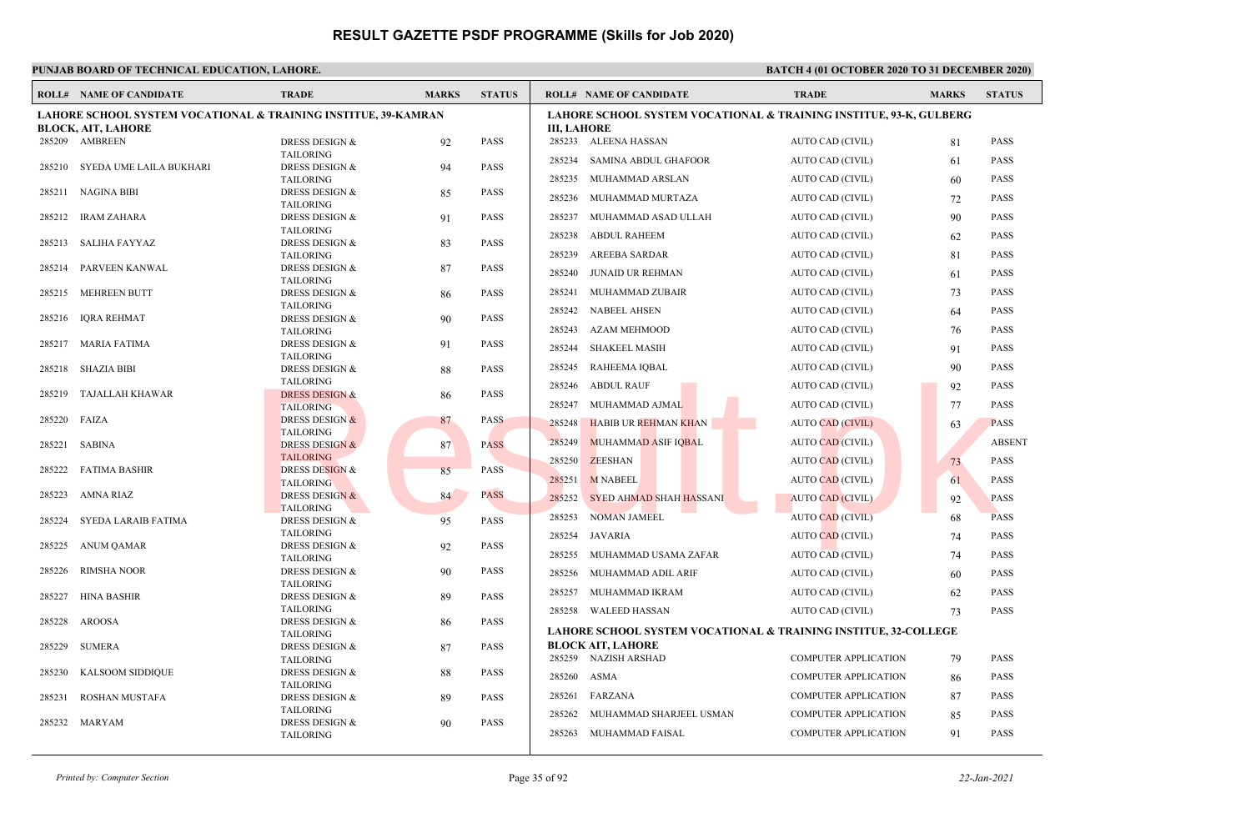| LAHORE SCHOOL SYSTEM VOCATIONAL & TRAINING INSTITUE, 39-KAMRAN<br><b>LAHORE SCHOOL SYSTEM VOCATIONAL &amp; TRAINING INSTITUE, 93-K, GULBERG</b><br><b>III. LAHORE</b><br><b>BLOCK, AIT, LAHORE</b><br>285209 AMBREEN<br><b>PASS</b><br>285233 ALEENA HASSAN<br>AUTO CAD (CIVIL)<br><b>PASS</b><br><b>DRESS DESIGN &amp;</b><br>92<br>81<br><b>TAILORING</b><br>285234<br>SAMINA ABDUL GHAFOOR<br>AUTO CAD (CIVIL)<br>61<br><b>PASS</b><br>DRESS DESIGN &<br><b>PASS</b><br>285210 SYEDA UME LAILA BUKHARI<br>94<br><b>TAILORING</b><br>285235<br>MUHAMMAD ARSLAN<br>AUTO CAD (CIVIL)<br><b>PASS</b><br>60<br>285211 NAGINA BIBI<br><b>DRESS DESIGN &amp;</b><br><b>PASS</b><br>85<br>285236<br>MUHAMMAD MURTAZA<br>AUTO CAD (CIVIL)<br><b>PASS</b><br>72<br><b>TAILORING</b><br>285237<br>MUHAMMAD ASAD ULLAH<br>AUTO CAD (CIVIL)<br><b>PASS</b><br>90<br>285212 IRAM ZAHARA<br>DRESS DESIGN &<br>91<br><b>PASS</b><br><b>TAILORING</b><br>285238<br><b>ABDUL RAHEEM</b><br><b>PASS</b><br>AUTO CAD (CIVIL)<br>62<br>SALIHA FAYYAZ<br><b>DRESS DESIGN &amp;</b><br><b>PASS</b><br>285213<br>83<br>285239<br><b>AREEBA SARDAR</b><br>AUTO CAD (CIVIL)<br><b>PASS</b><br><b>TAILORING</b><br>81<br>PARVEEN KANWAL<br><b>DRESS DESIGN &amp;</b><br><b>PASS</b><br>285214<br>87<br>JUNAID UR REHMAN<br>285240<br>AUTO CAD (CIVIL)<br><b>PASS</b><br>61<br><b>TAILORING</b><br>285241<br>MUHAMMAD ZUBAIR<br><b>PASS</b><br>AUTO CAD (CIVIL)<br>73<br>MEHREEN BUTT<br><b>DRESS DESIGN &amp;</b><br><b>PASS</b><br>285215<br>86<br><b>TAILORING</b><br>285242<br><b>NABEEL AHSEN</b><br><b>PASS</b><br>AUTO CAD (CIVIL)<br>64<br>285216<br><b>IQRA REHMAT</b><br><b>PASS</b><br><b>DRESS DESIGN &amp;</b><br>90<br>285243<br>AZAM MEHMOOD<br>AUTO CAD (CIVIL)<br><b>PASS</b><br>76<br><b>TAILORING</b><br>285217 MARIA FATIMA<br><b>DRESS DESIGN &amp;</b><br><b>PASS</b><br>91<br>285244<br><b>SHAKEEL MASIH</b><br><b>PASS</b><br>AUTO CAD (CIVIL)<br>91<br><b>TAILORING</b><br>285245<br>RAHEEMA IOBAL<br>AUTO CAD (CIVIL)<br><b>PASS</b><br>90<br><b>SHAZIA BIBI</b><br><b>DRESS DESIGN &amp;</b><br><b>PASS</b><br>285218<br>88<br><b>TAILORING</b><br>285246<br><b>ABDUL RAUF</b><br>AUTO CAD (CIVIL)<br>92<br><b>PASS</b><br><b>PASS</b><br>285219<br>TAJALLAH KHAWAR<br><b>DRESS DESIGN &amp;</b><br>86<br>MUHAMMAD AJMAL<br>285247<br>AUTO CAD (CIVIL)<br><b>PASS</b><br>77<br><b>TAILORING</b><br>285220<br><b>DRESS DESIGN &amp;</b><br><b>PASS</b><br>FAIZA<br>87<br><b>HABIB UR REHMAN KHAN</b><br>285248<br><b>AUTO CAD (CIVIL)</b><br><b>PASS</b><br>63<br><b>TAILORING</b><br>285249<br><b>MUHAMMAD ASIF IQBAL</b><br><b>AUTO CAD (CIVIL)</b><br><b>ABSENT</b><br>285221<br>SABINA<br><b>DRESS DESIGN &amp;</b><br>87<br><b>PASS</b><br><b>TAILORING</b><br>285250<br><b>ZEESHAN</b><br><b>PASS</b><br>AUTO CAD (CIVIL)<br>73<br><b>DRESS DESIGN &amp;</b><br>85<br><b>PASS</b><br>285222<br><b>FATIMA BASHIR</b><br><b>M NABEEL</b><br>285251<br><b>AUTO CAD (CIVIL)</b><br><b>PASS</b><br>61<br><b>TAILORING</b><br><b>PASS</b><br>285223<br>AMNA RIAZ<br><b>DRESS DESIGN &amp;</b><br>84<br>285252<br>SYED AHMAD SHAH HASSANI<br><b>PASS</b><br><b>AUTO CAD (CIVIL)</b><br>92<br><b>TAILORING</b><br>285253<br><b>NOMAN JAMEEL</b><br><b>AUTO CAD (CIVIL)</b><br>68<br><b>PASS</b><br>SYEDA LARAIB FATIMA<br><b>PASS</b><br>285224<br>DRESS DESIGN &<br>95<br><b>TAILORING</b><br>285254<br>JAVARIA<br><b>AUTO CAD (CIVIL)</b><br><b>PASS</b><br>74<br>285225<br><b>ANUM QAMAR</b><br><b>DRESS DESIGN &amp;</b><br>92<br><b>PASS</b><br>285255<br>MUHAMMAD USAMA ZAFAR<br>AUTO CAD (CIVIL)<br>74<br><b>PASS</b><br><b>TAILORING</b><br><b>RIMSHA NOOR</b><br><b>PASS</b><br>285226<br><b>DRESS DESIGN &amp;</b><br>90<br>285256<br>MUHAMMAD ADIL ARIF<br>AUTO CAD (CIVIL)<br><b>PASS</b><br>60<br><b>TAILORING</b><br>285257<br>MUHAMMAD IKRAM<br><b>PASS</b><br>AUTO CAD (CIVIL)<br>62<br><b>HINA BASHIR</b><br><b>DRESS DESIGN &amp;</b><br><b>PASS</b><br>285227<br>89<br><b>TAILORING</b><br>285258 WALEED HASSAN<br><b>PASS</b><br>AUTO CAD (CIVIL)<br>73<br>285228<br><b>AROOSA</b><br><b>PASS</b><br><b>DRESS DESIGN &amp;</b><br>86<br><b>LAHORE SCHOOL SYSTEM VOCATIONAL &amp; TRAINING INSTITUE, 32-COLLEGE</b><br><b>TAILORING</b><br><b>BLOCK AIT, LAHORE</b><br>285229<br><b>SUMERA</b><br><b>DRESS DESIGN &amp;</b><br><b>PASS</b><br>87<br>285259 NAZISH ARSHAD<br><b>COMPUTER APPLICATION</b><br><b>PASS</b><br>79<br><b>TAILORING</b><br><b>DRESS DESIGN &amp;</b><br><b>PASS</b><br>285230<br>KALSOOM SIDDIQUE<br>88<br>285260<br>ASMA<br><b>COMPUTER APPLICATION</b><br><b>PASS</b><br>86<br><b>TAILORING</b><br>285261<br>FARZANA<br><b>COMPUTER APPLICATION</b><br><b>PASS</b><br>87<br>ROSHAN MUSTAFA<br>DRESS DESIGN &<br><b>PASS</b><br>285231<br>89<br><b>TAILORING</b><br>285262<br>MUHAMMAD SHARJEEL USMAN<br><b>COMPUTER APPLICATION</b><br><b>PASS</b><br>85<br><b>DRESS DESIGN &amp;</b><br>285232<br>MARYAM<br>90<br><b>PASS</b><br>285263 MUHAMMAD FAISAL<br><b>COMPUTER APPLICATION</b><br>91<br><b>PASS</b> | <b>ROLL# NAME OF CANDIDATE</b> | <b>TRADE</b>     | <b>MARKS</b> | <b>STATUS</b> | <b>ROLL# NAME OF CANDIDATE</b> | <b>TRADE</b> | <b>MARKS</b> | <b>STATUS</b> |
|-----------------------------------------------------------------------------------------------------------------------------------------------------------------------------------------------------------------------------------------------------------------------------------------------------------------------------------------------------------------------------------------------------------------------------------------------------------------------------------------------------------------------------------------------------------------------------------------------------------------------------------------------------------------------------------------------------------------------------------------------------------------------------------------------------------------------------------------------------------------------------------------------------------------------------------------------------------------------------------------------------------------------------------------------------------------------------------------------------------------------------------------------------------------------------------------------------------------------------------------------------------------------------------------------------------------------------------------------------------------------------------------------------------------------------------------------------------------------------------------------------------------------------------------------------------------------------------------------------------------------------------------------------------------------------------------------------------------------------------------------------------------------------------------------------------------------------------------------------------------------------------------------------------------------------------------------------------------------------------------------------------------------------------------------------------------------------------------------------------------------------------------------------------------------------------------------------------------------------------------------------------------------------------------------------------------------------------------------------------------------------------------------------------------------------------------------------------------------------------------------------------------------------------------------------------------------------------------------------------------------------------------------------------------------------------------------------------------------------------------------------------------------------------------------------------------------------------------------------------------------------------------------------------------------------------------------------------------------------------------------------------------------------------------------------------------------------------------------------------------------------------------------------------------------------------------------------------------------------------------------------------------------------------------------------------------------------------------------------------------------------------------------------------------------------------------------------------------------------------------------------------------------------------------------------------------------------------------------------------------------------------------------------------------------------------------------------------------------------------------------------------------------------------------------------------------------------------------------------------------------------------------------------------------------------------------------------------------------------------------------------------------------------------------------------------------------------------------------------------------------------------------------------------------------------------------------------------------------------------------------------------------------------------------------------------------------------------------------------------------------------------------------------------------------------------------------------------------------------------------------------------------------------------------------------------------------------------------------------------------------------------------------------------------------------------------------------------------------------------------------------------------------------------------------------------------------------------------------------------------------------------------------------------------------------------------------------------------------------------------------------------------------------------------------------------|--------------------------------|------------------|--------------|---------------|--------------------------------|--------------|--------------|---------------|
|                                                                                                                                                                                                                                                                                                                                                                                                                                                                                                                                                                                                                                                                                                                                                                                                                                                                                                                                                                                                                                                                                                                                                                                                                                                                                                                                                                                                                                                                                                                                                                                                                                                                                                                                                                                                                                                                                                                                                                                                                                                                                                                                                                                                                                                                                                                                                                                                                                                                                                                                                                                                                                                                                                                                                                                                                                                                                                                                                                                                                                                                                                                                                                                                                                                                                                                                                                                                                                                                                                                                                                                                                                                                                                                                                                                                                                                                                                                                                                                                                                                                                                                                                                                                                                                                                                                                                                                                                                                                                                                                                                                                                                                                                                                                                                                                                                                                                                                                                                                                                                                           |                                |                  |              |               |                                |              |              |               |
|                                                                                                                                                                                                                                                                                                                                                                                                                                                                                                                                                                                                                                                                                                                                                                                                                                                                                                                                                                                                                                                                                                                                                                                                                                                                                                                                                                                                                                                                                                                                                                                                                                                                                                                                                                                                                                                                                                                                                                                                                                                                                                                                                                                                                                                                                                                                                                                                                                                                                                                                                                                                                                                                                                                                                                                                                                                                                                                                                                                                                                                                                                                                                                                                                                                                                                                                                                                                                                                                                                                                                                                                                                                                                                                                                                                                                                                                                                                                                                                                                                                                                                                                                                                                                                                                                                                                                                                                                                                                                                                                                                                                                                                                                                                                                                                                                                                                                                                                                                                                                                                           |                                |                  |              |               |                                |              |              |               |
|                                                                                                                                                                                                                                                                                                                                                                                                                                                                                                                                                                                                                                                                                                                                                                                                                                                                                                                                                                                                                                                                                                                                                                                                                                                                                                                                                                                                                                                                                                                                                                                                                                                                                                                                                                                                                                                                                                                                                                                                                                                                                                                                                                                                                                                                                                                                                                                                                                                                                                                                                                                                                                                                                                                                                                                                                                                                                                                                                                                                                                                                                                                                                                                                                                                                                                                                                                                                                                                                                                                                                                                                                                                                                                                                                                                                                                                                                                                                                                                                                                                                                                                                                                                                                                                                                                                                                                                                                                                                                                                                                                                                                                                                                                                                                                                                                                                                                                                                                                                                                                                           |                                |                  |              |               |                                |              |              |               |
|                                                                                                                                                                                                                                                                                                                                                                                                                                                                                                                                                                                                                                                                                                                                                                                                                                                                                                                                                                                                                                                                                                                                                                                                                                                                                                                                                                                                                                                                                                                                                                                                                                                                                                                                                                                                                                                                                                                                                                                                                                                                                                                                                                                                                                                                                                                                                                                                                                                                                                                                                                                                                                                                                                                                                                                                                                                                                                                                                                                                                                                                                                                                                                                                                                                                                                                                                                                                                                                                                                                                                                                                                                                                                                                                                                                                                                                                                                                                                                                                                                                                                                                                                                                                                                                                                                                                                                                                                                                                                                                                                                                                                                                                                                                                                                                                                                                                                                                                                                                                                                                           |                                |                  |              |               |                                |              |              |               |
|                                                                                                                                                                                                                                                                                                                                                                                                                                                                                                                                                                                                                                                                                                                                                                                                                                                                                                                                                                                                                                                                                                                                                                                                                                                                                                                                                                                                                                                                                                                                                                                                                                                                                                                                                                                                                                                                                                                                                                                                                                                                                                                                                                                                                                                                                                                                                                                                                                                                                                                                                                                                                                                                                                                                                                                                                                                                                                                                                                                                                                                                                                                                                                                                                                                                                                                                                                                                                                                                                                                                                                                                                                                                                                                                                                                                                                                                                                                                                                                                                                                                                                                                                                                                                                                                                                                                                                                                                                                                                                                                                                                                                                                                                                                                                                                                                                                                                                                                                                                                                                                           |                                |                  |              |               |                                |              |              |               |
|                                                                                                                                                                                                                                                                                                                                                                                                                                                                                                                                                                                                                                                                                                                                                                                                                                                                                                                                                                                                                                                                                                                                                                                                                                                                                                                                                                                                                                                                                                                                                                                                                                                                                                                                                                                                                                                                                                                                                                                                                                                                                                                                                                                                                                                                                                                                                                                                                                                                                                                                                                                                                                                                                                                                                                                                                                                                                                                                                                                                                                                                                                                                                                                                                                                                                                                                                                                                                                                                                                                                                                                                                                                                                                                                                                                                                                                                                                                                                                                                                                                                                                                                                                                                                                                                                                                                                                                                                                                                                                                                                                                                                                                                                                                                                                                                                                                                                                                                                                                                                                                           |                                |                  |              |               |                                |              |              |               |
|                                                                                                                                                                                                                                                                                                                                                                                                                                                                                                                                                                                                                                                                                                                                                                                                                                                                                                                                                                                                                                                                                                                                                                                                                                                                                                                                                                                                                                                                                                                                                                                                                                                                                                                                                                                                                                                                                                                                                                                                                                                                                                                                                                                                                                                                                                                                                                                                                                                                                                                                                                                                                                                                                                                                                                                                                                                                                                                                                                                                                                                                                                                                                                                                                                                                                                                                                                                                                                                                                                                                                                                                                                                                                                                                                                                                                                                                                                                                                                                                                                                                                                                                                                                                                                                                                                                                                                                                                                                                                                                                                                                                                                                                                                                                                                                                                                                                                                                                                                                                                                                           |                                |                  |              |               |                                |              |              |               |
|                                                                                                                                                                                                                                                                                                                                                                                                                                                                                                                                                                                                                                                                                                                                                                                                                                                                                                                                                                                                                                                                                                                                                                                                                                                                                                                                                                                                                                                                                                                                                                                                                                                                                                                                                                                                                                                                                                                                                                                                                                                                                                                                                                                                                                                                                                                                                                                                                                                                                                                                                                                                                                                                                                                                                                                                                                                                                                                                                                                                                                                                                                                                                                                                                                                                                                                                                                                                                                                                                                                                                                                                                                                                                                                                                                                                                                                                                                                                                                                                                                                                                                                                                                                                                                                                                                                                                                                                                                                                                                                                                                                                                                                                                                                                                                                                                                                                                                                                                                                                                                                           |                                |                  |              |               |                                |              |              |               |
|                                                                                                                                                                                                                                                                                                                                                                                                                                                                                                                                                                                                                                                                                                                                                                                                                                                                                                                                                                                                                                                                                                                                                                                                                                                                                                                                                                                                                                                                                                                                                                                                                                                                                                                                                                                                                                                                                                                                                                                                                                                                                                                                                                                                                                                                                                                                                                                                                                                                                                                                                                                                                                                                                                                                                                                                                                                                                                                                                                                                                                                                                                                                                                                                                                                                                                                                                                                                                                                                                                                                                                                                                                                                                                                                                                                                                                                                                                                                                                                                                                                                                                                                                                                                                                                                                                                                                                                                                                                                                                                                                                                                                                                                                                                                                                                                                                                                                                                                                                                                                                                           |                                |                  |              |               |                                |              |              |               |
|                                                                                                                                                                                                                                                                                                                                                                                                                                                                                                                                                                                                                                                                                                                                                                                                                                                                                                                                                                                                                                                                                                                                                                                                                                                                                                                                                                                                                                                                                                                                                                                                                                                                                                                                                                                                                                                                                                                                                                                                                                                                                                                                                                                                                                                                                                                                                                                                                                                                                                                                                                                                                                                                                                                                                                                                                                                                                                                                                                                                                                                                                                                                                                                                                                                                                                                                                                                                                                                                                                                                                                                                                                                                                                                                                                                                                                                                                                                                                                                                                                                                                                                                                                                                                                                                                                                                                                                                                                                                                                                                                                                                                                                                                                                                                                                                                                                                                                                                                                                                                                                           |                                |                  |              |               |                                |              |              |               |
|                                                                                                                                                                                                                                                                                                                                                                                                                                                                                                                                                                                                                                                                                                                                                                                                                                                                                                                                                                                                                                                                                                                                                                                                                                                                                                                                                                                                                                                                                                                                                                                                                                                                                                                                                                                                                                                                                                                                                                                                                                                                                                                                                                                                                                                                                                                                                                                                                                                                                                                                                                                                                                                                                                                                                                                                                                                                                                                                                                                                                                                                                                                                                                                                                                                                                                                                                                                                                                                                                                                                                                                                                                                                                                                                                                                                                                                                                                                                                                                                                                                                                                                                                                                                                                                                                                                                                                                                                                                                                                                                                                                                                                                                                                                                                                                                                                                                                                                                                                                                                                                           |                                |                  |              |               |                                |              |              |               |
|                                                                                                                                                                                                                                                                                                                                                                                                                                                                                                                                                                                                                                                                                                                                                                                                                                                                                                                                                                                                                                                                                                                                                                                                                                                                                                                                                                                                                                                                                                                                                                                                                                                                                                                                                                                                                                                                                                                                                                                                                                                                                                                                                                                                                                                                                                                                                                                                                                                                                                                                                                                                                                                                                                                                                                                                                                                                                                                                                                                                                                                                                                                                                                                                                                                                                                                                                                                                                                                                                                                                                                                                                                                                                                                                                                                                                                                                                                                                                                                                                                                                                                                                                                                                                                                                                                                                                                                                                                                                                                                                                                                                                                                                                                                                                                                                                                                                                                                                                                                                                                                           |                                |                  |              |               |                                |              |              |               |
|                                                                                                                                                                                                                                                                                                                                                                                                                                                                                                                                                                                                                                                                                                                                                                                                                                                                                                                                                                                                                                                                                                                                                                                                                                                                                                                                                                                                                                                                                                                                                                                                                                                                                                                                                                                                                                                                                                                                                                                                                                                                                                                                                                                                                                                                                                                                                                                                                                                                                                                                                                                                                                                                                                                                                                                                                                                                                                                                                                                                                                                                                                                                                                                                                                                                                                                                                                                                                                                                                                                                                                                                                                                                                                                                                                                                                                                                                                                                                                                                                                                                                                                                                                                                                                                                                                                                                                                                                                                                                                                                                                                                                                                                                                                                                                                                                                                                                                                                                                                                                                                           |                                |                  |              |               |                                |              |              |               |
|                                                                                                                                                                                                                                                                                                                                                                                                                                                                                                                                                                                                                                                                                                                                                                                                                                                                                                                                                                                                                                                                                                                                                                                                                                                                                                                                                                                                                                                                                                                                                                                                                                                                                                                                                                                                                                                                                                                                                                                                                                                                                                                                                                                                                                                                                                                                                                                                                                                                                                                                                                                                                                                                                                                                                                                                                                                                                                                                                                                                                                                                                                                                                                                                                                                                                                                                                                                                                                                                                                                                                                                                                                                                                                                                                                                                                                                                                                                                                                                                                                                                                                                                                                                                                                                                                                                                                                                                                                                                                                                                                                                                                                                                                                                                                                                                                                                                                                                                                                                                                                                           |                                |                  |              |               |                                |              |              |               |
|                                                                                                                                                                                                                                                                                                                                                                                                                                                                                                                                                                                                                                                                                                                                                                                                                                                                                                                                                                                                                                                                                                                                                                                                                                                                                                                                                                                                                                                                                                                                                                                                                                                                                                                                                                                                                                                                                                                                                                                                                                                                                                                                                                                                                                                                                                                                                                                                                                                                                                                                                                                                                                                                                                                                                                                                                                                                                                                                                                                                                                                                                                                                                                                                                                                                                                                                                                                                                                                                                                                                                                                                                                                                                                                                                                                                                                                                                                                                                                                                                                                                                                                                                                                                                                                                                                                                                                                                                                                                                                                                                                                                                                                                                                                                                                                                                                                                                                                                                                                                                                                           |                                |                  |              |               |                                |              |              |               |
|                                                                                                                                                                                                                                                                                                                                                                                                                                                                                                                                                                                                                                                                                                                                                                                                                                                                                                                                                                                                                                                                                                                                                                                                                                                                                                                                                                                                                                                                                                                                                                                                                                                                                                                                                                                                                                                                                                                                                                                                                                                                                                                                                                                                                                                                                                                                                                                                                                                                                                                                                                                                                                                                                                                                                                                                                                                                                                                                                                                                                                                                                                                                                                                                                                                                                                                                                                                                                                                                                                                                                                                                                                                                                                                                                                                                                                                                                                                                                                                                                                                                                                                                                                                                                                                                                                                                                                                                                                                                                                                                                                                                                                                                                                                                                                                                                                                                                                                                                                                                                                                           |                                |                  |              |               |                                |              |              |               |
|                                                                                                                                                                                                                                                                                                                                                                                                                                                                                                                                                                                                                                                                                                                                                                                                                                                                                                                                                                                                                                                                                                                                                                                                                                                                                                                                                                                                                                                                                                                                                                                                                                                                                                                                                                                                                                                                                                                                                                                                                                                                                                                                                                                                                                                                                                                                                                                                                                                                                                                                                                                                                                                                                                                                                                                                                                                                                                                                                                                                                                                                                                                                                                                                                                                                                                                                                                                                                                                                                                                                                                                                                                                                                                                                                                                                                                                                                                                                                                                                                                                                                                                                                                                                                                                                                                                                                                                                                                                                                                                                                                                                                                                                                                                                                                                                                                                                                                                                                                                                                                                           |                                |                  |              |               |                                |              |              |               |
|                                                                                                                                                                                                                                                                                                                                                                                                                                                                                                                                                                                                                                                                                                                                                                                                                                                                                                                                                                                                                                                                                                                                                                                                                                                                                                                                                                                                                                                                                                                                                                                                                                                                                                                                                                                                                                                                                                                                                                                                                                                                                                                                                                                                                                                                                                                                                                                                                                                                                                                                                                                                                                                                                                                                                                                                                                                                                                                                                                                                                                                                                                                                                                                                                                                                                                                                                                                                                                                                                                                                                                                                                                                                                                                                                                                                                                                                                                                                                                                                                                                                                                                                                                                                                                                                                                                                                                                                                                                                                                                                                                                                                                                                                                                                                                                                                                                                                                                                                                                                                                                           |                                |                  |              |               |                                |              |              |               |
|                                                                                                                                                                                                                                                                                                                                                                                                                                                                                                                                                                                                                                                                                                                                                                                                                                                                                                                                                                                                                                                                                                                                                                                                                                                                                                                                                                                                                                                                                                                                                                                                                                                                                                                                                                                                                                                                                                                                                                                                                                                                                                                                                                                                                                                                                                                                                                                                                                                                                                                                                                                                                                                                                                                                                                                                                                                                                                                                                                                                                                                                                                                                                                                                                                                                                                                                                                                                                                                                                                                                                                                                                                                                                                                                                                                                                                                                                                                                                                                                                                                                                                                                                                                                                                                                                                                                                                                                                                                                                                                                                                                                                                                                                                                                                                                                                                                                                                                                                                                                                                                           |                                |                  |              |               |                                |              |              |               |
|                                                                                                                                                                                                                                                                                                                                                                                                                                                                                                                                                                                                                                                                                                                                                                                                                                                                                                                                                                                                                                                                                                                                                                                                                                                                                                                                                                                                                                                                                                                                                                                                                                                                                                                                                                                                                                                                                                                                                                                                                                                                                                                                                                                                                                                                                                                                                                                                                                                                                                                                                                                                                                                                                                                                                                                                                                                                                                                                                                                                                                                                                                                                                                                                                                                                                                                                                                                                                                                                                                                                                                                                                                                                                                                                                                                                                                                                                                                                                                                                                                                                                                                                                                                                                                                                                                                                                                                                                                                                                                                                                                                                                                                                                                                                                                                                                                                                                                                                                                                                                                                           |                                |                  |              |               |                                |              |              |               |
|                                                                                                                                                                                                                                                                                                                                                                                                                                                                                                                                                                                                                                                                                                                                                                                                                                                                                                                                                                                                                                                                                                                                                                                                                                                                                                                                                                                                                                                                                                                                                                                                                                                                                                                                                                                                                                                                                                                                                                                                                                                                                                                                                                                                                                                                                                                                                                                                                                                                                                                                                                                                                                                                                                                                                                                                                                                                                                                                                                                                                                                                                                                                                                                                                                                                                                                                                                                                                                                                                                                                                                                                                                                                                                                                                                                                                                                                                                                                                                                                                                                                                                                                                                                                                                                                                                                                                                                                                                                                                                                                                                                                                                                                                                                                                                                                                                                                                                                                                                                                                                                           |                                |                  |              |               |                                |              |              |               |
|                                                                                                                                                                                                                                                                                                                                                                                                                                                                                                                                                                                                                                                                                                                                                                                                                                                                                                                                                                                                                                                                                                                                                                                                                                                                                                                                                                                                                                                                                                                                                                                                                                                                                                                                                                                                                                                                                                                                                                                                                                                                                                                                                                                                                                                                                                                                                                                                                                                                                                                                                                                                                                                                                                                                                                                                                                                                                                                                                                                                                                                                                                                                                                                                                                                                                                                                                                                                                                                                                                                                                                                                                                                                                                                                                                                                                                                                                                                                                                                                                                                                                                                                                                                                                                                                                                                                                                                                                                                                                                                                                                                                                                                                                                                                                                                                                                                                                                                                                                                                                                                           |                                |                  |              |               |                                |              |              |               |
|                                                                                                                                                                                                                                                                                                                                                                                                                                                                                                                                                                                                                                                                                                                                                                                                                                                                                                                                                                                                                                                                                                                                                                                                                                                                                                                                                                                                                                                                                                                                                                                                                                                                                                                                                                                                                                                                                                                                                                                                                                                                                                                                                                                                                                                                                                                                                                                                                                                                                                                                                                                                                                                                                                                                                                                                                                                                                                                                                                                                                                                                                                                                                                                                                                                                                                                                                                                                                                                                                                                                                                                                                                                                                                                                                                                                                                                                                                                                                                                                                                                                                                                                                                                                                                                                                                                                                                                                                                                                                                                                                                                                                                                                                                                                                                                                                                                                                                                                                                                                                                                           |                                |                  |              |               |                                |              |              |               |
|                                                                                                                                                                                                                                                                                                                                                                                                                                                                                                                                                                                                                                                                                                                                                                                                                                                                                                                                                                                                                                                                                                                                                                                                                                                                                                                                                                                                                                                                                                                                                                                                                                                                                                                                                                                                                                                                                                                                                                                                                                                                                                                                                                                                                                                                                                                                                                                                                                                                                                                                                                                                                                                                                                                                                                                                                                                                                                                                                                                                                                                                                                                                                                                                                                                                                                                                                                                                                                                                                                                                                                                                                                                                                                                                                                                                                                                                                                                                                                                                                                                                                                                                                                                                                                                                                                                                                                                                                                                                                                                                                                                                                                                                                                                                                                                                                                                                                                                                                                                                                                                           |                                |                  |              |               |                                |              |              |               |
|                                                                                                                                                                                                                                                                                                                                                                                                                                                                                                                                                                                                                                                                                                                                                                                                                                                                                                                                                                                                                                                                                                                                                                                                                                                                                                                                                                                                                                                                                                                                                                                                                                                                                                                                                                                                                                                                                                                                                                                                                                                                                                                                                                                                                                                                                                                                                                                                                                                                                                                                                                                                                                                                                                                                                                                                                                                                                                                                                                                                                                                                                                                                                                                                                                                                                                                                                                                                                                                                                                                                                                                                                                                                                                                                                                                                                                                                                                                                                                                                                                                                                                                                                                                                                                                                                                                                                                                                                                                                                                                                                                                                                                                                                                                                                                                                                                                                                                                                                                                                                                                           |                                |                  |              |               |                                |              |              |               |
|                                                                                                                                                                                                                                                                                                                                                                                                                                                                                                                                                                                                                                                                                                                                                                                                                                                                                                                                                                                                                                                                                                                                                                                                                                                                                                                                                                                                                                                                                                                                                                                                                                                                                                                                                                                                                                                                                                                                                                                                                                                                                                                                                                                                                                                                                                                                                                                                                                                                                                                                                                                                                                                                                                                                                                                                                                                                                                                                                                                                                                                                                                                                                                                                                                                                                                                                                                                                                                                                                                                                                                                                                                                                                                                                                                                                                                                                                                                                                                                                                                                                                                                                                                                                                                                                                                                                                                                                                                                                                                                                                                                                                                                                                                                                                                                                                                                                                                                                                                                                                                                           |                                |                  |              |               |                                |              |              |               |
|                                                                                                                                                                                                                                                                                                                                                                                                                                                                                                                                                                                                                                                                                                                                                                                                                                                                                                                                                                                                                                                                                                                                                                                                                                                                                                                                                                                                                                                                                                                                                                                                                                                                                                                                                                                                                                                                                                                                                                                                                                                                                                                                                                                                                                                                                                                                                                                                                                                                                                                                                                                                                                                                                                                                                                                                                                                                                                                                                                                                                                                                                                                                                                                                                                                                                                                                                                                                                                                                                                                                                                                                                                                                                                                                                                                                                                                                                                                                                                                                                                                                                                                                                                                                                                                                                                                                                                                                                                                                                                                                                                                                                                                                                                                                                                                                                                                                                                                                                                                                                                                           |                                |                  |              |               |                                |              |              |               |
|                                                                                                                                                                                                                                                                                                                                                                                                                                                                                                                                                                                                                                                                                                                                                                                                                                                                                                                                                                                                                                                                                                                                                                                                                                                                                                                                                                                                                                                                                                                                                                                                                                                                                                                                                                                                                                                                                                                                                                                                                                                                                                                                                                                                                                                                                                                                                                                                                                                                                                                                                                                                                                                                                                                                                                                                                                                                                                                                                                                                                                                                                                                                                                                                                                                                                                                                                                                                                                                                                                                                                                                                                                                                                                                                                                                                                                                                                                                                                                                                                                                                                                                                                                                                                                                                                                                                                                                                                                                                                                                                                                                                                                                                                                                                                                                                                                                                                                                                                                                                                                                           |                                |                  |              |               |                                |              |              |               |
|                                                                                                                                                                                                                                                                                                                                                                                                                                                                                                                                                                                                                                                                                                                                                                                                                                                                                                                                                                                                                                                                                                                                                                                                                                                                                                                                                                                                                                                                                                                                                                                                                                                                                                                                                                                                                                                                                                                                                                                                                                                                                                                                                                                                                                                                                                                                                                                                                                                                                                                                                                                                                                                                                                                                                                                                                                                                                                                                                                                                                                                                                                                                                                                                                                                                                                                                                                                                                                                                                                                                                                                                                                                                                                                                                                                                                                                                                                                                                                                                                                                                                                                                                                                                                                                                                                                                                                                                                                                                                                                                                                                                                                                                                                                                                                                                                                                                                                                                                                                                                                                           |                                |                  |              |               |                                |              |              |               |
|                                                                                                                                                                                                                                                                                                                                                                                                                                                                                                                                                                                                                                                                                                                                                                                                                                                                                                                                                                                                                                                                                                                                                                                                                                                                                                                                                                                                                                                                                                                                                                                                                                                                                                                                                                                                                                                                                                                                                                                                                                                                                                                                                                                                                                                                                                                                                                                                                                                                                                                                                                                                                                                                                                                                                                                                                                                                                                                                                                                                                                                                                                                                                                                                                                                                                                                                                                                                                                                                                                                                                                                                                                                                                                                                                                                                                                                                                                                                                                                                                                                                                                                                                                                                                                                                                                                                                                                                                                                                                                                                                                                                                                                                                                                                                                                                                                                                                                                                                                                                                                                           |                                |                  |              |               |                                |              |              |               |
|                                                                                                                                                                                                                                                                                                                                                                                                                                                                                                                                                                                                                                                                                                                                                                                                                                                                                                                                                                                                                                                                                                                                                                                                                                                                                                                                                                                                                                                                                                                                                                                                                                                                                                                                                                                                                                                                                                                                                                                                                                                                                                                                                                                                                                                                                                                                                                                                                                                                                                                                                                                                                                                                                                                                                                                                                                                                                                                                                                                                                                                                                                                                                                                                                                                                                                                                                                                                                                                                                                                                                                                                                                                                                                                                                                                                                                                                                                                                                                                                                                                                                                                                                                                                                                                                                                                                                                                                                                                                                                                                                                                                                                                                                                                                                                                                                                                                                                                                                                                                                                                           |                                |                  |              |               |                                |              |              |               |
|                                                                                                                                                                                                                                                                                                                                                                                                                                                                                                                                                                                                                                                                                                                                                                                                                                                                                                                                                                                                                                                                                                                                                                                                                                                                                                                                                                                                                                                                                                                                                                                                                                                                                                                                                                                                                                                                                                                                                                                                                                                                                                                                                                                                                                                                                                                                                                                                                                                                                                                                                                                                                                                                                                                                                                                                                                                                                                                                                                                                                                                                                                                                                                                                                                                                                                                                                                                                                                                                                                                                                                                                                                                                                                                                                                                                                                                                                                                                                                                                                                                                                                                                                                                                                                                                                                                                                                                                                                                                                                                                                                                                                                                                                                                                                                                                                                                                                                                                                                                                                                                           |                                |                  |              |               |                                |              |              |               |
|                                                                                                                                                                                                                                                                                                                                                                                                                                                                                                                                                                                                                                                                                                                                                                                                                                                                                                                                                                                                                                                                                                                                                                                                                                                                                                                                                                                                                                                                                                                                                                                                                                                                                                                                                                                                                                                                                                                                                                                                                                                                                                                                                                                                                                                                                                                                                                                                                                                                                                                                                                                                                                                                                                                                                                                                                                                                                                                                                                                                                                                                                                                                                                                                                                                                                                                                                                                                                                                                                                                                                                                                                                                                                                                                                                                                                                                                                                                                                                                                                                                                                                                                                                                                                                                                                                                                                                                                                                                                                                                                                                                                                                                                                                                                                                                                                                                                                                                                                                                                                                                           |                                |                  |              |               |                                |              |              |               |
|                                                                                                                                                                                                                                                                                                                                                                                                                                                                                                                                                                                                                                                                                                                                                                                                                                                                                                                                                                                                                                                                                                                                                                                                                                                                                                                                                                                                                                                                                                                                                                                                                                                                                                                                                                                                                                                                                                                                                                                                                                                                                                                                                                                                                                                                                                                                                                                                                                                                                                                                                                                                                                                                                                                                                                                                                                                                                                                                                                                                                                                                                                                                                                                                                                                                                                                                                                                                                                                                                                                                                                                                                                                                                                                                                                                                                                                                                                                                                                                                                                                                                                                                                                                                                                                                                                                                                                                                                                                                                                                                                                                                                                                                                                                                                                                                                                                                                                                                                                                                                                                           |                                |                  |              |               |                                |              |              |               |
|                                                                                                                                                                                                                                                                                                                                                                                                                                                                                                                                                                                                                                                                                                                                                                                                                                                                                                                                                                                                                                                                                                                                                                                                                                                                                                                                                                                                                                                                                                                                                                                                                                                                                                                                                                                                                                                                                                                                                                                                                                                                                                                                                                                                                                                                                                                                                                                                                                                                                                                                                                                                                                                                                                                                                                                                                                                                                                                                                                                                                                                                                                                                                                                                                                                                                                                                                                                                                                                                                                                                                                                                                                                                                                                                                                                                                                                                                                                                                                                                                                                                                                                                                                                                                                                                                                                                                                                                                                                                                                                                                                                                                                                                                                                                                                                                                                                                                                                                                                                                                                                           |                                |                  |              |               |                                |              |              |               |
|                                                                                                                                                                                                                                                                                                                                                                                                                                                                                                                                                                                                                                                                                                                                                                                                                                                                                                                                                                                                                                                                                                                                                                                                                                                                                                                                                                                                                                                                                                                                                                                                                                                                                                                                                                                                                                                                                                                                                                                                                                                                                                                                                                                                                                                                                                                                                                                                                                                                                                                                                                                                                                                                                                                                                                                                                                                                                                                                                                                                                                                                                                                                                                                                                                                                                                                                                                                                                                                                                                                                                                                                                                                                                                                                                                                                                                                                                                                                                                                                                                                                                                                                                                                                                                                                                                                                                                                                                                                                                                                                                                                                                                                                                                                                                                                                                                                                                                                                                                                                                                                           |                                |                  |              |               |                                |              |              |               |
|                                                                                                                                                                                                                                                                                                                                                                                                                                                                                                                                                                                                                                                                                                                                                                                                                                                                                                                                                                                                                                                                                                                                                                                                                                                                                                                                                                                                                                                                                                                                                                                                                                                                                                                                                                                                                                                                                                                                                                                                                                                                                                                                                                                                                                                                                                                                                                                                                                                                                                                                                                                                                                                                                                                                                                                                                                                                                                                                                                                                                                                                                                                                                                                                                                                                                                                                                                                                                                                                                                                                                                                                                                                                                                                                                                                                                                                                                                                                                                                                                                                                                                                                                                                                                                                                                                                                                                                                                                                                                                                                                                                                                                                                                                                                                                                                                                                                                                                                                                                                                                                           |                                |                  |              |               |                                |              |              |               |
|                                                                                                                                                                                                                                                                                                                                                                                                                                                                                                                                                                                                                                                                                                                                                                                                                                                                                                                                                                                                                                                                                                                                                                                                                                                                                                                                                                                                                                                                                                                                                                                                                                                                                                                                                                                                                                                                                                                                                                                                                                                                                                                                                                                                                                                                                                                                                                                                                                                                                                                                                                                                                                                                                                                                                                                                                                                                                                                                                                                                                                                                                                                                                                                                                                                                                                                                                                                                                                                                                                                                                                                                                                                                                                                                                                                                                                                                                                                                                                                                                                                                                                                                                                                                                                                                                                                                                                                                                                                                                                                                                                                                                                                                                                                                                                                                                                                                                                                                                                                                                                                           |                                | <b>TAILORING</b> |              |               |                                |              |              |               |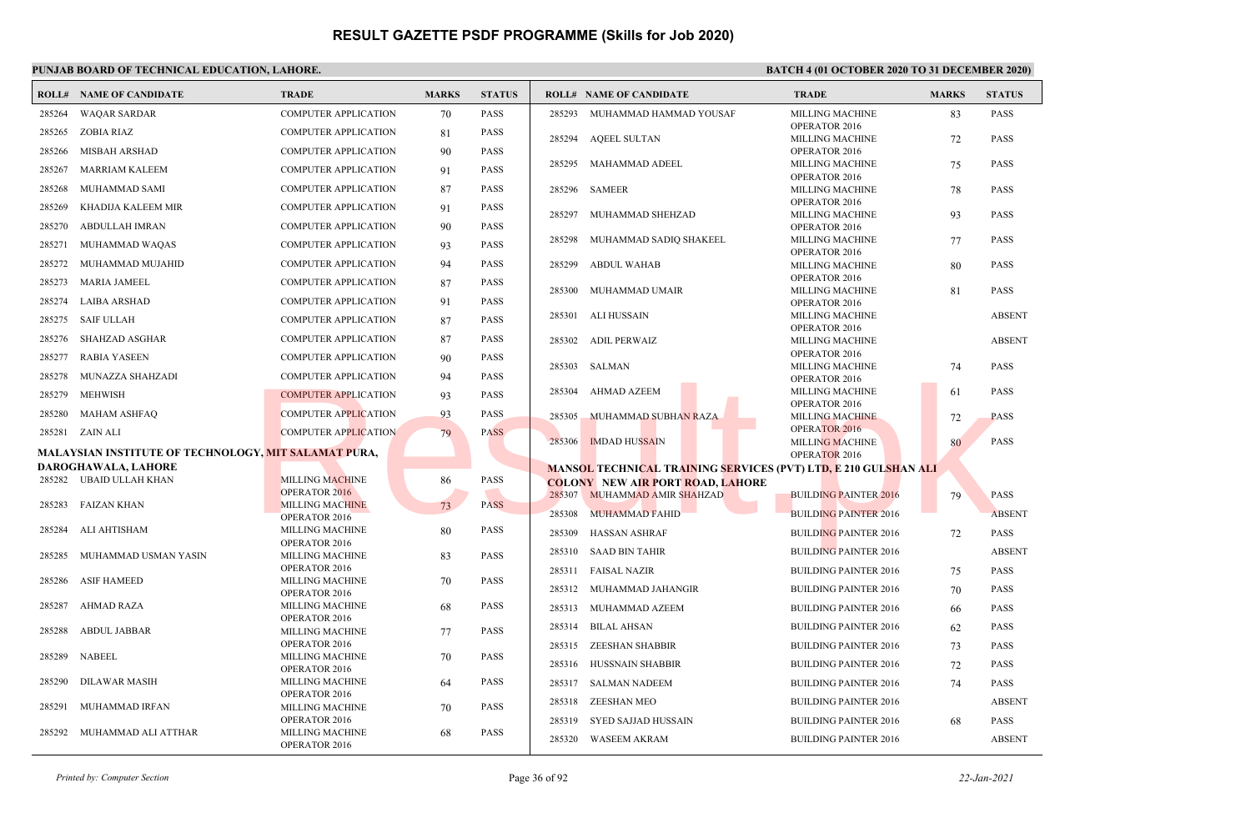### **PUNJAB BOARD OF TECHNICAL EDUCATION, LAHORE. BATCH 4 (01 OCTOBER 2020 TO 31 DECEMBER 2020)**

|        | <b>ROLL# NAME OF CANDIDATE</b>                              | <b>TRADE</b>                            | <b>MARKS</b> | <b>STATUS</b> | <b>ROLL# NAME OF CANDIDATE</b> |                                                                        | <b>TRADE</b>                                   | <b>MARKS</b> | <b>STATUS</b> |
|--------|-------------------------------------------------------------|-----------------------------------------|--------------|---------------|--------------------------------|------------------------------------------------------------------------|------------------------------------------------|--------------|---------------|
| 285264 | <b>WAOAR SARDAR</b>                                         | <b>COMPUTER APPLICATION</b>             | 70           | <b>PASS</b>   |                                | 285293 MUHAMMAD HAMMAD YOUSAF                                          | <b>MILLING MACHINE</b>                         | 83           | <b>PASS</b>   |
| 285265 | ZOBIA RIAZ                                                  | <b>COMPUTER APPLICATION</b>             | 81           | <b>PASS</b>   | 285294 AQEEL SULTAN            |                                                                        | OPERATOR 2016<br><b>MILLING MACHINE</b>        | 72           | <b>PASS</b>   |
| 285266 | <b>MISBAH ARSHAD</b>                                        | <b>COMPUTER APPLICATION</b>             | 90           | <b>PASS</b>   |                                |                                                                        | OPERATOR 2016                                  |              |               |
| 285267 | MARRIAM KALEEM                                              | <b>COMPUTER APPLICATION</b>             | 91           | <b>PASS</b>   | 285295                         | <b>MAHAMMAD ADEEL</b>                                                  | <b>MILLING MACHINE</b>                         | 75           | <b>PASS</b>   |
| 285268 | MUHAMMAD SAMI                                               | <b>COMPUTER APPLICATION</b>             | 87           | <b>PASS</b>   | 285296<br>SAMEER               |                                                                        | OPERATOR 2016<br><b>MILLING MACHINE</b>        | 78           | <b>PASS</b>   |
| 285269 | KHADIJA KALEEM MIR                                          | <b>COMPUTER APPLICATION</b>             | 91           | <b>PASS</b>   |                                |                                                                        | OPERATOR 2016                                  |              |               |
| 285270 | <b>ABDULLAH IMRAN</b>                                       | <b>COMPUTER APPLICATION</b>             | 90           | <b>PASS</b>   | 285297                         | MUHAMMAD SHEHZAD                                                       | <b>MILLING MACHINE</b><br>OPERATOR 2016        | 93           | <b>PASS</b>   |
| 285271 | MUHAMMAD WAQAS                                              | COMPUTER APPLICATION                    | 93           | <b>PASS</b>   | 285298                         | MUHAMMAD SADIQ SHAKEEL                                                 | <b>MILLING MACHINE</b>                         | 77           | <b>PASS</b>   |
| 285272 | MUHAMMAD MUJAHID                                            | <b>COMPUTER APPLICATION</b>             | 94           | <b>PASS</b>   |                                |                                                                        | OPERATOR 2016                                  |              |               |
|        |                                                             |                                         |              |               | 285299<br><b>ABDUL WAHAB</b>   |                                                                        | <b>MILLING MACHINE</b><br>OPERATOR 2016        | 80           | <b>PASS</b>   |
| 285273 | MARIA JAMEEL                                                | <b>COMPUTER APPLICATION</b>             | 87           | <b>PASS</b>   | 285300                         | MUHAMMAD UMAIR                                                         | MILLING MACHINE                                | 81           | <b>PASS</b>   |
| 285274 | <b>LAIBA ARSHAD</b>                                         | COMPUTER APPLICATION                    | 91           | <b>PASS</b>   |                                |                                                                        | OPERATOR 2016                                  |              |               |
| 285275 | <b>SAIF ULLAH</b>                                           | <b>COMPUTER APPLICATION</b>             | 87           | <b>PASS</b>   | 285301<br>ALI HUSSAIN          |                                                                        | <b>MILLING MACHINE</b><br>OPERATOR 2016        |              | <b>ABSENT</b> |
| 285276 | <b>SHAHZAD ASGHAR</b>                                       | <b>COMPUTER APPLICATION</b>             | 87           | <b>PASS</b>   | ADIL PERWAIZ<br>285302         |                                                                        | <b>MILLING MACHINE</b>                         |              | <b>ABSENT</b> |
| 285277 | <b>RABIA YASEEN</b>                                         | <b>COMPUTER APPLICATION</b>             | 90           | <b>PASS</b>   | <b>SALMAN</b><br>285303        |                                                                        | OPERATOR 2016<br>MILLING MACHINE               |              | <b>PASS</b>   |
| 285278 | MUNAZZA SHAHZADI                                            | <b>COMPUTER APPLICATION</b>             | 94           | <b>PASS</b>   |                                |                                                                        | OPERATOR 2016                                  | 74           |               |
| 285279 | MEHWISH                                                     | <b>COMPUTER APPLICATION</b>             | 93           | <b>PASS</b>   | <b>AHMAD AZEEM</b><br>285304   |                                                                        | <b>MILLING MACHINE</b>                         | 61           | <b>PASS</b>   |
| 285280 | <b>MAHAM ASHFAQ</b>                                         | <b>COMPUTER APPLICATION</b>             | 93           | <b>PASS</b>   | 285305                         | MUHAMMAD SUBHAN RAZA                                                   | OPERATOR 2016<br><b>MILLING MACHINE</b>        | 72           | <b>PASS</b>   |
|        | 285281 ZAIN ALI                                             | <b>COMPUTER APPLICATION</b>             | 79           | <b>PASS</b>   |                                |                                                                        | OPERATOR 2016                                  |              |               |
|        | <b>MALAYSIAN INSTITUTE OF TECHNOLOGY, MIT SALAMAT PURA,</b> |                                         |              |               | 285306<br><b>IMDAD HUSSAIN</b> |                                                                        | <b>MILLING MACHINE</b><br><b>OPERATOR 2016</b> | 80           | <b>PASS</b>   |
|        | DAROGHAWALA, LAHORE                                         |                                         |              |               |                                | <b>MANSOL TECHNICAL TRAINING SERVICES (PVT) LTD, E 210 GULSHAN ALI</b> |                                                |              |               |
|        | 285282 UBAID ULLAH KHAN                                     | <b>MILLING MACHINE</b>                  | 86           | <b>PASS</b>   |                                | <b>COLONY NEW AIR PORT ROAD, LAHORE</b>                                |                                                |              |               |
| 285283 | FAIZAN KHAN                                                 | OPERATOR 2016<br><b>MILLING MACHINE</b> | 73           | <b>PASS</b>   |                                | 285307 MUHAMMAD AMIR SHAHZAD                                           | <b>BUILDING PAINTER 2016</b>                   | 79           | <b>PASS</b>   |
|        |                                                             | OPERATOR 2016                           |              |               | 285308 MUHAMMAD FAHID          |                                                                        | <b>BUILDING PAINTER 2016</b>                   |              | <b>ABSENT</b> |
| 285284 | ALI AHTISHAM                                                | <b>MILLING MACHINE</b>                  | 80           | <b>PASS</b>   | 285309<br><b>HASSAN ASHRAF</b> |                                                                        | <b>BUILDING PAINTER 2016</b>                   | 72           | <b>PASS</b>   |
| 285285 | MUHAMMAD USMAN YASIN                                        | OPERATOR 2016<br><b>MILLING MACHINE</b> | 83           | <b>PASS</b>   | 285310 SAAD BIN TAHIR          |                                                                        | <b>BUILDING PAINTER 2016</b>                   |              | <b>ABSENT</b> |
|        |                                                             | OPERATOR 2016                           |              |               | <b>FAISAL NAZIR</b><br>285311  |                                                                        | <b>BUILDING PAINTER 2016</b>                   | 75           | <b>PASS</b>   |
| 285286 | <b>ASIF HAMEED</b>                                          | <b>MILLING MACHINE</b><br>OPERATOR 2016 | 70           | <b>PASS</b>   | 285312                         | MUHAMMAD JAHANGIR                                                      | <b>BUILDING PAINTER 2016</b>                   | 70           | <b>PASS</b>   |
| 285287 | <b>AHMAD RAZA</b>                                           | <b>MILLING MACHINE</b>                  | 68           | <b>PASS</b>   | 285313                         | MUHAMMAD AZEEM                                                         | <b>BUILDING PAINTER 2016</b>                   | 66           | <b>PASS</b>   |
|        |                                                             | OPERATOR 2016                           |              |               | 285314<br><b>BILAL AHSAN</b>   |                                                                        | <b>BUILDING PAINTER 2016</b>                   | 62           | <b>PASS</b>   |
| 285288 | <b>ABDUL JABBAR</b>                                         | <b>MILLING MACHINE</b><br>OPERATOR 2016 | 77           | <b>PASS</b>   | 285315                         | ZEESHAN SHABBIR                                                        | <b>BUILDING PAINTER 2016</b>                   |              | <b>PASS</b>   |
| 285289 | <b>NABEEL</b>                                               | <b>MILLING MACHINE</b>                  | 70           | <b>PASS</b>   |                                |                                                                        |                                                | 73           |               |
|        |                                                             | OPERATOR 2016                           |              |               | 285316 HUSSNAIN SHABBIR        |                                                                        | <b>BUILDING PAINTER 2016</b>                   | 72           | <b>PASS</b>   |
| 285290 | DILAWAR MASIH                                               | <b>MILLING MACHINE</b><br>OPERATOR 2016 | 64           | <b>PASS</b>   | 285317 SALMAN NADEEM           |                                                                        | <b>BUILDING PAINTER 2016</b>                   | 74           | <b>PASS</b>   |
| 285291 | MUHAMMAD IRFAN                                              | MILLING MACHINE                         | 70           | <b>PASS</b>   | 285318<br>ZEESHAN MEO          |                                                                        | <b>BUILDING PAINTER 2016</b>                   |              | <b>ABSENT</b> |
|        |                                                             | OPERATOR 2016                           |              | <b>PASS</b>   | 285319                         | SYED SAJJAD HUSSAIN                                                    | <b>BUILDING PAINTER 2016</b>                   | 68           | PASS          |
| 285292 | MUHAMMAD ALI ATTHAR                                         | <b>MILLING MACHINE</b><br>OPERATOR 2016 | 68           |               | 285320 WASEEM AKRAM            |                                                                        | <b>BUILDING PAINTER 2016</b>                   |              | <b>ABSENT</b> |
|        |                                                             |                                         |              |               |                                |                                                                        |                                                |              |               |

*Printed by: Computer Section* Page 36 of 92 *22-Jan-2021*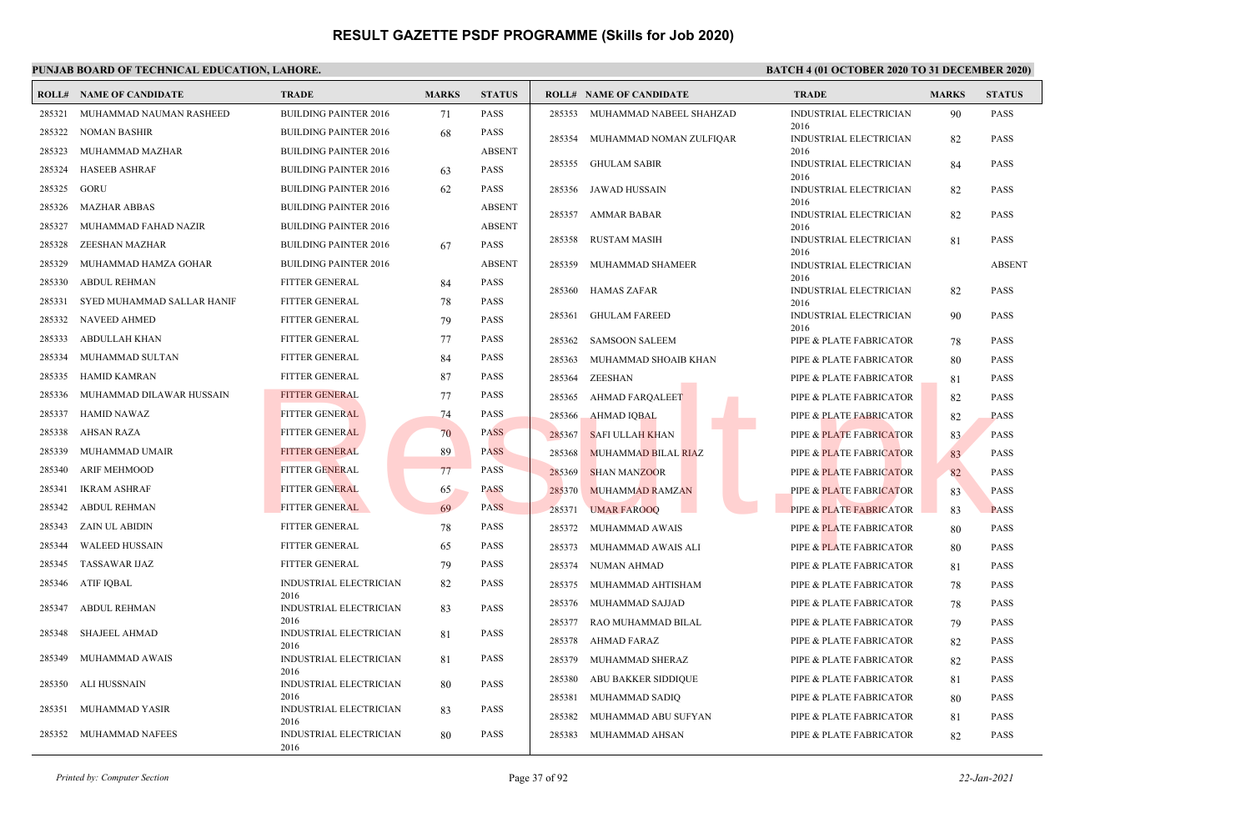| ROLL#  | <b>NAME OF CANDIDATE</b>   | <b>TRADE</b>                          | <b>MARKS</b> | <b>STATUS</b> |        | <b>ROLL# NAME OF CANDIDATE</b> | <b>TRADE</b>                          | <b>MARKS</b> | <b>STATUS</b> |
|--------|----------------------------|---------------------------------------|--------------|---------------|--------|--------------------------------|---------------------------------------|--------------|---------------|
| 285321 | MUHAMMAD NAUMAN RASHEED    | <b>BUILDING PAINTER 2016</b>          | 71           | <b>PASS</b>   |        | 285353 MUHAMMAD NABEEL SHAHZAD | INDUSTRIAL ELECTRICIAN                | 90           | <b>PASS</b>   |
| 285322 | <b>NOMAN BASHIR</b>        | <b>BUILDING PAINTER 2016</b>          | 68           | <b>PASS</b>   | 285354 | MUHAMMAD NOMAN ZULFIQAR        | 2016<br><b>INDUSTRIAL ELECTRICIAN</b> | 82           | <b>PASS</b>   |
| 285323 | MUHAMMAD MAZHAR            | <b>BUILDING PAINTER 2016</b>          |              | <b>ABSENT</b> |        |                                | 2016                                  |              |               |
| 285324 | <b>HASEEB ASHRAF</b>       | <b>BUILDING PAINTER 2016</b>          | 63           | <b>PASS</b>   | 285355 | GHULAM SABIR                   | INDUSTRIAL ELECTRICIAN<br>2016        | 84           | <b>PASS</b>   |
| 285325 | GORU                       | <b>BUILDING PAINTER 2016</b>          | 62           | <b>PASS</b>   | 285356 | JAWAD HUSSAIN                  | INDUSTRIAL ELECTRICIAN                | 82           | <b>PASS</b>   |
| 285326 | <b>MAZHAR ABBAS</b>        | <b>BUILDING PAINTER 2016</b>          |              | <b>ABSENT</b> | 285357 | AMMAR BABAR                    | 2016<br>INDUSTRIAL ELECTRICIAN        | 82           | <b>PASS</b>   |
| 285327 | MUHAMMAD FAHAD NAZIR       | <b>BUILDING PAINTER 2016</b>          |              | <b>ABSENT</b> |        |                                | 2016                                  |              |               |
| 285328 | ZEESHAN MAZHAR             | <b>BUILDING PAINTER 2016</b>          | 67           | <b>PASS</b>   | 285358 | RUSTAM MASIH                   | INDUSTRIAL ELECTRICIAN<br>2016        | 81           | <b>PASS</b>   |
| 285329 | MUHAMMAD HAMZA GOHAR       | <b>BUILDING PAINTER 2016</b>          |              | <b>ABSENT</b> | 285359 | MUHAMMAD SHAMEER               | INDUSTRIAL ELECTRICIAN                |              | <b>ABSENT</b> |
| 285330 | <b>ABDUL REHMAN</b>        | <b>FITTER GENERAL</b>                 | 84           | <b>PASS</b>   | 285360 | <b>HAMAS ZAFAR</b>             | 2016<br>INDUSTRIAL ELECTRICIAN        | 82           | <b>PASS</b>   |
| 285331 | SYED MUHAMMAD SALLAR HANIF | <b>FITTER GENERAL</b>                 | 78           | <b>PASS</b>   |        |                                | 2016                                  |              |               |
| 285332 | NAVEED AHMED               | <b>FITTER GENERAL</b>                 | 79           | <b>PASS</b>   | 285361 | <b>GHULAM FAREED</b>           | <b>INDUSTRIAL ELECTRICIAN</b><br>2016 | 90           | <b>PASS</b>   |
| 285333 | ABDULLAH KHAN              | <b>FITTER GENERAL</b>                 | 77           | <b>PASS</b>   | 285362 | <b>SAMSOON SALEEM</b>          | PIPE & PLATE FABRICATOR               | 78           | <b>PASS</b>   |
| 285334 | MUHAMMAD SULTAN            | FITTER GENERAL                        | 84           | <b>PASS</b>   | 285363 | MUHAMMAD SHOAIB KHAN           | PIPE & PLATE FABRICATOR               | 80           | <b>PASS</b>   |
| 285335 | <b>HAMID KAMRAN</b>        | <b>FITTER GENERAL</b>                 | 87           | <b>PASS</b>   | 285364 | ZEESHAN                        | PIPE & PLATE FABRICATOR               | 81           | <b>PASS</b>   |
| 285336 | MUHAMMAD DILAWAR HUSSAIN   | <b>FITTER GENERAL</b>                 | 77           | <b>PASS</b>   | 285365 | AHMAD FARQALEET                | PIPE & PLATE FABRICATOR               | 82           | <b>PASS</b>   |
| 285337 | <b>HAMID NAWAZ</b>         | <b>FITTER GENERAL</b>                 | 74           | <b>PASS</b>   | 285366 | <b>AHMAD IQBAL</b>             | PIPE & PLATE FABRICATOR               | 82           | <b>PASS</b>   |
| 285338 | AHSAN RAZA                 | <b>FITTER GENERAL</b>                 | 70           | <b>PASS</b>   | 285367 | <b>SAFI ULLAH KHAN</b>         | PIPE & PLATE FABRICATOR               | 83           | <b>PASS</b>   |
| 285339 | MUHAMMAD UMAIR             | <b>FITTER GENERAL</b>                 | 89           | <b>PASS</b>   | 285368 | <b>MUHAMMAD BILAL RIAZ</b>     | PIPE & PLATE FABRICATOR               | 83           | <b>PASS</b>   |
| 285340 | <b>ARIF MEHMOOD</b>        | <b>FITTER GENERAL</b>                 | 77           | <b>PASS</b>   | 285369 | <b>SHAN MANZOOR</b>            | PIPE & PLATE FABRICATOR               | 82           | <b>PASS</b>   |
| 285341 | <b>IKRAM ASHRAF</b>        | <b>FITTER GENERAL</b>                 | 65           | <b>PASS</b>   | 285370 | MUHAMMAD RAMZAN                | <b>PIPE &amp; PLATE FABRICATOR</b>    | 83           | <b>PASS</b>   |
| 285342 | <b>ABDUL REHMAN</b>        | <b>FITTER GENERAL</b>                 | 69           | <b>PASS</b>   | 285371 | <b>UMAR FAROOQ</b>             | PIPE & PLATE FABRICATOR               | 83           | <b>PASS</b>   |
| 285343 | ZAIN UL ABIDIN             | <b>FITTER GENERAL</b>                 | 78           | <b>PASS</b>   | 285372 | MUHAMMAD AWAIS                 | PIPE & PLATE FABRICATOR               | 80           | <b>PASS</b>   |
| 285344 | <b>WALEED HUSSAIN</b>      | <b>FITTER GENERAL</b>                 | 65           | <b>PASS</b>   | 285373 | MUHAMMAD AWAIS ALI             | PIPE & PLATE FABRICATOR               | 80           | <b>PASS</b>   |
| 285345 | <b>TASSAWAR IJAZ</b>       | <b>FITTER GENERAL</b>                 | 79           | <b>PASS</b>   | 285374 | NUMAN AHMAD                    | PIPE & PLATE FABRICATOR               | 81           | <b>PASS</b>   |
| 285346 | ATIF IQBAL                 | <b>INDUSTRIAL ELECTRICIAN</b>         | 82           | <b>PASS</b>   | 285375 | MUHAMMAD AHTISHAM              | PIPE & PLATE FABRICATOR               | 78           | <b>PASS</b>   |
| 285347 | ABDUL REHMAN               | 2016<br><b>INDUSTRIAL ELECTRICIAN</b> | 83           | <b>PASS</b>   | 285376 | MUHAMMAD SAJJAD                | PIPE & PLATE FABRICATOR               | 78           | <b>PASS</b>   |
|        |                            | 2016                                  |              |               | 285377 | RAO MUHAMMAD BILAL             | PIPE & PLATE FABRICATOR               | 79           | <b>PASS</b>   |
| 285348 | <b>SHAJEEL AHMAD</b>       | <b>INDUSTRIAL ELECTRICIAN</b><br>2016 | 81           | <b>PASS</b>   | 285378 | AHMAD FARAZ                    | PIPE & PLATE FABRICATOR               | 82           | <b>PASS</b>   |
| 285349 | MUHAMMAD AWAIS             | INDUSTRIAL ELECTRICIAN                | 81           | <b>PASS</b>   | 285379 | MUHAMMAD SHERAZ                | PIPE & PLATE FABRICATOR               | 82           | <b>PASS</b>   |
| 285350 | ALI HUSSNAIN               | 2016<br>INDUSTRIAL ELECTRICIAN        | 80           | <b>PASS</b>   | 285380 | ABU BAKKER SIDDIQUE            | PIPE & PLATE FABRICATOR               | 81           | <b>PASS</b>   |
|        |                            | 2016                                  |              |               | 285381 | MUHAMMAD SADIQ                 | PIPE & PLATE FABRICATOR               | 80           | <b>PASS</b>   |
| 285351 | MUHAMMAD YASIR             | INDUSTRIAL ELECTRICIAN<br>2016        | 83           | <b>PASS</b>   | 285382 | MUHAMMAD ABU SUFYAN            | PIPE & PLATE FABRICATOR               | 81           | <b>PASS</b>   |
| 285352 | MUHAMMAD NAFEES            | <b>INDUSTRIAL ELECTRICIAN</b><br>2016 | 80           | <b>PASS</b>   | 285383 | MUHAMMAD AHSAN                 | PIPE & PLATE FABRICATOR               | 82           | <b>PASS</b>   |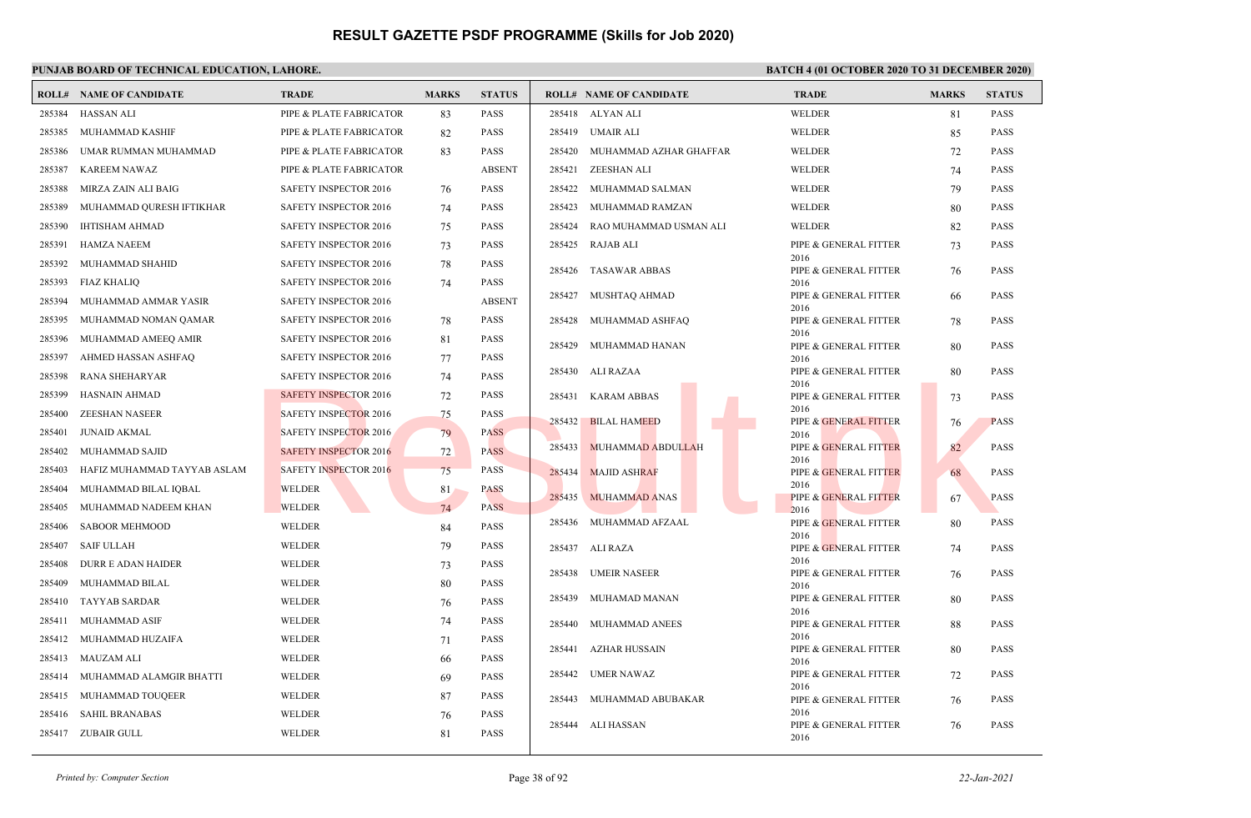|        | <b>ROLL# NAME OF CANDIDATE</b> | <b>TRADE</b>                 | <b>MARKS</b> | <b>STATUS</b> |        | <b>ROLL# NAME OF CANDIDATE</b> | <b>TRADE</b>                  | <b>MARKS</b> | <b>STATUS</b> |
|--------|--------------------------------|------------------------------|--------------|---------------|--------|--------------------------------|-------------------------------|--------------|---------------|
| 285384 | HASSAN ALI                     | PIPE & PLATE FABRICATOR      | 83           | <b>PASS</b>   |        | 285418 ALYAN ALI               | WELDER                        | 81           | <b>PASS</b>   |
| 285385 | MUHAMMAD KASHIF                | PIPE & PLATE FABRICATOR      | 82           | <b>PASS</b>   |        | 285419 UMAIR ALI               | WELDER                        | 85           | <b>PASS</b>   |
| 285386 | UMAR RUMMAN MUHAMMAD           | PIPE & PLATE FABRICATOR      | 83           | <b>PASS</b>   | 285420 | MUHAMMAD AZHAR GHAFFAR         | WELDER                        | 72           | <b>PASS</b>   |
| 285387 | <b>KAREEM NAWAZ</b>            | PIPE & PLATE FABRICATOR      |              | <b>ABSENT</b> | 285421 | ZEESHAN ALI                    | WELDER                        | 74           | <b>PASS</b>   |
| 285388 | MIRZA ZAIN ALI BAIG            | <b>SAFETY INSPECTOR 2016</b> | 76           | <b>PASS</b>   | 285422 | MUHAMMAD SALMAN                | WELDER                        | 79           | <b>PASS</b>   |
| 285389 | MUHAMMAD QURESH IFTIKHAR       | <b>SAFETY INSPECTOR 2016</b> | 74           | <b>PASS</b>   | 285423 | MUHAMMAD RAMZAN                | WELDER                        | 80           | <b>PASS</b>   |
| 285390 | <b>IHTISHAM AHMAD</b>          | SAFETY INSPECTOR 2016        | 75           | <b>PASS</b>   | 285424 | RAO MUHAMMAD USMAN ALI         | WELDER                        | 82           | <b>PASS</b>   |
| 285391 | <b>HAMZA NAEEM</b>             | SAFETY INSPECTOR 2016        | 73           | <b>PASS</b>   |        | 285425 RAJAB ALI               | PIPE & GENERAL FITTER         | 73           | <b>PASS</b>   |
| 285392 | MUHAMMAD SHAHID                | <b>SAFETY INSPECTOR 2016</b> | 78           | <b>PASS</b>   | 285426 | TASAWAR ABBAS                  | 2016<br>PIPE & GENERAL FITTER | 76           | <b>PASS</b>   |
| 285393 | <b>FIAZ KHALIQ</b>             | SAFETY INSPECTOR 2016        | 74           | <b>PASS</b>   |        |                                | 2016                          |              |               |
| 285394 | MUHAMMAD AMMAR YASIR           | <b>SAFETY INSPECTOR 2016</b> |              | <b>ABSENT</b> | 285427 | MUSHTAQ AHMAD                  | PIPE & GENERAL FITTER<br>2016 | 66           | <b>PASS</b>   |
| 285395 | MUHAMMAD NOMAN QAMAR           | <b>SAFETY INSPECTOR 2016</b> | 78           | <b>PASS</b>   | 285428 | MUHAMMAD ASHFAQ                | PIPE & GENERAL FITTER         | 78           | <b>PASS</b>   |
| 285396 | MUHAMMAD AMEEQ AMIR            | SAFETY INSPECTOR 2016        | 81           | PASS          | 285429 | MUHAMMAD HANAN                 | 2016<br>PIPE & GENERAL FITTER | 80           | <b>PASS</b>   |
| 285397 | AHMED HASSAN ASHFAQ            | <b>SAFETY INSPECTOR 2016</b> | 77           | <b>PASS</b>   |        |                                | 2016                          |              |               |
| 285398 | RANA SHEHARYAR                 | <b>SAFETY INSPECTOR 2016</b> | 74           | <b>PASS</b>   |        | 285430 ALI RAZAA               | PIPE & GENERAL FITTER<br>2016 | 80           | <b>PASS</b>   |
| 285399 | <b>HASNAIN AHMAD</b>           | <b>SAFETY INSPECTOR 2016</b> | 72           | <b>PASS</b>   |        | 285431 KARAM ABBAS             | PIPE & GENERAL FITTER         | 73           | <b>PASS</b>   |
| 285400 | <b>ZEESHAN NASEER</b>          | <b>SAFETY INSPECTOR 2016</b> | 75           | <b>PASS</b>   | 285432 | <b>BILAL HAMEED</b>            | 2016<br>PIPE & GENERAL FITTER | 76           | <b>PASS</b>   |
| 285401 | <b>JUNAID AKMAL</b>            | <b>SAFETY INSPECTOR 2016</b> | 79           | <b>PASS</b>   |        |                                | 2016                          |              |               |
| 285402 | MUHAMMAD SAJID                 | <b>SAFETY INSPECTOR 2016</b> | 72           | <b>PASS</b>   | 285433 | MUHAMMAD ABDULLAH              | PIPE & GENERAL FITTER<br>2016 | 82           | <b>PASS</b>   |
| 285403 | HAFIZ MUHAMMAD TAYYAB ASLAM    | <b>SAFETY INSPECTOR 2016</b> | 75           | <b>PASS</b>   | 285434 | <b>MAJID ASHRAF</b>            | PIPE & GENERAL FITTER         | 68           | <b>PASS</b>   |
| 285404 | MUHAMMAD BILAL IQBAL           | <b>WELDER</b>                | 81           | <b>PASS</b>   | 285435 | <b>MUHAMMAD ANAS</b>           | 2016<br>PIPE & GENERAL FITTER | 67           | <b>PASS</b>   |
| 285405 | MUHAMMAD NADEEM KHAN           | <b>WELDER</b>                | 74           | <b>PASS</b>   |        |                                | 2016                          |              |               |
| 285406 | <b>SABOOR MEHMOOD</b>          | WELDER                       | 84           | <b>PASS</b>   |        | 285436 MUHAMMAD AFZAAL         | PIPE & GENERAL FITTER<br>2016 | 80           | <b>PASS</b>   |
| 285407 | <b>SAIF ULLAH</b>              | <b>WELDER</b>                | 79           | <b>PASS</b>   |        | 285437 ALI RAZA                | PIPE & GENERAL FITTER         | 74           | <b>PASS</b>   |
| 285408 | DURR E ADAN HAIDER             | WELDER                       | 73           | <b>PASS</b>   |        | 285438 UMEIR NASEER            | 2016<br>PIPE & GENERAL FITTER | 76           | <b>PASS</b>   |
| 285409 | MUHAMMAD BILAL                 | WELDER                       | 80           | <b>PASS</b>   |        |                                | 2016                          |              |               |
| 285410 | <b>TAYYAB SARDAR</b>           | <b>WELDER</b>                | 76           | <b>PASS</b>   | 285439 | MUHAMAD MANAN                  | PIPE & GENERAL FITTER<br>2016 | 80           | <b>PASS</b>   |
| 285411 | MUHAMMAD ASIF                  | <b>WELDER</b>                | 74           | <b>PASS</b>   | 285440 | MUHAMMAD ANEES                 | PIPE & GENERAL FITTER         | 88           | <b>PASS</b>   |
|        | 285412 MUHAMMAD HUZAIFA        | WELDER                       | 71           | PASS          | 285441 | AZHAR HUSSAIN                  | 2016<br>PIPE & GENERAL FITTER | 80           | <b>PASS</b>   |
|        | 285413 MAUZAM ALI              | <b>WELDER</b>                | 66           | <b>PASS</b>   |        |                                | 2016                          |              |               |
| 285414 | MUHAMMAD ALAMGIR BHATTI        | <b>WELDER</b>                | 69           | <b>PASS</b>   | 285442 | UMER NAWAZ                     | PIPE & GENERAL FITTER         | 72           | <b>PASS</b>   |
| 285415 | MUHAMMAD TOUQEER               | <b>WELDER</b>                | 87           | <b>PASS</b>   | 285443 | MUHAMMAD ABUBAKAR              | 2016<br>PIPE & GENERAL FITTER | 76           | <b>PASS</b>   |
| 285416 | <b>SAHIL BRANABAS</b>          | <b>WELDER</b>                | 76           | <b>PASS</b>   |        |                                | 2016                          |              |               |
|        | 285417 ZUBAIR GULL             | WELDER                       | 81           | <b>PASS</b>   |        | 285444 ALI HASSAN              | PIPE & GENERAL FITTER<br>2016 | 76           | <b>PASS</b>   |
|        |                                |                              |              |               |        |                                |                               |              |               |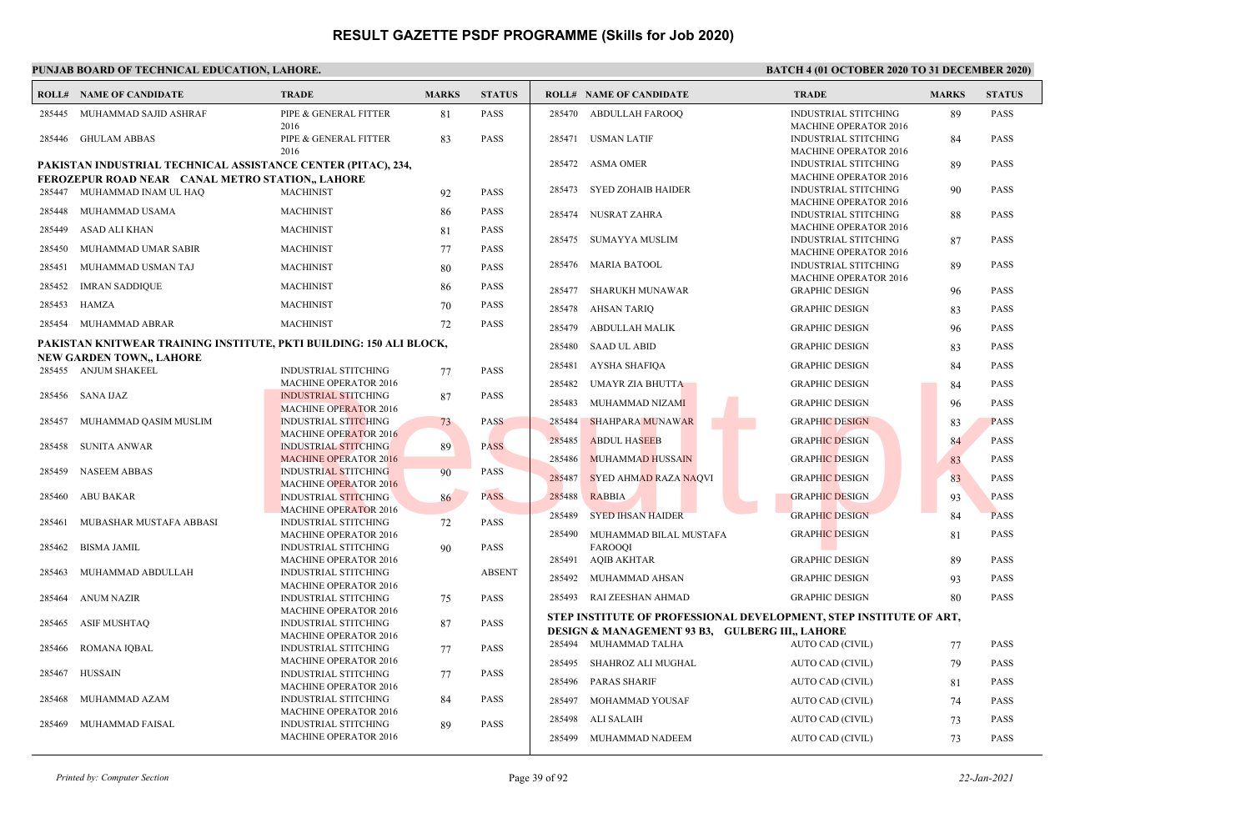|        | <b>ROLL# NAME OF CANDIDATE</b>                                                                                    | <b>TRADE</b>                                                | <b>MARKS</b> | <b>STATUS</b> |        | <b>ROLL# NAME OF CANDIDATE</b>                                           | <b>TRADE</b>                                                | <b>MARKS</b> | <b>STATUS</b> |
|--------|-------------------------------------------------------------------------------------------------------------------|-------------------------------------------------------------|--------------|---------------|--------|--------------------------------------------------------------------------|-------------------------------------------------------------|--------------|---------------|
| 285445 | MUHAMMAD SAJID ASHRAF                                                                                             | PIPE & GENERAL FITTER<br>2016                               | 81           | <b>PASS</b>   | 285470 | ABDULLAH FAROOO                                                          | <b>INDUSTRIAL STITCHING</b><br><b>MACHINE OPERATOR 2016</b> | 89           | <b>PASS</b>   |
|        | 285446 GHULAM ABBAS                                                                                               | PIPE & GENERAL FITTER<br>2016                               | 83           | <b>PASS</b>   | 285471 | <b>USMAN LATIF</b>                                                       | <b>INDUSTRIAL STITCHING</b><br><b>MACHINE OPERATOR 2016</b> | 84           | <b>PASS</b>   |
|        | PAKISTAN INDUSTRIAL TECHNICAL ASSISTANCE CENTER (PITAC), 234,<br>FEROZEPUR ROAD NEAR CANAL METRO STATION,, LAHORE |                                                             |              |               | 285472 | ASMA OMER                                                                | <b>INDUSTRIAL STITCHING</b><br>MACHINE OPERATOR 2016        | 89           | <b>PASS</b>   |
|        | 285447 MUHAMMAD INAM UL HAQ                                                                                       | <b>MACHINIST</b>                                            | 92           | <b>PASS</b>   | 285473 | <b>SYED ZOHAIB HAIDER</b>                                                | <b>INDUSTRIAL STITCHING</b><br><b>MACHINE OPERATOR 2016</b> | 90           | <b>PASS</b>   |
| 285448 | MUHAMMAD USAMA                                                                                                    | <b>MACHINIST</b>                                            | 86           | <b>PASS</b>   | 285474 | NUSRAT ZAHRA                                                             | <b>INDUSTRIAL STITCHING</b>                                 | 88           | <b>PASS</b>   |
| 285449 | ASAD ALI KHAN                                                                                                     | <b>MACHINIST</b>                                            | 81           | <b>PASS</b>   | 285475 | <b>SUMAYYA MUSLIM</b>                                                    | <b>MACHINE OPERATOR 2016</b><br><b>INDUSTRIAL STITCHING</b> | 87           | <b>PASS</b>   |
| 285450 | MUHAMMAD UMAR SABIR                                                                                               | <b>MACHINIST</b>                                            | 77           | <b>PASS</b>   |        |                                                                          | <b>MACHINE OPERATOR 2016</b>                                |              |               |
| 285451 | MUHAMMAD USMAN TAJ                                                                                                | <b>MACHINIST</b>                                            | 80           | <b>PASS</b>   | 285476 | <b>MARIA BATOOL</b>                                                      | <b>INDUSTRIAL STITCHING</b><br><b>MACHINE OPERATOR 2016</b> | 89           | <b>PASS</b>   |
| 285452 | <b>IMRAN SADDIQUE</b>                                                                                             | <b>MACHINIST</b>                                            | 86           | <b>PASS</b>   | 285477 | SHARUKH MUNAWAR                                                          | <b>GRAPHIC DESIGN</b>                                       | 96           | <b>PASS</b>   |
| 285453 | HAMZA                                                                                                             | <b>MACHINIST</b>                                            | 70           | <b>PASS</b>   | 285478 | <b>AHSAN TARIQ</b>                                                       | <b>GRAPHIC DESIGN</b>                                       | 83           | <b>PASS</b>   |
|        | 285454 MUHAMMAD ABRAR                                                                                             | <b>MACHINIST</b>                                            | 72           | <b>PASS</b>   | 285479 | <b>ABDULLAH MALIK</b>                                                    | <b>GRAPHIC DESIGN</b>                                       | 96           | <b>PASS</b>   |
|        | PAKISTAN KNITWEAR TRAINING INSTITUTE, PKTI BUILDING: 150 ALI BLOCK,<br><b>NEW GARDEN TOWN,, LAHORE</b>            |                                                             |              |               | 285480 | <b>SAAD UL ABID</b>                                                      | <b>GRAPHIC DESIGN</b>                                       | 83           | <b>PASS</b>   |
|        | 285455 ANJUM SHAKEEL                                                                                              | <b>INDUSTRIAL STITCHING</b>                                 | 77           | <b>PASS</b>   | 285481 | AYSHA SHAFIQA                                                            | <b>GRAPHIC DESIGN</b>                                       | 84           | <b>PASS</b>   |
|        |                                                                                                                   | <b>MACHINE OPERATOR 2016</b>                                |              |               | 285482 | UMAYR ZIA BHUTTA                                                         | <b>GRAPHIC DESIGN</b>                                       | 84           | <b>PASS</b>   |
| 285456 | SANA IJAZ                                                                                                         | <b>INDUSTRIAL STITCHING</b><br><b>MACHINE OPERATOR 2016</b> | 87           | <b>PASS</b>   | 285483 | MUHAMMAD NIZAMI                                                          | <b>GRAPHIC DESIGN</b>                                       | 96           | <b>PASS</b>   |
| 285457 | MUHAMMAD QASIM MUSLIM                                                                                             | <b>INDUSTRIAL STITCHING</b>                                 | 73           | <b>PASS</b>   | 285484 | <b>SHAHPARA MUNAWAR</b>                                                  | <b>GRAPHIC DESIGN</b>                                       | 83           | <b>PASS</b>   |
| 285458 | SUNITA ANWAR                                                                                                      | <b>MACHINE OPERATOR 2016</b><br><b>INDUSTRIAL STITCHING</b> | 89           | <b>PASS</b>   | 285485 | <b>ABDUL HASEEB</b>                                                      | <b>GRAPHIC DESIGN</b>                                       | 84           | <b>PASS</b>   |
|        |                                                                                                                   | <b>MACHINE OPERATOR 2016</b>                                |              |               | 285486 | <b>MUHAMMAD HUSSAIN</b>                                                  | <b>GRAPHIC DESIGN</b>                                       | 83           | <b>PASS</b>   |
| 285459 | <b>NASEEM ABBAS</b>                                                                                               | <b>INDUSTRIAL STITCHING</b>                                 | 90           | <b>PASS</b>   | 285487 | <b>SYED AHMAD RAZA NAQVI</b>                                             | <b>GRAPHIC DESIGN</b>                                       | 83           | <b>PASS</b>   |
| 285460 | <b>ABU BAKAR</b>                                                                                                  | <b>MACHINE OPERATOR 2016</b><br><b>INDUSTRIAL STITCHING</b> | 86           | <b>PASS</b>   | 285488 | <b>RABBIA</b>                                                            | <b>GRAPHIC DESIGN</b>                                       | 93           | <b>PASS</b>   |
|        |                                                                                                                   | <b>MACHINE OPERATOR 2016</b>                                |              |               | 285489 | <b>SYED IHSAN HAIDER</b>                                                 | <b>GRAPHIC DESIGN</b>                                       | 84           | <b>PASS</b>   |
| 285461 | MUBASHAR MUSTAFA ABBASI                                                                                           | <b>INDUSTRIAL STITCHING</b>                                 | 72           | <b>PASS</b>   |        |                                                                          |                                                             |              |               |
| 285462 | <b>BISMA JAMIL</b>                                                                                                | <b>MACHINE OPERATOR 2016</b><br><b>INDUSTRIAL STITCHING</b> | 90           | <b>PASS</b>   | 285490 | MUHAMMAD BILAL MUSTAFA<br><b>FAROOOI</b>                                 | <b>GRAPHIC DESIGN</b>                                       | 81           | <b>PASS</b>   |
|        |                                                                                                                   | <b>MACHINE OPERATOR 2016</b>                                |              |               | 285491 | AQIB AKHTAR                                                              | <b>GRAPHIC DESIGN</b>                                       | 89           | <b>PASS</b>   |
| 285463 | MUHAMMAD ABDULLAH                                                                                                 | <b>INDUSTRIAL STITCHING</b><br><b>MACHINE OPERATOR 2016</b> |              | <b>ABSENT</b> | 285492 | MUHAMMAD AHSAN                                                           | <b>GRAPHIC DESIGN</b>                                       | 93           | <b>PASS</b>   |
| 285464 | <b>ANUM NAZIR</b>                                                                                                 | <b>INDUSTRIAL STITCHING</b>                                 | 75           | <b>PASS</b>   |        | 285493 RAI ZEESHAN AHMAD                                                 | <b>GRAPHIC DESIGN</b>                                       | 80           | <b>PASS</b>   |
| 285465 | <b>ASIF MUSHTAQ</b>                                                                                               | <b>MACHINE OPERATOR 2016</b><br><b>INDUSTRIAL STITCHING</b> | 87           | <b>PASS</b>   |        | STEP INSTITUTE OF PROFESSIONAL DEVELOPMENT, STEP INSTITUTE OF ART,       |                                                             |              |               |
|        |                                                                                                                   | <b>MACHINE OPERATOR 2016</b>                                |              |               |        | DESIGN & MANAGEMENT 93 B3, GULBERG III., LAHORE<br>285494 MUHAMMAD TALHA | AUTO CAD (CIVIL)                                            | 77           | <b>PASS</b>   |
| 285466 | <b>ROMANA IOBAL</b>                                                                                               | <b>INDUSTRIAL STITCHING</b><br><b>MACHINE OPERATOR 2016</b> | 77           | <b>PASS</b>   |        |                                                                          |                                                             |              |               |
| 285467 | <b>HUSSAIN</b>                                                                                                    | <b>INDUSTRIAL STITCHING</b>                                 | 77           | <b>PASS</b>   | 285495 | SHAHROZ ALI MUGHAL                                                       | AUTO CAD (CIVIL)                                            | 79           | <b>PASS</b>   |
|        |                                                                                                                   | <b>MACHINE OPERATOR 2016</b>                                |              |               | 285496 | <b>PARAS SHARIF</b>                                                      | AUTO CAD (CIVIL)                                            | 81           | <b>PASS</b>   |
| 285468 | MUHAMMAD AZAM                                                                                                     | <b>INDUSTRIAL STITCHING</b>                                 | 84           | <b>PASS</b>   | 285497 | MOHAMMAD YOUSAF                                                          | AUTO CAD (CIVIL)                                            | 74           | <b>PASS</b>   |
| 285469 | MUHAMMAD FAISAL                                                                                                   | <b>MACHINE OPERATOR 2016</b><br><b>INDUSTRIAL STITCHING</b> | 89           | <b>PASS</b>   | 285498 | ALI SALAIH                                                               | AUTO CAD (CIVIL)                                            | 73           | <b>PASS</b>   |
|        |                                                                                                                   | MACHINE OPERATOR 2016                                       |              |               | 285499 | MUHAMMAD NADEEM                                                          | AUTO CAD (CIVIL)                                            | 73           | <b>PASS</b>   |
|        |                                                                                                                   |                                                             |              |               |        |                                                                          |                                                             |              |               |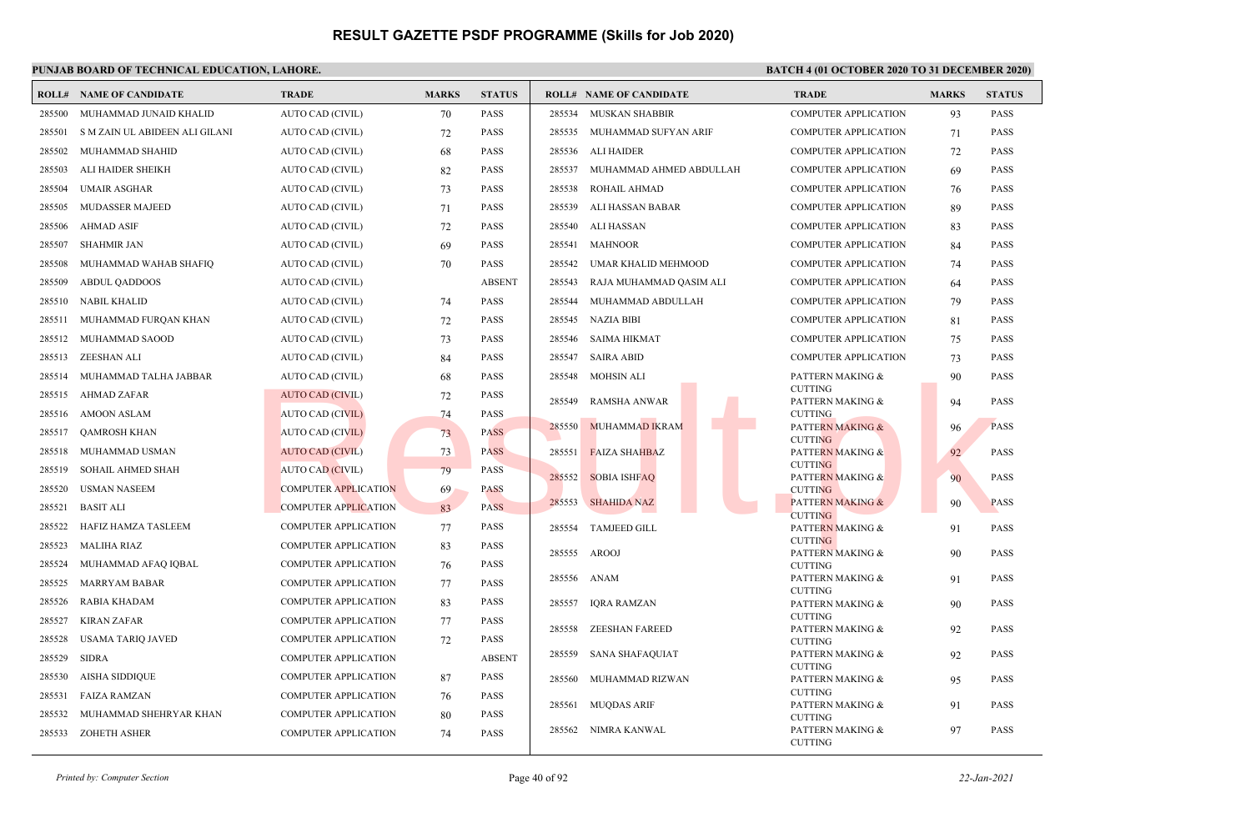### **PUNJAB BOARD OF TECHNICAL EDUCATION, LAHORE. BATCH 4 (01 OCTOBER 2020 TO 31 DECEMBER 2020)**

|        | <b>ROLL# NAME OF CANDIDATE</b> | <b>TRADE</b>                | <b>MARKS</b> | <b>STATUS</b> |        | <b>ROLL# NAME OF CANDIDATE</b> | <b>TRADE</b>                       | <b>MARKS</b> | <b>STATUS</b> |
|--------|--------------------------------|-----------------------------|--------------|---------------|--------|--------------------------------|------------------------------------|--------------|---------------|
| 285500 | MUHAMMAD JUNAID KHALID         | AUTO CAD (CIVIL)            | 70           | <b>PASS</b>   |        | 285534 MUSKAN SHABBIR          | <b>COMPUTER APPLICATION</b>        | 93           | <b>PASS</b>   |
| 285501 | S M ZAIN UL ABIDEEN ALI GILANI | AUTO CAD (CIVIL)            | 72           | <b>PASS</b>   | 285535 | MUHAMMAD SUFYAN ARIF           | <b>COMPUTER APPLICATION</b>        | 71           | <b>PASS</b>   |
| 285502 | MUHAMMAD SHAHID                | AUTO CAD (CIVIL)            | 68           | <b>PASS</b>   | 285536 | ALI HAIDER                     | <b>COMPUTER APPLICATION</b>        | 72           | <b>PASS</b>   |
| 285503 | ALI HAIDER SHEIKH              | AUTO CAD (CIVIL)            | 82           | <b>PASS</b>   | 285537 | MUHAMMAD AHMED ABDULLAH        | <b>COMPUTER APPLICATION</b>        | 69           | <b>PASS</b>   |
| 285504 | <b>UMAIR ASGHAR</b>            | AUTO CAD (CIVIL)            | 73           | <b>PASS</b>   | 285538 | ROHAIL AHMAD                   | <b>COMPUTER APPLICATION</b>        | 76           | <b>PASS</b>   |
| 285505 | MUDASSER MAJEED                | AUTO CAD (CIVIL)            | 71           | PASS          | 285539 | ALI HASSAN BABAR               | <b>COMPUTER APPLICATION</b>        | 89           | PASS          |
| 285506 | AHMAD ASIF                     | <b>AUTO CAD (CIVIL)</b>     | 72           | PASS          | 285540 | ALI HASSAN                     | <b>COMPUTER APPLICATION</b>        | 83           | PASS          |
| 285507 | <b>SHAHMIR JAN</b>             | AUTO CAD (CIVIL)            | 69           | <b>PASS</b>   | 285541 | <b>MAHNOOR</b>                 | <b>COMPUTER APPLICATION</b>        | 84           | <b>PASS</b>   |
| 285508 | MUHAMMAD WAHAB SHAFIQ          | AUTO CAD (CIVIL)            | 70           | <b>PASS</b>   | 285542 | UMAR KHALID MEHMOOD            | <b>COMPUTER APPLICATION</b>        | 74           | PASS          |
| 285509 | <b>ABDUL OADDOOS</b>           | AUTO CAD (CIVIL)            |              | <b>ABSENT</b> | 285543 | RAJA MUHAMMAD QASIM ALI        | <b>COMPUTER APPLICATION</b>        | 64           | <b>PASS</b>   |
| 285510 | NABIL KHALID                   | AUTO CAD (CIVIL)            | 74           | <b>PASS</b>   | 285544 | MUHAMMAD ABDULLAH              | <b>COMPUTER APPLICATION</b>        | 79           | <b>PASS</b>   |
| 285511 | MUHAMMAD FURQAN KHAN           | <b>AUTO CAD (CIVIL)</b>     | 72           | <b>PASS</b>   | 285545 | NAZIA BIBI                     | <b>COMPUTER APPLICATION</b>        | 81           | <b>PASS</b>   |
| 285512 | MUHAMMAD SAOOD                 | <b>AUTO CAD (CIVIL)</b>     | 73           | <b>PASS</b>   | 285546 | <b>SAIMA HIKMAT</b>            | <b>COMPUTER APPLICATION</b>        | 75           | <b>PASS</b>   |
| 285513 | <b>ZEESHAN ALI</b>             | <b>AUTO CAD (CIVIL)</b>     | 84           | PASS          | 285547 | <b>SAIRA ABID</b>              | <b>COMPUTER APPLICATION</b>        | 73           | <b>PASS</b>   |
| 285514 | MUHAMMAD TALHA JABBAR          | <b>AUTO CAD (CIVIL)</b>     | 68           | <b>PASS</b>   | 285548 | MOHSIN ALI                     | PATTERN MAKING &                   | 90           | <b>PASS</b>   |
|        | 285515 AHMAD ZAFAR             | <b>AUTO CAD (CIVIL)</b>     | 72           | <b>PASS</b>   |        |                                | <b>CUTTING</b>                     |              |               |
|        | 285516 AMOON ASLAM             | AUTO CAD (CIVIL)            | 74           | <b>PASS</b>   | 285549 | <b>RAMSHA ANWAR</b>            | PATTERN MAKING &<br><b>CUTTING</b> | 94           | <b>PASS</b>   |
| 285517 | <b>OAMROSH KHAN</b>            | <b>AUTO CAD (CIVIL)</b>     | 73           | <b>PASS</b>   | 285550 | <b>MUHAMMAD IKRAM</b>          | <b>PATTERN MAKING &amp;</b>        | 96           | <b>PASS</b>   |
| 285518 | MUHAMMAD USMAN                 | <b>AUTO CAD (CIVIL)</b>     | 73           | <b>PASS</b>   | 285551 | <b>FAIZA SHAHBAZ</b>           | <b>CUTTING</b><br>PATTERN MAKING & | 92           | <b>PASS</b>   |
| 285519 | SOHAIL AHMED SHAH              | AUTO CAD (CIVIL)            | 79           | <b>PASS</b>   |        |                                | <b>CUTTING</b>                     |              |               |
| 285520 | <b>USMAN NASEEM</b>            | <b>COMPUTER APPLICATION</b> | 69           | <b>PASS</b>   | 285552 | <b>SOBIA ISHFAO</b>            | PATTERN MAKING &<br><b>CUTTING</b> | 90           | <b>PASS</b>   |
| 285521 | <b>BASIT ALI</b>               | <b>COMPUTER APPLICATION</b> | 83           | <b>PASS</b>   | 285553 | <b>SHAHIDA NAZ</b>             | <b>PATTERN MAKING &amp;</b>        | 90           | <b>PASS</b>   |
| 285522 | HAFIZ HAMZA TASLEEM            | <b>COMPUTER APPLICATION</b> | 77           | PASS          | 285554 | <b>TAMJEED GILL</b>            | <b>CUTTING</b><br>PATTERN MAKING & | 91           | PASS          |
| 285523 | <b>MALIHA RIAZ</b>             | COMPUTER APPLICATION        | 83           | <b>PASS</b>   |        |                                | <b>CUTTING</b>                     |              |               |
| 285524 | MUHAMMAD AFAQ IQBAL            | <b>COMPUTER APPLICATION</b> | 76           | <b>PASS</b>   | 285555 | AROOJ                          | PATTERN MAKING &<br><b>CUTTING</b> | 90           | <b>PASS</b>   |
| 285525 | <b>MARRYAM BABAR</b>           | <b>COMPUTER APPLICATION</b> | 77           | <b>PASS</b>   |        | 285556 ANAM                    | PATTERN MAKING &                   | 91           | PASS          |
| 285526 | RABIA KHADAM                   | <b>COMPUTER APPLICATION</b> | 83           | PASS          | 285557 | <b>IQRA RAMZAN</b>             | <b>CUTTING</b><br>PATTERN MAKING & | 90           | <b>PASS</b>   |
| 285527 | KIRAN ZAFAR                    | <b>COMPUTER APPLICATION</b> | 77           | <b>PASS</b>   |        |                                | <b>CUTTING</b>                     |              |               |
| 285528 | <b>USAMA TARIO JAVED</b>       | <b>COMPUTER APPLICATION</b> | 72           | <b>PASS</b>   | 285558 | <b>ZEESHAN FAREED</b>          | PATTERN MAKING &<br><b>CUTTING</b> | 92           | <b>PASS</b>   |
| 285529 | <b>SIDRA</b>                   | <b>COMPUTER APPLICATION</b> |              | <b>ABSENT</b> | 285559 | <b>SANA SHAFAQUIAT</b>         | PATTERN MAKING &                   | 92           | <b>PASS</b>   |
| 285530 | <b>AISHA SIDDIQUE</b>          | <b>COMPUTER APPLICATION</b> | 87           | PASS          | 285560 | MUHAMMAD RIZWAN                | <b>CUTTING</b><br>PATTERN MAKING & | 95           | <b>PASS</b>   |
| 285531 | <b>FAIZA RAMZAN</b>            | <b>COMPUTER APPLICATION</b> | 76           | PASS          |        |                                | <b>CUTTING</b>                     |              |               |
| 285532 | MUHAMMAD SHEHRYAR KHAN         | <b>COMPUTER APPLICATION</b> | 80           | PASS          | 285561 | <b>MUQDAS ARIF</b>             | PATTERN MAKING &<br><b>CUTTING</b> | 91           | <b>PASS</b>   |
| 285533 | <b>ZOHETH ASHER</b>            | <b>COMPUTER APPLICATION</b> | 74           | <b>PASS</b>   | 285562 | NIMRA KANWAL                   | PATTERN MAKING &                   | 97           | <b>PASS</b>   |
|        |                                |                             |              |               |        |                                | <b>CUTTING</b>                     |              |               |

*Printed by: Computer Section* Page 40 of 92 *22-Jan-2021*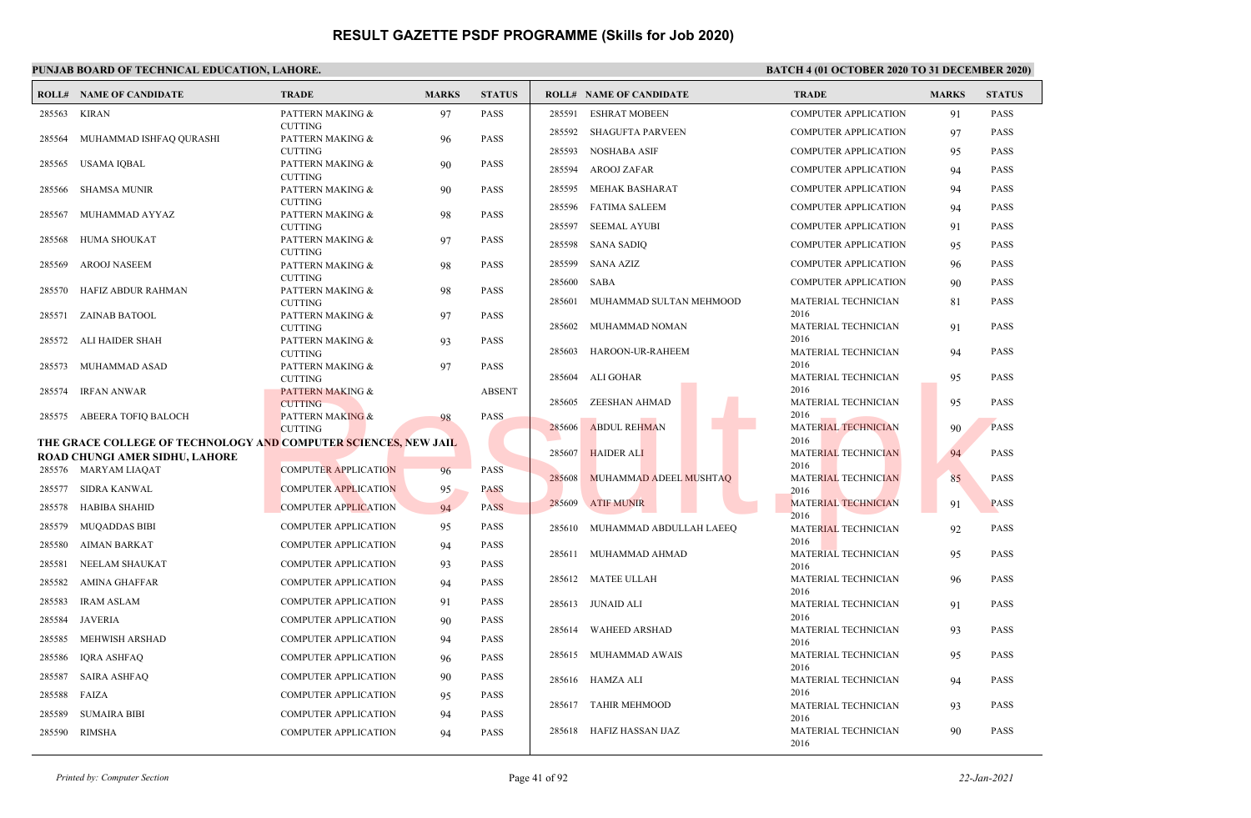## **PUNJAB BOARD OF TECHNICAL EDUCATION, LAHORE. BATCH 4 (01 OCTOBER 2020 TO 31 DECEMBER 2020)**

|        | <b>ROLL# NAME OF CANDIDATE</b>                                  | <b>TRADE</b>                                  | <b>MARKS</b> | <b>STATUS</b> |        | <b>ROLL# NAME OF CANDIDATE</b> | <b>TRADE</b>                       | <b>MARKS</b> | <b>STATUS</b> |
|--------|-----------------------------------------------------------------|-----------------------------------------------|--------------|---------------|--------|--------------------------------|------------------------------------|--------------|---------------|
| 285563 | KIRAN                                                           | PATTERN MAKING &                              | 97           | <b>PASS</b>   | 285591 | <b>ESHRAT MOBEEN</b>           | <b>COMPUTER APPLICATION</b>        | 91           | <b>PASS</b>   |
|        |                                                                 | <b>CUTTING</b>                                |              |               | 285592 | <b>SHAGUFTA PARVEEN</b>        | <b>COMPUTER APPLICATION</b>        | 97           | <b>PASS</b>   |
| 285564 | MUHAMMAD ISHFAQ QURASHI                                         | PATTERN MAKING &<br><b>CUTTING</b>            | 96           | <b>PASS</b>   | 285593 | NOSHABA ASIF                   | <b>COMPUTER APPLICATION</b>        | 95           | <b>PASS</b>   |
| 285565 | USAMA IOBAL                                                     | PATTERN MAKING &                              | 90           | <b>PASS</b>   | 285594 | <b>AROOJ ZAFAR</b>             | <b>COMPUTER APPLICATION</b>        | 94           | <b>PASS</b>   |
| 285566 | SHAMSA MUNIR                                                    | <b>CUTTING</b><br>PATTERN MAKING &            | 90           | <b>PASS</b>   | 285595 | MEHAK BASHARAT                 | <b>COMPUTER APPLICATION</b>        | 94           | <b>PASS</b>   |
|        |                                                                 | <b>CUTTING</b>                                |              |               | 285596 | FATIMA SALEEM                  | <b>COMPUTER APPLICATION</b>        | 94           | <b>PASS</b>   |
| 285567 | MUHAMMAD AYYAZ                                                  | PATTERN MAKING &                              | 98           | <b>PASS</b>   |        |                                |                                    |              |               |
| 285568 | HUMA SHOUKAT                                                    | <b>CUTTING</b><br>PATTERN MAKING &            | 97           | <b>PASS</b>   | 285597 | <b>SEEMAL AYUBI</b>            | <b>COMPUTER APPLICATION</b>        | 91           | <b>PASS</b>   |
|        |                                                                 | <b>CUTTING</b>                                |              |               | 285598 | <b>SANA SADIQ</b>              | <b>COMPUTER APPLICATION</b>        | 95           | <b>PASS</b>   |
| 285569 | AROOJ NASEEM                                                    | PATTERN MAKING &                              | 98           | <b>PASS</b>   | 285599 | SANA AZIZ                      | <b>COMPUTER APPLICATION</b>        | 96           | PASS          |
| 285570 | HAFIZ ABDUR RAHMAN                                              | <b>CUTTING</b><br>PATTERN MAKING &            | 98           | <b>PASS</b>   | 285600 | <b>SABA</b>                    | <b>COMPUTER APPLICATION</b>        | 90           | <b>PASS</b>   |
|        |                                                                 | <b>CUTTING</b>                                |              |               | 285601 | MUHAMMAD SULTAN MEHMOOD        | MATERIAL TECHNICIAN                | 81           | <b>PASS</b>   |
|        | 285571 ZAINAB BATOOL                                            | PATTERN MAKING &<br><b>CUTTING</b>            | 97           | <b>PASS</b>   | 285602 | MUHAMMAD NOMAN                 | 2016<br>MATERIAL TECHNICIAN        | 91           | <b>PASS</b>   |
| 285572 | ALI HAIDER SHAH                                                 | PATTERN MAKING &                              | 93           | <b>PASS</b>   |        |                                | 2016                               |              |               |
|        |                                                                 | <b>CUTTING</b>                                |              |               | 285603 | HAROON-UR-RAHEEM               | MATERIAL TECHNICIAN                | 94           | <b>PASS</b>   |
| 285573 | MUHAMMAD ASAD                                                   | PATTERN MAKING &<br><b>CUTTING</b>            | 97           | <b>PASS</b>   |        | 285604 ALI GOHAR               | 2016<br>MATERIAL TECHNICIAN        | 95           | <b>PASS</b>   |
| 285574 | IRFAN ANWAR                                                     | <b>PATTERN MAKING &amp;</b>                   |              | <b>ABSENT</b> |        |                                | 2016                               |              |               |
|        |                                                                 | <b>CUTTING</b>                                |              |               | 285605 | ZEESHAN AHMAD                  | MATERIAL TECHNICIAN                | 95           | <b>PASS</b>   |
| 285575 | ABEERA TOFIO BALOCH                                             | <b>PATTERN MAKING &amp;</b><br><b>CUTTING</b> | 98           | PASS          | 285606 | <b>ABDUL REHMAN</b>            | 2016<br><b>MATERIAL TECHNICIAN</b> | 90           | <b>PASS</b>   |
|        | THE GRACE COLLEGE OF TECHNOLOGY AND COMPUTER SCIENCES, NEW JAIL |                                               |              |               |        |                                | 2016                               |              |               |
|        | ROAD CHUNGI AMER SIDHU, LAHORE                                  |                                               |              |               | 285607 | <b>HAIDER ALI</b>              | MATERIAL TECHNICIAN                | 94           | <b>PASS</b>   |
|        | 285576 MARYAM LIAQAT                                            | <b>COMPUTER APPLICATION</b>                   | 96           | <b>PASS</b>   | 285608 | MUHAMMAD ADEEL MUSHTAQ         | 2016<br><b>MATERIAL TECHNICIAN</b> | 85           | <b>PASS</b>   |
| 285577 | SIDRA KANWAL                                                    | <b>COMPUTER APPLICATION</b>                   | 95           | <b>PASS</b>   |        |                                | 2016                               |              |               |
| 285578 | HABIBA SHAHID                                                   | <b>COMPUTER APPLICATION</b>                   | 94           | <b>PASS</b>   | 285609 | <b>ATIF MUNIR</b>              | <b>MATERIAL TECHNICIAN</b><br>2016 | 91           | <b>PASS</b>   |
| 285579 | MUQADDAS BIBI                                                   | <b>COMPUTER APPLICATION</b>                   | 95           | <b>PASS</b>   |        | 285610 MUHAMMAD ABDULLAH LAEEQ | MATERIAL TECHNICIAN                | 92           | <b>PASS</b>   |
| 285580 | <b>AIMAN BARKAT</b>                                             | <b>COMPUTER APPLICATION</b>                   | 94           | <b>PASS</b>   |        |                                | 2016                               |              |               |
| 285581 | NEELAM SHAUKAT                                                  | <b>COMPUTER APPLICATION</b>                   | 93           | <b>PASS</b>   | 285611 | MUHAMMAD AHMAD                 | MATERIAL TECHNICIAN<br>2016        | 95           | <b>PASS</b>   |
| 285582 | <b>AMINA GHAFFAR</b>                                            | <b>COMPUTER APPLICATION</b>                   | 94           | <b>PASS</b>   |        | 285612 MATEE ULLAH             | MATERIAL TECHNICIAN                | 96           | <b>PASS</b>   |
| 285583 | <b>IRAM ASLAM</b>                                               | <b>COMPUTER APPLICATION</b>                   | 91           | <b>PASS</b>   |        |                                | 2016                               |              |               |
| 285584 | <b>JAVERIA</b>                                                  | <b>COMPUTER APPLICATION</b>                   |              | <b>PASS</b>   |        | 285613 JUNAID ALI              | MATERIAL TECHNICIAN<br>2016        | 91           | <b>PASS</b>   |
|        |                                                                 |                                               | 90           |               |        | 285614 WAHEED ARSHAD           | MATERIAL TECHNICIAN                | 93           | <b>PASS</b>   |
| 285585 | MEHWISH ARSHAD                                                  | <b>COMPUTER APPLICATION</b>                   | 94           | <b>PASS</b>   |        | 285615 MUHAMMAD AWAIS          | 2016                               |              | <b>PASS</b>   |
| 285586 | IQRA ASHFAQ                                                     | COMPUTER APPLICATION                          | 96           | <b>PASS</b>   |        |                                | MATERIAL TECHNICIAN<br>2016        | 95           |               |
| 285587 | <b>SAIRA ASHFAQ</b>                                             | <b>COMPUTER APPLICATION</b>                   | 90           | <b>PASS</b>   |        | 285616 HAMZA ALI               | MATERIAL TECHNICIAN                | 94           | PASS          |
| 285588 | FAIZA                                                           | <b>COMPUTER APPLICATION</b>                   | 95           | <b>PASS</b>   | 285617 | <b>TAHIR MEHMOOD</b>           | 2016<br>MATERIAL TECHNICIAN        | 93           | <b>PASS</b>   |
| 285589 | <b>SUMAIRA BIBI</b>                                             | <b>COMPUTER APPLICATION</b>                   | 94           | <b>PASS</b>   |        |                                | 2016                               |              |               |
| 285590 | RIMSHA                                                          | <b>COMPUTER APPLICATION</b>                   | 94           | <b>PASS</b>   |        | 285618 HAFIZ HASSAN IJAZ       | MATERIAL TECHNICIAN<br>2016        | 90           | <b>PASS</b>   |

*Printed by: Computer Section* Page 41 of 92 *22-Jan-2021*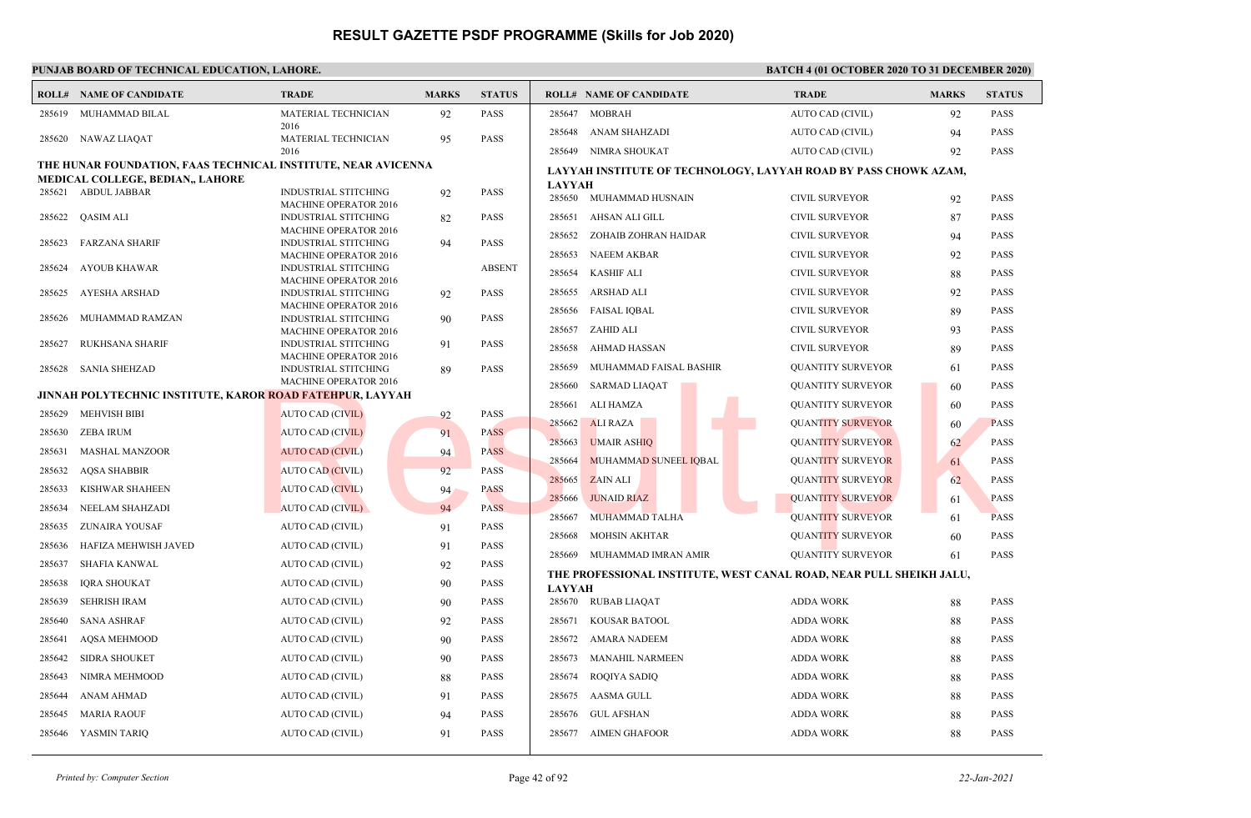|        | <b>ROLL# NAME OF CANDIDATE</b>                                | <b>TRADE</b>                                                | <b>MARKS</b> | <b>STATUS</b> | <b>ROLL# NAME OF CANDIDATE</b>                                                       | <b>TRADE</b>             | <b>MARKS</b> | <b>STATUS</b> |
|--------|---------------------------------------------------------------|-------------------------------------------------------------|--------------|---------------|--------------------------------------------------------------------------------------|--------------------------|--------------|---------------|
| 285619 | MUHAMMAD BILAL                                                | MATERIAL TECHNICIAN                                         | 92           | <b>PASS</b>   | <b>MOBRAH</b><br>285647                                                              | AUTO CAD (CIVIL)         | 92           | <b>PASS</b>   |
| 285620 | NAWAZ LIAQAT                                                  | 2016<br>MATERIAL TECHNICIAN                                 | 95           | PASS          | 285648<br>ANAM SHAHZADI                                                              | AUTO CAD (CIVIL)         | 94           | PASS          |
|        |                                                               | 2016                                                        |              |               | 285649 NIMRA SHOUKAT                                                                 | AUTO CAD (CIVIL)         | 92           | <b>PASS</b>   |
|        | THE HUNAR FOUNDATION, FAAS TECHNICAL INSTITUTE, NEAR AVICENNA |                                                             |              |               | LAYYAH INSTITUTE OF TECHNOLOGY, LAYYAH ROAD BY PASS CHOWK AZAM,                      |                          |              |               |
|        | MEDICAL COLLEGE, BEDIAN,, LAHORE                              |                                                             |              |               | <b>LAYYAH</b>                                                                        |                          |              |               |
| 285621 | <b>ABDUL JABBAR</b>                                           | <b>INDUSTRIAL STITCHING</b><br><b>MACHINE OPERATOR 2016</b> | 92           | <b>PASS</b>   | 285650 MUHAMMAD HUSNAIN                                                              | <b>CIVIL SURVEYOR</b>    | 92           | <b>PASS</b>   |
| 285622 | <b>QASIM ALI</b>                                              | INDUSTRIAL STITCHING                                        | 82           | PASS          | 285651<br>AHSAN ALI GILL                                                             | <b>CIVIL SURVEYOR</b>    | 87           | PASS          |
| 285623 | <b>FARZANA SHARIF</b>                                         | <b>MACHINE OPERATOR 2016</b><br><b>INDUSTRIAL STITCHING</b> | 94           | PASS          | 285652<br>ZOHAIB ZOHRAN HAIDAR                                                       | <b>CIVIL SURVEYOR</b>    | 94           | PASS          |
|        |                                                               | <b>MACHINE OPERATOR 2016</b>                                |              |               | <b>NAEEM AKBAR</b><br>285653                                                         | <b>CIVIL SURVEYOR</b>    | 92           | <b>PASS</b>   |
| 285624 | AYOUB KHAWAR                                                  | <b>INDUSTRIAL STITCHING</b>                                 |              | <b>ABSENT</b> | <b>KASHIF ALI</b><br>285654                                                          | <b>CIVIL SURVEYOR</b>    | 88           | PASS          |
| 285625 | AYESHA ARSHAD                                                 | <b>MACHINE OPERATOR 2016</b><br><b>INDUSTRIAL STITCHING</b> | 92           | PASS          | <b>ARSHAD ALI</b><br>285655                                                          | <b>CIVIL SURVEYOR</b>    | 92           | <b>PASS</b>   |
|        |                                                               | <b>MACHINE OPERATOR 2016</b>                                |              |               | 285656<br><b>FAISAL IQBAL</b>                                                        | <b>CIVIL SURVEYOR</b>    | 89           | PASS          |
| 285626 | MUHAMMAD RAMZAN                                               | <b>INDUSTRIAL STITCHING</b><br><b>MACHINE OPERATOR 2016</b> | 90           | PASS          | ZAHID ALI<br>285657                                                                  | <b>CIVIL SURVEYOR</b>    | 93           | <b>PASS</b>   |
| 285627 | <b>RUKHSANA SHARIF</b>                                        | <b>INDUSTRIAL STITCHING</b>                                 | 91           | PASS          | 285658<br>AHMAD HASSAN                                                               | <b>CIVIL SURVEYOR</b>    | 89           | <b>PASS</b>   |
| 285628 | <b>SANIA SHEHZAD</b>                                          | <b>MACHINE OPERATOR 2016</b><br><b>INDUSTRIAL STITCHING</b> | 89           | PASS          | 285659<br>MUHAMMAD FAISAL BASHIR                                                     | <b>QUANTITY SURVEYOR</b> | 61           | <b>PASS</b>   |
|        |                                                               | <b>MACHINE OPERATOR 2016</b>                                |              |               | 285660<br><b>SARMAD LIAQAT</b>                                                       | <b>QUANTITY SURVEYOR</b> | -60          | <b>PASS</b>   |
|        | JINNAH POLYTECHNIC INSTITUTE, KAROR ROAD FATEHPUR, LAYYAH     |                                                             |              |               | <b>ALI HAMZA</b><br>285661                                                           | <b>QUANTITY SURVEYOR</b> | 60           | PASS          |
| 285629 | <b>MEHVISH BIBI</b>                                           | <b>AUTO CAD (CIVIL)</b>                                     | 92           | PASS          | 285662<br><b>ALI RAZA</b>                                                            | <b>QUANTITY SURVEYOR</b> | 60           | <b>PASS</b>   |
| 285630 | <b>ZEBA IRUM</b>                                              | <b>AUTO CAD (CIVIL)</b>                                     | 91           | <b>PASS</b>   | <b>UMAIR ASHIQ</b><br>285663                                                         | <b>QUANTITY SURVEYOR</b> |              | <b>PASS</b>   |
| 285631 | <b>MASHAL MANZOOR</b>                                         | <b>AUTO CAD (CIVIL)</b>                                     | 94           | <b>PASS</b>   | MUHAMMAD SUNEEL IQBAL<br>285664                                                      | <b>QUANTITY SURVEYOR</b> | 62           | PASS          |
| 285632 | <b>AQSA SHABBIR</b>                                           | AUTO CAD (CIVIL)                                            | 92           | <b>PASS</b>   | 285665<br><b>ZAIN ALI</b>                                                            | <b>OUANTITY SURVEYOR</b> | 61           | PASS          |
| 285633 | KISHWAR SHAHEEN                                               | <b>AUTO CAD (CIVIL)</b>                                     | 94           | <b>PASS</b>   | 285666<br><b>JUNAID RIAZ</b>                                                         |                          | 62           | <b>PASS</b>   |
| 285634 | NEELAM SHAHZADI                                               | AUTO CAD (CIVIL)                                            | 94           | <b>PASS</b>   |                                                                                      | <b>QUANTITY SURVEYOR</b> | 61           |               |
| 285635 | <b>ZUNAIRA YOUSAF</b>                                         | AUTO CAD (CIVIL)                                            | 91           | <b>PASS</b>   | 285667<br>MUHAMMAD TALHA                                                             | <b>QUANTITY SURVEYOR</b> | 61           | <b>PASS</b>   |
| 285636 | HAFIZA MEHWISH JAVED                                          | AUTO CAD (CIVIL)                                            | 91           | PASS          | <b>MOHSIN AKHTAR</b><br>285668                                                       | <b>QUANTITY SURVEYOR</b> | 60           | <b>PASS</b>   |
| 285637 | <b>SHAFIA KANWAL</b>                                          | AUTO CAD (CIVIL)                                            | 92           | PASS          | MUHAMMAD IMRAN AMIR<br>285669                                                        | <b>QUANTITY SURVEYOR</b> | 61           | <b>PASS</b>   |
| 285638 | <b>IQRA SHOUKAT</b>                                           | AUTO CAD (CIVIL)                                            | 90           | PASS          | THE PROFESSIONAL INSTITUTE, WEST CANAL ROAD, NEAR PULL SHEIKH JALU,<br><b>LAYYAH</b> |                          |              |               |
| 285639 | <b>SEHRISH IRAM</b>                                           | AUTO CAD (CIVIL)                                            | 90           | PASS          | 285670 RUBAB LIAQAT                                                                  | <b>ADDA WORK</b>         | 88           | PASS          |
| 285640 | <b>SANA ASHRAF</b>                                            | <b>AUTO CAD (CIVIL)</b>                                     | 92           | PASS          | <b>KOUSAR BATOOL</b><br>285671                                                       | <b>ADDA WORK</b>         | 88           | <b>PASS</b>   |
| 285641 | <b>AOSA MEHMOOD</b>                                           | AUTO CAD (CIVIL)                                            | 90           | <b>PASS</b>   | <b>AMARA NADEEM</b><br>285672                                                        | <b>ADDA WORK</b>         | 88           | <b>PASS</b>   |
| 285642 | <b>SIDRA SHOUKET</b>                                          | AUTO CAD (CIVIL)                                            | 90           | PASS          | 285673<br><b>MANAHIL NARMEEN</b>                                                     | <b>ADDA WORK</b>         | 88           | PASS          |
| 285643 | NIMRA MEHMOOD                                                 | AUTO CAD (CIVIL)                                            | 88           | PASS          | 285674<br><b>ROQIYA SADIQ</b>                                                        | <b>ADDA WORK</b>         | 88           | PASS          |
| 285644 | <b>ANAM AHMAD</b>                                             | AUTO CAD (CIVIL)                                            | 91           | <b>PASS</b>   | 285675<br>AASMA GULL                                                                 | <b>ADDA WORK</b>         | 88           | PASS          |
| 285645 | <b>MARIA RAOUF</b>                                            | <b>AUTO CAD (CIVIL)</b>                                     | 94           | <b>PASS</b>   | <b>GUL AFSHAN</b><br>285676                                                          | <b>ADDA WORK</b>         | 88           | <b>PASS</b>   |
|        | 285646 YASMIN TARIQ                                           | AUTO CAD (CIVIL)                                            | 91           | PASS          | 285677 AIMEN GHAFOOR                                                                 | <b>ADDA WORK</b>         | 88           | <b>PASS</b>   |
|        |                                                               |                                                             |              |               |                                                                                      |                          |              |               |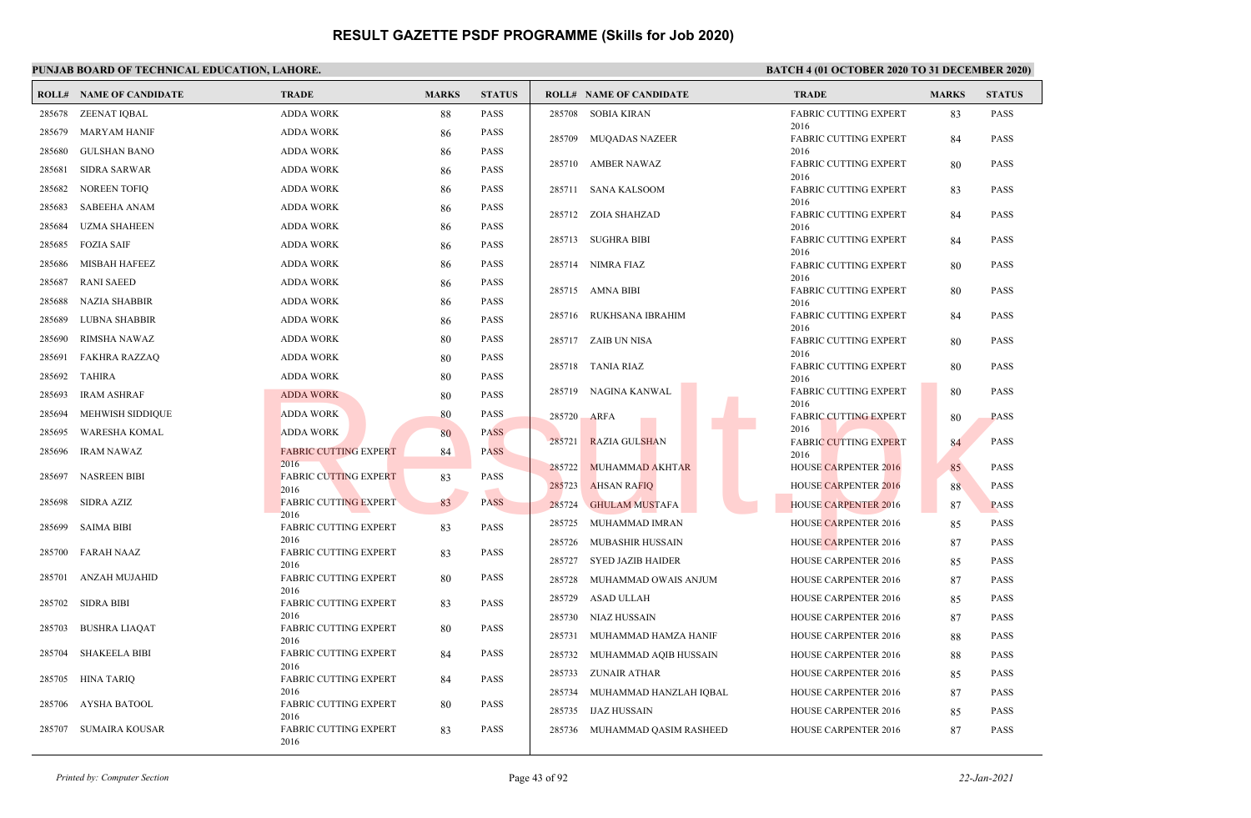## **PUNJAB BOARD OF TECHNICAL EDUCATION, LAHORE. BATCH 4 (01 OCTOBER 2020 TO 31 DECEMBER 2020)**

|        | <b>ROLL# NAME OF CANDIDATE</b> | <b>TRADE</b>                         | <b>MARKS</b> | <b>STATUS</b> |        | <b>ROLL# NAME OF CANDIDATE</b> | <b>TRADE</b>                         | <b>MARKS</b> | <b>STATUS</b> |
|--------|--------------------------------|--------------------------------------|--------------|---------------|--------|--------------------------------|--------------------------------------|--------------|---------------|
| 285678 | ZEENAT IQBAL                   | <b>ADDA WORK</b>                     | 88           | PASS          |        | 285708 SOBIA KIRAN             | <b>FABRIC CUTTING EXPERT</b>         | 83           | <b>PASS</b>   |
| 285679 | <b>MARYAM HANIF</b>            | <b>ADDA WORK</b>                     | 86           | <b>PASS</b>   |        | 285709 MUQADAS NAZEER          | 2016<br><b>FABRIC CUTTING EXPERT</b> | 84           | <b>PASS</b>   |
| 285680 | <b>GULSHAN BANO</b>            | <b>ADDA WORK</b>                     | 86           | <b>PASS</b>   |        |                                | 2016                                 |              |               |
| 285681 | <b>SIDRA SARWAR</b>            | <b>ADDA WORK</b>                     | 86           | <b>PASS</b>   |        | 285710 AMBER NAWAZ             | <b>FABRIC CUTTING EXPERT</b><br>2016 | 80           | <b>PASS</b>   |
| 285682 | <b>NOREEN TOFIQ</b>            | <b>ADDA WORK</b>                     | 86           | <b>PASS</b>   |        | 285711 SANA KALSOOM            | <b>FABRIC CUTTING EXPERT</b>         | 83           | <b>PASS</b>   |
| 285683 | <b>SABEEHA ANAM</b>            | <b>ADDA WORK</b>                     | 86           | <b>PASS</b>   |        | 285712 ZOIA SHAHZAD            | 2016<br><b>FABRIC CUTTING EXPERT</b> | 84           | <b>PASS</b>   |
| 285684 | <b>UZMA SHAHEEN</b>            | <b>ADDA WORK</b>                     | 86           | <b>PASS</b>   |        |                                | 2016                                 |              |               |
| 285685 | <b>FOZIA SAIF</b>              | <b>ADDA WORK</b>                     | 86           | <b>PASS</b>   |        | 285713 SUGHRA BIBI             | <b>FABRIC CUTTING EXPERT</b><br>2016 | 84           | <b>PASS</b>   |
| 285686 | <b>MISBAH HAFEEZ</b>           | <b>ADDA WORK</b>                     | 86           | <b>PASS</b>   |        | 285714 NIMRA FIAZ              | <b>FABRIC CUTTING EXPERT</b>         | 80           | <b>PASS</b>   |
| 285687 | <b>RANI SAEED</b>              | <b>ADDA WORK</b>                     | 86           | <b>PASS</b>   |        | 285715 AMNA BIBI               | 2016<br><b>FABRIC CUTTING EXPERT</b> | 80           | <b>PASS</b>   |
| 285688 | <b>NAZIA SHABBIR</b>           | <b>ADDA WORK</b>                     | 86           | <b>PASS</b>   |        |                                | 2016                                 |              |               |
| 285689 | <b>LUBNA SHABBIR</b>           | <b>ADDA WORK</b>                     | 86           | <b>PASS</b>   | 285716 | RUKHSANA IBRAHIM               | <b>FABRIC CUTTING EXPERT</b><br>2016 | 84           | <b>PASS</b>   |
| 285690 | RIMSHA NAWAZ                   | <b>ADDA WORK</b>                     | 80           | <b>PASS</b>   |        | 285717 ZAIB UN NISA            | <b>FABRIC CUTTING EXPERT</b>         | 80           | <b>PASS</b>   |
| 285691 | <b>FAKHRA RAZZAQ</b>           | <b>ADDA WORK</b>                     | 80           | <b>PASS</b>   |        |                                | 2016                                 |              |               |
| 285692 | <b>TAHIRA</b>                  | <b>ADDA WORK</b>                     | 80           | <b>PASS</b>   |        | 285718 TANIA RIAZ              | <b>FABRIC CUTTING EXPERT</b><br>2016 | 80           | <b>PASS</b>   |
| 285693 | <b>IRAM ASHRAF</b>             | <b>ADDA WORK</b>                     | 80           | <b>PASS</b>   |        | 285719 NAGINA KANWAL           | <b>FABRIC CUTTING EXPERT</b>         | 80           | <b>PASS</b>   |
| 285694 | MEHWISH SIDDIQUE               | <b>ADDA WORK</b>                     | 80           | <b>PASS</b>   | 285720 | <b>ARFA</b>                    | 2016<br><b>FABRIC CUTTING EXPERT</b> | 80           | <b>PASS</b>   |
| 285695 | <b>WARESHA KOMAL</b>           | <b>ADDA WORK</b>                     | 80           | <b>PASS</b>   |        |                                | 2016                                 |              |               |
| 285696 | IRAM NAWAZ                     | <b>FABRIC CUTTING EXPERT</b>         | 84           | <b>PASS</b>   | 285721 | <b>RAZIA GULSHAN</b>           | <b>FABRIC CUTTING EXPERT</b><br>2016 | 84           | <b>PASS</b>   |
| 285697 | <b>NASREEN BIBI</b>            | 2016<br><b>FABRIC CUTTING EXPERT</b> | 83           | PASS          | 285722 | MUHAMMAD AKHTAR                | <b>HOUSE CARPENTER 2016</b>          | 85           | <b>PASS</b>   |
|        |                                | 2016                                 |              |               | 285723 | <b>AHSAN RAFIQ</b>             | <b>HOUSE CARPENTER 2016</b>          | 88           | <b>PASS</b>   |
| 285698 | SIDRA AZIZ                     | <b>FABRIC CUTTING EXPERT</b><br>2016 | 83           | <b>PASS</b>   | 285724 | <b>GHULAM MUSTAFA</b>          | <b>HOUSE CARPENTER 2016</b>          | 87           | <b>PASS</b>   |
| 285699 | <b>SAIMA BIBI</b>              | <b>FABRIC CUTTING EXPERT</b>         | 83           | <b>PASS</b>   | 285725 | MUHAMMAD IMRAN                 | <b>HOUSE CARPENTER 2016</b>          | 85           | <b>PASS</b>   |
|        | <b>FARAH NAAZ</b>              | 2016<br><b>FABRIC CUTTING EXPERT</b> |              | <b>PASS</b>   | 285726 | <b>MUBASHIR HUSSAIN</b>        | <b>HOUSE CARPENTER 2016</b>          | 87           | <b>PASS</b>   |
| 285700 |                                | 2016                                 | 83           |               | 285727 | <b>SYED JAZIB HAIDER</b>       | <b>HOUSE CARPENTER 2016</b>          | 85           | <b>PASS</b>   |
| 285701 | ANZAH MUJAHID                  | <b>FABRIC CUTTING EXPERT</b>         | 80           | <b>PASS</b>   | 285728 | MUHAMMAD OWAIS ANJUM           | <b>HOUSE CARPENTER 2016</b>          | 87           | <b>PASS</b>   |
| 285702 | <b>SIDRA BIBI</b>              | 2016<br>FABRIC CUTTING EXPERT        | 83           | <b>PASS</b>   | 285729 | ASAD ULLAH                     | <b>HOUSE CARPENTER 2016</b>          | 85           | <b>PASS</b>   |
|        |                                | 2016                                 |              |               | 285730 | NIAZ HUSSAIN                   | HOUSE CARPENTER 2016                 | 87           | <b>PASS</b>   |
| 285703 | <b>BUSHRA LIAQAT</b>           | FABRIC CUTTING EXPERT<br>2016        | 80           | <b>PASS</b>   | 285731 | MUHAMMAD HAMZA HANIF           | <b>HOUSE CARPENTER 2016</b>          | 88           | <b>PASS</b>   |
| 285704 | <b>SHAKEELA BIBI</b>           | FABRIC CUTTING EXPERT                | 84           | <b>PASS</b>   |        | 285732 MUHAMMAD AQIB HUSSAIN   | <b>HOUSE CARPENTER 2016</b>          | 88           | <b>PASS</b>   |
| 285705 | <b>HINA TARIQ</b>              | 2016<br><b>FABRIC CUTTING EXPERT</b> | 84           | <b>PASS</b>   |        | 285733 ZUNAIR ATHAR            | <b>HOUSE CARPENTER 2016</b>          | 85           | <b>PASS</b>   |
|        |                                | 2016                                 |              |               | 285734 | MUHAMMAD HANZLAH IQBAL         | <b>HOUSE CARPENTER 2016</b>          | 87           | <b>PASS</b>   |
| 285706 | AYSHA BATOOL                   | FABRIC CUTTING EXPERT<br>2016        | 80           | <b>PASS</b>   | 285735 | <b>IJAZ HUSSAIN</b>            | <b>HOUSE CARPENTER 2016</b>          | 85           | <b>PASS</b>   |
| 285707 | <b>SUMAIRA KOUSAR</b>          | FABRIC CUTTING EXPERT<br>2016        | 83           | <b>PASS</b>   | 285736 | MUHAMMAD QASIM RASHEED         | <b>HOUSE CARPENTER 2016</b>          | 87           | <b>PASS</b>   |

*Printed by: Computer Section* Page 43 of 92 *22-Jan-2021*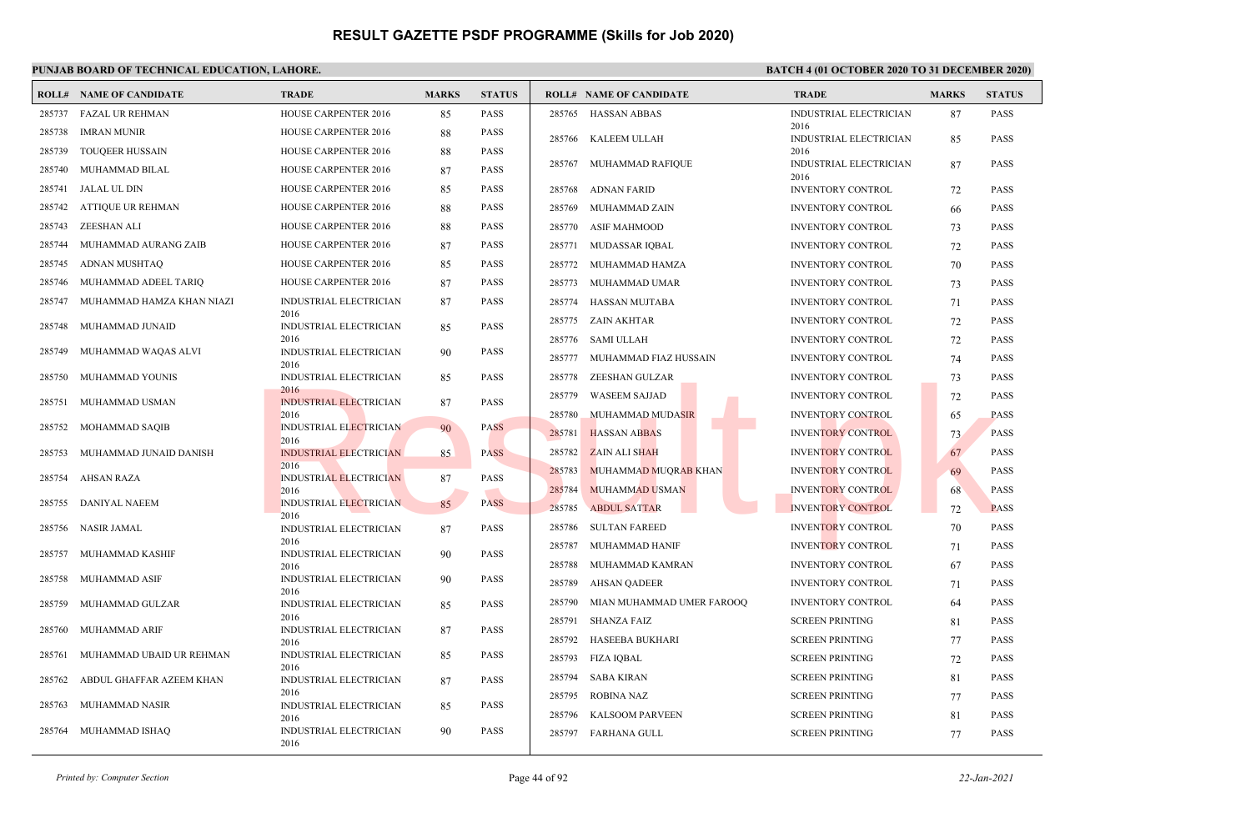## **PUNJAB BOARD OF TECHNICAL EDUCATION, LAHORE. BATCH 4 (01 OCTOBER 2020 TO 31 DECEMBER 2020)**

|        | <b>ROLL# NAME OF CANDIDATE</b> | <b>TRADE</b>                          | <b>MARKS</b> | <b>STATUS</b> |        | <b>ROLL# NAME OF CANDIDATE</b> | <b>TRADE</b>                   | <b>MARKS</b> | <b>STATUS</b> |
|--------|--------------------------------|---------------------------------------|--------------|---------------|--------|--------------------------------|--------------------------------|--------------|---------------|
|        | 285737 FAZAL UR REHMAN         | HOUSE CARPENTER 2016                  | 85           | PASS          |        | 285765 HASSAN ABBAS            | INDUSTRIAL ELECTRICIAN         | 87           | <b>PASS</b>   |
| 285738 | IMRAN MUNIR                    | HOUSE CARPENTER 2016                  | 88           | PASS          |        | 285766 KALEEM ULLAH            | 2016<br>INDUSTRIAL ELECTRICIAN | 85           | <b>PASS</b>   |
| 285739 | <b>TOUQEER HUSSAIN</b>         | <b>HOUSE CARPENTER 2016</b>           | 88           | PASS          |        |                                | 2016                           |              |               |
| 285740 | MUHAMMAD BILAL                 | <b>HOUSE CARPENTER 2016</b>           | 87           | PASS          |        | 285767 MUHAMMAD RAFIQUE        | INDUSTRIAL ELECTRICIAN<br>2016 | 87           | <b>PASS</b>   |
| 285741 | JALAL UL DIN                   | HOUSE CARPENTER 2016                  | 85           | PASS          | 285768 | ADNAN FARID                    | <b>INVENTORY CONTROL</b>       | 72           | <b>PASS</b>   |
| 285742 | ATTIQUE UR REHMAN              | HOUSE CARPENTER 2016                  | 88           | PASS          | 285769 | MUHAMMAD ZAIN                  | <b>INVENTORY CONTROL</b>       | 66           | <b>PASS</b>   |
| 285743 | ZEESHAN ALI                    | HOUSE CARPENTER 2016                  | 88           | PASS          |        | 285770 ASIF MAHMOOD            | INVENTORY CONTROL              | 73           | <b>PASS</b>   |
| 285744 | MUHAMMAD AURANG ZAIB           | HOUSE CARPENTER 2016                  | 87           | PASS          | 285771 | MUDASSAR IOBAL                 | <b>INVENTORY CONTROL</b>       | 72           | <b>PASS</b>   |
| 285745 | ADNAN MUSHTAQ                  | HOUSE CARPENTER 2016                  | 85           | PASS          |        | 285772 MUHAMMAD HAMZA          | <b>INVENTORY CONTROL</b>       | 70           | <b>PASS</b>   |
| 285746 | MUHAMMAD ADEEL TARIQ           | HOUSE CARPENTER 2016                  | 87           | PASS          | 285773 | MUHAMMAD UMAR                  | <b>INVENTORY CONTROL</b>       | 73           | <b>PASS</b>   |
| 285747 | MUHAMMAD HAMZA KHAN NIAZI      | INDUSTRIAL ELECTRICIAN                | 87           | <b>PASS</b>   | 285774 | HASSAN MUJTABA                 | <b>INVENTORY CONTROL</b>       | 71           | <b>PASS</b>   |
| 285748 | MUHAMMAD JUNAID                | 2016<br>INDUSTRIAL ELECTRICIAN        | 85           | <b>PASS</b>   | 285775 | ZAIN AKHTAR                    | <b>INVENTORY CONTROL</b>       | 72           | <b>PASS</b>   |
|        |                                | 2016                                  |              |               | 285776 | SAMI ULLAH                     | <b>INVENTORY CONTROL</b>       | 72           | PASS          |
| 285749 | MUHAMMAD WAQAS ALVI            | INDUSTRIAL ELECTRICIAN<br>2016        | 90           | PASS          | 285777 | MUHAMMAD FIAZ HUSSAIN          | <b>INVENTORY CONTROL</b>       | 74           | <b>PASS</b>   |
| 285750 | MUHAMMAD YOUNIS                | INDUSTRIAL ELECTRICIAN                | 85           | PASS          | 285778 | ZEESHAN GULZAR                 | <b>INVENTORY CONTROL</b>       | 73           | <b>PASS</b>   |
| 285751 | MUHAMMAD USMAN                 | 2016<br><b>INDUSTRIAL ELECTRICIAN</b> | 87           | PASS          | 285779 | <b>WASEEM SAJJAD</b>           | <b>INVENTORY CONTROL</b>       | 72           | <b>PASS</b>   |
|        |                                | 2016                                  |              |               | 285780 | MUHAMMAD MUDASIR               | <b>INVENTORY CONTROL</b>       | 65           | <b>PASS</b>   |
| 285752 | MOHAMMAD SAQIB                 | <b>INDUSTRIAL ELECTRICIAN</b><br>2016 | 90           | <b>PASS</b>   | 285781 | <b>HASSAN ABBAS</b>            | <b>INVENTORY CONTROL</b>       | 73           | <b>PASS</b>   |
| 285753 | MUHAMMAD JUNAID DANISH         | <b>INDUSTRIAL ELECTRICIAN</b>         | 85           | <b>PASS</b>   | 285782 | <b>ZAIN ALI SHAH</b>           | <b>INVENTORY CONTROL</b>       | 67           | <b>PASS</b>   |
| 285754 | AHSAN RAZA                     | 2016<br><b>INDUSTRIAL ELECTRICIAN</b> | 87           | PASS          | 285783 | MUHAMMAD MUQRAB KHAN           | <b>INVENTORY CONTROL</b>       | 69           | <b>PASS</b>   |
|        |                                | 2016                                  |              |               | 285784 | MUHAMMAD USMAN                 | <b>INVENTORY CONTROL</b>       | 68           | <b>PASS</b>   |
| 285755 | DANIYAL NAEEM                  | INDUSTRIAL ELECTRICIAN<br>2016        | 85           | <b>PASS</b>   | 285785 | <b>ABDUL SATTAR</b>            | <b>INVENTORY CONTROL</b>       | 72           | <b>PASS</b>   |
| 285756 | <b>NASIR JAMAL</b>             | <b>INDUSTRIAL ELECTRICIAN</b>         | 87           | PASS          | 285786 | <b>SULTAN FAREED</b>           | <b>INVENTORY CONTROL</b>       | 70           | <b>PASS</b>   |
| 285757 | MUHAMMAD KASHIF                | 2016<br>INDUSTRIAL ELECTRICIAN        | 90           | PASS          | 285787 | MUHAMMAD HANIF                 | <b>INVENTORY CONTROL</b>       | 71           | <b>PASS</b>   |
|        |                                | 2016                                  |              |               | 285788 | MUHAMMAD KAMRAN                | <b>INVENTORY CONTROL</b>       | 67           | <b>PASS</b>   |
| 285758 | MUHAMMAD ASIF                  | <b>INDUSTRIAL ELECTRICIAN</b><br>2016 | 90           | PASS          | 285789 | <b>AHSAN QADEER</b>            | INVENTORY CONTROL              | 71           | <b>PASS</b>   |
| 285759 | MUHAMMAD GULZAR                | <b>INDUSTRIAL ELECTRICIAN</b>         | 85           | PASS          | 285790 | MIAN MUHAMMAD UMER FAROOQ      | <b>INVENTORY CONTROL</b>       | 64           | <b>PASS</b>   |
| 285760 | MUHAMMAD ARIF                  | 2016<br>INDUSTRIAL ELECTRICIAN        | 87           | PASS          | 285791 | <b>SHANZA FAIZ</b>             | <b>SCREEN PRINTING</b>         | 81           | <b>PASS</b>   |
|        |                                | 2016                                  |              |               | 285792 | HASEEBA BUKHARI                | <b>SCREEN PRINTING</b>         | 77           | <b>PASS</b>   |
| 285761 | MUHAMMAD UBAID UR REHMAN       | INDUSTRIAL ELECTRICIAN<br>2016        | 85           | PASS          | 285793 | <b>FIZA IQBAL</b>              | <b>SCREEN PRINTING</b>         | 72           | <b>PASS</b>   |
| 285762 | ABDUL GHAFFAR AZEEM KHAN       | <b>INDUSTRIAL ELECTRICIAN</b>         | 87           | <b>PASS</b>   | 285794 | <b>SABA KIRAN</b>              | <b>SCREEN PRINTING</b>         | 81           | <b>PASS</b>   |
|        | MUHAMMAD NASIR                 | 2016                                  |              | <b>PASS</b>   | 285795 | <b>ROBINA NAZ</b>              | <b>SCREEN PRINTING</b>         | 77           | <b>PASS</b>   |
| 285763 |                                | INDUSTRIAL ELECTRICIAN<br>2016        | 85           |               | 285796 | <b>KALSOOM PARVEEN</b>         | <b>SCREEN PRINTING</b>         | 81           | <b>PASS</b>   |
| 285764 | MUHAMMAD ISHAQ                 | INDUSTRIAL ELECTRICIAN<br>2016        | 90           | PASS          |        | 285797 FARHANA GULL            | <b>SCREEN PRINTING</b>         | 77           | <b>PASS</b>   |

*Printed by: Computer Section* Page 44 of 92 *22-Jan-2021*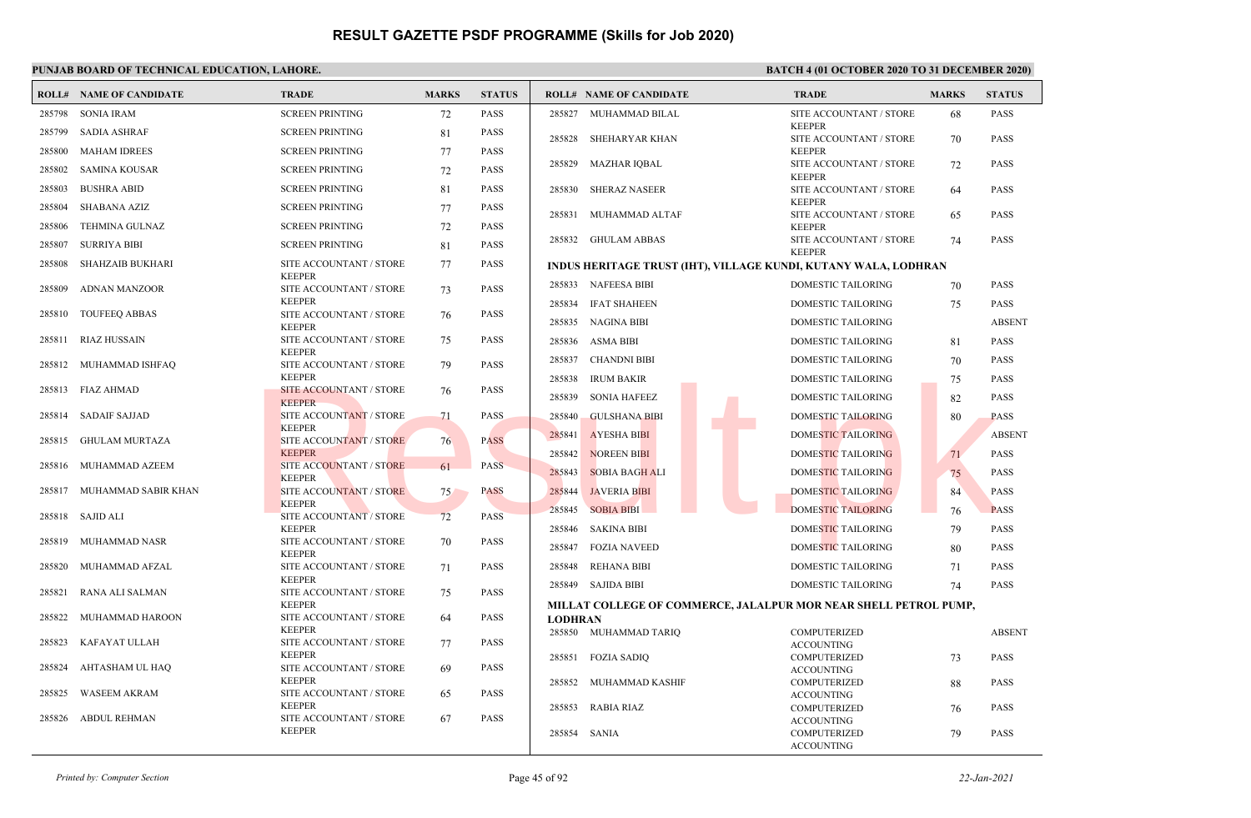|        | <b>ROLL# NAME OF CANDIDATE</b> | <b>TRADE</b>                                    | <b>MARKS</b> | <b>STATUS</b> |                | <b>ROLL# NAME OF CANDIDATE</b>                                   | <b>TRADE</b>                             | <b>MARKS</b> | <b>STATUS</b> |
|--------|--------------------------------|-------------------------------------------------|--------------|---------------|----------------|------------------------------------------------------------------|------------------------------------------|--------------|---------------|
| 285798 | <b>SONIA IRAM</b>              | <b>SCREEN PRINTING</b>                          | 72           | PASS          |                | 285827 MUHAMMAD BILAL                                            | SITE ACCOUNTANT / STORE                  | 68           | <b>PASS</b>   |
| 285799 | <b>SADIA ASHRAF</b>            | <b>SCREEN PRINTING</b>                          | 81           | <b>PASS</b>   | 285828         | SHEHARYAR KHAN                                                   | <b>KEEPER</b><br>SITE ACCOUNTANT / STORE | 70           | <b>PASS</b>   |
| 285800 | <b>MAHAM IDREES</b>            | <b>SCREEN PRINTING</b>                          | 77           | <b>PASS</b>   |                |                                                                  | <b>KEEPER</b>                            |              |               |
| 285802 | SAMINA KOUSAR                  | <b>SCREEN PRINTING</b>                          | 72           | PASS          | 285829         | <b>MAZHAR IQBAL</b>                                              | SITE ACCOUNTANT / STORE<br><b>KEEPER</b> | 72           | <b>PASS</b>   |
| 285803 | <b>BUSHRA ABID</b>             | <b>SCREEN PRINTING</b>                          | 81           | <b>PASS</b>   | 285830         | <b>SHERAZ NASEER</b>                                             | SITE ACCOUNTANT / STORE                  | 64           | <b>PASS</b>   |
| 285804 | SHABANA AZIZ                   | <b>SCREEN PRINTING</b>                          | 77           | <b>PASS</b>   | 285831         | MUHAMMAD ALTAF                                                   | <b>KEEPER</b><br>SITE ACCOUNTANT / STORE | 65           | <b>PASS</b>   |
| 285806 | <b>TEHMINA GULNAZ</b>          | <b>SCREEN PRINTING</b>                          | 72           | <b>PASS</b>   |                |                                                                  | <b>KEEPER</b>                            |              |               |
| 285807 | <b>SURRIYA BIBI</b>            | <b>SCREEN PRINTING</b>                          | 81           | <b>PASS</b>   |                | 285832 GHULAM ABBAS                                              | SITE ACCOUNTANT / STORE<br><b>KEEPER</b> | 74           | <b>PASS</b>   |
| 285808 | SHAHZAIB BUKHARI               | SITE ACCOUNTANT / STORE                         | 77           | <b>PASS</b>   |                | INDUS HERITAGE TRUST (IHT), VILLAGE KUNDI, KUTANY WALA, LODHRAN  |                                          |              |               |
| 285809 | ADNAN MANZOOR                  | <b>KEEPER</b><br>SITE ACCOUNTANT / STORE        | 73           | PASS          |                | 285833 NAFEESA BIBI                                              | DOMESTIC TAILORING                       | 70           | <b>PASS</b>   |
|        |                                | <b>KEEPER</b>                                   |              |               | 285834         | <b>IFAT SHAHEEN</b>                                              | DOMESTIC TAILORING                       | 75           | <b>PASS</b>   |
| 285810 | <b>TOUFEEQ ABBAS</b>           | SITE ACCOUNTANT / STORE<br><b>KEEPER</b>        | 76           | <b>PASS</b>   |                | 285835 NAGINA BIBI                                               | <b>DOMESTIC TAILORING</b>                |              | <b>ABSENT</b> |
| 285811 | RIAZ HUSSAIN                   | SITE ACCOUNTANT / STORE                         | 75           | PASS          | 285836         | ASMA BIBI                                                        | <b>DOMESTIC TAILORING</b>                | 81           | <b>PASS</b>   |
| 285812 | MUHAMMAD ISHFAQ                | <b>KEEPER</b><br>SITE ACCOUNTANT / STORE        | 79           | PASS          | 285837         | CHANDNI BIBI                                                     | DOMESTIC TAILORING                       | 70           | <b>PASS</b>   |
|        |                                | <b>KEEPER</b>                                   |              |               | 285838         | <b>IRUM BAKIR</b>                                                | DOMESTIC TAILORING                       | 75           | <b>PASS</b>   |
|        | 285813 FIAZ AHMAD              | SITE ACCOUNTANT / STORE<br><b>KEEPER</b>        | 76           | PASS          | 285839         | <b>SONIA HAFEEZ</b>                                              | <b>DOMESTIC TAILORING</b>                | 82           | <b>PASS</b>   |
| 285814 | SADAIF SAJJAD                  | SITE ACCOUNTANT / STORE                         | 71           | PASS          | 285840         | <b>GULSHANA BIBI</b>                                             | DOMESTIC TAILORING                       | 80           | <b>PASS</b>   |
| 285815 | <b>GHULAM MURTAZA</b>          | <b>KEEPER</b><br>SITE ACCOUNTANT / STORE        | 76           | <b>PASS</b>   | 285841         | <b>AYESHA BIBI</b>                                               | <b>DOMESTIC TAILORING</b>                |              | <b>ABSENT</b> |
|        |                                | <b>KEEPER</b>                                   |              |               | 285842         | <b>NOREEN BIBI</b>                                               | DOMESTIC TAILORING                       | 71           | <b>PASS</b>   |
| 285816 | MUHAMMAD AZEEM                 | SITE ACCOUNTANT / STORE<br><b>KEEPER</b>        | 61           | <b>PASS</b>   | 285843         | <b>SOBIA BAGH ALI</b>                                            | DOMESTIC TAILORING                       | 75           | <b>PASS</b>   |
| 285817 | MUHAMMAD SABIR KHAN            | SITE ACCOUNTANT / STORE                         | 75           | <b>PASS</b>   | 285844         | <b>JAVERIA BIBI</b>                                              | <b>DOMESTIC TAILORING</b>                | 84           | <b>PASS</b>   |
| 285818 | SAJID ALI                      | <b>KEEPER</b><br><b>SITE ACCOUNTANT / STORE</b> | 72           | <b>PASS</b>   | 285845         | <b>SOBIA BIBI</b>                                                | <b>DOMESTIC TAILORING</b>                | 76           | <b>PASS</b>   |
|        |                                | <b>KEEPER</b>                                   |              |               | 285846         | <b>SAKINA BIBI</b>                                               | DOMESTIC TAILORING                       | 79           | <b>PASS</b>   |
| 285819 | MUHAMMAD NASR                  | SITE ACCOUNTANT / STORE<br><b>KEEPER</b>        | 70           | PASS          | 285847         | <b>FOZIA NAVEED</b>                                              | DOMESTIC TAILORING                       | 80           | <b>PASS</b>   |
| 285820 | MUHAMMAD AFZAL                 | SITE ACCOUNTANT / STORE                         | 71           | <b>PASS</b>   | 285848         | <b>REHANA BIBI</b>                                               | DOMESTIC TAILORING                       | 71           | <b>PASS</b>   |
|        |                                | <b>KEEPER</b>                                   |              |               |                | 285849 SAJIDA BIBI                                               | DOMESTIC TAILORING                       | 74           | <b>PASS</b>   |
| 285821 | RANA ALI SALMAN                | SITE ACCOUNTANT / STORE<br><b>KEEPER</b>        | 75           | <b>PASS</b>   |                | MILLAT COLLEGE OF COMMERCE, JALALPUR MOR NEAR SHELL PETROL PUMP, |                                          |              |               |
| 285822 | MUHAMMAD HAROON                | SITE ACCOUNTANT / STORE                         | 64           | PASS          | <b>LODHRAN</b> |                                                                  |                                          |              |               |
| 285823 | KAFAYAT ULLAH                  | <b>KEEPER</b><br>SITE ACCOUNTANT / STORE        | 77           | <b>PASS</b>   |                | 285850 MUHAMMAD TARIO                                            | <b>COMPUTERIZED</b>                      |              | <b>ABSENT</b> |
|        |                                | <b>KEEPER</b>                                   |              |               |                | 285851 FOZIA SADIQ                                               | <b>ACCOUNTING</b><br>COMPUTERIZED        | 73           | <b>PASS</b>   |
| 285824 | AHTASHAM UL HAQ                | SITE ACCOUNTANT / STORE                         | 69           | <b>PASS</b>   |                |                                                                  | <b>ACCOUNTING</b>                        |              |               |
| 285825 | <b>WASEEM AKRAM</b>            | <b>KEEPER</b><br>SITE ACCOUNTANT / STORE        | 65           | <b>PASS</b>   | 285852         | MUHAMMAD KASHIF                                                  | <b>COMPUTERIZED</b>                      | 88           | <b>PASS</b>   |
|        |                                | <b>KEEPER</b>                                   |              |               | 285853         | <b>RABIA RIAZ</b>                                                | <b>ACCOUNTING</b><br><b>COMPUTERIZED</b> | 76           | <b>PASS</b>   |
| 285826 | ABDUL REHMAN                   | SITE ACCOUNTANT / STORE                         | 67           | PASS          |                |                                                                  | <b>ACCOUNTING</b>                        |              |               |
|        |                                | <b>KEEPER</b>                                   |              |               | 285854         | SANIA                                                            | <b>COMPUTERIZED</b><br><b>ACCOUNTING</b> | 79           | <b>PASS</b>   |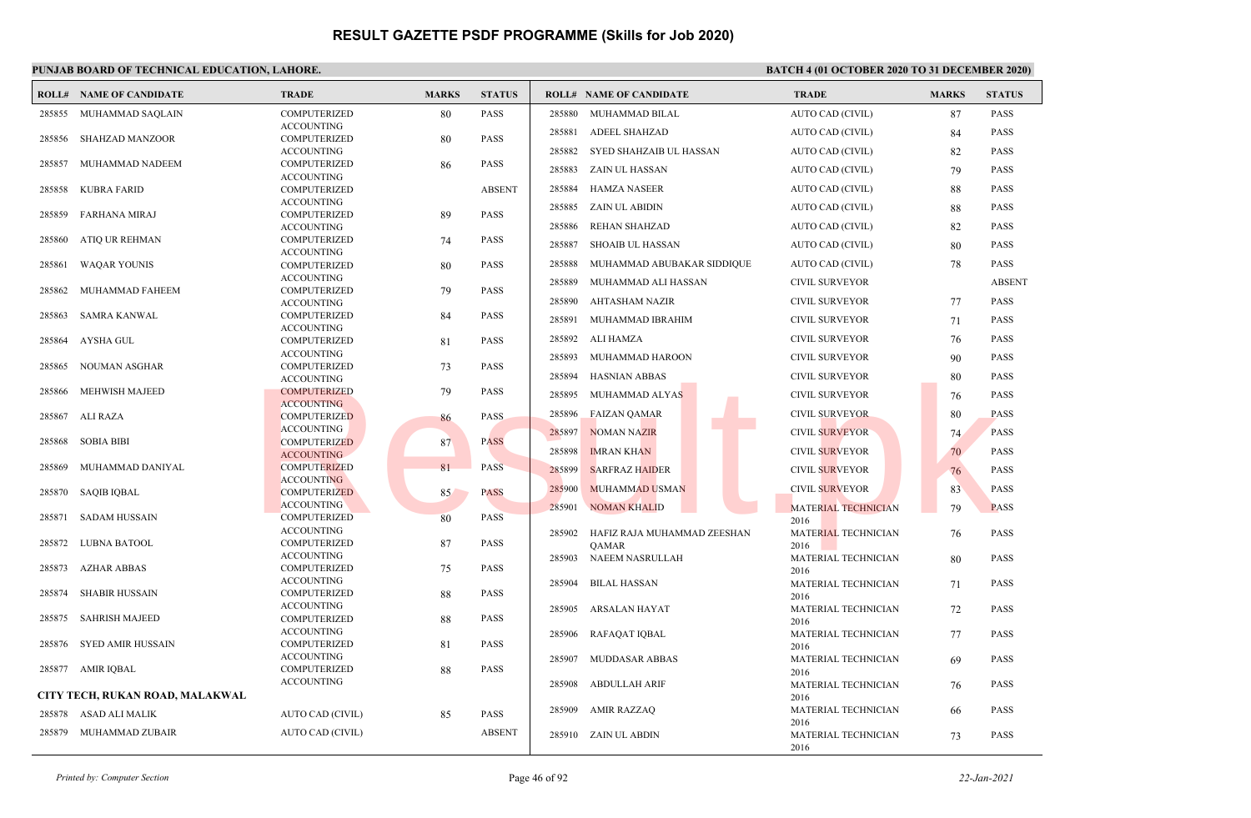|        | <b>ROLL# NAME OF CANDIDATE</b>  | <b>TRADE</b>                             | <b>MARKS</b> | <b>STATUS</b> |        | <b>ROLL# NAME OF CANDIDATE</b> | <b>TRADE</b>                       | <b>MARKS</b> | <b>STATUS</b> |
|--------|---------------------------------|------------------------------------------|--------------|---------------|--------|--------------------------------|------------------------------------|--------------|---------------|
| 285855 | MUHAMMAD SAQLAIN                | <b>COMPUTERIZED</b>                      | 80           | <b>PASS</b>   | 285880 | MUHAMMAD BILAL                 | AUTO CAD (CIVIL)                   | 87           | <b>PASS</b>   |
|        |                                 | <b>ACCOUNTING</b>                        |              |               | 285881 | <b>ADEEL SHAHZAD</b>           | AUTO CAD (CIVIL)                   | 84           | <b>PASS</b>   |
| 285856 | <b>SHAHZAD MANZOOR</b>          | COMPUTERIZED<br><b>ACCOUNTING</b>        | 80           | <b>PASS</b>   | 285882 | SYED SHAHZAIB UL HASSAN        | AUTO CAD (CIVIL)                   | 82           | <b>PASS</b>   |
| 285857 | MUHAMMAD NADEEM                 | COMPUTERIZED                             | 86           | <b>PASS</b>   |        |                                |                                    |              |               |
|        |                                 | <b>ACCOUNTING</b>                        |              |               | 285883 | ZAIN UL HASSAN                 | AUTO CAD (CIVIL)                   | 79           | <b>PASS</b>   |
| 285858 | <b>KUBRA FARID</b>              | <b>COMPUTERIZED</b>                      |              | <b>ABSENT</b> | 285884 | <b>HAMZA NASEER</b>            | AUTO CAD (CIVIL)                   | 88           | <b>PASS</b>   |
|        |                                 | <b>ACCOUNTING</b>                        |              | <b>PASS</b>   | 285885 | ZAIN UL ABIDIN                 | AUTO CAD (CIVIL)                   | 88           | <b>PASS</b>   |
| 285859 | <b>FARHANA MIRAJ</b>            | <b>COMPUTERIZED</b><br><b>ACCOUNTING</b> | 89           |               | 285886 | <b>REHAN SHAHZAD</b>           | AUTO CAD (CIVIL)                   | 82           | <b>PASS</b>   |
| 285860 | ATIQ UR REHMAN                  | COMPUTERIZED                             | 74           | <b>PASS</b>   | 285887 | <b>SHOAIB UL HASSAN</b>        | AUTO CAD (CIVIL)                   |              | <b>PASS</b>   |
|        |                                 | <b>ACCOUNTING</b>                        |              |               |        |                                |                                    | 80           |               |
| 285861 | <b>WAOAR YOUNIS</b>             | <b>COMPUTERIZED</b>                      | 80           | <b>PASS</b>   | 285888 | MUHAMMAD ABUBAKAR SIDDIQUE     | AUTO CAD (CIVIL)                   | 78           | <b>PASS</b>   |
| 285862 | MUHAMMAD FAHEEM                 | <b>ACCOUNTING</b><br><b>COMPUTERIZED</b> |              | <b>PASS</b>   | 285889 | MUHAMMAD ALI HASSAN            | <b>CIVIL SURVEYOR</b>              |              | <b>ABSENT</b> |
|        |                                 | <b>ACCOUNTING</b>                        | 79           |               | 285890 | <b>AHTASHAM NAZIR</b>          | <b>CIVIL SURVEYOR</b>              | 77           | <b>PASS</b>   |
| 285863 | SAMRA KANWAL                    | COMPUTERIZED                             | 84           | <b>PASS</b>   | 285891 | MUHAMMAD IBRAHIM               | <b>CIVIL SURVEYOR</b>              | 71           | <b>PASS</b>   |
|        |                                 | <b>ACCOUNTING</b>                        |              |               |        |                                |                                    |              |               |
| 285864 | AYSHA GUL                       | <b>COMPUTERIZED</b>                      | 81           | <b>PASS</b>   | 285892 | ALI HAMZA                      | <b>CIVIL SURVEYOR</b>              | 76           | <b>PASS</b>   |
| 285865 | <b>NOUMAN ASGHAR</b>            | <b>ACCOUNTING</b><br><b>COMPUTERIZED</b> | 73           | <b>PASS</b>   | 285893 | MUHAMMAD HAROON                | <b>CIVIL SURVEYOR</b>              | 90           | <b>PASS</b>   |
|        |                                 | <b>ACCOUNTING</b>                        |              |               | 285894 | <b>HASNIAN ABBAS</b>           | <b>CIVIL SURVEYOR</b>              | 80           | <b>PASS</b>   |
| 285866 | <b>MEHWISH MAJEED</b>           | <b>COMPUTERIZED</b>                      | 79           | <b>PASS</b>   | 285895 | MUHAMMAD ALYAS                 | <b>CIVIL SURVEYOR</b>              | 76           | <b>PASS</b>   |
|        |                                 | <b>ACCOUNTING</b>                        |              |               | 285896 | <b>FAIZAN OAMAR</b>            | <b>CIVIL SURVEYOR</b>              |              | <b>PASS</b>   |
| 285867 | ALI RAZA                        | <b>COMPUTERIZED</b><br><b>ACCOUNTING</b> | 86           | PASS          |        |                                |                                    | 80           |               |
| 285868 | <b>SOBIA BIBI</b>               | <b>COMPUTERIZED</b>                      | 87           | <b>PASS</b>   | 285897 | <b>NOMAN NAZIR</b>             | <b>CIVIL SURVEYOR</b>              | 74           | <b>PASS</b>   |
|        |                                 | <b>ACCOUNTING</b>                        |              |               | 285898 | <b>IMRAN KHAN</b>              | <b>CIVIL SURVEYOR</b>              | 70           | <b>PASS</b>   |
| 285869 | MUHAMMAD DANIYAL                | <b>COMPUTERIZED</b>                      | 81           | PASS          | 285899 | <b>SARFRAZ HAIDER</b>          | <b>CIVIL SURVEYOR</b>              | 76           | <b>PASS</b>   |
|        |                                 | <b>ACCOUNTING</b>                        |              | <b>PASS</b>   | 285900 | <b>MUHAMMAD USMAN</b>          | <b>CIVIL SURVEYOR</b>              | 83           | <b>PASS</b>   |
| 285870 | <b>SAQIB IQBAL</b>              | <b>COMPUTERIZED</b><br><b>ACCOUNTING</b> | 85           |               |        |                                |                                    |              |               |
| 285871 | <b>SADAM HUSSAIN</b>            | COMPUTERIZED                             | 80           | <b>PASS</b>   | 285901 | <b>NOMAN KHALID</b>            | <b>MATERIAL TECHNICIAN</b><br>2016 | 79           | <b>PASS</b>   |
|        |                                 | <b>ACCOUNTING</b>                        |              |               | 285902 | HAFIZ RAJA MUHAMMAD ZEESHAN    | MATERIAL TECHNICIAN                | 76           | <b>PASS</b>   |
| 285872 | LUBNA BATOOL                    | <b>COMPUTERIZED</b>                      | 87           | <b>PASS</b>   |        | QAMAR                          | 2016                               |              |               |
| 285873 | <b>AZHAR ABBAS</b>              | <b>ACCOUNTING</b><br>COMPUTERIZED        |              | <b>PASS</b>   | 285903 | NAEEM NASRULLAH                | MATERIAL TECHNICIAN                | 80           | <b>PASS</b>   |
|        |                                 | <b>ACCOUNTING</b>                        | 75           |               | 285904 | <b>BILAL HASSAN</b>            | 2016<br>MATERIAL TECHNICIAN        |              | <b>PASS</b>   |
| 285874 | <b>SHABIR HUSSAIN</b>           | COMPUTERIZED                             | 88           | <b>PASS</b>   |        |                                | 2016                               | 71           |               |
|        |                                 | <b>ACCOUNTING</b>                        |              |               | 285905 | ARSALAN HAYAT                  | MATERIAL TECHNICIAN                | 72           | <b>PASS</b>   |
| 285875 | <b>SAHRISH MAJEED</b>           | <b>COMPUTERIZED</b>                      | 88           | <b>PASS</b>   |        |                                | 2016                               |              |               |
| 285876 | SYED AMIR HUSSAIN               | <b>ACCOUNTING</b><br><b>COMPUTERIZED</b> | 81           | <b>PASS</b>   | 285906 | RAFAQAT IQBAL                  | MATERIAL TECHNICIAN                | 77           | <b>PASS</b>   |
|        |                                 | <b>ACCOUNTING</b>                        |              |               | 285907 | <b>MUDDASAR ABBAS</b>          | 2016<br>MATERIAL TECHNICIAN        | -69          | <b>PASS</b>   |
|        | 285877 AMIR IOBAL               | COMPUTERIZED                             | 88           | <b>PASS</b>   |        |                                | 2016                               |              |               |
|        |                                 | <b>ACCOUNTING</b>                        |              |               | 285908 | ABDULLAH ARIF                  | MATERIAL TECHNICIAN                | 76           | <b>PASS</b>   |
|        | CITY TECH, RUKAN ROAD, MALAKWAL |                                          |              |               |        |                                | 2016                               |              |               |
| 285878 | ASAD ALI MALIK                  | AUTO CAD (CIVIL)                         | 85           | <b>PASS</b>   | 285909 | <b>AMIR RAZZAQ</b>             | MATERIAL TECHNICIAN                | -66          | <b>PASS</b>   |
| 285879 | MUHAMMAD ZUBAIR                 | AUTO CAD (CIVIL)                         |              | <b>ABSENT</b> |        | 285910 ZAIN UL ABDIN           | 2016<br>MATERIAL TECHNICIAN        | 73           | <b>PASS</b>   |
|        |                                 |                                          |              |               |        |                                | 2016                               |              |               |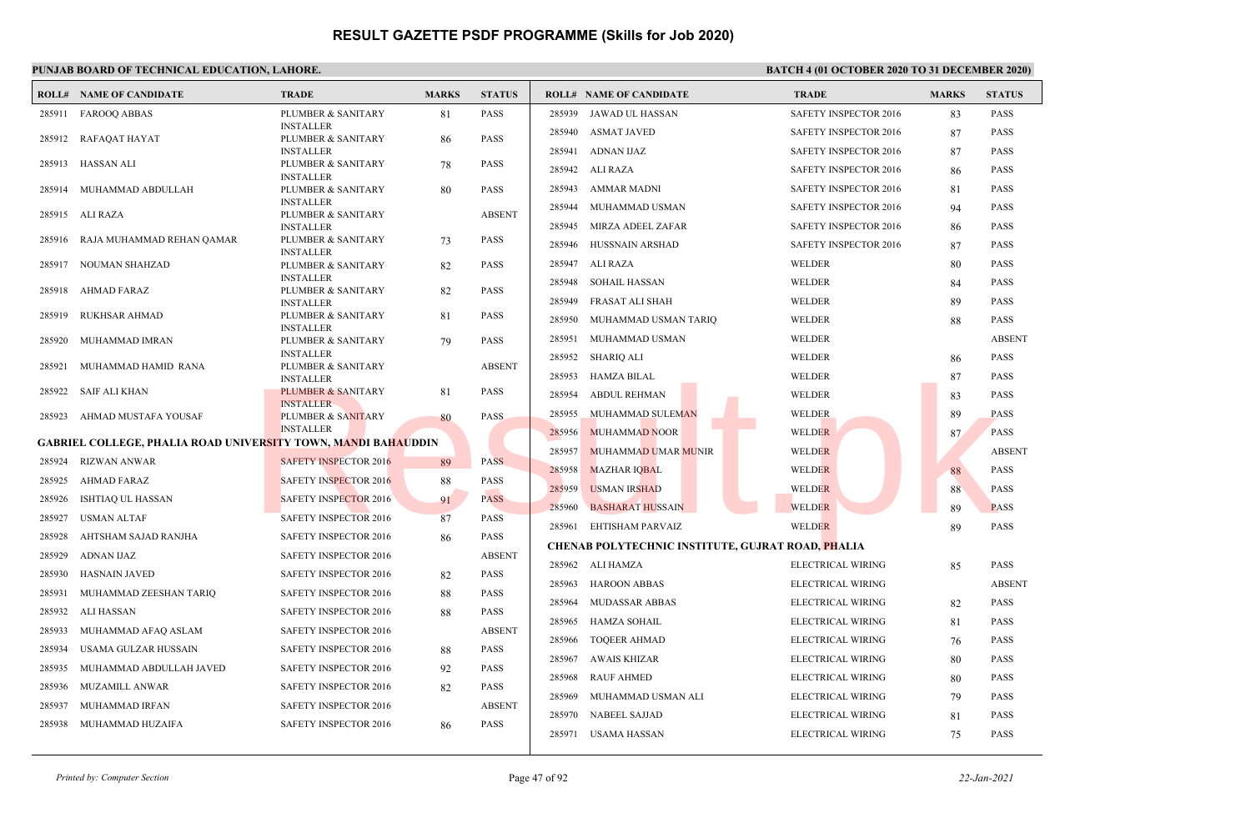|        | <b>ROLL# NAME OF CANDIDATE</b>                                       | <b>TRADE</b>                                      | <b>MARKS</b> | <b>STATUS</b> |        | <b>ROLL# NAME OF CANDIDATE</b>                           | <b>TRADE</b>          | <b>MARKS</b> | <b>STATUS</b> |
|--------|----------------------------------------------------------------------|---------------------------------------------------|--------------|---------------|--------|----------------------------------------------------------|-----------------------|--------------|---------------|
| 285911 | <b>FAROOO ABBAS</b>                                                  | PLUMBER & SANITARY                                | 81           | <b>PASS</b>   | 285939 | JAWAD UL HASSAN                                          | SAFETY INSPECTOR 2016 | 83           | <b>PASS</b>   |
|        |                                                                      | <b>INSTALLER</b>                                  |              | <b>PASS</b>   |        | 285940 ASMAT JAVED                                       | SAFETY INSPECTOR 2016 | 87           | <b>PASS</b>   |
| 285912 | RAFAQAT HAYAT                                                        | PLUMBER & SANITARY<br><b>INSTALLER</b>            | 86           |               | 285941 | ADNAN IJAZ                                               | SAFETY INSPECTOR 2016 | 87           | <b>PASS</b>   |
| 285913 | HASSAN ALI                                                           | PLUMBER & SANITARY                                | 78           | <b>PASS</b>   | 285942 | ALI RAZA                                                 | SAFETY INSPECTOR 2016 | 86           | <b>PASS</b>   |
| 285914 | MUHAMMAD ABDULLAH                                                    | <b>INSTALLER</b><br>PLUMBER & SANITARY            | 80           | <b>PASS</b>   | 285943 | AMMAR MADNI                                              | SAFETY INSPECTOR 2016 | 81           | <b>PASS</b>   |
|        |                                                                      | <b>INSTALLER</b>                                  |              |               | 285944 | MUHAMMAD USMAN                                           | SAFETY INSPECTOR 2016 | 94           | <b>PASS</b>   |
| 285915 | ALI RAZA                                                             | PLUMBER & SANITARY                                |              | <b>ABSENT</b> |        |                                                          |                       |              |               |
| 285916 | RAJA MUHAMMAD REHAN QAMAR                                            | <b>INSTALLER</b><br>PLUMBER & SANITARY            | 73           | <b>PASS</b>   | 285945 | MIRZA ADEEL ZAFAR                                        | SAFETY INSPECTOR 2016 | 86           | <b>PASS</b>   |
|        |                                                                      | <b>INSTALLER</b>                                  |              |               | 285946 | HUSSNAIN ARSHAD                                          | SAFETY INSPECTOR 2016 | 87           | <b>PASS</b>   |
| 285917 | NOUMAN SHAHZAD                                                       | PLUMBER & SANITARY                                | 82           | <b>PASS</b>   | 285947 | ALI RAZA                                                 | WELDER                | 80           | <b>PASS</b>   |
| 285918 | AHMAD FARAZ                                                          | <b>INSTALLER</b><br>PLUMBER & SANITARY            |              | <b>PASS</b>   | 285948 | SOHAIL HASSAN                                            | WELDER                | 84           | <b>PASS</b>   |
|        |                                                                      | <b>INSTALLER</b>                                  | 82           |               | 285949 | FRASAT ALI SHAH                                          | WELDER                | 89           | <b>PASS</b>   |
| 285919 | RUKHSAR AHMAD                                                        | PLUMBER & SANITARY                                | 81           | <b>PASS</b>   | 285950 | MUHAMMAD USMAN TARIQ                                     | WELDER                | 88           | <b>PASS</b>   |
| 285920 | MUHAMMAD IMRAN                                                       | <b>INSTALLER</b><br>PLUMBER & SANITARY            | 79           | <b>PASS</b>   | 285951 | MUHAMMAD USMAN                                           | WELDER                |              | <b>ABSENT</b> |
|        |                                                                      | <b>INSTALLER</b>                                  |              |               |        | 285952 SHARIQ ALI                                        | <b>WELDER</b>         | 86           | <b>PASS</b>   |
| 285921 | MUHAMMAD HAMID RANA                                                  | PLUMBER & SANITARY                                |              | <b>ABSENT</b> |        | 285953 HAMZA BILAL                                       | WELDER                | 87           | <b>PASS</b>   |
| 285922 | SAIF ALI KHAN                                                        | <b>INSTALLER</b><br><b>PLUMBER &amp; SANITARY</b> | 81           | <b>PASS</b>   |        | <b>ABDUL REHMAN</b>                                      | WELDER                |              |               |
|        |                                                                      | <b>INSTALLER</b>                                  |              |               | 285954 |                                                          |                       | 83           | <b>PASS</b>   |
| 285923 | AHMAD MUSTAFA YOUSAF                                                 | PLUMBER & SANITARY                                | 80           | PASS.         | 285955 | MUHAMMAD SULEMAN                                         | WELDER                | 89           | <b>PASS</b>   |
|        | <b>GABRIEL COLLEGE, PHALIA ROAD UNIVERSITY TOWN, MANDI BAHAUDDIN</b> | <b>INSTALLER</b>                                  |              |               | 285956 | <b>MUHAMMAD NOOR</b>                                     | <b>WELDER</b>         | 87           | <b>PASS</b>   |
| 285924 | RIZWAN ANWAR                                                         | <b>SAFETY INSPECTOR 2016</b>                      | 89           | <b>PASS</b>   | 285957 | MUHAMMAD UMAR MUNIR                                      | <b>WELDER</b>         |              | <b>ABSENT</b> |
| 285925 | AHMAD FARAZ                                                          | <b>SAFETY INSPECTOR 2016</b>                      | 88           | <b>PASS</b>   | 285958 | <b>MAZHAR IQBAL</b>                                      | <b>WELDER</b>         | 88           | <b>PASS</b>   |
|        |                                                                      |                                                   |              |               | 285959 | <b>USMAN IRSHAD</b>                                      | <b>WELDER</b>         | 88           | <b>PASS</b>   |
| 285926 | <b>ISHTIAQ UL HASSAN</b>                                             | <b>SAFETY INSPECTOR 2016</b>                      | 91           | <b>PASS</b>   | 285960 | <b>BASHARAT HUSSAIN</b>                                  | <b>WELDER</b>         | 89           | <b>PASS</b>   |
| 285927 | <b>USMAN ALTAF</b>                                                   | <b>SAFETY INSPECTOR 2016</b>                      | 87           | <b>PASS</b>   |        | 285961 EHTISHAM PARVAIZ                                  | <b>WELDER</b>         | 89           | <b>PASS</b>   |
| 285928 | AHTSHAM SAJAD RANJHA                                                 | SAFETY INSPECTOR 2016                             | 86           | <b>PASS</b>   |        | <b>CHENAB POLYTECHNIC INSTITUTE, GUJRAT ROAD, PHALIA</b> |                       |              |               |
| 285929 | <b>ADNAN IJAZ</b>                                                    | <b>SAFETY INSPECTOR 2016</b>                      |              | <b>ABSENT</b> |        | 285962 ALI HAMZA                                         | ELECTRICAL WIRING     | 85           | <b>PASS</b>   |
| 285930 | <b>HASNAIN JAVED</b>                                                 | SAFETY INSPECTOR 2016                             | 82           | <b>PASS</b>   |        |                                                          |                       |              |               |
| 285931 | MUHAMMAD ZEESHAN TARIQ                                               | <b>SAFETY INSPECTOR 2016</b>                      | 88           | <b>PASS</b>   | 285963 | <b>HAROON ABBAS</b>                                      | ELECTRICAL WIRING     |              | <b>ABSENT</b> |
| 285932 | ALI HASSAN                                                           | SAFETY INSPECTOR 2016                             | 88           | <b>PASS</b>   | 285964 | MUDASSAR ABBAS                                           | ELECTRICAL WIRING     | 82           | <b>PASS</b>   |
| 285933 | MUHAMMAD AFAQ ASLAM                                                  | <b>SAFETY INSPECTOR 2016</b>                      |              | <b>ABSENT</b> |        | 285965 HAMZA SOHAIL                                      | ELECTRICAL WIRING     | 81           | <b>PASS</b>   |
| 285934 | USAMA GULZAR HUSSAIN                                                 | SAFETY INSPECTOR 2016                             | 88           | <b>PASS</b>   |        | 285966 TOQEER AHMAD                                      | ELECTRICAL WIRING     | 76           | <b>PASS</b>   |
| 285935 | MUHAMMAD ABDULLAH JAVED                                              | <b>SAFETY INSPECTOR 2016</b>                      | 92           | <b>PASS</b>   | 285967 | AWAIS KHIZAR                                             | ELECTRICAL WIRING     | 80           | <b>PASS</b>   |
| 285936 | MUZAMILL ANWAR                                                       | SAFETY INSPECTOR 2016                             | 82           | <b>PASS</b>   | 285968 | <b>RAUF AHMED</b>                                        | ELECTRICAL WIRING     | 80           | <b>PASS</b>   |
|        |                                                                      |                                                   |              |               | 285969 | MUHAMMAD USMAN ALI                                       | ELECTRICAL WIRING     | 79           | <b>PASS</b>   |
| 285937 | MUHAMMAD IRFAN                                                       | <b>SAFETY INSPECTOR 2016</b>                      |              | <b>ABSENT</b> | 285970 | NABEEL SAJJAD                                            | ELECTRICAL WIRING     | 81           | <b>PASS</b>   |
| 285938 | MUHAMMAD HUZAIFA                                                     | <b>SAFETY INSPECTOR 2016</b>                      | 86           | <b>PASS</b>   |        | 285971 USAMA HASSAN                                      | ELECTRICAL WIRING     | 75           | <b>PASS</b>   |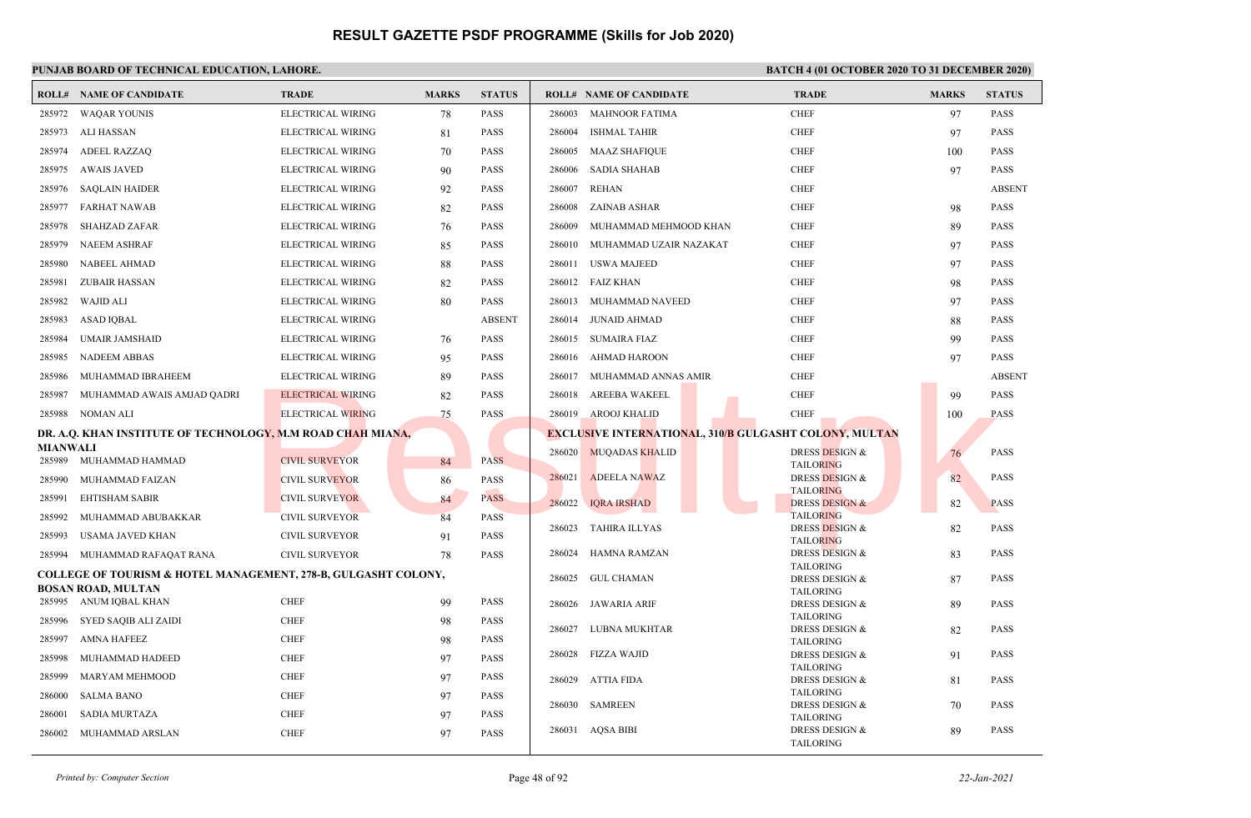|                 | <b>ROLL# NAME OF CANDIDATE</b>                                                                         | <b>TRADE</b>             | <b>MARKS</b> | <b>STATUS</b> |        | <b>ROLL# NAME OF CANDIDATE</b>                                | <b>TRADE</b>                                  | <b>MARKS</b> | <b>STATUS</b> |
|-----------------|--------------------------------------------------------------------------------------------------------|--------------------------|--------------|---------------|--------|---------------------------------------------------------------|-----------------------------------------------|--------------|---------------|
| 285972          | <b>WAQAR YOUNIS</b>                                                                                    | ELECTRICAL WIRING        | 78           | <b>PASS</b>   | 286003 | <b>MAHNOOR FATIMA</b>                                         | <b>CHEF</b>                                   | 97           | <b>PASS</b>   |
| 285973          | ALI HASSAN                                                                                             | ELECTRICAL WIRING        | 81           | <b>PASS</b>   | 286004 | <b>ISHMAL TAHIR</b>                                           | <b>CHEF</b>                                   | 97           | <b>PASS</b>   |
| 285974          | ADEEL RAZZAO                                                                                           | ELECTRICAL WIRING        | 70           | <b>PASS</b>   | 286005 | MAAZ SHAFIQUE                                                 | <b>CHEF</b>                                   | 100          | <b>PASS</b>   |
| 285975          | <b>AWAIS JAVED</b>                                                                                     | ELECTRICAL WIRING        | 90           | <b>PASS</b>   | 286006 | <b>SADIA SHAHAB</b>                                           | <b>CHEF</b>                                   | 97           | <b>PASS</b>   |
| 285976          | <b>SAQLAIN HAIDER</b>                                                                                  | ELECTRICAL WIRING        | 92           | <b>PASS</b>   | 286007 | REHAN                                                         | <b>CHEF</b>                                   |              | <b>ABSENT</b> |
| 285977          | <b>FARHAT NAWAB</b>                                                                                    | ELECTRICAL WIRING        | 82           | <b>PASS</b>   | 286008 | ZAINAB ASHAR                                                  | <b>CHEF</b>                                   | 98           | <b>PASS</b>   |
| 285978          | <b>SHAHZAD ZAFAR</b>                                                                                   | ELECTRICAL WIRING        | 76           | <b>PASS</b>   | 286009 | MUHAMMAD MEHMOOD KHAN                                         | <b>CHEF</b>                                   | 89           | <b>PASS</b>   |
| 285979          | <b>NAEEM ASHRAF</b>                                                                                    | ELECTRICAL WIRING        | 85           | <b>PASS</b>   | 286010 | MUHAMMAD UZAIR NAZAKAT                                        | <b>CHEF</b>                                   | 97           | <b>PASS</b>   |
| 285980          | NABEEL AHMAD                                                                                           | ELECTRICAL WIRING        | 88           | <b>PASS</b>   |        | 286011 USWA MAJEED                                            | <b>CHEF</b>                                   | 97           | <b>PASS</b>   |
| 285981          | <b>ZUBAIR HASSAN</b>                                                                                   | ELECTRICAL WIRING        | 82           | <b>PASS</b>   |        | 286012 FAIZ KHAN                                              | <b>CHEF</b>                                   | 98           | <b>PASS</b>   |
| 285982          | <b>WAJID ALI</b>                                                                                       | ELECTRICAL WIRING        | 80           | <b>PASS</b>   |        | 286013 MUHAMMAD NAVEED                                        | <b>CHEF</b>                                   | 97           | <b>PASS</b>   |
| 285983          | ASAD IQBAL                                                                                             | ELECTRICAL WIRING        |              | <b>ABSENT</b> | 286014 | <b>JUNAID AHMAD</b>                                           | <b>CHEF</b>                                   | 88           | <b>PASS</b>   |
| 285984          | UMAIR JAMSHAID                                                                                         | ELECTRICAL WIRING        | 76           | <b>PASS</b>   |        | 286015 SUMAIRA FIAZ                                           | <b>CHEF</b>                                   | 99           | <b>PASS</b>   |
| 285985          | <b>NADEEM ABBAS</b>                                                                                    | ELECTRICAL WIRING        | 95           | <b>PASS</b>   |        | 286016 AHMAD HAROON                                           | <b>CHEF</b>                                   | 97           | <b>PASS</b>   |
| 285986          | MUHAMMAD IBRAHEEM                                                                                      | ELECTRICAL WIRING        | 89           | <b>PASS</b>   |        | 286017 MUHAMMAD ANNAS AMIR                                    | <b>CHEF</b>                                   |              | <b>ABSENT</b> |
| 285987          | MUHAMMAD AWAIS AMJAD QADRI                                                                             | ELECTRICAL WIRING        | 82           | <b>PASS</b>   |        | 286018 AREEBA WAKEEL                                          | <b>CHEF</b>                                   | 99           | <b>PASS</b>   |
| 285988          | NOMAN ALI                                                                                              | <b>ELECTRICAL WIRING</b> | 75           | <b>PASS</b>   |        | 286019 AROOJ KHALID                                           | <b>CHEF</b>                                   | 100          | <b>PASS</b>   |
|                 | DR. A.Q. KHAN INSTITUTE OF TECHNOLOGY, M.M ROAD CHAH MIANA,                                            |                          |              |               |        | <b>EXCLUSIVE INTERNATIONAL, 310/B GULGASHT COLONY, MULTAN</b> |                                               |              |               |
| <b>MIANWALI</b> |                                                                                                        |                          |              |               |        | 286020 MUQADAS KHALID                                         | <b>DRESS DESIGN &amp;</b>                     | 76           | <b>PASS</b>   |
|                 | 285989 MUHAMMAD HAMMAD                                                                                 | <b>CIVIL SURVEYOR</b>    | 84           | <b>PASS</b>   | 286021 | <b>ADEELA NAWAZ</b>                                           | <b>TAILORING</b><br><b>DRESS DESIGN &amp;</b> | 82           | <b>PASS</b>   |
| 285990          | MUHAMMAD FAIZAN                                                                                        | <b>CIVIL SURVEYOR</b>    | 86           | <b>PASS</b>   |        |                                                               | <b>TAILORING</b>                              |              |               |
| 285991          | <b>EHTISHAM SABIR</b>                                                                                  | <b>CIVIL SURVEYOR</b>    | 84           | <b>PASS</b>   | 286022 | <b>IQRA IRSHAD</b>                                            | <b>DRESS DESIGN &amp;</b><br><b>TAILORING</b> | 82           | <b>PASS</b>   |
| 285992          | MUHAMMAD ABUBAKKAR                                                                                     | <b>CIVIL SURVEYOR</b>    | 84           | <b>PASS</b>   | 286023 | TAHIRA ILLYAS                                                 | <b>DRESS DESIGN &amp;</b>                     | 82           | <b>PASS</b>   |
| 285993          | USAMA JAVED KHAN                                                                                       | <b>CIVIL SURVEYOR</b>    | 91           | <b>PASS</b>   | 286024 |                                                               | <b>TAILORING</b>                              |              | <b>PASS</b>   |
| 285994          | MUHAMMAD RAFAQAT RANA                                                                                  | <b>CIVIL SURVEYOR</b>    | 78           | <b>PASS</b>   |        | HAMNA RAMZAN                                                  | DRESS DESIGN &<br><b>TAILORING</b>            | 83           |               |
|                 | <b>COLLEGE OF TOURISM &amp; HOTEL MANAGEMENT, 278-B, GULGASHT COLONY,</b><br><b>BOSAN ROAD, MULTAN</b> |                          |              |               | 286025 | <b>GUL CHAMAN</b>                                             | DRESS DESIGN &                                | 87           | <b>PASS</b>   |
|                 | 285995 ANUM IQBAL KHAN                                                                                 | <b>CHEF</b>              | 99           | <b>PASS</b>   |        | 286026 JAWARIA ARIF                                           | <b>TAILORING</b><br><b>DRESS DESIGN &amp;</b> | 89           | <b>PASS</b>   |
| 285996          | SYED SAQIB ALI ZAIDI                                                                                   | <b>CHEF</b>              | 98           | <b>PASS</b>   |        |                                                               | <b>TAILORING</b>                              |              |               |
| 285997          | <b>AMNA HAFEEZ</b>                                                                                     | <b>CHEF</b>              | 98           | <b>PASS</b>   |        | 286027 LUBNA MUKHTAR                                          | <b>DRESS DESIGN &amp;</b><br><b>TAILORING</b> | 82           | <b>PASS</b>   |
| 285998          | MUHAMMAD HADEED                                                                                        | <b>CHEF</b>              | 97           | <b>PASS</b>   | 286028 | FIZZA WAJID                                                   | DRESS DESIGN &                                | 91           | <b>PASS</b>   |
| 285999          | <b>MARYAM MEHMOOD</b>                                                                                  | <b>CHEF</b>              | 97           | <b>PASS</b>   | 286029 | <b>ATTIA FIDA</b>                                             | <b>TAILORING</b><br>DRESS DESIGN &            | 81           | <b>PASS</b>   |
| 286000          | <b>SALMA BANO</b>                                                                                      | <b>CHEF</b>              | 97           | <b>PASS</b>   |        |                                                               | <b>TAILORING</b>                              |              |               |
| 286001          | <b>SADIA MURTAZA</b>                                                                                   | <b>CHEF</b>              | 97           | <b>PASS</b>   | 286030 | <b>SAMREEN</b>                                                | <b>DRESS DESIGN &amp;</b><br><b>TAILORING</b> | 70           | <b>PASS</b>   |
| 286002          | MUHAMMAD ARSLAN                                                                                        | <b>CHEF</b>              | 97           | <b>PASS</b>   |        | 286031 AQSA BIBI                                              | DRESS DESIGN &<br><b>TAILORING</b>            | 89           | <b>PASS</b>   |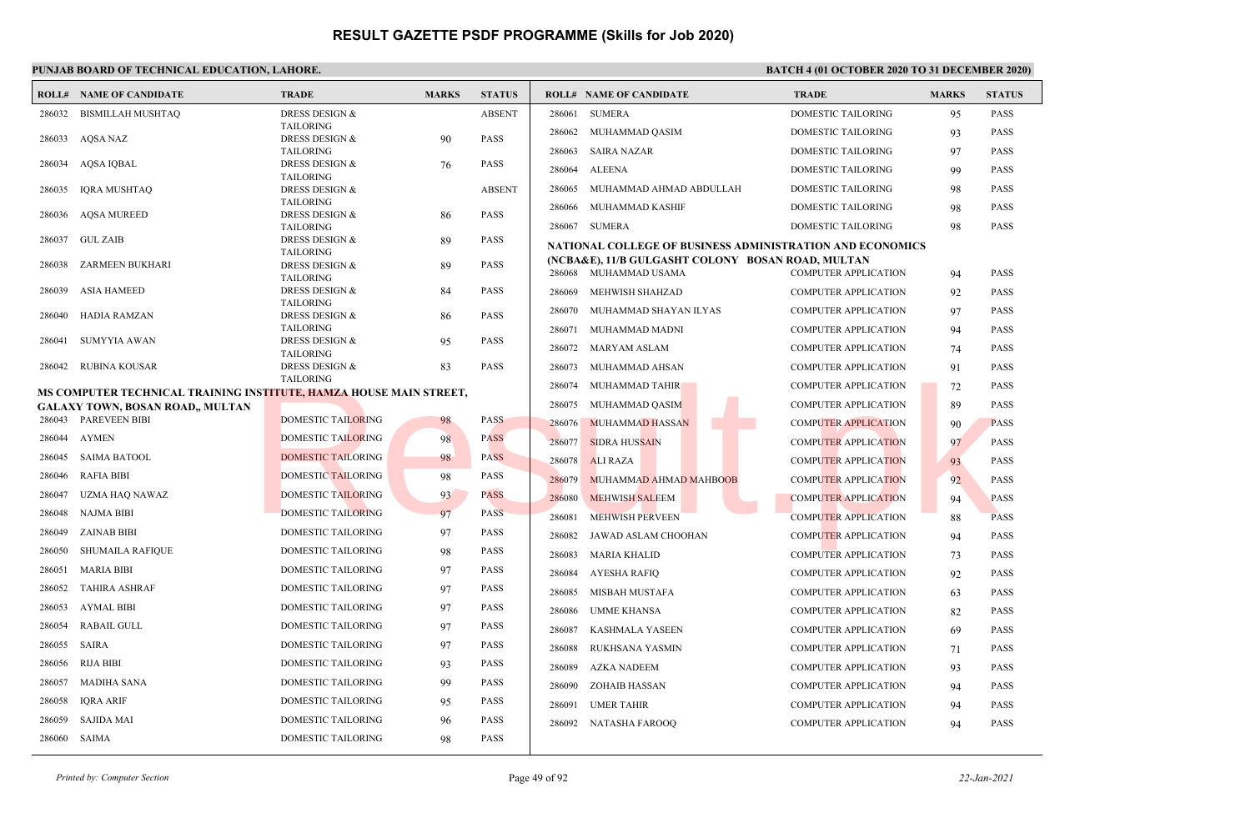|        | <b>ROLL# NAME OF CANDIDATE</b>                                     | <b>TRADE</b>                                  | <b>MARKS</b> | <b>STATUS</b> |        | <b>ROLL# NAME OF CANDIDATE</b>                            | <b>TRADE</b>                | <b>MARKS</b> | <b>STATUS</b> |
|--------|--------------------------------------------------------------------|-----------------------------------------------|--------------|---------------|--------|-----------------------------------------------------------|-----------------------------|--------------|---------------|
| 286032 | <b>BISMILLAH MUSHTAQ</b>                                           | DRESS DESIGN &                                |              | <b>ABSENT</b> | 286061 | <b>SUMERA</b>                                             | DOMESTIC TAILORING          | 95           | <b>PASS</b>   |
|        |                                                                    | <b>TAILORING</b>                              |              |               | 286062 | MUHAMMAD QASIM                                            | <b>DOMESTIC TAILORING</b>   | 93           | <b>PASS</b>   |
| 286033 | AQSA NAZ                                                           | DRESS DESIGN &                                | 90           | <b>PASS</b>   |        |                                                           |                             |              |               |
| 286034 | AQSA IQBAL                                                         | <b>TAILORING</b><br><b>DRESS DESIGN &amp;</b> | 76           | <b>PASS</b>   | 286063 | <b>SAIRA NAZAR</b>                                        | DOMESTIC TAILORING          | 97           | <b>PASS</b>   |
|        |                                                                    | <b>TAILORING</b>                              |              |               | 286064 | <b>ALEENA</b>                                             | DOMESTIC TAILORING          | 99           | <b>PASS</b>   |
| 286035 | <b>IQRA MUSHTAQ</b>                                                | <b>DRESS DESIGN &amp;</b>                     |              | <b>ABSENT</b> | 286065 | MUHAMMAD AHMAD ABDULLAH                                   | DOMESTIC TAILORING          | 98           | <b>PASS</b>   |
|        |                                                                    | <b>TAILORING</b>                              |              |               | 286066 | MUHAMMAD KASHIF                                           | DOMESTIC TAILORING          | 98           | <b>PASS</b>   |
| 286036 | <b>AOSA MUREED</b>                                                 | <b>DRESS DESIGN &amp;</b><br><b>TAILORING</b> | -86          | <b>PASS</b>   |        | 286067 SUMERA                                             | DOMESTIC TAILORING          | 98           | <b>PASS</b>   |
| 286037 | <b>GUL ZAIB</b>                                                    | <b>DRESS DESIGN &amp;</b>                     | 89           | <b>PASS</b>   |        |                                                           |                             |              |               |
|        |                                                                    | <b>TAILORING</b>                              |              |               |        | NATIONAL COLLEGE OF BUSINESS ADMINISTRATION AND ECONOMICS |                             |              |               |
| 286038 | ZARMEEN BUKHARI                                                    | <b>DRESS DESIGN &amp;</b>                     | 89           | <b>PASS</b>   |        | (NCBA&E), 11/B GULGASHT COLONY BOSAN ROAD, MULTAN         |                             |              |               |
|        |                                                                    | <b>TAILORING</b>                              |              |               |        | 286068 MUHAMMAD USAMA                                     | <b>COMPUTER APPLICATION</b> | 94           | <b>PASS</b>   |
| 286039 | <b>ASIA HAMEED</b>                                                 | <b>DRESS DESIGN &amp;</b><br><b>TAILORING</b> | 84           | <b>PASS</b>   | 286069 | MEHWISH SHAHZAD                                           | <b>COMPUTER APPLICATION</b> | 92           | <b>PASS</b>   |
| 286040 | HADIA RAMZAN                                                       | <b>DRESS DESIGN &amp;</b>                     | 86           | <b>PASS</b>   | 286070 | MUHAMMAD SHAYAN ILYAS                                     | <b>COMPUTER APPLICATION</b> | 97           | <b>PASS</b>   |
|        |                                                                    | <b>TAILORING</b>                              |              |               | 286071 | MUHAMMAD MADNI                                            | <b>COMPUTER APPLICATION</b> | 94           | <b>PASS</b>   |
| 286041 | <b>SUMYYIA AWAN</b>                                                | <b>DRESS DESIGN &amp;</b>                     | 95           | <b>PASS</b>   | 286072 | <b>MARYAM ASLAM</b>                                       | <b>COMPUTER APPLICATION</b> | 74           | <b>PASS</b>   |
| 286042 | RUBINA KOUSAR                                                      | <b>TAILORING</b><br><b>DRESS DESIGN &amp;</b> | 83           | <b>PASS</b>   | 286073 | MUHAMMAD AHSAN                                            | <b>COMPUTER APPLICATION</b> | 91           | <b>PASS</b>   |
|        |                                                                    | <b>TAILORING</b>                              |              |               | 286074 | MUHAMMAD TAHIR                                            | <b>COMPUTER APPLICATION</b> | 72           | <b>PASS</b>   |
|        | MS COMPUTER TECHNICAL TRAINING INSTITUTE, HAMZA HOUSE MAIN STREET, |                                               |              |               |        |                                                           |                             |              |               |
|        | <b>GALAXY TOWN, BOSAN ROAD,, MULTAN</b>                            |                                               |              |               | 286075 | MUHAMMAD QASIM                                            | <b>COMPUTER APPLICATION</b> | 89           | <b>PASS</b>   |
|        | 286043 PAREVEEN BIBI                                               | <b>DOMESTIC TAILORING</b>                     | 98           | <b>PASS</b>   | 286076 | MUHAMMAD HASSAN                                           | <b>COMPUTER APPLICATION</b> | 90           | <b>PASS</b>   |
| 286044 | <b>AYMEN</b>                                                       | <b>DOMESTIC TAILORING</b>                     | 98           | <b>PASS</b>   | 286077 | <b>SIDRA HUSSAIN</b>                                      | <b>COMPUTER APPLICATION</b> | 97           | <b>PASS</b>   |
| 286045 | <b>SAIMA BATOOL</b>                                                | <b>DOMESTIC TAILORING</b>                     | 98           | <b>PASS</b>   | 286078 | <b>ALI RAZA</b>                                           | <b>COMPUTER APPLICATION</b> | 93           | <b>PASS</b>   |
| 286046 | <b>RAFIA BIBI</b>                                                  | <b>DOMESTIC TAILORING</b>                     | 98           | <b>PASS</b>   | 286079 | MUHAMMAD AHMAD MAHBOOB                                    | <b>COMPUTER APPLICATION</b> | 92           | <b>PASS</b>   |
| 286047 | UZMA HAQ NAWAZ                                                     | <b>DOMESTIC TAILORING</b>                     | 93           | <b>PASS</b>   | 286080 | <b>MEHWISH SALEEM</b>                                     | <b>COMPUTER APPLICATION</b> | 94           | <b>PASS</b>   |
| 286048 | NAJMA BIBI                                                         | <b>DOMESTIC TAILORING</b>                     | 97           | <b>PASS</b>   | 286081 | <b>MEHWISH PERVEEN</b>                                    | <b>COMPUTER APPLICATION</b> | 88           | <b>PASS</b>   |
| 286049 | <b>ZAINAB BIBI</b>                                                 | <b>DOMESTIC TAILORING</b>                     | 97           | <b>PASS</b>   | 286082 | JAWAD ASLAM CHOOHAN                                       | <b>COMPUTER APPLICATION</b> | 94           | <b>PASS</b>   |
| 286050 | SHUMAILA RAFIQUE                                                   | <b>DOMESTIC TAILORING</b>                     | 98           | <b>PASS</b>   | 286083 | MARIA KHALID                                              | <b>COMPUTER APPLICATION</b> | 73           | <b>PASS</b>   |
| 286051 | <b>MARIA BIBI</b>                                                  | <b>DOMESTIC TAILORING</b>                     | 97           | <b>PASS</b>   | 286084 | <b>AYESHA RAFIQ</b>                                       | <b>COMPUTER APPLICATION</b> | 92           | <b>PASS</b>   |
| 286052 | <b>TAHIRA ASHRAF</b>                                               | DOMESTIC TAILORING                            | 97           | <b>PASS</b>   | 286085 | <b>MISBAH MUSTAFA</b>                                     | <b>COMPUTER APPLICATION</b> | 63           | <b>PASS</b>   |
| 286053 | <b>AYMAL BIBI</b>                                                  | <b>DOMESTIC TAILORING</b>                     | 97           | <b>PASS</b>   | 286086 | <b>UMME KHANSA</b>                                        | <b>COMPUTER APPLICATION</b> | 82           | <b>PASS</b>   |
| 286054 | <b>RABAIL GULL</b>                                                 | <b>DOMESTIC TAILORING</b>                     | 97           | <b>PASS</b>   | 286087 | <b>KASHMALA YASEEN</b>                                    | <b>COMPUTER APPLICATION</b> | 69           | <b>PASS</b>   |
| 286055 | SAIRA                                                              | DOMESTIC TAILORING                            | 97           | <b>PASS</b>   | 286088 | RUKHSANA YASMIN                                           | <b>COMPUTER APPLICATION</b> | 71           | <b>PASS</b>   |
| 286056 | <b>RIJA BIBI</b>                                                   | <b>DOMESTIC TAILORING</b>                     | 93           | <b>PASS</b>   | 286089 | <b>AZKA NADEEM</b>                                        | <b>COMPUTER APPLICATION</b> | 93           | <b>PASS</b>   |
| 286057 | <b>MADIHA SANA</b>                                                 | DOMESTIC TAILORING                            | 99           | <b>PASS</b>   | 286090 | <b>ZOHAIB HASSAN</b>                                      | <b>COMPUTER APPLICATION</b> | 94           | <b>PASS</b>   |
| 286058 | <b>IQRA ARIF</b>                                                   | DOMESTIC TAILORING                            | 95           | PASS          | 286091 | <b>UMER TAHIR</b>                                         | <b>COMPUTER APPLICATION</b> | 94           | <b>PASS</b>   |
| 286059 | <b>SAJIDA MAI</b>                                                  | <b>DOMESTIC TAILORING</b>                     | 96           | <b>PASS</b>   | 286092 | NATASHA FAROOQ                                            | <b>COMPUTER APPLICATION</b> | 94           | <b>PASS</b>   |
| 286060 | SAIMA                                                              | <b>DOMESTIC TAILORING</b>                     | 98           | <b>PASS</b>   |        |                                                           |                             |              |               |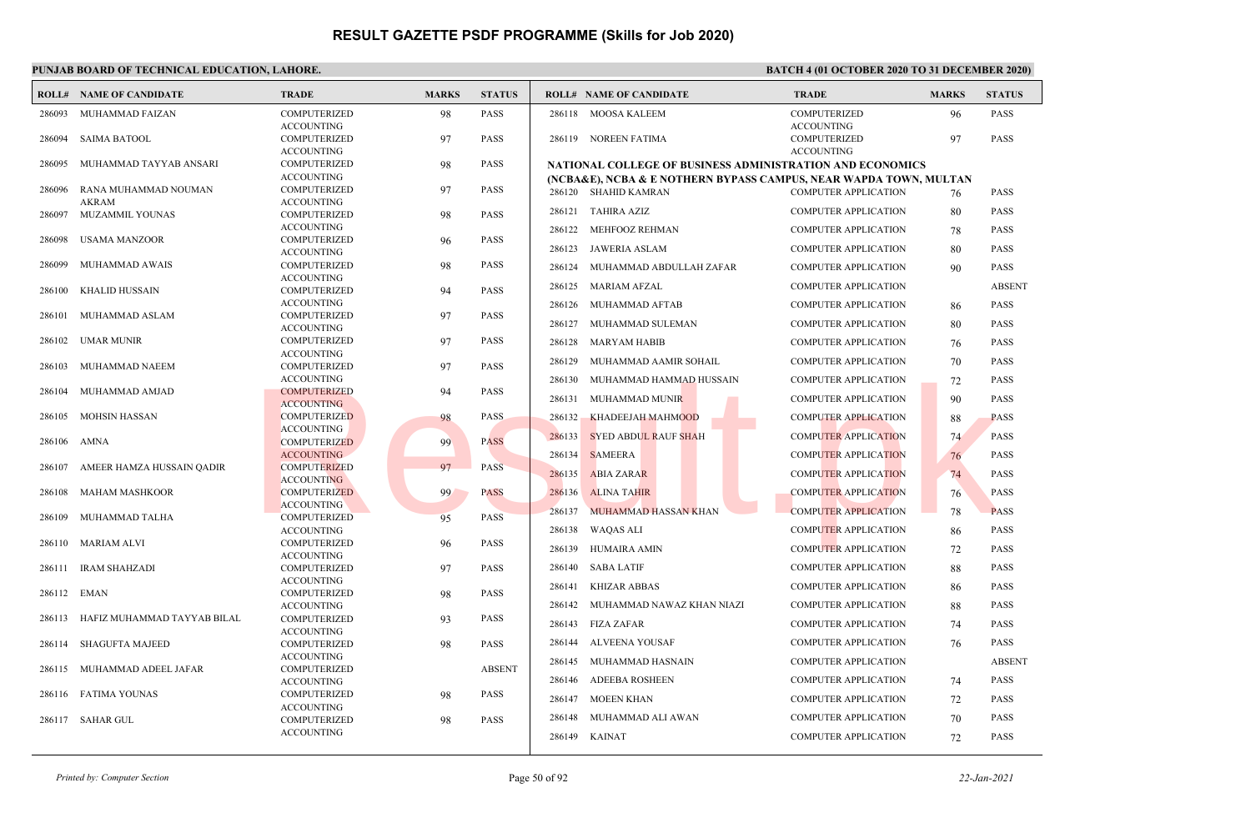|        | <b>ROLL# NAME OF CANDIDATE</b> | <b>TRADE</b>                             | <b>MARKS</b> | <b>STATUS</b> |               | <b>ROLL# NAME OF CANDIDATE</b>                                                            | <b>TRADE</b>                             | <b>MARKS</b> | <b>STATUS</b> |
|--------|--------------------------------|------------------------------------------|--------------|---------------|---------------|-------------------------------------------------------------------------------------------|------------------------------------------|--------------|---------------|
| 286093 | MUHAMMAD FAIZAN                | <b>COMPUTERIZED</b><br><b>ACCOUNTING</b> | 98           | PASS          |               | 286118 MOOSA KALEEM                                                                       | COMPUTERIZED<br><b>ACCOUNTING</b>        | 96           | <b>PASS</b>   |
| 286094 | <b>SAIMA BATOOL</b>            | <b>COMPUTERIZED</b><br><b>ACCOUNTING</b> | 97           | PASS          |               | 286119 NOREEN FATIMA                                                                      | <b>COMPUTERIZED</b><br><b>ACCOUNTING</b> | 97           | PASS          |
| 286095 | MUHAMMAD TAYYAB ANSARI         | <b>COMPUTERIZED</b>                      | 98           | PASS          |               | NATIONAL COLLEGE OF BUSINESS ADMINISTRATION AND ECONOMICS                                 |                                          |              |               |
| 286096 | RANA MUHAMMAD NOUMAN           | <b>ACCOUNTING</b><br><b>COMPUTERIZED</b> | 97           | PASS          |               | (NCBA&E), NCBA & E NOTHERN BYPASS CAMPUS, NEAR WAPDA TOWN, MULTAN<br>286120 SHAHID KAMRAN | <b>COMPUTER APPLICATION</b>              | 76           | PASS          |
|        | <b>AKRAM</b>                   | <b>ACCOUNTING</b>                        |              |               |               |                                                                                           |                                          |              |               |
| 286097 | MUZAMMIL YOUNAS                | <b>COMPUTERIZED</b>                      | 98           | <b>PASS</b>   |               | 286121 TAHIRA AZIZ                                                                        | <b>COMPUTER APPLICATION</b>              | 80           | PASS          |
|        |                                | <b>ACCOUNTING</b>                        |              |               | 286122        | MEHFOOZ REHMAN                                                                            | <b>COMPUTER APPLICATION</b>              | 78           | PASS          |
| 286098 | <b>USAMA MANZOOR</b>           | <b>COMPUTERIZED</b>                      | 96           | PASS          | 286123        | <b>JAWERIA ASLAM</b>                                                                      | <b>COMPUTER APPLICATION</b>              | 80           | PASS          |
|        | MUHAMMAD AWAIS                 | <b>ACCOUNTING</b><br>COMPUTERIZED        |              | PASS          |               |                                                                                           |                                          |              |               |
| 286099 |                                | <b>ACCOUNTING</b>                        | 98           |               | 286124        | MUHAMMAD ABDULLAH ZAFAR                                                                   | <b>COMPUTER APPLICATION</b>              | 90           | <b>PASS</b>   |
| 286100 | <b>KHALID HUSSAIN</b>          | <b>COMPUTERIZED</b>                      | 94           | PASS          |               | 286125 MARIAM AFZAL                                                                       | <b>COMPUTER APPLICATION</b>              |              | <b>ABSENT</b> |
|        |                                | <b>ACCOUNTING</b>                        |              |               |               | 286126 MUHAMMAD AFTAB                                                                     | <b>COMPUTER APPLICATION</b>              | 86           | <b>PASS</b>   |
| 286101 | MUHAMMAD ASLAM                 | <b>COMPUTERIZED</b>                      | 97           | PASS          |               |                                                                                           |                                          |              |               |
|        |                                | <b>ACCOUNTING</b>                        |              |               |               | 286127 MUHAMMAD SULEMAN                                                                   | <b>COMPUTER APPLICATION</b>              | 80           | <b>PASS</b>   |
| 286102 | UMAR MUNIR                     | <b>COMPUTERIZED</b>                      | 97           | PASS          | 286128        | MARYAM HABIB                                                                              | <b>COMPUTER APPLICATION</b>              | 76           | <b>PASS</b>   |
| 286103 | MUHAMMAD NAEEM                 | <b>ACCOUNTING</b><br><b>COMPUTERIZED</b> | 97           | <b>PASS</b>   | 286129        | MUHAMMAD AAMIR SOHAIL                                                                     | <b>COMPUTER APPLICATION</b>              | 70           | <b>PASS</b>   |
|        |                                | <b>ACCOUNTING</b>                        |              |               |               | 286130 MUHAMMAD HAMMAD HUSSAIN                                                            | <b>COMPUTER APPLICATION</b>              | 72           | PASS          |
| 286104 | MUHAMMAD AMJAD                 | <b>COMPUTERIZED</b>                      | 94           | PASS          |               |                                                                                           |                                          |              |               |
|        |                                | <b>ACCOUNTING</b>                        |              |               | 286131        | MUHAMMAD MUNIR                                                                            | <b>COMPUTER APPLICATION</b>              | 90           | PASS          |
| 286105 | <b>MOHSIN HASSAN</b>           | <b>COMPUTERIZED</b>                      | 98           | <b>PASS</b>   | 286132        | <b>KHADEEJAH MAHMOOD</b>                                                                  | <b>COMPUTER APPLICATION</b>              | 88           | <b>PASS</b>   |
|        |                                | <b>ACCOUNTING</b>                        |              |               | 286133        | <b>SYED ABDUL RAUF SHAH</b>                                                               | <b>COMPUTER APPLICATION</b>              | 74           | <b>PASS</b>   |
| 286106 | AMNA                           | <b>COMPUTERIZED</b>                      | 99           | <b>PASS</b>   |               |                                                                                           |                                          |              |               |
| 286107 | AMEER HAMZA HUSSAIN QADIR      | <b>ACCOUNTING</b><br><b>COMPUTERIZED</b> | 97           | <b>PASS</b>   | 286134        | <b>SAMEERA</b>                                                                            | <b>COMPUTER APPLICATION</b>              | 76           | <b>PASS</b>   |
|        |                                | <b>ACCOUNTING</b>                        |              |               | 286135        | <b>ABIA ZARAR</b>                                                                         | <b>COMPUTER APPLICATION</b>              | 74           | <b>PASS</b>   |
| 286108 | <b>MAHAM MASHKOOR</b>          | <b>COMPUTERIZED</b>                      | 99           | <b>PASS</b>   | 286136        | <b>ALINA TAHIR</b>                                                                        | <b>COMPUTER APPLICATION</b>              | 76           | <b>PASS</b>   |
|        |                                | <b>ACCOUNTING</b>                        |              |               | 286137        | <b>MUHAMMAD HASSAN KHAN</b>                                                               | <b>COMPUTER APPLICATION</b>              | 78           | <b>PASS</b>   |
| 286109 | MUHAMMAD TALHA                 | <b>COMPUTERIZED</b>                      | 95           | PASS          |               |                                                                                           |                                          |              |               |
|        |                                | <b>ACCOUNTING</b>                        |              |               | 286138        | <b>WAQAS ALI</b>                                                                          | <b>COMPUTER APPLICATION</b>              | 86           | PASS          |
| 286110 | <b>MARIAM ALVI</b>             | <b>COMPUTERIZED</b><br><b>ACCOUNTING</b> | 96           | PASS          | 286139        | <b>HUMAIRA AMIN</b>                                                                       | <b>COMPUTER APPLICATION</b>              | 72           | PASS          |
| 286111 | IRAM SHAHZADI                  | <b>COMPUTERIZED</b>                      | 97           | PASS          | 286140        | <b>SABA LATIF</b>                                                                         | <b>COMPUTER APPLICATION</b>              | 88           | PASS          |
|        |                                | <b>ACCOUNTING</b>                        |              |               |               |                                                                                           |                                          |              |               |
| 286112 | EMAN                           | <b>COMPUTERIZED</b>                      | 98           | <b>PASS</b>   | 286141        | <b>KHIZAR ABBAS</b>                                                                       | <b>COMPUTER APPLICATION</b>              | 86           | <b>PASS</b>   |
|        |                                | <b>ACCOUNTING</b>                        |              |               |               | 286142 MUHAMMAD NAWAZ KHAN NIAZI                                                          | <b>COMPUTER APPLICATION</b>              | 88           | <b>PASS</b>   |
| 286113 | HAFIZ MUHAMMAD TAYYAB BILAL    | <b>COMPUTERIZED</b>                      | 93           | PASS          | 286143        | FIZA ZAFAR                                                                                | <b>COMPUTER APPLICATION</b>              | 74           | <b>PASS</b>   |
|        |                                | <b>ACCOUNTING</b>                        |              |               | 286144        | ALVEENA YOUSAF                                                                            | <b>COMPUTER APPLICATION</b>              | 76           | <b>PASS</b>   |
| 286114 | SHAGUFTA MAJEED                | <b>COMPUTERIZED</b><br><b>ACCOUNTING</b> | 98           | PASS          |               |                                                                                           |                                          |              |               |
| 286115 | MUHAMMAD ADEEL JAFAR           | <b>COMPUTERIZED</b>                      |              | <b>ABSENT</b> | 286145        | MUHAMMAD HASNAIN                                                                          | <b>COMPUTER APPLICATION</b>              |              | <b>ABSENT</b> |
|        |                                | <b>ACCOUNTING</b>                        |              |               |               | 286146 ADEEBA ROSHEEN                                                                     | <b>COMPUTER APPLICATION</b>              | 74           | <b>PASS</b>   |
| 286116 | FATIMA YOUNAS                  | <b>COMPUTERIZED</b>                      | 98           | PASS          | 286147        | MOEEN KHAN                                                                                | <b>COMPUTER APPLICATION</b>              | 72           | PASS          |
|        |                                | <b>ACCOUNTING</b>                        |              |               |               |                                                                                           |                                          |              |               |
|        | 286117 SAHAR GUL               | <b>COMPUTERIZED</b>                      | 98           | PASS          | 286148        | MUHAMMAD ALI AWAN                                                                         | <b>COMPUTER APPLICATION</b>              | 70           | PASS          |
|        |                                | <b>ACCOUNTING</b>                        |              |               | 286149 KAINAT |                                                                                           | <b>COMPUTER APPLICATION</b>              | 72           | PASS          |
|        |                                |                                          |              |               |               |                                                                                           |                                          |              |               |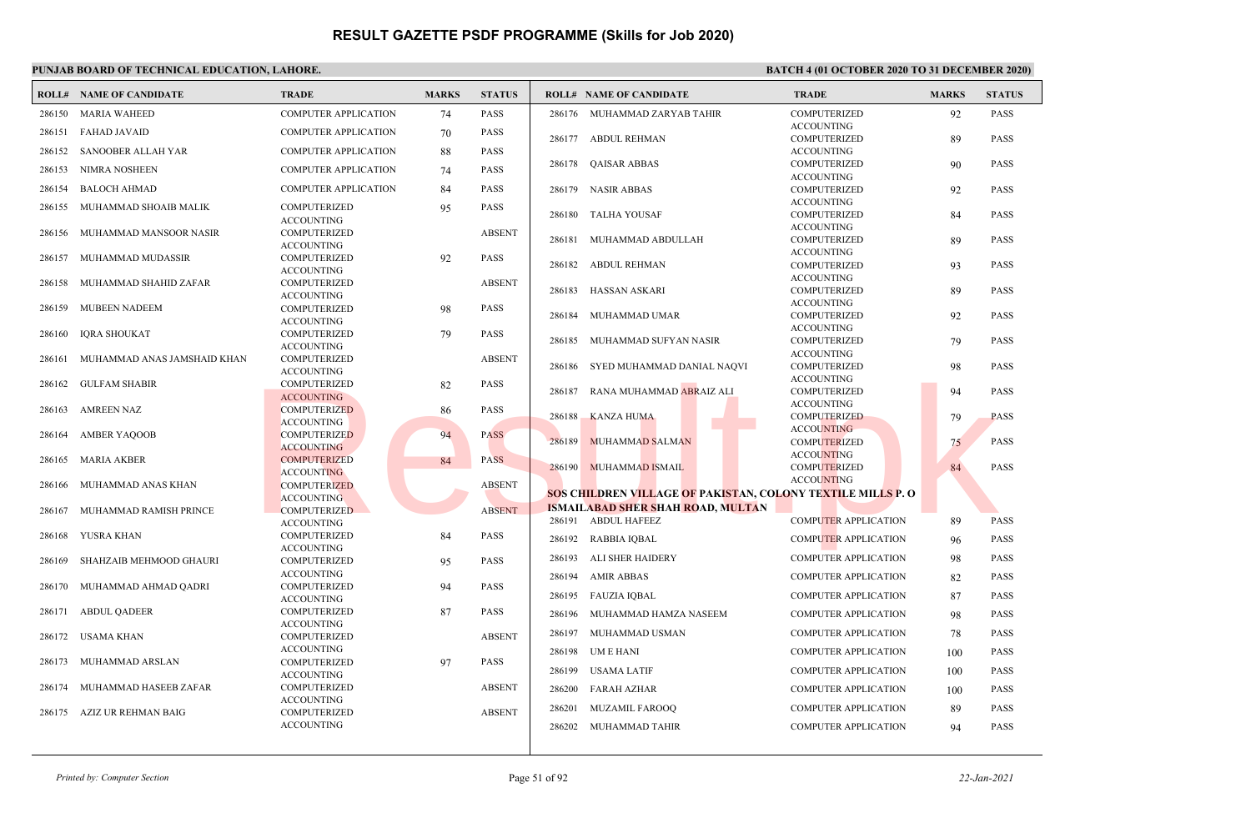|        | <b>ROLL# NAME OF CANDIDATE</b> | <b>TRADE</b>                             | <b>MARKS</b> | <b>STATUS</b> |        | <b>ROLL# NAME OF CANDIDATE</b>                                     | <b>TRADE</b>                             | <b>MARKS</b> | <b>STATUS</b> |
|--------|--------------------------------|------------------------------------------|--------------|---------------|--------|--------------------------------------------------------------------|------------------------------------------|--------------|---------------|
| 286150 | <b>MARIA WAHEED</b>            | <b>COMPUTER APPLICATION</b>              | 74           | <b>PASS</b>   |        | 286176 MUHAMMAD ZARYAB TAHIR                                       | <b>COMPUTERIZED</b>                      | 92           | <b>PASS</b>   |
| 286151 | <b>FAHAD JAVAID</b>            | <b>COMPUTER APPLICATION</b>              | 70           | <b>PASS</b>   |        |                                                                    | <b>ACCOUNTING</b>                        |              |               |
| 286152 | SANOOBER ALLAH YAR             | <b>COMPUTER APPLICATION</b>              | 88           | <b>PASS</b>   | 286177 | <b>ABDUL REHMAN</b>                                                | COMPUTERIZED<br><b>ACCOUNTING</b>        | 89           | <b>PASS</b>   |
|        |                                |                                          |              |               |        | 286178 QAISAR ABBAS                                                | <b>COMPUTERIZED</b>                      | 90           | <b>PASS</b>   |
| 286153 | NIMRA NOSHEEN                  | <b>COMPUTER APPLICATION</b>              | 74           | <b>PASS</b>   |        |                                                                    | <b>ACCOUNTING</b>                        |              |               |
| 286154 | <b>BALOCH AHMAD</b>            | <b>COMPUTER APPLICATION</b>              | 84           | <b>PASS</b>   |        | 286179 NASIR ABBAS                                                 | <b>COMPUTERIZED</b>                      | 92           | <b>PASS</b>   |
| 286155 | MUHAMMAD SHOAIB MALIK          | <b>COMPUTERIZED</b>                      | 95           | PASS          | 286180 | TALHA YOUSAF                                                       | <b>ACCOUNTING</b><br>COMPUTERIZED        | 84           | <b>PASS</b>   |
| 286156 | MUHAMMAD MANSOOR NASIR         | <b>ACCOUNTING</b><br>COMPUTERIZED        |              | <b>ABSENT</b> |        |                                                                    | <b>ACCOUNTING</b>                        |              |               |
|        |                                | <b>ACCOUNTING</b>                        |              |               | 286181 | MUHAMMAD ABDULLAH                                                  | <b>COMPUTERIZED</b>                      | 89           | <b>PASS</b>   |
| 286157 | MUHAMMAD MUDASSIR              | COMPUTERIZED                             | 92           | <b>PASS</b>   |        |                                                                    | <b>ACCOUNTING</b>                        |              |               |
|        |                                | <b>ACCOUNTING</b>                        |              |               | 286182 | <b>ABDUL REHMAN</b>                                                | <b>COMPUTERIZED</b><br><b>ACCOUNTING</b> | 93           | <b>PASS</b>   |
| 286158 | MUHAMMAD SHAHID ZAFAR          | <b>COMPUTERIZED</b>                      |              | <b>ABSENT</b> | 286183 | HASSAN ASKARI                                                      | COMPUTERIZED                             | 89           | <b>PASS</b>   |
|        |                                | <b>ACCOUNTING</b>                        |              |               |        |                                                                    | <b>ACCOUNTING</b>                        |              |               |
| 286159 | <b>MUBEEN NADEEM</b>           | COMPUTERIZED                             | 98           | PASS          | 286184 | MUHAMMAD UMAR                                                      | COMPUTERIZED                             | 92           | <b>PASS</b>   |
|        |                                | <b>ACCOUNTING</b>                        |              |               |        |                                                                    | <b>ACCOUNTING</b>                        |              |               |
| 286160 | <b>IQRA SHOUKAT</b>            | COMPUTERIZED                             | 79           | <b>PASS</b>   |        | 286185 MUHAMMAD SUFYAN NASIR                                       | <b>COMPUTERIZED</b>                      | 79           | <b>PASS</b>   |
|        |                                | <b>ACCOUNTING</b>                        |              |               |        |                                                                    | <b>ACCOUNTING</b>                        |              |               |
| 286161 | MUHAMMAD ANAS JAMSHAID KHAN    | COMPUTERIZED<br><b>ACCOUNTING</b>        |              | <b>ABSENT</b> | 286186 | SYED MUHAMMAD DANIAL NAQVI                                         | COMPUTERIZED                             | 98           | PASS          |
| 286162 | <b>GULFAM SHABIR</b>           | <b>COMPUTERIZED</b>                      | 82           | <b>PASS</b>   |        |                                                                    | <b>ACCOUNTING</b>                        |              |               |
|        |                                | <b>ACCOUNTING</b>                        |              |               | 286187 | RANA MUHAMMAD ABRAIZ ALI                                           | <b>COMPUTERIZED</b>                      | 94           | <b>PASS</b>   |
| 286163 | AMREEN NAZ                     | <b>COMPUTERIZED</b>                      | 86           | PASS          |        |                                                                    | <b>ACCOUNTING</b>                        |              |               |
|        |                                | <b>ACCOUNTING</b>                        |              |               | 286188 | <b>KANZA HUMA</b>                                                  | <b>COMPUTERIZED</b>                      | 79           | <b>PASS</b>   |
| 286164 | <b>AMBER YAQOOB</b>            | <b>COMPUTERIZED</b>                      | 94           | <b>PASS</b>   |        |                                                                    | <b>ACCOUNTING</b>                        |              |               |
|        |                                | <b>ACCOUNTING</b>                        |              |               | 286189 | <b>MUHAMMAD SALMAN</b>                                             | <b>COMPUTERIZED</b>                      | 75           | <b>PASS</b>   |
| 286165 | MARIA AKBER                    | <b>COMPUTERIZED</b>                      | 84           | <b>PASS</b>   |        |                                                                    | <b>ACCOUNTING</b>                        |              |               |
|        |                                | <b>ACCOUNTING</b>                        |              |               |        | 286190 MUHAMMAD ISMAIL                                             | <b>COMPUTERIZED</b>                      | 84           | <b>PASS</b>   |
| 286166 | MUHAMMAD ANAS KHAN             | <b>COMPUTERIZED</b>                      |              | <b>ABSENT</b> |        |                                                                    | <b>ACCOUNTING</b>                        |              |               |
|        |                                | <b>ACCOUNTING</b>                        |              |               |        | <b>SOS CHILDREN VILLAGE OF PAKISTAN, COLONY TEXTILE MILLS P. O</b> |                                          |              |               |
| 286167 | MUHAMMAD RAMISH PRINCE         | <b>COMPUTERIZED</b>                      |              | <b>ABSENT</b> |        | <b>ISMAILABAD SHER SHAH ROAD, MULTAN</b>                           |                                          |              |               |
|        |                                | <b>ACCOUNTING</b>                        |              |               |        | 286191 ABDUL HAFEEZ                                                | <b>COMPUTER APPLICATION</b>              | 89           | <b>PASS</b>   |
| 286168 | YUSRA KHAN                     | <b>COMPUTERIZED</b><br><b>ACCOUNTING</b> | 84           | <b>PASS</b>   |        | 286192 RABBIA IQBAL                                                | <b>COMPUTER APPLICATION</b>              | 96           | <b>PASS</b>   |
| 286169 | SHAHZAIB MEHMOOD GHAURI        | <b>COMPUTERIZED</b>                      | 95           | <b>PASS</b>   | 286193 | ALI SHER HAIDERY                                                   | <b>COMPUTER APPLICATION</b>              | 98           | <b>PASS</b>   |
|        |                                | <b>ACCOUNTING</b>                        |              |               | 286194 | <b>AMIR ABBAS</b>                                                  | <b>COMPUTER APPLICATION</b>              | 82           | <b>PASS</b>   |
| 286170 | MUHAMMAD AHMAD QADRI           | <b>COMPUTERIZED</b><br><b>ACCOUNTING</b> | 94           | <b>PASS</b>   |        | 286195 FAUZIA IOBAL                                                | <b>COMPUTER APPLICATION</b>              | 87           | <b>PASS</b>   |
| 286171 | <b>ABDUL QADEER</b>            | <b>COMPUTERIZED</b>                      | 87           | PASS          | 286196 | MUHAMMAD HAMZA NASEEM                                              | <b>COMPUTER APPLICATION</b>              | 98           | <b>PASS</b>   |
|        |                                | <b>ACCOUNTING</b>                        |              |               |        |                                                                    |                                          |              |               |
| 286172 | USAMA KHAN                     | COMPUTERIZED                             |              | <b>ABSENT</b> | 286197 | MUHAMMAD USMAN                                                     | <b>COMPUTER APPLICATION</b>              | 78           | <b>PASS</b>   |
|        |                                | <b>ACCOUNTING</b>                        |              |               | 286198 | UM E HANI                                                          | <b>COMPUTER APPLICATION</b>              | 100          | <b>PASS</b>   |
| 286173 | MUHAMMAD ARSLAN                | <b>COMPUTERIZED</b>                      | 97           | PASS          | 286199 | <b>USAMA LATIF</b>                                                 | <b>COMPUTER APPLICATION</b>              |              | <b>PASS</b>   |
|        |                                | <b>ACCOUNTING</b>                        |              |               |        |                                                                    |                                          | 100          |               |
| 286174 | MUHAMMAD HASEEB ZAFAR          | COMPUTERIZED                             |              | <b>ABSENT</b> | 286200 | <b>FARAH AZHAR</b>                                                 | <b>COMPUTER APPLICATION</b>              | 100          | <b>PASS</b>   |
|        |                                | <b>ACCOUNTING</b>                        |              |               | 286201 | <b>MUZAMIL FAROOO</b>                                              | <b>COMPUTER APPLICATION</b>              | 89           | <b>PASS</b>   |
| 286175 | AZIZ UR REHMAN BAIG            | COMPUTERIZED<br><b>ACCOUNTING</b>        |              | <b>ABSENT</b> |        |                                                                    |                                          |              |               |
|        |                                |                                          |              |               |        | 286202 MUHAMMAD TAHIR                                              | <b>COMPUTER APPLICATION</b>              | 94           | <b>PASS</b>   |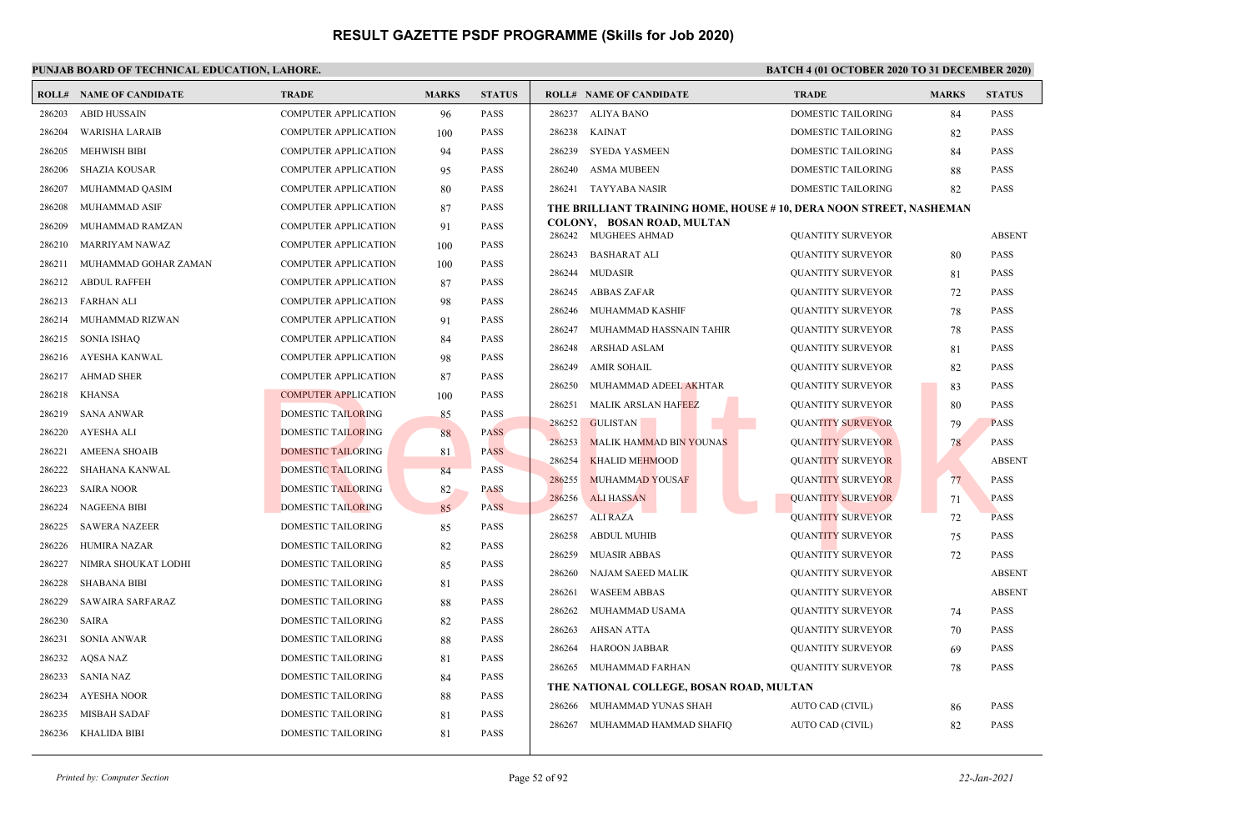|        | <b>ROLL# NAME OF CANDIDATE</b> | <b>TRADE</b>                | <b>MARKS</b> | <b>STATUS</b> |        | <b>ROLL# NAME OF CANDIDATE</b>                                     | <b>TRADE</b>              | <b>MARKS</b> | <b>STATUS</b> |
|--------|--------------------------------|-----------------------------|--------------|---------------|--------|--------------------------------------------------------------------|---------------------------|--------------|---------------|
| 286203 | <b>ABID HUSSAIN</b>            | <b>COMPUTER APPLICATION</b> | 96           | <b>PASS</b>   | 286237 | <b>ALIYA BANO</b>                                                  | <b>DOMESTIC TAILORING</b> | 84           | <b>PASS</b>   |
| 286204 | WARISHA LARAIB                 | <b>COMPUTER APPLICATION</b> | 100          | <b>PASS</b>   | 286238 | <b>KAINAT</b>                                                      | DOMESTIC TAILORING        | 82           | <b>PASS</b>   |
| 286205 | <b>MEHWISH BIBI</b>            | <b>COMPUTER APPLICATION</b> | 94           | <b>PASS</b>   | 286239 | <b>SYEDA YASMEEN</b>                                               | <b>DOMESTIC TAILORING</b> | 84           | <b>PASS</b>   |
| 286206 | <b>SHAZIA KOUSAR</b>           | <b>COMPUTER APPLICATION</b> | 95           | <b>PASS</b>   | 286240 | <b>ASMA MUBEEN</b>                                                 | DOMESTIC TAILORING        | 88           | <b>PASS</b>   |
| 286207 | MUHAMMAD QASIM                 | <b>COMPUTER APPLICATION</b> | 80           | <b>PASS</b>   |        | 286241 TAYYABA NASIR                                               | DOMESTIC TAILORING        | 82           | <b>PASS</b>   |
| 286208 | MUHAMMAD ASIF                  | <b>COMPUTER APPLICATION</b> | 87           | <b>PASS</b>   |        | THE BRILLIANT TRAINING HOME, HOUSE #10, DERA NOON STREET, NASHEMAN |                           |              |               |
| 286209 | MUHAMMAD RAMZAN                | <b>COMPUTER APPLICATION</b> | 91           | <b>PASS</b>   |        | COLONY, BOSAN ROAD, MULTAN<br>286242 MUGHEES AHMAD                 | <b>QUANTITY SURVEYOR</b>  |              | <b>ABSENT</b> |
| 286210 | <b>MARRIYAM NAWAZ</b>          | <b>COMPUTER APPLICATION</b> | 100          | <b>PASS</b>   | 286243 | <b>BASHARAT ALI</b>                                                | <b>QUANTITY SURVEYOR</b>  | 80           | <b>PASS</b>   |
| 286211 | MUHAMMAD GOHAR ZAMAN           | <b>COMPUTER APPLICATION</b> | 100          | <b>PASS</b>   | 286244 | <b>MUDASIR</b>                                                     | <b>OUANTITY SURVEYOR</b>  | 81           | <b>PASS</b>   |
| 286212 | <b>ABDUL RAFFEH</b>            | <b>COMPUTER APPLICATION</b> | 87           | <b>PASS</b>   | 286245 | ABBAS ZAFAR                                                        | QUANTITY SURVEYOR         | 72           | <b>PASS</b>   |
| 286213 | <b>FARHAN ALI</b>              | <b>COMPUTER APPLICATION</b> | 98           | <b>PASS</b>   | 286246 | MUHAMMAD KASHIF                                                    | <b>QUANTITY SURVEYOR</b>  | 78           | <b>PASS</b>   |
| 286214 | MUHAMMAD RIZWAN                | <b>COMPUTER APPLICATION</b> | 91           | <b>PASS</b>   | 286247 | MUHAMMAD HASSNAIN TAHIR                                            | <b>QUANTITY SURVEYOR</b>  | 78           | <b>PASS</b>   |
| 286215 | SONIA ISHAO                    | <b>COMPUTER APPLICATION</b> | 84           | <b>PASS</b>   | 286248 | <b>ARSHAD ASLAM</b>                                                | <b>QUANTITY SURVEYOR</b>  | 81           | <b>PASS</b>   |
| 286216 | AYESHA KANWAL                  | <b>COMPUTER APPLICATION</b> | 98           | <b>PASS</b>   | 286249 | <b>AMIR SOHAIL</b>                                                 | <b>QUANTITY SURVEYOR</b>  | 82           | <b>PASS</b>   |
| 286217 | <b>AHMAD SHER</b>              | <b>COMPUTER APPLICATION</b> | 87           | <b>PASS</b>   | 286250 | MUHAMMAD ADEEL AKHTAR                                              | <b>QUANTITY SURVEYOR</b>  | 83           | <b>PASS</b>   |
| 286218 | <b>KHANSA</b>                  | <b>COMPUTER APPLICATION</b> | 100          | <b>PASS</b>   | 286251 | <b>MALIK ARSLAN HAFEEZ</b>                                         | <b>QUANTITY SURVEYOR</b>  | 80           | <b>PASS</b>   |
| 286219 | <b>SANA ANWAR</b>              | <b>DOMESTIC TAILORING</b>   | 85           | <b>PASS</b>   | 286252 | <b>GULISTAN</b>                                                    | <b>QUANTITY SURVEYOR</b>  | 79           | <b>PASS</b>   |
| 286220 | AYESHA ALI                     | <b>DOMESTIC TAILORING</b>   | 88           | <b>PASS</b>   | 286253 | <b>MALIK HAMMAD BIN YOUNAS</b>                                     | <b>QUANTITY SURVEYOR</b>  | 78           | <b>PASS</b>   |
| 286221 | <b>AMEENA SHOAIB</b>           | <b>DOMESTIC TAILORING</b>   | 81           | <b>PASS</b>   | 286254 | <b>KHALID MEHMOOD</b>                                              | <b>QUANTITY SURVEYOR</b>  |              | <b>ABSENT</b> |
| 286222 | SHAHANA KANWAL                 | <b>DOMESTIC TAILORING</b>   | 84           | <b>PASS</b>   | 286255 | <b>MUHAMMAD YOUSAF</b>                                             | <b>QUANTITY SURVEYOR</b>  | 77           | <b>PASS</b>   |
| 286223 | <b>SAIRA NOOR</b>              | <b>DOMESTIC TAILORING</b>   | 82           | <b>PASS</b>   | 286256 | <b>ALI HASSAN</b>                                                  | <b>QUANTITY SURVEYOR</b>  | 71           | <b>PASS</b>   |
| 286224 | <b>NAGEENA BIBI</b>            | <b>DOMESTIC TAILORING</b>   | 85           | <b>PASS</b>   | 286257 | <b>ALI RAZA</b>                                                    | <b>QUANTITY SURVEYOR</b>  | 72           | <b>PASS</b>   |
| 286225 | <b>SAWERA NAZEER</b>           | DOMESTIC TAILORING          | 85           | <b>PASS</b>   | 286258 | <b>ABDUL MUHIB</b>                                                 | <b>QUANTITY SURVEYOR</b>  | 75           | <b>PASS</b>   |
| 286226 | <b>HUMIRA NAZAR</b>            | DOMESTIC TAILORING          | 82           | <b>PASS</b>   | 286259 | <b>MUASIR ABBAS</b>                                                | <b>QUANTITY SURVEYOR</b>  | 72           | <b>PASS</b>   |
| 286227 | NIMRA SHOUKAT LODHI            | DOMESTIC TAILORING          | 85           | <b>PASS</b>   | 286260 | NAJAM SAEED MALIK                                                  | <b>QUANTITY SURVEYOR</b>  |              | <b>ABSENT</b> |
| 286228 | <b>SHABANA BIBI</b>            | DOMESTIC TAILORING          | 81           | <b>PASS</b>   | 286261 | <b>WASEEM ABBAS</b>                                                | <b>QUANTITY SURVEYOR</b>  |              | <b>ABSENT</b> |
| 286229 | SAWAIRA SARFARAZ               | DOMESTIC TAILORING          | 88           | <b>PASS</b>   | 286262 | MUHAMMAD USAMA                                                     | <b>QUANTITY SURVEYOR</b>  | 74           | <b>PASS</b>   |
| 286230 | SAIRA                          | DOMESTIC TAILORING          | 82           | <b>PASS</b>   | 286263 | AHSAN ATTA                                                         | <b>QUANTITY SURVEYOR</b>  | 70           | <b>PASS</b>   |
| 286231 | <b>SONIA ANWAR</b>             | DOMESTIC TAILORING          | 88           | <b>PASS</b>   | 286264 | <b>HAROON JABBAR</b>                                               | <b>QUANTITY SURVEYOR</b>  | 69           | <b>PASS</b>   |
| 286232 | AQSA NAZ                       | DOMESTIC TAILORING          | 81           | PASS          | 286265 | MUHAMMAD FARHAN                                                    | <b>OUANTITY SURVEYOR</b>  | 78           | <b>PASS</b>   |
| 286233 | SANIA NAZ                      | DOMESTIC TAILORING          | 84           | <b>PASS</b>   |        | THE NATIONAL COLLEGE, BOSAN ROAD, MULTAN                           |                           |              |               |
| 286234 | <b>AYESHA NOOR</b>             | DOMESTIC TAILORING          | 88           | PASS          | 286266 | MUHAMMAD YUNAS SHAH                                                | AUTO CAD (CIVIL)          | 86           | <b>PASS</b>   |
| 286235 | <b>MISBAH SADAF</b>            | DOMESTIC TAILORING          | 81           | <b>PASS</b>   | 286267 | MUHAMMAD HAMMAD SHAFIQ                                             | AUTO CAD (CIVIL)          | 82           | <b>PASS</b>   |
|        | 286236 KHALIDA BIBI            | DOMESTIC TAILORING          | 81           | <b>PASS</b>   |        |                                                                    |                           |              |               |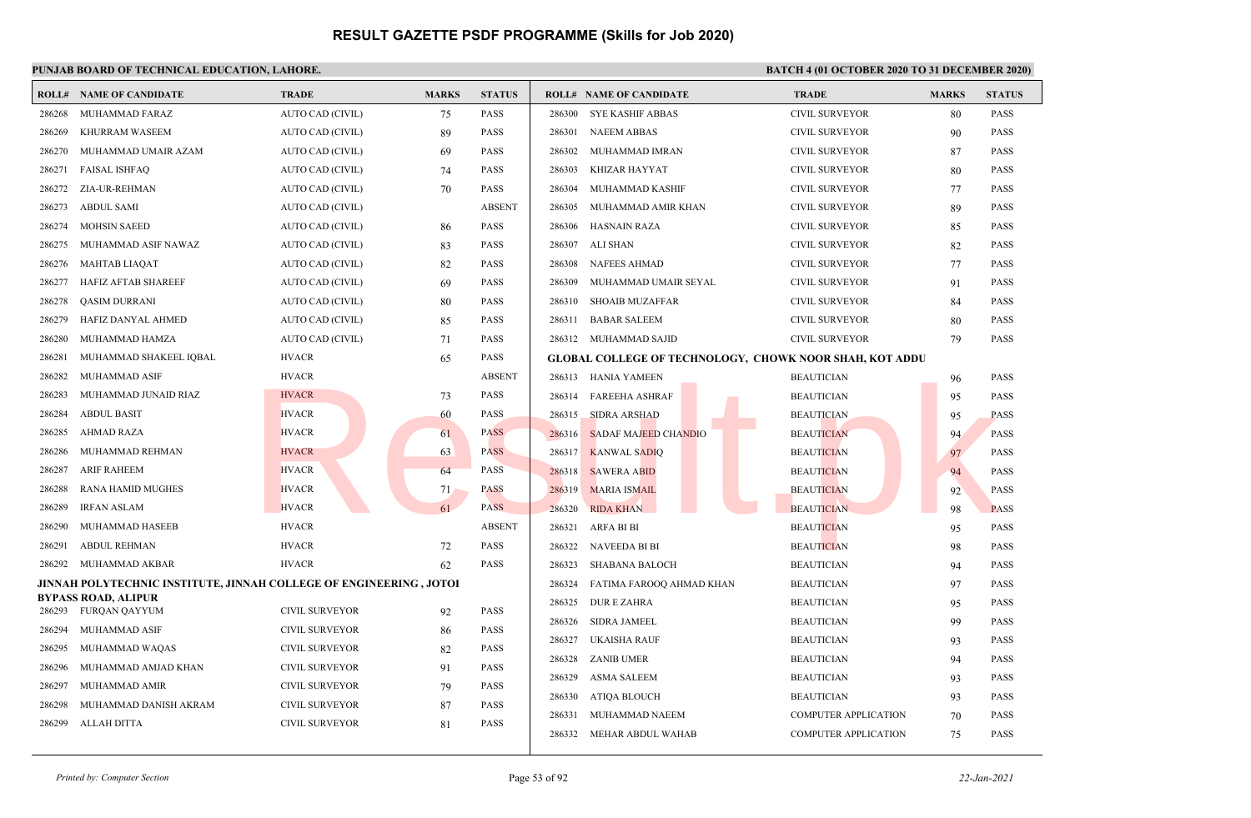|        | <b>ROLL# NAME OF CANDIDATE</b>                                      | <b>TRADE</b>          | <b>MARKS</b> | <b>STATUS</b> |        | <b>ROLL# NAME OF CANDIDATE</b>                                 | <b>TRADE</b>                | <b>MARKS</b> | <b>STATUS</b> |
|--------|---------------------------------------------------------------------|-----------------------|--------------|---------------|--------|----------------------------------------------------------------|-----------------------------|--------------|---------------|
| 286268 | MUHAMMAD FARAZ                                                      | AUTO CAD (CIVIL)      | 75           | <b>PASS</b>   | 286300 | <b>SYE KASHIF ABBAS</b>                                        | <b>CIVIL SURVEYOR</b>       | 80           | <b>PASS</b>   |
| 286269 | <b>KHURRAM WASEEM</b>                                               | AUTO CAD (CIVIL)      | 89           | <b>PASS</b>   | 286301 | <b>NAEEM ABBAS</b>                                             | <b>CIVIL SURVEYOR</b>       | 90           | <b>PASS</b>   |
| 286270 | MUHAMMAD UMAIR AZAM                                                 | AUTO CAD (CIVIL)      | 69           | <b>PASS</b>   | 286302 | MUHAMMAD IMRAN                                                 | CIVIL SURVEYOR              | 87           | <b>PASS</b>   |
| 286271 | <b>FAISAL ISHFAQ</b>                                                | AUTO CAD (CIVIL)      | 74           | <b>PASS</b>   | 286303 | KHIZAR HAYYAT                                                  | <b>CIVIL SURVEYOR</b>       | 80           | <b>PASS</b>   |
| 286272 | ZIA-UR-REHMAN                                                       | AUTO CAD (CIVIL)      | 70           | <b>PASS</b>   | 286304 | MUHAMMAD KASHIF                                                | <b>CIVIL SURVEYOR</b>       | 77           | <b>PASS</b>   |
| 286273 | <b>ABDUL SAMI</b>                                                   | AUTO CAD (CIVIL)      |              | <b>ABSENT</b> | 286305 | MUHAMMAD AMIR KHAN                                             | <b>CIVIL SURVEYOR</b>       | 89           | <b>PASS</b>   |
| 286274 | <b>MOHSIN SAEED</b>                                                 | AUTO CAD (CIVIL)      | 86           | <b>PASS</b>   | 286306 | <b>HASNAIN RAZA</b>                                            | <b>CIVIL SURVEYOR</b>       | 85           | <b>PASS</b>   |
| 286275 | MUHAMMAD ASIF NAWAZ                                                 | AUTO CAD (CIVIL)      | 83           | <b>PASS</b>   | 286307 | ALI SHAN                                                       | <b>CIVIL SURVEYOR</b>       | 82           | <b>PASS</b>   |
| 286276 | <b>MAHTAB LIAQAT</b>                                                | AUTO CAD (CIVIL)      | 82           | <b>PASS</b>   | 286308 | <b>NAFEES AHMAD</b>                                            | <b>CIVIL SURVEYOR</b>       | 77           | <b>PASS</b>   |
| 286277 | HAFIZ AFTAB SHAREEF                                                 | AUTO CAD (CIVIL)      | 69           | <b>PASS</b>   | 286309 | MUHAMMAD UMAIR SEYAL                                           | <b>CIVIL SURVEYOR</b>       | 91           | <b>PASS</b>   |
| 286278 | QASIM DURRANI                                                       | AUTO CAD (CIVIL)      | 80           | <b>PASS</b>   | 286310 | <b>SHOAIB MUZAFFAR</b>                                         | <b>CIVIL SURVEYOR</b>       | 84           | <b>PASS</b>   |
| 286279 | HAFIZ DANYAL AHMED                                                  | AUTO CAD (CIVIL)      | 85           | <b>PASS</b>   | 286311 | <b>BABAR SALEEM</b>                                            | <b>CIVIL SURVEYOR</b>       | 80           | <b>PASS</b>   |
| 286280 | MUHAMMAD HAMZA                                                      | AUTO CAD (CIVIL)      | 71           | PASS          |        | 286312 MUHAMMAD SAJID                                          | <b>CIVIL SURVEYOR</b>       | 79           | <b>PASS</b>   |
| 286281 | MUHAMMAD SHAKEEL IQBAL                                              | <b>HVACR</b>          | 65           | <b>PASS</b>   |        | <b>GLOBAL COLLEGE OF TECHNOLOGY, CHOWK NOOR SHAH, KOT ADDU</b> |                             |              |               |
| 286282 | MUHAMMAD ASIF                                                       | <b>HVACR</b>          |              | <b>ABSENT</b> |        | 286313 HANIA YAMEEN                                            | <b>BEAUTICIAN</b>           | 96           | <b>PASS</b>   |
| 286283 | MUHAMMAD JUNAID RIAZ                                                | <b>HVACR</b>          | 73           | <b>PASS</b>   | 286314 | <b>FAREEHA ASHRAF</b>                                          | <b>BEAUTICIAN</b>           | 95           | <b>PASS</b>   |
| 286284 | <b>ABDUL BASIT</b>                                                  | <b>HVACR</b>          | 60           | <b>PASS</b>   | 286315 | <b>SIDRA ARSHAD</b>                                            | <b>BEAUTICIAN</b>           | 95           | <b>PASS</b>   |
| 286285 | <b>AHMAD RAZA</b>                                                   | <b>HVACR</b>          | 61           | <b>PASS</b>   | 286316 | <b>SADAF MAJEED CHANDIO</b>                                    | <b>BEAUTICIAN</b>           | 94           | <b>PASS</b>   |
| 286286 | MUHAMMAD REHMAN                                                     | <b>HVACR</b>          | 63           | <b>PASS</b>   | 286317 | <b>KANWAL SADIQ</b>                                            | <b>BEAUTICIAN</b>           | 97           | <b>PASS</b>   |
| 286287 | <b>ARIF RAHEEM</b>                                                  | <b>HVACR</b>          | 64           | <b>PASS</b>   | 286318 | <b>SAWERA ABID</b>                                             | <b>BEAUTICIAN</b>           | 94           | <b>PASS</b>   |
| 286288 | <b>RANA HAMID MUGHES</b>                                            | <b>HVACR</b>          | 71           | <b>PASS</b>   | 286319 | <b>MARIA ISMAIL</b>                                            | <b>BEAUTICIAN</b>           | 92           | <b>PASS</b>   |
| 286289 | <b>IRFAN ASLAM</b>                                                  | <b>HVACR</b>          | 61           | <b>PASS</b>   | 286320 | <b>RIDA KHAN</b>                                               | <b>BEAUTICIAN</b>           | 98           | <b>PASS</b>   |
| 286290 | MUHAMMAD HASEEB                                                     | <b>HVACR</b>          |              | <b>ABSENT</b> | 286321 | ARFA BI BI                                                     | <b>BEAUTICIAN</b>           | 95           | <b>PASS</b>   |
| 286291 | <b>ABDUL REHMAN</b>                                                 | <b>HVACR</b>          | 72           | <b>PASS</b>   | 286322 | <b>NAVEEDA BI BI</b>                                           | <b>BEAUTICIAN</b>           | 98           | <b>PASS</b>   |
| 286292 | MUHAMMAD AKBAR                                                      | <b>HVACR</b>          | 62           | <b>PASS</b>   | 286323 | SHABANA BALOCH                                                 | <b>BEAUTICIAN</b>           | 94           | <b>PASS</b>   |
|        | JINNAH POLYTECHNIC INSTITUTE, JINNAH COLLEGE OF ENGINEERING , JOTOI |                       |              |               | 286324 | FATIMA FAROOQ AHMAD KHAN                                       | <b>BEAUTICIAN</b>           | 97           | <b>PASS</b>   |
| 286293 | BYPASS ROAD, ALIPUR<br><b>FURQAN QAYYUM</b>                         | <b>CIVIL SURVEYOR</b> | 92           | <b>PASS</b>   | 286325 | <b>DURE ZAHRA</b>                                              | <b>BEAUTICIAN</b>           | 95           | <b>PASS</b>   |
| 286294 | <b>MUHAMMAD ASIF</b>                                                | <b>CIVIL SURVEYOR</b> | 86           | <b>PASS</b>   | 286326 | <b>SIDRA JAMEEL</b>                                            | <b>BEAUTICIAN</b>           | 99           | <b>PASS</b>   |
| 286295 | MUHAMMAD WAQAS                                                      | <b>CIVIL SURVEYOR</b> | 82           | <b>PASS</b>   | 286327 | UKAISHA RAUF                                                   | <b>BEAUTICIAN</b>           | 93           | <b>PASS</b>   |
| 286296 | MUHAMMAD AMJAD KHAN                                                 | <b>CIVIL SURVEYOR</b> | 91           | <b>PASS</b>   | 286328 | ZANIB UMER                                                     | <b>BEAUTICIAN</b>           | 94           | <b>PASS</b>   |
| 286297 | MUHAMMAD AMIR                                                       | <b>CIVIL SURVEYOR</b> | 79           | <b>PASS</b>   | 286329 | ASMA SALEEM                                                    | <b>BEAUTICIAN</b>           | 93           | <b>PASS</b>   |
| 286298 | MUHAMMAD DANISH AKRAM                                               | <b>CIVIL SURVEYOR</b> | 87           | <b>PASS</b>   | 286330 | ATIQA BLOUCH                                                   | <b>BEAUTICIAN</b>           | 93           | <b>PASS</b>   |
| 286299 | <b>ALLAH DITTA</b>                                                  | <b>CIVIL SURVEYOR</b> | 81           | <b>PASS</b>   | 286331 | MUHAMMAD NAEEM                                                 | <b>COMPUTER APPLICATION</b> | 70           | <b>PASS</b>   |
|        |                                                                     |                       |              |               | 286332 | MEHAR ABDUL WAHAB                                              | <b>COMPUTER APPLICATION</b> | 75           | <b>PASS</b>   |
|        |                                                                     |                       |              |               |        |                                                                |                             |              |               |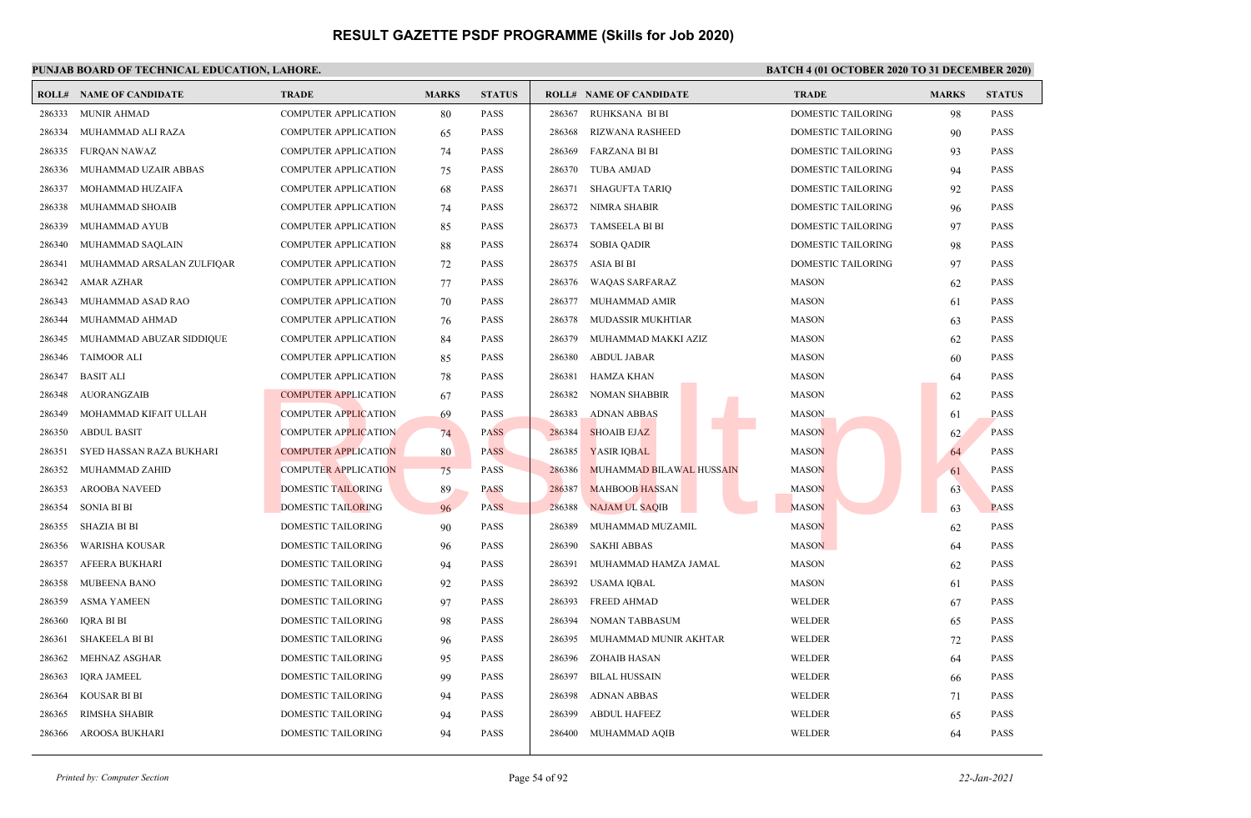### **PUNJAB BOARD OF TECHNICAL EDUCATION, LAHORE. BATCH 4 (01 OCTOBER 2020 TO 31 DECEMBER 2020)**

|        | <b>ROLL# NAME OF CANDIDATE</b> | <b>TRADE</b>                | <b>MARKS</b> | <b>STATUS</b> | <b>ROLL# NAME OF CANDIDATE</b>     | <b>TRADE</b>              | <b>MARKS</b> | <b>STATUS</b> |
|--------|--------------------------------|-----------------------------|--------------|---------------|------------------------------------|---------------------------|--------------|---------------|
| 286333 | <b>MUNIR AHMAD</b>             | <b>COMPUTER APPLICATION</b> | 80           | <b>PASS</b>   | 286367<br>RUHKSANA BI BI           | <b>DOMESTIC TAILORING</b> | 98           | <b>PASS</b>   |
| 286334 | MUHAMMAD ALI RAZA              | <b>COMPUTER APPLICATION</b> | 65           | PASS          | 286368<br><b>RIZWANA RASHEED</b>   | DOMESTIC TAILORING        | 90           | PASS          |
| 286335 | <b>FURQAN NAWAZ</b>            | <b>COMPUTER APPLICATION</b> | 74           | <b>PASS</b>   | 286369<br><b>FARZANA BI BI</b>     | DOMESTIC TAILORING        | 93           | <b>PASS</b>   |
| 286336 | MUHAMMAD UZAIR ABBAS           | <b>COMPUTER APPLICATION</b> | 75           | <b>PASS</b>   | 286370<br><b>TUBA AMJAD</b>        | DOMESTIC TAILORING        | 94           | <b>PASS</b>   |
| 286337 | MOHAMMAD HUZAIFA               | <b>COMPUTER APPLICATION</b> | 68           | <b>PASS</b>   | 286371<br><b>SHAGUFTA TARIQ</b>    | DOMESTIC TAILORING        | 92           | <b>PASS</b>   |
| 286338 | MUHAMMAD SHOAIB                | <b>COMPUTER APPLICATION</b> | 74           | <b>PASS</b>   | 286372<br>NIMRA SHABIR             | <b>DOMESTIC TAILORING</b> | 96           | <b>PASS</b>   |
| 286339 | MUHAMMAD AYUB                  | <b>COMPUTER APPLICATION</b> | 85           | PASS          | <b>TAMSEELA BI BI</b><br>286373    | DOMESTIC TAILORING        | 97           | PASS          |
| 286340 | MUHAMMAD SAQLAIN               | <b>COMPUTER APPLICATION</b> | 88           | PASS          | 286374<br><b>SOBIA QADIR</b>       | DOMESTIC TAILORING        | 98           | PASS          |
| 286341 | MUHAMMAD ARSALAN ZULFIQAR      | <b>COMPUTER APPLICATION</b> | 72           | <b>PASS</b>   | 286375<br>ASIA BI BI               | DOMESTIC TAILORING        | 97           | <b>PASS</b>   |
| 286342 | <b>AMAR AZHAR</b>              | <b>COMPUTER APPLICATION</b> | 77           | <b>PASS</b>   | 286376<br><b>WAOAS SARFARAZ</b>    | <b>MASON</b>              | 62           | <b>PASS</b>   |
| 286343 | MUHAMMAD ASAD RAO              | <b>COMPUTER APPLICATION</b> | 70           | <b>PASS</b>   | 286377<br>MUHAMMAD AMIR            | <b>MASON</b>              | 61           | <b>PASS</b>   |
| 286344 | MUHAMMAD AHMAD                 | <b>COMPUTER APPLICATION</b> | 76           | PASS          | <b>MUDASSIR MUKHTIAR</b><br>286378 | <b>MASON</b>              | 63           | PASS          |
| 286345 | MUHAMMAD ABUZAR SIDDIQUE       | <b>COMPUTER APPLICATION</b> | 84           | <b>PASS</b>   | 286379<br>MUHAMMAD MAKKI AZIZ      | <b>MASON</b>              | 62           | <b>PASS</b>   |
| 286346 | <b>TAIMOOR ALI</b>             | <b>COMPUTER APPLICATION</b> | 85           | <b>PASS</b>   | 286380<br><b>ABDUL JABAR</b>       | <b>MASON</b>              | 60           | <b>PASS</b>   |
| 286347 | <b>BASIT ALI</b>               | <b>COMPUTER APPLICATION</b> | 78           | <b>PASS</b>   | 286381<br><b>HAMZA KHAN</b>        | <b>MASON</b>              | 64           | <b>PASS</b>   |
| 286348 | AUORANGZAIB                    | <b>COMPUTER APPLICATION</b> | 67           | <b>PASS</b>   | 286382<br><b>NOMAN SHABBIR</b>     | <b>MASON</b>              | 62           | <b>PASS</b>   |
| 286349 | MOHAMMAD KIFAIT ULLAH          | <b>COMPUTER APPLICATION</b> | 69           | <b>PASS</b>   | 286383<br><b>ADNAN ABBAS</b>       | <b>MASON</b>              | 61           | PASS          |
| 286350 | <b>ABDUL BASIT</b>             | <b>COMPUTER APPLICATION</b> | 74           | <b>PASS</b>   | 286384<br><b>SHOAIB EJAZ</b>       | <b>MASON</b>              | 62           | PASS          |
| 286351 | SYED HASSAN RAZA BUKHARI       | <b>COMPUTER APPLICATION</b> | 80           | <b>PASS</b>   | 286385<br><b>YASIR IQBAL</b>       | <b>MASON</b>              | 64           | PASS          |
| 286352 | MUHAMMAD ZAHID                 | <b>COMPUTER APPLICATION</b> | 75           | <b>PASS</b>   | 286386<br>MUHAMMAD BILAWAL HUSSAIN | <b>MASON</b>              | 61           | <b>PASS</b>   |
| 286353 | <b>AROOBA NAVEED</b>           | <b>DOMESTIC TAILORING</b>   | 89           | <b>PASS</b>   | 286387<br><b>MAHBOOB HASSAN</b>    | <b>MASON</b>              | 63           | <b>PASS</b>   |
| 286354 | <b>SONIA BI BI</b>             | <b>DOMESTIC TAILORING</b>   | 96           | <b>PASS</b>   | 286388<br>NAJAM UL SAQIB           | <b>MASON</b>              | 63           | <b>PASS</b>   |
| 286355 | <b>SHAZIA BI BI</b>            | <b>DOMESTIC TAILORING</b>   | 90           | <b>PASS</b>   | 286389<br>MUHAMMAD MUZAMIL         | <b>MASON</b>              | 62           | <b>PASS</b>   |
| 286356 | WARISHA KOUSAR                 | DOMESTIC TAILORING          | 96           | <b>PASS</b>   | 286390<br><b>SAKHI ABBAS</b>       | <b>MASON</b>              | 64           | <b>PASS</b>   |
| 286357 | <b>AFEERA BUKHARI</b>          | DOMESTIC TAILORING          | 94           | <b>PASS</b>   | 286391<br>MUHAMMAD HAMZA JAMAL     | <b>MASON</b>              | 62           | <b>PASS</b>   |
| 286358 | MUBEENA BANO                   | <b>DOMESTIC TAILORING</b>   | 92           | <b>PASS</b>   | 286392<br><b>USAMA IQBAL</b>       | <b>MASON</b>              | 61           | <b>PASS</b>   |
| 286359 | <b>ASMA YAMEEN</b>             | DOMESTIC TAILORING          | 97           | <b>PASS</b>   | 286393<br><b>FREED AHMAD</b>       | WELDER                    | 67           | <b>PASS</b>   |
| 286360 | IQRA BI BI                     | DOMESTIC TAILORING          | 98           | <b>PASS</b>   | 286394<br><b>NOMAN TABBASUM</b>    | WELDER                    | 65           | <b>PASS</b>   |
| 286361 | <b>SHAKEELA BI BI</b>          | DOMESTIC TAILORING          | 96           | <b>PASS</b>   | 286395<br>MUHAMMAD MUNIR AKHTAR    | WELDER                    | 72           | PASS          |
| 286362 | MEHNAZ ASGHAR                  | DOMESTIC TAILORING          | 95           | <b>PASS</b>   | 286396<br><b>ZOHAIB HASAN</b>      | WELDER                    | 64           | PASS          |
| 286363 | <b>IORA JAMEEL</b>             | DOMESTIC TAILORING          | 99           | <b>PASS</b>   | 286397<br><b>BILAL HUSSAIN</b>     | <b>WELDER</b>             | 66           | <b>PASS</b>   |
| 286364 | <b>KOUSAR BI BI</b>            | DOMESTIC TAILORING          | 94           | <b>PASS</b>   | 286398<br><b>ADNAN ABBAS</b>       | WELDER                    | 71           | <b>PASS</b>   |
| 286365 | RIMSHA SHABIR                  | <b>DOMESTIC TAILORING</b>   | 94           | <b>PASS</b>   | 286399<br><b>ABDUL HAFEEZ</b>      | <b>WELDER</b>             | 65           | <b>PASS</b>   |
| 286366 | AROOSA BUKHARI                 | DOMESTIC TAILORING          | 94           | <b>PASS</b>   | 286400<br>MUHAMMAD AQIB            | WELDER                    | 64           | <b>PASS</b>   |
|        |                                |                             |              |               |                                    |                           |              |               |

*Printed by: Computer Section* Page 54 of 92 *22-Jan-2021*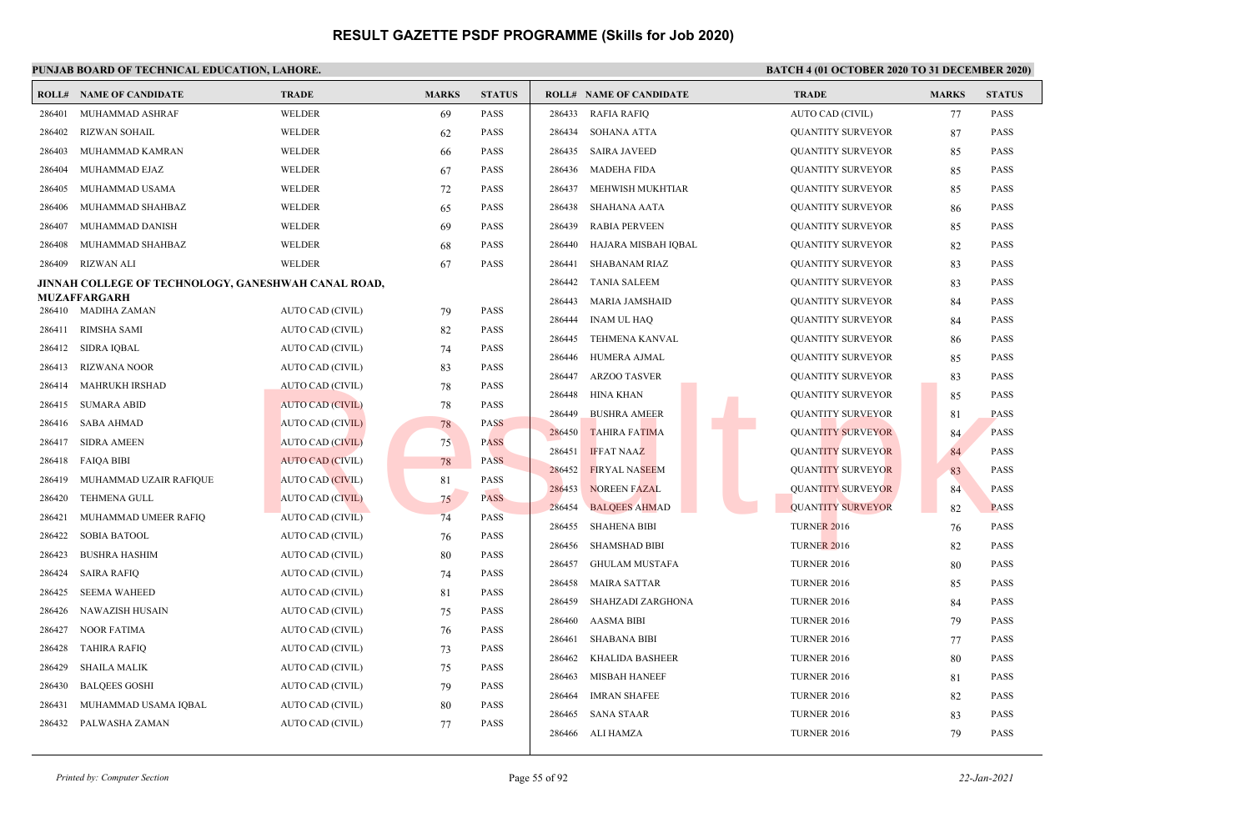| ROLL#            | NAME OF CANDIDATE                                   | <b>TRADE</b>                                       | <b>MARKS</b> | <b>STATUS</b> |        | <b>ROLL# NAME OF CANDIDATE</b> | <b>TRADE</b>             | <b>MARKS</b> | <b>STATUS</b> |
|------------------|-----------------------------------------------------|----------------------------------------------------|--------------|---------------|--------|--------------------------------|--------------------------|--------------|---------------|
| 286401           | MUHAMMAD ASHRAF                                     | <b>WELDER</b>                                      | 69           | PASS          | 286433 | RAFIA RAFIQ                    | AUTO CAD (CIVIL)         | 77           | <b>PASS</b>   |
| 286402           | <b>RIZWAN SOHAIL</b>                                | WELDER                                             | 62           | <b>PASS</b>   | 286434 | <b>SOHANA ATTA</b>             | QUANTITY SURVEYOR        | 87           | PASS          |
| 286403           | MUHAMMAD KAMRAN                                     | <b>WELDER</b>                                      | 66           | <b>PASS</b>   | 286435 | <b>SAIRA JAVEED</b>            | <b>QUANTITY SURVEYOR</b> | 85           | <b>PASS</b>   |
| 286404           | MUHAMMAD EJAZ                                       | WELDER                                             | 67           | <b>PASS</b>   | 286436 | <b>MADEHA FIDA</b>             | <b>QUANTITY SURVEYOR</b> | 85           | <b>PASS</b>   |
| 286405           | MUHAMMAD USAMA                                      | <b>WELDER</b>                                      | 72           | <b>PASS</b>   | 286437 | MEHWISH MUKHTIAR               | QUANTITY SURVEYOR        | 85           | <b>PASS</b>   |
| 286406           | MUHAMMAD SHAHBAZ                                    | <b>WELDER</b>                                      | 65           | <b>PASS</b>   | 286438 | <b>SHAHANA AATA</b>            | <b>QUANTITY SURVEYOR</b> | 86           | PASS          |
| 286407           | MUHAMMAD DANISH                                     | <b>WELDER</b>                                      | 69           | <b>PASS</b>   | 286439 | <b>RABIA PERVEEN</b>           | <b>QUANTITY SURVEYOR</b> | 85           | PASS          |
| 286408           | MUHAMMAD SHAHBAZ                                    | <b>WELDER</b>                                      | 68           | <b>PASS</b>   | 286440 | HAJARA MISBAH IQBAL            | QUANTITY SURVEYOR        | 82           | <b>PASS</b>   |
| 286409           | <b>RIZWAN ALI</b>                                   | WELDER                                             | 67           | <b>PASS</b>   | 286441 | <b>SHABANAM RIAZ</b>           | QUANTITY SURVEYOR        | 83           | <b>PASS</b>   |
|                  | JINNAH COLLEGE OF TECHNOLOGY, GANESHWAH CANAL ROAD, |                                                    |              |               | 286442 | <b>TANIA SALEEM</b>            | <b>QUANTITY SURVEYOR</b> | 83           | <b>PASS</b>   |
| 286410           | MUZAFFARGARH<br><b>MADIHA ZAMAN</b>                 | AUTO CAD (CIVIL)                                   |              | PASS          | 286443 | <b>MARIA JAMSHAID</b>          | <b>QUANTITY SURVEYOR</b> | 84           | <b>PASS</b>   |
| 286411           | <b>RIMSHA SAMI</b>                                  | AUTO CAD (CIVIL)                                   | 79           | <b>PASS</b>   | 286444 | <b>INAM UL HAQ</b>             | QUANTITY SURVEYOR        | 84           | <b>PASS</b>   |
|                  | SIDRA IQBAL                                         | AUTO CAD (CIVIL)                                   | 82           | <b>PASS</b>   | 286445 | <b>TEHMENA KANVAL</b>          | QUANTITY SURVEYOR        | 86           | <b>PASS</b>   |
| 286412           | <b>RIZWANA NOOR</b>                                 |                                                    | 74           | <b>PASS</b>   | 286446 | HUMERA AJMAL                   | QUANTITY SURVEYOR        | 85           | <b>PASS</b>   |
| 286413<br>286414 | <b>MAHRUKH IRSHAD</b>                               | AUTO CAD (CIVIL)                                   | 83           | <b>PASS</b>   | 286447 | <b>ARZOO TASVER</b>            | QUANTITY SURVEYOR        | 83           | PASS          |
| 286415           | <b>SUMARA ABID</b>                                  | <b>AUTO CAD (CIVIL)</b><br><b>AUTO CAD (CIVIL)</b> | 78           | PASS          | 286448 | <b>HINA KHAN</b>               | <b>QUANTITY SURVEYOR</b> | 85           | <b>PASS</b>   |
| 286416           | <b>SABA AHMAD</b>                                   | <b>AUTO CAD (CIVIL)</b>                            | 78<br>78     | <b>PASS</b>   | 286449 | <b>BUSHRA AMEER</b>            | <b>QUANTITY SURVEYOR</b> | 81           | <b>PASS</b>   |
| 286417           | <b>SIDRA AMEEN</b>                                  | <b>AUTO CAD (CIVIL)</b>                            | 75           | <b>PASS</b>   | 286450 | <b>TAHIRA FATIMA</b>           | <b>QUANTITY SURVEYOR</b> | 84           | <b>PASS</b>   |
| 286418           | <b>FAIQA BIBI</b>                                   | <b>AUTO CAD (CIVIL)</b>                            | 78           | <b>PASS</b>   | 286451 | <b>IFFAT NAAZ</b>              | <b>QUANTITY SURVEYOR</b> | 84           | <b>PASS</b>   |
| 286419           | MUHAMMAD UZAIR RAFIQUE                              | <b>AUTO CAD (CIVIL)</b>                            | 81           | <b>PASS</b>   | 286452 | <b>FIRYAL NASEEM</b>           | <b>QUANTITY SURVEYOR</b> | 83           | <b>PASS</b>   |
| 286420           | <b>TEHMENA GULL</b>                                 | <b>AUTO CAD (CIVIL)</b>                            | 75           | <b>PASS</b>   | 286453 | <b>NOREEN FAZAL</b>            | <b>QUANTITY SURVEYOR</b> | 84           | <b>PASS</b>   |
| 286421           | MUHAMMAD UMEER RAFIQ                                | AUTO CAD (CIVIL)                                   | 74           | <b>PASS</b>   | 286454 | <b>BALQEES AHMAD</b>           | <b>QUANTITY SURVEYOR</b> | 82           | <b>PASS</b>   |
| 286422           | <b>SOBIA BATOOL</b>                                 | AUTO CAD (CIVIL)                                   | 76           | <b>PASS</b>   | 286455 | <b>SHAHENA BIBI</b>            | <b>TURNER 2016</b>       | 76           | <b>PASS</b>   |
| 286423           | <b>BUSHRA HASHIM</b>                                | AUTO CAD (CIVIL)                                   | 80           | <b>PASS</b>   | 286456 | <b>SHAMSHAD BIBI</b>           | <b>TURNER 2016</b>       | 82           | <b>PASS</b>   |
| 286424           | <b>SAIRA RAFIQ</b>                                  | AUTO CAD (CIVIL)                                   | 74           | <b>PASS</b>   | 286457 | <b>GHULAM MUSTAFA</b>          | <b>TURNER 2016</b>       | 80           | <b>PASS</b>   |
| 286425           | <b>SEEMA WAHEED</b>                                 | AUTO CAD (CIVIL)                                   | 81           | <b>PASS</b>   | 286458 | <b>MAIRA SATTAR</b>            | <b>TURNER 2016</b>       | 85           | <b>PASS</b>   |
| 286426           | <b>NAWAZISH HUSAIN</b>                              | AUTO CAD (CIVIL)                                   | 75           | <b>PASS</b>   | 286459 | SHAHZADI ZARGHONA              | <b>TURNER 2016</b>       | 84           | PASS          |
| 286427           | <b>NOOR FATIMA</b>                                  | AUTO CAD (CIVIL)                                   | 76           | <b>PASS</b>   | 286460 | <b>AASMA BIBI</b>              | <b>TURNER 2016</b>       | 79           | <b>PASS</b>   |
| 286428           | TAHIRA RAFIQ                                        | AUTO CAD (CIVIL)                                   | 73           | <b>PASS</b>   | 286461 | <b>SHABANA BIBI</b>            | <b>TURNER 2016</b>       | 77           | <b>PASS</b>   |
| 286429           | <b>SHAILA MALIK</b>                                 | AUTO CAD (CIVIL)                                   | 75           | <b>PASS</b>   | 286462 | <b>KHALIDA BASHEER</b>         | <b>TURNER 2016</b>       | 80           | <b>PASS</b>   |
| 286430           | <b>BALQEES GOSHI</b>                                | AUTO CAD (CIVIL)                                   | 79           | <b>PASS</b>   | 286463 | <b>MISBAH HANEEF</b>           | <b>TURNER 2016</b>       | 81           | <b>PASS</b>   |
| 286431           | MUHAMMAD USAMA IQBAL                                | AUTO CAD (CIVIL)                                   | 80           | <b>PASS</b>   | 286464 | <b>IMRAN SHAFEE</b>            | <b>TURNER 2016</b>       | 82           | <b>PASS</b>   |
| 286432           | PALWASHA ZAMAN                                      | AUTO CAD (CIVIL)                                   | 77           | PASS          | 286465 | <b>SANA STAAR</b>              | <b>TURNER 2016</b>       | 83           | <b>PASS</b>   |
|                  |                                                     |                                                    |              |               | 286466 | ALI HAMZA                      | <b>TURNER 2016</b>       | 79           | <b>PASS</b>   |
|                  |                                                     |                                                    |              |               |        |                                |                          |              |               |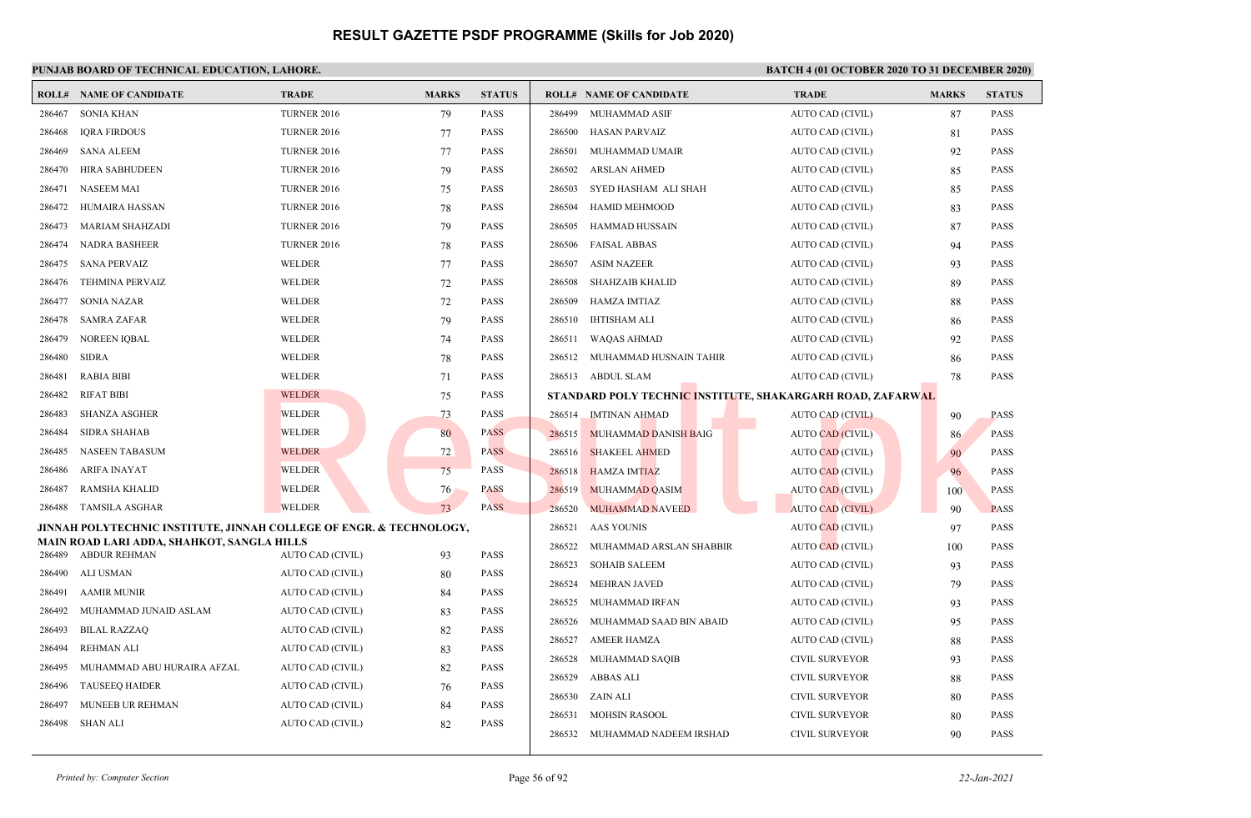|                  | <b>ROLL# NAME OF CANDIDATE</b>                                      | <b>TRADE</b>                         | <b>MARKS</b> | <b>STATUS</b> | <b>ROLL# NAME OF CANDIDATE</b> |                         | <b>TRADE</b>                                               | <b>MARKS</b> | <b>STATUS</b> |
|------------------|---------------------------------------------------------------------|--------------------------------------|--------------|---------------|--------------------------------|-------------------------|------------------------------------------------------------|--------------|---------------|
| 286467           | <b>SONIA KHAN</b>                                                   | <b>TURNER 2016</b>                   | 79           | <b>PASS</b>   | 286499 MUHAMMAD ASIF           |                         | AUTO CAD (CIVIL)                                           | 87           | <b>PASS</b>   |
| 286468           | <b>IORA FIRDOUS</b>                                                 | <b>TURNER 2016</b>                   | 77           | <b>PASS</b>   | HASAN PARVAIZ<br>286500        |                         | AUTO CAD (CIVIL)                                           | 81           | <b>PASS</b>   |
| 286469           | <b>SANA ALEEM</b>                                                   | <b>TURNER 2016</b>                   | 77           | <b>PASS</b>   | MUHAMMAD UMAIR<br>286501       |                         | AUTO CAD (CIVIL)                                           | 92           | <b>PASS</b>   |
| 286470           | <b>HIRA SABHUDEEN</b>                                               | <b>TURNER 2016</b>                   | 79           | <b>PASS</b>   | 286502<br><b>ARSLAN AHMED</b>  |                         | AUTO CAD (CIVIL)                                           | 85           | <b>PASS</b>   |
| 286471           | <b>NASEEM MAI</b>                                                   | <b>TURNER 2016</b>                   | 75           | <b>PASS</b>   | 286503                         | SYED HASHAM ALI SHAH    | AUTO CAD (CIVIL)                                           | 85           | <b>PASS</b>   |
| 286472           | <b>HUMAIRA HASSAN</b>                                               | <b>TURNER 2016</b>                   | 78           | <b>PASS</b>   | 286504<br><b>HAMID MEHMOOD</b> |                         | AUTO CAD (CIVIL)                                           | 83           | <b>PASS</b>   |
| 286473           | <b>MARIAM SHAHZADI</b>                                              | <b>TURNER 2016</b>                   | 79           | <b>PASS</b>   | HAMMAD HUSSAIN<br>286505       |                         | AUTO CAD (CIVIL)                                           | 87           | <b>PASS</b>   |
| 286474           | <b>NADRA BASHEER</b>                                                | <b>TURNER 2016</b>                   | 78           | <b>PASS</b>   | 286506<br><b>FAISAL ABBAS</b>  |                         | AUTO CAD (CIVIL)                                           | 94           | <b>PASS</b>   |
| 286475           | <b>SANA PERVAIZ</b>                                                 | <b>WELDER</b>                        | 77           | <b>PASS</b>   | 286507<br><b>ASIM NAZEER</b>   |                         | AUTO CAD (CIVIL)                                           | 93           | <b>PASS</b>   |
| 286476           | <b>TEHMINA PERVAIZ</b>                                              | WELDER                               | 72           | <b>PASS</b>   | 286508<br>SHAHZAIB KHALID      |                         | AUTO CAD (CIVIL)                                           | 89           | <b>PASS</b>   |
| 286477           | <b>SONIA NAZAR</b>                                                  | WELDER                               | 72           | <b>PASS</b>   | 286509<br><b>HAMZA IMTIAZ</b>  |                         | AUTO CAD (CIVIL)                                           | 88           | <b>PASS</b>   |
| 286478           | <b>SAMRA ZAFAR</b>                                                  | <b>WELDER</b>                        | 79           | <b>PASS</b>   | 286510 IHTISHAM ALI            |                         | AUTO CAD (CIVIL)                                           | 86           | <b>PASS</b>   |
| 286479           | <b>NOREEN IOBAL</b>                                                 | WELDER                               | 74           | <b>PASS</b>   | 286511<br>WAQAS AHMAD          |                         | AUTO CAD (CIVIL)                                           | 92           | <b>PASS</b>   |
| 286480           | <b>SIDRA</b>                                                        | <b>WELDER</b>                        | 78           | <b>PASS</b>   | 286512                         | MUHAMMAD HUSNAIN TAHIR  | AUTO CAD (CIVIL)                                           | 86           | <b>PASS</b>   |
| 286481           | <b>RABIA BIBI</b>                                                   | <b>WELDER</b>                        | 71           | <b>PASS</b>   | 286513 ABDUL SLAM              |                         | AUTO CAD (CIVIL)                                           | 78           | <b>PASS</b>   |
| 286482           | <b>RIFAT BIBI</b>                                                   | <b>WELDER</b>                        | 75           | <b>PASS</b>   |                                |                         | STANDARD POLY TECHNIC INSTITUTE, SHAKARGARH ROAD, ZAFARWAL |              |               |
| 286483           | <b>SHANZA ASGHER</b>                                                | <b>WELDER</b>                        | 73           | <b>PASS</b>   | 286514<br>IMTINAN AHMAD        |                         | <b>AUTO CAD (CIVIL)</b>                                    | 90           | <b>PASS</b>   |
| 286484           | <b>SIDRA SHAHAB</b>                                                 | <b>WELDER</b>                        | 80           | <b>PASS</b>   | 286515                         | MUHAMMAD DANISH BAIG    | <b>AUTO CAD (CIVIL)</b>                                    | 86           | <b>PASS</b>   |
| 286485           | <b>NASEEN TABASUM</b>                                               | <b>WELDER</b>                        | 72           | <b>PASS</b>   | <b>SHAKEEL AHMED</b><br>286516 |                         | AUTO CAD (CIVIL)                                           | 90           | <b>PASS</b>   |
| 286486           | <b>ARIFA INAYAT</b>                                                 | <b>WELDER</b>                        | 75           | <b>PASS</b>   | <b>HAMZA IMTIAZ</b><br>286518  |                         | <b>AUTO CAD (CIVIL)</b>                                    | 96           | <b>PASS</b>   |
| 286487           | <b>RAMSHA KHALID</b>                                                | <b>WELDER</b>                        | 76           | <b>PASS</b>   | MUHAMMAD QASIM<br>286519       |                         | <b>AUTO CAD (CIVIL)</b>                                    | 100          | <b>PASS</b>   |
| 286488           | <b>TAMSILA ASGHAR</b>                                               | <b>WELDER</b>                        | 73           | PASS          | 286520                         | <b>MUHAMMAD NAVEED</b>  | <b>AUTO CAD (CIVIL)</b>                                    | 90           | <b>PASS</b>   |
|                  | JINNAH POLYTECHNIC INSTITUTE, JINNAH COLLEGE OF ENGR. & TECHNOLOGY, |                                      |              |               | 286521<br><b>AAS YOUNIS</b>    |                         | <b>AUTO CAD (CIVIL)</b>                                    | 97           | <b>PASS</b>   |
| 286489           | MAIN ROAD LARI ADDA, SHAHKOT, SANGLA HILLS<br><b>ABDUR REHMAN</b>   | AUTO CAD (CIVIL)                     | 93           | <b>PASS</b>   | 286522                         | MUHAMMAD ARSLAN SHABBIR | <b>AUTO CAD (CIVIL)</b>                                    | 100          | <b>PASS</b>   |
| 286490           | ALI USMAN                                                           | AUTO CAD (CIVIL)                     |              | <b>PASS</b>   | 286523<br><b>SOHAIB SALEEM</b> |                         | AUTO CAD (CIVIL)                                           | 93           | <b>PASS</b>   |
| 286491           | <b>AAMIR MUNIR</b>                                                  | AUTO CAD (CIVIL)                     | 80<br>84     | <b>PASS</b>   | 286524<br><b>MEHRAN JAVED</b>  |                         | AUTO CAD (CIVIL)                                           | 79           | <b>PASS</b>   |
| 286492           | MUHAMMAD JUNAID ASLAM                                               | AUTO CAD (CIVIL)                     |              | <b>PASS</b>   | 286525<br>MUHAMMAD IRFAN       |                         | AUTO CAD (CIVIL)                                           | 93           | <b>PASS</b>   |
| 286493           |                                                                     | AUTO CAD (CIVIL)                     | 83           | <b>PASS</b>   | 286526                         | MUHAMMAD SAAD BIN ABAID | AUTO CAD (CIVIL)                                           | 95           | <b>PASS</b>   |
| 286494           | <b>BILAL RAZZAQ</b><br><b>REHMAN ALI</b>                            | AUTO CAD (CIVIL)                     | 82           | <b>PASS</b>   | 286527<br>AMEER HAMZA          |                         | AUTO CAD (CIVIL)                                           | 88           | <b>PASS</b>   |
|                  | MUHAMMAD ABU HURAIRA AFZAL                                          |                                      | 83           | <b>PASS</b>   | 286528<br>MUHAMMAD SAQIB       |                         | <b>CIVIL SURVEYOR</b>                                      | 93           | <b>PASS</b>   |
| 286495<br>286496 | <b>TAUSEEQ HAIDER</b>                                               | AUTO CAD (CIVIL)<br>AUTO CAD (CIVIL) | 82           | <b>PASS</b>   | 286529<br>ABBAS ALI            |                         | <b>CIVIL SURVEYOR</b>                                      | 88           | <b>PASS</b>   |
| 286497           | <b>MUNEEB UR REHMAN</b>                                             | AUTO CAD (CIVIL)                     | 76           | <b>PASS</b>   | 286530 ZAIN ALI                |                         | <b>CIVIL SURVEYOR</b>                                      | 80           | <b>PASS</b>   |
| 286498           | <b>SHAN ALI</b>                                                     | AUTO CAD (CIVIL)                     | 84<br>82     | <b>PASS</b>   | <b>MOHSIN RASOOL</b><br>286531 |                         | <b>CIVIL SURVEYOR</b>                                      | 80           | <b>PASS</b>   |
|                  |                                                                     |                                      |              |               | 286532                         | MUHAMMAD NADEEM IRSHAD  | <b>CIVIL SURVEYOR</b>                                      | 90           | <b>PASS</b>   |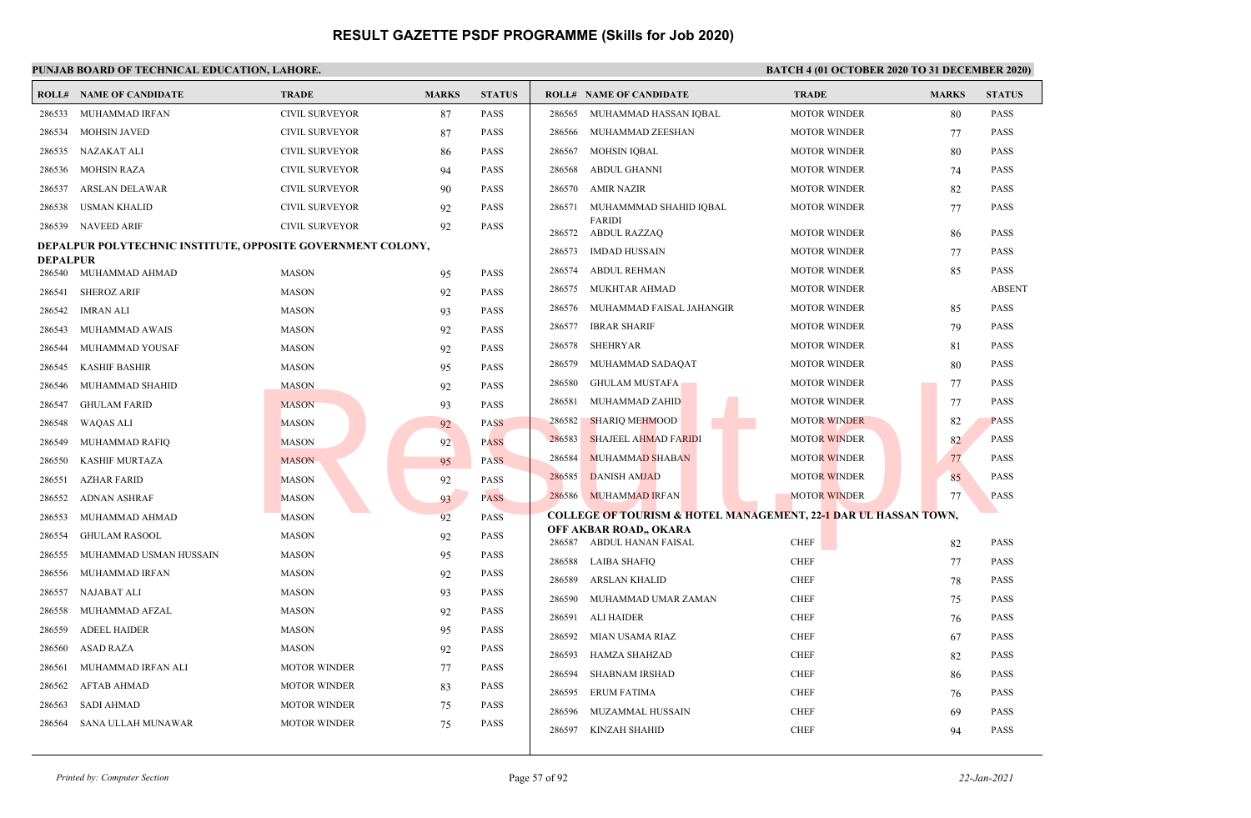|                 | <b>ROLL# NAME OF CANDIDATE</b>                              | <b>TRADE</b>          | <b>MARKS</b> | <b>STATUS</b> |        | <b>ROLL# NAME OF CANDIDATE</b>                                             | <b>TRADE</b>               | <b>MARKS</b> | <b>STATUS</b> |
|-----------------|-------------------------------------------------------------|-----------------------|--------------|---------------|--------|----------------------------------------------------------------------------|----------------------------|--------------|---------------|
| 286533          | MUHAMMAD IRFAN                                              | <b>CIVIL SURVEYOR</b> | 87           | <b>PASS</b>   | 286565 | MUHAMMAD HASSAN IQBAL                                                      | <b>MOTOR WINDER</b>        | 80           | <b>PASS</b>   |
| 286534          | <b>MOHSIN JAVED</b>                                         | <b>CIVIL SURVEYOR</b> | 87           | <b>PASS</b>   | 286566 | MUHAMMAD ZEESHAN                                                           | <b>MOTOR WINDER</b>        | 77           | PASS          |
| 286535          | NAZAKAT ALI                                                 | <b>CIVIL SURVEYOR</b> | 86           | <b>PASS</b>   | 286567 | <b>MOHSIN IOBAL</b>                                                        | <b>MOTOR WINDER</b>        | 80           | <b>PASS</b>   |
| 286536          | <b>MOHSIN RAZA</b>                                          | <b>CIVIL SURVEYOR</b> | 94           | <b>PASS</b>   | 286568 | <b>ABDUL GHANNI</b>                                                        | <b>MOTOR WINDER</b>        | 74           | <b>PASS</b>   |
| 286537          | <b>ARSLAN DELAWAR</b>                                       | <b>CIVIL SURVEYOR</b> | 90           | <b>PASS</b>   | 286570 | <b>AMIR NAZIR</b>                                                          | <b>MOTOR WINDER</b>        | 82           | <b>PASS</b>   |
| 286538          | <b>USMAN KHALID</b>                                         | <b>CIVIL SURVEYOR</b> | 92           | <b>PASS</b>   | 286571 | MUHAMMMAD SHAHID IQBAL                                                     | <b>MOTOR WINDER</b>        | 77           | <b>PASS</b>   |
| 286539          | <b>NAVEED ARIF</b>                                          | <b>CIVIL SURVEYOR</b> | 92           | PASS          | 286572 | <b>FARIDI</b><br>ABDUL RAZZAQ                                              | <b>MOTOR WINDER</b>        | 86           | <b>PASS</b>   |
|                 | DEPALPUR POLYTECHNIC INSTITUTE, OPPOSITE GOVERNMENT COLONY, |                       |              |               | 286573 | IMDAD HUSSAIN                                                              | <b>MOTOR WINDER</b>        | 77           | <b>PASS</b>   |
| <b>DEPALPUR</b> | 286540 MUHAMMAD AHMAD                                       | <b>MASON</b>          | 95           | <b>PASS</b>   | 286574 | <b>ABDUL REHMAN</b>                                                        | <b>MOTOR WINDER</b>        | 85           | <b>PASS</b>   |
| 286541          | <b>SHEROZ ARIF</b>                                          | <b>MASON</b>          | 92           | PASS          | 286575 | MUKHTAR AHMAD                                                              | <b>MOTOR WINDER</b>        |              | <b>ABSENT</b> |
| 286542          | IMRAN ALI                                                   | <b>MASON</b>          | 93           | <b>PASS</b>   | 286576 | MUHAMMAD FAISAL JAHANGIR                                                   | <b>MOTOR WINDER</b>        | 85           | PASS          |
| 286543          | MUHAMMAD AWAIS                                              | <b>MASON</b>          | 92           | <b>PASS</b>   | 286577 | <b>IBRAR SHARIF</b>                                                        | <b>MOTOR WINDER</b>        | 79           | <b>PASS</b>   |
| 286544          | MUHAMMAD YOUSAF                                             | <b>MASON</b>          | 92           | <b>PASS</b>   | 286578 | <b>SHEHRYAR</b>                                                            | <b>MOTOR WINDER</b>        | 81           | <b>PASS</b>   |
| 286545          | <b>KASHIF BASHIR</b>                                        | <b>MASON</b>          | 95           | <b>PASS</b>   | 286579 | MUHAMMAD SADAQAT                                                           | <b>MOTOR WINDER</b>        | 80           | <b>PASS</b>   |
| 286546          | MUHAMMAD SHAHID                                             | <b>MASON</b>          | 92           | <b>PASS</b>   | 286580 | <b>GHULAM MUSTAFA</b>                                                      | <b>MOTOR WINDER</b>        | 77           | <b>PASS</b>   |
| 286547          | <b>GHULAM FARID</b>                                         | <b>MASON</b>          | 93           | <b>PASS</b>   | 286581 | MUHAMMAD ZAHID                                                             | <b>MOTOR WINDER</b>        | 77           | <b>PASS</b>   |
| 286548          | <b>WAQAS ALI</b>                                            | <b>MASON</b>          | 92           | <b>PASS</b>   | 286582 | <b>SHARIQ MEHMOOD</b>                                                      | <b>MOTOR WINDER</b>        | 82           | <b>PASS</b>   |
| 286549          | MUHAMMAD RAFIO                                              | <b>MASON</b>          | 92           | <b>PASS</b>   | 286583 | <b>SHAJEEL AHMAD FARIDI</b>                                                | <b>MOTOR WINDER</b>        | 82           | <b>PASS</b>   |
| 286550          | <b>KASHIF MURTAZA</b>                                       | <b>MASON</b>          | 95           | <b>PASS</b>   | 286584 | <b>MUHAMMAD SHABAN</b>                                                     | <b>MOTOR WINDER</b>        | 77           | <b>PASS</b>   |
| 286551          | <b>AZHAR FARID</b>                                          | <b>MASON</b>          | 92           | <b>PASS</b>   | 286585 | <b>DANISH AMJAD</b>                                                        | <b>MOTOR WINDER</b>        | 85           | <b>PASS</b>   |
| 286552          | ADNAN ASHRAF                                                | <b>MASON</b>          | 93           | <b>PASS</b>   | 286586 | <b>MUHAMMAD IRFAN</b>                                                      | <b>MOTOR WINDER</b>        | 77           | <b>PASS</b>   |
| 286553          | MUHAMMAD AHMAD                                              | <b>MASON</b>          | 92           | <b>PASS</b>   |        | <b>COLLEGE OF TOURISM &amp; HOTEL MANAGEMENT, 22-1 DAR UL HASSAN TOWN,</b> |                            |              |               |
| 286554          | <b>GHULAM RASOOL</b>                                        | <b>MASON</b>          | 92           | <b>PASS</b>   |        | OFF AKBAR ROAD,, OKARA<br>286587 ABDUL HANAN FAISAL                        |                            |              | <b>PASS</b>   |
| 286555          | MUHAMMAD USMAN HUSSAIN                                      | <b>MASON</b>          | 95           | <b>PASS</b>   | 286588 | LAIBA SHAFIQ                                                               | <b>CHEF</b><br><b>CHEF</b> | 82           | <b>PASS</b>   |
| 286556          | MUHAMMAD IRFAN                                              | <b>MASON</b>          | 92           | PASS          | 286589 | <b>ARSLAN KHALID</b>                                                       | <b>CHEF</b>                | 77           | <b>PASS</b>   |
| 286557          | NAJABAT ALI                                                 | <b>MASON</b>          | 93           | <b>PASS</b>   | 286590 | MUHAMMAD UMAR ZAMAN                                                        | <b>CHEF</b>                | 78<br>75     | <b>PASS</b>   |
| 286558          | MUHAMMAD AFZAL                                              | <b>MASON</b>          | 92           | <b>PASS</b>   | 286591 | <b>ALI HAIDER</b>                                                          | <b>CHEF</b>                | 76           | <b>PASS</b>   |
| 286559          | <b>ADEEL HAIDER</b>                                         | <b>MASON</b>          | 95           | <b>PASS</b>   | 286592 | MIAN USAMA RIAZ                                                            | <b>CHEF</b>                | 67           | PASS          |
| 286560          | ASAD RAZA                                                   | <b>MASON</b>          | 92           | <b>PASS</b>   | 286593 | <b>HAMZA SHAHZAD</b>                                                       | <b>CHEF</b>                | 82           | <b>PASS</b>   |
| 286561          | MUHAMMAD IRFAN ALI                                          | <b>MOTOR WINDER</b>   | 77           | <b>PASS</b>   | 286594 | <b>SHABNAM IRSHAD</b>                                                      | <b>CHEF</b>                | 86           | <b>PASS</b>   |
| 286562          | <b>AFTAB AHMAD</b>                                          | <b>MOTOR WINDER</b>   | 83           | <b>PASS</b>   | 286595 | <b>ERUM FATIMA</b>                                                         | <b>CHEF</b>                | 76           | <b>PASS</b>   |
| 286563          | <b>SADI AHMAD</b>                                           | <b>MOTOR WINDER</b>   | 75           | <b>PASS</b>   | 286596 | MUZAMMAL HUSSAIN                                                           | <b>CHEF</b>                | 69           | <b>PASS</b>   |
| 286564          | SANA ULLAH MUNAWAR                                          | <b>MOTOR WINDER</b>   | 75           | <b>PASS</b>   | 286597 | KINZAH SHAHID                                                              | <b>CHEF</b>                | 94           | <b>PASS</b>   |
|                 |                                                             |                       |              |               |        |                                                                            |                            |              |               |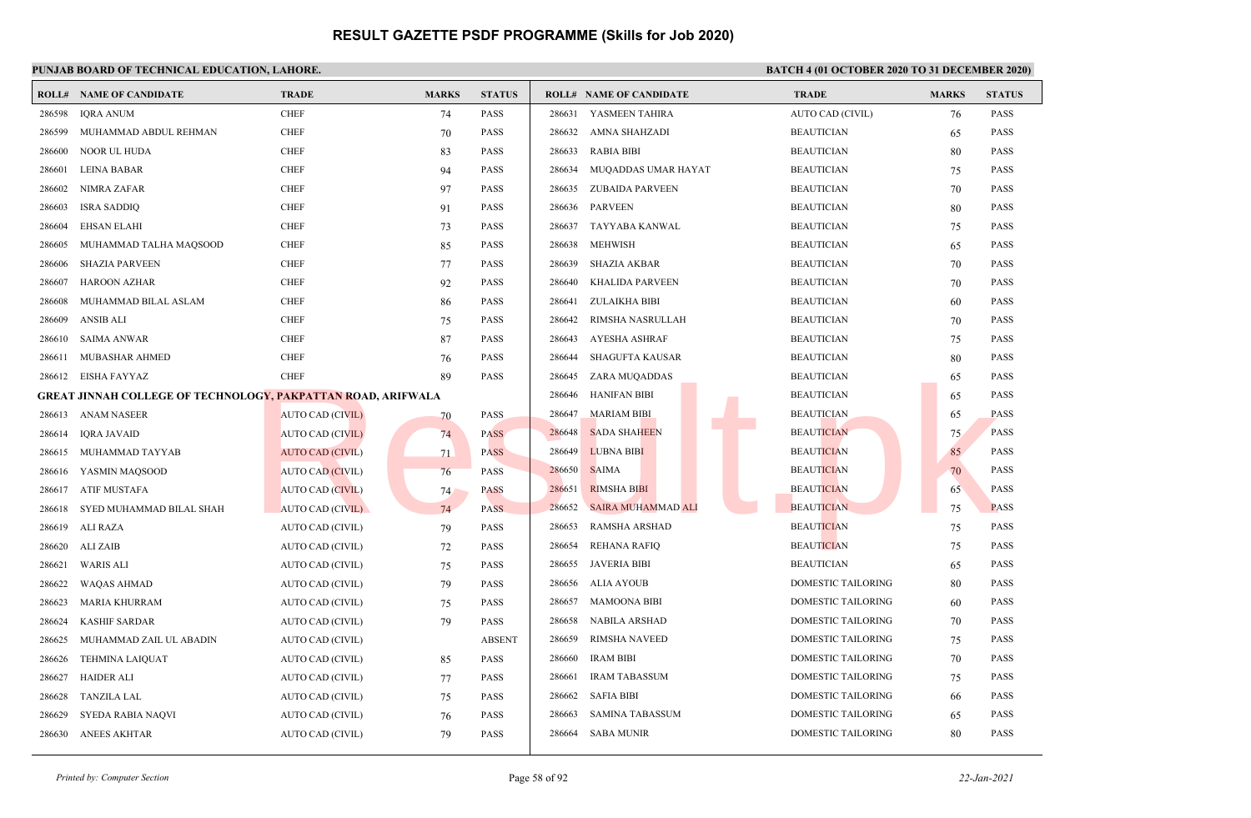|        | <b>ROLL# NAME OF CANDIDATE</b>                                              | <b>TRADE</b>            | <b>MARKS</b> | <b>STATUS</b> |        | <b>ROLL# NAME OF CANDIDATE</b> | <b>TRADE</b>              | <b>MARKS</b> | <b>STATUS</b> |
|--------|-----------------------------------------------------------------------------|-------------------------|--------------|---------------|--------|--------------------------------|---------------------------|--------------|---------------|
| 286598 | <b>IQRA ANUM</b>                                                            | <b>CHEF</b>             | 74           | <b>PASS</b>   | 286631 | YASMEEN TAHIRA                 | AUTO CAD (CIVIL)          | 76           | <b>PASS</b>   |
| 286599 | MUHAMMAD ABDUL REHMAN                                                       | <b>CHEF</b>             | 70           | <b>PASS</b>   | 286632 | AMNA SHAHZADI                  | <b>BEAUTICIAN</b>         | 65           | <b>PASS</b>   |
| 286600 | NOOR UL HUDA                                                                | <b>CHEF</b>             | 83           | <b>PASS</b>   | 286633 | <b>RABIA BIBI</b>              | <b>BEAUTICIAN</b>         | 80           | <b>PASS</b>   |
| 286601 | LEINA BABAR                                                                 | <b>CHEF</b>             | 94           | <b>PASS</b>   | 286634 | MUQADDAS UMAR HAYAT            | <b>BEAUTICIAN</b>         | 75           | <b>PASS</b>   |
| 286602 | <b>NIMRA ZAFAR</b>                                                          | <b>CHEF</b>             | 97           | PASS          | 286635 | <b>ZUBAIDA PARVEEN</b>         | <b>BEAUTICIAN</b>         | 70           | <b>PASS</b>   |
| 286603 | <b>ISRA SADDIQ</b>                                                          | <b>CHEF</b>             | 91           | <b>PASS</b>   | 286636 | <b>PARVEEN</b>                 | <b>BEAUTICIAN</b>         | 80           | <b>PASS</b>   |
| 286604 | <b>EHSAN ELAHI</b>                                                          | <b>CHEF</b>             | 73           | <b>PASS</b>   | 286637 | <b>TAYYABA KANWAL</b>          | <b>BEAUTICIAN</b>         | 75           | <b>PASS</b>   |
| 286605 | MUHAMMAD TALHA MAQSOOD                                                      | <b>CHEF</b>             | 85           | <b>PASS</b>   | 286638 | <b>MEHWISH</b>                 | <b>BEAUTICIAN</b>         | 65           | <b>PASS</b>   |
| 286606 | <b>SHAZIA PARVEEN</b>                                                       | <b>CHEF</b>             | 77           | <b>PASS</b>   | 286639 | <b>SHAZIA AKBAR</b>            | <b>BEAUTICIAN</b>         | 70           | <b>PASS</b>   |
| 286607 | <b>HAROON AZHAR</b>                                                         | <b>CHEF</b>             | 92           | <b>PASS</b>   | 286640 | <b>KHALIDA PARVEEN</b>         | <b>BEAUTICIAN</b>         | 70           | <b>PASS</b>   |
| 286608 | MUHAMMAD BILAL ASLAM                                                        | <b>CHEF</b>             | 86           | <b>PASS</b>   | 286641 | <b>ZULAIKHA BIBI</b>           | <b>BEAUTICIAN</b>         | 60           | <b>PASS</b>   |
| 286609 | <b>ANSIB ALI</b>                                                            | <b>CHEF</b>             | 75           | <b>PASS</b>   | 286642 | RIMSHA NASRULLAH               | <b>BEAUTICIAN</b>         | 70           | <b>PASS</b>   |
| 286610 | <b>SAIMA ANWAR</b>                                                          | <b>CHEF</b>             | 87           | PASS          | 286643 | <b>AYESHA ASHRAF</b>           | <b>BEAUTICIAN</b>         | 75           | <b>PASS</b>   |
| 286611 | MUBASHAR AHMED                                                              | <b>CHEF</b>             | 76           | PASS          | 286644 | <b>SHAGUFTA KAUSAR</b>         | <b>BEAUTICIAN</b>         | 80           | <b>PASS</b>   |
| 286612 | <b>EISHA FAYYAZ</b>                                                         | <b>CHEF</b>             | 89           | PASS          | 286645 | ZARA MUQADDAS                  | <b>BEAUTICIAN</b>         | 65           | <b>PASS</b>   |
|        | GREAT JINNAH COLLEGE OF TECHNOLOG <mark>Y, PAKPATTAN RO</mark> AD, ARIFWALA |                         |              |               | 286646 | <b>HANIFAN BIBI</b>            | <b>BEAUTICIAN</b>         | 65           | <b>PASS</b>   |
| 286613 | <b>ANAM NASEER</b>                                                          | <b>AUTO CAD (CIVIL)</b> | 70           | PASS          | 286647 | <b>MARIAM BIBI</b>             | <b>BEAUTICIAN</b>         | 65           | <b>PASS</b>   |
| 286614 | <b>IORA JAVAID</b>                                                          | <b>AUTO CAD (CIVIL)</b> | 74           | <b>PASS</b>   | 286648 | <b>SADA SHAHEEN</b>            | <b>BEAUTICIAN</b>         | 75           | <b>PASS</b>   |
| 286615 | MUHAMMAD TAYYAB                                                             | AUTO CAD (CIVIL)        | 71           | <b>PASS</b>   | 286649 | <b>LUBNA BIBI</b>              | <b>BEAUTICIAN</b>         | 85           | <b>PASS</b>   |
| 286616 | YASMIN MAQSOOD                                                              | <b>AUTO CAD (CIVIL)</b> | 76           | <b>PASS</b>   | 286650 | <b>SAIMA</b>                   | <b>BEAUTICIAN</b>         | 70           | <b>PASS</b>   |
| 286617 | <b>ATIF MUSTAFA</b>                                                         | <b>AUTO CAD (CIVIL)</b> | 74           | <b>PASS</b>   | 286651 | <b>RIMSHA BIBI</b>             | <b>BEAUTICIAN</b>         | 65           | <b>PASS</b>   |
| 286618 | SYED MUHAMMAD BILAL SHAH                                                    | AUTO CAD (CIVIL)        | 74           | <b>PASS</b>   | 286652 | SAIRA MUHAMMAD ALI             | <b>BEAUTICIAN</b>         | 75           | <b>PASS</b>   |
| 286619 | ALI RAZA                                                                    | AUTO CAD (CIVIL)        | 79           | PASS          | 286653 | <b>RAMSHA ARSHAD</b>           | <b>BEAUTICIAN</b>         | 75           | <b>PASS</b>   |
| 286620 | <b>ALI ZAIB</b>                                                             | AUTO CAD (CIVIL)        | 72           | PASS          | 286654 | <b>REHANA RAFIQ</b>            | <b>BEAUTICIAN</b>         | 75           | <b>PASS</b>   |
| 286621 | <b>WARIS ALI</b>                                                            | AUTO CAD (CIVIL)        | 75           | <b>PASS</b>   | 286655 | <b>JAVERIA BIBI</b>            | <b>BEAUTICIAN</b>         | 65           | <b>PASS</b>   |
| 286622 | <b>WAQAS AHMAD</b>                                                          | AUTO CAD (CIVIL)        | 79           | <b>PASS</b>   | 286656 | ALIA AYOUB                     | <b>DOMESTIC TAILORING</b> | 80           | <b>PASS</b>   |
| 286623 | <b>MARIA KHURRAM</b>                                                        | AUTO CAD (CIVIL)        | 75           | <b>PASS</b>   | 286657 | <b>MAMOONA BIBI</b>            | <b>DOMESTIC TAILORING</b> | 60           | <b>PASS</b>   |
| 286624 | <b>KASHIF SARDAR</b>                                                        | AUTO CAD (CIVIL)        | 79           | <b>PASS</b>   | 286658 | <b>NABILA ARSHAD</b>           | DOMESTIC TAILORING        | 70           | <b>PASS</b>   |
| 286625 | MUHAMMAD ZAIL UL ABADIN                                                     | AUTO CAD (CIVIL)        |              | <b>ABSENT</b> | 286659 | RIMSHA NAVEED                  | DOMESTIC TAILORING        | 75           | <b>PASS</b>   |
| 286626 | <b>TEHMINA LAIQUAT</b>                                                      | AUTO CAD (CIVIL)        | 85           | <b>PASS</b>   | 286660 | <b>IRAM BIBI</b>               | DOMESTIC TAILORING        | 70           | <b>PASS</b>   |
| 286627 | <b>HAIDER ALI</b>                                                           | AUTO CAD (CIVIL)        | 77           | <b>PASS</b>   | 286661 | <b>IRAM TABASSUM</b>           | <b>DOMESTIC TAILORING</b> | 75           | <b>PASS</b>   |
| 286628 | <b>TANZILA LAL</b>                                                          | AUTO CAD (CIVIL)        | 75           | PASS          | 286662 | <b>SAFIA BIBI</b>              | <b>DOMESTIC TAILORING</b> | 66           | <b>PASS</b>   |
| 286629 | SYEDA RABIA NAQVI                                                           | AUTO CAD (CIVIL)        | 76           | <b>PASS</b>   | 286663 | <b>SAMINA TABASSUM</b>         | DOMESTIC TAILORING        | 65           | <b>PASS</b>   |
| 286630 | <b>ANEES AKHTAR</b>                                                         | AUTO CAD (CIVIL)        | 79           | <b>PASS</b>   | 286664 | <b>SABA MUNIR</b>              | <b>DOMESTIC TAILORING</b> | 80           | <b>PASS</b>   |
|        |                                                                             |                         |              |               |        |                                |                           |              |               |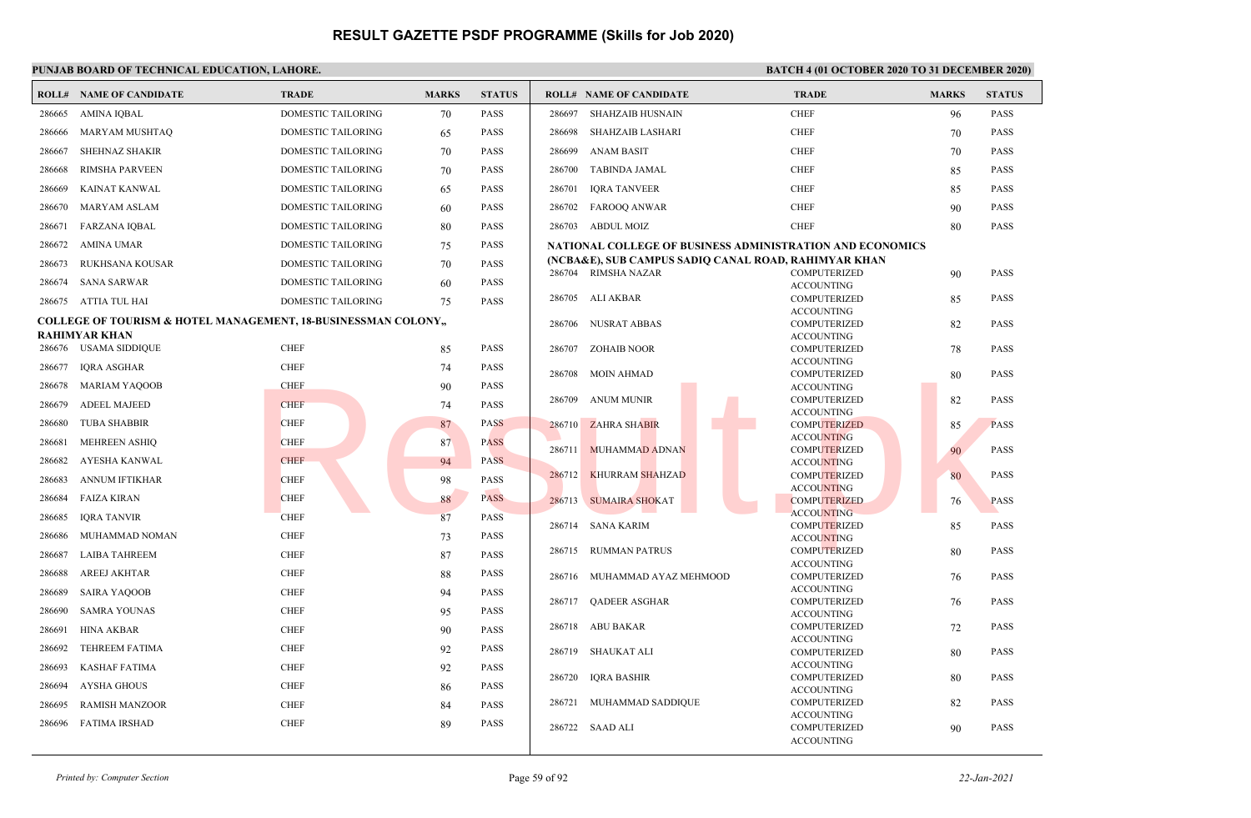|        | <b>ROLL# NAME OF CANDIDATE</b>                                          | <b>TRADE</b>              | <b>MARKS</b> | <b>STATUS</b> |        | <b>ROLL# NAME OF CANDIDATE</b> | <b>TRADE</b>                                                                                                      | <b>MARKS</b> | <b>STATUS</b> |
|--------|-------------------------------------------------------------------------|---------------------------|--------------|---------------|--------|--------------------------------|-------------------------------------------------------------------------------------------------------------------|--------------|---------------|
| 286665 | <b>AMINA IOBAL</b>                                                      | <b>DOMESTIC TAILORING</b> | 70           | <b>PASS</b>   | 286697 | <b>SHAHZAIB HUSNAIN</b>        | <b>CHEF</b>                                                                                                       | 96           | <b>PASS</b>   |
| 286666 | MARYAM MUSHTAQ                                                          | DOMESTIC TAILORING        | 65           | PASS          | 286698 | <b>SHAHZAIB LASHARI</b>        | <b>CHEF</b>                                                                                                       | 70           | <b>PASS</b>   |
| 286667 | <b>SHEHNAZ SHAKIR</b>                                                   | DOMESTIC TAILORING        | 70           | <b>PASS</b>   | 286699 | <b>ANAM BASIT</b>              | <b>CHEF</b>                                                                                                       | 70           | <b>PASS</b>   |
| 286668 | <b>RIMSHA PARVEEN</b>                                                   | DOMESTIC TAILORING        | 70           | <b>PASS</b>   | 286700 | <b>TABINDA JAMAL</b>           | <b>CHEF</b>                                                                                                       | 85           | <b>PASS</b>   |
| 286669 | KAINAT KANWAL                                                           | <b>DOMESTIC TAILORING</b> | 65           | <b>PASS</b>   | 286701 | <b>IORA TANVEER</b>            | <b>CHEF</b>                                                                                                       | 85           | <b>PASS</b>   |
| 286670 | <b>MARYAM ASLAM</b>                                                     | DOMESTIC TAILORING        | 60           | <b>PASS</b>   | 286702 | <b>FAROOQ ANWAR</b>            | <b>CHEF</b>                                                                                                       | 90           | <b>PASS</b>   |
| 286671 | <b>FARZANA IQBAL</b>                                                    | DOMESTIC TAILORING        | 80           | <b>PASS</b>   |        | 286703 ABDUL MOIZ              | <b>CHEF</b>                                                                                                       | 80           | <b>PASS</b>   |
| 286672 | AMINA UMAR                                                              | DOMESTIC TAILORING        | 75           | <b>PASS</b>   |        |                                |                                                                                                                   |              |               |
|        |                                                                         |                           |              |               |        |                                | NATIONAL COLLEGE OF BUSINESS ADMINISTRATION AND ECONOMICS<br>(NCBA&E), SUB CAMPUS SADIQ CANAL ROAD, RAHIMYAR KHAN |              |               |
| 286673 | RUKHSANA KOUSAR                                                         | DOMESTIC TAILORING        | 70           | PASS          |        | 286704 RIMSHA NAZAR            | <b>COMPUTERIZED</b>                                                                                               | 90           | <b>PASS</b>   |
| 286674 | <b>SANA SARWAR</b>                                                      | DOMESTIC TAILORING        | 60           | <b>PASS</b>   |        |                                | <b>ACCOUNTING</b>                                                                                                 |              |               |
|        | 286675 ATTIA TUL HAI                                                    | DOMESTIC TAILORING        | 75           | PASS          |        | 286705 ALI AKBAR               | COMPUTERIZED                                                                                                      | 85           | <b>PASS</b>   |
|        | <b>COLLEGE OF TOURISM &amp; HOTEL MANAGEMENT, 18-BUSINESSMAN COLONY</b> |                           |              |               |        |                                | <b>ACCOUNTING</b>                                                                                                 |              |               |
|        | <b>RAHIMYAR KHAN</b>                                                    |                           |              |               | 286706 | NUSRAT ABBAS                   | COMPUTERIZED<br><b>ACCOUNTING</b>                                                                                 | 82           | <b>PASS</b>   |
|        | 286676 USAMA SIDDIQUE                                                   | <b>CHEF</b>               | 85           | <b>PASS</b>   | 286707 | ZOHAIB NOOR                    | <b>COMPUTERIZED</b>                                                                                               | 78           | <b>PASS</b>   |
| 286677 | <b>IQRA ASGHAR</b>                                                      | <b>CHEF</b>               |              | <b>PASS</b>   |        |                                | <b>ACCOUNTING</b>                                                                                                 |              |               |
|        |                                                                         |                           | 74           |               | 286708 | MOIN AHMAD                     | COMPUTERIZED                                                                                                      | 80           | <b>PASS</b>   |
| 286678 | <b>MARIAM YAQOOB</b>                                                    | <b>CHEF</b>               | 90           | <b>PASS</b>   |        |                                | <b>ACCOUNTING</b>                                                                                                 |              |               |
| 286679 | <b>ADEEL MAJEED</b>                                                     | <b>CHEF</b>               | 74           | <b>PASS</b>   | 286709 | ANUM MUNIR                     | COMPUTERIZED<br><b>ACCOUNTING</b>                                                                                 | 82           | <b>PASS</b>   |
| 286680 | <b>TUBA SHABBIR</b>                                                     | <b>CHEF</b>               | 87           | <b>PASS</b>   |        | 286710 ZAHRA SHABIR            | <b>COMPUTERIZED</b>                                                                                               | 85           | <b>PASS</b>   |
| 286681 | <b>MEHREEN ASHIO</b>                                                    | <b>CHEF</b>               | 87           | <b>PASS</b>   |        |                                | <b>ACCOUNTING</b>                                                                                                 |              |               |
|        |                                                                         |                           |              |               |        | 286711 MUHAMMAD ADNAN          | <b>COMPUTERIZED</b>                                                                                               | 90           | <b>PASS</b>   |
| 286682 | AYESHA KANWAL                                                           | <b>CHEF</b>               | 94           | <b>PASS</b>   | 286712 | <b>KHURRAM SHAHZAD</b>         | <b>ACCOUNTING</b><br>COMPUTERIZED                                                                                 | 80           | <b>PASS</b>   |
| 286683 | <b>ANNUM IFTIKHAR</b>                                                   | <b>CHEF</b>               | 98           | <b>PASS</b>   |        |                                | <b>ACCOUNTING</b>                                                                                                 |              |               |
| 286684 | <b>FAIZA KIRAN</b>                                                      | <b>CHEF</b>               | 88           | <b>PASS</b>   |        | 286713 SUMAIRA SHOKAT          | <b>COMPUTERIZED</b>                                                                                               | 76           | <b>PASS</b>   |
| 286685 | <b>IORA TANVIR</b>                                                      | <b>CHEF</b>               | 87           | <b>PASS</b>   |        |                                | <b>ACCOUNTING</b>                                                                                                 |              |               |
| 286686 | MUHAMMAD NOMAN                                                          | <b>CHEF</b>               | 73           | <b>PASS</b>   |        | 286714 SANA KARIM              | <b>COMPUTERIZED</b>                                                                                               | 85           | <b>PASS</b>   |
|        |                                                                         |                           |              |               | 286715 | <b>RUMMAN PATRUS</b>           | <b>ACCOUNTING</b><br>COMPUTERIZED                                                                                 | 80           | <b>PASS</b>   |
| 286687 | <b>LAIBA TAHREEM</b>                                                    | <b>CHEF</b>               | 87           | <b>PASS</b>   |        |                                | <b>ACCOUNTING</b>                                                                                                 |              |               |
| 286688 | <b>AREEJ AKHTAR</b>                                                     | <b>CHEF</b>               | 88           | PASS          |        | 286716 MUHAMMAD AYAZ MEHMOOD   | COMPUTERIZED                                                                                                      | 76           | PASS          |
| 286689 | <b>SAIRA YAQOOB</b>                                                     | <b>CHEF</b>               | 94           | <b>PASS</b>   |        |                                | <b>ACCOUNTING</b>                                                                                                 |              |               |
| 286690 | <b>SAMRA YOUNAS</b>                                                     | <b>CHEF</b>               | 95           | <b>PASS</b>   |        | 286717 QADEER ASGHAR           | <b>COMPUTERIZED</b>                                                                                               | 76           | <b>PASS</b>   |
|        |                                                                         |                           |              |               |        | 286718 ABU BAKAR               | <b>ACCOUNTING</b><br>COMPUTERIZED                                                                                 | 72           | <b>PASS</b>   |
| 286691 | <b>HINA AKBAR</b>                                                       | <b>CHEF</b>               | 90           | <b>PASS</b>   |        |                                | ACCOUNTING                                                                                                        |              |               |
| 286692 | <b>TEHREEM FATIMA</b>                                                   | <b>CHEF</b>               | 92           | <b>PASS</b>   | 286719 | SHAUKAT ALI                    | COMPUTERIZED                                                                                                      | 80           | <b>PASS</b>   |
| 286693 | <b>KASHAF FATIMA</b>                                                    | <b>CHEF</b>               | 92           | <b>PASS</b>   |        |                                | <b>ACCOUNTING</b>                                                                                                 |              |               |
| 286694 | AYSHA GHOUS                                                             | <b>CHEF</b>               | 86           | <b>PASS</b>   | 286720 | <b>IORA BASHIR</b>             | COMPUTERIZED<br><b>ACCOUNTING</b>                                                                                 | 80           | <b>PASS</b>   |
| 286695 | <b>RAMISH MANZOOR</b>                                                   | <b>CHEF</b>               | 84           | <b>PASS</b>   |        | 286721 MUHAMMAD SADDIQUE       | COMPUTERIZED                                                                                                      | 82           | <b>PASS</b>   |
|        |                                                                         |                           |              |               |        |                                | <b>ACCOUNTING</b>                                                                                                 |              |               |
| 286696 | <b>FATIMA IRSHAD</b>                                                    | <b>CHEF</b>               | 89           | <b>PASS</b>   |        | 286722 SAAD ALI                | COMPUTERIZED                                                                                                      | 90           | <b>PASS</b>   |
|        |                                                                         |                           |              |               |        |                                | <b>ACCOUNTING</b>                                                                                                 |              |               |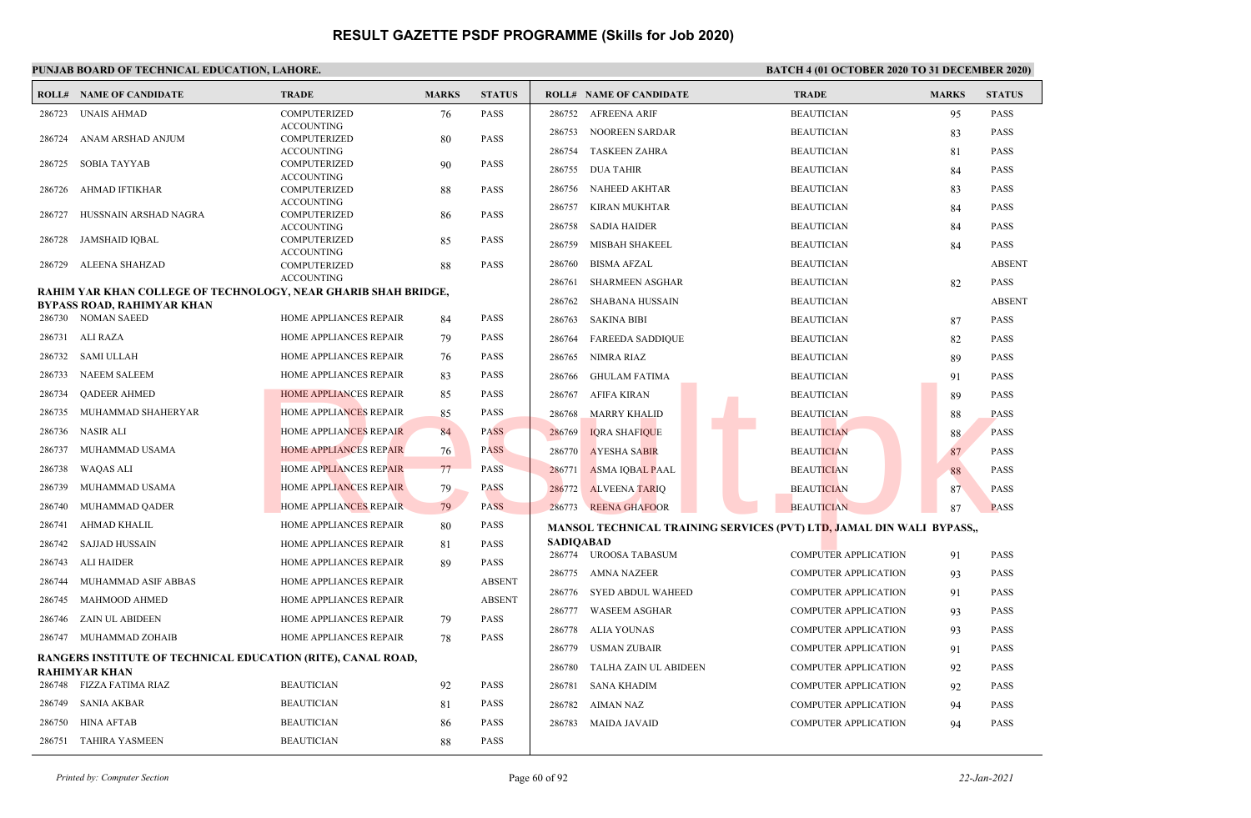## PUNJAB BOARD OF TECHNICAL EDUCATION, LAHORE. **BATCH 4 (01 OCTOBER 2020 TO 31 DECEMBER 2020**)

|        | <b>ROLL# NAME OF CANDIDATE</b>                                      | <b>TRADE</b>                             | <b>MARKS</b> | <b>STATUS</b> |                  | <b>ROLL# NAME OF CANDIDATE</b> | <b>TRADE</b>                                                          | <b>MARKS</b> | <b>STATUS</b> |
|--------|---------------------------------------------------------------------|------------------------------------------|--------------|---------------|------------------|--------------------------------|-----------------------------------------------------------------------|--------------|---------------|
| 286723 | <b>UNAIS AHMAD</b>                                                  | <b>COMPUTERIZED</b>                      | 76           | <b>PASS</b>   | 286752           | AFREENA ARIF                   | <b>BEAUTICIAN</b>                                                     | 95           | <b>PASS</b>   |
|        |                                                                     | <b>ACCOUNTING</b>                        |              |               | 286753           | NOOREEN SARDAR                 | <b>BEAUTICIAN</b>                                                     | 83           | <b>PASS</b>   |
| 286724 | ANAM ARSHAD ANJUM                                                   | <b>COMPUTERIZED</b><br><b>ACCOUNTING</b> | 80           | PASS          | 286754           | <b>TASKEEN ZAHRA</b>           | <b>BEAUTICIAN</b>                                                     | 81           | <b>PASS</b>   |
| 286725 | <b>SOBIA TAYYAB</b>                                                 | <b>COMPUTERIZED</b>                      | 90           | PASS          |                  |                                |                                                                       |              |               |
|        |                                                                     | <b>ACCOUNTING</b>                        |              |               | 286755           | <b>DUA TAHIR</b>               | <b>BEAUTICIAN</b>                                                     | 84           | <b>PASS</b>   |
| 286726 | AHMAD IFTIKHAR                                                      | <b>COMPUTERIZED</b>                      | 88           | PASS          | 286756           | <b>NAHEED AKHTAR</b>           | <b>BEAUTICIAN</b>                                                     | 83           | <b>PASS</b>   |
| 286727 | HUSSNAIN ARSHAD NAGRA                                               | <b>ACCOUNTING</b><br><b>COMPUTERIZED</b> | 86           | PASS          | 286757           | <b>KIRAN MUKHTAR</b>           | <b>BEAUTICIAN</b>                                                     | 84           | <b>PASS</b>   |
|        |                                                                     | <b>ACCOUNTING</b>                        |              |               | 286758           | <b>SADIA HAIDER</b>            | <b>BEAUTICIAN</b>                                                     | 84           | <b>PASS</b>   |
| 286728 | JAMSHAID IOBAL                                                      | <b>COMPUTERIZED</b>                      | 85           | PASS          | 286759           | MISBAH SHAKEEL                 | <b>BEAUTICIAN</b>                                                     | 84           | <b>PASS</b>   |
| 286729 | ALEENA SHAHZAD                                                      | <b>ACCOUNTING</b><br><b>COMPUTERIZED</b> | 88           | PASS          | 286760           | <b>BISMA AFZAL</b>             | <b>BEAUTICIAN</b>                                                     |              | <b>ABSENT</b> |
|        |                                                                     | <b>ACCOUNTING</b>                        |              |               |                  |                                |                                                                       |              |               |
|        | RAHIM YAR KHAN COLLEGE OF TECHNOLOGY, NEAR GHARIB SHAH BRIDGE,      |                                          |              |               | 286761           | <b>SHARMEEN ASGHAR</b>         | <b>BEAUTICIAN</b>                                                     | 82           | <b>PASS</b>   |
|        | <b>BYPASS ROAD, RAHIMYAR KHAN</b>                                   |                                          |              |               | 286762           | <b>SHABANA HUSSAIN</b>         | <b>BEAUTICIAN</b>                                                     |              | <b>ABSENT</b> |
| 286730 | <b>NOMAN SAEED</b>                                                  | <b>HOME APPLIANCES REPAIR</b>            | 84           | PASS          | 286763           | <b>SAKINA BIBI</b>             | <b>BEAUTICIAN</b>                                                     | 87           | <b>PASS</b>   |
| 286731 | ALI RAZA                                                            | HOME APPLIANCES REPAIR                   | 79           | PASS          | 286764           | <b>FAREEDA SADDIQUE</b>        | <b>BEAUTICIAN</b>                                                     | 82           | <b>PASS</b>   |
| 286732 | <b>SAMI ULLAH</b>                                                   | HOME APPLIANCES REPAIR                   | 76           | PASS          | 286765           | NIMRA RIAZ                     | <b>BEAUTICIAN</b>                                                     | 89           | <b>PASS</b>   |
| 286733 | <b>NAEEM SALEEM</b>                                                 | HOME APPLIANCES REPAIR                   | 83           | PASS          | 286766           | <b>GHULAM FATIMA</b>           | <b>BEAUTICIAN</b>                                                     | 91           | <b>PASS</b>   |
| 286734 | <b>QADEER AHMED</b>                                                 | HOME APPLIANCES REPAIR                   | 85           | PASS          | 286767           | AFIFA KIRAN                    | <b>BEAUTICIAN</b>                                                     | 89           | <b>PASS</b>   |
| 286735 | MUHAMMAD SHAHERYAR                                                  | <b>HOME APPLIANCES REPAIR</b>            | 85           | PASS          | 286768           | <b>MARRY KHALID</b>            | <b>BEAUTICIAN</b>                                                     | 88           | <b>PASS</b>   |
| 286736 | NASIR ALI                                                           | <b>HOME APPLIANCES REPAIR</b>            | 84           | <b>PASS</b>   | 286769           | <b>IQRA SHAFIQUE</b>           | <b>BEAUTICIAN</b>                                                     | 88           | <b>PASS</b>   |
| 286737 | MUHAMMAD USAMA                                                      | <b>HOME APPLIANCES REPAIR</b>            | 76           | <b>PASS</b>   | 286770           | <b>AYESHA SABIR</b>            | <b>BEAUTICIAN</b>                                                     | 87           | <b>PASS</b>   |
| 286738 | WAQAS ALI                                                           | <b>HOME APPLIANCES REPAIR</b>            | 77           | <b>PASS</b>   | 286771           | <b>ASMA IQBAL PAAL</b>         | <b>BEAUTICIAN</b>                                                     | 88           | <b>PASS</b>   |
| 286739 | MUHAMMAD USAMA                                                      | <b>HOME APPLIANCES REPAIR</b>            | 79           | <b>PASS</b>   | 286772           | <b>ALVEENA TARIO</b>           | <b>BEAUTICIAN</b>                                                     | 87           | <b>PASS</b>   |
| 286740 | MUHAMMAD QADER                                                      | <b>HOME APPLIANCES REPAIR</b>            | 79           | <b>PASS</b>   | 286773           | <b>REENA GHAFOOR</b>           | <b>BEAUTICIAN</b>                                                     | 87           | <b>PASS</b>   |
| 286741 | AHMAD KHALIL                                                        | HOME APPLIANCES REPAIR                   | 80           | PASS          |                  |                                | MANSOL TECHNICAL TRAINING SERVICES (PVT) LTD, JAMAL DIN WALI BYPASS., |              |               |
| 286742 | SAJJAD HUSSAIN                                                      | HOME APPLIANCES REPAIR                   | 81           | PASS          | <b>SADIQABAD</b> |                                |                                                                       |              |               |
| 286743 | ALI HAIDER                                                          | <b>HOME APPLIANCES REPAIR</b>            | 89           | PASS          |                  | 286774 UROOSA TABASUM          | <b>COMPUTER APPLICATION</b>                                           | 91           | <b>PASS</b>   |
| 286744 | MUHAMMAD ASIF ABBAS                                                 | HOME APPLIANCES REPAIR                   |              | <b>ABSENT</b> | 286775           | AMNA NAZEER                    | <b>COMPUTER APPLICATION</b>                                           | 93           | <b>PASS</b>   |
| 286745 | <b>MAHMOOD AHMED</b>                                                | <b>HOME APPLIANCES REPAIR</b>            |              | <b>ABSENT</b> | 286776           | <b>SYED ABDUL WAHEED</b>       | <b>COMPUTER APPLICATION</b>                                           | 91           | <b>PASS</b>   |
| 286746 | ZAIN UL ABIDEEN                                                     | HOME APPLIANCES REPAIR                   | 79           | PASS          | 286777           | <b>WASEEM ASGHAR</b>           | <b>COMPUTER APPLICATION</b>                                           | 93           | <b>PASS</b>   |
| 286747 | MUHAMMAD ZOHAIB                                                     | HOME APPLIANCES REPAIR                   | 78           | PASS          | 286778           | <b>ALIA YOUNAS</b>             | <b>COMPUTER APPLICATION</b>                                           | 93           | <b>PASS</b>   |
|        | <b>RANGERS INSTITUTE OF TECHNICAL EDUCATION (RITE), CANAL ROAD,</b> |                                          |              |               | 286779           | <b>USMAN ZUBAIR</b>            | <b>COMPUTER APPLICATION</b>                                           | 91           | <b>PASS</b>   |
|        | RAHIMYAR KHAN                                                       |                                          |              |               | 286780           | <b>TALHA ZAIN UL ABIDEEN</b>   | <b>COMPUTER APPLICATION</b>                                           | 92           | <b>PASS</b>   |
| 286748 | FIZZA FATIMA RIAZ                                                   | <b>BEAUTICIAN</b>                        | 92           | PASS          | 286781           | <b>SANA KHADIM</b>             | <b>COMPUTER APPLICATION</b>                                           | 92           | <b>PASS</b>   |
| 286749 | <b>SANIA AKBAR</b>                                                  | <b>BEAUTICIAN</b>                        | 81           | <b>PASS</b>   | 286782           | AIMAN NAZ                      | <b>COMPUTER APPLICATION</b>                                           | 94           | <b>PASS</b>   |
| 286750 | <b>HINA AFTAB</b>                                                   | <b>BEAUTICIAN</b>                        | 86           | PASS          | 286783           | <b>MAIDA JAVAID</b>            | <b>COMPUTER APPLICATION</b>                                           | 94           | <b>PASS</b>   |
| 286751 | TAHIRA YASMEEN                                                      | <b>BEAUTICIAN</b>                        | 88           | PASS          |                  |                                |                                                                       |              |               |
|        |                                                                     |                                          |              |               |                  |                                |                                                                       |              |               |

*Printed by: Computer Section* Page 60 of 92 *22-Jan-2021*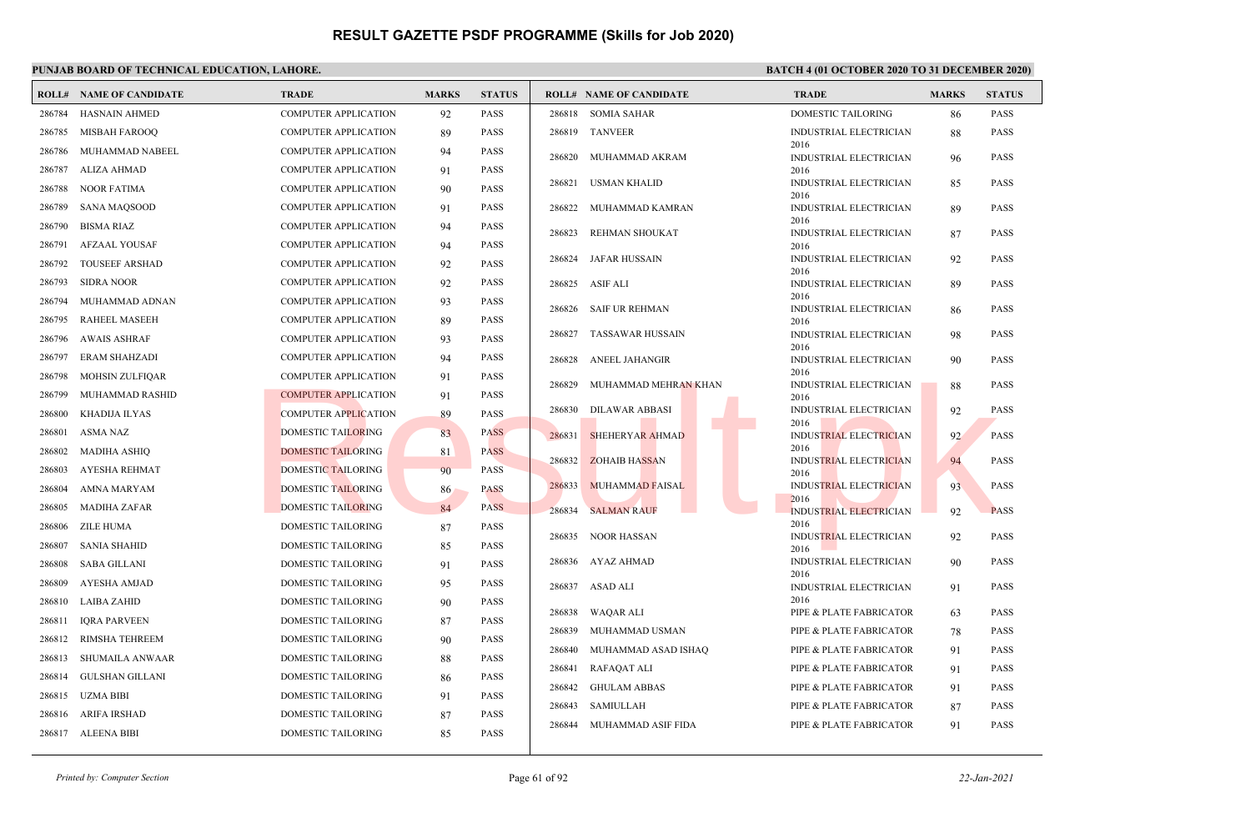|        | <b>ROLL# NAME OF CANDIDATE</b> | <b>TRADE</b>                | <b>MARKS</b> | <b>STATUS</b> | <b>ROLL# NAME OF CANDIDATE</b>   | <b>TRADE</b>                          | <b>MARKS</b> | <b>STATUS</b> |
|--------|--------------------------------|-----------------------------|--------------|---------------|----------------------------------|---------------------------------------|--------------|---------------|
| 286784 | <b>HASNAIN AHMED</b>           | <b>COMPUTER APPLICATION</b> | 92           | <b>PASS</b>   | <b>SOMIA SAHAR</b><br>286818     | DOMESTIC TAILORING                    | 86           | <b>PASS</b>   |
| 286785 | <b>MISBAH FAROOQ</b>           | <b>COMPUTER APPLICATION</b> | 89           | <b>PASS</b>   | 286819<br>TANVEER                | INDUSTRIAL ELECTRICIAN                | 88           | <b>PASS</b>   |
| 286786 | MUHAMMAD NABEEL                | <b>COMPUTER APPLICATION</b> | 94           | <b>PASS</b>   | 286820<br>MUHAMMAD AKRAM         | 2016<br><b>INDUSTRIAL ELECTRICIAN</b> | 96           | <b>PASS</b>   |
| 286787 | <b>ALIZA AHMAD</b>             | <b>COMPUTER APPLICATION</b> | 91           | <b>PASS</b>   |                                  | 2016                                  |              |               |
| 286788 | <b>NOOR FATIMA</b>             | <b>COMPUTER APPLICATION</b> | 90           | <b>PASS</b>   | USMAN KHALID<br>286821           | <b>INDUSTRIAL ELECTRICIAN</b><br>2016 | 85           | <b>PASS</b>   |
| 286789 | <b>SANA MAQSOOD</b>            | <b>COMPUTER APPLICATION</b> | 91           | <b>PASS</b>   | 286822<br>MUHAMMAD KAMRAN        | INDUSTRIAL ELECTRICIAN                | 89           | <b>PASS</b>   |
| 286790 | <b>BISMA RIAZ</b>              | <b>COMPUTER APPLICATION</b> | 94           | <b>PASS</b>   | REHMAN SHOUKAT<br>286823         | 2016<br><b>INDUSTRIAL ELECTRICIAN</b> |              | <b>PASS</b>   |
| 286791 | <b>AFZAAL YOUSAF</b>           | <b>COMPUTER APPLICATION</b> | 94           | <b>PASS</b>   |                                  | 2016                                  | 87           |               |
| 286792 | <b>TOUSEEF ARSHAD</b>          | <b>COMPUTER APPLICATION</b> | 92           | <b>PASS</b>   | 286824<br>JAFAR HUSSAIN          | INDUSTRIAL ELECTRICIAN<br>2016        | 92           | <b>PASS</b>   |
| 286793 | <b>SIDRA NOOR</b>              | <b>COMPUTER APPLICATION</b> | 92           | <b>PASS</b>   | 286825<br>ASIF ALI               | <b>INDUSTRIAL ELECTRICIAN</b>         | 89           | <b>PASS</b>   |
| 286794 | MUHAMMAD ADNAN                 | <b>COMPUTER APPLICATION</b> | 93           | <b>PASS</b>   |                                  | 2016                                  |              |               |
| 286795 | RAHEEL MASEEH                  | <b>COMPUTER APPLICATION</b> | 89           | <b>PASS</b>   | SAIF UR REHMAN<br>286826         | <b>INDUSTRIAL ELECTRICIAN</b><br>2016 | 86           | <b>PASS</b>   |
| 286796 | <b>AWAIS ASHRAF</b>            | <b>COMPUTER APPLICATION</b> | 93           | <b>PASS</b>   | 286827<br>TASSAWAR HUSSAIN       | INDUSTRIAL ELECTRICIAN                | 98           | <b>PASS</b>   |
| 286797 | <b>ERAM SHAHZADI</b>           | <b>COMPUTER APPLICATION</b> | 94           | <b>PASS</b>   | ANEEL JAHANGIR<br>286828         | 2016<br><b>INDUSTRIAL ELECTRICIAN</b> | 90           | <b>PASS</b>   |
| 286798 | <b>MOHSIN ZULFIQAR</b>         | <b>COMPUTER APPLICATION</b> | 91           | <b>PASS</b>   |                                  | 2016                                  |              |               |
| 286799 | MUHAMMAD RASHID                | <b>COMPUTER APPLICATION</b> | 91           | <b>PASS</b>   | 286829<br>MUHAMMAD MEHRAN KHAN   | INDUSTRIAL ELECTRICIAN<br>2016        | 88           | <b>PASS</b>   |
| 286800 | KHADIJA ILYAS                  | <b>COMPUTER APPLICATION</b> | 89           | <b>PASS</b>   | 286830<br>DILAWAR ABBASI         | INDUSTRIAL ELECTRICIAN                | 92           | <b>PASS</b>   |
| 286801 | <b>ASMA NAZ</b>                | DOMESTIC TAILORING          | 83           | <b>PASS</b>   | 286831<br><b>SHEHERYAR AHMAD</b> | 2016<br><b>INDUSTRIAL ELECTRICIAN</b> | 92           | <b>PASS</b>   |
| 286802 | <b>MADIHA ASHIO</b>            | <b>DOMESTIC TAILORING</b>   | 81           | <b>PASS</b>   |                                  | 2016                                  |              |               |
| 286803 | <b>AYESHA REHMAT</b>           | <b>DOMESTIC TAILORING</b>   | 90           | <b>PASS</b>   | 286832<br><b>ZOHAIB HASSAN</b>   | <b>INDUSTRIAL ELECTRICIAN</b><br>2016 | 94           | <b>PASS</b>   |
| 286804 | AMNA MARYAM                    | <b>DOMESTIC TAILORING</b>   | 86           | <b>PASS</b>   | 286833<br>MUHAMMAD FAISAL        | <b>INDUSTRIAL ELECTRICIAN</b>         | 93           | <b>PASS</b>   |
| 286805 | <b>MADIHA ZAFAR</b>            | <b>DOMESTIC TAILORING</b>   | 84           | <b>PASS</b>   | 286834<br><b>SALMAN RAUF</b>     | 2016<br><b>INDUSTRIAL ELECTRICIAN</b> | 92           | <b>PASS</b>   |
| 286806 | ZILE HUMA                      | DOMESTIC TAILORING          | 87           | <b>PASS</b>   |                                  | 2016                                  |              |               |
| 286807 | <b>SANIA SHAHID</b>            | <b>DOMESTIC TAILORING</b>   | 85           | <b>PASS</b>   | NOOR HASSAN<br>286835            | <b>INDUSTRIAL ELECTRICIAN</b><br>2016 | 92           | <b>PASS</b>   |
| 286808 | <b>SABA GILLANI</b>            | <b>DOMESTIC TAILORING</b>   | 91           | <b>PASS</b>   | 286836<br>AYAZ AHMAD             | INDUSTRIAL ELECTRICIAN                | 90           | <b>PASS</b>   |
| 286809 | AYESHA AMJAD                   | DOMESTIC TAILORING          | 95           | <b>PASS</b>   | 286837 ASAD ALI                  | 2016<br><b>INDUSTRIAL ELECTRICIAN</b> | 91           | <b>PASS</b>   |
| 286810 | LAIBA ZAHID                    | <b>DOMESTIC TAILORING</b>   | 90           | <b>PASS</b>   |                                  | 2016                                  |              |               |
| 286811 | <b>IQRA PARVEEN</b>            | DOMESTIC TAILORING          | 87           | <b>PASS</b>   | 286838<br>WAQAR ALI              | PIPE & PLATE FABRICATOR               | 63           | <b>PASS</b>   |
| 286812 | RIMSHA TEHREEM                 | <b>DOMESTIC TAILORING</b>   | 90           | <b>PASS</b>   | 286839<br>MUHAMMAD USMAN         | PIPE & PLATE FABRICATOR               | 78           | <b>PASS</b>   |
| 286813 | SHUMAILA ANWAAR                | DOMESTIC TAILORING          | 88           | <b>PASS</b>   | 286840<br>MUHAMMAD ASAD ISHAQ    | PIPE & PLATE FABRICATOR               | 91           | <b>PASS</b>   |
| 286814 | <b>GULSHAN GILLANI</b>         | <b>DOMESTIC TAILORING</b>   | 86           | <b>PASS</b>   | 286841<br>RAFAQAT ALI            | PIPE & PLATE FABRICATOR               | 91           | <b>PASS</b>   |
|        | 286815 UZMA BIBI               | DOMESTIC TAILORING          | 91           | <b>PASS</b>   | 286842<br><b>GHULAM ABBAS</b>    | PIPE & PLATE FABRICATOR               | 91           | <b>PASS</b>   |
| 286816 | <b>ARIFA IRSHAD</b>            | DOMESTIC TAILORING          | 87           | <b>PASS</b>   | <b>SAMIULLAH</b><br>286843       | PIPE & PLATE FABRICATOR               | 87           | <b>PASS</b>   |
|        | 286817 ALEENA BIBI             | DOMESTIC TAILORING          | 85           | <b>PASS</b>   | 286844<br>MUHAMMAD ASIF FIDA     | PIPE & PLATE FABRICATOR               | 91           | <b>PASS</b>   |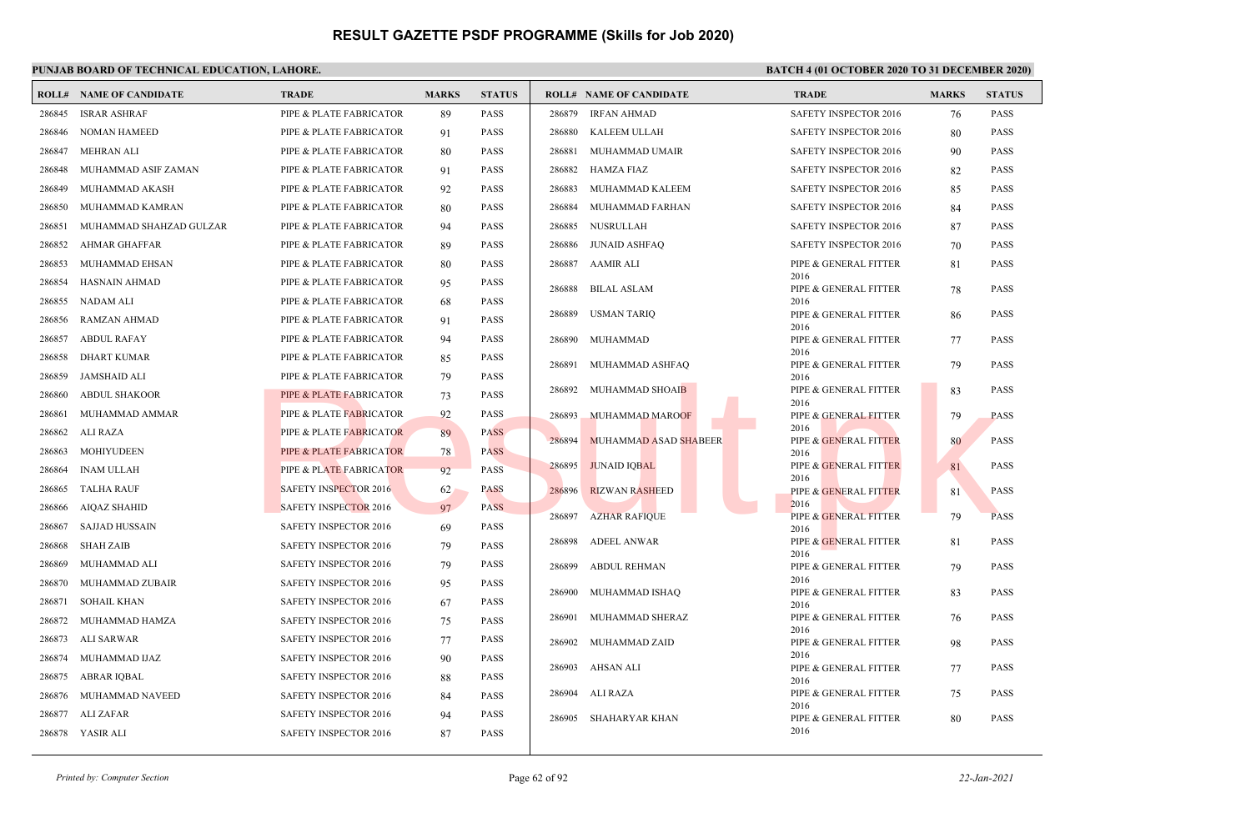|        | <b>ROLL# NAME OF CANDIDATE</b> | <b>TRADE</b>                 | <b>MARKS</b> | <b>STATUS</b> |                     | <b>ROLL# NAME OF CANDIDATE</b> | <b>TRADE</b>                  | <b>MARKS</b> | <b>STATUS</b> |
|--------|--------------------------------|------------------------------|--------------|---------------|---------------------|--------------------------------|-------------------------------|--------------|---------------|
| 286845 | <b>ISRAR ASHRAF</b>            | PIPE & PLATE FABRICATOR      | 89           | <b>PASS</b>   | 286879              | IRFAN AHMAD                    | <b>SAFETY INSPECTOR 2016</b>  | 76           | <b>PASS</b>   |
| 286846 | NOMAN HAMEED                   | PIPE & PLATE FABRICATOR      | 91           | <b>PASS</b>   | 286880              | <b>KALEEM ULLAH</b>            | <b>SAFETY INSPECTOR 2016</b>  | 80           | <b>PASS</b>   |
| 286847 | <b>MEHRAN ALI</b>              | PIPE & PLATE FABRICATOR      | 80           | <b>PASS</b>   | 286881              | MUHAMMAD UMAIR                 | SAFETY INSPECTOR 2016         | 90           | <b>PASS</b>   |
| 286848 | MUHAMMAD ASIF ZAMAN            | PIPE & PLATE FABRICATOR      | 91           | <b>PASS</b>   | 286882              | HAMZA FIAZ                     | SAFETY INSPECTOR 2016         | 82           | <b>PASS</b>   |
| 286849 | MUHAMMAD AKASH                 | PIPE & PLATE FABRICATOR      | 92           | <b>PASS</b>   | 286883              | MUHAMMAD KALEEM                | <b>SAFETY INSPECTOR 2016</b>  | 85           | <b>PASS</b>   |
| 286850 | MUHAMMAD KAMRAN                | PIPE & PLATE FABRICATOR      | 80           | <b>PASS</b>   | 286884              | MUHAMMAD FARHAN                | SAFETY INSPECTOR 2016         | 84           | <b>PASS</b>   |
| 286851 | MUHAMMAD SHAHZAD GULZAR        | PIPE & PLATE FABRICATOR      | 94           | <b>PASS</b>   | 286885              | NUSRULLAH                      | <b>SAFETY INSPECTOR 2016</b>  | 87           | <b>PASS</b>   |
| 286852 | AHMAR GHAFFAR                  | PIPE & PLATE FABRICATOR      | 89           | PASS          | 286886              | JUNAID ASHFAO                  | <b>SAFETY INSPECTOR 2016</b>  | 70           | <b>PASS</b>   |
| 286853 | MUHAMMAD EHSAN                 | PIPE & PLATE FABRICATOR      | 80           | PASS          | 286887              | AAMIR ALI                      | PIPE & GENERAL FITTER         | 81           | <b>PASS</b>   |
| 286854 | HASNAIN AHMAD                  | PIPE & PLATE FABRICATOR      | 95           | <b>PASS</b>   | 286888              | <b>BILAL ASLAM</b>             | 2016<br>PIPE & GENERAL FITTER | 78           | <b>PASS</b>   |
| 286855 | NADAM ALI                      | PIPE & PLATE FABRICATOR      | 68           | <b>PASS</b>   |                     |                                | 2016                          |              |               |
| 286856 | RAMZAN AHMAD                   | PIPE & PLATE FABRICATOR      | 91           | <b>PASS</b>   | 286889              | <b>USMAN TARIQ</b>             | PIPE & GENERAL FITTER<br>2016 | 86           | <b>PASS</b>   |
| 286857 | <b>ABDUL RAFAY</b>             | PIPE & PLATE FABRICATOR      | 94           | <b>PASS</b>   | 286890              | MUHAMMAD                       | PIPE & GENERAL FITTER         | 77           | <b>PASS</b>   |
| 286858 | <b>DHART KUMAR</b>             | PIPE & PLATE FABRICATOR      | 85           | <b>PASS</b>   | 286891              | MUHAMMAD ASHFAQ                | 2016<br>PIPE & GENERAL FITTER | 79           | <b>PASS</b>   |
| 286859 | JAMSHAID ALI                   | PIPE & PLATE FABRICATOR      | 79           | <b>PASS</b>   |                     |                                | 2016                          |              |               |
| 286860 | <b>ABDUL SHAKOOR</b>           | PIPE & PLATE FABRICATOR      | 73           | <b>PASS</b>   | 286892              | MUHAMMAD SHOAIB                | PIPE & GENERAL FITTER<br>2016 | 83           | <b>PASS</b>   |
| 286861 | MUHAMMAD AMMAR                 | PIPE & PLATE FABRICATOR      | 92           | <b>PASS</b>   | 286893              | MUHAMMAD MAROOF                | PIPE & GENERAL FITTER         | 79           | <b>PASS</b>   |
| 286862 | ALI RAZA                       | PIPE & PLATE FABRICATOR      | 89           | PASS          | 286894              | MUHAMMAD ASAD SHABEER          | 2016<br>PIPE & GENERAL FITTER |              | <b>PASS</b>   |
| 286863 | <b>MOHIYUDEEN</b>              | PIPE & PLATE FABRICATOR      | 78           | <b>PASS</b>   |                     |                                | 2016                          | 80           |               |
| 286864 | <b>INAM ULLAH</b>              | PIPE & PLATE FABRICATOR      | 92           | <b>PASS</b>   | 286895              | <b>JUNAID IQBAL</b>            | PIPE & GENERAL FITTER         | 81           | <b>PASS</b>   |
| 286865 | TALHA RAUF                     | <b>SAFETY INSPECTOR 2016</b> | 62           | <b>PASS</b>   | 286896              | <b>RIZWAN RASHEED</b>          | 2016<br>PIPE & GENERAL FITTER | 81           | <b>PASS</b>   |
| 286866 | AIQAZ SHAHID                   | <b>SAFETY INSPECTOR 2016</b> | 97           | <b>PASS</b>   | 286897              |                                | 2016                          |              | <b>PASS</b>   |
| 286867 | SAJJAD HUSSAIN                 | <b>SAFETY INSPECTOR 2016</b> | 69           | <b>PASS</b>   |                     | <b>AZHAR RAFIQUE</b>           | PIPE & GENERAL FITTER<br>2016 | 79           |               |
| 286868 | <b>SHAH ZAIB</b>               | <b>SAFETY INSPECTOR 2016</b> | 79           | <b>PASS</b>   | 286898              | <b>ADEEL ANWAR</b>             | PIPE & GENERAL FITTER         | 81           | <b>PASS</b>   |
| 286869 | MUHAMMAD ALI                   | SAFETY INSPECTOR 2016        | 79           | <b>PASS</b>   | 286899              | ABDUL REHMAN                   | 2016<br>PIPE & GENERAL FITTER | 79           | <b>PASS</b>   |
| 286870 | MUHAMMAD ZUBAIR                | <b>SAFETY INSPECTOR 2016</b> | 95           | <b>PASS</b>   |                     |                                | 2016                          |              |               |
| 286871 | <b>SOHAIL KHAN</b>             | <b>SAFETY INSPECTOR 2016</b> | 67           | <b>PASS</b>   | 286900              | MUHAMMAD ISHAQ                 | PIPE & GENERAL FITTER<br>2016 | 83           | <b>PASS</b>   |
| 286872 | MUHAMMAD HAMZA                 | <b>SAFETY INSPECTOR 2016</b> | 75           | <b>PASS</b>   | 286901              | MUHAMMAD SHERAZ                | PIPE & GENERAL FITTER         | 76           | <b>PASS</b>   |
| 286873 | ALI SARWAR                     | SAFETY INSPECTOR 2016        | 77           | <b>PASS</b>   | 286902              | MUHAMMAD ZAID                  | 2016<br>PIPE & GENERAL FITTER | 98           | <b>PASS</b>   |
| 286874 | MUHAMMAD IJAZ                  | <b>SAFETY INSPECTOR 2016</b> | 90           | <b>PASS</b>   |                     |                                | 2016                          |              |               |
| 286875 | <b>ABRAR IQBAL</b>             | SAFETY INSPECTOR 2016        | 88           | <b>PASS</b>   | AHSAN ALI<br>286903 |                                | PIPE & GENERAL FITTER<br>2016 | 77           | <b>PASS</b>   |
| 286876 | MUHAMMAD NAVEED                | SAFETY INSPECTOR 2016        | 84           | <b>PASS</b>   | 286904<br>ALI RAZA  |                                | PIPE & GENERAL FITTER         | 75           | <b>PASS</b>   |
|        | 286877 ALI ZAFAR               | SAFETY INSPECTOR 2016        | 94           | PASS          | 286905              | SHAHARYAR KHAN                 | 2016<br>PIPE & GENERAL FITTER | 80           | <b>PASS</b>   |
|        | 286878 YASIR ALI               | SAFETY INSPECTOR 2016        | 87           | <b>PASS</b>   |                     |                                | 2016                          |              |               |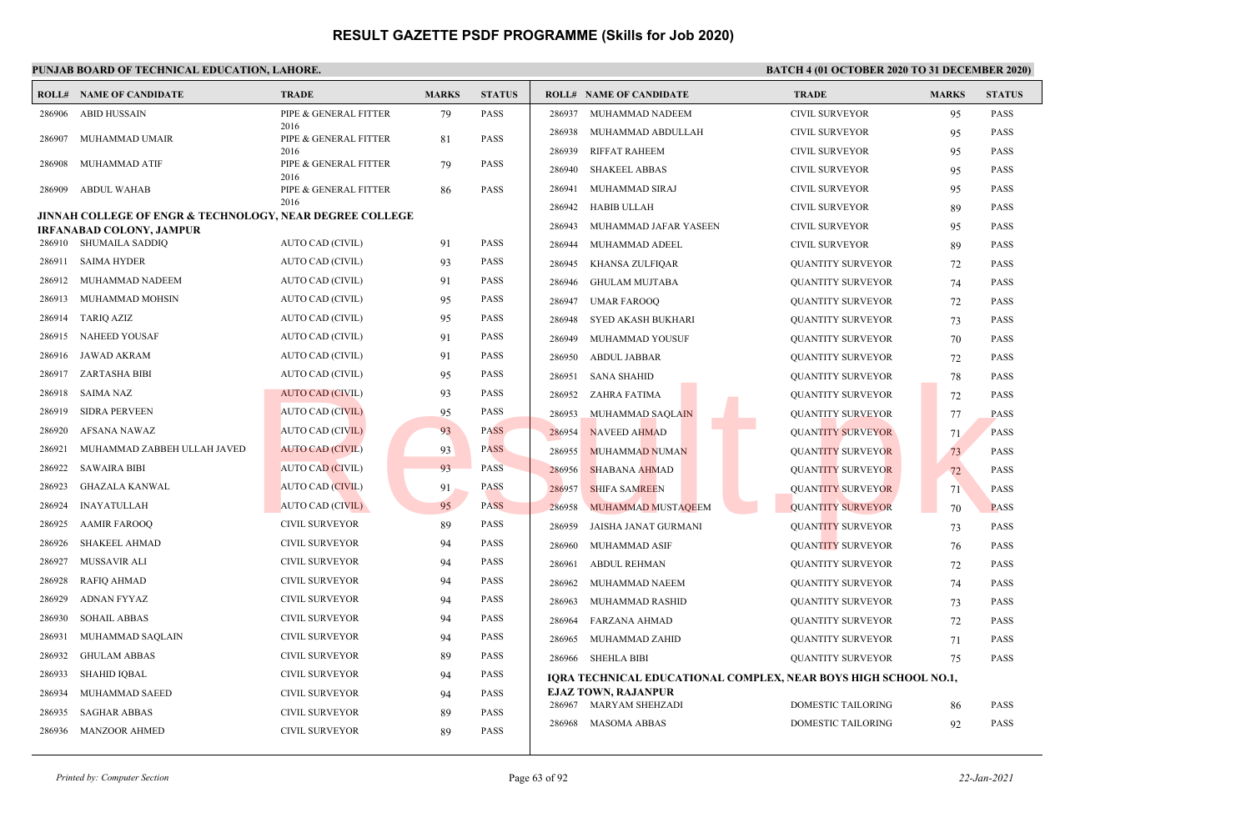|        | <b>ROLL# NAME OF CANDIDATE</b>                                                                  | <b>TRADE</b>                  | <b>MARKS</b> | <b>STATUS</b> | <b>ROLL# NAME OF CANDIDATE</b>                                  | <b>TRADE</b>              | <b>MARKS</b> | <b>STATUS</b> |
|--------|-------------------------------------------------------------------------------------------------|-------------------------------|--------------|---------------|-----------------------------------------------------------------|---------------------------|--------------|---------------|
| 286906 | <b>ABID HUSSAIN</b>                                                                             | PIPE & GENERAL FITTER         | 79           | <b>PASS</b>   | 286937<br>MUHAMMAD NADEEM                                       | <b>CIVIL SURVEYOR</b>     | 95           | <b>PASS</b>   |
| 286907 | MUHAMMAD UMAIR                                                                                  | 2016<br>PIPE & GENERAL FITTER | 81           | <b>PASS</b>   | 286938<br>MUHAMMAD ABDULLAH                                     | <b>CIVIL SURVEYOR</b>     | 95           | <b>PASS</b>   |
|        |                                                                                                 | 2016                          |              |               | 286939<br><b>RIFFAT RAHEEM</b>                                  | <b>CIVIL SURVEYOR</b>     | 95           | <b>PASS</b>   |
| 286908 | MUHAMMAD ATIF                                                                                   | PIPE & GENERAL FITTER<br>2016 | 79           | <b>PASS</b>   | 286940<br><b>SHAKEEL ABBAS</b>                                  | <b>CIVIL SURVEYOR</b>     | 95           | <b>PASS</b>   |
| 286909 | <b>ABDUL WAHAB</b>                                                                              | PIPE & GENERAL FITTER         | 86           | <b>PASS</b>   | 286941<br>MUHAMMAD SIRAJ                                        | <b>CIVIL SURVEYOR</b>     | 95           | <b>PASS</b>   |
|        |                                                                                                 | 2016                          |              |               | 286942<br><b>HABIB ULLAH</b>                                    | <b>CIVIL SURVEYOR</b>     | 89           | <b>PASS</b>   |
|        | <b>JINNAH COLLEGE OF ENGR &amp; TECHNOLOGY, NEAR DEGREE COLLEGE</b><br>IRFANABAD COLONY, JAMPUR |                               |              |               | 286943<br>MUHAMMAD JAFAR YASEEN                                 | <b>CIVIL SURVEYOR</b>     | 95           | PASS          |
|        | 286910 SHUMAILA SADDIQ                                                                          | AUTO CAD (CIVIL)              | 91           | <b>PASS</b>   | 286944<br>MUHAMMAD ADEEL                                        | <b>CIVIL SURVEYOR</b>     | 89           | <b>PASS</b>   |
| 286911 | <b>SAIMA HYDER</b>                                                                              | AUTO CAD (CIVIL)              | 93           | <b>PASS</b>   | 286945<br>KHANSA ZULFIQAR                                       | <b>OUANTITY SURVEYOR</b>  | 72           | <b>PASS</b>   |
| 286912 | MUHAMMAD NADEEM                                                                                 | AUTO CAD (CIVIL)              | 91           | <b>PASS</b>   | 286946<br><b>GHULAM MUJTABA</b>                                 | <b>QUANTITY SURVEYOR</b>  | 74           | <b>PASS</b>   |
| 286913 | MUHAMMAD MOHSIN                                                                                 | AUTO CAD (CIVIL)              | 95           | <b>PASS</b>   | 286947<br><b>UMAR FAROOQ</b>                                    | <b>QUANTITY SURVEYOR</b>  | 72           | PASS          |
| 286914 | <b>TARIO AZIZ</b>                                                                               | <b>AUTO CAD (CIVIL)</b>       | 95           | <b>PASS</b>   | 286948<br>SYED AKASH BUKHARI                                    | <b>QUANTITY SURVEYOR</b>  | 73           | PASS          |
| 286915 | <b>NAHEED YOUSAF</b>                                                                            | AUTO CAD (CIVIL)              | 91           | <b>PASS</b>   | 286949<br>MUHAMMAD YOUSUF                                       | <b>QUANTITY SURVEYOR</b>  | 70           | <b>PASS</b>   |
| 286916 | JAWAD AKRAM                                                                                     | AUTO CAD (CIVIL)              | 91           | <b>PASS</b>   | 286950<br><b>ABDUL JABBAR</b>                                   | <b>QUANTITY SURVEYOR</b>  | 72           | <b>PASS</b>   |
| 286917 | ZARTASHA BIBI                                                                                   | AUTO CAD (CIVIL)              | 95           | <b>PASS</b>   | 286951<br><b>SANA SHAHID</b>                                    | <b>QUANTITY SURVEYOR</b>  | 78           | <b>PASS</b>   |
| 286918 | <b>SAIMA NAZ</b>                                                                                | <b>AUTO CAD (CIVIL)</b>       | 93           | <b>PASS</b>   | 286952<br>ZAHRA FATIMA                                          | <b>QUANTITY SURVEYOR</b>  | 72           | PASS          |
| 286919 | <b>SIDRA PERVEEN</b>                                                                            | <b>AUTO CAD (CIVIL)</b>       | 95           | <b>PASS</b>   | 286953<br>MUHAMMAD SAQLAIN                                      | <b>QUANTITY SURVEYOR</b>  | 77           | <b>PASS</b>   |
| 286920 | AFSANA NAWAZ                                                                                    | <b>AUTO CAD (CIVIL)</b>       | 93           | <b>PASS</b>   | <b>NAVEED AHMAD</b><br>286954                                   | <b>QUANTITY SURVEYOR</b>  | 71           | <b>PASS</b>   |
| 286921 | MUHAMMAD ZABBEH ULLAH JAVED                                                                     | <b>AUTO CAD (CIVIL)</b>       | 93           | <b>PASS</b>   | 286955<br><b>MUHAMMAD NUMAN</b>                                 | <b>QUANTITY SURVEYOR</b>  | 73           | <b>PASS</b>   |
| 286922 | <b>SAWAIRA BIBI</b>                                                                             | AUTO CAD (CIVIL)              | 93           | <b>PASS</b>   | 286956<br><b>SHABANA AHMAD</b>                                  | <b>QUANTITY SURVEYOR</b>  | 72           | <b>PASS</b>   |
| 286923 | <b>GHAZALA KANWAL</b>                                                                           | <b>AUTO CAD (CIVIL)</b>       | 91           | <b>PASS</b>   | 286957<br><b>SHIFA SAMREEN</b>                                  | <b>QUANTITY SURVEYOR</b>  | 71           | <b>PASS</b>   |
| 286924 | <b>INAYATULLAH</b>                                                                              | AUTO CAD (CIVIL)              | 95           | <b>PASS</b>   | 286958<br>MUHAMMAD MUSTAQEEM                                    | <b>QUANTITY SURVEYOR</b>  | 70           | <b>PASS</b>   |
| 286925 | <b>AAMIR FAROOQ</b>                                                                             | CIVIL SURVEYOR                | 89           | <b>PASS</b>   | 286959<br>JAISHA JANAT GURMANI                                  | <b>QUANTITY SURVEYOR</b>  | 73           | PASS          |
| 286926 | <b>SHAKEEL AHMAD</b>                                                                            | <b>CIVIL SURVEYOR</b>         | 94           | <b>PASS</b>   | MUHAMMAD ASIF<br>286960                                         | <b>QUANTITY SURVEYOR</b>  | 76           | <b>PASS</b>   |
| 286927 | MUSSAVIR ALI                                                                                    | CIVIL SURVEYOR                | 94           | <b>PASS</b>   | <b>ABDUL REHMAN</b><br>286961                                   | <b>QUANTITY SURVEYOR</b>  | 72           | <b>PASS</b>   |
| 286928 | <b>RAFIQ AHMAD</b>                                                                              | <b>CIVIL SURVEYOR</b>         | 94           | <b>PASS</b>   | 286962<br>MUHAMMAD NAEEM                                        | <b>QUANTITY SURVEYOR</b>  | 74           | <b>PASS</b>   |
| 286929 | <b>ADNAN FYYAZ</b>                                                                              | <b>CIVIL SURVEYOR</b>         | 94           | <b>PASS</b>   | 286963<br>MUHAMMAD RASHID                                       | <b>QUANTITY SURVEYOR</b>  | 73           | <b>PASS</b>   |
| 286930 | <b>SOHAIL ABBAS</b>                                                                             | <b>CIVIL SURVEYOR</b>         | 94           | <b>PASS</b>   | 286964<br><b>FARZANA AHMAD</b>                                  | <b>QUANTITY SURVEYOR</b>  | 72           | <b>PASS</b>   |
| 286931 | MUHAMMAD SAQLAIN                                                                                | <b>CIVIL SURVEYOR</b>         | 94           | <b>PASS</b>   | 286965<br>MUHAMMAD ZAHID                                        | <b>QUANTITY SURVEYOR</b>  | 71           | <b>PASS</b>   |
| 286932 | <b>GHULAM ABBAS</b>                                                                             | <b>CIVIL SURVEYOR</b>         | 89           | <b>PASS</b>   | 286966<br><b>SHEHLA BIBI</b>                                    | <b>OUANTITY SURVEYOR</b>  | 75           | <b>PASS</b>   |
| 286933 | <b>SHAHID IQBAL</b>                                                                             | <b>CIVIL SURVEYOR</b>         | 94           | <b>PASS</b>   | IQRA TECHNICAL EDUCATIONAL COMPLEX, NEAR BOYS HIGH SCHOOL NO.1, |                           |              |               |
| 286934 | MUHAMMAD SAEED                                                                                  | <b>CIVIL SURVEYOR</b>         | 94           | <b>PASS</b>   | <b>EJAZ TOWN, RAJANPUR</b>                                      |                           |              |               |
| 286935 | <b>SAGHAR ABBAS</b>                                                                             | <b>CIVIL SURVEYOR</b>         | 89           | <b>PASS</b>   | 286967 MARYAM SHEHZADI                                          | DOMESTIC TAILORING        | 86           | PASS          |
| 286936 | <b>MANZOOR AHMED</b>                                                                            | <b>CIVIL SURVEYOR</b>         | 89           | <b>PASS</b>   | <b>MASOMA ABBAS</b><br>286968                                   | <b>DOMESTIC TAILORING</b> | 92           | <b>PASS</b>   |
|        |                                                                                                 |                               |              |               |                                                                 |                           |              |               |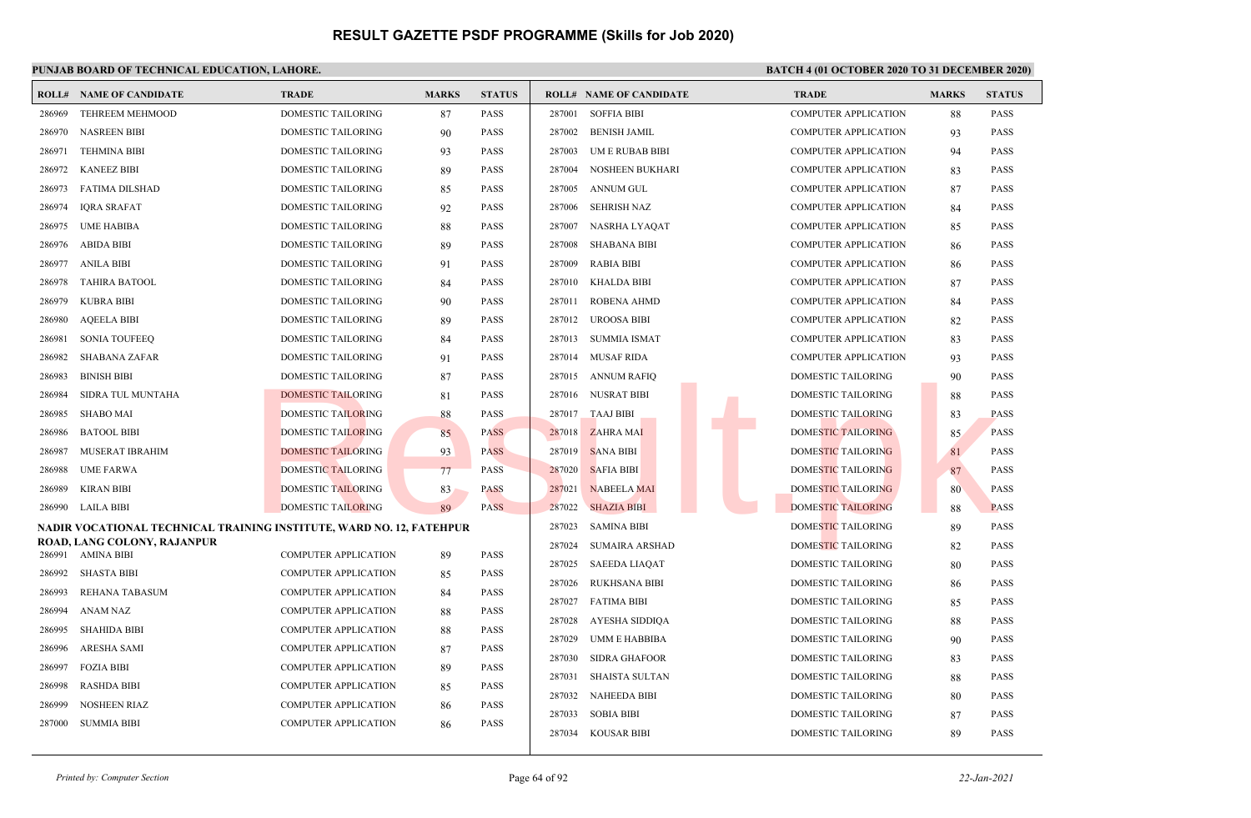|        | <b>ROLL# NAME OF CANDIDATE</b>                                       | <b>TRADE</b>                | <b>MARKS</b> | <b>STATUS</b> |        | <b>ROLL# NAME OF CANDIDATE</b> | <b>TRADE</b>                | <b>MARKS</b> | <b>STATUS</b> |
|--------|----------------------------------------------------------------------|-----------------------------|--------------|---------------|--------|--------------------------------|-----------------------------|--------------|---------------|
| 286969 | <b>TEHREEM MEHMOOD</b>                                               | <b>DOMESTIC TAILORING</b>   | 87           | <b>PASS</b>   | 287001 | <b>SOFFIA BIBI</b>             | <b>COMPUTER APPLICATION</b> | 88           | <b>PASS</b>   |
| 286970 | <b>NASREEN BIBI</b>                                                  | DOMESTIC TAILORING          | 90           | <b>PASS</b>   |        | 287002 BENISH JAMIL            | <b>COMPUTER APPLICATION</b> | 93           | <b>PASS</b>   |
| 286971 | <b>TEHMINA BIBI</b>                                                  | DOMESTIC TAILORING          | 93           | <b>PASS</b>   | 287003 | UM E RUBAB BIBI                | <b>COMPUTER APPLICATION</b> | 94           | <b>PASS</b>   |
| 286972 | KANEEZ BIBI                                                          | DOMESTIC TAILORING          | 89           | <b>PASS</b>   | 287004 | <b>NOSHEEN BUKHARI</b>         | <b>COMPUTER APPLICATION</b> | 83           | <b>PASS</b>   |
| 286973 | FATIMA DILSHAD                                                       | DOMESTIC TAILORING          | 85           | <b>PASS</b>   | 287005 | <b>ANNUM GUL</b>               | <b>COMPUTER APPLICATION</b> | 87           | <b>PASS</b>   |
| 286974 | <b>IQRA SRAFAT</b>                                                   | DOMESTIC TAILORING          | 92           | <b>PASS</b>   | 287006 | <b>SEHRISH NAZ</b>             | <b>COMPUTER APPLICATION</b> | 84           | <b>PASS</b>   |
| 286975 | <b>UME HABIBA</b>                                                    | <b>DOMESTIC TAILORING</b>   | 88           | <b>PASS</b>   | 287007 | NASRHA LYAQAT                  | <b>COMPUTER APPLICATION</b> | 85           | <b>PASS</b>   |
| 286976 | <b>ABIDA BIBI</b>                                                    | DOMESTIC TAILORING          | 89           | <b>PASS</b>   | 287008 | <b>SHABANA BIBI</b>            | <b>COMPUTER APPLICATION</b> | 86           | <b>PASS</b>   |
| 286977 | ANILA BIBI                                                           | DOMESTIC TAILORING          | 91           | <b>PASS</b>   | 287009 | <b>RABIA BIBI</b>              | <b>COMPUTER APPLICATION</b> | 86           | <b>PASS</b>   |
| 286978 | <b>TAHIRA BATOOL</b>                                                 | <b>DOMESTIC TAILORING</b>   | 84           | <b>PASS</b>   | 287010 | <b>KHALDA BIBI</b>             | <b>COMPUTER APPLICATION</b> | 87           | <b>PASS</b>   |
| 286979 | <b>KUBRA BIBI</b>                                                    | DOMESTIC TAILORING          | 90           | <b>PASS</b>   | 287011 | <b>ROBENA AHMD</b>             | <b>COMPUTER APPLICATION</b> | 84           | <b>PASS</b>   |
| 286980 | <b>AQEELA BIBI</b>                                                   | DOMESTIC TAILORING          | 89           | <b>PASS</b>   |        | 287012 UROOSA BIBI             | <b>COMPUTER APPLICATION</b> | 82           | <b>PASS</b>   |
| 286981 | <b>SONIA TOUFEEO</b>                                                 | DOMESTIC TAILORING          | 84           | <b>PASS</b>   |        | 287013 SUMMIA ISMAT            | <b>COMPUTER APPLICATION</b> | 83           | <b>PASS</b>   |
| 286982 | SHABANA ZAFAR                                                        | DOMESTIC TAILORING          | 91           | <b>PASS</b>   |        | 287014 MUSAF RIDA              | <b>COMPUTER APPLICATION</b> | 93           | <b>PASS</b>   |
| 286983 | <b>BINISH BIBI</b>                                                   | DOMESTIC TAILORING          | 87           | <b>PASS</b>   |        | 287015 ANNUM RAFIO             | <b>DOMESTIC TAILORING</b>   | 90           | <b>PASS</b>   |
| 286984 | SIDRA TUL MUNTAHA                                                    | <b>DOMESTIC TAILORING</b>   | 81           | <b>PASS</b>   |        | 287016 NUSRAT BIBI             | <b>DOMESTIC TAILORING</b>   | 88           | <b>PASS</b>   |
| 286985 | <b>SHABO MAI</b>                                                     | <b>DOMESTIC TAILORING</b>   | 88           | <b>PASS</b>   | 287017 | <b>TAAJ BIBI</b>               | DOMESTIC TAILORING          | 83           | <b>PASS</b>   |
| 286986 | <b>BATOOL BIBI</b>                                                   | <b>DOMESTIC TAILORING</b>   | 85           | <b>PASS</b>   | 287018 | <b>ZAHRA MAI</b>               | <b>DOMESTIC TAILORING</b>   | 85           | <b>PASS</b>   |
| 286987 | MUSERAT IBRAHIM                                                      | <b>DOMESTIC TAILORING</b>   | 93           | <b>PASS</b>   | 287019 | <b>SANA BIBI</b>               | DOMESTIC TAILORING          | 81           | <b>PASS</b>   |
| 286988 | <b>UME FARWA</b>                                                     | <b>DOMESTIC TAILORING</b>   | 77           | <b>PASS</b>   | 287020 | <b>SAFIA BIBI</b>              | <b>DOMESTIC TAILORING</b>   | 87           | <b>PASS</b>   |
| 286989 | <b>KIRAN BIBI</b>                                                    | <b>DOMESTIC TAILORING</b>   | 83           | <b>PASS</b>   | 287021 | <b>NABEELA MAI</b>             | DOMESTIC TAILORING          | 80           | <b>PASS</b>   |
|        | 286990 LAILA BIBI                                                    | <b>DOMESTIC TAILORING</b>   | 89           | <b>PASS</b>   | 287022 | <b>SHAZIA BIBI</b>             | <b>DOMESTIC TAILORING</b>   | 88           | <b>PASS</b>   |
|        | NADIR VOCATIONAL TECHNICAL TRAINING INSTITUTE, WARD NO. 12, FATEHPUR |                             |              |               | 287023 | <b>SAMINA BIBI</b>             | DOMESTIC TAILORING          | 89           | <b>PASS</b>   |
|        | ROAD, LANG COLONY, RAJANPUR<br>286991 AMINA BIBI                     | <b>COMPUTER APPLICATION</b> | 89           | <b>PASS</b>   | 287024 | <b>SUMAIRA ARSHAD</b>          | DOMESTIC TAILORING          | 82           | <b>PASS</b>   |
| 286992 | <b>SHASTA BIBI</b>                                                   | <b>COMPUTER APPLICATION</b> | 85           | <b>PASS</b>   | 287025 | SAEEDA LIAQAT                  | DOMESTIC TAILORING          | 80           | <b>PASS</b>   |
| 286993 | <b>REHANA TABASUM</b>                                                | <b>COMPUTER APPLICATION</b> | 84           | <b>PASS</b>   | 287026 | <b>RUKHSANA BIBI</b>           | <b>DOMESTIC TAILORING</b>   | 86           | <b>PASS</b>   |
| 286994 | <b>ANAM NAZ</b>                                                      | <b>COMPUTER APPLICATION</b> | 88           | <b>PASS</b>   | 287027 | <b>FATIMA BIBI</b>             | <b>DOMESTIC TAILORING</b>   | 85           | <b>PASS</b>   |
| 286995 | <b>SHAHIDA BIBI</b>                                                  | <b>COMPUTER APPLICATION</b> | 88           | <b>PASS</b>   | 287028 | AYESHA SIDDIQA                 | <b>DOMESTIC TAILORING</b>   | 88           | <b>PASS</b>   |
| 286996 | ARESHA SAMI                                                          | COMPUTER APPLICATION        | 87           | <b>PASS</b>   | 287029 | <b>UMM E HABBIBA</b>           | <b>DOMESTIC TAILORING</b>   | 90           | <b>PASS</b>   |
| 286997 | <b>FOZIA BIBI</b>                                                    | <b>COMPUTER APPLICATION</b> | 89           | <b>PASS</b>   | 287030 | <b>SIDRA GHAFOOR</b>           | DOMESTIC TAILORING          | 83           | <b>PASS</b>   |
| 286998 | <b>RASHDA BIBI</b>                                                   | <b>COMPUTER APPLICATION</b> | 85           | <b>PASS</b>   | 287031 | <b>SHAISTA SULTAN</b>          | <b>DOMESTIC TAILORING</b>   | 88           | <b>PASS</b>   |
| 286999 | <b>NOSHEEN RIAZ</b>                                                  | <b>COMPUTER APPLICATION</b> | 86           | <b>PASS</b>   | 287032 | <b>NAHEEDA BIBI</b>            | <b>DOMESTIC TAILORING</b>   | 80           | <b>PASS</b>   |
| 287000 | <b>SUMMIA BIBI</b>                                                   | <b>COMPUTER APPLICATION</b> | 86           | <b>PASS</b>   | 287033 | <b>SOBIA BIBI</b>              | <b>DOMESTIC TAILORING</b>   | 87           | <b>PASS</b>   |
|        |                                                                      |                             |              |               |        | 287034 KOUSAR BIBI             | <b>DOMESTIC TAILORING</b>   | 89           | <b>PASS</b>   |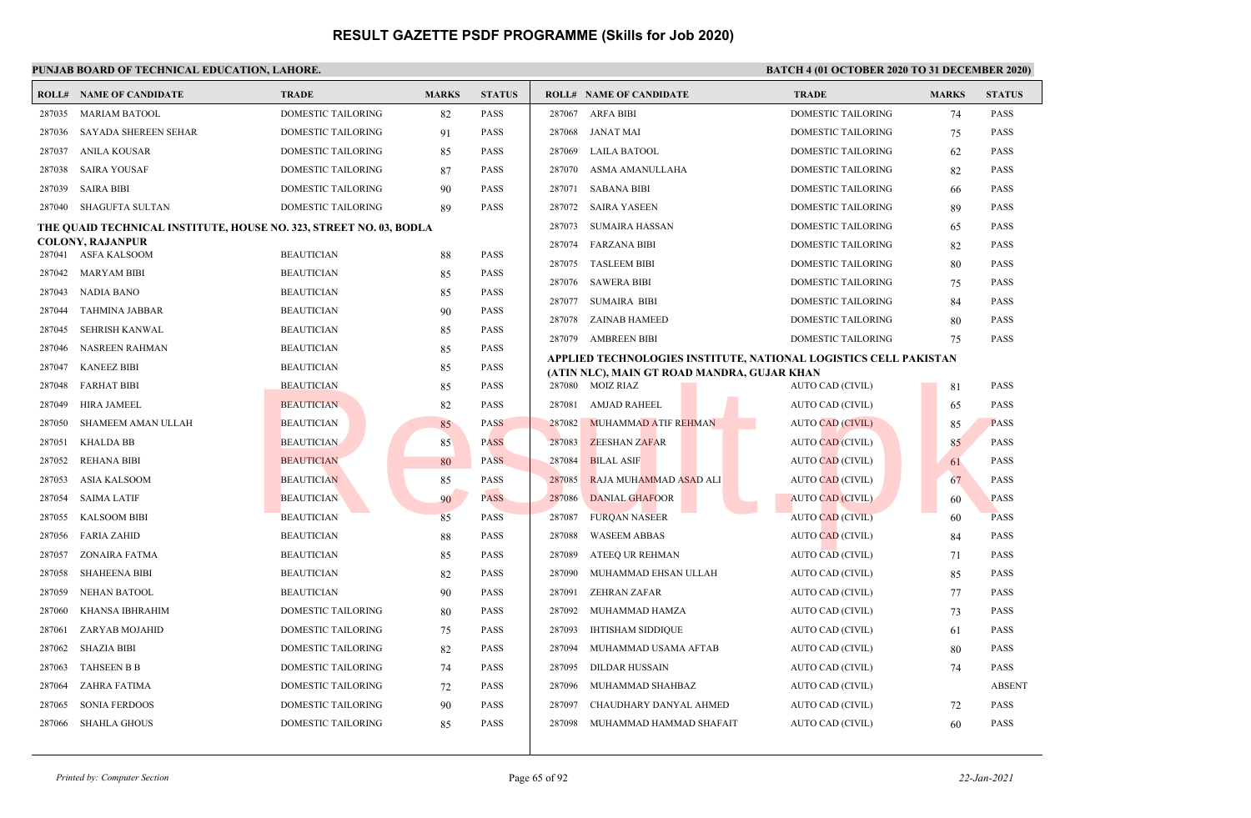|        | <b>ROLL# NAME OF CANDIDATE</b>                                     | <b>TRADE</b>              | <b>MARKS</b> | <b>STATUS</b> |        | <b>ROLL# NAME OF CANDIDATE</b>                                   | <b>TRADE</b>              | <b>MARKS</b> | <b>STATUS</b> |
|--------|--------------------------------------------------------------------|---------------------------|--------------|---------------|--------|------------------------------------------------------------------|---------------------------|--------------|---------------|
| 287035 | <b>MARIAM BATOOL</b>                                               | DOMESTIC TAILORING        | 82           | <b>PASS</b>   |        | 287067 ARFA BIBI                                                 | DOMESTIC TAILORING        | 74           | <b>PASS</b>   |
| 287036 | <b>SAYADA SHEREEN SEHAR</b>                                        | DOMESTIC TAILORING        | 91           | <b>PASS</b>   | 287068 | <b>JANAT MAI</b>                                                 | <b>DOMESTIC TAILORING</b> | 75           | <b>PASS</b>   |
| 287037 | ANILA KOUSAR                                                       | DOMESTIC TAILORING        | 85           | <b>PASS</b>   | 287069 | <b>LAILA BATOOL</b>                                              | <b>DOMESTIC TAILORING</b> | 62           | <b>PASS</b>   |
| 287038 | <b>SAIRA YOUSAF</b>                                                | DOMESTIC TAILORING        | 87           | <b>PASS</b>   | 287070 | ASMA AMANULLAHA                                                  | <b>DOMESTIC TAILORING</b> | 82           | <b>PASS</b>   |
| 287039 | <b>SAIRA BIBI</b>                                                  | DOMESTIC TAILORING        | 90           | <b>PASS</b>   |        | 287071 SABANA BIBI                                               | DOMESTIC TAILORING        | 66           | <b>PASS</b>   |
| 287040 | SHAGUFTA SULTAN                                                    | DOMESTIC TAILORING        | 89           | <b>PASS</b>   |        | 287072 SAIRA YASEEN                                              | <b>DOMESTIC TAILORING</b> | 89           | <b>PASS</b>   |
|        | THE QUAID TECHNICAL INSTITUTE, HOUSE NO. 323, STREET NO. 03, BODLA |                           |              |               | 287073 | <b>SUMAIRA HASSAN</b>                                            | DOMESTIC TAILORING        | 65           | <b>PASS</b>   |
|        | <b>COLONY, RAJANPUR</b><br>287041 ASFA KALSOOM                     | <b>BEAUTICIAN</b>         | 88           | <b>PASS</b>   | 287074 | <b>FARZANA BIBI</b>                                              | DOMESTIC TAILORING        | 82           | <b>PASS</b>   |
| 287042 | <b>MARYAM BIBI</b>                                                 | <b>BEAUTICIAN</b>         | 85           | <b>PASS</b>   | 287075 | <b>TASLEEM BIBI</b>                                              | <b>DOMESTIC TAILORING</b> | 80           | <b>PASS</b>   |
| 287043 | <b>NADIA BANO</b>                                                  | <b>BEAUTICIAN</b>         | 85           | <b>PASS</b>   | 287076 | <b>SAWERA BIBI</b>                                               | <b>DOMESTIC TAILORING</b> | 75           | <b>PASS</b>   |
| 287044 | <b>TAHMINA JABBAR</b>                                              | <b>BEAUTICIAN</b>         | 90           | <b>PASS</b>   | 287077 | <b>SUMAIRA BIBI</b>                                              | DOMESTIC TAILORING        | 84           | <b>PASS</b>   |
| 287045 | SEHRISH KANWAL                                                     | <b>BEAUTICIAN</b>         | 85           | <b>PASS</b>   | 287078 | ZAINAB HAMEED                                                    | <b>DOMESTIC TAILORING</b> | 80           | <b>PASS</b>   |
| 287046 | <b>NASREEN RAHMAN</b>                                              | <b>BEAUTICIAN</b>         | 85           | <b>PASS</b>   | 287079 | <b>AMBREEN BIBI</b>                                              | <b>DOMESTIC TAILORING</b> | 75           | <b>PASS</b>   |
| 287047 | <b>KANEEZ BIBI</b>                                                 | <b>BEAUTICIAN</b>         | 85           | <b>PASS</b>   |        | APPLIED TECHNOLOGIES INSTITUTE, NATIONAL LOGISTICS CELL PAKISTAN |                           |              |               |
| 287048 | <b>FARHAT BIBI</b>                                                 | <b>BEAUTICIAN</b>         | 85           | <b>PASS</b>   |        | (ATIN NLC), MAIN GT ROAD MANDRA, GUJAR KHAN<br>287080 MOIZ RIAZ  | AUTO CAD (CIVIL)          | 81           | <b>PASS</b>   |
| 287049 | HIRA JAMEEL                                                        | <b>BEAUTICIAN</b>         | 82           | <b>PASS</b>   | 287081 | <b>AMJAD RAHEEL</b>                                              | AUTO CAD (CIVIL)          | 65           | <b>PASS</b>   |
| 287050 | <b>SHAMEEM AMAN ULLAH</b>                                          | <b>BEAUTICIAN</b>         | 85           | <b>PASS</b>   | 287082 | <b>MUHAMMAD ATIF REHMAN</b>                                      | <b>AUTO CAD (CIVIL)</b>   | 85           | <b>PASS</b>   |
| 287051 | <b>KHALDA BB</b>                                                   | <b>BEAUTICIAN</b>         | 85           | <b>PASS</b>   | 287083 | <b>ZEESHAN ZAFAR</b>                                             | <b>AUTO CAD (CIVIL)</b>   | 85           | <b>PASS</b>   |
| 287052 | <b>REHANA BIBI</b>                                                 | <b>BEAUTICIAN</b>         | 80           | <b>PASS</b>   | 287084 | <b>BILAL ASIF</b>                                                | <b>AUTO CAD (CIVIL)</b>   | 61           | <b>PASS</b>   |
| 287053 | <b>ASIA KALSOOM</b>                                                | <b>BEAUTICIAN</b>         | 85           | <b>PASS</b>   | 287085 | RAJA MUHAMMAD ASAD ALI                                           | <b>AUTO CAD (CIVIL)</b>   | 67           | <b>PASS</b>   |
| 287054 | <b>SAIMA LATIF</b>                                                 | <b>BEAUTICIAN</b>         | 90           | <b>PASS</b>   | 287086 | <b>DANIAL GHAFOOR</b>                                            | <b>AUTO CAD (CIVIL)</b>   | 60           | <b>PASS</b>   |
| 287055 | <b>KALSOOM BIBI</b>                                                | <b>BEAUTICIAN</b>         | 85           | <b>PASS</b>   | 287087 | <b>FURQAN NASEER</b>                                             | <b>AUTO CAD (CIVIL)</b>   | 60           | <b>PASS</b>   |
| 287056 | <b>FARIA ZAHID</b>                                                 | <b>BEAUTICIAN</b>         | 88           | <b>PASS</b>   | 287088 | <b>WASEEM ABBAS</b>                                              | <b>AUTO CAD (CIVIL)</b>   | 84           | <b>PASS</b>   |
| 287057 | ZONAIRA FATMA                                                      | <b>BEAUTICIAN</b>         | 85           | <b>PASS</b>   | 287089 | ATEEO UR REHMAN                                                  | AUTO CAD (CIVIL)          | 71           | <b>PASS</b>   |
| 287058 | <b>SHAHEENA BIBI</b>                                               | <b>BEAUTICIAN</b>         | 82           | <b>PASS</b>   | 287090 | MUHAMMAD EHSAN ULLAH                                             | AUTO CAD (CIVIL)          | 85           | <b>PASS</b>   |
| 287059 | NEHAN BATOOL                                                       | <b>BEAUTICIAN</b>         | 90           | <b>PASS</b>   | 287091 | ZEHRAN ZAFAR                                                     | AUTO CAD (CIVIL)          | 77           | <b>PASS</b>   |
| 287060 | <b>KHANSA IBHRAHIM</b>                                             | DOMESTIC TAILORING        | 80           | <b>PASS</b>   | 287092 | MUHAMMAD HAMZA                                                   | AUTO CAD (CIVIL)          | 73           | <b>PASS</b>   |
| 287061 | ZARYAB MOJAHID                                                     | DOMESTIC TAILORING        | 75           | <b>PASS</b>   | 287093 | <b>IHTISHAM SIDDIQUE</b>                                         | AUTO CAD (CIVIL)          | 61           | <b>PASS</b>   |
| 287062 | <b>SHAZIA BIBI</b>                                                 | DOMESTIC TAILORING        | 82           | <b>PASS</b>   | 287094 | MUHAMMAD USAMA AFTAB                                             | AUTO CAD (CIVIL)          | 80           | <b>PASS</b>   |
| 287063 | <b>TAHSEEN B B</b>                                                 | DOMESTIC TAILORING        | 74           | <b>PASS</b>   | 287095 | <b>DILDAR HUSSAIN</b>                                            | AUTO CAD (CIVIL)          | 74           | <b>PASS</b>   |
| 287064 | <b>ZAHRA FATIMA</b>                                                | DOMESTIC TAILORING        | 72           | <b>PASS</b>   | 287096 | MUHAMMAD SHAHBAZ                                                 | AUTO CAD (CIVIL)          |              | <b>ABSENT</b> |
| 287065 | <b>SONIA FERDOOS</b>                                               | DOMESTIC TAILORING        | 90           | <b>PASS</b>   | 287097 | CHAUDHARY DANYAL AHMED                                           | AUTO CAD (CIVIL)          | 72           | <b>PASS</b>   |
| 287066 | <b>SHAHLA GHOUS</b>                                                | <b>DOMESTIC TAILORING</b> | 85           | <b>PASS</b>   | 287098 | MUHAMMAD HAMMAD SHAFAIT                                          | AUTO CAD (CIVIL)          | 60           | <b>PASS</b>   |
|        |                                                                    |                           |              |               |        |                                                                  |                           |              |               |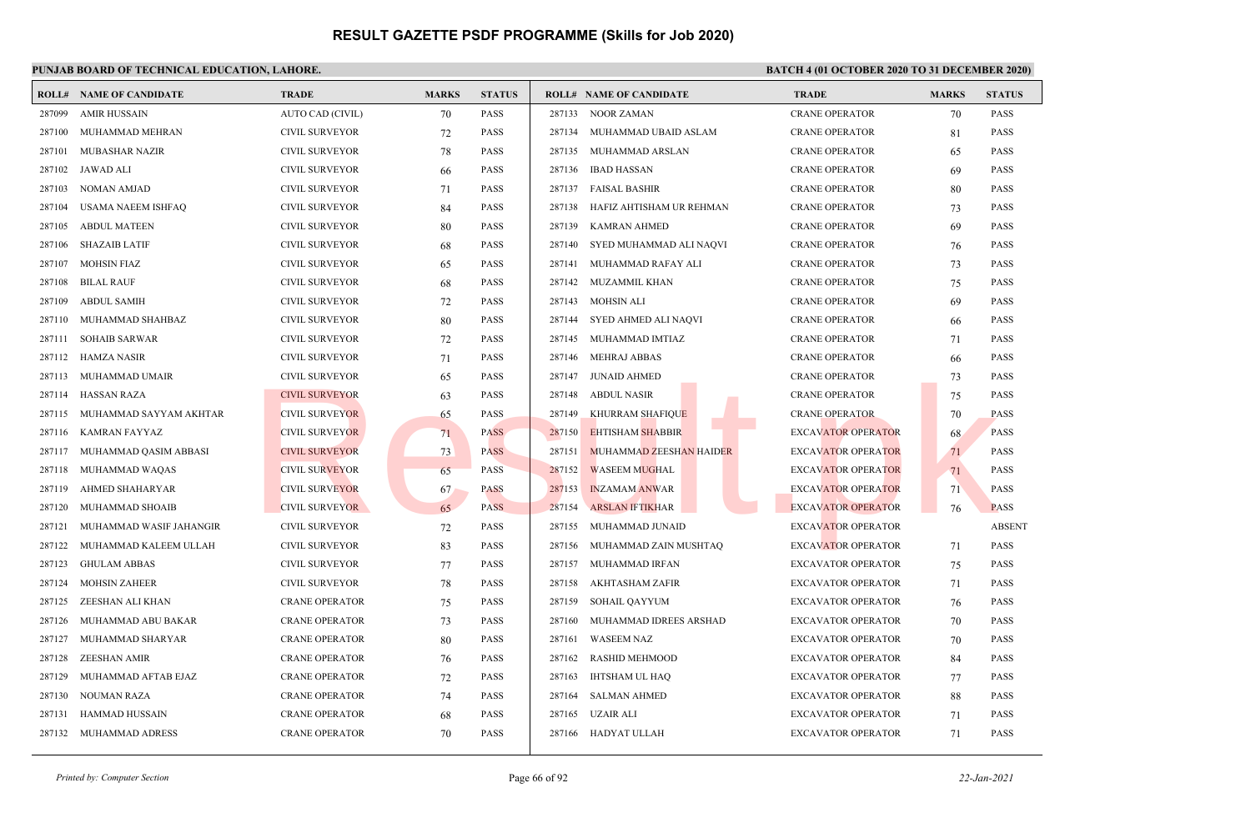### **PUNJAB BOARD OF TECHNICAL EDUCATION, LAHORE. BATCH 4 (01 OCTOBER 2020 TO 31 DECEMBER 2020)**

|        | <b>ROLL# NAME OF CANDIDATE</b> | <b>TRADE</b>          | <b>MARKS</b> | <b>STATUS</b> |                     | <b>ROLL# NAME OF CANDIDATE</b> | <b>TRADE</b>              | <b>MARKS</b> | <b>STATUS</b> |
|--------|--------------------------------|-----------------------|--------------|---------------|---------------------|--------------------------------|---------------------------|--------------|---------------|
| 287099 | <b>AMIR HUSSAIN</b>            | AUTO CAD (CIVIL)      | 70           | <b>PASS</b>   | 287133 NOOR ZAMAN   |                                | <b>CRANE OPERATOR</b>     | 70           | <b>PASS</b>   |
| 287100 | MUHAMMAD MEHRAN                | <b>CIVIL SURVEYOR</b> | 72           | <b>PASS</b>   |                     | 287134 MUHAMMAD UBAID ASLAM    | <b>CRANE OPERATOR</b>     | 81           | <b>PASS</b>   |
| 287101 | MUBASHAR NAZIR                 | <b>CIVIL SURVEYOR</b> | 78           | <b>PASS</b>   |                     | 287135 MUHAMMAD ARSLAN         | <b>CRANE OPERATOR</b>     | 65           | <b>PASS</b>   |
| 287102 | JAWAD ALI                      | <b>CIVIL SURVEYOR</b> | 66           | PASS          | 287136              | IBAD HASSAN                    | <b>CRANE OPERATOR</b>     | 69           | <b>PASS</b>   |
| 287103 | <b>NOMAN AMJAD</b>             | <b>CIVIL SURVEYOR</b> | 71           | PASS          | 287137              | FAISAL BASHIR                  | <b>CRANE OPERATOR</b>     | 80           | <b>PASS</b>   |
| 287104 | USAMA NAEEM ISHFAQ             | <b>CIVIL SURVEYOR</b> | 84           | <b>PASS</b>   | 287138              | HAFIZ AHTISHAM UR REHMAN       | <b>CRANE OPERATOR</b>     | 73           | <b>PASS</b>   |
| 287105 | <b>ABDUL MATEEN</b>            | <b>CIVIL SURVEYOR</b> | 80           | <b>PASS</b>   | 287139              | <b>KAMRAN AHMED</b>            | <b>CRANE OPERATOR</b>     | 69           | <b>PASS</b>   |
| 287106 | <b>SHAZAIB LATIF</b>           | <b>CIVIL SURVEYOR</b> | 68           | PASS          | 287140              | SYED MUHAMMAD ALI NAQVI        | <b>CRANE OPERATOR</b>     | 76           | <b>PASS</b>   |
| 287107 | <b>MOHSIN FIAZ</b>             | <b>CIVIL SURVEYOR</b> | 65           | <b>PASS</b>   | 287141              | MUHAMMAD RAFAY ALI             | <b>CRANE OPERATOR</b>     | 73           | <b>PASS</b>   |
| 287108 | <b>BILAL RAUF</b>              | <b>CIVIL SURVEYOR</b> | 68           | <b>PASS</b>   | 287142              | MUZAMMIL KHAN                  | <b>CRANE OPERATOR</b>     | 75           | <b>PASS</b>   |
| 287109 | <b>ABDUL SAMIH</b>             | <b>CIVIL SURVEYOR</b> | 72           | <b>PASS</b>   | 287143              | <b>MOHSIN ALI</b>              | <b>CRANE OPERATOR</b>     | 69           | <b>PASS</b>   |
| 287110 | MUHAMMAD SHAHBAZ               | <b>CIVIL SURVEYOR</b> | 80           | PASS          | 287144              | SYED AHMED ALI NAQVI           | <b>CRANE OPERATOR</b>     | 66           | <b>PASS</b>   |
| 287111 | <b>SOHAIB SARWAR</b>           | <b>CIVIL SURVEYOR</b> | 72           | <b>PASS</b>   | 287145              | MUHAMMAD IMTIAZ                | <b>CRANE OPERATOR</b>     | 71           | <b>PASS</b>   |
|        | 287112 HAMZA NASIR             | <b>CIVIL SURVEYOR</b> | 71           | <b>PASS</b>   | 287146              | <b>MEHRAJ ABBAS</b>            | <b>CRANE OPERATOR</b>     | 66           | <b>PASS</b>   |
|        | 287113 MUHAMMAD UMAIR          | <b>CIVIL SURVEYOR</b> | 65           | <b>PASS</b>   | 287147 JUNAID AHMED |                                | <b>CRANE OPERATOR</b>     | 73           | <b>PASS</b>   |
|        | 287114 HASSAN RAZA             | <b>CIVIL SURVEYOR</b> | 63           | PASS          | 287148              | <b>ABDUL NASIR</b>             | <b>CRANE OPERATOR</b>     | 75           | <b>PASS</b>   |
| 287115 | MUHAMMAD SAYYAM AKHTAR         | <b>CIVIL SURVEYOR</b> | 65           | <b>PASS</b>   | 287149              | <b>KHURRAM SHAFIQUE</b>        | <b>CRANE OPERATOR</b>     | 70           | <b>PASS</b>   |
| 287116 | KAMRAN FAYYAZ                  | <b>CIVIL SURVEYOR</b> | 71           | <b>PASS</b>   | 287150              | <b>EHTISHAM SHABBIR</b>        | <b>EXCAVATOR OPERATOR</b> | 68           | <b>PASS</b>   |
| 287117 | MUHAMMAD QASIM ABBASI          | <b>CIVIL SURVEYOR</b> | 73           | <b>PASS</b>   | 287151              | MUHAMMAD ZEESHAN HAIDER        | <b>EXCAVATOR OPERATOR</b> | 71           | <b>PASS</b>   |
| 287118 | MUHAMMAD WAQAS                 | <b>CIVIL SURVEYOR</b> | 65           | <b>PASS</b>   | 287152              | <b>WASEEM MUGHAL</b>           | <b>EXCAVATOR OPERATOR</b> | 71           | <b>PASS</b>   |
| 287119 | AHMED SHAHARYAR                | <b>CIVIL SURVEYOR</b> | 67           | <b>PASS</b>   | 287153              | <b>INZAMAM ANWAR</b>           | <b>EXCAVATOR OPERATOR</b> | 71           | <b>PASS</b>   |
| 287120 | MUHAMMAD SHOAIB                | <b>CIVIL SURVEYOR</b> | 65           | <b>PASS</b>   | 287154              | <b>ARSLAN IFTIKHAR</b>         | <b>EXCAVATOR OPERATOR</b> | 76           | <b>PASS</b>   |
| 287121 | MUHAMMAD WASIF JAHANGIR        | <b>CIVIL SURVEYOR</b> | 72           | <b>PASS</b>   | 287155              | MUHAMMAD JUNAID                | <b>EXCAVATOR OPERATOR</b> |              | <b>ABSENT</b> |
| 287122 | MUHAMMAD KALEEM ULLAH          | <b>CIVIL SURVEYOR</b> | 83           | <b>PASS</b>   | 287156              | MUHAMMAD ZAIN MUSHTAQ          | <b>EXCAVATOR OPERATOR</b> | 71           | <b>PASS</b>   |
| 287123 | <b>GHULAM ABBAS</b>            | <b>CIVIL SURVEYOR</b> | 77           | PASS          | 287157              | MUHAMMAD IRFAN                 | <b>EXCAVATOR OPERATOR</b> | 75           | <b>PASS</b>   |
| 287124 | <b>MOHSIN ZAHEER</b>           | <b>CIVIL SURVEYOR</b> | 78           | PASS          | 287158              | AKHTASHAM ZAFIR                | <b>EXCAVATOR OPERATOR</b> | 71           | <b>PASS</b>   |
| 287125 | ZEESHAN ALI KHAN               | <b>CRANE OPERATOR</b> | 75           | <b>PASS</b>   | 287159              | SOHAIL QAYYUM                  | <b>EXCAVATOR OPERATOR</b> | 76           | <b>PASS</b>   |
| 287126 | MUHAMMAD ABU BAKAR             | <b>CRANE OPERATOR</b> | 73           | <b>PASS</b>   | 287160              | MUHAMMAD IDREES ARSHAD         | <b>EXCAVATOR OPERATOR</b> | 70           | <b>PASS</b>   |
| 287127 | MUHAMMAD SHARYAR               | <b>CRANE OPERATOR</b> | 80           | <b>PASS</b>   | 287161              | <b>WASEEM NAZ</b>              | <b>EXCAVATOR OPERATOR</b> | 70           | <b>PASS</b>   |
| 287128 | <b>ZEESHAN AMIR</b>            | <b>CRANE OPERATOR</b> | 76           | PASS          | 287162              | <b>RASHID MEHMOOD</b>          | <b>EXCAVATOR OPERATOR</b> | 84           | <b>PASS</b>   |
| 287129 | MUHAMMAD AFTAB EJAZ            | <b>CRANE OPERATOR</b> | 72           | <b>PASS</b>   | 287163              | IHTSHAM UL HAO                 | <b>EXCAVATOR OPERATOR</b> | 77           | <b>PASS</b>   |
| 287130 | NOUMAN RAZA                    | <b>CRANE OPERATOR</b> | 74           | PASS          | 287164              | <b>SALMAN AHMED</b>            | <b>EXCAVATOR OPERATOR</b> | 88           | <b>PASS</b>   |
| 287131 | HAMMAD HUSSAIN                 | <b>CRANE OPERATOR</b> | 68           | PASS          | 287165              | <b>UZAIR ALI</b>               | <b>EXCAVATOR OPERATOR</b> | 71           | <b>PASS</b>   |
|        | 287132 MUHAMMAD ADRESS         | <b>CRANE OPERATOR</b> | 70           | <b>PASS</b>   | 287166              | HADYAT ULLAH                   | <b>EXCAVATOR OPERATOR</b> | 71           | <b>PASS</b>   |
|        |                                |                       |              |               |                     |                                |                           |              |               |

*Printed by: Computer Section* Page 66 of 92 *22-Jan-2021*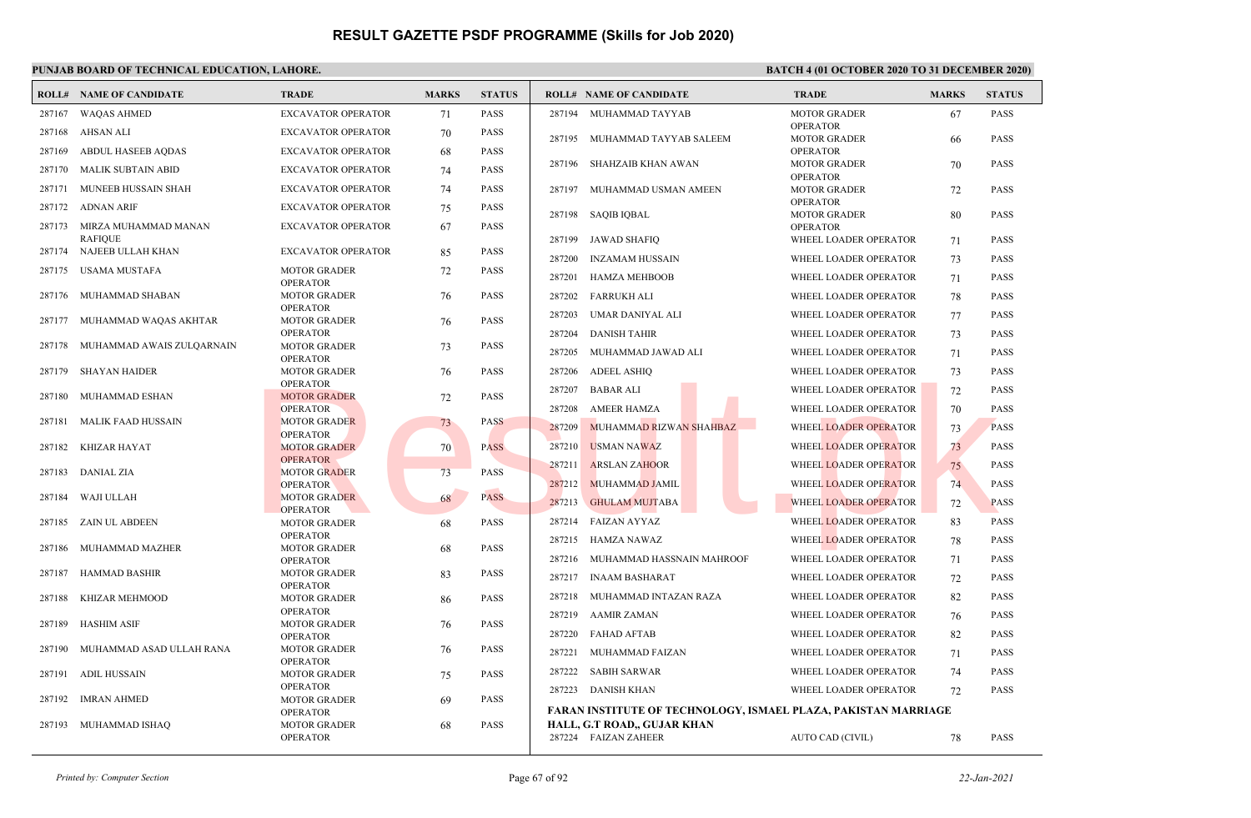|        | <b>ROLL# NAME OF CANDIDATE</b>             | <b>TRADE</b>                           | <b>MARKS</b> | <b>STATUS</b> |        | <b>ROLL# NAME OF CANDIDATE</b>                                        | <b>TRADE</b>                           | <b>MARKS</b> | <b>STATUS</b> |
|--------|--------------------------------------------|----------------------------------------|--------------|---------------|--------|-----------------------------------------------------------------------|----------------------------------------|--------------|---------------|
| 287167 | <b>WAQAS AHMED</b>                         | <b>EXCAVATOR OPERATOR</b>              | 71           | <b>PASS</b>   |        | 287194 MUHAMMAD TAYYAB                                                | <b>MOTOR GRADER</b>                    | 67           | <b>PASS</b>   |
|        | 287168 AHSAN ALI                           | <b>EXCAVATOR OPERATOR</b>              | 70           | <b>PASS</b>   |        | 287195 MUHAMMAD TAYYAB SALEEM                                         | <b>OPERATOR</b><br><b>MOTOR GRADER</b> | -66          | <b>PASS</b>   |
| 287169 | ABDUL HASEEB AQDAS                         | <b>EXCAVATOR OPERATOR</b>              | 68           | <b>PASS</b>   |        |                                                                       | <b>OPERATOR</b>                        |              |               |
| 287170 | MALIK SUBTAIN ABID                         | <b>EXCAVATOR OPERATOR</b>              | 74           | <b>PASS</b>   |        | 287196 SHAHZAIB KHAN AWAN                                             | <b>MOTOR GRADER</b>                    | 70           | <b>PASS</b>   |
| 287171 | MUNEEB HUSSAIN SHAH                        | <b>EXCAVATOR OPERATOR</b>              | 74           | <b>PASS</b>   | 287197 | MUHAMMAD USMAN AMEEN                                                  | <b>OPERATOR</b><br><b>MOTOR GRADER</b> | 72           | <b>PASS</b>   |
|        | 287172 ADNAN ARIF                          | EXCAVATOR OPERATOR                     | 75           | <b>PASS</b>   |        | 287198 SAQIB IQBAL                                                    | <b>OPERATOR</b><br><b>MOTOR GRADER</b> | 80           | <b>PASS</b>   |
|        | 287173 MIRZA MUHAMMAD MANAN                | <b>EXCAVATOR OPERATOR</b>              | 67           | <b>PASS</b>   |        |                                                                       | <b>OPERATOR</b>                        |              |               |
|        | <b>RAFIOUE</b><br>287174 NAJEEB ULLAH KHAN | <b>EXCAVATOR OPERATOR</b>              | 85           | <b>PASS</b>   | 287199 | <b>JAWAD SHAFIQ</b>                                                   | WHEEL LOADER OPERATOR                  | 71           | <b>PASS</b>   |
|        |                                            |                                        |              |               | 287200 | <b>INZAMAM HUSSAIN</b>                                                | WHEEL LOADER OPERATOR                  | 73           | <b>PASS</b>   |
|        | 287175 USAMA MUSTAFA                       | <b>MOTOR GRADER</b><br><b>OPERATOR</b> | 72           | <b>PASS</b>   | 287201 | <b>HAMZA MEHBOOB</b>                                                  | WHEEL LOADER OPERATOR                  | 71           | <b>PASS</b>   |
|        | 287176 MUHAMMAD SHABAN                     | <b>MOTOR GRADER</b>                    | 76           | <b>PASS</b>   | 287202 | FARRUKH ALI                                                           | WHEEL LOADER OPERATOR                  | 78           | <b>PASS</b>   |
|        | 287177 MUHAMMAD WAQAS AKHTAR               | <b>OPERATOR</b><br><b>MOTOR GRADER</b> | 76           | <b>PASS</b>   | 287203 | UMAR DANIYAL ALI                                                      | WHEEL LOADER OPERATOR                  | 77           | <b>PASS</b>   |
|        |                                            | <b>OPERATOR</b>                        |              |               | 287204 | <b>DANISH TAHIR</b>                                                   | WHEEL LOADER OPERATOR                  | 73           | <b>PASS</b>   |
|        | 287178 MUHAMMAD AWAIS ZULQARNAIN           | <b>MOTOR GRADER</b><br><b>OPERATOR</b> | 73           | <b>PASS</b>   | 287205 | MUHAMMAD JAWAD ALI                                                    | WHEEL LOADER OPERATOR                  | 71           | <b>PASS</b>   |
| 287179 | <b>SHAYAN HAIDER</b>                       | <b>MOTOR GRADER</b>                    | 76           | <b>PASS</b>   | 287206 | <b>ADEEL ASHIQ</b>                                                    | WHEEL LOADER OPERATOR                  | 73           | <b>PASS</b>   |
| 287180 |                                            | <b>OPERATOR</b>                        |              | <b>PASS</b>   | 287207 | <b>BABAR ALI</b>                                                      | WHEEL LOADER OPERATOR                  | 72           | <b>PASS</b>   |
|        | MUHAMMAD ESHAN                             | <b>MOTOR GRADER</b><br><b>OPERATOR</b> | 72           |               | 287208 | <b>AMEER HAMZA</b>                                                    | WHEEL LOADER OPERATOR                  | 70           | <b>PASS</b>   |
| 287181 | MALIK FAAD HUSSAIN                         | <b>MOTOR GRADER</b>                    | 73           | <b>PASS</b>   | 287209 | MUHAMMAD RIZWAN SHAHBAZ                                               | WHEEL LOADER OPERATOR                  | 73           | <b>PASS</b>   |
|        | 287182 KHIZAR HAYAT                        | <b>OPERATOR</b><br><b>MOTOR GRADER</b> | 70           | <b>PASS</b>   | 287210 | <b>USMAN NAWAZ</b>                                                    | WHEEL LOADER OPERATOR                  | 73           | <b>PASS</b>   |
|        |                                            | <b>OPERATOR</b>                        |              |               | 287211 | <b>ARSLAN ZAHOOR</b>                                                  | WHEEL LOADER OPERATOR                  | 75           | <b>PASS</b>   |
| 287183 | DANIAL ZIA                                 | <b>MOTOR GRADER</b>                    | 73           | <b>PASS</b>   |        |                                                                       |                                        |              |               |
| 287184 | WAJI ULLAH                                 | <b>OPERATOR</b><br><b>MOTOR GRADER</b> | 68           | <b>PASS</b>   | 287212 | MUHAMMAD JAMIL                                                        | WHEEL LOADER OPERATOR                  | 74           | <b>PASS</b>   |
|        |                                            | <b>OPERATOR</b>                        |              |               | 287213 | <b>GHULAM MUJTABA</b>                                                 | <b>WHEEL LOADER OPERATOR</b>           | 72           | <b>PASS</b>   |
|        | 287185 ZAIN UL ABDEEN                      | <b>MOTOR GRADER</b>                    | 68           | <b>PASS</b>   | 287214 | FAIZAN AYYAZ                                                          | WHEEL LOADER OPERATOR                  | 83           | <b>PASS</b>   |
| 287186 | MUHAMMAD MAZHER                            | <b>OPERATOR</b><br><b>MOTOR GRADER</b> | 68           | <b>PASS</b>   | 287215 | <b>HAMZA NAWAZ</b>                                                    | WHEEL LOADER OPERATOR                  | 78           | <b>PASS</b>   |
|        |                                            | <b>OPERATOR</b>                        |              |               | 287216 | MUHAMMAD HASSNAIN MAHROOF                                             | WHEEL LOADER OPERATOR                  | 71           | <b>PASS</b>   |
| 287187 | HAMMAD BASHIR                              | <b>MOTOR GRADER</b>                    | 83           | <b>PASS</b>   | 287217 | <b>INAAM BASHARAT</b>                                                 | WHEEL LOADER OPERATOR                  | 72           | <b>PASS</b>   |
| 287188 | KHIZAR MEHMOOD                             | <b>OPERATOR</b><br><b>MOTOR GRADER</b> | 86           | <b>PASS</b>   | 287218 | MUHAMMAD INTAZAN RAZA                                                 | WHEEL LOADER OPERATOR                  | 82           | <b>PASS</b>   |
|        |                                            | <b>OPERATOR</b>                        |              |               | 287219 | AAMIR ZAMAN                                                           | WHEEL LOADER OPERATOR                  | 76           | <b>PASS</b>   |
| 287189 | <b>HASHIM ASIF</b>                         | <b>MOTOR GRADER</b><br><b>OPERATOR</b> | 76           | <b>PASS</b>   | 287220 | <b>FAHAD AFTAB</b>                                                    | WHEEL LOADER OPERATOR                  | 82           | <b>PASS</b>   |
| 287190 | MUHAMMAD ASAD ULLAH RANA                   | <b>MOTOR GRADER</b>                    | 76           | PASS          | 287221 | MUHAMMAD FAIZAN                                                       | WHEEL LOADER OPERATOR                  | 71           | <b>PASS</b>   |
| 287191 | ADIL HUSSAIN                               | <b>OPERATOR</b><br><b>MOTOR GRADER</b> | 75           | <b>PASS</b>   | 287222 | SABIH SARWAR                                                          | WHEEL LOADER OPERATOR                  | 74           | <b>PASS</b>   |
|        |                                            | <b>OPERATOR</b>                        |              |               |        | 287223 DANISH KHAN                                                    | WHEEL LOADER OPERATOR                  | 72           | <b>PASS</b>   |
| 287192 | IMRAN AHMED                                | <b>MOTOR GRADER</b>                    | 69           | <b>PASS</b>   |        |                                                                       |                                        |              |               |
|        |                                            | <b>OPERATOR</b>                        |              |               |        | <b>FARAN INSTITUTE OF TECHNOLOGY, ISMAEL PLAZA, PAKISTAN MARRIAGE</b> |                                        |              |               |
| 287193 | MUHAMMAD ISHAQ                             | <b>MOTOR GRADER</b><br><b>OPERATOR</b> | 68           | <b>PASS</b>   |        | HALL, G.T ROAD,, GUJAR KHAN<br>287224 FAIZAN ZAHEER                   | <b>AUTO CAD (CIVIL)</b>                | 78           | <b>PASS</b>   |
|        |                                            |                                        |              |               |        |                                                                       |                                        |              |               |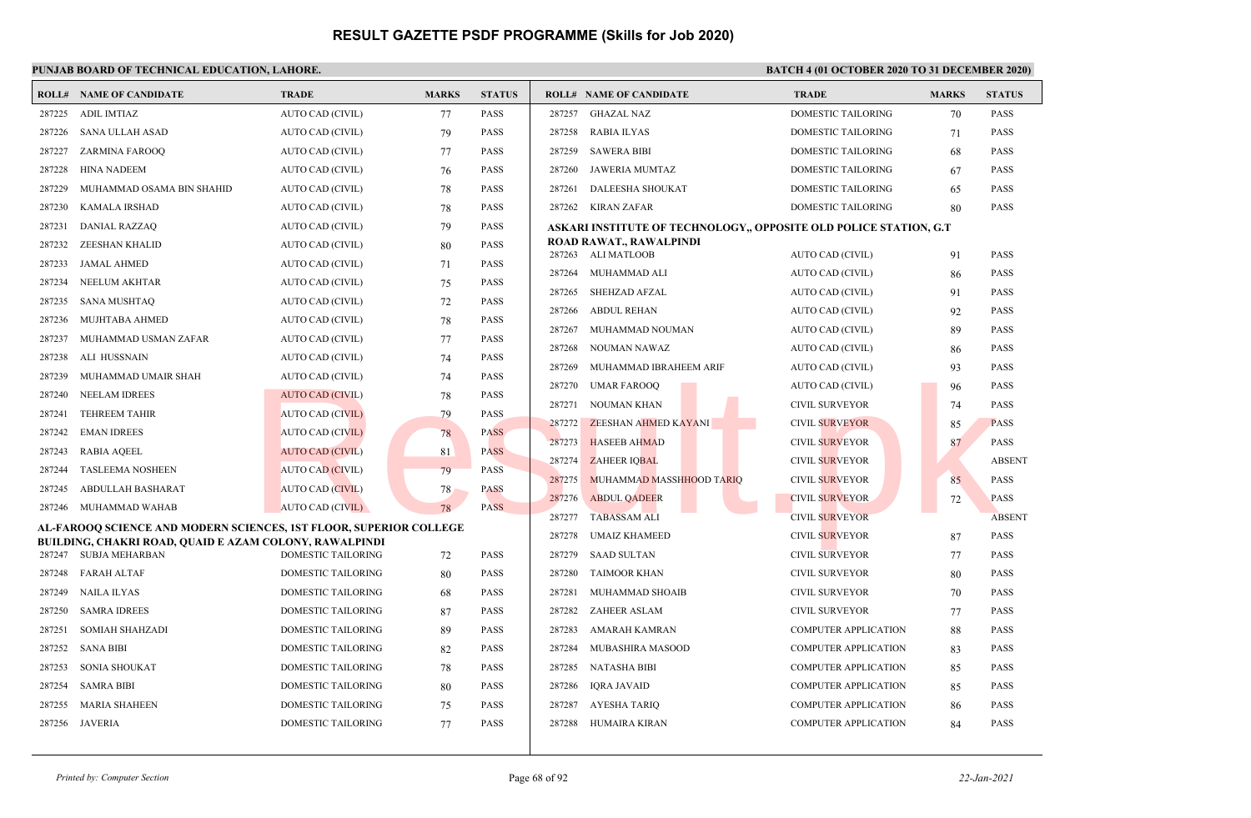|        | <b>ROLL# NAME OF CANDIDATE</b>                                                         | <b>TRADE</b>              | <b>MARKS</b> | <b>STATUS</b> | <b>ROLL# NAME OF CANDIDATE</b>                                    | <b>TRADE</b>                | <b>MARKS</b> | <b>STATUS</b> |
|--------|----------------------------------------------------------------------------------------|---------------------------|--------------|---------------|-------------------------------------------------------------------|-----------------------------|--------------|---------------|
| 287225 | ADIL IMTIAZ                                                                            | AUTO CAD (CIVIL)          | 77           | <b>PASS</b>   | 287257<br><b>GHAZAL NAZ</b>                                       | DOMESTIC TAILORING          | 70           | <b>PASS</b>   |
| 287226 | SANA ULLAH ASAD                                                                        | AUTO CAD (CIVIL)          | 79           | <b>PASS</b>   | 287258<br>RABIA ILYAS                                             | DOMESTIC TAILORING          | 71           | PASS          |
| 287227 | ZARMINA FAROOQ                                                                         | AUTO CAD (CIVIL)          | 77           | <b>PASS</b>   | 287259<br><b>SAWERA BIBI</b>                                      | <b>DOMESTIC TAILORING</b>   | 68           | PASS          |
| 287228 | <b>HINA NADEEM</b>                                                                     | <b>AUTO CAD (CIVIL)</b>   | 76           | <b>PASS</b>   | 287260<br>JAWERIA MUMTAZ                                          | <b>DOMESTIC TAILORING</b>   | 67           | <b>PASS</b>   |
| 287229 | MUHAMMAD OSAMA BIN SHAHID                                                              | AUTO CAD (CIVIL)          | 78           | <b>PASS</b>   | DALEESHA SHOUKAT<br>287261                                        | DOMESTIC TAILORING          | 65           | <b>PASS</b>   |
| 287230 | KAMALA IRSHAD                                                                          | AUTO CAD (CIVIL)          | 78           | <b>PASS</b>   | 287262 KIRAN ZAFAR                                                | DOMESTIC TAILORING          | 80           | <b>PASS</b>   |
| 287231 | <b>DANIAL RAZZAQ</b>                                                                   | AUTO CAD (CIVIL)          | 79           | <b>PASS</b>   | ASKARI INSTITUTE OF TECHNOLOGY,, OPPOSITE OLD POLICE STATION, G.T |                             |              |               |
| 287232 | ZEESHAN KHALID                                                                         | AUTO CAD (CIVIL)          | 80           | <b>PASS</b>   | ROAD RAWAT., RAWALPINDI<br>287263 ALI MATLOOB                     | AUTO CAD (CIVIL)            | 91           | <b>PASS</b>   |
| 287233 | JAMAL AHMED                                                                            | AUTO CAD (CIVIL)          | 71           | <b>PASS</b>   | 287264<br>MUHAMMAD ALI                                            | AUTO CAD (CIVIL)            | 86           | <b>PASS</b>   |
| 287234 | NEELUM AKHTAR                                                                          | AUTO CAD (CIVIL)          | 75           | <b>PASS</b>   | 287265<br>SHEHZAD AFZAL                                           | AUTO CAD (CIVIL)            | 91           | <b>PASS</b>   |
| 287235 | SANA MUSHTAQ                                                                           | AUTO CAD (CIVIL)          | 72           | <b>PASS</b>   | 287266<br><b>ABDUL REHAN</b>                                      | <b>AUTO CAD (CIVIL)</b>     | 92           | <b>PASS</b>   |
| 287236 | MUJHTABA AHMED                                                                         | AUTO CAD (CIVIL)          | 78           | <b>PASS</b>   | 287267<br>MUHAMMAD NOUMAN                                         | <b>AUTO CAD (CIVIL)</b>     | 89           | PASS          |
| 287237 | MUHAMMAD USMAN ZAFAR                                                                   | AUTO CAD (CIVIL)          | 77           | <b>PASS</b>   | 287268<br>NOUMAN NAWAZ                                            | AUTO CAD (CIVIL)            | 86           | <b>PASS</b>   |
| 287238 | ALI HUSSNAIN                                                                           | AUTO CAD (CIVIL)          | 74           | <b>PASS</b>   | 287269<br>MUHAMMAD IBRAHEEM ARIF                                  | AUTO CAD (CIVIL)            | 93           | PASS          |
| 287239 | MUHAMMAD UMAIR SHAH                                                                    | AUTO CAD (CIVIL)          | 74           | <b>PASS</b>   | 287270<br><b>UMAR FAROOQ</b>                                      | AUTO CAD (CIVIL)            | 96           | <b>PASS</b>   |
| 287240 | <b>NEELAM IDREES</b>                                                                   | <b>AUTO CAD (CIVIL)</b>   | 78           | <b>PASS</b>   | 287271<br><b>NOUMAN KHAN</b>                                      | <b>CIVIL SURVEYOR</b>       | 74           | <b>PASS</b>   |
| 287241 | <b>TEHREEM TAHIR</b>                                                                   | AUTO CAD (CIVIL)          | 79           | <b>PASS</b>   | 287272 ZEESHAN AHMED KAYANI                                       | <b>CIVIL SURVEYOR</b>       | 85           | <b>PASS</b>   |
| 287242 | <b>EMAN IDREES</b>                                                                     | <b>AUTO CAD (CIVIL)</b>   | 78           | <b>PASS</b>   | 287273<br><b>HASEEB AHMAD</b>                                     | <b>CIVIL SURVEYOR</b>       | 87           | <b>PASS</b>   |
| 287243 | <b>RABIA AQEEL</b>                                                                     | <b>AUTO CAD (CIVIL)</b>   | 81           | <b>PASS</b>   | 287274<br><b>ZAHEER IQBAL</b>                                     | <b>CIVIL SURVEYOR</b>       |              | <b>ABSENT</b> |
| 287244 | <b>TASLEEMA NOSHEEN</b>                                                                | <b>AUTO CAD (CIVIL)</b>   | 79           | <b>PASS</b>   | 287275<br>MUHAMMAD MASSHHOOD TARIQ                                | <b>CIVIL SURVEYOR</b>       | 85           | PASS          |
| 287245 | ABDULLAH BASHARAT                                                                      | <b>AUTO CAD (CIVIL)</b>   | 78           | <b>PASS</b>   | 287276<br><b>ABDUL QADEER</b>                                     | <b>CIVIL SURVEYOR</b>       | 72           | <b>PASS</b>   |
| 287246 | MUHAMMAD WAHAB                                                                         | AUTO CAD (CIVIL)          | 78           | <b>PASS</b>   | <b>TABASSAM ALI</b><br>287277                                     | <b>CIVIL SURVEYOR</b>       |              | <b>ABSENT</b> |
|        | AL-FAROOO SCIENCE AND MODERN SCIENCES, 1ST FLOOR, SUPERIOR COLLEGE                     |                           |              |               | 287278<br><b>UMAIZ KHAMEED</b>                                    | CIVIL SURVEYOR              | 87           | <b>PASS</b>   |
|        | <b>BUILDING, CHAKRI ROAD, QUAID E AZAM COLONY, RAWALPINDI</b><br>287247 SUBJA MEHARBAN | DOMESTIC TAILORING        | 72           | <b>PASS</b>   | <b>SAAD SULTAN</b><br>287279                                      | CIVIL SURVEYOR              | 77           | <b>PASS</b>   |
| 287248 | FARAH ALTAF                                                                            | DOMESTIC TAILORING        | 80           | <b>PASS</b>   | 287280<br><b>TAIMOOR KHAN</b>                                     | <b>CIVIL SURVEYOR</b>       | 80           | <b>PASS</b>   |
| 287249 | NAILA ILYAS                                                                            | DOMESTIC TAILORING        | 68           | <b>PASS</b>   | 287281<br>MUHAMMAD SHOAIB                                         | <b>CIVIL SURVEYOR</b>       | 70           | <b>PASS</b>   |
| 287250 | <b>SAMRA IDREES</b>                                                                    | DOMESTIC TAILORING        | 87           | <b>PASS</b>   | 287282<br>ZAHEER ASLAM                                            | <b>CIVIL SURVEYOR</b>       | 77           | <b>PASS</b>   |
| 287251 | <b>SOMIAH SHAHZADI</b>                                                                 | DOMESTIC TAILORING        | 89           | <b>PASS</b>   | 287283<br>AMARAH KAMRAN                                           | <b>COMPUTER APPLICATION</b> | 88           | <b>PASS</b>   |
| 287252 | SANA BIBI                                                                              | DOMESTIC TAILORING        | 82           | <b>PASS</b>   | 287284<br>MUBASHIRA MASOOD                                        | <b>COMPUTER APPLICATION</b> | 83           | <b>PASS</b>   |
| 287253 | SONIA SHOUKAT                                                                          | <b>DOMESTIC TAILORING</b> | 78           | <b>PASS</b>   | 287285<br><b>NATASHA BIBI</b>                                     | <b>COMPUTER APPLICATION</b> | 85           | <b>PASS</b>   |
| 287254 | <b>SAMRA BIBI</b>                                                                      | <b>DOMESTIC TAILORING</b> | 80           | <b>PASS</b>   | 287286<br>IQRA JAVAID                                             | <b>COMPUTER APPLICATION</b> | 85           | <b>PASS</b>   |
| 287255 | <b>MARIA SHAHEEN</b>                                                                   | <b>DOMESTIC TAILORING</b> | 75           | <b>PASS</b>   | <b>AYESHA TARIO</b><br>287287                                     | <b>COMPUTER APPLICATION</b> | 86           | <b>PASS</b>   |
|        | 287256 JAVERIA                                                                         | DOMESTIC TAILORING        | 77           | <b>PASS</b>   | 287288 HUMAIRA KIRAN                                              | COMPUTER APPLICATION        | 84           | PASS          |
|        |                                                                                        |                           |              |               |                                                                   |                             |              |               |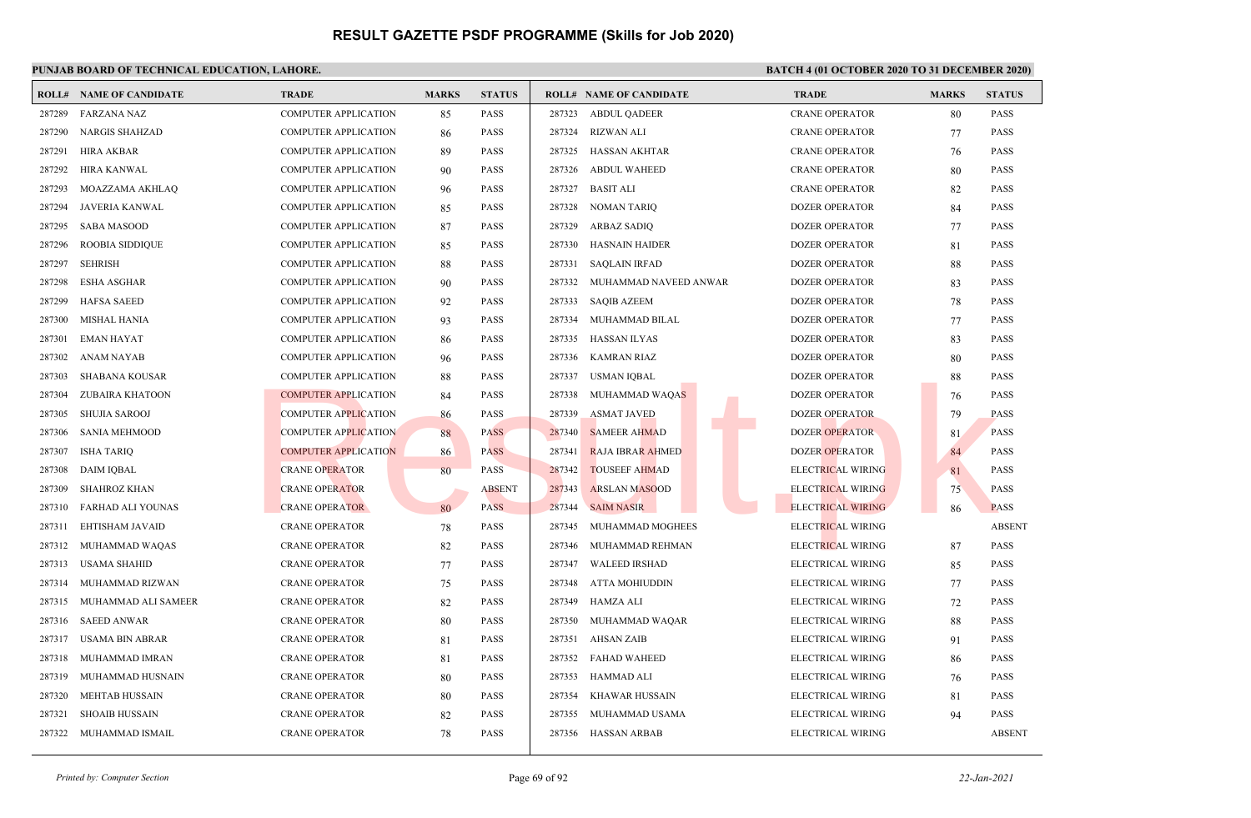| <b>ROLL#</b> | <b>NAME OF CANDIDATE</b> | <b>TRADE</b>                | <b>MARKS</b> | <b>STATUS</b> |        | <b>ROLL# NAME OF CANDIDATE</b> | <b>TRADE</b>             | <b>MARKS</b> | <b>STATUS</b> |
|--------------|--------------------------|-----------------------------|--------------|---------------|--------|--------------------------------|--------------------------|--------------|---------------|
| 287289       | <b>FARZANA NAZ</b>       | <b>COMPUTER APPLICATION</b> | 85           | PASS          | 287323 | <b>ABDUL QADEER</b>            | <b>CRANE OPERATOR</b>    | 80           | PASS          |
| 287290       | <b>NARGIS SHAHZAD</b>    | <b>COMPUTER APPLICATION</b> | 86           | <b>PASS</b>   | 287324 | <b>RIZWAN ALI</b>              | <b>CRANE OPERATOR</b>    | 77           | <b>PASS</b>   |
| 287291       | <b>HIRA AKBAR</b>        | <b>COMPUTER APPLICATION</b> | 89           | PASS          | 287325 | <b>HASSAN AKHTAR</b>           | <b>CRANE OPERATOR</b>    | 76           | PASS          |
| 287292       | <b>HIRA KANWAL</b>       | <b>COMPUTER APPLICATION</b> | 90           | PASS          | 287326 | <b>ABDUL WAHEED</b>            | <b>CRANE OPERATOR</b>    | 80           | <b>PASS</b>   |
| 287293       | MOAZZAMA AKHLAQ          | <b>COMPUTER APPLICATION</b> | 96           | <b>PASS</b>   | 287327 | <b>BASIT ALI</b>               | <b>CRANE OPERATOR</b>    | 82           | <b>PASS</b>   |
| 287294       | <b>JAVERIA KANWAL</b>    | <b>COMPUTER APPLICATION</b> | 85           | PASS          | 287328 | <b>NOMAN TARIQ</b>             | <b>DOZER OPERATOR</b>    | 84           | <b>PASS</b>   |
| 287295       | <b>SABA MASOOD</b>       | <b>COMPUTER APPLICATION</b> | 87           | <b>PASS</b>   | 287329 | ARBAZ SADIQ                    | <b>DOZER OPERATOR</b>    | 77           | <b>PASS</b>   |
| 287296       | <b>ROOBIA SIDDIQUE</b>   | <b>COMPUTER APPLICATION</b> | 85           | <b>PASS</b>   | 287330 | <b>HASNAIN HAIDER</b>          | <b>DOZER OPERATOR</b>    | 81           | <b>PASS</b>   |
| 287297       | <b>SEHRISH</b>           | <b>COMPUTER APPLICATION</b> | 88           | <b>PASS</b>   | 287331 | <b>SAQLAIN IRFAD</b>           | <b>DOZER OPERATOR</b>    | 88           | <b>PASS</b>   |
| 287298       | <b>ESHA ASGHAR</b>       | <b>COMPUTER APPLICATION</b> | 90           | <b>PASS</b>   | 287332 | MUHAMMAD NAVEED ANWAR          | <b>DOZER OPERATOR</b>    | 83           | <b>PASS</b>   |
| 287299       | <b>HAFSA SAEED</b>       | <b>COMPUTER APPLICATION</b> | 92           | <b>PASS</b>   | 287333 | <b>SAQIB AZEEM</b>             | <b>DOZER OPERATOR</b>    | 78           | <b>PASS</b>   |
| 287300       | <b>MISHAL HANIA</b>      | <b>COMPUTER APPLICATION</b> | 93           | PASS          | 287334 | MUHAMMAD BILAL                 | <b>DOZER OPERATOR</b>    | 77           | PASS          |
| 287301       | <b>EMAN HAYAT</b>        | <b>COMPUTER APPLICATION</b> | 86           | <b>PASS</b>   | 287335 | <b>HASSAN ILYAS</b>            | <b>DOZER OPERATOR</b>    | 83           | PASS          |
| 287302       | ANAM NAYAB               | <b>COMPUTER APPLICATION</b> | 96           | <b>PASS</b>   | 287336 | KAMRAN RIAZ                    | DOZER OPERATOR           | 80           | <b>PASS</b>   |
| 287303       | <b>SHABANA KOUSAR</b>    | <b>COMPUTER APPLICATION</b> | 88           | <b>PASS</b>   | 287337 | <b>USMAN IQBAL</b>             | <b>DOZER OPERATOR</b>    | 88           | PASS          |
| 287304       | ZUBAIRA KHATOON          | <b>COMPUTER APPLICATION</b> | 84           | <b>PASS</b>   | 287338 | MUHAMMAD WAQAS                 | <b>DOZER OPERATOR</b>    | 76           | <b>PASS</b>   |
| 287305       | <b>SHUJIA SAROOJ</b>     | <b>COMPUTER APPLICATION</b> | 86           | <b>PASS</b>   | 287339 | <b>ASMAT JAVED</b>             | <b>DOZER OPERATOR</b>    | 79           | <b>PASS</b>   |
| 287306       | <b>SANIA MEHMOOD</b>     | <b>COMPUTER APPLICATION</b> | 88           | <b>PASS</b>   | 287340 | <b>SAMEER AHMAD</b>            | <b>DOZER OPERATOR</b>    | 81           | <b>PASS</b>   |
| 287307       | <b>ISHA TARIQ</b>        | <b>COMPUTER APPLICATION</b> | 86           | <b>PASS</b>   | 287341 | <b>RAJA IBRAR AHMED</b>        | <b>DOZER OPERATOR</b>    | 84           | PASS          |
| 287308       | DAIM IOBAL               | <b>CRANE OPERATOR</b>       | 80           | <b>PASS</b>   | 287342 | <b>TOUSEEF AHMAD</b>           | <b>ELECTRICAL WIRING</b> | 81           | <b>PASS</b>   |
| 287309       | <b>SHAHROZ KHAN</b>      | <b>CRANE OPERATOR</b>       |              | <b>ABSENT</b> | 287343 | <b>ARSLAN MASOOD</b>           | ELECTRICAL WIRING        | 75           | PASS          |
| 287310       | <b>FARHAD ALI YOUNAS</b> | <b>CRANE OPERATOR</b>       | 80           | <b>PASS</b>   | 287344 | <b>SAIM NASIR</b>              | <b>ELECTRICAL WIRING</b> | 86           | <b>PASS</b>   |
| 287311       | EHTISHAM JAVAID          | <b>CRANE OPERATOR</b>       | 78           | <b>PASS</b>   | 287345 | MUHAMMAD MOGHEES               | ELECTRICAL WIRING        |              | <b>ABSENT</b> |
| 287312       | MUHAMMAD WAQAS           | <b>CRANE OPERATOR</b>       | 82           | PASS          | 287346 | MUHAMMAD REHMAN                | ELECTRICAL WIRING        | 87           | PASS          |
| 287313       | <b>USAMA SHAHID</b>      | <b>CRANE OPERATOR</b>       | 77           | <b>PASS</b>   | 287347 | <b>WALEED IRSHAD</b>           | ELECTRICAL WIRING        | 85           | <b>PASS</b>   |
| 287314       | MUHAMMAD RIZWAN          | <b>CRANE OPERATOR</b>       | 75           | <b>PASS</b>   | 287348 | ATTA MOHIUDDIN                 | ELECTRICAL WIRING        | 77           | <b>PASS</b>   |
| 287315       | MUHAMMAD ALI SAMEER      | <b>CRANE OPERATOR</b>       | 82           | <b>PASS</b>   | 287349 | HAMZA ALI                      | ELECTRICAL WIRING        | 72           | PASS          |
| 287316       | <b>SAEED ANWAR</b>       | <b>CRANE OPERATOR</b>       | 80           | <b>PASS</b>   | 287350 | MUHAMMAD WAQAR                 | ELECTRICAL WIRING        | 88           | <b>PASS</b>   |
| 287317       | <b>USAMA BIN ABRAR</b>   | <b>CRANE OPERATOR</b>       | 81           | <b>PASS</b>   | 287351 | <b>AHSAN ZAIB</b>              | ELECTRICAL WIRING        | 91           | <b>PASS</b>   |
| 287318       | MUHAMMAD IMRAN           | <b>CRANE OPERATOR</b>       | 81           | PASS          | 287352 | <b>FAHAD WAHEED</b>            | ELECTRICAL WIRING        | 86           | PASS          |
| 287319       | MUHAMMAD HUSNAIN         | <b>CRANE OPERATOR</b>       | 80           | <b>PASS</b>   | 287353 | HAMMAD ALI                     | ELECTRICAL WIRING        | 76           | <b>PASS</b>   |
| 287320       | <b>MEHTAB HUSSAIN</b>    | <b>CRANE OPERATOR</b>       | 80           | <b>PASS</b>   | 287354 | KHAWAR HUSSAIN                 | ELECTRICAL WIRING        | 81           | <b>PASS</b>   |
| 287321       | <b>SHOAIB HUSSAIN</b>    | <b>CRANE OPERATOR</b>       | 82           | PASS          | 287355 | MUHAMMAD USAMA                 | ELECTRICAL WIRING        | 94           | <b>PASS</b>   |
| 287322       | MUHAMMAD ISMAIL          | <b>CRANE OPERATOR</b>       | 78           | <b>PASS</b>   |        | 287356 HASSAN ARBAB            | ELECTRICAL WIRING        |              | <b>ABSENT</b> |
|              |                          |                             |              |               |        |                                |                          |              |               |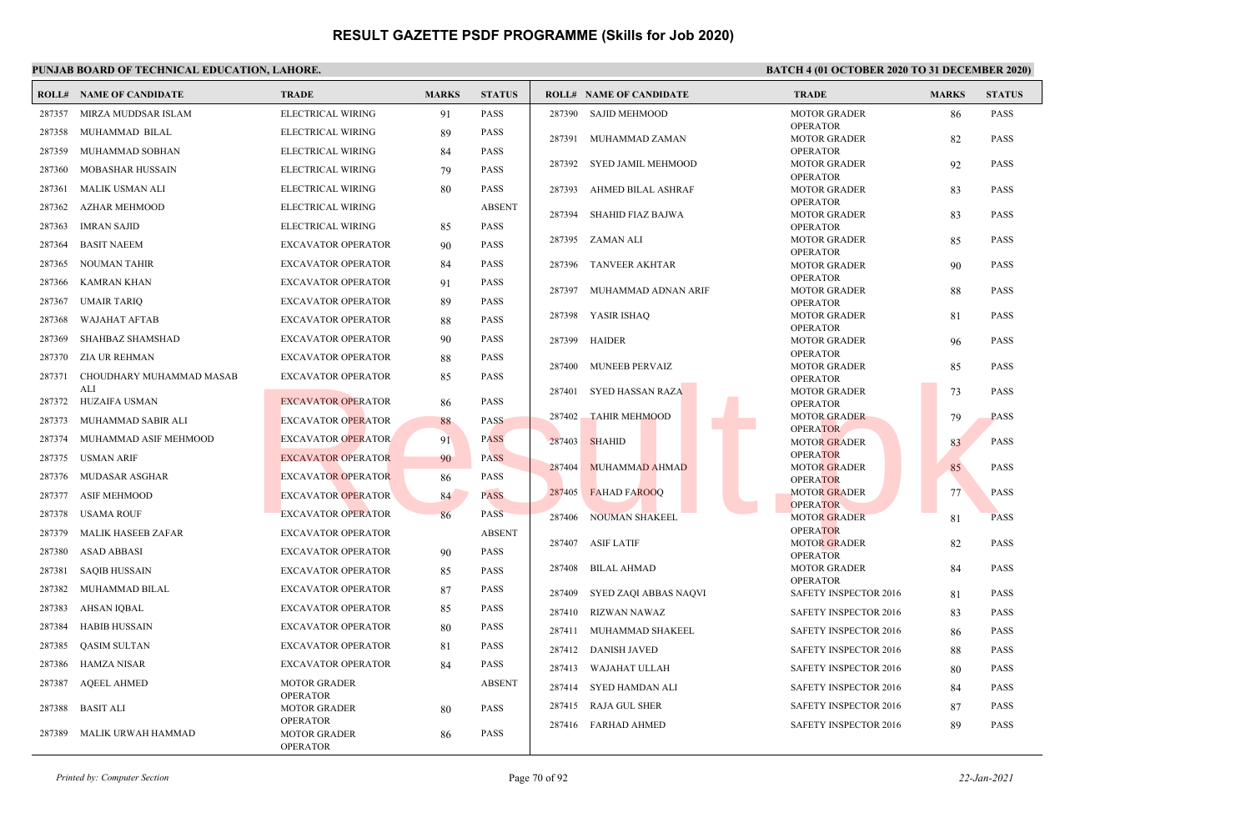|        | <b>ROLL# NAME OF CANDIDATE</b> | <b>TRADE</b>                           | <b>MARKS</b> | <b>STATUS</b> |        | <b>ROLL# NAME OF CANDIDATE</b> | <b>TRADE</b>                           | <b>MARKS</b> | <b>STATUS</b> |
|--------|--------------------------------|----------------------------------------|--------------|---------------|--------|--------------------------------|----------------------------------------|--------------|---------------|
| 287357 | MIRZA MUDDSAR ISLAM            | ELECTRICAL WIRING                      | 91           | <b>PASS</b>   | 287390 | <b>SAJID MEHMOOD</b>           | <b>MOTOR GRADER</b>                    | 86           | <b>PASS</b>   |
| 287358 | MUHAMMAD BILAL                 | ELECTRICAL WIRING                      | 89           | <b>PASS</b>   |        | 287391 MUHAMMAD ZAMAN          | <b>OPERATOR</b><br><b>MOTOR GRADER</b> | 82           | <b>PASS</b>   |
| 287359 | MUHAMMAD SOBHAN                | ELECTRICAL WIRING                      | 84           | PASS          |        |                                | <b>OPERATOR</b>                        |              |               |
| 287360 | <b>MOBASHAR HUSSAIN</b>        | ELECTRICAL WIRING                      | 79           | <b>PASS</b>   | 287392 | SYED JAMIL MEHMOOD             | <b>MOTOR GRADER</b>                    | 92           | <b>PASS</b>   |
| 287361 | MALIK USMAN ALI                | ELECTRICAL WIRING                      | 80           | <b>PASS</b>   | 287393 | AHMED BILAL ASHRAF             | <b>OPERATOR</b><br><b>MOTOR GRADER</b> | 83           | <b>PASS</b>   |
| 287362 | <b>AZHAR MEHMOOD</b>           | ELECTRICAL WIRING                      |              | <b>ABSENT</b> |        |                                | <b>OPERATOR</b>                        |              |               |
| 287363 | <b>IMRAN SAJID</b>             | ELECTRICAL WIRING                      | 85           | <b>PASS</b>   | 287394 | SHAHID FIAZ BAJWA              | <b>MOTOR GRADER</b><br><b>OPERATOR</b> | 83           | <b>PASS</b>   |
| 287364 | <b>BASIT NAEEM</b>             | <b>EXCAVATOR OPERATOR</b>              | 90           | <b>PASS</b>   | 287395 | ZAMAN ALI                      | <b>MOTOR GRADER</b>                    | 85           | <b>PASS</b>   |
|        |                                |                                        |              |               |        |                                | <b>OPERATOR</b>                        |              |               |
| 287365 | <b>NOUMAN TAHIR</b>            | <b>EXCAVATOR OPERATOR</b>              | 84           | <b>PASS</b>   | 287396 | TANVEER AKHTAR                 | <b>MOTOR GRADER</b><br><b>OPERATOR</b> | 90           | <b>PASS</b>   |
| 287366 | KAMRAN KHAN                    | <b>EXCAVATOR OPERATOR</b>              | 91           | <b>PASS</b>   |        | 287397 MUHAMMAD ADNAN ARIF     | <b>MOTOR GRADER</b>                    | 88           | <b>PASS</b>   |
| 287367 | <b>UMAIR TARIQ</b>             | <b>EXCAVATOR OPERATOR</b>              | 89           | <b>PASS</b>   |        |                                | <b>OPERATOR</b>                        |              |               |
| 287368 | <b>WAJAHAT AFTAB</b>           | <b>EXCAVATOR OPERATOR</b>              | 88           | <b>PASS</b>   |        | 287398 YASIR ISHAQ             | <b>MOTOR GRADER</b><br><b>OPERATOR</b> | 81           | <b>PASS</b>   |
| 287369 | SHAHBAZ SHAMSHAD               | <b>EXCAVATOR OPERATOR</b>              | 90           | <b>PASS</b>   | 287399 | HAIDER                         | <b>MOTOR GRADER</b>                    | 96           | <b>PASS</b>   |
| 287370 | ZIA UR REHMAN                  | <b>EXCAVATOR OPERATOR</b>              | 88           | <b>PASS</b>   | 287400 | <b>MUNEEB PERVAIZ</b>          | <b>OPERATOR</b><br><b>MOTOR GRADER</b> |              | <b>PASS</b>   |
| 287371 | CHOUDHARY MUHAMMAD MASAB       | <b>EXCAVATOR OPERATOR</b>              | 85           | <b>PASS</b>   |        |                                | <b>OPERATOR</b>                        | 85           |               |
|        | ALI                            |                                        |              |               | 287401 | <b>SYED HASSAN RAZA</b>        | <b>MOTOR GRADER</b>                    | 73           | <b>PASS</b>   |
|        | 287372 HUZAIFA USMAN           | <b>EXCAVATOR OPERATOR</b>              | 86           | <b>PASS</b>   | 287402 | <b>TAHIR MEHMOOD</b>           | <b>OPERATOR</b><br><b>MOTOR GRADER</b> | 79           | <b>PASS</b>   |
| 287373 | MUHAMMAD SABIR ALI             | <b>EXCAVATOR OPERATOR</b>              | 88           | <b>PASS</b>   |        |                                | <b>OPERATOR</b>                        |              |               |
| 287374 | MUHAMMAD ASIF MEHMOOD          | <b>EXCAVATOR OPERATOR</b>              | 91           | <b>PASS</b>   | 287403 | <b>SHAHID</b>                  | <b>MOTOR GRADER</b>                    | 83           | <b>PASS</b>   |
| 287375 | <b>USMAN ARIF</b>              | <b>EXCAVATOR OPERATOR</b>              | 90           | <b>PASS</b>   | 287404 | MUHAMMAD AHMAD                 | <b>OPERATOR</b><br><b>MOTOR GRADER</b> | 85           | <b>PASS</b>   |
| 287376 | MUDASAR ASGHAR                 | <b>EXCAVATOR OPERATOR</b>              | 86           | <b>PASS</b>   |        |                                | <b>OPERATOR</b>                        |              |               |
| 287377 | <b>ASIF MEHMOOD</b>            | <b>EXCAVATOR OPERATOR</b>              | 84           | <b>PASS</b>   | 287405 | <b>FAHAD FAROOO</b>            | <b>MOTOR GRADER</b>                    | 77           | <b>PASS</b>   |
|        | 287378 USAMA ROUF              | <b>EXCAVATOR OPERATOR</b>              | 86           | <b>PASS</b>   | 287406 | NOUMAN SHAKEEL                 | <b>OPERATOR</b><br><b>MOTOR GRADER</b> | 81           | <b>PASS</b>   |
|        | 287379 MALIK HASEEB ZAFAR      | <b>EXCAVATOR OPERATOR</b>              |              | <b>ABSENT</b> |        |                                | <b>OPERATOR</b>                        |              |               |
| 287380 | <b>ASAD ABBASI</b>             | <b>EXCAVATOR OPERATOR</b>              | 90           | <b>PASS</b>   | 287407 | ASIF LATIF                     | <b>MOTOR GRADER</b><br><b>OPERATOR</b> | 82           | <b>PASS</b>   |
| 287381 | SAQIB HUSSAIN                  | <b>EXCAVATOR OPERATOR</b>              | 85           | <b>PASS</b>   | 287408 | BILAL AHMAD                    | <b>MOTOR GRADER</b>                    | 84           | <b>PASS</b>   |
| 287382 | MUHAMMAD BILAL                 | <b>EXCAVATOR OPERATOR</b>              | 87           | <b>PASS</b>   |        |                                | <b>OPERATOR</b>                        |              |               |
| 287383 | AHSAN IQBAL                    | <b>EXCAVATOR OPERATOR</b>              |              | <b>PASS</b>   | 287409 | SYED ZAQI ABBAS NAQVI          | SAFETY INSPECTOR 2016                  | 81           | <b>PASS</b>   |
|        |                                |                                        | 85           |               | 287410 | RIZWAN NAWAZ                   | SAFETY INSPECTOR 2016                  | 83           | <b>PASS</b>   |
| 287384 | <b>HABIB HUSSAIN</b>           | <b>EXCAVATOR OPERATOR</b>              | 80           | <b>PASS</b>   |        | 287411 MUHAMMAD SHAKEEL        | SAFETY INSPECTOR 2016                  | 86           | <b>PASS</b>   |
| 287385 | <b>QASIM SULTAN</b>            | <b>EXCAVATOR OPERATOR</b>              | 81           | PASS          |        | 287412 DANISH JAVED            | SAFETY INSPECTOR 2016                  | 88           | <b>PASS</b>   |
| 287386 | HAMZA NISAR                    | <b>EXCAVATOR OPERATOR</b>              | 84           | <b>PASS</b>   | 287413 | WAJAHAT ULLAH                  | <b>SAFETY INSPECTOR 2016</b>           | 80           | <b>PASS</b>   |
| 287387 | <b>AQEEL AHMED</b>             | <b>MOTOR GRADER</b>                    |              | <b>ABSENT</b> |        | 287414 SYED HAMDAN ALI         | SAFETY INSPECTOR 2016                  | 84           | <b>PASS</b>   |
| 287388 | <b>BASIT ALI</b>               | <b>OPERATOR</b><br><b>MOTOR GRADER</b> | 80           | <b>PASS</b>   | 287415 | RAJA GUL SHER                  | <b>SAFETY INSPECTOR 2016</b>           | 87           | <b>PASS</b>   |
|        |                                | <b>OPERATOR</b>                        |              |               | 287416 | <b>FARHAD AHMED</b>            | <b>SAFETY INSPECTOR 2016</b>           | 89           | <b>PASS</b>   |
| 287389 | MALIK URWAH HAMMAD             | <b>MOTOR GRADER</b><br><b>OPERATOR</b> | 86           | <b>PASS</b>   |        |                                |                                        |              |               |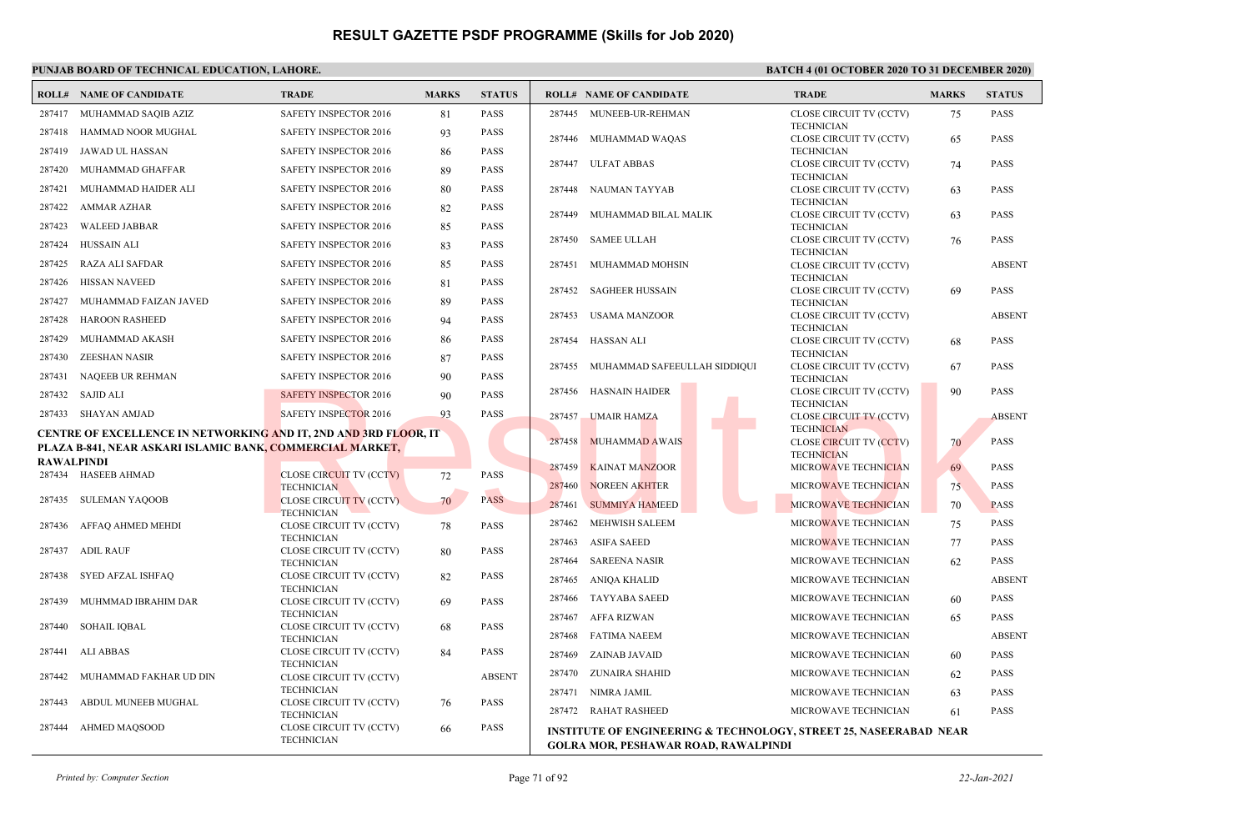|                   | <b>ROLL# NAME OF CANDIDATE</b>                                          | <b>TRADE</b>                                        | <b>MARKS</b> | <b>STATUS</b> |        | <b>ROLL# NAME OF CANDIDATE</b>                                                                                   | <b>TRADE</b>                                        | <b>MARKS</b> | <b>STATUS</b> |
|-------------------|-------------------------------------------------------------------------|-----------------------------------------------------|--------------|---------------|--------|------------------------------------------------------------------------------------------------------------------|-----------------------------------------------------|--------------|---------------|
| 287417            | MUHAMMAD SAQIB AZIZ                                                     | SAFETY INSPECTOR 2016                               | 81           | <b>PASS</b>   |        | 287445 MUNEEB-UR-REHMAN                                                                                          | CLOSE CIRCUIT TV (CCTV)                             | 75           | PASS          |
| 287418            | HAMMAD NOOR MUGHAL                                                      | SAFETY INSPECTOR 2016                               | 93           | <b>PASS</b>   |        | 287446 MUHAMMAD WAQAS                                                                                            | <b>TECHNICIAN</b><br>CLOSE CIRCUIT TV (CCTV)        | 65           | PASS          |
| 287419            | JAWAD UL HASSAN                                                         | SAFETY INSPECTOR 2016                               | 86           | <b>PASS</b>   |        |                                                                                                                  | <b>TECHNICIAN</b>                                   |              |               |
| 287420            | MUHAMMAD GHAFFAR                                                        | SAFETY INSPECTOR 2016                               | 89           | <b>PASS</b>   |        | 287447 ULFAT ABBAS                                                                                               | CLOSE CIRCUIT TV (CCTV)<br><b>TECHNICIAN</b>        | 74           | <b>PASS</b>   |
| 287421            | MUHAMMAD HAIDER ALI                                                     | SAFETY INSPECTOR 2016                               | 80           | <b>PASS</b>   | 287448 | NAUMAN TAYYAB                                                                                                    | CLOSE CIRCUIT TV (CCTV)                             | 63           | PASS          |
| 287422            | AMMAR AZHAR                                                             | SAFETY INSPECTOR 2016                               | 82           | <b>PASS</b>   | 287449 | MUHAMMAD BILAL MALIK                                                                                             | <b>TECHNICIAN</b><br>CLOSE CIRCUIT TV (CCTV)        | 63           | PASS          |
| 287423            | <b>WALEED JABBAR</b>                                                    | SAFETY INSPECTOR 2016                               | 85           | <b>PASS</b>   |        |                                                                                                                  | <b>TECHNICIAN</b>                                   |              |               |
| 287424            | <b>HUSSAIN ALI</b>                                                      | <b>SAFETY INSPECTOR 2016</b>                        | 83           | <b>PASS</b>   |        | 287450 SAMEE ULLAH                                                                                               | CLOSE CIRCUIT TV (CCTV)<br><b>TECHNICIAN</b>        | 76           | PASS          |
| 287425            | RAZA ALI SAFDAR                                                         | SAFETY INSPECTOR 2016                               | 85           | <b>PASS</b>   | 287451 | MUHAMMAD MOHSIN                                                                                                  | CLOSE CIRCUIT TV (CCTV)                             |              | <b>ABSENT</b> |
| 287426            | <b>HISSAN NAVEED</b>                                                    | SAFETY INSPECTOR 2016                               | 81           | <b>PASS</b>   |        | 287452 SAGHEER HUSSAIN                                                                                           | <b>TECHNICIAN</b><br>CLOSE CIRCUIT TV (CCTV)        | 69           | <b>PASS</b>   |
| 287427            | MUHAMMAD FAIZAN JAVED                                                   | SAFETY INSPECTOR 2016                               | 89           | <b>PASS</b>   |        |                                                                                                                  | <b>TECHNICIAN</b>                                   |              |               |
| 287428            | <b>HAROON RASHEED</b>                                                   | SAFETY INSPECTOR 2016                               | 94           | <b>PASS</b>   | 287453 | <b>USAMA MANZOOR</b>                                                                                             | CLOSE CIRCUIT TV (CCTV)<br><b>TECHNICIAN</b>        |              | <b>ABSENT</b> |
| 287429            | MUHAMMAD AKASH                                                          | <b>SAFETY INSPECTOR 2016</b>                        | 86           | <b>PASS</b>   | 287454 | <b>HASSAN ALI</b>                                                                                                | CLOSE CIRCUIT TV (CCTV)                             | 68           | <b>PASS</b>   |
| 287430            | <b>ZEESHAN NASIR</b>                                                    | <b>SAFETY INSPECTOR 2016</b>                        | 87           | <b>PASS</b>   | 287455 | MUHAMMAD SAFEEULLAH SIDDIQUI                                                                                     | <b>TECHNICIAN</b><br>CLOSE CIRCUIT TV (CCTV)        |              | <b>PASS</b>   |
| 287431            | NAQEEB UR REHMAN                                                        | SAFETY INSPECTOR 2016                               | 90           | <b>PASS</b>   |        |                                                                                                                  | <b>TECHNICIAN</b>                                   | 67           |               |
|                   | 287432 SAJID ALI                                                        | <b>SAFETY INSPECTOR 2016</b>                        | 90           | <b>PASS</b>   | 287456 | <b>HASNAIN HAIDER</b>                                                                                            | CLOSE CIRCUIT TV (CCTV)<br><b>TECHNICIAN</b>        | 90           | PASS          |
|                   | 287433 SHAYAN AMJAD                                                     | <b>SAFETY INSPECTOR 2016</b>                        | 93           | <b>PASS</b>   | 287457 | <b>UMAIR HAMZA</b>                                                                                               | <b>CLOSE CIRCUIT TV (CCTV)</b>                      |              | <b>ABSENT</b> |
|                   | <b>CENTRE OF EXCELLENCE IN NETWORKING AND IT, 2ND AND 3RD FLOOR, IT</b> |                                                     |              |               | 287458 | <b>MUHAMMAD AWAIS</b>                                                                                            | <b>TECHNICIAN</b><br><b>CLOSE CIRCUIT TV (CCTV)</b> | 70           | <b>PASS</b>   |
|                   | PLAZA B-841, NEAR ASKARI ISLAMIC BANK, COMMERCIAL MARKET,               |                                                     |              |               |        |                                                                                                                  | <b>TECHNICIAN</b>                                   |              |               |
| <b>RAWALPINDI</b> | 287434 HASEEB AHMAD                                                     | <b>CLOSE CIRCUIT TV (CCTV)</b>                      | 72           | <b>PASS</b>   | 287459 | <b>KAINAT MANZOOR</b>                                                                                            | MICROWAVE TECHNICIAN                                | 69           | PASS          |
|                   |                                                                         | <b>TECHNICIAN</b>                                   |              |               | 287460 | <b>NOREEN AKHTER</b>                                                                                             | MICROWAVE TECHNICIAN                                | 75           | <b>PASS</b>   |
|                   | 287435 SULEMAN YAQOOB                                                   | <b>CLOSE CIRCUIT TV (CCTV)</b><br><b>TECHNICIAN</b> | 70           | <b>PASS</b>   | 287461 | <b>SUMMIYA HAMEED</b>                                                                                            | MICROWAVE TECHNICIAN                                | 70           | <b>PASS</b>   |
|                   | 287436 AFFAQ AHMED MEHDI                                                | CLOSE CIRCUIT TV (CCTV)                             | 78           | <b>PASS</b>   | 287462 | <b>MEHWISH SALEEM</b>                                                                                            | MICROWAVE TECHNICIAN                                | 75           | PASS          |
|                   | 287437 ADIL RAUF                                                        | <b>TECHNICIAN</b><br>CLOSE CIRCUIT TV (CCTV)        | 80           | <b>PASS</b>   | 287463 | <b>ASIFA SAEED</b>                                                                                               | MICROWAVE TECHNICIAN                                | 77           | PASS          |
|                   |                                                                         | <b>TECHNICIAN</b>                                   |              |               | 287464 | <b>SAREENA NASIR</b>                                                                                             | MICROWAVE TECHNICIAN                                | 62           | PASS          |
| 287438            | SYED AFZAL ISHFAQ                                                       | CLOSE CIRCUIT TV (CCTV)<br><b>TECHNICIAN</b>        | 82           | <b>PASS</b>   | 287465 | ANIQA KHALID                                                                                                     | MICROWAVE TECHNICIAN                                |              | <b>ABSENT</b> |
| 287439            | MUHMMAD IBRAHIM DAR                                                     | CLOSE CIRCUIT TV (CCTV)                             | 69           | <b>PASS</b>   | 287466 | <b>TAYYABA SAEED</b>                                                                                             | MICROWAVE TECHNICIAN                                | 60           | <b>PASS</b>   |
| 287440            | <b>SOHAIL IQBAL</b>                                                     | <b>TECHNICIAN</b><br>CLOSE CIRCUIT TV (CCTV)        | 68           | <b>PASS</b>   | 287467 | <b>AFFA RIZWAN</b>                                                                                               | MICROWAVE TECHNICIAN                                | 65           | PASS          |
|                   |                                                                         | <b>TECHNICIAN</b>                                   |              |               | 287468 | <b>FATIMA NAEEM</b>                                                                                              | MICROWAVE TECHNICIAN                                |              | <b>ABSENT</b> |
|                   | 287441 ALI ABBAS                                                        | CLOSE CIRCUIT TV (CCTV)<br><b>TECHNICIAN</b>        | 84           | <b>PASS</b>   | 287469 | ZAINAB JAVAID                                                                                                    | MICROWAVE TECHNICIAN                                | 60           | PASS          |
| 287442            | MUHAMMAD FAKHAR UD DIN                                                  | CLOSE CIRCUIT TV (CCTV)                             |              | <b>ABSENT</b> | 287470 | <b>ZUNAIRA SHAHID</b>                                                                                            | MICROWAVE TECHNICIAN                                | 62           | PASS          |
| 287443            |                                                                         | <b>TECHNICIAN</b>                                   |              |               |        | 287471 NIMRA JAMIL                                                                                               | MICROWAVE TECHNICIAN                                | 63           | PASS          |
|                   | ABDUL MUNEEB MUGHAL                                                     | CLOSE CIRCUIT TV (CCTV)<br><b>TECHNICIAN</b>        | 76           | <b>PASS</b>   |        | 287472 RAHAT RASHEED                                                                                             | MICROWAVE TECHNICIAN                                | 61           | PASS          |
| 287444            | AHMED MAQSOOD                                                           | CLOSE CIRCUIT TV (CCTV)<br><b>TECHNICIAN</b>        | 66           | <b>PASS</b>   |        | INSTITUTE OF ENGINEERING & TECHNOLOGY, STREET 25, NASEERABAD NEAR<br><b>GOLRA MOR, PESHAWAR ROAD, RAWALPINDI</b> |                                                     |              |               |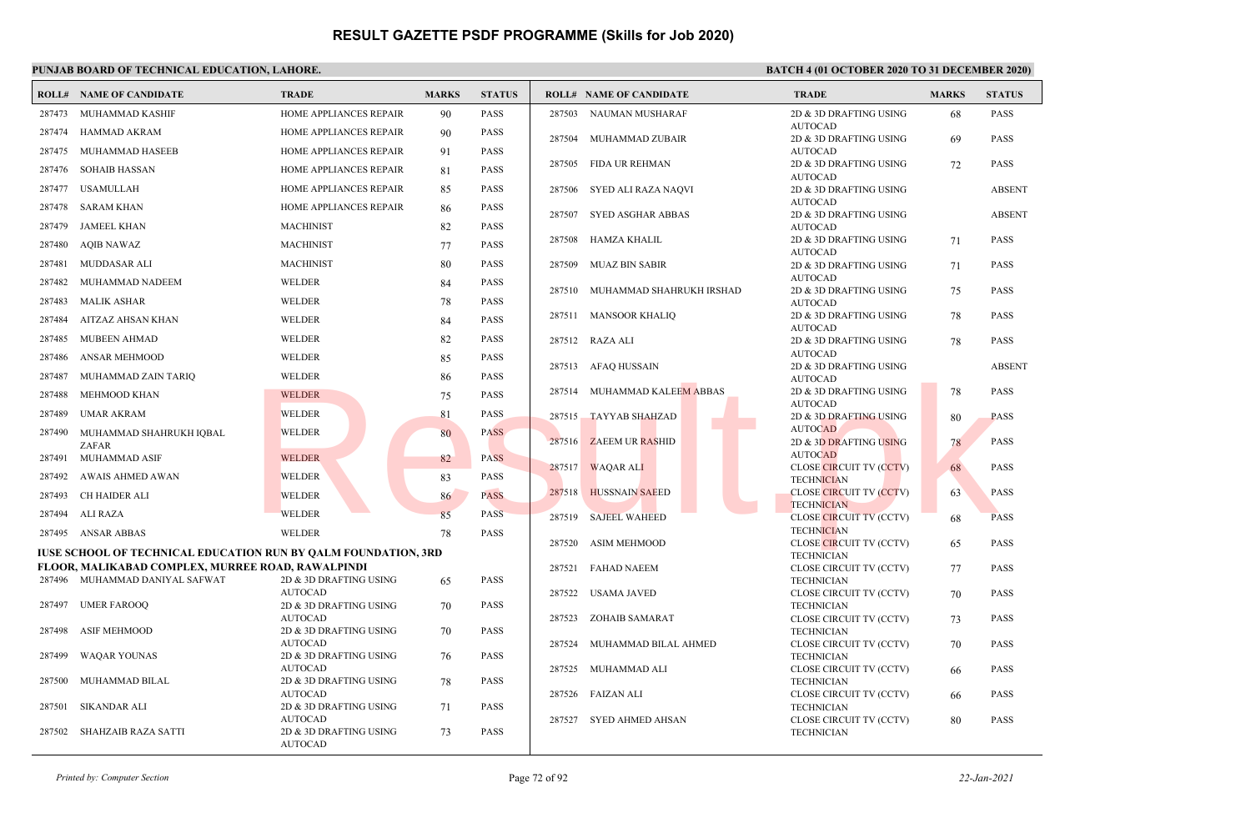|        | <b>ROLL# NAME OF CANDIDATE</b>                                        | <b>TRADE</b>                             | <b>MARKS</b> | <b>STATUS</b> |        | <b>ROLL# NAME OF CANDIDATE</b>  | <b>TRADE</b>                                        | <b>MARKS</b> | <b>STATUS</b> |
|--------|-----------------------------------------------------------------------|------------------------------------------|--------------|---------------|--------|---------------------------------|-----------------------------------------------------|--------------|---------------|
|        | 287473 MUHAMMAD KASHIF                                                | HOME APPLIANCES REPAIR                   | 90           | <b>PASS</b>   | 287503 | NAUMAN MUSHARAF                 | 2D & 3D DRAFTING USING                              | 68           | <b>PASS</b>   |
| 287474 | HAMMAD AKRAM                                                          | HOME APPLIANCES REPAIR                   | 90           | <b>PASS</b>   | 287504 | MUHAMMAD ZUBAIR                 | <b>AUTOCAD</b><br>2D & 3D DRAFTING USING            |              | <b>PASS</b>   |
| 287475 | MUHAMMAD HASEEB                                                       | HOME APPLIANCES REPAIR                   | 91           | <b>PASS</b>   |        |                                 | <b>AUTOCAD</b>                                      | 69           |               |
| 287476 | <b>SOHAIB HASSAN</b>                                                  | HOME APPLIANCES REPAIR                   | 81           | <b>PASS</b>   |        | 287505 FIDA UR REHMAN           | 2D & 3D DRAFTING USING                              | 72           | <b>PASS</b>   |
| 287477 | <b>USAMULLAH</b>                                                      | HOME APPLIANCES REPAIR                   | 85           | <b>PASS</b>   | 287506 | SYED ALI RAZA NAQVI             | <b>AUTOCAD</b><br>2D & 3D DRAFTING USING            |              | <b>ABSENT</b> |
|        |                                                                       |                                          |              |               |        |                                 | <b>AUTOCAD</b>                                      |              |               |
| 287478 | <b>SARAM KHAN</b>                                                     | HOME APPLIANCES REPAIR                   | 86           | PASS          | 287507 | SYED ASGHAR ABBAS               | 2D & 3D DRAFTING USING                              |              | <b>ABSENT</b> |
| 287479 | <b>JAMEEL KHAN</b>                                                    | <b>MACHINIST</b>                         | 82           | PASS          |        |                                 | <b>AUTOCAD</b>                                      |              |               |
| 287480 | <b>AQIB NAWAZ</b>                                                     | <b>MACHINIST</b>                         | 77           | <b>PASS</b>   | 287508 | HAMZA KHALIL                    | 2D & 3D DRAFTING USING<br><b>AUTOCAD</b>            | 71           | <b>PASS</b>   |
| 287481 | MUDDASAR ALI                                                          | <b>MACHINIST</b>                         | 80           | <b>PASS</b>   | 287509 | <b>MUAZ BIN SABIR</b>           | 2D & 3D DRAFTING USING                              | 71           | <b>PASS</b>   |
| 287482 | MUHAMMAD NADEEM                                                       | <b>WELDER</b>                            | 84           | <b>PASS</b>   |        |                                 | <b>AUTOCAD</b>                                      |              |               |
| 287483 | MALIK ASHAR                                                           | WELDER                                   | 78           | <b>PASS</b>   |        | 287510 MUHAMMAD SHAHRUKH IRSHAD | 2D & 3D DRAFTING USING<br><b>AUTOCAD</b>            | 75           | <b>PASS</b>   |
| 287484 | AITZAZ AHSAN KHAN                                                     | <b>WELDER</b>                            | 84           | <b>PASS</b>   |        | 287511 MANSOOR KHALIQ           | 2D & 3D DRAFTING USING                              | 78           | <b>PASS</b>   |
| 287485 | MUBEEN AHMAD                                                          | WELDER                                   | 82           | <b>PASS</b>   |        | 287512 RAZA ALI                 | <b>AUTOCAD</b><br>2D & 3D DRAFTING USING            | 78           | <b>PASS</b>   |
| 287486 | ANSAR MEHMOOD                                                         | WELDER                                   |              | <b>PASS</b>   |        |                                 | <b>AUTOCAD</b>                                      |              |               |
|        |                                                                       |                                          | 85           |               |        | 287513 AFAQ HUSSAIN             | 2D & 3D DRAFTING USING                              |              | <b>ABSENT</b> |
| 287487 | MUHAMMAD ZAIN TARIQ                                                   | <b>WELDER</b>                            | 86           | PASS          |        |                                 | <b>AUTOCAD</b>                                      |              |               |
| 287488 | MEHMOOD KHAN                                                          | <b>WELDER</b>                            | 75           | <b>PASS</b>   |        | 287514 MUHAMMAD KALEEM ABBAS    | 2D & 3D DRAFTING USING<br><b>AUTOCAD</b>            | 78           | <b>PASS</b>   |
| 287489 | <b>UMAR AKRAM</b>                                                     | <b>WELDER</b>                            | 81           | PASS          |        | 287515 TAYYAB SHAHZAD           | 2D & 3D DRAFTING USING                              | 80           | <b>PASS</b>   |
|        | 287490 MUHAMMAD SHAHRUKH IQBAL                                        | WELDER                                   | 80           | <b>PASS</b>   |        |                                 | <b>AUTOCAD</b>                                      |              |               |
|        | ZAFAR                                                                 |                                          |              |               |        | 287516 ZAEEM UR RASHID          | 2D & 3D DRAFTING USING<br><b>AUTOCAD</b>            | 78           | <b>PASS</b>   |
|        | 287491 MUHAMMAD ASIF                                                  | <b>WELDER</b>                            | 82           | <b>PASS</b>   |        | 287517 WAQAR ALI                | <b>CLOSE CIRCUIT TV (CCTV)</b>                      | 68           | <b>PASS</b>   |
| 287492 | AWAIS AHMED AWAN                                                      | <b>WELDER</b>                            | 83           | PASS          |        |                                 | <b>TECHNICIAN</b>                                   |              |               |
| 287493 | CH HAIDER ALI                                                         | <b>WELDER</b>                            | 86           | <b>PASS</b>   | 287518 | <b>HUSSNAIN SAEED</b>           | <b>CLOSE CIRCUIT TV (CCTV)</b><br><b>TECHNICIAN</b> | 63           | <b>PASS</b>   |
| 287494 | ALI RAZA                                                              | WELDER                                   | 85           | <b>PASS</b>   | 287519 | <b>SAJEEL WAHEED</b>            | CLOSE CIRCUIT TV (CCTV)                             | 68           | <b>PASS</b>   |
|        | 287495 ANSAR ABBAS                                                    | WELDER                                   | 78           | PASS          |        |                                 | <b>TECHNICIAN</b>                                   |              |               |
|        | <b>IUSE SCHOOL OF TECHNICAL EDUCATION RUN BY OALM FOUNDATION, 3RD</b> |                                          |              |               | 287520 | <b>ASIM MEHMOOD</b>             | CLOSE CIRCUIT TV (CCTV)<br><b>TECHNICIAN</b>        | 65           | <b>PASS</b>   |
|        | <b>FLOOR, MALIKABAD COMPLEX, MURREE ROAD, RAWALPINDI</b>              |                                          |              |               |        | 287521 FAHAD NAEEM              | CLOSE CIRCUIT TV (CCTV)                             | 77           | <b>PASS</b>   |
|        | 287496 MUHAMMAD DANIYAL SAFWAT                                        | 2D & 3D DRAFTING USING                   | 65           | <b>PASS</b>   |        |                                 | <b>TECHNICIAN</b>                                   |              |               |
|        |                                                                       | <b>AUTOCAD</b>                           |              |               |        | 287522 USAMA JAVED              | CLOSE CIRCUIT TV (CCTV)                             | 70           | <b>PASS</b>   |
| 287497 | <b>UMER FAROOQ</b>                                                    | 2D & 3D DRAFTING USING<br><b>AUTOCAD</b> | 70           | <b>PASS</b>   | 287523 | <b>ZOHAIB SAMARAT</b>           | <b>TECHNICIAN</b><br>CLOSE CIRCUIT TV (CCTV)        | 73           | <b>PASS</b>   |
| 287498 | <b>ASIF MEHMOOD</b>                                                   | 2D & 3D DRAFTING USING                   | 70           | <b>PASS</b>   |        |                                 | <b>TECHNICIAN</b>                                   |              |               |
|        |                                                                       | <b>AUTOCAD</b>                           |              |               | 287524 | MUHAMMAD BILAL AHMED            | CLOSE CIRCUIT TV (CCTV)                             | 70           | <b>PASS</b>   |
| 287499 | <b>WAQAR YOUNAS</b>                                                   | 2D & 3D DRAFTING USING<br><b>AUTOCAD</b> | 76           | <b>PASS</b>   |        | 287525 MUHAMMAD ALI             | <b>TECHNICIAN</b><br>CLOSE CIRCUIT TV (CCTV)        |              | <b>PASS</b>   |
| 287500 | MUHAMMAD BILAL                                                        | 2D & 3D DRAFTING USING                   | 78           | <b>PASS</b>   |        |                                 | <b>TECHNICIAN</b>                                   | 66           |               |
|        |                                                                       | <b>AUTOCAD</b>                           |              |               |        | 287526 FAIZAN ALI               | CLOSE CIRCUIT TV (CCTV)                             | 66           | <b>PASS</b>   |
| 287501 | <b>SIKANDAR ALI</b>                                                   | 2D & 3D DRAFTING USING                   | 71           | <b>PASS</b>   |        |                                 | <b>TECHNICIAN</b>                                   |              |               |
|        | 287502 SHAHZAIB RAZA SATTI                                            | <b>AUTOCAD</b><br>2D & 3D DRAFTING USING | 73           | <b>PASS</b>   |        | 287527 SYED AHMED AHSAN         | CLOSE CIRCUIT TV (CCTV)<br><b>TECHNICIAN</b>        | 80           | PASS          |
|        |                                                                       | <b>AUTOCAD</b>                           |              |               |        |                                 |                                                     |              |               |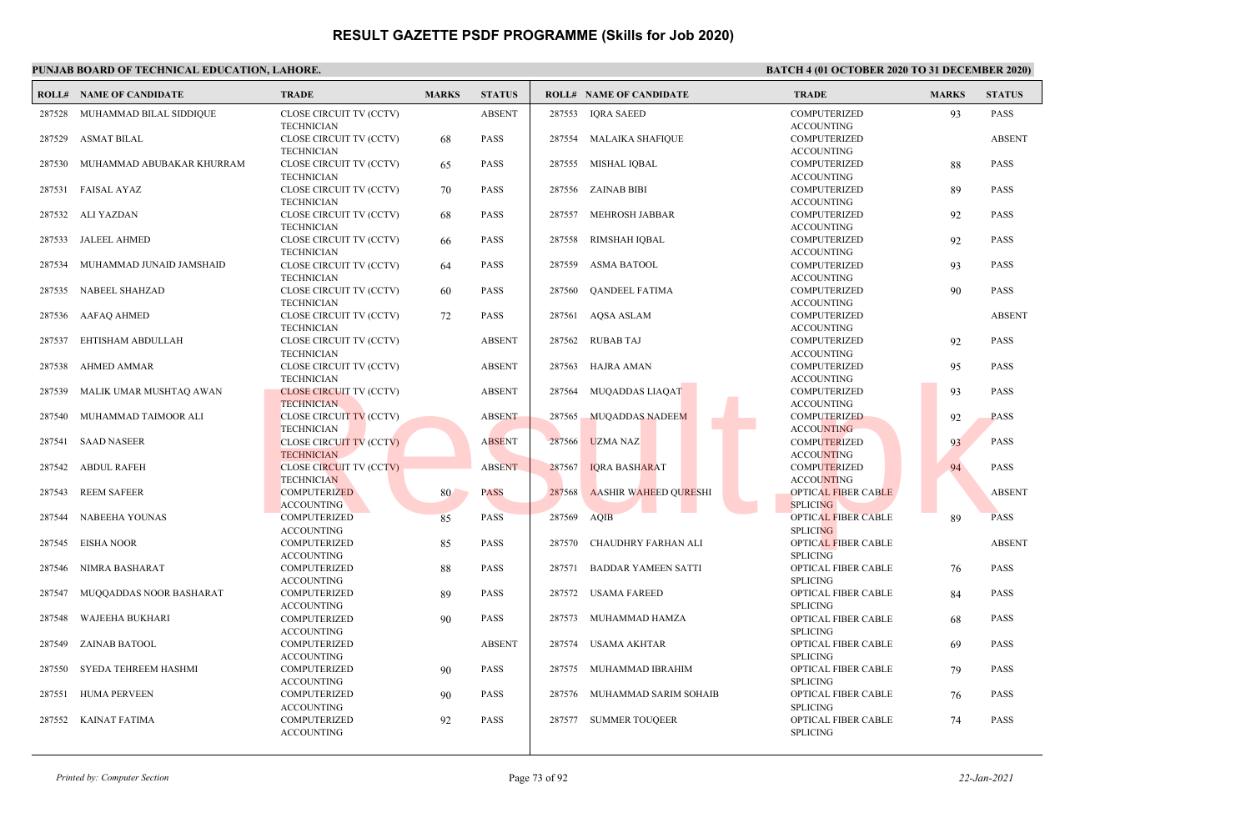|        | <b>ROLL# NAME OF CANDIDATE</b>   | <b>TRADE</b>                                                      | <b>MARKS</b> | <b>STATUS</b> |        | <b>ROLL# NAME OF CANDIDATE</b> | <b>TRADE</b>                                                  | <b>MARKS</b> | <b>STATUS</b> |
|--------|----------------------------------|-------------------------------------------------------------------|--------------|---------------|--------|--------------------------------|---------------------------------------------------------------|--------------|---------------|
| 287528 | MUHAMMAD BILAL SIDDIQUE          | CLOSE CIRCUIT TV (CCTV)<br><b>TECHNICIAN</b>                      |              | <b>ABSENT</b> | 287553 | <b>IQRA SAEED</b>              | <b>COMPUTERIZED</b><br><b>ACCOUNTING</b>                      | 93           | PASS          |
|        | 287529 ASMAT BILAL               | CLOSE CIRCUIT TV (CCTV)                                           | 68           | <b>PASS</b>   |        | 287554 MALAIKA SHAFIQUE        | <b>COMPUTERIZED</b>                                           |              | <b>ABSENT</b> |
|        | 287530 MUHAMMAD ABUBAKAR KHURRAM | <b>TECHNICIAN</b><br>CLOSE CIRCUIT TV (CCTV)<br><b>TECHNICIAN</b> | 65           | <b>PASS</b>   |        | 287555 MISHAL IQBAL            | <b>ACCOUNTING</b><br><b>COMPUTERIZED</b><br><b>ACCOUNTING</b> | 88           | <b>PASS</b>   |
| 287531 | <b>FAISAL AYAZ</b>               | CLOSE CIRCUIT TV (CCTV)<br><b>TECHNICIAN</b>                      | 70           | <b>PASS</b>   |        | 287556 ZAINAB BIBI             | <b>COMPUTERIZED</b><br><b>ACCOUNTING</b>                      | 89           | <b>PASS</b>   |
| 287532 | ALI YAZDAN                       | CLOSE CIRCUIT TV (CCTV)<br><b>TECHNICIAN</b>                      | 68           | <b>PASS</b>   | 287557 | <b>MEHROSH JABBAR</b>          | <b>COMPUTERIZED</b><br><b>ACCOUNTING</b>                      | 92           | <b>PASS</b>   |
|        | 287533 JALEEL AHMED              | CLOSE CIRCUIT TV (CCTV)<br><b>TECHNICIAN</b>                      | 66           | <b>PASS</b>   | 287558 | <b>RIMSHAH IQBAL</b>           | <b>COMPUTERIZED</b><br><b>ACCOUNTING</b>                      | 92           | <b>PASS</b>   |
| 287534 | MUHAMMAD JUNAID JAMSHAID         | CLOSE CIRCUIT TV (CCTV)<br><b>TECHNICIAN</b>                      | 64           | <b>PASS</b>   | 287559 | <b>ASMA BATOOL</b>             | <b>COMPUTERIZED</b><br><b>ACCOUNTING</b>                      | 93           | <b>PASS</b>   |
|        | 287535 NABEEL SHAHZAD            | CLOSE CIRCUIT TV (CCTV)<br><b>TECHNICIAN</b>                      | 60           | <b>PASS</b>   | 287560 | <b>QANDEEL FATIMA</b>          | <b>COMPUTERIZED</b><br><b>ACCOUNTING</b>                      | 90           | <b>PASS</b>   |
|        | 287536 AAFAQ AHMED               | CLOSE CIRCUIT TV (CCTV)<br><b>TECHNICIAN</b>                      | 72           | <b>PASS</b>   | 287561 | <b>AOSA ASLAM</b>              | <b>COMPUTERIZED</b><br><b>ACCOUNTING</b>                      |              | <b>ABSENT</b> |
| 287537 | EHTISHAM ABDULLAH                | CLOSE CIRCUIT TV (CCTV)<br><b>TECHNICIAN</b>                      |              | <b>ABSENT</b> |        | 287562 RUBAB TAJ               | <b>COMPUTERIZED</b><br><b>ACCOUNTING</b>                      | 92           | <b>PASS</b>   |
| 287538 | AHMED AMMAR                      | CLOSE CIRCUIT TV (CCTV)<br><b>TECHNICIAN</b>                      |              | <b>ABSENT</b> | 287563 | HAJRA AMAN                     | <b>COMPUTERIZED</b><br><b>ACCOUNTING</b>                      | 95           | <b>PASS</b>   |
| 287539 | MALIK UMAR MUSHTAQ AWAN          | <b>CLOSE CIRCUIT TV (CCTV)</b><br><b>TECHNICIAN</b>               |              | <b>ABSENT</b> | 287564 | <b>MUQADDAS LIAQAT</b>         | <b>COMPUTERIZED</b><br><b>ACCOUNTING</b>                      | 93           | <b>PASS</b>   |
| 287540 | MUHAMMAD TAIMOOR ALI             | <b>CLOSE CIRCUIT TV (CCTV)</b><br><b>TECHNICIAN</b>               |              | <b>ABSENT</b> | 287565 | <b>MUQADDAS NADEEM</b>         | <b>COMPUTERIZED</b><br><b>ACCOUNTING</b>                      | 92           | <b>PASS</b>   |
| 287541 | <b>SAAD NASEER</b>               | <b>CLOSE CIRCUIT TV (CCTV)</b><br><b>TECHNICIAN</b>               |              | <b>ABSENT</b> | 287566 | <b>UZMA NAZ</b>                | <b>COMPUTERIZED</b><br><b>ACCOUNTING</b>                      | 93           | <b>PASS</b>   |
| 287542 | <b>ABDUL RAFEH</b>               | <b>CLOSE CIRCUIT TV (CCTV)</b><br><b>TECHNICIAN</b>               |              | <b>ABSENT</b> | 287567 | <b>IQRA BASHARAT</b>           | <b>COMPUTERIZED</b><br><b>ACCOUNTING</b>                      | 94           | <b>PASS</b>   |
| 287543 | <b>REEM SAFEER</b>               | <b>COMPUTERIZED</b><br><b>ACCOUNTING</b>                          | 80           | <b>PASS</b>   | 287568 | <b>AASHIR WAHEED OURESHI</b>   | <b>OPTICAL FIBER CABLE</b><br><b>SPLICING</b>                 |              | <b>ABSENT</b> |
| 287544 | <b>NABEEHA YOUNAS</b>            | <b>COMPUTERIZED</b><br><b>ACCOUNTING</b>                          | 85           | <b>PASS</b>   | 287569 | AOIB                           | <b>OPTICAL FIBER CABLE</b><br><b>SPLICING</b>                 | 89           | <b>PASS</b>   |
| 287545 | EISHA NOOR                       | <b>COMPUTERIZED</b><br><b>ACCOUNTING</b>                          | 85           | <b>PASS</b>   | 287570 | CHAUDHRY FARHAN ALI            | <b>OPTICAL FIBER CABLE</b><br><b>SPLICING</b>                 |              | <b>ABSENT</b> |
| 287546 | NIMRA BASHARAT                   | <b>COMPUTERIZED</b>                                               | 88           | <b>PASS</b>   | 287571 | <b>BADDAR YAMEEN SATTI</b>     | OPTICAL FIBER CABLE<br><b>SPLICING</b>                        | 76           | <b>PASS</b>   |
| 287547 | MUQQADDAS NOOR BASHARAT          | <b>ACCOUNTING</b><br><b>COMPUTERIZED</b><br><b>ACCOUNTING</b>     | 89           | <b>PASS</b>   |        | 287572 USAMA FAREED            | OPTICAL FIBER CABLE<br><b>SPLICING</b>                        | 84           | <b>PASS</b>   |
| 287548 | WAJEEHA BUKHARI                  | COMPUTERIZED                                                      | 90           | <b>PASS</b>   | 287573 | MUHAMMAD HAMZA                 | OPTICAL FIBER CABLE                                           | 68           | PASS          |
| 287549 | ZAINAB BATOOL                    | <b>ACCOUNTING</b><br><b>COMPUTERIZED</b><br><b>ACCOUNTING</b>     |              | <b>ABSENT</b> | 287574 | USAMA AKHTAR                   | <b>SPLICING</b><br>OPTICAL FIBER CABLE<br><b>SPLICING</b>     | 69           | <b>PASS</b>   |
| 287550 | SYEDA TEHREEM HASHMI             | <b>COMPUTERIZED</b>                                               | 90           | <b>PASS</b>   | 287575 | MUHAMMAD IBRAHIM               | OPTICAL FIBER CABLE                                           | 79           | <b>PASS</b>   |
| 287551 | <b>HUMA PERVEEN</b>              | <b>ACCOUNTING</b><br><b>COMPUTERIZED</b>                          | 90           | <b>PASS</b>   | 287576 | MUHAMMAD SARIM SOHAIB          | <b>SPLICING</b><br>OPTICAL FIBER CABLE                        | 76           | <b>PASS</b>   |
| 287552 | KAINAT FATIMA                    | <b>ACCOUNTING</b><br><b>COMPUTERIZED</b><br><b>ACCOUNTING</b>     | 92           | <b>PASS</b>   | 287577 | <b>SUMMER TOUQEER</b>          | <b>SPLICING</b><br>OPTICAL FIBER CABLE<br><b>SPLICING</b>     | 74           | <b>PASS</b>   |
|        |                                  |                                                                   |              |               |        |                                |                                                               |              |               |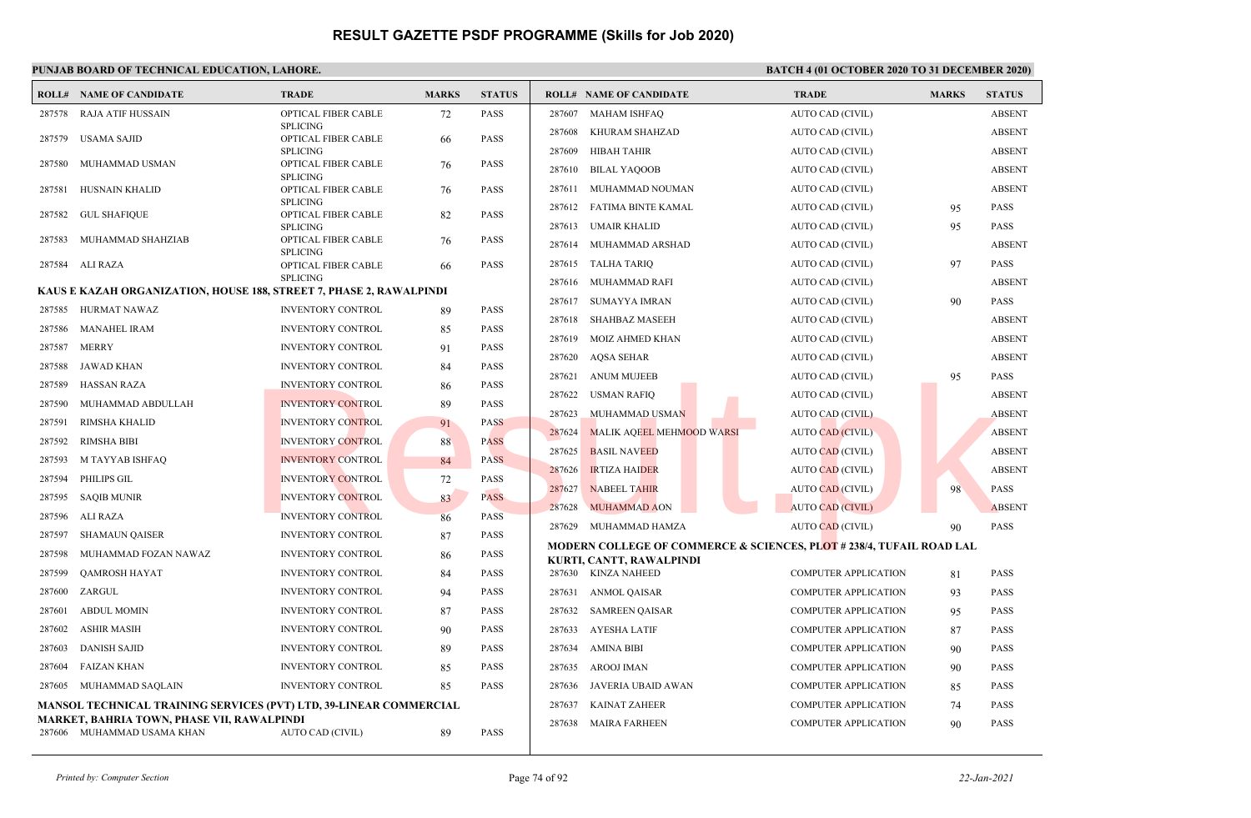|        | <b>ROLL# NAME OF CANDIDATE</b>                                            | <b>TRADE</b>                           | <b>MARKS</b> | <b>STATUS</b> |        | <b>ROLL# NAME OF CANDIDATE</b>                                                                              | <b>TRADE</b>                | <b>MARKS</b> | <b>STATUS</b> |
|--------|---------------------------------------------------------------------------|----------------------------------------|--------------|---------------|--------|-------------------------------------------------------------------------------------------------------------|-----------------------------|--------------|---------------|
| 287578 | RAJA ATIF HUSSAIN                                                         | OPTICAL FIBER CABLE                    | 72           | <b>PASS</b>   |        | 287607 MAHAM ISHFAQ                                                                                         | <b>AUTO CAD (CIVIL)</b>     |              | <b>ABSENT</b> |
| 287579 | USAMA SAJID                                                               | <b>SPLICING</b><br>OPTICAL FIBER CABLE | 66           | <b>PASS</b>   | 287608 | KHURAM SHAHZAD                                                                                              | AUTO CAD (CIVIL)            |              | <b>ABSENT</b> |
|        |                                                                           | <b>SPLICING</b>                        |              |               | 287609 | HIBAH TAHIR                                                                                                 | AUTO CAD (CIVIL)            |              | <b>ABSENT</b> |
| 287580 | MUHAMMAD USMAN                                                            | OPTICAL FIBER CABLE<br><b>SPLICING</b> | 76           | PASS          | 287610 | <b>BILAL YAQOOB</b>                                                                                         | AUTO CAD (CIVIL)            |              | <b>ABSENT</b> |
| 287581 | <b>HUSNAIN KHALID</b>                                                     | OPTICAL FIBER CABLE                    | 76           | <b>PASS</b>   | 287611 | MUHAMMAD NOUMAN                                                                                             | AUTO CAD (CIVIL)            |              | <b>ABSENT</b> |
|        |                                                                           | <b>SPLICING</b>                        |              |               | 287612 | FATIMA BINTE KAMAL                                                                                          | AUTO CAD (CIVIL)            | 95           | <b>PASS</b>   |
| 287582 | GUL SHAFIQUE                                                              | OPTICAL FIBER CABLE<br><b>SPLICING</b> | 82           | <b>PASS</b>   | 287613 | <b>UMAIR KHALID</b>                                                                                         | AUTO CAD (CIVIL)            | 95           | <b>PASS</b>   |
| 287583 | MUHAMMAD SHAHZIAB                                                         | OPTICAL FIBER CABLE                    | 76           | <b>PASS</b>   | 287614 | MUHAMMAD ARSHAD                                                                                             | AUTO CAD (CIVIL)            |              | <b>ABSENT</b> |
| 287584 | ALI RAZA                                                                  | <b>SPLICING</b><br>OPTICAL FIBER CABLE | 66           | <b>PASS</b>   | 287615 | TALHA TARIQ                                                                                                 | AUTO CAD (CIVIL)            | 97           | <b>PASS</b>   |
|        |                                                                           | <b>SPLICING</b>                        |              |               | 287616 | MUHAMMAD RAFI                                                                                               | AUTO CAD (CIVIL)            |              | <b>ABSENT</b> |
|        | KAUS E KAZAH ORGANIZATION, HOUSE 188, STREET 7, PHASE 2, RAWALPINDI       |                                        |              |               | 287617 | <b>SUMAYYA IMRAN</b>                                                                                        | AUTO CAD (CIVIL)            | 90           | <b>PASS</b>   |
| 287585 | HURMAT NAWAZ                                                              | INVENTORY CONTROL                      | 89           | <b>PASS</b>   | 287618 | <b>SHAHBAZ MASEEH</b>                                                                                       | AUTO CAD (CIVIL)            |              | <b>ABSENT</b> |
| 287586 | <b>MANAHEL IRAM</b>                                                       | <b>INVENTORY CONTROL</b>               | 85           | PASS          | 287619 | <b>MOIZ AHMED KHAN</b>                                                                                      | AUTO CAD (CIVIL)            |              | <b>ABSENT</b> |
| 287587 | <b>MERRY</b>                                                              | <b>INVENTORY CONTROL</b>               | 91           | <b>PASS</b>   | 287620 | <b>AQSA SEHAR</b>                                                                                           | AUTO CAD (CIVIL)            |              | <b>ABSENT</b> |
| 287588 | JAWAD KHAN                                                                | <b>INVENTORY CONTROL</b>               | 84           | <b>PASS</b>   | 287621 | <b>ANUM MUJEEB</b>                                                                                          | AUTO CAD (CIVIL)            | 95           | <b>PASS</b>   |
| 287589 | <b>HASSAN RAZA</b>                                                        | <b>INVENTORY CONTROL</b>               | 86           | PASS          | 287622 | <b>USMAN RAFIQ</b>                                                                                          | AUTO CAD (CIVIL)            |              | <b>ABSENT</b> |
| 287590 | MUHAMMAD ABDULLAH                                                         | <b>INVENTORY CONTROL</b>               | 89           | <b>PASS</b>   | 287623 | MUHAMMAD USMAN                                                                                              | AUTO CAD (CIVIL)            |              | <b>ABSENT</b> |
| 287591 | <b>RIMSHA KHALID</b>                                                      | <b>INVENTORY CONTROL</b>               | 91           | <b>PASS</b>   | 287624 | MALIK AQEEL MEHMOOD WARSI                                                                                   | <b>AUTO CAD (CIVIL)</b>     |              | <b>ABSENT</b> |
| 287592 | <b>RIMSHA BIBI</b>                                                        | <b>INVENTORY CONTROL</b>               | 88           | <b>PASS</b>   | 287625 | <b>BASIL NAVEED</b>                                                                                         | <b>AUTO CAD (CIVIL)</b>     |              | <b>ABSENT</b> |
| 287593 | M TAYYAB ISHFAQ                                                           | <b>INVENTORY CONTROL</b>               | -84          | <b>PASS</b>   | 287626 | <b>IRTIZA HAIDER</b>                                                                                        | <b>AUTO CAD (CIVIL)</b>     |              | <b>ABSENT</b> |
| 287594 | PHILIPS GIL                                                               | <b>INVENTORY CONTROL</b>               | 72           | <b>PASS</b>   | 287627 | <b>NABEEL TAHIR</b>                                                                                         | <b>AUTO CAD (CIVIL)</b>     | 98           | <b>PASS</b>   |
| 287595 | <b>SAQIB MUNIR</b>                                                        | <b>INVENTORY CONTROL</b>               | 83           | <b>PASS</b>   | 287628 | <b>MUHAMMAD AON</b>                                                                                         | <b>AUTO CAD (CIVIL)</b>     |              | <b>ABSENT</b> |
| 287596 | ALI RAZA                                                                  | <b>INVENTORY CONTROL</b>               | 86           | <b>PASS</b>   | 287629 | MUHAMMAD HAMZA                                                                                              | <b>AUTO CAD (CIVIL)</b>     |              | <b>PASS</b>   |
| 287597 | <b>SHAMAUN QAISER</b>                                                     | <b>INVENTORY CONTROL</b>               | 87           | <b>PASS</b>   |        |                                                                                                             |                             | 90           |               |
| 287598 | MUHAMMAD FOZAN NAWAZ                                                      | <b>INVENTORY CONTROL</b>               | 86           | PASS          |        | <b>MODERN COLLEGE OF COMMERCE &amp; SCIENCES, PLOT # 238/4, TUFAIL ROAD LAL</b><br>KURTI, CANTT, RAWALPINDI |                             |              |               |
| 287599 | QAMROSH HAYAT                                                             | <b>INVENTORY CONTROL</b>               | 84           | <b>PASS</b>   |        | 287630 KINZA NAHEED                                                                                         | <b>COMPUTER APPLICATION</b> | 81           | <b>PASS</b>   |
| 287600 | ZARGUL                                                                    | <b>INVENTORY CONTROL</b>               | 94           | PASS          | 287631 | <b>ANMOL QAISAR</b>                                                                                         | <b>COMPUTER APPLICATION</b> | 93           | <b>PASS</b>   |
| 287601 | <b>ABDUL MOMIN</b>                                                        | <b>INVENTORY CONTROL</b>               | 87           | <b>PASS</b>   | 287632 | <b>SAMREEN OAISAR</b>                                                                                       | <b>COMPUTER APPLICATION</b> | 95           | <b>PASS</b>   |
| 287602 | <b>ASHIR MASIH</b>                                                        | <b>INVENTORY CONTROL</b>               | 90           | <b>PASS</b>   | 287633 | <b>AYESHA LATIF</b>                                                                                         | <b>COMPUTER APPLICATION</b> | 87           | <b>PASS</b>   |
| 287603 | <b>DANISH SAJID</b>                                                       | <b>INVENTORY CONTROL</b>               | 89           | <b>PASS</b>   | 287634 | <b>AMINA BIBI</b>                                                                                           | <b>COMPUTER APPLICATION</b> | 90           | <b>PASS</b>   |
| 287604 | <b>FAIZAN KHAN</b>                                                        | <b>INVENTORY CONTROL</b>               | 85           | <b>PASS</b>   | 287635 | <b>AROOJ IMAN</b>                                                                                           | <b>COMPUTER APPLICATION</b> | 90           | <b>PASS</b>   |
| 287605 | MUHAMMAD SAQLAIN                                                          | <b>INVENTORY CONTROL</b>               | 85           | PASS          | 287636 | JAVERIA UBAID AWAN                                                                                          | <b>COMPUTER APPLICATION</b> | 85           | <b>PASS</b>   |
|        | <b>MANSOL TECHNICAL TRAINING SERVICES (PVT) LTD, 39-LINEAR COMMERCIAL</b> |                                        |              |               | 287637 | <b>KAINAT ZAHEER</b>                                                                                        | <b>COMPUTER APPLICATION</b> | 74           | <b>PASS</b>   |
|        | MARKET, BAHRIA TOWN, PHASE VII, RAWALPINDI                                |                                        |              |               | 287638 | <b>MAIRA FARHEEN</b>                                                                                        | <b>COMPUTER APPLICATION</b> | 90           | <b>PASS</b>   |
|        | 287606 MUHAMMAD USAMA KHAN                                                | AUTO CAD (CIVIL)                       | 89           | <b>PASS</b>   |        |                                                                                                             |                             |              |               |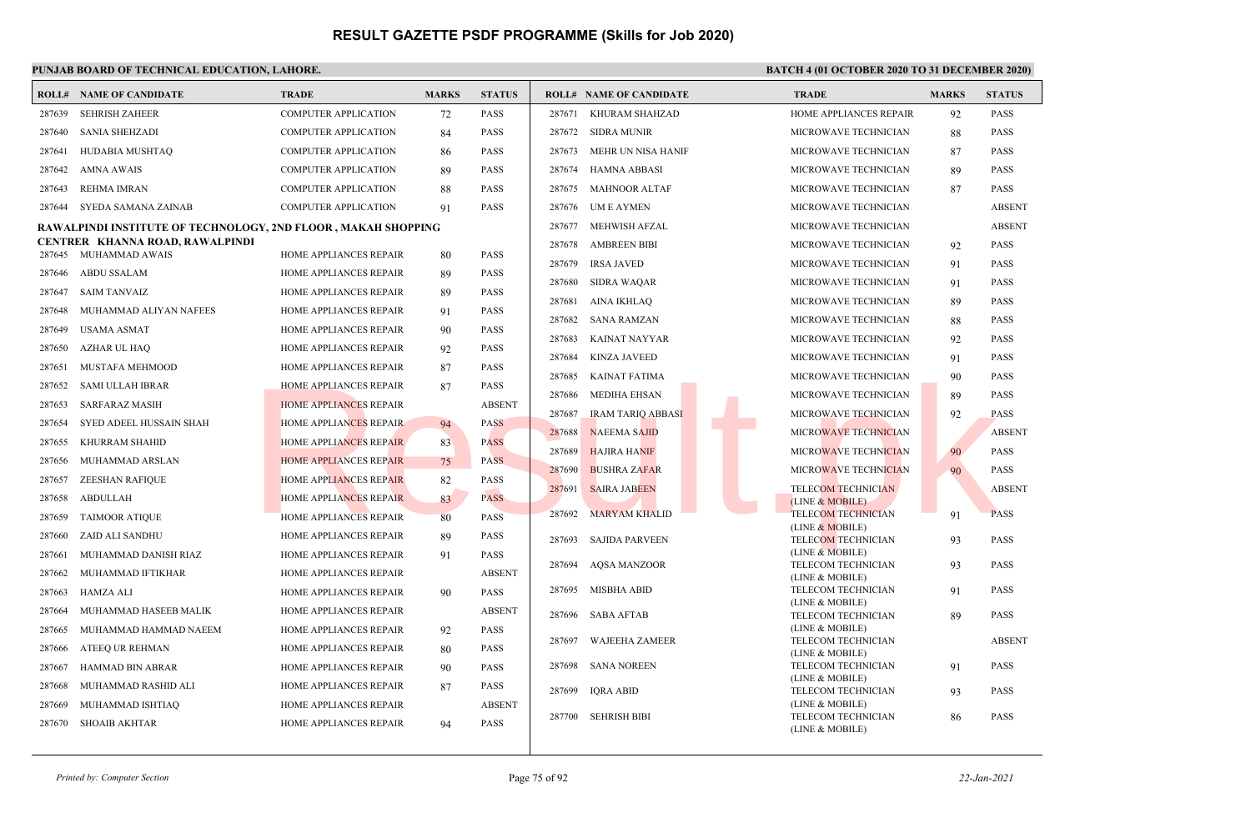| 287639<br><b>SEHRISH ZAHEER</b><br><b>COMPUTER APPLICATION</b><br><b>PASS</b><br>287671 KHURAM SHAHZAD<br>HOME APPLIANCES REPAIR<br>92<br><b>PASS</b><br>72<br><b>PASS</b><br><b>SANIA SHEHZADI</b><br><b>COMPUTER APPLICATION</b><br>287672<br>SIDRA MUNIR<br>MICROWAVE TECHNICIAN<br>88<br><b>PASS</b><br>287640<br>84<br><b>PASS</b><br>287641<br>HUDABIA MUSHTAQ<br><b>COMPUTER APPLICATION</b><br>287673<br>MEHR UN NISA HANIF<br>MICROWAVE TECHNICIAN<br><b>PASS</b><br>86<br>87<br><b>AMNA AWAIS</b><br><b>COMPUTER APPLICATION</b><br>89<br><b>PASS</b><br>287674<br><b>HAMNA ABBASI</b><br>89<br><b>PASS</b><br>287642<br>MICROWAVE TECHNICIAN<br><b>REHMA IMRAN</b><br><b>PASS</b><br>287675<br><b>MAHNOOR ALTAF</b><br><b>PASS</b><br>287643<br><b>COMPUTER APPLICATION</b><br>MICROWAVE TECHNICIAN<br>88<br>87<br>SYEDA SAMANA ZAINAB<br><b>COMPUTER APPLICATION</b><br>91<br><b>PASS</b><br>287676 UM E AYMEN<br>287644<br>MICROWAVE TECHNICIAN<br><b>ABSENT</b><br>MEHWISH AFZAL<br><b>ABSENT</b><br>287677<br>MICROWAVE TECHNICIAN<br><b>RAWALPINDI INSTITUTE OF TECHNOLOGY, 2ND FLOOR , MAKAH SHOPPING</b><br>CENTRER KHANNA ROAD, RAWALPINDI<br><b>AMBREEN BIBI</b><br><b>PASS</b><br>287678<br>MICROWAVE TECHNICIAN<br>92<br>287645 MUHAMMAD AWAIS<br><b>HOME APPLIANCES REPAIR</b><br><b>PASS</b><br>80<br><b>IRSA JAVED</b><br>287679<br>MICROWAVE TECHNICIAN<br>91<br><b>PASS</b><br><b>ABDU SSALAM</b><br><b>PASS</b><br>287646<br>HOME APPLIANCES REPAIR<br>89<br>287680<br><b>SIDRA WAQAR</b><br>MICROWAVE TECHNICIAN<br><b>PASS</b><br>91<br><b>SAIM TANVAIZ</b><br><b>PASS</b><br>287647<br>HOME APPLIANCES REPAIR<br>89<br>287681<br>AINA IKHLAO<br>MICROWAVE TECHNICIAN<br><b>PASS</b><br>89<br>287648<br>MUHAMMAD ALIYAN NAFEES<br>HOME APPLIANCES REPAIR<br><b>PASS</b><br>91<br>287682<br><b>SANA RAMZAN</b><br>MICROWAVE TECHNICIAN<br><b>PASS</b><br>88<br><b>PASS</b><br>287649<br><b>USAMA ASMAT</b><br>HOME APPLIANCES REPAIR<br>90<br>287683<br>KAINAT NAYYAR<br>MICROWAVE TECHNICIAN<br>92<br><b>PASS</b><br><b>PASS</b><br>287650<br>AZHAR UL HAQ<br>HOME APPLIANCES REPAIR<br>92<br>287684<br><b>KINZA JAVEED</b><br>MICROWAVE TECHNICIAN<br>91<br><b>PASS</b><br><b>PASS</b><br>287651<br>MUSTAFA MEHMOOD<br>HOME APPLIANCES REPAIR<br>87<br>287685<br><b>PASS</b><br>KAINAT FATIMA<br>MICROWAVE TECHNICIAN<br>90<br><b>PASS</b><br><b>SAMI ULLAH IBRAR</b><br><b>HOME APPLIANCES REPAIR</b><br>87<br>287652<br><b>MEDIHA EHSAN</b><br>MICROWAVE TECHNICIAN<br>287686<br><b>PASS</b><br>89<br><b>ABSENT</b><br>287653<br><b>SARFARAZ MASIH</b><br><b>HOME APPLIANCES REPAIR</b><br><b>IRAM TARIQ ABBASI</b><br><b>PASS</b><br>287687<br>MICROWAVE TECHNICIAN<br>92<br><b>PASS</b><br>287654<br>SYED ADEEL HUSSAIN SHAH<br><b>HOME APPLIANCES REPAIR</b><br>94<br>287688<br><b>NAEEMA SAJID</b><br><b>ABSENT</b><br>MICROWAVE TECHNICIAN<br>KHURRAM SHAHID<br><b>HOME APPLIANCES REPAIR</b><br>83<br><b>PASS</b><br>287655<br><b>PASS</b><br>287689<br><b>HAJIRA HANIF</b><br>MICROWAVE TECHNICIAN<br>90<br><b>PASS</b><br>MUHAMMAD ARSLAN<br><b>HOME APPLIANCES REPAIR</b><br>287656<br>75<br>287690<br><b>BUSHRA ZAFAR</b><br>MICROWAVE TECHNICIAN<br>90<br><b>PASS</b><br><b>ZEESHAN RAFIOUE</b><br><b>HOME APPLIANCES REPAIR</b><br><b>PASS</b><br>287657<br>82<br>287691<br><b>SAIRA JABEEN</b><br><b>TELECOM TECHNICIAN</b><br><b>ABSENT</b><br><b>ABDULLAH</b><br><b>HOME APPLIANCES REPAIR</b><br><b>PASS</b><br>287658<br>83<br>(LINE & MOBILE)<br>287692<br><b>MARYAM KHALID</b><br><b>TELECOM TECHNICIAN</b><br>91<br><b>PASS</b><br>HOME APPLIANCES REPAIR<br>80<br><b>PASS</b><br>287659<br><b>TAIMOOR ATIQUE</b><br>(LINE & MOBILE)<br>287660<br>ZAID ALI SANDHU<br>HOME APPLIANCES REPAIR<br><b>PASS</b><br>89<br><b>PASS</b><br>287693<br><b>SAJIDA PARVEEN</b><br><b>TELECOM TECHNICIAN</b><br>93<br>(LINE & MOBILE)<br><b>PASS</b><br>MUHAMMAD DANISH RIAZ<br>HOME APPLIANCES REPAIR<br>91<br>287661<br><b>AQSA MANZOOR</b><br>TELECOM TECHNICIAN<br>93<br><b>PASS</b><br>287694<br><b>ABSENT</b><br>MUHAMMAD IFTIKHAR<br>HOME APPLIANCES REPAIR<br>287662<br>(LINE & MOBILE)<br><b>MISBHA ABID</b><br>TELECOM TECHNICIAN<br><b>PASS</b><br>287695<br>91<br><b>PASS</b><br>287663<br>HAMZA ALI<br>HOME APPLIANCES REPAIR<br>90<br>(LINE & MOBILE)<br><b>ABSENT</b><br>287664<br>MUHAMMAD HASEEB MALIK<br>HOME APPLIANCES REPAIR<br>287696<br><b>SABA AFTAB</b><br>TELECOM TECHNICIAN<br>89<br><b>PASS</b><br>(LINE & MOBILE)<br>MUHAMMAD HAMMAD NAEEM<br>HOME APPLIANCES REPAIR<br>92<br><b>PASS</b><br>287665<br>287697<br><b>WAJEEHA ZAMEER</b><br>TELECOM TECHNICIAN<br><b>ABSENT</b><br>287666<br>ATEEQ UR REHMAN<br>HOME APPLIANCES REPAIR<br><b>PASS</b><br>80<br>(LINE & MOBILE)<br>287698<br>SANA NOREEN<br>TELECOM TECHNICIAN<br><b>PASS</b><br>91<br><b>PASS</b><br>287667<br>HAMMAD BIN ABRAR<br>HOME APPLIANCES REPAIR<br>90<br>(LINE & MOBILE)<br><b>PASS</b><br>287668<br>MUHAMMAD RASHID ALI<br>HOME APPLIANCES REPAIR<br>87<br><b>IQRA ABID</b><br>TELECOM TECHNICIAN<br>93<br><b>PASS</b><br>287699<br>(LINE & MOBILE)<br><b>ABSENT</b><br>287669<br>MUHAMMAD ISHTIAQ<br>HOME APPLIANCES REPAIR<br>TELECOM TECHNICIAN<br>287700 SEHRISH BIBI<br><b>PASS</b><br>86<br><b>SHOAIB AKHTAR</b><br>287670<br>HOME APPLIANCES REPAIR<br>94<br><b>PASS</b><br>(LINE & MOBILE) | <b>ROLL# NAME OF CANDIDATE</b> | <b>TRADE</b> | <b>MARKS</b> | <b>STATUS</b> | <b>ROLL# NAME OF CANDIDATE</b> | <b>TRADE</b> | <b>MARKS</b> | <b>STATUS</b> |
|--------------------------------------------------------------------------------------------------------------------------------------------------------------------------------------------------------------------------------------------------------------------------------------------------------------------------------------------------------------------------------------------------------------------------------------------------------------------------------------------------------------------------------------------------------------------------------------------------------------------------------------------------------------------------------------------------------------------------------------------------------------------------------------------------------------------------------------------------------------------------------------------------------------------------------------------------------------------------------------------------------------------------------------------------------------------------------------------------------------------------------------------------------------------------------------------------------------------------------------------------------------------------------------------------------------------------------------------------------------------------------------------------------------------------------------------------------------------------------------------------------------------------------------------------------------------------------------------------------------------------------------------------------------------------------------------------------------------------------------------------------------------------------------------------------------------------------------------------------------------------------------------------------------------------------------------------------------------------------------------------------------------------------------------------------------------------------------------------------------------------------------------------------------------------------------------------------------------------------------------------------------------------------------------------------------------------------------------------------------------------------------------------------------------------------------------------------------------------------------------------------------------------------------------------------------------------------------------------------------------------------------------------------------------------------------------------------------------------------------------------------------------------------------------------------------------------------------------------------------------------------------------------------------------------------------------------------------------------------------------------------------------------------------------------------------------------------------------------------------------------------------------------------------------------------------------------------------------------------------------------------------------------------------------------------------------------------------------------------------------------------------------------------------------------------------------------------------------------------------------------------------------------------------------------------------------------------------------------------------------------------------------------------------------------------------------------------------------------------------------------------------------------------------------------------------------------------------------------------------------------------------------------------------------------------------------------------------------------------------------------------------------------------------------------------------------------------------------------------------------------------------------------------------------------------------------------------------------------------------------------------------------------------------------------------------------------------------------------------------------------------------------------------------------------------------------------------------------------------------------------------------------------------------------------------------------------------------------------------------------------------------------------------------------------------------------------------------------------------------------------------------------------------------------------------------------------------------------------------------------------------------------------------------------------------------------------------------------------------------------------------------------------------------------------------------------------------------------------------------------------------------------------------------------------------------------------------------------------------------------------------------------------------------------------------------------------------------------------|--------------------------------|--------------|--------------|---------------|--------------------------------|--------------|--------------|---------------|
|                                                                                                                                                                                                                                                                                                                                                                                                                                                                                                                                                                                                                                                                                                                                                                                                                                                                                                                                                                                                                                                                                                                                                                                                                                                                                                                                                                                                                                                                                                                                                                                                                                                                                                                                                                                                                                                                                                                                                                                                                                                                                                                                                                                                                                                                                                                                                                                                                                                                                                                                                                                                                                                                                                                                                                                                                                                                                                                                                                                                                                                                                                                                                                                                                                                                                                                                                                                                                                                                                                                                                                                                                                                                                                                                                                                                                                                                                                                                                                                                                                                                                                                                                                                                                                                                                                                                                                                                                                                                                                                                                                                                                                                                                                                                                                                                                                                                                                                                                                                                                                                                                                                                                                                                                                                                                                                                                  |                                |              |              |               |                                |              |              |               |
|                                                                                                                                                                                                                                                                                                                                                                                                                                                                                                                                                                                                                                                                                                                                                                                                                                                                                                                                                                                                                                                                                                                                                                                                                                                                                                                                                                                                                                                                                                                                                                                                                                                                                                                                                                                                                                                                                                                                                                                                                                                                                                                                                                                                                                                                                                                                                                                                                                                                                                                                                                                                                                                                                                                                                                                                                                                                                                                                                                                                                                                                                                                                                                                                                                                                                                                                                                                                                                                                                                                                                                                                                                                                                                                                                                                                                                                                                                                                                                                                                                                                                                                                                                                                                                                                                                                                                                                                                                                                                                                                                                                                                                                                                                                                                                                                                                                                                                                                                                                                                                                                                                                                                                                                                                                                                                                                                  |                                |              |              |               |                                |              |              |               |
|                                                                                                                                                                                                                                                                                                                                                                                                                                                                                                                                                                                                                                                                                                                                                                                                                                                                                                                                                                                                                                                                                                                                                                                                                                                                                                                                                                                                                                                                                                                                                                                                                                                                                                                                                                                                                                                                                                                                                                                                                                                                                                                                                                                                                                                                                                                                                                                                                                                                                                                                                                                                                                                                                                                                                                                                                                                                                                                                                                                                                                                                                                                                                                                                                                                                                                                                                                                                                                                                                                                                                                                                                                                                                                                                                                                                                                                                                                                                                                                                                                                                                                                                                                                                                                                                                                                                                                                                                                                                                                                                                                                                                                                                                                                                                                                                                                                                                                                                                                                                                                                                                                                                                                                                                                                                                                                                                  |                                |              |              |               |                                |              |              |               |
|                                                                                                                                                                                                                                                                                                                                                                                                                                                                                                                                                                                                                                                                                                                                                                                                                                                                                                                                                                                                                                                                                                                                                                                                                                                                                                                                                                                                                                                                                                                                                                                                                                                                                                                                                                                                                                                                                                                                                                                                                                                                                                                                                                                                                                                                                                                                                                                                                                                                                                                                                                                                                                                                                                                                                                                                                                                                                                                                                                                                                                                                                                                                                                                                                                                                                                                                                                                                                                                                                                                                                                                                                                                                                                                                                                                                                                                                                                                                                                                                                                                                                                                                                                                                                                                                                                                                                                                                                                                                                                                                                                                                                                                                                                                                                                                                                                                                                                                                                                                                                                                                                                                                                                                                                                                                                                                                                  |                                |              |              |               |                                |              |              |               |
|                                                                                                                                                                                                                                                                                                                                                                                                                                                                                                                                                                                                                                                                                                                                                                                                                                                                                                                                                                                                                                                                                                                                                                                                                                                                                                                                                                                                                                                                                                                                                                                                                                                                                                                                                                                                                                                                                                                                                                                                                                                                                                                                                                                                                                                                                                                                                                                                                                                                                                                                                                                                                                                                                                                                                                                                                                                                                                                                                                                                                                                                                                                                                                                                                                                                                                                                                                                                                                                                                                                                                                                                                                                                                                                                                                                                                                                                                                                                                                                                                                                                                                                                                                                                                                                                                                                                                                                                                                                                                                                                                                                                                                                                                                                                                                                                                                                                                                                                                                                                                                                                                                                                                                                                                                                                                                                                                  |                                |              |              |               |                                |              |              |               |
|                                                                                                                                                                                                                                                                                                                                                                                                                                                                                                                                                                                                                                                                                                                                                                                                                                                                                                                                                                                                                                                                                                                                                                                                                                                                                                                                                                                                                                                                                                                                                                                                                                                                                                                                                                                                                                                                                                                                                                                                                                                                                                                                                                                                                                                                                                                                                                                                                                                                                                                                                                                                                                                                                                                                                                                                                                                                                                                                                                                                                                                                                                                                                                                                                                                                                                                                                                                                                                                                                                                                                                                                                                                                                                                                                                                                                                                                                                                                                                                                                                                                                                                                                                                                                                                                                                                                                                                                                                                                                                                                                                                                                                                                                                                                                                                                                                                                                                                                                                                                                                                                                                                                                                                                                                                                                                                                                  |                                |              |              |               |                                |              |              |               |
|                                                                                                                                                                                                                                                                                                                                                                                                                                                                                                                                                                                                                                                                                                                                                                                                                                                                                                                                                                                                                                                                                                                                                                                                                                                                                                                                                                                                                                                                                                                                                                                                                                                                                                                                                                                                                                                                                                                                                                                                                                                                                                                                                                                                                                                                                                                                                                                                                                                                                                                                                                                                                                                                                                                                                                                                                                                                                                                                                                                                                                                                                                                                                                                                                                                                                                                                                                                                                                                                                                                                                                                                                                                                                                                                                                                                                                                                                                                                                                                                                                                                                                                                                                                                                                                                                                                                                                                                                                                                                                                                                                                                                                                                                                                                                                                                                                                                                                                                                                                                                                                                                                                                                                                                                                                                                                                                                  |                                |              |              |               |                                |              |              |               |
|                                                                                                                                                                                                                                                                                                                                                                                                                                                                                                                                                                                                                                                                                                                                                                                                                                                                                                                                                                                                                                                                                                                                                                                                                                                                                                                                                                                                                                                                                                                                                                                                                                                                                                                                                                                                                                                                                                                                                                                                                                                                                                                                                                                                                                                                                                                                                                                                                                                                                                                                                                                                                                                                                                                                                                                                                                                                                                                                                                                                                                                                                                                                                                                                                                                                                                                                                                                                                                                                                                                                                                                                                                                                                                                                                                                                                                                                                                                                                                                                                                                                                                                                                                                                                                                                                                                                                                                                                                                                                                                                                                                                                                                                                                                                                                                                                                                                                                                                                                                                                                                                                                                                                                                                                                                                                                                                                  |                                |              |              |               |                                |              |              |               |
|                                                                                                                                                                                                                                                                                                                                                                                                                                                                                                                                                                                                                                                                                                                                                                                                                                                                                                                                                                                                                                                                                                                                                                                                                                                                                                                                                                                                                                                                                                                                                                                                                                                                                                                                                                                                                                                                                                                                                                                                                                                                                                                                                                                                                                                                                                                                                                                                                                                                                                                                                                                                                                                                                                                                                                                                                                                                                                                                                                                                                                                                                                                                                                                                                                                                                                                                                                                                                                                                                                                                                                                                                                                                                                                                                                                                                                                                                                                                                                                                                                                                                                                                                                                                                                                                                                                                                                                                                                                                                                                                                                                                                                                                                                                                                                                                                                                                                                                                                                                                                                                                                                                                                                                                                                                                                                                                                  |                                |              |              |               |                                |              |              |               |
|                                                                                                                                                                                                                                                                                                                                                                                                                                                                                                                                                                                                                                                                                                                                                                                                                                                                                                                                                                                                                                                                                                                                                                                                                                                                                                                                                                                                                                                                                                                                                                                                                                                                                                                                                                                                                                                                                                                                                                                                                                                                                                                                                                                                                                                                                                                                                                                                                                                                                                                                                                                                                                                                                                                                                                                                                                                                                                                                                                                                                                                                                                                                                                                                                                                                                                                                                                                                                                                                                                                                                                                                                                                                                                                                                                                                                                                                                                                                                                                                                                                                                                                                                                                                                                                                                                                                                                                                                                                                                                                                                                                                                                                                                                                                                                                                                                                                                                                                                                                                                                                                                                                                                                                                                                                                                                                                                  |                                |              |              |               |                                |              |              |               |
|                                                                                                                                                                                                                                                                                                                                                                                                                                                                                                                                                                                                                                                                                                                                                                                                                                                                                                                                                                                                                                                                                                                                                                                                                                                                                                                                                                                                                                                                                                                                                                                                                                                                                                                                                                                                                                                                                                                                                                                                                                                                                                                                                                                                                                                                                                                                                                                                                                                                                                                                                                                                                                                                                                                                                                                                                                                                                                                                                                                                                                                                                                                                                                                                                                                                                                                                                                                                                                                                                                                                                                                                                                                                                                                                                                                                                                                                                                                                                                                                                                                                                                                                                                                                                                                                                                                                                                                                                                                                                                                                                                                                                                                                                                                                                                                                                                                                                                                                                                                                                                                                                                                                                                                                                                                                                                                                                  |                                |              |              |               |                                |              |              |               |
|                                                                                                                                                                                                                                                                                                                                                                                                                                                                                                                                                                                                                                                                                                                                                                                                                                                                                                                                                                                                                                                                                                                                                                                                                                                                                                                                                                                                                                                                                                                                                                                                                                                                                                                                                                                                                                                                                                                                                                                                                                                                                                                                                                                                                                                                                                                                                                                                                                                                                                                                                                                                                                                                                                                                                                                                                                                                                                                                                                                                                                                                                                                                                                                                                                                                                                                                                                                                                                                                                                                                                                                                                                                                                                                                                                                                                                                                                                                                                                                                                                                                                                                                                                                                                                                                                                                                                                                                                                                                                                                                                                                                                                                                                                                                                                                                                                                                                                                                                                                                                                                                                                                                                                                                                                                                                                                                                  |                                |              |              |               |                                |              |              |               |
|                                                                                                                                                                                                                                                                                                                                                                                                                                                                                                                                                                                                                                                                                                                                                                                                                                                                                                                                                                                                                                                                                                                                                                                                                                                                                                                                                                                                                                                                                                                                                                                                                                                                                                                                                                                                                                                                                                                                                                                                                                                                                                                                                                                                                                                                                                                                                                                                                                                                                                                                                                                                                                                                                                                                                                                                                                                                                                                                                                                                                                                                                                                                                                                                                                                                                                                                                                                                                                                                                                                                                                                                                                                                                                                                                                                                                                                                                                                                                                                                                                                                                                                                                                                                                                                                                                                                                                                                                                                                                                                                                                                                                                                                                                                                                                                                                                                                                                                                                                                                                                                                                                                                                                                                                                                                                                                                                  |                                |              |              |               |                                |              |              |               |
|                                                                                                                                                                                                                                                                                                                                                                                                                                                                                                                                                                                                                                                                                                                                                                                                                                                                                                                                                                                                                                                                                                                                                                                                                                                                                                                                                                                                                                                                                                                                                                                                                                                                                                                                                                                                                                                                                                                                                                                                                                                                                                                                                                                                                                                                                                                                                                                                                                                                                                                                                                                                                                                                                                                                                                                                                                                                                                                                                                                                                                                                                                                                                                                                                                                                                                                                                                                                                                                                                                                                                                                                                                                                                                                                                                                                                                                                                                                                                                                                                                                                                                                                                                                                                                                                                                                                                                                                                                                                                                                                                                                                                                                                                                                                                                                                                                                                                                                                                                                                                                                                                                                                                                                                                                                                                                                                                  |                                |              |              |               |                                |              |              |               |
|                                                                                                                                                                                                                                                                                                                                                                                                                                                                                                                                                                                                                                                                                                                                                                                                                                                                                                                                                                                                                                                                                                                                                                                                                                                                                                                                                                                                                                                                                                                                                                                                                                                                                                                                                                                                                                                                                                                                                                                                                                                                                                                                                                                                                                                                                                                                                                                                                                                                                                                                                                                                                                                                                                                                                                                                                                                                                                                                                                                                                                                                                                                                                                                                                                                                                                                                                                                                                                                                                                                                                                                                                                                                                                                                                                                                                                                                                                                                                                                                                                                                                                                                                                                                                                                                                                                                                                                                                                                                                                                                                                                                                                                                                                                                                                                                                                                                                                                                                                                                                                                                                                                                                                                                                                                                                                                                                  |                                |              |              |               |                                |              |              |               |
|                                                                                                                                                                                                                                                                                                                                                                                                                                                                                                                                                                                                                                                                                                                                                                                                                                                                                                                                                                                                                                                                                                                                                                                                                                                                                                                                                                                                                                                                                                                                                                                                                                                                                                                                                                                                                                                                                                                                                                                                                                                                                                                                                                                                                                                                                                                                                                                                                                                                                                                                                                                                                                                                                                                                                                                                                                                                                                                                                                                                                                                                                                                                                                                                                                                                                                                                                                                                                                                                                                                                                                                                                                                                                                                                                                                                                                                                                                                                                                                                                                                                                                                                                                                                                                                                                                                                                                                                                                                                                                                                                                                                                                                                                                                                                                                                                                                                                                                                                                                                                                                                                                                                                                                                                                                                                                                                                  |                                |              |              |               |                                |              |              |               |
|                                                                                                                                                                                                                                                                                                                                                                                                                                                                                                                                                                                                                                                                                                                                                                                                                                                                                                                                                                                                                                                                                                                                                                                                                                                                                                                                                                                                                                                                                                                                                                                                                                                                                                                                                                                                                                                                                                                                                                                                                                                                                                                                                                                                                                                                                                                                                                                                                                                                                                                                                                                                                                                                                                                                                                                                                                                                                                                                                                                                                                                                                                                                                                                                                                                                                                                                                                                                                                                                                                                                                                                                                                                                                                                                                                                                                                                                                                                                                                                                                                                                                                                                                                                                                                                                                                                                                                                                                                                                                                                                                                                                                                                                                                                                                                                                                                                                                                                                                                                                                                                                                                                                                                                                                                                                                                                                                  |                                |              |              |               |                                |              |              |               |
|                                                                                                                                                                                                                                                                                                                                                                                                                                                                                                                                                                                                                                                                                                                                                                                                                                                                                                                                                                                                                                                                                                                                                                                                                                                                                                                                                                                                                                                                                                                                                                                                                                                                                                                                                                                                                                                                                                                                                                                                                                                                                                                                                                                                                                                                                                                                                                                                                                                                                                                                                                                                                                                                                                                                                                                                                                                                                                                                                                                                                                                                                                                                                                                                                                                                                                                                                                                                                                                                                                                                                                                                                                                                                                                                                                                                                                                                                                                                                                                                                                                                                                                                                                                                                                                                                                                                                                                                                                                                                                                                                                                                                                                                                                                                                                                                                                                                                                                                                                                                                                                                                                                                                                                                                                                                                                                                                  |                                |              |              |               |                                |              |              |               |
|                                                                                                                                                                                                                                                                                                                                                                                                                                                                                                                                                                                                                                                                                                                                                                                                                                                                                                                                                                                                                                                                                                                                                                                                                                                                                                                                                                                                                                                                                                                                                                                                                                                                                                                                                                                                                                                                                                                                                                                                                                                                                                                                                                                                                                                                                                                                                                                                                                                                                                                                                                                                                                                                                                                                                                                                                                                                                                                                                                                                                                                                                                                                                                                                                                                                                                                                                                                                                                                                                                                                                                                                                                                                                                                                                                                                                                                                                                                                                                                                                                                                                                                                                                                                                                                                                                                                                                                                                                                                                                                                                                                                                                                                                                                                                                                                                                                                                                                                                                                                                                                                                                                                                                                                                                                                                                                                                  |                                |              |              |               |                                |              |              |               |
|                                                                                                                                                                                                                                                                                                                                                                                                                                                                                                                                                                                                                                                                                                                                                                                                                                                                                                                                                                                                                                                                                                                                                                                                                                                                                                                                                                                                                                                                                                                                                                                                                                                                                                                                                                                                                                                                                                                                                                                                                                                                                                                                                                                                                                                                                                                                                                                                                                                                                                                                                                                                                                                                                                                                                                                                                                                                                                                                                                                                                                                                                                                                                                                                                                                                                                                                                                                                                                                                                                                                                                                                                                                                                                                                                                                                                                                                                                                                                                                                                                                                                                                                                                                                                                                                                                                                                                                                                                                                                                                                                                                                                                                                                                                                                                                                                                                                                                                                                                                                                                                                                                                                                                                                                                                                                                                                                  |                                |              |              |               |                                |              |              |               |
|                                                                                                                                                                                                                                                                                                                                                                                                                                                                                                                                                                                                                                                                                                                                                                                                                                                                                                                                                                                                                                                                                                                                                                                                                                                                                                                                                                                                                                                                                                                                                                                                                                                                                                                                                                                                                                                                                                                                                                                                                                                                                                                                                                                                                                                                                                                                                                                                                                                                                                                                                                                                                                                                                                                                                                                                                                                                                                                                                                                                                                                                                                                                                                                                                                                                                                                                                                                                                                                                                                                                                                                                                                                                                                                                                                                                                                                                                                                                                                                                                                                                                                                                                                                                                                                                                                                                                                                                                                                                                                                                                                                                                                                                                                                                                                                                                                                                                                                                                                                                                                                                                                                                                                                                                                                                                                                                                  |                                |              |              |               |                                |              |              |               |
|                                                                                                                                                                                                                                                                                                                                                                                                                                                                                                                                                                                                                                                                                                                                                                                                                                                                                                                                                                                                                                                                                                                                                                                                                                                                                                                                                                                                                                                                                                                                                                                                                                                                                                                                                                                                                                                                                                                                                                                                                                                                                                                                                                                                                                                                                                                                                                                                                                                                                                                                                                                                                                                                                                                                                                                                                                                                                                                                                                                                                                                                                                                                                                                                                                                                                                                                                                                                                                                                                                                                                                                                                                                                                                                                                                                                                                                                                                                                                                                                                                                                                                                                                                                                                                                                                                                                                                                                                                                                                                                                                                                                                                                                                                                                                                                                                                                                                                                                                                                                                                                                                                                                                                                                                                                                                                                                                  |                                |              |              |               |                                |              |              |               |
|                                                                                                                                                                                                                                                                                                                                                                                                                                                                                                                                                                                                                                                                                                                                                                                                                                                                                                                                                                                                                                                                                                                                                                                                                                                                                                                                                                                                                                                                                                                                                                                                                                                                                                                                                                                                                                                                                                                                                                                                                                                                                                                                                                                                                                                                                                                                                                                                                                                                                                                                                                                                                                                                                                                                                                                                                                                                                                                                                                                                                                                                                                                                                                                                                                                                                                                                                                                                                                                                                                                                                                                                                                                                                                                                                                                                                                                                                                                                                                                                                                                                                                                                                                                                                                                                                                                                                                                                                                                                                                                                                                                                                                                                                                                                                                                                                                                                                                                                                                                                                                                                                                                                                                                                                                                                                                                                                  |                                |              |              |               |                                |              |              |               |
|                                                                                                                                                                                                                                                                                                                                                                                                                                                                                                                                                                                                                                                                                                                                                                                                                                                                                                                                                                                                                                                                                                                                                                                                                                                                                                                                                                                                                                                                                                                                                                                                                                                                                                                                                                                                                                                                                                                                                                                                                                                                                                                                                                                                                                                                                                                                                                                                                                                                                                                                                                                                                                                                                                                                                                                                                                                                                                                                                                                                                                                                                                                                                                                                                                                                                                                                                                                                                                                                                                                                                                                                                                                                                                                                                                                                                                                                                                                                                                                                                                                                                                                                                                                                                                                                                                                                                                                                                                                                                                                                                                                                                                                                                                                                                                                                                                                                                                                                                                                                                                                                                                                                                                                                                                                                                                                                                  |                                |              |              |               |                                |              |              |               |
|                                                                                                                                                                                                                                                                                                                                                                                                                                                                                                                                                                                                                                                                                                                                                                                                                                                                                                                                                                                                                                                                                                                                                                                                                                                                                                                                                                                                                                                                                                                                                                                                                                                                                                                                                                                                                                                                                                                                                                                                                                                                                                                                                                                                                                                                                                                                                                                                                                                                                                                                                                                                                                                                                                                                                                                                                                                                                                                                                                                                                                                                                                                                                                                                                                                                                                                                                                                                                                                                                                                                                                                                                                                                                                                                                                                                                                                                                                                                                                                                                                                                                                                                                                                                                                                                                                                                                                                                                                                                                                                                                                                                                                                                                                                                                                                                                                                                                                                                                                                                                                                                                                                                                                                                                                                                                                                                                  |                                |              |              |               |                                |              |              |               |
|                                                                                                                                                                                                                                                                                                                                                                                                                                                                                                                                                                                                                                                                                                                                                                                                                                                                                                                                                                                                                                                                                                                                                                                                                                                                                                                                                                                                                                                                                                                                                                                                                                                                                                                                                                                                                                                                                                                                                                                                                                                                                                                                                                                                                                                                                                                                                                                                                                                                                                                                                                                                                                                                                                                                                                                                                                                                                                                                                                                                                                                                                                                                                                                                                                                                                                                                                                                                                                                                                                                                                                                                                                                                                                                                                                                                                                                                                                                                                                                                                                                                                                                                                                                                                                                                                                                                                                                                                                                                                                                                                                                                                                                                                                                                                                                                                                                                                                                                                                                                                                                                                                                                                                                                                                                                                                                                                  |                                |              |              |               |                                |              |              |               |
|                                                                                                                                                                                                                                                                                                                                                                                                                                                                                                                                                                                                                                                                                                                                                                                                                                                                                                                                                                                                                                                                                                                                                                                                                                                                                                                                                                                                                                                                                                                                                                                                                                                                                                                                                                                                                                                                                                                                                                                                                                                                                                                                                                                                                                                                                                                                                                                                                                                                                                                                                                                                                                                                                                                                                                                                                                                                                                                                                                                                                                                                                                                                                                                                                                                                                                                                                                                                                                                                                                                                                                                                                                                                                                                                                                                                                                                                                                                                                                                                                                                                                                                                                                                                                                                                                                                                                                                                                                                                                                                                                                                                                                                                                                                                                                                                                                                                                                                                                                                                                                                                                                                                                                                                                                                                                                                                                  |                                |              |              |               |                                |              |              |               |
|                                                                                                                                                                                                                                                                                                                                                                                                                                                                                                                                                                                                                                                                                                                                                                                                                                                                                                                                                                                                                                                                                                                                                                                                                                                                                                                                                                                                                                                                                                                                                                                                                                                                                                                                                                                                                                                                                                                                                                                                                                                                                                                                                                                                                                                                                                                                                                                                                                                                                                                                                                                                                                                                                                                                                                                                                                                                                                                                                                                                                                                                                                                                                                                                                                                                                                                                                                                                                                                                                                                                                                                                                                                                                                                                                                                                                                                                                                                                                                                                                                                                                                                                                                                                                                                                                                                                                                                                                                                                                                                                                                                                                                                                                                                                                                                                                                                                                                                                                                                                                                                                                                                                                                                                                                                                                                                                                  |                                |              |              |               |                                |              |              |               |
|                                                                                                                                                                                                                                                                                                                                                                                                                                                                                                                                                                                                                                                                                                                                                                                                                                                                                                                                                                                                                                                                                                                                                                                                                                                                                                                                                                                                                                                                                                                                                                                                                                                                                                                                                                                                                                                                                                                                                                                                                                                                                                                                                                                                                                                                                                                                                                                                                                                                                                                                                                                                                                                                                                                                                                                                                                                                                                                                                                                                                                                                                                                                                                                                                                                                                                                                                                                                                                                                                                                                                                                                                                                                                                                                                                                                                                                                                                                                                                                                                                                                                                                                                                                                                                                                                                                                                                                                                                                                                                                                                                                                                                                                                                                                                                                                                                                                                                                                                                                                                                                                                                                                                                                                                                                                                                                                                  |                                |              |              |               |                                |              |              |               |
|                                                                                                                                                                                                                                                                                                                                                                                                                                                                                                                                                                                                                                                                                                                                                                                                                                                                                                                                                                                                                                                                                                                                                                                                                                                                                                                                                                                                                                                                                                                                                                                                                                                                                                                                                                                                                                                                                                                                                                                                                                                                                                                                                                                                                                                                                                                                                                                                                                                                                                                                                                                                                                                                                                                                                                                                                                                                                                                                                                                                                                                                                                                                                                                                                                                                                                                                                                                                                                                                                                                                                                                                                                                                                                                                                                                                                                                                                                                                                                                                                                                                                                                                                                                                                                                                                                                                                                                                                                                                                                                                                                                                                                                                                                                                                                                                                                                                                                                                                                                                                                                                                                                                                                                                                                                                                                                                                  |                                |              |              |               |                                |              |              |               |
|                                                                                                                                                                                                                                                                                                                                                                                                                                                                                                                                                                                                                                                                                                                                                                                                                                                                                                                                                                                                                                                                                                                                                                                                                                                                                                                                                                                                                                                                                                                                                                                                                                                                                                                                                                                                                                                                                                                                                                                                                                                                                                                                                                                                                                                                                                                                                                                                                                                                                                                                                                                                                                                                                                                                                                                                                                                                                                                                                                                                                                                                                                                                                                                                                                                                                                                                                                                                                                                                                                                                                                                                                                                                                                                                                                                                                                                                                                                                                                                                                                                                                                                                                                                                                                                                                                                                                                                                                                                                                                                                                                                                                                                                                                                                                                                                                                                                                                                                                                                                                                                                                                                                                                                                                                                                                                                                                  |                                |              |              |               |                                |              |              |               |
|                                                                                                                                                                                                                                                                                                                                                                                                                                                                                                                                                                                                                                                                                                                                                                                                                                                                                                                                                                                                                                                                                                                                                                                                                                                                                                                                                                                                                                                                                                                                                                                                                                                                                                                                                                                                                                                                                                                                                                                                                                                                                                                                                                                                                                                                                                                                                                                                                                                                                                                                                                                                                                                                                                                                                                                                                                                                                                                                                                                                                                                                                                                                                                                                                                                                                                                                                                                                                                                                                                                                                                                                                                                                                                                                                                                                                                                                                                                                                                                                                                                                                                                                                                                                                                                                                                                                                                                                                                                                                                                                                                                                                                                                                                                                                                                                                                                                                                                                                                                                                                                                                                                                                                                                                                                                                                                                                  |                                |              |              |               |                                |              |              |               |
|                                                                                                                                                                                                                                                                                                                                                                                                                                                                                                                                                                                                                                                                                                                                                                                                                                                                                                                                                                                                                                                                                                                                                                                                                                                                                                                                                                                                                                                                                                                                                                                                                                                                                                                                                                                                                                                                                                                                                                                                                                                                                                                                                                                                                                                                                                                                                                                                                                                                                                                                                                                                                                                                                                                                                                                                                                                                                                                                                                                                                                                                                                                                                                                                                                                                                                                                                                                                                                                                                                                                                                                                                                                                                                                                                                                                                                                                                                                                                                                                                                                                                                                                                                                                                                                                                                                                                                                                                                                                                                                                                                                                                                                                                                                                                                                                                                                                                                                                                                                                                                                                                                                                                                                                                                                                                                                                                  |                                |              |              |               |                                |              |              |               |
|                                                                                                                                                                                                                                                                                                                                                                                                                                                                                                                                                                                                                                                                                                                                                                                                                                                                                                                                                                                                                                                                                                                                                                                                                                                                                                                                                                                                                                                                                                                                                                                                                                                                                                                                                                                                                                                                                                                                                                                                                                                                                                                                                                                                                                                                                                                                                                                                                                                                                                                                                                                                                                                                                                                                                                                                                                                                                                                                                                                                                                                                                                                                                                                                                                                                                                                                                                                                                                                                                                                                                                                                                                                                                                                                                                                                                                                                                                                                                                                                                                                                                                                                                                                                                                                                                                                                                                                                                                                                                                                                                                                                                                                                                                                                                                                                                                                                                                                                                                                                                                                                                                                                                                                                                                                                                                                                                  |                                |              |              |               |                                |              |              |               |
|                                                                                                                                                                                                                                                                                                                                                                                                                                                                                                                                                                                                                                                                                                                                                                                                                                                                                                                                                                                                                                                                                                                                                                                                                                                                                                                                                                                                                                                                                                                                                                                                                                                                                                                                                                                                                                                                                                                                                                                                                                                                                                                                                                                                                                                                                                                                                                                                                                                                                                                                                                                                                                                                                                                                                                                                                                                                                                                                                                                                                                                                                                                                                                                                                                                                                                                                                                                                                                                                                                                                                                                                                                                                                                                                                                                                                                                                                                                                                                                                                                                                                                                                                                                                                                                                                                                                                                                                                                                                                                                                                                                                                                                                                                                                                                                                                                                                                                                                                                                                                                                                                                                                                                                                                                                                                                                                                  |                                |              |              |               |                                |              |              |               |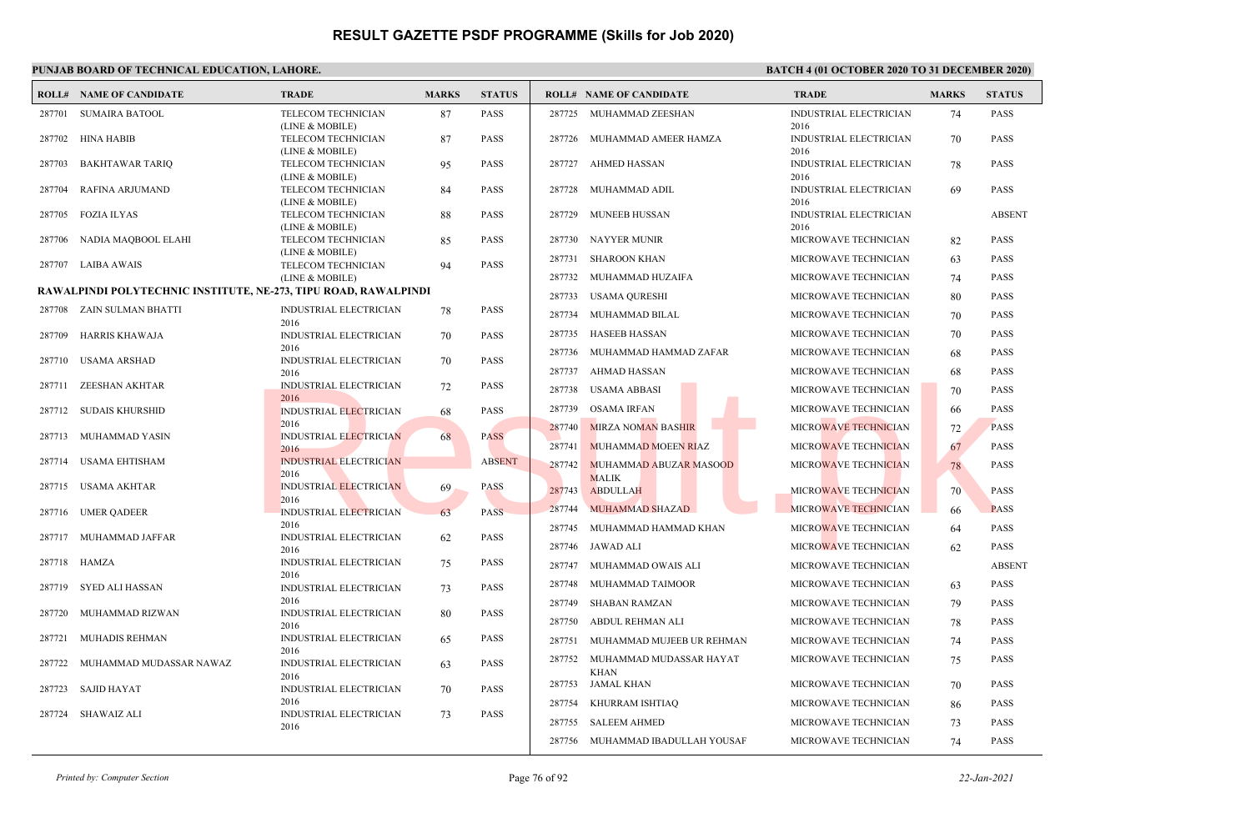|        | <b>ROLL# NAME OF CANDIDATE</b>                                  | <b>TRADE</b>                           | <b>MARKS</b> | <b>STATUS</b> |        | <b>ROLL# NAME OF CANDIDATE</b>         | <b>TRADE</b>                          | <b>MARKS</b> | <b>STATUS</b> |
|--------|-----------------------------------------------------------------|----------------------------------------|--------------|---------------|--------|----------------------------------------|---------------------------------------|--------------|---------------|
| 287701 | <b>SUMAIRA BATOOL</b>                                           | TELECOM TECHNICIAN<br>(LINE & MOBILE)  | 87           | <b>PASS</b>   |        | 287725 MUHAMMAD ZEESHAN                | <b>INDUSTRIAL ELECTRICIAN</b><br>2016 | 74           | <b>PASS</b>   |
| 287702 | <b>HINA HABIB</b>                                               | TELECOM TECHNICIAN<br>(LINE & MOBILE)  | 87           | <b>PASS</b>   | 287726 | MUHAMMAD AMEER HAMZA                   | INDUSTRIAL ELECTRICIAN<br>2016        | 70           | <b>PASS</b>   |
| 287703 | <b>BAKHTAWAR TARIQ</b>                                          | TELECOM TECHNICIAN<br>(LINE & MOBILE)  | 95           | <b>PASS</b>   | 287727 | AHMED HASSAN                           | INDUSTRIAL ELECTRICIAN<br>2016        | 78           | <b>PASS</b>   |
| 287704 | RAFINA ARJUMAND                                                 | TELECOM TECHNICIAN<br>(LINE & MOBILE)  | 84           | <b>PASS</b>   | 287728 | MUHAMMAD ADIL                          | INDUSTRIAL ELECTRICIAN<br>2016        | -69          | <b>PASS</b>   |
| 287705 | <b>FOZIA ILYAS</b>                                              | TELECOM TECHNICIAN<br>(LINE & MOBILE)  | 88           | <b>PASS</b>   | 287729 | MUNEEB HUSSAN                          | <b>INDUSTRIAL ELECTRICIAN</b><br>2016 |              | <b>ABSENT</b> |
| 287706 | NADIA MAQBOOL ELAHI                                             | TELECOM TECHNICIAN                     | 85           | <b>PASS</b>   | 287730 | <b>NAYYER MUNIR</b>                    | MICROWAVE TECHNICIAN                  | 82           | <b>PASS</b>   |
| 287707 | <b>LAIBA AWAIS</b>                                              | (LINE & MOBILE)<br>TELECOM TECHNICIAN  | 94           | <b>PASS</b>   | 287731 | <b>SHAROON KHAN</b>                    | MICROWAVE TECHNICIAN                  | 63           | <b>PASS</b>   |
|        |                                                                 | (LINE & MOBILE)                        |              |               | 287732 | MUHAMMAD HUZAIFA                       | MICROWAVE TECHNICIAN                  | 74           | <b>PASS</b>   |
|        | RAWALPINDI POLYTECHNIC INSTITUTE, NE-273, TIPU ROAD, RAWALPINDI |                                        |              |               | 287733 | USAMA QURESHI                          | MICROWAVE TECHNICIAN                  | 80           | <b>PASS</b>   |
|        | 287708 ZAIN SULMAN BHATTI                                       | INDUSTRIAL ELECTRICIAN<br>2016         | 78           | <b>PASS</b>   | 287734 | MUHAMMAD BILAL                         | MICROWAVE TECHNICIAN                  | 70           | <b>PASS</b>   |
| 287709 | <b>HARRIS KHAWAJA</b>                                           | <b>INDUSTRIAL ELECTRICIAN</b>          | 70           | <b>PASS</b>   | 287735 | <b>HASEEB HASSAN</b>                   | MICROWAVE TECHNICIAN                  | 70           | <b>PASS</b>   |
|        | 287710 USAMA ARSHAD                                             | 2016<br>INDUSTRIAL ELECTRICIAN         |              | <b>PASS</b>   | 287736 | MUHAMMAD HAMMAD ZAFAR                  | MICROWAVE TECHNICIAN                  | 68           | <b>PASS</b>   |
|        |                                                                 | 2016                                   | 70           |               | 287737 | AHMAD HASSAN                           | MICROWAVE TECHNICIAN                  | 68           | <b>PASS</b>   |
|        | 287711 ZEESHAN AKHTAR                                           | <b>INDUSTRIAL ELECTRICIAN</b><br>2016  | 72           | PASS          | 287738 | USAMA ABBASI                           | MICROWAVE TECHNICIAN                  | 70           | <b>PASS</b>   |
|        | 287712 SUDAIS KHURSHID                                          | INDUSTRIAL ELECTRICIAN                 | 68           | <b>PASS</b>   | 287739 | <b>OSAMA IRFAN</b>                     | MICROWAVE TECHNICIAN                  | 66           | <b>PASS</b>   |
|        |                                                                 | 2016                                   |              |               | 287740 | <b>MIRZA NOMAN BASHIR</b>              | MICROWAVE TECHNICIAN                  | 72           | <b>PASS</b>   |
| 287713 | MUHAMMAD YASIN                                                  | <b>INDUSTRIAL ELECTRICIAN</b><br>2016  | 68           | <b>PASS</b>   | 287741 | <b>MUHAMMAD MOEEN RIAZ</b>             | MICROWAVE TECHNICIAN                  | 67           | <b>PASS</b>   |
| 287714 | <b>USAMA EHTISHAM</b>                                           | <b>INDUSTRIAL ELECTRICIAN</b><br>2016  |              | <b>ABSENT</b> | 287742 | MUHAMMAD ABUZAR MASOOD<br><b>MALIK</b> | MICROWAVE TECHNICIAN                  | 78           | <b>PASS</b>   |
| 287715 | USAMA AKHTAR                                                    | <b>INDUSTRIAL ELECTRICIAN</b><br>2016  | 69           | <b>PASS</b>   | 287743 | <b>ABDULLAH</b>                        | MICROWAVE TECHNICIAN                  | 70           | <b>PASS</b>   |
|        | 287716 UMER QADEER                                              | INDUSTRIAL ELECTRICIAN                 | 63           | PASS          | 287744 | <b>MUHAMMAD SHAZAD</b>                 | <b>MICROWAVE TECHNICIAN</b>           | 66           | <b>PASS</b>   |
|        | 287717 MUHAMMAD JAFFAR                                          | 2016<br>INDUSTRIAL ELECTRICIAN         | 62           | <b>PASS</b>   | 287745 | MUHAMMAD HAMMAD KHAN                   | MICROWAVE TECHNICIAN                  | -64          | <b>PASS</b>   |
|        |                                                                 | 2016                                   |              |               |        | 287746 JAWAD ALI                       | MICROWAVE TECHNICIAN                  | 62           | <b>PASS</b>   |
| 287718 | HAMZA                                                           | <b>INDUSTRIAL ELECTRICIAN</b><br>2016  | 75           | <b>PASS</b>   | 287747 | MUHAMMAD OWAIS ALI                     | MICROWAVE TECHNICIAN                  |              | <b>ABSENT</b> |
| 287719 | SYED ALI HASSAN                                                 | INDUSTRIAL ELECTRICIAN                 | 73           | <b>PASS</b>   | 287748 | MUHAMMAD TAIMOOR                       | MICROWAVE TECHNICIAN                  | 63           | <b>PASS</b>   |
|        |                                                                 | 2016                                   |              |               | 287749 | SHABAN RAMZAN                          | MICROWAVE TECHNICIAN                  | 79           | <b>PASS</b>   |
| 287720 | MUHAMMAD RIZWAN                                                 | INDUSTRIAL ELECTRICIAN<br>2016         | 80           | <b>PASS</b>   | 287750 | ABDUL REHMAN ALI                       | MICROWAVE TECHNICIAN                  | 78           | <b>PASS</b>   |
| 287721 | MUHADIS REHMAN                                                  | INDUSTRIAL ELECTRICIAN                 | 65           | <b>PASS</b>   | 287751 | MUHAMMAD MUJEEB UR REHMAN              | MICROWAVE TECHNICIAN                  | 74           | <b>PASS</b>   |
| 287722 | MUHAMMAD MUDASSAR NAWAZ                                         | 2016<br>INDUSTRIAL ELECTRICIAN<br>2016 | 63           | <b>PASS</b>   | 287752 | MUHAMMAD MUDASSAR HAYAT<br><b>KHAN</b> | MICROWAVE TECHNICIAN                  | 75           | <b>PASS</b>   |
| 287723 | <b>SAJID HAYAT</b>                                              | INDUSTRIAL ELECTRICIAN                 | 70           | PASS          | 287753 | <b>JAMAL KHAN</b>                      | MICROWAVE TECHNICIAN                  | 70           | <b>PASS</b>   |
|        |                                                                 | 2016                                   |              |               | 287754 | KHURRAM ISHTIAQ                        | MICROWAVE TECHNICIAN                  | 86           | <b>PASS</b>   |
|        | 287724 SHAWAIZ ALI                                              | INDUSTRIAL ELECTRICIAN<br>2016         | 73           | <b>PASS</b>   | 287755 | <b>SALEEM AHMED</b>                    | MICROWAVE TECHNICIAN                  | 73           | <b>PASS</b>   |
|        |                                                                 |                                        |              |               |        | 287756 MUHAMMAD IBADULLAH YOUSAF       | MICROWAVE TECHNICIAN                  | 74           | <b>PASS</b>   |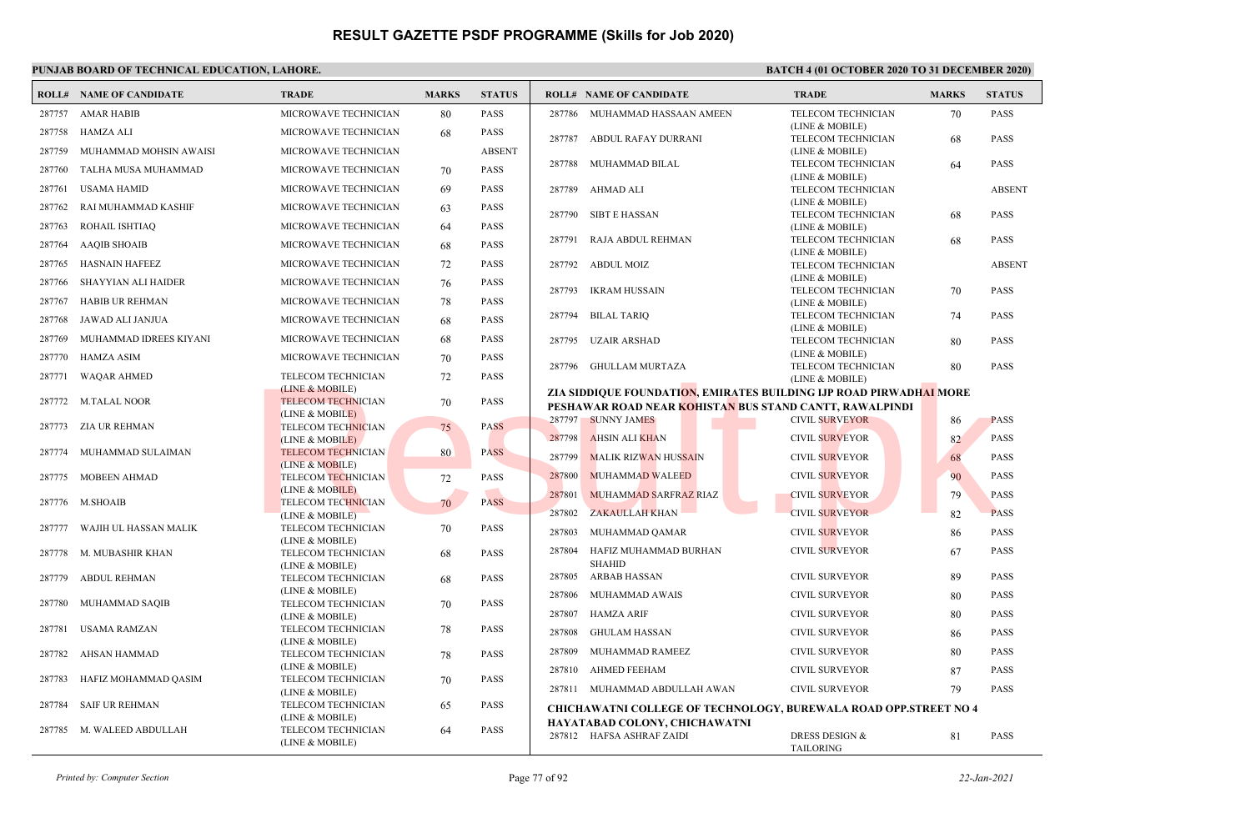|        | <b>ROLL# NAME OF CANDIDATE</b> | <b>TRADE</b>                                 | <b>MARKS</b> | <b>STATUS</b> | <b>ROLL# NAME OF CANDIDATE</b>                                          | <b>TRADE</b>                                  | <b>MARKS</b> | <b>STATUS</b> |
|--------|--------------------------------|----------------------------------------------|--------------|---------------|-------------------------------------------------------------------------|-----------------------------------------------|--------------|---------------|
| 287757 | <b>AMAR HABIB</b>              | MICROWAVE TECHNICIAN                         | 80           | <b>PASS</b>   | 287786 MUHAMMAD HASSAAN AMEEN                                           | TELECOM TECHNICIAN                            | 70           | <b>PASS</b>   |
| 287758 | HAMZA ALI                      | MICROWAVE TECHNICIAN                         | 68           | <b>PASS</b>   | 287787<br>ABDUL RAFAY DURRANI                                           | (LINE & MOBILE)<br>TELECOM TECHNICIAN         | 68           | <b>PASS</b>   |
| 287759 | MUHAMMAD MOHSIN AWAISI         | MICROWAVE TECHNICIAN                         |              | <b>ABSENT</b> |                                                                         | (LINE & MOBILE)                               |              |               |
|        |                                |                                              |              | <b>PASS</b>   | 287788<br>MUHAMMAD BILAL                                                | TELECOM TECHNICIAN                            | 64           | <b>PASS</b>   |
| 287760 | TALHA MUSA MUHAMMAD            | MICROWAVE TECHNICIAN                         | 70           |               |                                                                         | (LINE & MOBILE)                               |              |               |
| 287761 | <b>USAMA HAMID</b>             | MICROWAVE TECHNICIAN                         | 69           | <b>PASS</b>   | AHMAD ALI<br>287789                                                     | TELECOM TECHNICIAN                            |              | <b>ABSENT</b> |
| 287762 | RAI MUHAMMAD KASHIF            | MICROWAVE TECHNICIAN                         | 63           | <b>PASS</b>   | 287790<br>SIBT E HASSAN                                                 | (LINE & MOBILE)<br>TELECOM TECHNICIAN         | 68           | <b>PASS</b>   |
| 287763 | ROHAIL ISHTIAQ                 | MICROWAVE TECHNICIAN                         | 64           | <b>PASS</b>   |                                                                         | (LINE & MOBILE)                               |              |               |
| 287764 | <b>AAQIB SHOAIB</b>            | MICROWAVE TECHNICIAN                         | 68           | <b>PASS</b>   | RAJA ABDUL REHMAN<br>287791                                             | TELECOM TECHNICIAN                            | 68           | <b>PASS</b>   |
| 287765 | <b>HASNAIN HAFEEZ</b>          | MICROWAVE TECHNICIAN                         | 72           | <b>PASS</b>   | 287792<br>ABDUL MOIZ                                                    | (LINE & MOBILE)<br>TELECOM TECHNICIAN         |              | <b>ABSENT</b> |
| 287766 | <b>SHAYYIAN ALI HAIDER</b>     | MICROWAVE TECHNICIAN                         |              | <b>PASS</b>   |                                                                         | (LINE & MOBILE)                               |              |               |
|        |                                |                                              | 76           |               | 287793<br><b>IKRAM HUSSAIN</b>                                          | TELECOM TECHNICIAN                            | 70           | <b>PASS</b>   |
| 287767 | <b>HABIB UR REHMAN</b>         | MICROWAVE TECHNICIAN                         | 78           | <b>PASS</b>   |                                                                         | (LINE & MOBILE)                               |              |               |
| 287768 | JAWAD ALI JANJUA               | MICROWAVE TECHNICIAN                         | 68           | <b>PASS</b>   | 287794<br><b>BILAL TARIO</b>                                            | TELECOM TECHNICIAN                            | 74           | <b>PASS</b>   |
| 287769 | MUHAMMAD IDREES KIYANI         | MICROWAVE TECHNICIAN                         | 68           | <b>PASS</b>   | 287795<br><b>UZAIR ARSHAD</b>                                           | (LINE & MOBILE)<br>TELECOM TECHNICIAN         | 80           | <b>PASS</b>   |
| 287770 | <b>HAMZA ASIM</b>              | MICROWAVE TECHNICIAN                         | 70           | <b>PASS</b>   |                                                                         | (LINE & MOBILE)                               |              |               |
| 287771 | <b>WAQAR AHMED</b>             | TELECOM TECHNICIAN                           | 72           | PASS          | 287796<br>GHULLAM MURTAZA                                               | TELECOM TECHNICIAN                            | 80           | <b>PASS</b>   |
|        |                                | (LINE & MOBILE)                              |              |               | ZIA SIDDIOUE FOUNDATION, EMIRATES BUILDING IJP ROAD PIRWADHAI MORE      | (LINE & MOBILE)                               |              |               |
| 287772 | <b>M.TALAL NOOR</b>            | <b>TELECOM TECHNICIAN</b>                    | 70           | <b>PASS</b>   | PESHAWAR ROAD NEAR KOHISTAN BUS STAND CANTT. RAWALPINDI                 |                                               |              |               |
|        |                                | (LINE & MOBILE)                              |              |               | 287797 SUNNY JAMES                                                      | <b>CIVIL SURVEYOR</b>                         | 86           | <b>PASS</b>   |
| 287773 | ZIA UR REHMAN                  | <b>TELECOM TECHNICIAN</b>                    | 75           | <b>PASS</b>   |                                                                         |                                               |              |               |
|        |                                | (LINE & MOBILE)                              |              |               | 287798<br><b>AHSIN ALI KHAN</b>                                         | <b>CIVIL SURVEYOR</b>                         | 82           | <b>PASS</b>   |
|        | 287774 MUHAMMAD SULAIMAN       | <b>TELECOM TECHNICIAN</b><br>(LINE & MOBILE) | 80           | <b>PASS</b>   | 287799<br><b>MALIK RIZWAN HUSSAIN</b>                                   | <b>CIVIL SURVEYOR</b>                         | 68           | <b>PASS</b>   |
| 287775 | <b>MOBEEN AHMAD</b>            | <b>TELECOM TECHNICIAN</b>                    | 72           | <b>PASS</b>   | 287800<br>MUHAMMAD WALEED                                               | CIVIL SURVEYOR                                | 90           | <b>PASS</b>   |
|        |                                | (LINE & MOBILE)                              |              |               | MUHAMMAD SARFRAZ RIAZ<br>287801                                         | <b>CIVIL SURVEYOR</b>                         | 79           | <b>PASS</b>   |
| 287776 | <b>M.SHOAIB</b>                | <b>TELECOM TECHNICIAN</b>                    | 70           | <b>PASS</b>   | 287802<br><b>ZAKAULLAH KHAN</b>                                         | <b>CIVIL SURVEYOR</b>                         |              | <b>PASS</b>   |
| 287777 | WAJIH UL HASSAN MALIK          | (LINE & MOBILE)<br>TELECOM TECHNICIAN        |              | <b>PASS</b>   |                                                                         |                                               | 82           |               |
|        |                                | (LINE & MOBILE)                              | 70           |               | 287803<br>MUHAMMAD QAMAR                                                | <b>CIVIL SURVEYOR</b>                         | 86           | <b>PASS</b>   |
| 287778 | M. MUBASHIR KHAN               | TELECOM TECHNICIAN                           | 68           | <b>PASS</b>   | 287804<br>HAFIZ MUHAMMAD BURHAN                                         | <b>CIVIL SURVEYOR</b>                         | 67           | <b>PASS</b>   |
|        |                                | (LINE & MOBILE)                              |              |               | <b>SHAHID</b>                                                           |                                               |              |               |
| 287779 | <b>ABDUL REHMAN</b>            | TELECOM TECHNICIAN                           | 68           | <b>PASS</b>   | 287805<br>ARBAB HASSAN                                                  | <b>CIVIL SURVEYOR</b>                         | 89           | <b>PASS</b>   |
|        |                                | (LINE & MOBILE)                              |              |               | 287806<br>MUHAMMAD AWAIS                                                | <b>CIVIL SURVEYOR</b>                         | 80           | <b>PASS</b>   |
| 287780 | MUHAMMAD SAQIB                 | TELECOM TECHNICIAN<br>(LINE & MOBILE)        | 70           | PASS          | 287807<br>HAMZA ARIF                                                    | <b>CIVIL SURVEYOR</b>                         | 80           | <b>PASS</b>   |
| 287781 | USAMA RAMZAN                   | TELECOM TECHNICIAN                           | 78           | <b>PASS</b>   | 287808<br><b>GHULAM HASSAN</b>                                          | <b>CIVIL SURVEYOR</b>                         | 86           | <b>PASS</b>   |
|        |                                | (LINE & MOBILE)                              |              |               | 287809<br>MUHAMMAD RAMEEZ                                               | <b>CIVIL SURVEYOR</b>                         | 80           | <b>PASS</b>   |
| 287782 | <b>AHSAN HAMMAD</b>            | TELECOM TECHNICIAN<br>(LINE & MOBILE)        | 78           | <b>PASS</b>   |                                                                         |                                               |              |               |
| 287783 | HAFIZ MOHAMMAD QASIM           | TELECOM TECHNICIAN                           | 70           | <b>PASS</b>   | 287810<br><b>AHMED FEEHAM</b>                                           | <b>CIVIL SURVEYOR</b>                         | 87           | <b>PASS</b>   |
|        |                                | (LINE & MOBILE)                              |              |               | 287811 MUHAMMAD ABDULLAH AWAN                                           | <b>CIVIL SURVEYOR</b>                         | 79           | <b>PASS</b>   |
| 287784 | <b>SAIF UR REHMAN</b>          | TELECOM TECHNICIAN                           | 65           | PASS          | <b>CHICHAWATNI COLLEGE OF TECHNOLOGY, BUREWALA ROAD OPP.STREET NO 4</b> |                                               |              |               |
|        |                                | (LINE & MOBILE)                              |              |               | HAYATABAD COLONY, CHICHAWATNI                                           |                                               |              |               |
|        | 287785 M. WALEED ABDULLAH      | TELECOM TECHNICIAN<br>(LINE & MOBILE)        | 64           | <b>PASS</b>   | 287812 HAFSA ASHRAF ZAIDI                                               | <b>DRESS DESIGN &amp;</b><br><b>TAILORING</b> | 81           | <b>PASS</b>   |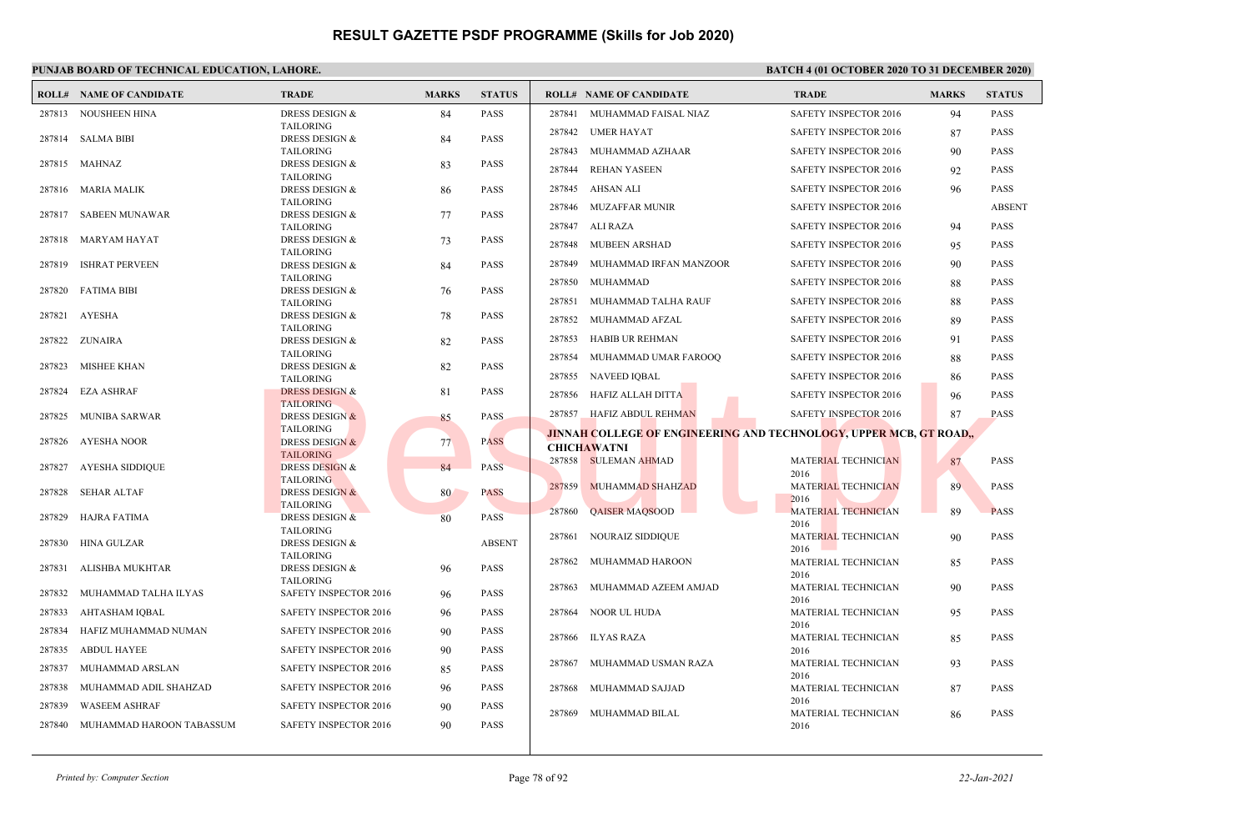|        | <b>ROLL# NAME OF CANDIDATE</b> | <b>TRADE</b>                                  | <b>MARKS</b> | <b>STATUS</b> |        | <b>ROLL# NAME OF CANDIDATE</b>                                     | <b>TRADE</b>                       | <b>MARKS</b> | <b>STATUS</b> |
|--------|--------------------------------|-----------------------------------------------|--------------|---------------|--------|--------------------------------------------------------------------|------------------------------------|--------------|---------------|
|        | 287813 NOUSHEEN HINA           | <b>DRESS DESIGN &amp;</b>                     | 84           | <b>PASS</b>   |        | 287841 MUHAMMAD FAISAL NIAZ                                        | SAFETY INSPECTOR 2016              | 94           | <b>PASS</b>   |
|        |                                | <b>TAILORING</b>                              |              |               |        | 287842 UMER HAYAT                                                  | SAFETY INSPECTOR 2016              | 87           | <b>PASS</b>   |
|        | 287814 SALMA BIBI              | DRESS DESIGN &<br><b>TAILORING</b>            | 84           | <b>PASS</b>   | 287843 | MUHAMMAD AZHAAR                                                    | SAFETY INSPECTOR 2016              | 90           | <b>PASS</b>   |
|        | 287815 MAHNAZ                  | DRESS DESIGN &                                | 83           | PASS          | 287844 | <b>REHAN YASEEN</b>                                                | SAFETY INSPECTOR 2016              | 92           | <b>PASS</b>   |
|        |                                | <b>TAILORING</b>                              |              |               |        |                                                                    |                                    |              |               |
|        | 287816 MARIA MALIK             | DRESS DESIGN &<br><b>TAILORING</b>            | 86           | <b>PASS</b>   |        | 287845 AHSAN ALI                                                   | <b>SAFETY INSPECTOR 2016</b>       | 96           | <b>PASS</b>   |
| 287817 | SABEEN MUNAWAR                 | DRESS DESIGN &                                | 77           | <b>PASS</b>   |        | 287846 MUZAFFAR MUNIR                                              | SAFETY INSPECTOR 2016              |              | <b>ABSENT</b> |
|        |                                | <b>TAILORING</b>                              |              |               |        | 287847 ALI RAZA                                                    | SAFETY INSPECTOR 2016              | 94           | <b>PASS</b>   |
| 287818 | MARYAM HAYAT                   | DRESS DESIGN &                                | 73           | <b>PASS</b>   |        | 287848 MUBEEN ARSHAD                                               | <b>SAFETY INSPECTOR 2016</b>       | 95           | <b>PASS</b>   |
| 287819 | <b>ISHRAT PERVEEN</b>          | <b>TAILORING</b><br>DRESS DESIGN &            |              | <b>PASS</b>   | 287849 | MUHAMMAD IRFAN MANZOOR                                             | <b>SAFETY INSPECTOR 2016</b>       | 90           | <b>PASS</b>   |
|        |                                | <b>TAILORING</b>                              | 84           |               |        |                                                                    |                                    |              |               |
| 287820 | <b>FATIMA BIBI</b>             | DRESS DESIGN &                                | 76           | <b>PASS</b>   |        | 287850 MUHAMMAD                                                    | SAFETY INSPECTOR 2016              | 88           | <b>PASS</b>   |
|        |                                | <b>TAILORING</b>                              |              |               | 287851 | MUHAMMAD TALHA RAUF                                                | <b>SAFETY INSPECTOR 2016</b>       | 88           | <b>PASS</b>   |
| 287821 | AYESHA                         | <b>DRESS DESIGN &amp;</b><br><b>TAILORING</b> | 78           | <b>PASS</b>   |        | 287852 MUHAMMAD AFZAL                                              | SAFETY INSPECTOR 2016              | 89           | <b>PASS</b>   |
|        | 287822 ZUNAIRA                 | <b>DRESS DESIGN &amp;</b>                     | 82           | <b>PASS</b>   |        | 287853 HABIB UR REHMAN                                             | SAFETY INSPECTOR 2016              | 91           | <b>PASS</b>   |
|        |                                | <b>TAILORING</b>                              |              |               |        | 287854 MUHAMMAD UMAR FAROOQ                                        | SAFETY INSPECTOR 2016              | 88           | <b>PASS</b>   |
| 287823 | MISHEE KHAN                    | <b>DRESS DESIGN &amp;</b>                     | 82           | <b>PASS</b>   |        | 287855 NAVEED IQBAL                                                | SAFETY INSPECTOR 2016              | 86           | <b>PASS</b>   |
| 287824 | EZA ASHRAF                     | <b>TAILORING</b><br><b>DRESS DESIGN &amp;</b> | 81           | <b>PASS</b>   |        |                                                                    |                                    |              |               |
|        |                                | <b>TAILORING</b>                              |              |               |        | 287856 HAFIZ ALLAH DITTA                                           | SAFETY INSPECTOR 2016              | 96           | <b>PASS</b>   |
| 287825 | MUNIBA SARWAR                  | <b>DRESS DESIGN &amp;</b>                     | 85           | PASS          |        | 287857 HAFIZ ABDUL REHMAN                                          | SAFETY INSPECTOR 2016              | 87           | <b>PASS</b>   |
| 287826 | AYESHA NOOR                    | <b>TAILORING</b><br><b>DRESS DESIGN &amp;</b> |              | <b>PASS</b>   |        | JINNAH COLLEGE OF ENGINEERING AND TECHNOLOGY, UPPER MCB, GT ROAD,, |                                    |              |               |
|        |                                | <b>TAILORING</b>                              | 77           |               |        | <b>CHICHAWATNI</b>                                                 |                                    |              |               |
| 287827 | AYESHA SIDDIQUE                | <b>DRESS DESIGN &amp;</b>                     | 84           | <b>PASS</b>   |        | 287858 SULEMAN AHMAD                                               | MATERIAL TECHNICIAN                | 87           | <b>PASS</b>   |
|        |                                | <b>TAILORING</b>                              |              |               |        | 287859 MUHAMMAD SHAHZAD                                            | 2016<br><b>MATERIAL TECHNICIAN</b> | 89           | <b>PASS</b>   |
| 287828 | SEHAR ALTAF                    | <b>DRESS DESIGN &amp;</b>                     | 80           | <b>PASS</b>   |        |                                                                    | 2016                               |              |               |
| 287829 | HAJRA FATIMA                   | <b>TAILORING</b><br>DRESS DESIGN &            | 80           | <b>PASS</b>   |        | 287860 QAISER MAQSOOD                                              | <b>MATERIAL TECHNICIAN</b>         | 89           | <b>PASS</b>   |
|        |                                | <b>TAILORING</b>                              |              |               |        |                                                                    | 2016                               |              |               |
| 287830 | HINA GULZAR                    | <b>DRESS DESIGN &amp;</b>                     |              | <b>ABSENT</b> |        | 287861 NOURAIZ SIDDIQUE                                            | MATERIAL TECHNICIAN<br>2016        | 90           | <b>PASS</b>   |
| 287831 | ALISHBA MUKHTAR                | <b>TAILORING</b><br><b>DRESS DESIGN &amp;</b> |              | <b>PASS</b>   |        | 287862 MUHAMMAD HAROON                                             | MATERIAL TECHNICIAN                | 85           | <b>PASS</b>   |
|        |                                | <b>TAILORING</b>                              | 96           |               |        |                                                                    | 2016                               |              |               |
| 287832 | MUHAMMAD TALHA ILYAS           | <b>SAFETY INSPECTOR 2016</b>                  | 96           | <b>PASS</b>   | 287863 | MUHAMMAD AZEEM AMJAD                                               | MATERIAL TECHNICIAN<br>2016        | 90           | <b>PASS</b>   |
| 287833 | AHTASHAM IQBAL                 | SAFETY INSPECTOR 2016                         | 96           | <b>PASS</b>   | 287864 | NOOR UL HUDA                                                       | MATERIAL TECHNICIAN                | 95           | <b>PASS</b>   |
| 287834 | HAFIZ MUHAMMAD NUMAN           | SAFETY INSPECTOR 2016                         | 90           | <b>PASS</b>   |        |                                                                    | 2016                               |              |               |
| 287835 | <b>ABDUL HAYEE</b>             | SAFETY INSPECTOR 2016                         | 90           | <b>PASS</b>   |        | 287866 ILYAS RAZA                                                  | MATERIAL TECHNICIAN<br>2016        | 85           | <b>PASS</b>   |
| 287837 | MUHAMMAD ARSLAN                | <b>SAFETY INSPECTOR 2016</b>                  |              | <b>PASS</b>   | 287867 | MUHAMMAD USMAN RAZA                                                | MATERIAL TECHNICIAN                | 93           | <b>PASS</b>   |
|        |                                |                                               | 85           |               |        |                                                                    | 2016                               |              |               |
| 287838 | MUHAMMAD ADIL SHAHZAD          | SAFETY INSPECTOR 2016                         | 96           | <b>PASS</b>   | 287868 | MUHAMMAD SAJJAD                                                    | MATERIAL TECHNICIAN<br>2016        | 87           | <b>PASS</b>   |
| 287839 | <b>WASEEM ASHRAF</b>           | SAFETY INSPECTOR 2016                         | 90           | <b>PASS</b>   | 287869 | MUHAMMAD BILAL                                                     | MATERIAL TECHNICIAN                | 86           | <b>PASS</b>   |
| 287840 | MUHAMMAD HAROON TABASSUM       | <b>SAFETY INSPECTOR 2016</b>                  | 90           | <b>PASS</b>   |        |                                                                    | 2016                               |              |               |
|        |                                |                                               |              |               |        |                                                                    |                                    |              |               |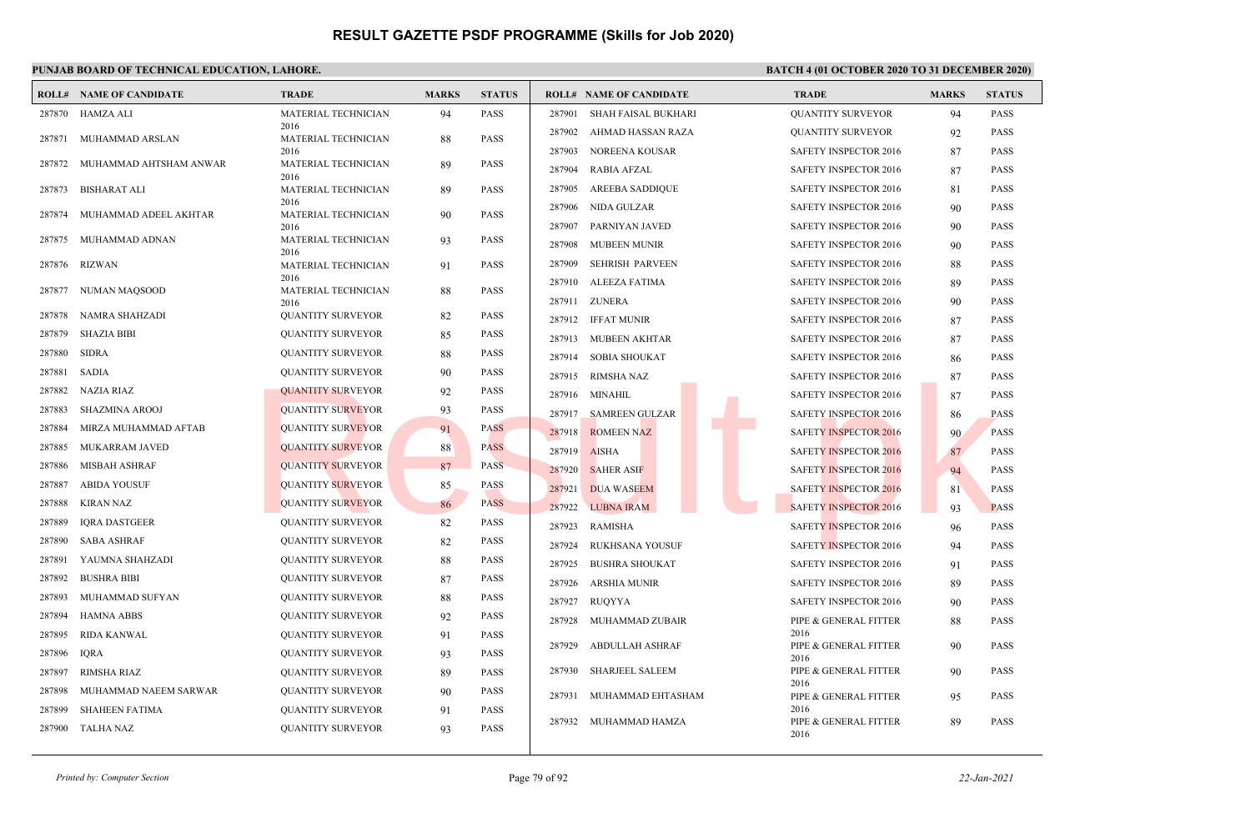|        | <b>ROLL# NAME OF CANDIDATE</b> | <b>TRADE</b>                       | <b>MARKS</b> | <b>STATUS</b> | <b>ROLL# NAME OF CANDIDATE</b>   | <b>TRADE</b>                  | <b>MARKS</b> | <b>STATUS</b> |
|--------|--------------------------------|------------------------------------|--------------|---------------|----------------------------------|-------------------------------|--------------|---------------|
| 287870 | HAMZA ALI                      | MATERIAL TECHNICIAN                | 94           | <b>PASS</b>   | 287901<br>SHAH FAISAL BUKHARI    | <b>QUANTITY SURVEYOR</b>      | 94           | <b>PASS</b>   |
| 287871 | MUHAMMAD ARSLAN                | 2016<br>MATERIAL TECHNICIAN        | 88           | PASS          | 287902<br>AHMAD HASSAN RAZA      | <b>QUANTITY SURVEYOR</b>      | 92           | <b>PASS</b>   |
|        |                                | 2016                               |              |               | 287903<br><b>NOREENA KOUSAR</b>  | <b>SAFETY INSPECTOR 2016</b>  | 87           | <b>PASS</b>   |
| 287872 | MUHAMMAD AHTSHAM ANWAR         | MATERIAL TECHNICIAN<br>2016        | 89           | <b>PASS</b>   | 287904<br>RABIA AFZAL            | SAFETY INSPECTOR 2016         | 87           | PASS          |
| 287873 | <b>BISHARAT ALI</b>            | MATERIAL TECHNICIAN                | 89           | <b>PASS</b>   | 287905<br><b>AREEBA SADDIQUE</b> | <b>SAFETY INSPECTOR 2016</b>  | 81           | <b>PASS</b>   |
| 287874 | MUHAMMAD ADEEL AKHTAR          | 2016<br><b>MATERIAL TECHNICIAN</b> | 90           | <b>PASS</b>   | 287906<br><b>NIDA GULZAR</b>     | SAFETY INSPECTOR 2016         | 90           | PASS          |
|        |                                | 2016                               |              |               | 287907<br>PARNIYAN JAVED         | SAFETY INSPECTOR 2016         | 90           | PASS          |
| 287875 | MUHAMMAD ADNAN                 | <b>MATERIAL TECHNICIAN</b><br>2016 | 93           | <b>PASS</b>   | 287908<br><b>MUBEEN MUNIR</b>    | SAFETY INSPECTOR 2016         | 90           | PASS          |
| 287876 | RIZWAN                         | <b>MATERIAL TECHNICIAN</b>         | 91           | <b>PASS</b>   | 287909<br><b>SEHRISH PARVEEN</b> | SAFETY INSPECTOR 2016         | 88           | <b>PASS</b>   |
| 287877 | NUMAN MAQSOOD                  | 2016<br>MATERIAL TECHNICIAN        | 88           | <b>PASS</b>   | 287910<br>ALEEZA FATIMA          | <b>SAFETY INSPECTOR 2016</b>  | 89           | <b>PASS</b>   |
|        |                                | 2016                               |              |               | <b>ZUNERA</b><br>287911          | <b>SAFETY INSPECTOR 2016</b>  | 90           | <b>PASS</b>   |
| 287878 | NAMRA SHAHZADI                 | <b>QUANTITY SURVEYOR</b>           | 82           | <b>PASS</b>   | 287912 IFFAT MUNIR               | SAFETY INSPECTOR 2016         | 87           | <b>PASS</b>   |
| 287879 | <b>SHAZIA BIBI</b>             | <b>QUANTITY SURVEYOR</b>           | 85           | PASS          | 287913<br><b>MUBEEN AKHTAR</b>   | <b>SAFETY INSPECTOR 2016</b>  | 87           | <b>PASS</b>   |
| 287880 | <b>SIDRA</b>                   | <b>QUANTITY SURVEYOR</b>           | 88           | <b>PASS</b>   | 287914<br><b>SOBIA SHOUKAT</b>   | SAFETY INSPECTOR 2016         | 86           | <b>PASS</b>   |
| 287881 | <b>SADIA</b>                   | <b>QUANTITY SURVEYOR</b>           | 90           | PASS          | 287915<br><b>RIMSHA NAZ</b>      | SAFETY INSPECTOR 2016         | 87           | PASS          |
| 287882 | NAZIA RIAZ                     | QUANTITY SURVEYOR                  | 92           | <b>PASS</b>   | 287916<br>MINAHIL                | <b>SAFETY INSPECTOR 2016</b>  | 87           | <b>PASS</b>   |
| 287883 | <b>SHAZMINA AROOJ</b>          | <b>QUANTITY SURVEYOR</b>           | 93           | <b>PASS</b>   | 287917<br><b>SAMREEN GULZAR</b>  | SAFETY INSPECTOR 2016         | 86           | PASS          |
| 287884 | MIRZA MUHAMMAD AFTAB           | <b>QUANTITY SURVEYOR</b>           | 91           | <b>PASS</b>   | 287918<br><b>ROMEEN NAZ</b>      | <b>SAFETY INSPECTOR 2016</b>  | 90           | <b>PASS</b>   |
| 287885 | MUKARRAM JAVED                 | <b>QUANTITY SURVEYOR</b>           | 88           | <b>PASS</b>   | 287919<br><b>AISHA</b>           | <b>SAFETY INSPECTOR 2016</b>  | 87           | <b>PASS</b>   |
| 287886 | <b>MISBAH ASHRAF</b>           | <b>QUANTITY SURVEYOR</b>           | 87           | PASS          | 287920<br><b>SAHER ASIF</b>      | <b>SAFETY INSPECTOR 2016</b>  | 94           | <b>PASS</b>   |
| 287887 | <b>ABIDA YOUSUF</b>            | <b>QUANTITY SURVEYOR</b>           | 85           | <b>PASS</b>   | 287921<br><b>DUA WASEEM</b>      | <b>SAFETY INSPECTOR 2016</b>  | 81           | PASS          |
| 287888 | <b>KIRAN NAZ</b>               | <b>QUANTITY SURVEYOR</b>           | 86           | <b>PASS</b>   | 287922<br><b>LUBNA IRAM</b>      | <b>SAFETY INSPECTOR 2016</b>  | 93           | <b>PASS</b>   |
| 287889 | <b>IQRA DASTGEER</b>           | <b>QUANTITY SURVEYOR</b>           | 82           | <b>PASS</b>   | 287923<br><b>RAMISHA</b>         | SAFETY INSPECTOR 2016         | 96           | <b>PASS</b>   |
| 287890 | <b>SABA ASHRAF</b>             | <b>QUANTITY SURVEYOR</b>           | 82           | PASS          | 287924<br><b>RUKHSANA YOUSUF</b> | SAFETY INSPECTOR 2016         | 94           | <b>PASS</b>   |
| 287891 | YAUMNA SHAHZADI                | <b>QUANTITY SURVEYOR</b>           | 88           | <b>PASS</b>   | 287925<br><b>BUSHRA SHOUKAT</b>  | <b>SAFETY INSPECTOR 2016</b>  | 91           | <b>PASS</b>   |
| 287892 | <b>BUSHRA BIBI</b>             | <b>QUANTITY SURVEYOR</b>           | 87           | PASS          | 287926<br><b>ARSHIA MUNIR</b>    | SAFETY INSPECTOR 2016         | 89           | PASS          |
| 287893 | MUHAMMAD SUFYAN                | <b>QUANTITY SURVEYOR</b>           | 88           | <b>PASS</b>   | 287927<br>RUOYYA                 | <b>SAFETY INSPECTOR 2016</b>  | 90           | <b>PASS</b>   |
| 287894 | <b>HAMNA ABBS</b>              | <b>QUANTITY SURVEYOR</b>           | 92           | <b>PASS</b>   | 287928<br>MUHAMMAD ZUBAIR        | PIPE & GENERAL FITTER         | 88           | <b>PASS</b>   |
| 287895 | <b>RIDA KANWAL</b>             | <b>QUANTITY SURVEYOR</b>           | 91           | <b>PASS</b>   |                                  | 2016                          |              |               |
| 287896 | <b>IORA</b>                    | <b>QUANTITY SURVEYOR</b>           | 93           | <b>PASS</b>   | 287929<br><b>ABDULLAH ASHRAF</b> | PIPE & GENERAL FITTER<br>2016 | 90           | <b>PASS</b>   |
| 287897 | <b>RIMSHA RIAZ</b>             | <b>QUANTITY SURVEYOR</b>           | 89           | <b>PASS</b>   | 287930<br>SHARJEEL SALEEM        | PIPE & GENERAL FITTER         | 90           | PASS          |
| 287898 | MUHAMMAD NAEEM SARWAR          | <b>QUANTITY SURVEYOR</b>           | 90           | PASS          | 287931<br>MUHAMMAD EHTASHAM      | 2016<br>PIPE & GENERAL FITTER | 95           | PASS          |
| 287899 | <b>SHAHEEN FATIMA</b>          | <b>QUANTITY SURVEYOR</b>           | 91           | <b>PASS</b>   |                                  | 2016                          |              |               |
| 287900 | <b>TALHA NAZ</b>               | <b>QUANTITY SURVEYOR</b>           | 93           | <b>PASS</b>   | 287932<br>MUHAMMAD HAMZA         | PIPE & GENERAL FITTER<br>2016 | 89           | PASS          |
|        |                                |                                    |              |               |                                  |                               |              |               |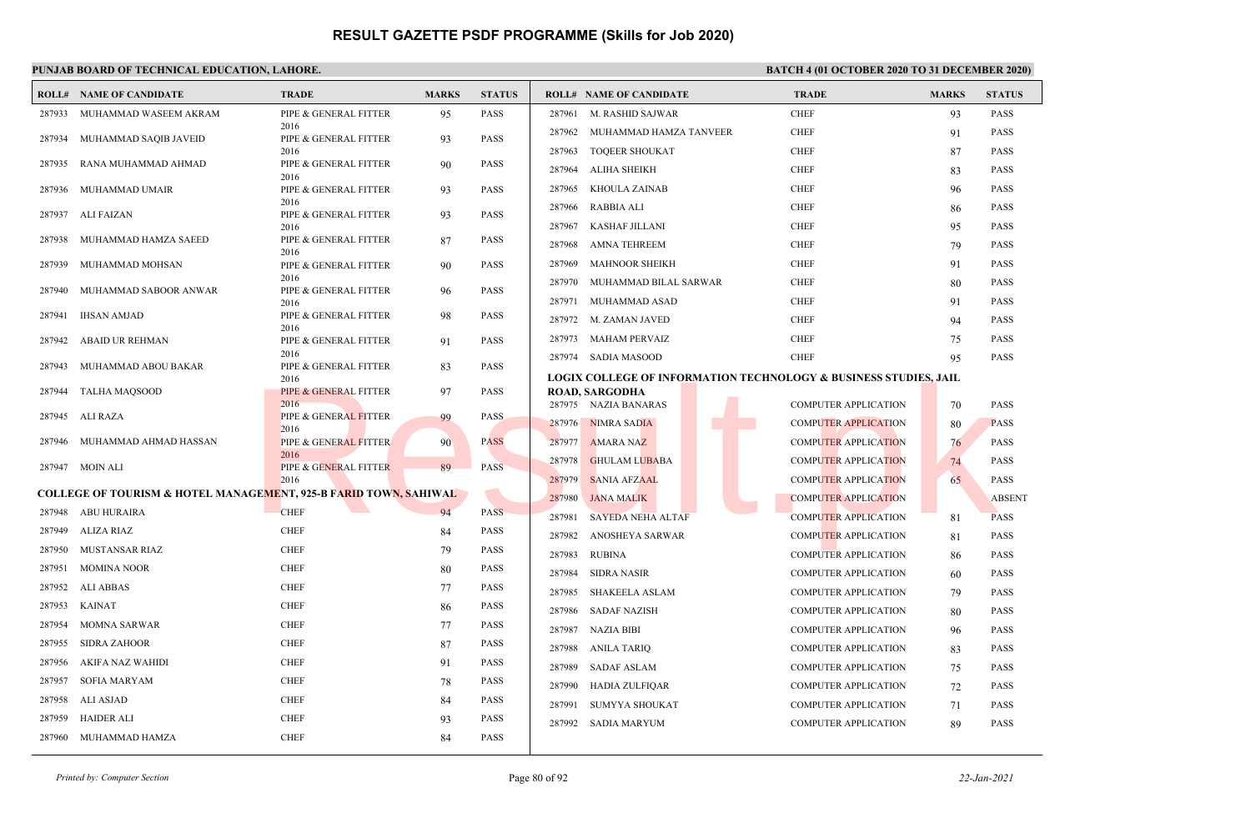|        | <b>ROLL# NAME OF CANDIDATE</b>                                              | <b>TRADE</b>                             | <b>MARKS</b> | <b>STATUS</b> |        | <b>ROLL# NAME OF CANDIDATE</b>                                              | <b>TRADE</b>                | <b>MARKS</b> | <b>STATUS</b> |
|--------|-----------------------------------------------------------------------------|------------------------------------------|--------------|---------------|--------|-----------------------------------------------------------------------------|-----------------------------|--------------|---------------|
| 287933 | MUHAMMAD WASEEM AKRAM                                                       | PIPE & GENERAL FITTER                    | 95           | <b>PASS</b>   | 287961 | M. RASHID SAJWAR                                                            | <b>CHEF</b>                 | 93           | PASS          |
| 287934 | MUHAMMAD SAQIB JAVEID                                                       | 2016<br>PIPE & GENERAL FITTER            | 93           | <b>PASS</b>   | 287962 | MUHAMMAD HAMZA TANVEER                                                      | <b>CHEF</b>                 | 91           | <b>PASS</b>   |
|        |                                                                             | 2016                                     |              |               | 287963 | <b>TOOEER SHOUKAT</b>                                                       | <b>CHEF</b>                 | 87           | <b>PASS</b>   |
| 287935 | RANA MUHAMMAD AHMAD                                                         | PIPE & GENERAL FITTER<br>2016            | 90           | <b>PASS</b>   | 287964 | <b>ALIHA SHEIKH</b>                                                         | <b>CHEF</b>                 | 83           | <b>PASS</b>   |
| 287936 | MUHAMMAD UMAIR                                                              | PIPE & GENERAL FITTER                    | 93           | <b>PASS</b>   | 287965 | KHOULA ZAINAB                                                               | <b>CHEF</b>                 | 96           | <b>PASS</b>   |
| 287937 | ALI FAIZAN                                                                  | 2016<br>PIPE & GENERAL FITTER            | 93           | <b>PASS</b>   | 287966 | RABBIA ALI                                                                  | <b>CHEF</b>                 | 86           | <b>PASS</b>   |
|        |                                                                             | 2016                                     |              |               | 287967 | KASHAF JILLANI                                                              | <b>CHEF</b>                 | 95           | <b>PASS</b>   |
| 287938 | MUHAMMAD HAMZA SAEED                                                        | PIPE & GENERAL FITTER<br>2016            | 87           | <b>PASS</b>   | 287968 | <b>AMNA TEHREEM</b>                                                         | <b>CHEF</b>                 | 79           | <b>PASS</b>   |
| 287939 | MUHAMMAD MOHSAN                                                             | PIPE & GENERAL FITTER                    | 90           | <b>PASS</b>   | 287969 | <b>MAHNOOR SHEIKH</b>                                                       | <b>CHEF</b>                 | 91           | <b>PASS</b>   |
| 287940 | MUHAMMAD SABOOR ANWAR                                                       | 2016<br>PIPE & GENERAL FITTER            |              | <b>PASS</b>   | 287970 | MUHAMMAD BILAL SARWAR                                                       | <b>CHEF</b>                 | 80           | <b>PASS</b>   |
|        |                                                                             | 2016                                     | 96           |               | 287971 | MUHAMMAD ASAD                                                               | <b>CHEF</b>                 | 91           | <b>PASS</b>   |
| 287941 | <b>IHSAN AMJAD</b>                                                          | PIPE & GENERAL FITTER<br>2016            | 98           | <b>PASS</b>   |        | 287972 M. ZAMAN JAVED                                                       | <b>CHEF</b>                 | 94           | <b>PASS</b>   |
| 287942 | ABAID UR REHMAN                                                             | PIPE & GENERAL FITTER                    | 91           | <b>PASS</b>   | 287973 | MAHAM PERVAIZ                                                               | <b>CHEF</b>                 | 75           | <b>PASS</b>   |
|        |                                                                             | 2016                                     |              |               |        | 287974 SADIA MASOOD                                                         | <b>CHEF</b>                 | 95           | <b>PASS</b>   |
| 287943 | MUHAMMAD ABOU BAKAR                                                         | PIPE & GENERAL FITTER<br>2016            | 83           | <b>PASS</b>   |        | <b>LOGIX COLLEGE OF INFORMATION TECHNOLOGY &amp; BUSINESS STUDIES, JAIL</b> |                             |              |               |
| 287944 | TALHA MAQSOOD                                                               | PIPE & GENERAL FITTER                    | 97           | <b>PASS</b>   |        | <b>ROAD, SARGODHA</b>                                                       |                             |              |               |
| 287945 | ALI RAZA                                                                    | 2016<br>PIPE & GENERAL FITTER            | 99           | <b>PASS</b>   |        | 287975 NAZIA BANARAS                                                        | <b>COMPUTER APPLICATION</b> | 70           | <b>PASS</b>   |
|        |                                                                             | 2016                                     |              |               |        | 287976 NIMRA SADIA                                                          | <b>COMPUTER APPLICATION</b> | 80           | <b>PASS</b>   |
| 287946 | MUHAMMAD AHMAD HASSAN                                                       | <b>PIPE &amp; GENERAL FITTER</b><br>2016 | 90           | <b>PASS</b>   | 287977 | <b>AMARA NAZ</b>                                                            | <b>COMPUTER APPLICATION</b> | 76           | <b>PASS</b>   |
|        | 287947 MOIN ALI                                                             | PIPE & GENERAL FITTER                    | 89           | <b>PASS</b>   | 287978 | <b>GHULAM LUBABA</b>                                                        | <b>COMPUTER APPLICATION</b> | 74           | <b>PASS</b>   |
|        | <b>COLLEGE OF TOURISM &amp; HOTEL MANAGEMENT, 925-B FARID TOWN, SAHIWAL</b> | 2016                                     |              |               | 287979 | <b>SANIA AFZAAL</b>                                                         | <b>COMPUTER APPLICATION</b> | 65           | <b>PASS</b>   |
|        | 287948 ABU HURAIRA                                                          | <b>CHEF</b>                              | 94           | <b>PASS</b>   | 287980 | <b>JANA MALIK</b>                                                           | <b>COMPUTER APPLICATION</b> |              | <b>ABSENT</b> |
| 287949 | ALIZA RIAZ                                                                  | <b>CHEF</b>                              | 84           | <b>PASS</b>   | 287981 | <b>SAYEDA NEHA ALTAF</b>                                                    | <b>COMPUTER APPLICATION</b> | 81           | <b>PASS</b>   |
| 287950 | MUSTANSAR RIAZ                                                              | <b>CHEF</b>                              | 79           | <b>PASS</b>   | 287982 | ANOSHEYA SARWAR                                                             | <b>COMPUTER APPLICATION</b> | 81           | <b>PASS</b>   |
| 287951 | <b>MOMINA NOOR</b>                                                          | <b>CHEF</b>                              | 80           | <b>PASS</b>   | 287983 | <b>RUBINA</b>                                                               | <b>COMPUTER APPLICATION</b> | 86           | <b>PASS</b>   |
| 287952 | ALI ABBAS                                                                   | <b>CHEF</b>                              | 77           | <b>PASS</b>   | 287984 | <b>SIDRA NASIR</b>                                                          | <b>COMPUTER APPLICATION</b> | 60           | <b>PASS</b>   |
| 287953 | <b>KAINAT</b>                                                               | <b>CHEF</b>                              | 86           | <b>PASS</b>   | 287985 | <b>SHAKEELA ASLAM</b>                                                       | <b>COMPUTER APPLICATION</b> | 79           | <b>PASS</b>   |
| 287954 | MOMNA SARWAR                                                                | <b>CHEF</b>                              | 77           | <b>PASS</b>   | 287986 | <b>SADAF NAZISH</b>                                                         | <b>COMPUTER APPLICATION</b> | 80           | <b>PASS</b>   |
| 287955 | <b>SIDRA ZAHOOR</b>                                                         | <b>CHEF</b>                              | 87           | <b>PASS</b>   | 287987 | <b>NAZIA BIBI</b>                                                           | <b>COMPUTER APPLICATION</b> | 96           | <b>PASS</b>   |
| 287956 | AKIFA NAZ WAHIDI                                                            | <b>CHEF</b>                              | 91           | <b>PASS</b>   | 287988 | <b>ANILA TARIQ</b>                                                          | <b>COMPUTER APPLICATION</b> | 83           | <b>PASS</b>   |
| 287957 | SOFIA MARYAM                                                                | <b>CHEF</b>                              | 78           | <b>PASS</b>   | 287989 | <b>SADAF ASLAM</b>                                                          | <b>COMPUTER APPLICATION</b> | 75           | <b>PASS</b>   |
| 287958 | ALI ASJAD                                                                   | <b>CHEF</b>                              | 84           | <b>PASS</b>   | 287990 | <b>HADIA ZULFIQAR</b>                                                       | <b>COMPUTER APPLICATION</b> | 72           | <b>PASS</b>   |
| 287959 | <b>HAIDER ALI</b>                                                           | <b>CHEF</b>                              | 93           | <b>PASS</b>   | 287991 | <b>SUMYYA SHOUKAT</b>                                                       | <b>COMPUTER APPLICATION</b> | 71           | <b>PASS</b>   |
| 287960 | MUHAMMAD HAMZA                                                              | <b>CHEF</b>                              |              | <b>PASS</b>   | 287992 | <b>SADIA MARYUM</b>                                                         | <b>COMPUTER APPLICATION</b> | 89           | PASS          |
|        |                                                                             |                                          | 84           |               |        |                                                                             |                             |              |               |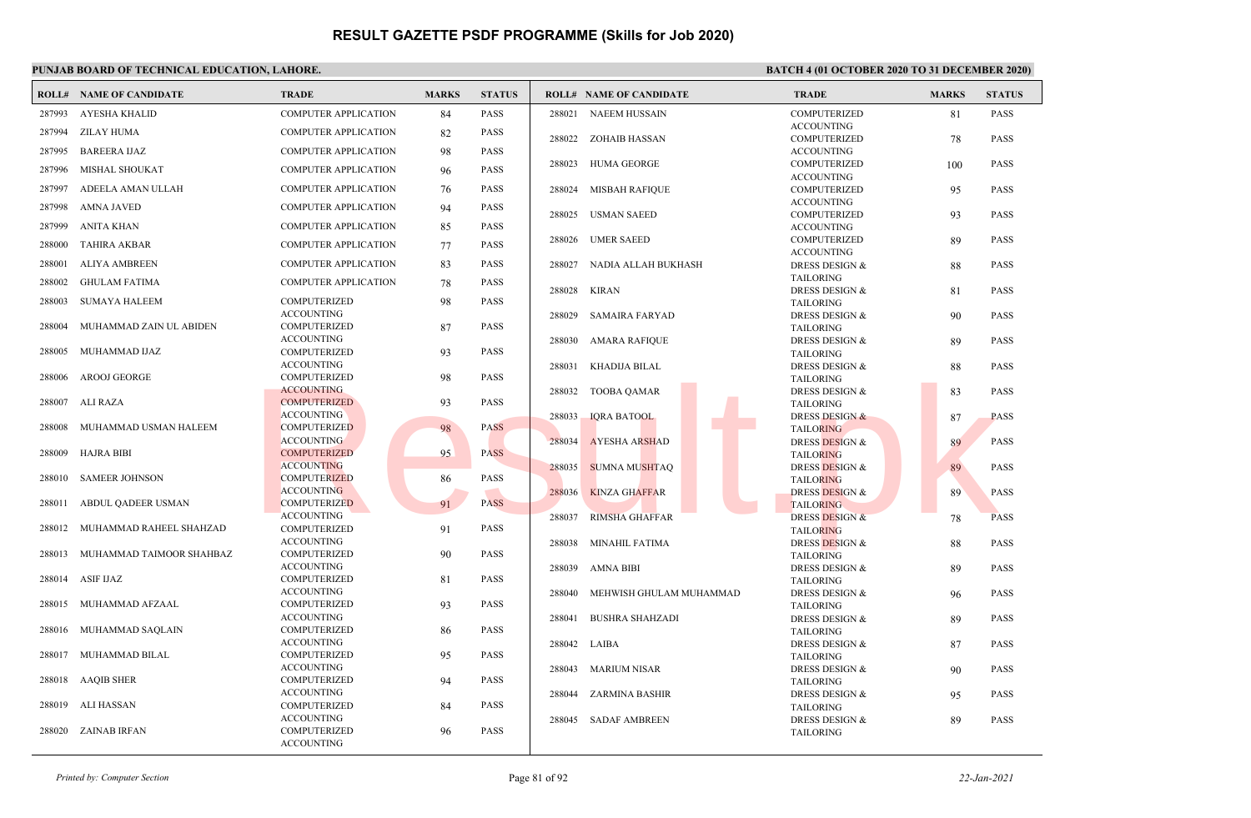|        | <b>ROLL# NAME OF CANDIDATE</b> | <b>TRADE</b>                             | <b>MARKS</b> | <b>STATUS</b> |        | <b>ROLL# NAME OF CANDIDATE</b> | <b>TRADE</b>                                  | <b>MARKS</b> | <b>STATUS</b> |
|--------|--------------------------------|------------------------------------------|--------------|---------------|--------|--------------------------------|-----------------------------------------------|--------------|---------------|
| 287993 | <b>AYESHA KHALID</b>           | <b>COMPUTER APPLICATION</b>              | 84           | PASS          | 288021 | <b>NAEEM HUSSAIN</b>           | <b>COMPUTERIZED</b>                           | 81           | <b>PASS</b>   |
| 287994 | ZILAY HUMA                     | <b>COMPUTER APPLICATION</b>              | 82           | PASS          |        |                                | <b>ACCOUNTING</b>                             |              |               |
|        |                                |                                          |              |               | 288022 | ZOHAIB HASSAN                  | <b>COMPUTERIZED</b>                           | 78           | <b>PASS</b>   |
| 287995 | <b>BAREERA IJAZ</b>            | <b>COMPUTER APPLICATION</b>              | 98           | PASS          |        |                                | <b>ACCOUNTING</b>                             |              |               |
| 287996 | <b>MISHAL SHOUKAT</b>          | <b>COMPUTER APPLICATION</b>              | 96           | PASS          | 288023 | <b>HUMA GEORGE</b>             | <b>COMPUTERIZED</b><br><b>ACCOUNTING</b>      | 100          | <b>PASS</b>   |
| 287997 | ADEELA AMAN ULLAH              | <b>COMPUTER APPLICATION</b>              | 76           | PASS          | 288024 | MISBAH RAFIQUE                 | <b>COMPUTERIZED</b>                           | 95           | <b>PASS</b>   |
| 287998 | AMNA JAVED                     | <b>COMPUTER APPLICATION</b>              | 94           | PASS          | 288025 | USMAN SAEED                    | <b>ACCOUNTING</b><br><b>COMPUTERIZED</b>      | 93           | <b>PASS</b>   |
| 287999 | <b>ANITA KHAN</b>              | <b>COMPUTER APPLICATION</b>              | 85           | PASS          |        |                                | <b>ACCOUNTING</b>                             |              |               |
| 288000 | <b>TAHIRA AKBAR</b>            | <b>COMPUTER APPLICATION</b>              | 77           | PASS          | 288026 | <b>UMER SAEED</b>              | <b>COMPUTERIZED</b><br><b>ACCOUNTING</b>      | 89           | <b>PASS</b>   |
| 288001 | <b>ALIYA AMBREEN</b>           | <b>COMPUTER APPLICATION</b>              | 83           | <b>PASS</b>   | 288027 | NADIA ALLAH BUKHASH            | <b>DRESS DESIGN &amp;</b>                     | 88           | <b>PASS</b>   |
| 288002 | <b>GHULAM FATIMA</b>           | <b>COMPUTER APPLICATION</b>              |              | PASS          |        |                                | <b>TAILORING</b>                              |              |               |
|        |                                |                                          | 78           |               | 288028 | KIRAN                          | DRESS DESIGN &                                | 81           | <b>PASS</b>   |
| 288003 | SUMAYA HALEEM                  | <b>COMPUTERIZED</b>                      | 98           | PASS          |        |                                | <b>TAILORING</b>                              |              |               |
|        |                                | <b>ACCOUNTING</b>                        |              |               | 288029 | SAMAIRA FARYAD                 | DRESS DESIGN &                                | 90           | <b>PASS</b>   |
| 288004 | MUHAMMAD ZAIN UL ABIDEN        | <b>COMPUTERIZED</b>                      | 87           | <b>PASS</b>   |        |                                | <b>TAILORING</b>                              |              |               |
| 288005 | MUHAMMAD IJAZ                  | <b>ACCOUNTING</b><br>COMPUTERIZED        | 93           | PASS          | 288030 | AMARA RAFIQUE                  | <b>DRESS DESIGN &amp;</b>                     | 89           | <b>PASS</b>   |
|        |                                | <b>ACCOUNTING</b>                        |              |               | 288031 | KHADIJA BILAL                  | <b>TAILORING</b><br><b>DRESS DESIGN &amp;</b> |              | <b>PASS</b>   |
| 288006 | AROOJ GEORGE                   | <b>COMPUTERIZED</b>                      | 98           | PASS          |        |                                | <b>TAILORING</b>                              | 88           |               |
|        |                                | <b>ACCOUNTING</b>                        |              |               | 288032 | TOOBA QAMAR                    | <b>DRESS DESIGN &amp;</b>                     | 83           | <b>PASS</b>   |
| 288007 | ALI RAZA                       | <b>COMPUTERIZED</b>                      | 93           | PASS          |        |                                | <b>TAILORING</b>                              |              |               |
|        |                                | <b>ACCOUNTING</b>                        |              |               | 288033 | <b>IQRA BATOOL</b>             | <b>DRESS DESIGN &amp;</b>                     | 87           | <b>PASS</b>   |
| 288008 | MUHAMMAD USMAN HALEEM          | <b>COMPUTERIZED</b>                      | 98           | <b>PASS</b>   |        |                                | <b>TAILORING</b>                              |              |               |
|        |                                | <b>ACCOUNTING</b>                        |              |               | 288034 | <b>AYESHA ARSHAD</b>           | DRESS DESIGN &                                | 89           | <b>PASS</b>   |
| 288009 | HAJRA BIBI                     | <b>COMPUTERIZED</b>                      | 95           | <b>PASS</b>   |        |                                | <b>TAILORING</b>                              |              |               |
| 288010 | <b>SAMEER JOHNSON</b>          | <b>ACCOUNTING</b><br><b>COMPUTERIZED</b> |              | PASS          | 288035 | <b>SUMNA MUSHTAO</b>           | <b>DRESS DESIGN &amp;</b>                     | 89           | <b>PASS</b>   |
|        |                                | <b>ACCOUNTING</b>                        | 86           |               | 288036 | <b>KINZA GHAFFAR</b>           | <b>TAILORING</b><br><b>DRESS DESIGN &amp;</b> | 89           | <b>PASS</b>   |
| 288011 | ABDUL QADEER USMAN             | <b>COMPUTERIZED</b>                      | 91           | <b>PASS</b>   |        |                                | <b>TAILORING</b>                              |              |               |
|        |                                | <b>ACCOUNTING</b>                        |              |               | 288037 | <b>RIMSHA GHAFFAR</b>          | <b>DRESS DESIGN &amp;</b>                     | 78           | <b>PASS</b>   |
| 288012 | MUHAMMAD RAHEEL SHAHZAD        | COMPUTERIZED                             | 91           | PASS          |        |                                | <b>TAILORING</b>                              |              |               |
|        |                                | <b>ACCOUNTING</b>                        |              |               | 288038 | <b>MINAHIL FATIMA</b>          | <b>DRESS DESIGN &amp;</b>                     | 88           | <b>PASS</b>   |
| 288013 | MUHAMMAD TAIMOOR SHAHBAZ       | <b>COMPUTERIZED</b>                      | 90           | <b>PASS</b>   |        |                                | <b>TAILORING</b>                              |              |               |
|        |                                | <b>ACCOUNTING</b>                        |              |               | 288039 | AMNA BIBI                      | DRESS DESIGN &                                | 89           | <b>PASS</b>   |
| 288014 | ASIF IJAZ                      | <b>COMPUTERIZED</b>                      | 81           | PASS          |        |                                | <b>TAILORING</b>                              |              |               |
| 288015 | MUHAMMAD AFZAAL                | <b>ACCOUNTING</b><br>COMPUTERIZED        | 93           | PASS          | 288040 | MEHWISH GHULAM MUHAMMAD        | <b>DRESS DESIGN &amp;</b>                     | 96           | <b>PASS</b>   |
|        |                                | <b>ACCOUNTING</b>                        |              |               | 288041 | <b>BUSHRA SHAHZADI</b>         | <b>TAILORING</b><br>DRESS DESIGN &            |              | <b>PASS</b>   |
| 288016 | MUHAMMAD SAQLAIN               | COMPUTERIZED                             | 86           | PASS          |        |                                | <b>TAILORING</b>                              | 89           |               |
|        |                                | <b>ACCOUNTING</b>                        |              |               | 288042 | LAIBA                          | <b>DRESS DESIGN &amp;</b>                     | 87           | <b>PASS</b>   |
|        | 288017 MUHAMMAD BILAL          | <b>COMPUTERIZED</b>                      | 95           | PASS          |        |                                | <b>TAILORING</b>                              |              |               |
|        |                                | <b>ACCOUNTING</b>                        |              |               | 288043 | <b>MARIUM NISAR</b>            | <b>DRESS DESIGN &amp;</b>                     | 90           | <b>PASS</b>   |
|        | 288018 AAQIB SHER              | COMPUTERIZED                             | 94           | PASS          |        |                                | <b>TAILORING</b>                              |              |               |
|        |                                | <b>ACCOUNTING</b>                        |              |               | 288044 | ZARMINA BASHIR                 | <b>DRESS DESIGN &amp;</b>                     | 95           | <b>PASS</b>   |
| 288019 | ALI HASSAN                     | <b>COMPUTERIZED</b>                      | 84           | PASS          |        |                                | <b>TAILORING</b>                              |              |               |
| 288020 | ZAINAB IRFAN                   | <b>ACCOUNTING</b><br>COMPUTERIZED        | 96           | PASS          | 288045 | <b>SADAF AMBREEN</b>           | <b>DRESS DESIGN &amp;</b>                     | 89           | <b>PASS</b>   |
|        |                                | <b>ACCOUNTING</b>                        |              |               |        |                                | <b>TAILORING</b>                              |              |               |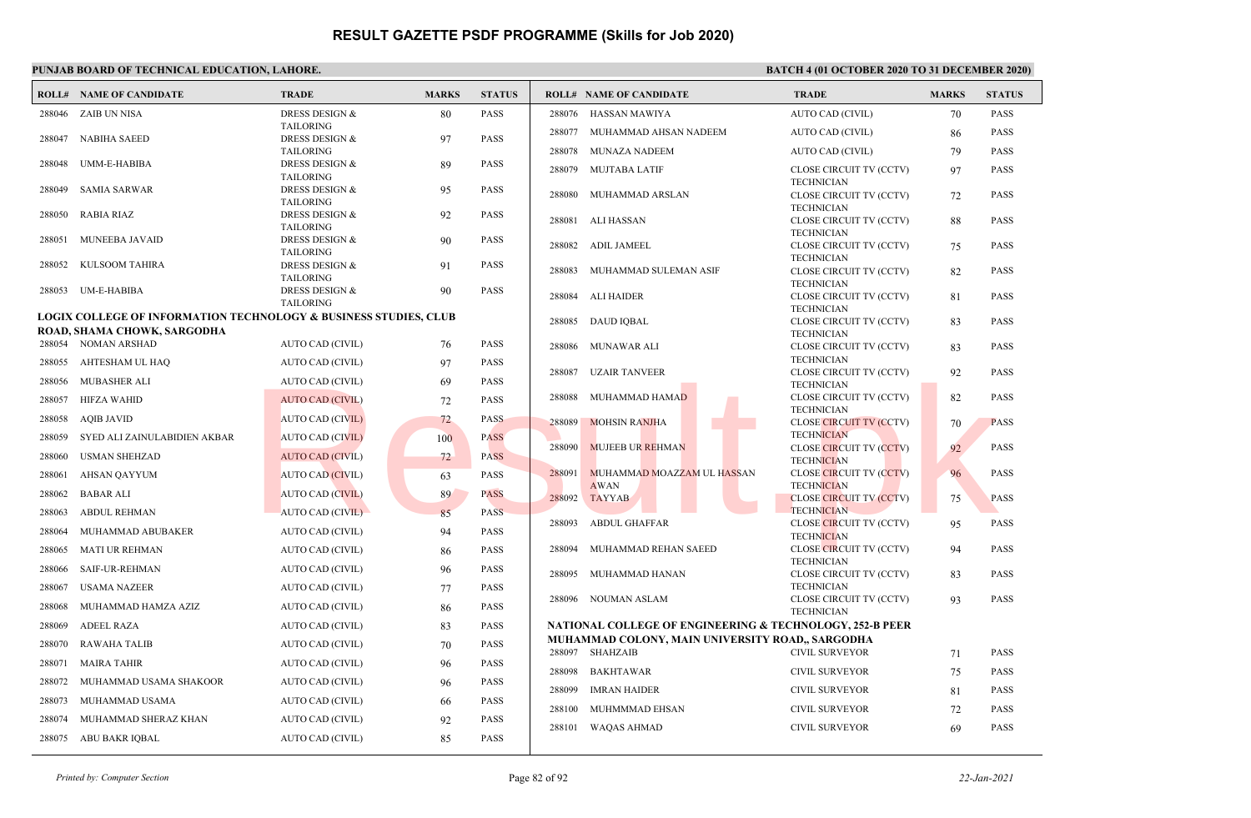|        | <b>ROLL# NAME OF CANDIDATE</b>                                                                             | <b>TRADE</b>                                  | <b>MARKS</b> | <b>STATUS</b> |        | <b>ROLL# NAME OF CANDIDATE</b>                                      | <b>TRADE</b>                                        | <b>MARKS</b> | <b>STATUS</b> |
|--------|------------------------------------------------------------------------------------------------------------|-----------------------------------------------|--------------|---------------|--------|---------------------------------------------------------------------|-----------------------------------------------------|--------------|---------------|
|        | 288046 ZAIB UN NISA                                                                                        | <b>DRESS DESIGN &amp;</b>                     | 80           | <b>PASS</b>   |        | 288076 HASSAN MAWIYA                                                | AUTO CAD (CIVIL)                                    | 70           | <b>PASS</b>   |
| 288047 | NABIHA SAEED                                                                                               | <b>TAILORING</b><br><b>DRESS DESIGN &amp;</b> | 97           | <b>PASS</b>   | 288077 | MUHAMMAD AHSAN NADEEM                                               | AUTO CAD (CIVIL)                                    | 86           | <b>PASS</b>   |
|        |                                                                                                            | <b>TAILORING</b>                              |              |               | 288078 | MUNAZA NADEEM                                                       | AUTO CAD (CIVIL)                                    | 79           | <b>PASS</b>   |
| 288048 | UMM-E-HABIBA                                                                                               | DRESS DESIGN &<br><b>TAILORING</b>            | 89           | <b>PASS</b>   | 288079 | <b>MUJTABA LATIF</b>                                                | CLOSE CIRCUIT TV (CCTV)<br><b>TECHNICIAN</b>        | 97           | <b>PASS</b>   |
| 288049 | <b>SAMIA SARWAR</b>                                                                                        | <b>DRESS DESIGN &amp;</b><br><b>TAILORING</b> | 95           | <b>PASS</b>   | 288080 | MUHAMMAD ARSLAN                                                     | CLOSE CIRCUIT TV (CCTV)<br><b>TECHNICIAN</b>        | 72           | <b>PASS</b>   |
| 288050 | RABIA RIAZ                                                                                                 | <b>DRESS DESIGN &amp;</b><br><b>TAILORING</b> | 92           | <b>PASS</b>   | 288081 | ALI HASSAN                                                          | CLOSE CIRCUIT TV (CCTV)                             | 88           | <b>PASS</b>   |
| 288051 | MUNEEBA JAVAID                                                                                             | <b>DRESS DESIGN &amp;</b><br><b>TAILORING</b> | 90           | <b>PASS</b>   | 288082 | <b>ADIL JAMEEL</b>                                                  | <b>TECHNICIAN</b><br>CLOSE CIRCUIT TV (CCTV)        | 75           | <b>PASS</b>   |
| 288052 | KULSOOM TAHIRA                                                                                             | <b>DRESS DESIGN &amp;</b><br><b>TAILORING</b> | 91           | <b>PASS</b>   | 288083 | MUHAMMAD SULEMAN ASIF                                               | <b>TECHNICIAN</b><br>CLOSE CIRCUIT TV (CCTV)        | 82           | <b>PASS</b>   |
| 288053 | UM-E-HABIBA                                                                                                | DRESS DESIGN &<br><b>TAILORING</b>            | 90           | <b>PASS</b>   | 288084 | ALI HAIDER                                                          | <b>TECHNICIAN</b><br>CLOSE CIRCUIT TV (CCTV)        | 81           | <b>PASS</b>   |
|        | <b>LOGIX COLLEGE OF INFORMATION TECHNOLOGY &amp; BUSINESS STUDIES, CLUB</b><br>ROAD, SHAMA CHOWK, SARGODHA |                                               |              |               | 288085 | DAUD IOBAL                                                          | <b>TECHNICIAN</b><br>CLOSE CIRCUIT TV (CCTV)        | 83           | <b>PASS</b>   |
|        | 288054 NOMAN ARSHAD                                                                                        | AUTO CAD (CIVIL)                              | 76           | PASS          | 288086 | MUNAWAR ALI                                                         | <b>TECHNICIAN</b><br>CLOSE CIRCUIT TV (CCTV)        | 83           | <b>PASS</b>   |
|        | 288055 AHTESHAM UL HAQ                                                                                     | AUTO CAD (CIVIL)                              | 97           | PASS          | 288087 | <b>UZAIR TANVEER</b>                                                | <b>TECHNICIAN</b><br>CLOSE CIRCUIT TV (CCTV)        | 92           | <b>PASS</b>   |
| 288056 | <b>MUBASHER ALI</b>                                                                                        | <b>AUTO CAD (CIVIL)</b>                       | 69           | <b>PASS</b>   |        |                                                                     | <b>TECHNICIAN</b>                                   |              |               |
| 288057 | HIFZA WAHID                                                                                                | <b>AUTO CAD (CIVIL)</b>                       | 72           | <b>PASS</b>   | 288088 | MUHAMMAD HAMAD                                                      | CLOSE CIRCUIT TV (CCTV)<br><b>TECHNICIAN</b>        | 82           | <b>PASS</b>   |
| 288058 | <b>AOIB JAVID</b>                                                                                          | <b>AUTO CAD (CIVIL)</b>                       | 72           | <b>PASS</b>   | 288089 | <b>MOHSIN RANJHA</b>                                                | <b>CLOSE CIRCUIT TV (CCTV)</b>                      | 70           | <b>PASS</b>   |
| 288059 | SYED ALI ZAINULABIDIEN AKBAR                                                                               | <b>AUTO CAD (CIVIL)</b>                       | 100          | <b>PASS</b>   |        |                                                                     | <b>TECHNICIAN</b>                                   |              |               |
| 288060 | <b>USMAN SHEHZAD</b>                                                                                       | <b>AUTO CAD (CIVIL)</b>                       | 72           | <b>PASS</b>   | 288090 | <b>MUJEEB UR REHMAN</b>                                             | <b>CLOSE CIRCUIT TV (CCTV)</b><br><b>TECHNICIAN</b> | 92           | PASS          |
| 288061 | <b>AHSAN QAYYUM</b>                                                                                        | <b>AUTO CAD (CIVIL)</b>                       | 63           | <b>PASS</b>   | 288091 | MUHAMMAD MOAZZAM UL HASSAN                                          | <b>CLOSE CIRCUIT TV (CCTV)</b>                      | 96           | <b>PASS</b>   |
| 288062 | <b>BABAR ALI</b>                                                                                           | <b>AUTO CAD (CIVIL)</b>                       | 89           | <b>PASS</b>   | 288092 | <b>AWAN</b><br><b>TAYYAB</b>                                        | <b>TECHNICIAN</b><br><b>CLOSE CIRCUIT TV (CCTV)</b> | 75           | <b>PASS</b>   |
| 288063 | <b>ABDUL REHMAN</b>                                                                                        | <b>AUTO CAD (CIVIL)</b>                       | 85           | <b>PASS</b>   |        |                                                                     | <b>TECHNICIAN</b>                                   |              |               |
| 288064 | MUHAMMAD ABUBAKER                                                                                          | AUTO CAD (CIVIL)                              | 94           | <b>PASS</b>   | 288093 | <b>ABDUL GHAFFAR</b>                                                | CLOSE CIRCUIT TV (CCTV)<br><b>TECHNICIAN</b>        | 95           | <b>PASS</b>   |
| 288065 | <b>MATI UR REHMAN</b>                                                                                      | <b>AUTO CAD (CIVIL)</b>                       | 86           | <b>PASS</b>   | 288094 | MUHAMMAD REHAN SAEED                                                | <b>CLOSE CIRCUIT TV (CCTV)</b><br><b>TECHNICIAN</b> | 94           | <b>PASS</b>   |
| 288066 | <b>SAIF-UR-REHMAN</b>                                                                                      | AUTO CAD (CIVIL)                              | 96           | <b>PASS</b>   | 288095 | MUHAMMAD HANAN                                                      | CLOSE CIRCUIT TV (CCTV)                             | 83           | <b>PASS</b>   |
| 288067 | <b>USAMA NAZEER</b>                                                                                        | AUTO CAD (CIVIL)                              | 77           | <b>PASS</b>   |        |                                                                     | <b>TECHNICIAN</b>                                   |              |               |
| 288068 | MUHAMMAD HAMZA AZIZ                                                                                        | AUTO CAD (CIVIL)                              | 86           | <b>PASS</b>   |        | 288096 NOUMAN ASLAM                                                 | CLOSE CIRCUIT TV (CCTV)<br><b>TECHNICIAN</b>        | 93           | <b>PASS</b>   |
| 288069 | <b>ADEEL RAZA</b>                                                                                          | AUTO CAD (CIVIL)                              | 83           | <b>PASS</b>   |        | NATIONAL COLLEGE OF ENGINEERING & TECHNOLOGY, 252-B PEER            |                                                     |              |               |
| 288070 | <b>RAWAHA TALIB</b>                                                                                        | AUTO CAD (CIVIL)                              | 70           | <b>PASS</b>   |        | MUHAMMAD COLONY, MAIN UNIVERSITY ROAD,, SARGODHA<br>288097 SHAHZAIB | <b>CIVIL SURVEYOR</b>                               |              | <b>PASS</b>   |
| 288071 | <b>MAIRA TAHIR</b>                                                                                         | AUTO CAD (CIVIL)                              | 96           | <b>PASS</b>   |        |                                                                     |                                                     | 71           |               |
| 288072 | MUHAMMAD USAMA SHAKOOR                                                                                     | AUTO CAD (CIVIL)                              | 96           | <b>PASS</b>   | 288098 | <b>BAKHTAWAR</b>                                                    | <b>CIVIL SURVEYOR</b>                               | 75           | <b>PASS</b>   |
| 288073 | MUHAMMAD USAMA                                                                                             | AUTO CAD (CIVIL)                              | 66           | <b>PASS</b>   | 288099 | <b>IMRAN HAIDER</b>                                                 | <b>CIVIL SURVEYOR</b>                               | 81           | <b>PASS</b>   |
| 288074 | MUHAMMAD SHERAZ KHAN                                                                                       | AUTO CAD (CIVIL)                              | 92           | <b>PASS</b>   | 288100 | MUHMMMAD EHSAN                                                      | <b>CIVIL SURVEYOR</b>                               | 72           | <b>PASS</b>   |
|        | 288075 ABU BAKR IQBAL                                                                                      | AUTO CAD (CIVIL)                              | 85           | <b>PASS</b>   |        | 288101 WAQAS AHMAD                                                  | <b>CIVIL SURVEYOR</b>                               | 69           | <b>PASS</b>   |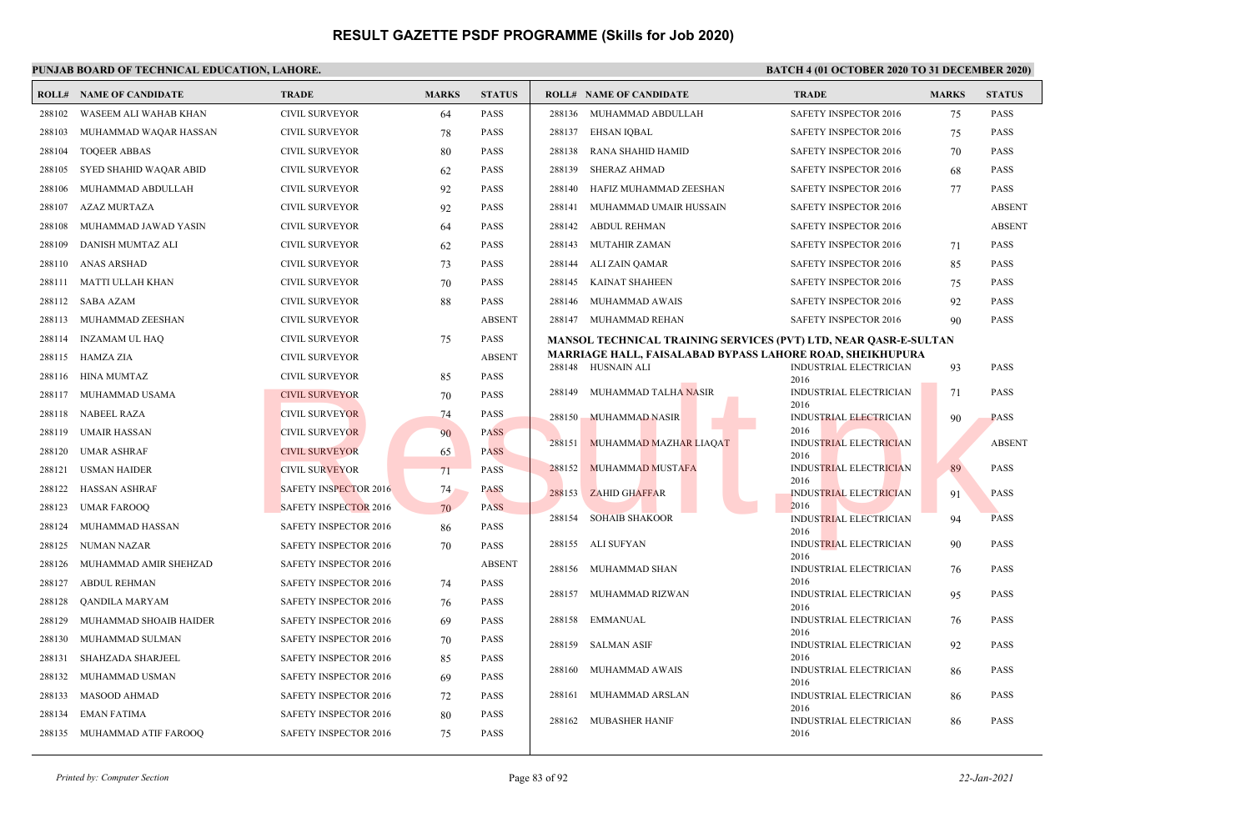|        | <b>ROLL# NAME OF CANDIDATE</b> | <b>TRADE</b>                 | <b>MARKS</b> | <b>STATUS</b> |        | <b>ROLL# NAME OF CANDIDATE</b>                                          | <b>TRADE</b>                          | <b>MARKS</b> | <b>STATUS</b> |
|--------|--------------------------------|------------------------------|--------------|---------------|--------|-------------------------------------------------------------------------|---------------------------------------|--------------|---------------|
| 288102 | WASEEM ALI WAHAB KHAN          | <b>CIVIL SURVEYOR</b>        | 64           | <b>PASS</b>   |        | 288136 MUHAMMAD ABDULLAH                                                | SAFETY INSPECTOR 2016                 | 75           | <b>PASS</b>   |
| 288103 | MUHAMMAD WAQAR HASSAN          | CIVIL SURVEYOR               | 78           | PASS          |        | 288137 EHSAN IQBAL                                                      | SAFETY INSPECTOR 2016                 | 75           | <b>PASS</b>   |
| 288104 | <b>TOOEER ABBAS</b>            | <b>CIVIL SURVEYOR</b>        | 80           | <b>PASS</b>   | 288138 | RANA SHAHID HAMID                                                       | SAFETY INSPECTOR 2016                 | 70           | <b>PASS</b>   |
| 288105 | SYED SHAHID WAQAR ABID         | <b>CIVIL SURVEYOR</b>        | 62           | <b>PASS</b>   | 288139 | <b>SHERAZ AHMAD</b>                                                     | SAFETY INSPECTOR 2016                 | 68           | <b>PASS</b>   |
| 288106 | MUHAMMAD ABDULLAH              | <b>CIVIL SURVEYOR</b>        | 92           | <b>PASS</b>   | 288140 | HAFIZ MUHAMMAD ZEESHAN                                                  | SAFETY INSPECTOR 2016                 | 77           | <b>PASS</b>   |
| 288107 | AZAZ MURTAZA                   | <b>CIVIL SURVEYOR</b>        | 92           | <b>PASS</b>   | 288141 | MUHAMMAD UMAIR HUSSAIN                                                  | SAFETY INSPECTOR 2016                 |              | <b>ABSENT</b> |
| 288108 | MUHAMMAD JAWAD YASIN           | <b>CIVIL SURVEYOR</b>        | 64           | <b>PASS</b>   |        | 288142 ABDUL REHMAN                                                     | SAFETY INSPECTOR 2016                 |              | <b>ABSENT</b> |
| 288109 | DANISH MUMTAZ ALI              | <b>CIVIL SURVEYOR</b>        | 62           | <b>PASS</b>   |        | 288143 MUTAHIR ZAMAN                                                    | SAFETY INSPECTOR 2016                 | 71           | PASS          |
| 288110 | ANAS ARSHAD                    | <b>CIVIL SURVEYOR</b>        | 73           | <b>PASS</b>   |        | 288144 ALI ZAIN QAMAR                                                   | SAFETY INSPECTOR 2016                 | 85           | <b>PASS</b>   |
|        | 288111 MATTI ULLAH KHAN        | <b>CIVIL SURVEYOR</b>        | 70           | <b>PASS</b>   | 288145 | KAINAT SHAHEEN                                                          | SAFETY INSPECTOR 2016                 | 75           | <b>PASS</b>   |
|        | 288112 SABA AZAM               | <b>CIVIL SURVEYOR</b>        | 88           | <b>PASS</b>   | 288146 | MUHAMMAD AWAIS                                                          | SAFETY INSPECTOR 2016                 | 92           | <b>PASS</b>   |
|        | 288113 MUHAMMAD ZEESHAN        | <b>CIVIL SURVEYOR</b>        |              | <b>ABSENT</b> |        | 288147 MUHAMMAD REHAN                                                   | <b>SAFETY INSPECTOR 2016</b>          | 90           | <b>PASS</b>   |
| 288114 | INZAMAM UL HAQ                 | <b>CIVIL SURVEYOR</b>        | 75           | <b>PASS</b>   |        | <b>MANSOL TECHNICAL TRAINING SERVICES (PVT) LTD, NEAR QASR-E-SULTAN</b> |                                       |              |               |
|        | 288115 HAMZA ZIA               | <b>CIVIL SURVEYOR</b>        |              | <b>ABSENT</b> |        | MARRIAGE HALL, FAISALABAD BYPASS LAHORE ROAD, SHEIKHUPURA               |                                       |              |               |
|        | 288116 HINA MUMTAZ             | <b>CIVIL SURVEYOR</b>        | 85           | <b>PASS</b>   |        | 288148 HUSNAIN ALI                                                      | INDUSTRIAL ELECTRICIAN<br>2016        | 93           | <b>PASS</b>   |
|        | 288117 MUHAMMAD USAMA          | <b>CIVIL SURVEYOR</b>        | 70           | <b>PASS</b>   | 288149 | MUHAMMAD TALHA NASIR                                                    | INDUSTRIAL ELECTRICIAN                | 71           | <b>PASS</b>   |
|        | 288118 NABEEL RAZA             | <b>CIVIL SURVEYOR</b>        | 74           | <b>PASS</b>   |        | 288150 MUHAMMAD NASIR                                                   | 2016<br><b>INDUSTRIAL ELECTRICIAN</b> | 90           | <b>PASS</b>   |
| 288119 | UMAIR HASSAN                   | <b>CIVIL SURVEYOR</b>        | 90           | <b>PASS</b>   |        |                                                                         | 2016                                  |              |               |
| 288120 | <b>UMAR ASHRAF</b>             | <b>CIVIL SURVEYOR</b>        | 65           | <b>PASS</b>   | 288151 | MUHAMMAD MAZHAR LIAQAT                                                  | <b>INDUSTRIAL ELECTRICIAN</b><br>2016 |              | <b>ABSENT</b> |
| 288121 | <b>USMAN HAIDER</b>            | <b>CIVIL SURVEYOR</b>        | 71           | <b>PASS</b>   | 288152 | <b>MUHAMMAD MUSTAFA</b>                                                 | <b>INDUSTRIAL ELECTRICIAN</b>         | 89           | <b>PASS</b>   |
| 288122 | HASSAN ASHRAF                  | <b>SAFETY INSPECTOR 2016</b> | 74           | <b>PASS</b>   | 288153 | <b>ZAHID GHAFFAR</b>                                                    | 2016<br><b>INDUSTRIAL ELECTRICIAN</b> | 91           | <b>PASS</b>   |
| 288123 | <b>UMAR FAROOQ</b>             | <b>SAFETY INSPECTOR 2016</b> | 70           | <b>PASS</b>   |        |                                                                         | 2016                                  |              |               |
| 288124 | MUHAMMAD HASSAN                | SAFETY INSPECTOR 2016        | 86           | <b>PASS</b>   | 288154 | <b>SOHAIB SHAKOOR</b>                                                   | <b>INDUSTRIAL ELECTRICIAN</b><br>2016 | 94           | <b>PASS</b>   |
| 288125 | NUMAN NAZAR                    | <b>SAFETY INSPECTOR 2016</b> | 70           | <b>PASS</b>   |        | 288155 ALI SUFYAN                                                       | <b>INDUSTRIAL ELECTRICIAN</b>         | 90           | <b>PASS</b>   |
| 288126 | MUHAMMAD AMIR SHEHZAD          | SAFETY INSPECTOR 2016        |              | <b>ABSENT</b> |        | 288156 MUHAMMAD SHAN                                                    | 2016<br><b>INDUSTRIAL ELECTRICIAN</b> | 76           | PASS          |
| 288127 | <b>ABDUL REHMAN</b>            | SAFETY INSPECTOR 2016        | 74           | PASS          |        |                                                                         | 2016                                  |              |               |
| 288128 | QANDILA MARYAM                 | SAFETY INSPECTOR 2016        | 76           | <b>PASS</b>   | 288157 | MUHAMMAD RIZWAN                                                         | <b>INDUSTRIAL ELECTRICIAN</b><br>2016 | 95           | <b>PASS</b>   |
| 288129 | MUHAMMAD SHOAIB HAIDER         | SAFETY INSPECTOR 2016        | 69           | PASS          |        | 288158 EMMANUAL                                                         | INDUSTRIAL ELECTRICIAN                | 76           | <b>PASS</b>   |
| 288130 | MUHAMMAD SULMAN                | <b>SAFETY INSPECTOR 2016</b> | 70           | <b>PASS</b>   | 288159 | <b>SALMAN ASIF</b>                                                      | 2016<br>INDUSTRIAL ELECTRICIAN        | 92           | <b>PASS</b>   |
| 288131 | SHAHZADA SHARJEEL              | SAFETY INSPECTOR 2016        | 85           | PASS          |        |                                                                         | 2016                                  |              |               |
| 288132 | MUHAMMAD USMAN                 | SAFETY INSPECTOR 2016        | 69           | <b>PASS</b>   | 288160 | MUHAMMAD AWAIS                                                          | <b>INDUSTRIAL ELECTRICIAN</b><br>2016 | 86           | <b>PASS</b>   |
| 288133 | <b>MASOOD AHMAD</b>            | <b>SAFETY INSPECTOR 2016</b> | 72           | <b>PASS</b>   | 288161 | MUHAMMAD ARSLAN                                                         | <b>INDUSTRIAL ELECTRICIAN</b>         | 86           | <b>PASS</b>   |
| 288134 | <b>EMAN FATIMA</b>             | SAFETY INSPECTOR 2016        | 80           | <b>PASS</b>   | 288162 | <b>MUBASHER HANIF</b>                                                   | 2016<br><b>INDUSTRIAL ELECTRICIAN</b> | 86           | <b>PASS</b>   |
|        | 288135 MUHAMMAD ATIF FAROOO    | <b>SAFETY INSPECTOR 2016</b> | 75           | <b>PASS</b>   |        |                                                                         | 2016                                  |              |               |
|        |                                |                              |              |               |        |                                                                         |                                       |              |               |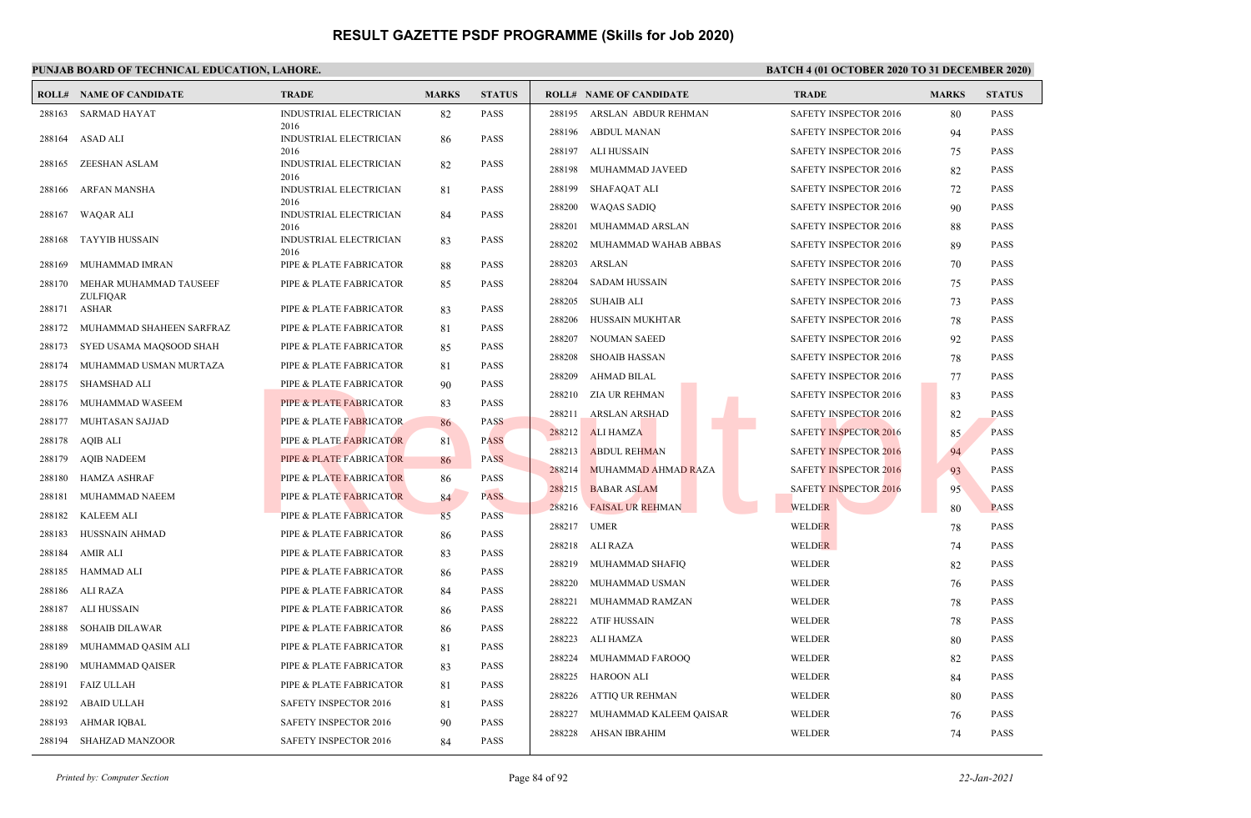|        | <b>ROLL# NAME OF CANDIDATE</b>  | <b>TRADE</b>                       | <b>MARKS</b> | <b>STATUS</b> |        | <b>ROLL# NAME OF CANDIDATE</b> | <b>TRADE</b>                 | <b>MARKS</b> | <b>STATUS</b> |
|--------|---------------------------------|------------------------------------|--------------|---------------|--------|--------------------------------|------------------------------|--------------|---------------|
| 288163 | SARMAD HAYAT                    | INDUSTRIAL ELECTRICIAN             | 82           | <b>PASS</b>   | 288195 | ARSLAN ABDUR REHMAN            | SAFETY INSPECTOR 2016        | 80           | <b>PASS</b>   |
| 288164 | ASAD ALI                        | 2016<br>INDUSTRIAL ELECTRICIAN     | 86           | <b>PASS</b>   | 288196 | <b>ABDUL MANAN</b>             | SAFETY INSPECTOR 2016        | 94           | <b>PASS</b>   |
|        |                                 | 2016                               |              |               | 288197 | ALI HUSSAIN                    | <b>SAFETY INSPECTOR 2016</b> | 75           | <b>PASS</b>   |
| 288165 | ZEESHAN ASLAM                   | INDUSTRIAL ELECTRICIAN<br>2016     | 82           | <b>PASS</b>   | 288198 | MUHAMMAD JAVEED                | <b>SAFETY INSPECTOR 2016</b> | 82           | <b>PASS</b>   |
| 288166 | ARFAN MANSHA                    | INDUSTRIAL ELECTRICIAN             | 81           | <b>PASS</b>   | 288199 | SHAFAQAT ALI                   | <b>SAFETY INSPECTOR 2016</b> | 72           | <b>PASS</b>   |
| 288167 | WAQAR ALI                       | 2016<br>INDUSTRIAL ELECTRICIAN     | 84           | <b>PASS</b>   | 288200 | WAQAS SADIQ                    | <b>SAFETY INSPECTOR 2016</b> | 90           | <b>PASS</b>   |
|        |                                 | 2016                               |              |               | 288201 | MUHAMMAD ARSLAN                | <b>SAFETY INSPECTOR 2016</b> | 88           | <b>PASS</b>   |
| 288168 | <b>TAYYIB HUSSAIN</b>           | INDUSTRIAL ELECTRICIAN<br>2016     | 83           | <b>PASS</b>   | 288202 | MUHAMMAD WAHAB ABBAS           | SAFETY INSPECTOR 2016        | 89           | <b>PASS</b>   |
| 288169 | MUHAMMAD IMRAN                  | PIPE & PLATE FABRICATOR            | 88           | <b>PASS</b>   | 288203 | <b>ARSLAN</b>                  | SAFETY INSPECTOR 2016        | 70           | <b>PASS</b>   |
| 288170 | MEHAR MUHAMMAD TAUSEEF          | PIPE & PLATE FABRICATOR            | 85           | <b>PASS</b>   | 288204 | <b>SADAM HUSSAIN</b>           | <b>SAFETY INSPECTOR 2016</b> | 75           | <b>PASS</b>   |
|        | <b>ZULFIQAR</b><br>288171 ASHAR | PIPE & PLATE FABRICATOR            | 83           | <b>PASS</b>   | 288205 | <b>SUHAIB ALI</b>              | SAFETY INSPECTOR 2016        | 73           | PASS          |
| 288172 | MUHAMMAD SHAHEEN SARFRAZ        | PIPE & PLATE FABRICATOR            | 81           | <b>PASS</b>   | 288206 | <b>HUSSAIN MUKHTAR</b>         | <b>SAFETY INSPECTOR 2016</b> | 78           | <b>PASS</b>   |
| 288173 | SYED USAMA MAQSOOD SHAH         | PIPE & PLATE FABRICATOR            | 85           | <b>PASS</b>   | 288207 | <b>NOUMAN SAEED</b>            | SAFETY INSPECTOR 2016        | 92           | <b>PASS</b>   |
| 288174 | MUHAMMAD USMAN MURTAZA          | PIPE & PLATE FABRICATOR            | 81           | <b>PASS</b>   | 288208 | <b>SHOAIB HASSAN</b>           | SAFETY INSPECTOR 2016        | 78           | <b>PASS</b>   |
| 288175 | SHAMSHAD ALI                    | PIPE & PLATE FABRICATOR            | 90           | <b>PASS</b>   | 288209 | <b>AHMAD BILAL</b>             | <b>SAFETY INSPECTOR 2016</b> | 77           | <b>PASS</b>   |
| 288176 | MUHAMMAD WASEEM                 | PIPE & PLATE FABRICATOR            | 83           | <b>PASS</b>   | 288210 | ZIA UR REHMAN                  | SAFETY INSPECTOR 2016        | 83           | <b>PASS</b>   |
| 288177 | MUHTASAN SAJJAD                 | PIPE & PLATE FABRICATOR            | 86           | <b>PASS</b>   | 288211 | <b>ARSLAN ARSHAD</b>           | SAFETY INSPECTOR 2016        | 82           | <b>PASS</b>   |
| 288178 | AOIB ALI                        | PIPE & PLATE FABRICATOR            | 81           | <b>PASS</b>   | 288212 | <b>ALI HAMZA</b>               | <b>SAFETY INSPECTOR 2016</b> | 85           | <b>PASS</b>   |
| 288179 | <b>AQIB NADEEM</b>              | <b>PIPE &amp; PLATE FABRICATOR</b> | 86           | <b>PASS</b>   | 288213 | <b>ABDUL REHMAN</b>            | <b>SAFETY INSPECTOR 2016</b> | 94           | <b>PASS</b>   |
| 288180 | <b>HAMZA ASHRAF</b>             | PIPE & PLATE FABRICATOR            | 86           | <b>PASS</b>   | 288214 | MUHAMMAD AHMAD RAZA            | SAFETY INSPECTOR 2016        | 93           | <b>PASS</b>   |
| 288181 | MUHAMMAD NAEEM                  | PIPE & PLATE FABRICATOR            | 84           | <b>PASS</b>   | 288215 | <b>BABAR ASLAM</b>             | <b>SAFETY INSPECTOR 2016</b> | 95           | <b>PASS</b>   |
| 288182 | KALEEM ALI                      | PIPE & PLATE FABRICATOR            | 85           | <b>PASS</b>   | 288216 | <b>FAISAL UR REHMAN</b>        | <b>WELDER</b>                | 80           | <b>PASS</b>   |
| 288183 | HUSSNAIN AHMAD                  | PIPE & PLATE FABRICATOR            | 86           | <b>PASS</b>   | 288217 | <b>UMER</b>                    | <b>WELDER</b>                | 78           | <b>PASS</b>   |
| 288184 | <b>AMIR ALI</b>                 | PIPE & PLATE FABRICATOR            | 83           | <b>PASS</b>   | 288218 | ALI RAZA                       | WELDER                       | 74           | <b>PASS</b>   |
| 288185 | <b>HAMMAD ALI</b>               | PIPE & PLATE FABRICATOR            | 86           | <b>PASS</b>   | 288219 | MUHAMMAD SHAFIO                | WELDER                       | 82           | <b>PASS</b>   |
| 288186 | ALI RAZA                        | PIPE & PLATE FABRICATOR            | 84           | <b>PASS</b>   | 288220 | MUHAMMAD USMAN                 | WELDER                       | 76           | <b>PASS</b>   |
| 288187 | <b>ALI HUSSAIN</b>              | PIPE & PLATE FABRICATOR            | 86           | <b>PASS</b>   | 288221 | MUHAMMAD RAMZAN                | WELDER                       | 78           | <b>PASS</b>   |
| 288188 | <b>SOHAIB DILAWAR</b>           | PIPE & PLATE FABRICATOR            | 86           | <b>PASS</b>   | 288222 | ATIF HUSSAIN                   | <b>WELDER</b>                | 78           | <b>PASS</b>   |
| 288189 | MUHAMMAD QASIM ALI              | PIPE & PLATE FABRICATOR            | 81           | <b>PASS</b>   | 288223 | ALI HAMZA                      | WELDER                       | 80           | <b>PASS</b>   |
| 288190 | MUHAMMAD QAISER                 | PIPE & PLATE FABRICATOR            | 83           | <b>PASS</b>   | 288224 | MUHAMMAD FAROOO                | WELDER                       | 82           | <b>PASS</b>   |
| 288191 | <b>FAIZ ULLAH</b>               | PIPE & PLATE FABRICATOR            | 81           | <b>PASS</b>   | 288225 | <b>HAROON ALI</b>              | WELDER                       | 84           | <b>PASS</b>   |
| 288192 | ABAID ULLAH                     | SAFETY INSPECTOR 2016              | 81           | <b>PASS</b>   | 288226 | ATTIQ UR REHMAN                | WELDER                       | 80           | <b>PASS</b>   |
| 288193 | AHMAR IQBAL                     | SAFETY INSPECTOR 2016              | 90           | <b>PASS</b>   | 288227 | MUHAMMAD KALEEM QAISAR         | WELDER                       | 76           | <b>PASS</b>   |
| 288194 | SHAHZAD MANZOOR                 | SAFETY INSPECTOR 2016              | 84           | <b>PASS</b>   | 288228 | AHSAN IBRAHIM                  | WELDER                       | 74           | <b>PASS</b>   |
|        |                                 |                                    |              |               |        |                                |                              |              |               |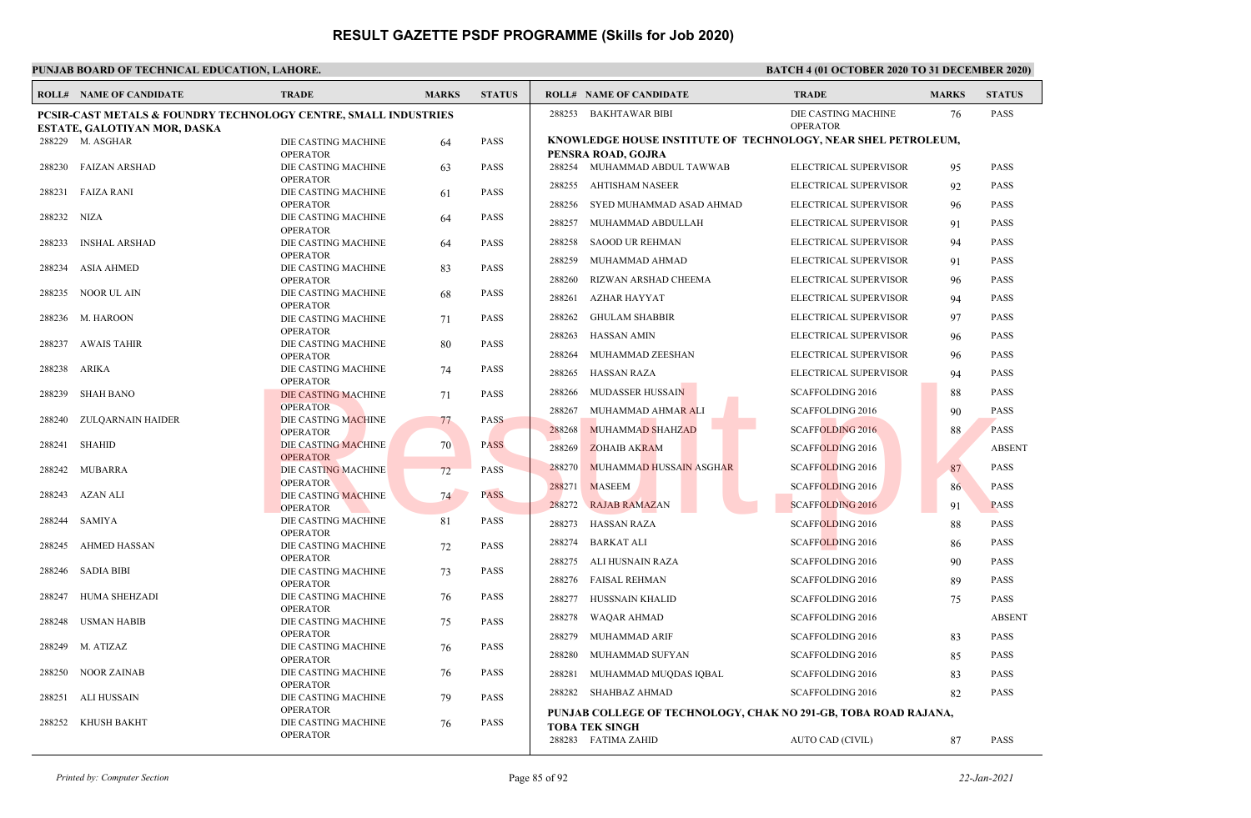|        | <b>ROLL# NAME OF CANDIDATE</b>                                             | <b>TRADE</b>                           | <b>MARKS</b> | <b>STATUS</b> |        | <b>ROLL# NAME OF CANDIDATE</b>                                  | <b>TRADE</b>                           | <b>MARKS</b> | <b>STATUS</b> |
|--------|----------------------------------------------------------------------------|----------------------------------------|--------------|---------------|--------|-----------------------------------------------------------------|----------------------------------------|--------------|---------------|
|        | <b>PCSIR-CAST METALS &amp; FOUNDRY TECHNOLOGY CENTRE, SMALL INDUSTRIES</b> |                                        |              |               | 288253 | BAKHTAWAR BIBI                                                  | DIE CASTING MACHINE<br><b>OPERATOR</b> | 76           | <b>PASS</b>   |
|        | ESTATE, GALOTIYAN MOR, DASKA<br>288229 M. ASGHAR                           | DIE CASTING MACHINE                    |              | <b>PASS</b>   |        | KNOWLEDGE HOUSE INSTITUTE OF TECHNOLOGY, NEAR SHEL PETROLEUM,   |                                        |              |               |
|        |                                                                            | <b>OPERATOR</b>                        | 64           |               |        | PENSRA ROAD, GOJRA                                              |                                        |              |               |
|        | 288230 FAIZAN ARSHAD                                                       | DIE CASTING MACHINE                    | 63           | <b>PASS</b>   |        | 288254 MUHAMMAD ABDUL TAWWAB                                    | ELECTRICAL SUPERVISOR                  | 95           | <b>PASS</b>   |
|        |                                                                            | <b>OPERATOR</b>                        |              |               | 288255 | <b>AHTISHAM NASEER</b>                                          | ELECTRICAL SUPERVISOR                  | 92           | <b>PASS</b>   |
| 288231 | <b>FAIZA RANI</b>                                                          | DIE CASTING MACHINE                    | 61           | <b>PASS</b>   |        |                                                                 |                                        |              |               |
| 288232 | NIZA                                                                       | <b>OPERATOR</b><br>DIE CASTING MACHINE | 64           | <b>PASS</b>   | 288256 | SYED MUHAMMAD ASAD AHMAD                                        | ELECTRICAL SUPERVISOR                  | 96           | <b>PASS</b>   |
|        |                                                                            | <b>OPERATOR</b>                        |              |               | 288257 | MUHAMMAD ABDULLAH                                               | ELECTRICAL SUPERVISOR                  | 91           | <b>PASS</b>   |
| 288233 | <b>INSHAL ARSHAD</b>                                                       | DIE CASTING MACHINE                    | 64           | <b>PASS</b>   | 288258 | <b>SAOOD UR REHMAN</b>                                          | ELECTRICAL SUPERVISOR                  | 94           | <b>PASS</b>   |
|        |                                                                            | <b>OPERATOR</b>                        |              |               | 288259 | MUHAMMAD AHMAD                                                  | ELECTRICAL SUPERVISOR                  | 91           | <b>PASS</b>   |
| 288234 | ASIA AHMED                                                                 | DIE CASTING MACHINE<br><b>OPERATOR</b> | 83           | <b>PASS</b>   | 288260 | RIZWAN ARSHAD CHEEMA                                            | ELECTRICAL SUPERVISOR                  | 96           | <b>PASS</b>   |
| 288235 | NOOR UL AIN                                                                | DIE CASTING MACHINE                    | 68           | <b>PASS</b>   |        |                                                                 |                                        |              |               |
|        |                                                                            | <b>OPERATOR</b>                        |              |               | 288261 | AZHAR HAYYAT                                                    | ELECTRICAL SUPERVISOR                  | 94           | <b>PASS</b>   |
|        | 288236 M. HAROON                                                           | DIE CASTING MACHINE                    | 71           | <b>PASS</b>   | 288262 | <b>GHULAM SHABBIR</b>                                           | ELECTRICAL SUPERVISOR                  | 97           | <b>PASS</b>   |
|        |                                                                            | <b>OPERATOR</b>                        |              |               | 288263 | HASSAN AMIN                                                     | ELECTRICAL SUPERVISOR                  | 96           | <b>PASS</b>   |
| 288237 | AWAIS TAHIR                                                                | DIE CASTING MACHINE<br><b>OPERATOR</b> | 80           | <b>PASS</b>   | 288264 | MUHAMMAD ZEESHAN                                                | ELECTRICAL SUPERVISOR                  | 96           | <b>PASS</b>   |
| 288238 | ARIKA                                                                      | DIE CASTING MACHINE                    | 74           | <b>PASS</b>   | 288265 | HASSAN RAZA                                                     | ELECTRICAL SUPERVISOR                  |              | <b>PASS</b>   |
|        |                                                                            | <b>OPERATOR</b>                        |              |               |        |                                                                 |                                        | 94           |               |
| 288239 | SHAH BANO                                                                  | DIE CASTING MACHINE                    | 71           | <b>PASS</b>   | 288266 | <b>MUDASSER HUSSAIN</b>                                         | <b>SCAFFOLDING 2016</b>                | 88           | <b>PASS</b>   |
|        | ZULQARNAIN HAIDER                                                          | <b>OPERATOR</b><br>DIE CASTING MACHINE |              | <b>PASS</b>   | 288267 | MUHAMMAD AHMA <mark>R A</mark> LI                               | <b>SCAFFOLDING 2016</b>                | 90           | <b>PASS</b>   |
| 288240 |                                                                            | <b>OPERATOR</b>                        | 77           |               | 288268 | <b>MUHAMMAD SHAHZAD</b>                                         | <b>SCAFFOLDING 2016</b>                | 88.          | <b>PASS</b>   |
|        | 288241 SHAHID                                                              | DIE CASTING MACHINE                    | 70           | <b>PASS</b>   | 288269 | <b>ZOHAIB AKRAM</b>                                             | <b>SCAFFOLDING 2016</b>                |              | <b>ABSENT</b> |
|        |                                                                            | <b>OPERATOR</b>                        |              |               |        |                                                                 |                                        |              |               |
|        | 288242 MUBARRA                                                             | DIE CASTING MACHINE                    | 72           | <b>PASS</b>   | 288270 | MUHAMMAD HUSSAIN ASGHAR                                         | <b>SCAFFOLDING 2016</b>                | 87           | <b>PASS</b>   |
| 288243 | AZAN ALI                                                                   | <b>OPERATOR</b><br>DIE CASTING MACHINE | 74           | <b>PASS</b>   | 288271 | <b>MASEEM</b>                                                   | <b>SCAFFOLDING 2016</b>                | 86           | <b>PASS</b>   |
|        |                                                                            | <b>OPERATOR</b>                        |              |               | 288272 | <b>RAJAB RAMAZAN</b>                                            | <b>SCAFFOLDING 2016</b>                | 91           | <b>PASS</b>   |
| 288244 | SAMIYA                                                                     | DIE CASTING MACHINE                    | 81           | PASS          | 288273 | HASSAN RAZA                                                     | <b>SCAFFOLDING 2016</b>                | 88           | <b>PASS</b>   |
|        |                                                                            | <b>OPERATOR</b>                        |              |               | 288274 | <b>BARKAT ALI</b>                                               | <b>SCAFFOLDING 2016</b>                | 86           | <b>PASS</b>   |
| 288245 | AHMED HASSAN                                                               | DIE CASTING MACHINE<br><b>OPERATOR</b> | 72           | <b>PASS</b>   |        |                                                                 |                                        |              |               |
| 288246 | SADIA BIBI                                                                 | DIE CASTING MACHINE                    | 73           | <b>PASS</b>   | 288275 | ALI HUSNAIN RAZA                                                | <b>SCAFFOLDING 2016</b>                | 90           | <b>PASS</b>   |
|        |                                                                            | <b>OPERATOR</b>                        |              |               |        | 288276 FAISAL REHMAN                                            | <b>SCAFFOLDING 2016</b>                | 89           | <b>PASS</b>   |
| 288247 | HUMA SHEHZADI                                                              | DIE CASTING MACHINE                    | 76           | <b>PASS</b>   | 288277 | HUSSNAIN KHALID                                                 | <b>SCAFFOLDING 2016</b>                | 75           | <b>PASS</b>   |
|        |                                                                            | <b>OPERATOR</b>                        |              |               | 288278 | <b>WAQAR AHMAD</b>                                              | <b>SCAFFOLDING 2016</b>                |              | <b>ABSENT</b> |
| 288248 | USMAN HABIB                                                                | DIE CASTING MACHINE<br><b>OPERATOR</b> | 75           | <b>PASS</b>   | 288279 |                                                                 |                                        |              | <b>PASS</b>   |
|        | 288249 M. ATIZAZ                                                           | DIE CASTING MACHINE                    | 76           | <b>PASS</b>   |        | MUHAMMAD ARIF                                                   | SCAFFOLDING 2016                       | 83           |               |
|        |                                                                            | <b>OPERATOR</b>                        |              |               | 288280 | MUHAMMAD SUFYAN                                                 | <b>SCAFFOLDING 2016</b>                | 85           | <b>PASS</b>   |
| 288250 | NOOR ZAINAB                                                                | DIE CASTING MACHINE                    | 76           | <b>PASS</b>   | 288281 | MUHAMMAD MUQDAS IQBAL                                           | <b>SCAFFOLDING 2016</b>                | 83           | <b>PASS</b>   |
|        | 288251 ALI HUSSAIN                                                         | <b>OPERATOR</b><br>DIE CASTING MACHINE | 79           | <b>PASS</b>   |        | 288282 SHAHBAZ AHMAD                                            | <b>SCAFFOLDING 2016</b>                | 82           | <b>PASS</b>   |
|        |                                                                            | <b>OPERATOR</b>                        |              |               |        | PUNJAB COLLEGE OF TECHNOLOGY, CHAK NO 291-GB, TOBA ROAD RAJANA, |                                        |              |               |
|        | 288252 KHUSH BAKHT                                                         | DIE CASTING MACHINE                    | 76           | <b>PASS</b>   |        | <b>TOBA TEK SINGH</b>                                           |                                        |              |               |
|        |                                                                            | <b>OPERATOR</b>                        |              |               |        | 288283 FATIMA ZAHID                                             | AUTO CAD (CIVIL)                       | 87           | <b>PASS</b>   |
|        |                                                                            |                                        |              |               |        |                                                                 |                                        |              |               |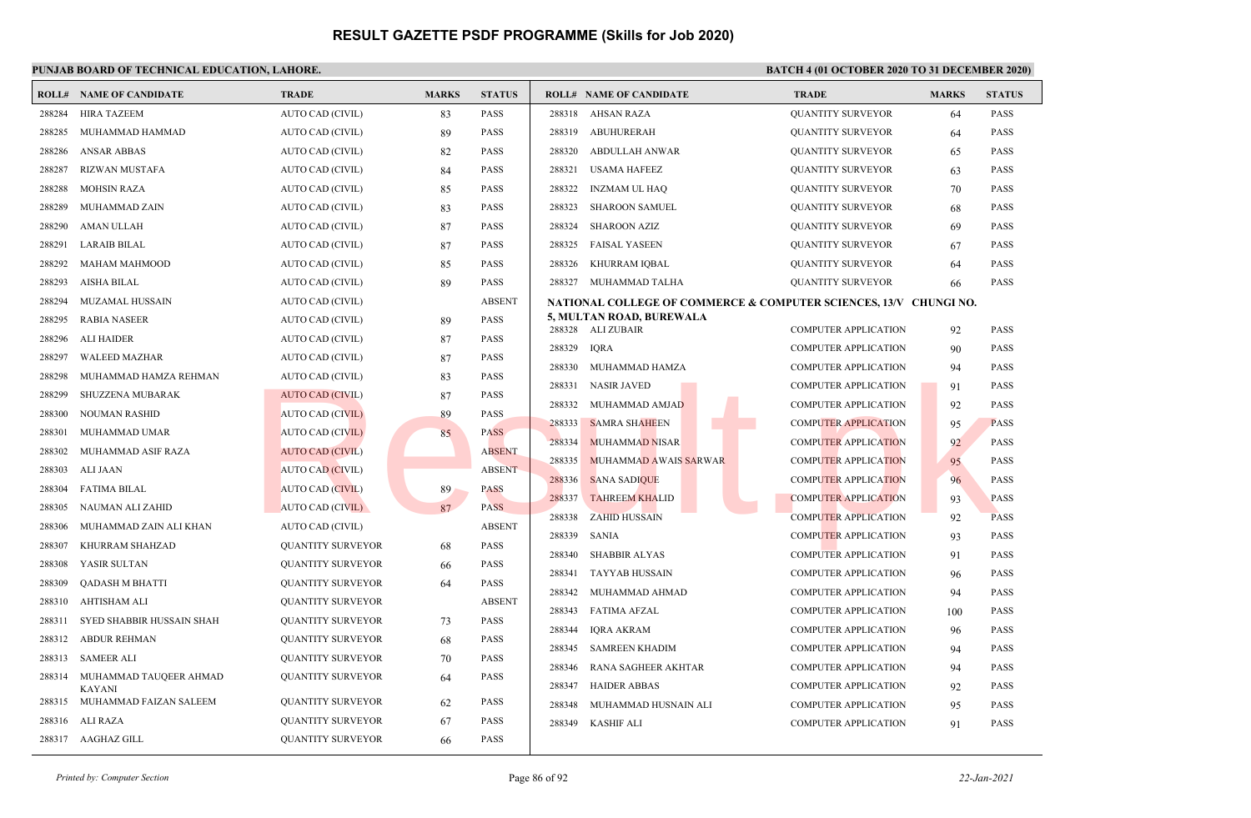|        | <b>ROLL# NAME OF CANDIDATE</b>                 | <b>TRADE</b>             | <b>MARKS</b> | <b>STATUS</b> | <b>ROLL# NAME OF CANDIDATE</b>                                    | <b>TRADE</b>                | <b>MARKS</b> | <b>STATUS</b> |
|--------|------------------------------------------------|--------------------------|--------------|---------------|-------------------------------------------------------------------|-----------------------------|--------------|---------------|
| 288284 | <b>HIRA TAZEEM</b>                             | <b>AUTO CAD (CIVIL)</b>  | 83           | <b>PASS</b>   | 288318<br>AHSAN RAZA                                              | <b>QUANTITY SURVEYOR</b>    | 64           | <b>PASS</b>   |
| 288285 | MUHAMMAD HAMMAD                                | AUTO CAD (CIVIL)         | 89           | <b>PASS</b>   | 288319<br><b>ABUHURERAH</b>                                       | <b>QUANTITY SURVEYOR</b>    | 64           | <b>PASS</b>   |
| 288286 | <b>ANSAR ABBAS</b>                             | AUTO CAD (CIVIL)         | 82           | <b>PASS</b>   | 288320<br>ABDULLAH ANWAR                                          | <b>QUANTITY SURVEYOR</b>    | 65           | <b>PASS</b>   |
| 288287 | <b>RIZWAN MUSTAFA</b>                          | AUTO CAD (CIVIL)         | 84           | <b>PASS</b>   | 288321<br><b>USAMA HAFEEZ</b>                                     | <b>QUANTITY SURVEYOR</b>    | 63           | <b>PASS</b>   |
| 288288 | <b>MOHSIN RAZA</b>                             | AUTO CAD (CIVIL)         | 85           | <b>PASS</b>   | 288322<br><b>INZMAM UL HAQ</b>                                    | <b>QUANTITY SURVEYOR</b>    | 70           | <b>PASS</b>   |
| 288289 | MUHAMMAD ZAIN                                  | AUTO CAD (CIVIL)         | 83           | <b>PASS</b>   | 288323<br><b>SHAROON SAMUEL</b>                                   | <b>QUANTITY SURVEYOR</b>    | 68           | <b>PASS</b>   |
| 288290 | AMAN ULLAH                                     | AUTO CAD (CIVIL)         | 87           | <b>PASS</b>   | <b>SHAROON AZIZ</b><br>288324                                     | <b>QUANTITY SURVEYOR</b>    | 69           | <b>PASS</b>   |
| 288291 | <b>LARAIB BILAL</b>                            | AUTO CAD (CIVIL)         | 87           | <b>PASS</b>   | 288325<br><b>FAISAL YASEEN</b>                                    | <b>QUANTITY SURVEYOR</b>    | 67           | <b>PASS</b>   |
| 288292 | <b>MAHAM MAHMOOD</b>                           | AUTO CAD (CIVIL)         | 85           | <b>PASS</b>   | 288326<br>KHURRAM IQBAL                                           | <b>QUANTITY SURVEYOR</b>    | 64           | <b>PASS</b>   |
| 288293 | <b>AISHA BILAL</b>                             | AUTO CAD (CIVIL)         | 89           | <b>PASS</b>   | 288327<br>MUHAMMAD TALHA                                          | <b>QUANTITY SURVEYOR</b>    | 66           | PASS          |
| 288294 | MUZAMAL HUSSAIN                                | AUTO CAD (CIVIL)         |              | <b>ABSENT</b> | NATIONAL COLLEGE OF COMMERCE & COMPUTER SCIENCES, 13/V CHUNGI NO. |                             |              |               |
| 288295 | <b>RABIA NASEER</b>                            | AUTO CAD (CIVIL)         | 89           | <b>PASS</b>   | 5, MULTAN ROAD, BUREWALA<br>288328 ALI ZUBAIR                     | <b>COMPUTER APPLICATION</b> | 92           | <b>PASS</b>   |
| 288296 | <b>ALI HAIDER</b>                              | <b>AUTO CAD (CIVIL)</b>  | 87           | <b>PASS</b>   | 288329<br><b>IQRA</b>                                             | <b>COMPUTER APPLICATION</b> | 90           | <b>PASS</b>   |
| 288297 | <b>WALEED MAZHAR</b>                           | AUTO CAD (CIVIL)         | 87           | <b>PASS</b>   | 288330<br>MUHAMMAD HAMZA                                          | <b>COMPUTER APPLICATION</b> | 94           | <b>PASS</b>   |
| 288298 | MUHAMMAD HAMZA REHMAN                          | AUTO CAD (CIVIL)         | 83           | <b>PASS</b>   | 288331<br><b>NASIR JAVED</b>                                      | COMPUTER APPLICATION        | 91           | <b>PASS</b>   |
| 288299 | SHUZZENA MUBARAK                               | <b>AUTO CAD (CIVIL)</b>  | 87           | <b>PASS</b>   | 288332<br>MUHAMMAD AMJAD                                          | <b>COMPUTER APPLICATION</b> | 92           | <b>PASS</b>   |
| 288300 | <b>NOUMAN RASHID</b>                           | <b>AUTO CAD (CIVIL)</b>  | 89           | <b>PASS</b>   | 288333<br><b>SAMRA SHAHEEN</b>                                    | <b>COMPUTER APPLICATION</b> | 95           | <b>PASS</b>   |
| 288301 | MUHAMMAD UMAR                                  | AUTO CAD (CIVIL)         | 85           | PASS          | 288334<br><b>MUHAMMAD NISAR</b>                                   | <b>COMPUTER APPLICATION</b> | 92           | <b>PASS</b>   |
| 288302 | MUHAMMAD ASIF RAZA                             | AUTO CAD (CIVIL)         |              | <b>ABSENT</b> | 288335<br>MUHAMMAD AWAIS SARWAR                                   | <b>COMPUTER APPLICATION</b> | 95           | <b>PASS</b>   |
| 288303 | ALI JAAN                                       | <b>AUTO CAD (CIVIL)</b>  |              | <b>ABSENT</b> | 288336<br><b>SANA SADIQUE</b>                                     | <b>COMPUTER APPLICATION</b> | 96           | <b>PASS</b>   |
| 288304 | <b>FATIMA BILAL</b>                            | <b>AUTO CAD (CIVIL)</b>  | 89           | <b>PASS</b>   | 288337<br><b>TAHREEM KHALID</b>                                   | <b>COMPUTER APPLICATION</b> | 93           | <b>PASS</b>   |
| 288305 | NAUMAN ALI ZAHID                               | AUTO CAD (CIVIL)         | 87           | <b>PASS</b>   | 288338<br><b>ZAHID HUSSAIN</b>                                    | <b>COMPUTER APPLICATION</b> | 92           | <b>PASS</b>   |
| 288306 | MUHAMMAD ZAIN ALI KHAN                         | AUTO CAD (CIVIL)         |              | <b>ABSENT</b> | 288339<br>SANIA                                                   | <b>COMPUTER APPLICATION</b> | 93           | <b>PASS</b>   |
| 288307 | KHURRAM SHAHZAD                                | <b>QUANTITY SURVEYOR</b> | 68           | <b>PASS</b>   | 288340<br><b>SHABBIR ALYAS</b>                                    | <b>COMPUTER APPLICATION</b> | 91           | <b>PASS</b>   |
| 288308 | YASIR SULTAN                                   | <b>QUANTITY SURVEYOR</b> | 66           | <b>PASS</b>   | 288341<br><b>TAYYAB HUSSAIN</b>                                   | <b>COMPUTER APPLICATION</b> | 96           | <b>PASS</b>   |
| 288309 | <b>OADASH M BHATTI</b>                         | <b>QUANTITY SURVEYOR</b> | 64           | <b>PASS</b>   | 288342<br>MUHAMMAD AHMAD                                          | <b>COMPUTER APPLICATION</b> | 94           | <b>PASS</b>   |
| 288310 | AHTISHAM ALI                                   | <b>QUANTITY SURVEYOR</b> |              | <b>ABSENT</b> | 288343<br><b>FATIMA AFZAL</b>                                     | <b>COMPUTER APPLICATION</b> | 100          | <b>PASS</b>   |
| 288311 | SYED SHABBIR HUSSAIN SHAH                      | <b>QUANTITY SURVEYOR</b> | 73           | <b>PASS</b>   | 288344<br><b>IQRA AKRAM</b>                                       | <b>COMPUTER APPLICATION</b> | 96           | <b>PASS</b>   |
| 288312 | <b>ABDUR REHMAN</b>                            | <b>QUANTITY SURVEYOR</b> | 68           | <b>PASS</b>   | 288345<br><b>SAMREEN KHADIM</b>                                   | <b>COMPUTER APPLICATION</b> | 94           | <b>PASS</b>   |
| 288313 | <b>SAMEER ALI</b>                              | <b>QUANTITY SURVEYOR</b> | 70           | <b>PASS</b>   | 288346<br>RANA SAGHEER AKHTAR                                     | <b>COMPUTER APPLICATION</b> | 94           | <b>PASS</b>   |
| 288314 | MUHAMMAD TAUQEER AHMAD                         | <b>QUANTITY SURVEYOR</b> | 64           | <b>PASS</b>   | 288347<br><b>HAIDER ABBAS</b>                                     | <b>COMPUTER APPLICATION</b> | 92           | <b>PASS</b>   |
|        | <b>KAYANI</b><br>288315 MUHAMMAD FAIZAN SALEEM | <b>QUANTITY SURVEYOR</b> | 62           | <b>PASS</b>   | 288348<br>MUHAMMAD HUSNAIN ALI                                    | <b>COMPUTER APPLICATION</b> | 95           | <b>PASS</b>   |
| 288316 | ALI RAZA                                       | <b>QUANTITY SURVEYOR</b> | 67           | <b>PASS</b>   | 288349<br><b>KASHIF ALI</b>                                       | <b>COMPUTER APPLICATION</b> | 91           | PASS          |
|        | 288317 AAGHAZ GILL                             | <b>QUANTITY SURVEYOR</b> | 66           | <b>PASS</b>   |                                                                   |                             |              |               |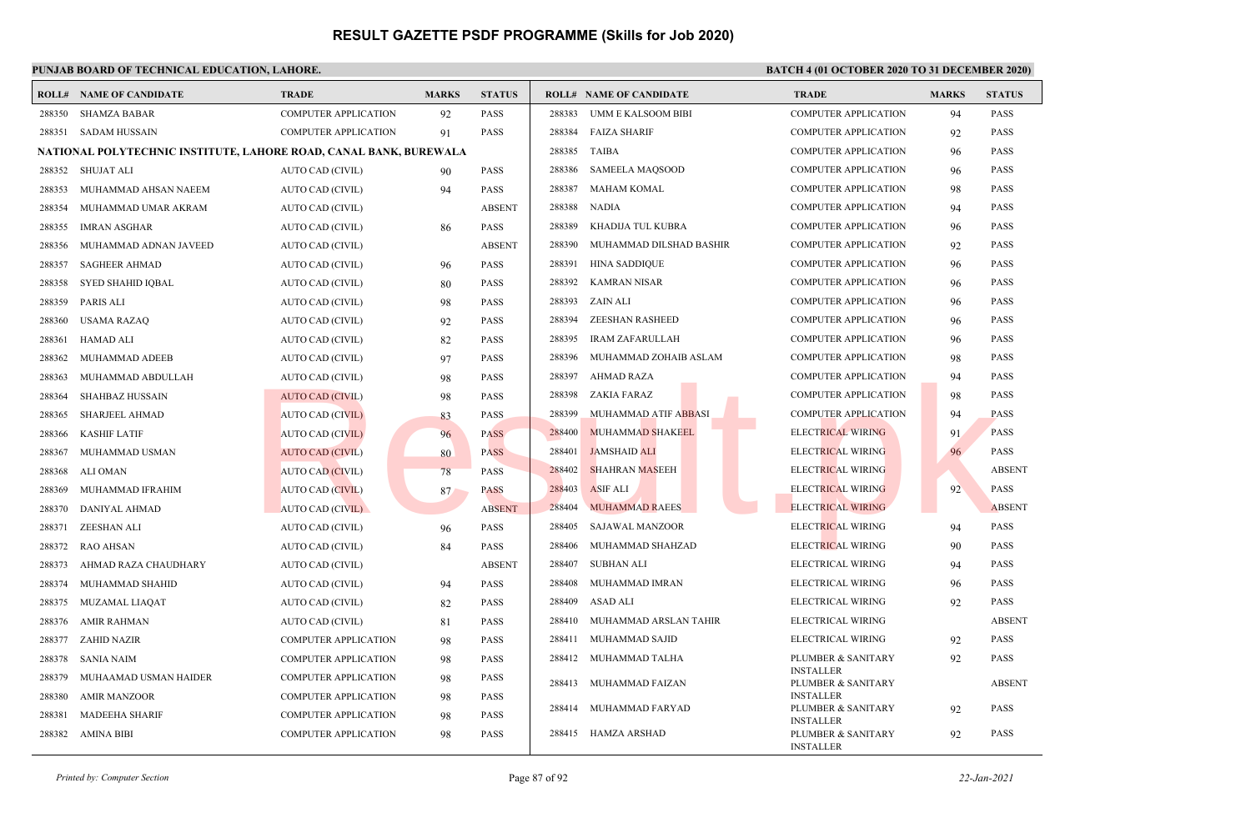### **PUNJAB BOARD OF TECHNICAL EDUCATION, LAHORE. BATCH 4 (01 OCTOBER 2020 TO 31 DECEMBER 2020)**

| ROLL#  | <b>NAME OF CANDIDATE</b>                                          | <b>TRADE</b>                | <b>MARKS</b> | <b>STATUS</b> |        | <b>ROLL# NAME OF CANDIDATE</b> | <b>TRADE</b>                           | <b>MARKS</b> | <b>STATUS</b> |
|--------|-------------------------------------------------------------------|-----------------------------|--------------|---------------|--------|--------------------------------|----------------------------------------|--------------|---------------|
| 288350 | <b>SHAMZA BABAR</b>                                               | <b>COMPUTER APPLICATION</b> | 92           | <b>PASS</b>   | 288383 | <b>UMM E KALSOOM BIBI</b>      | <b>COMPUTER APPLICATION</b>            | 94           | <b>PASS</b>   |
| 288351 | <b>SADAM HUSSAIN</b>                                              | <b>COMPUTER APPLICATION</b> | 91           | <b>PASS</b>   | 288384 | <b>FAIZA SHARIF</b>            | <b>COMPUTER APPLICATION</b>            | 92           | <b>PASS</b>   |
|        | NATIONAL POLYTECHNIC INSTITUTE, LAHORE ROAD, CANAL BANK, BUREWALA |                             |              |               | 288385 | <b>TAIBA</b>                   | <b>COMPUTER APPLICATION</b>            | 96           | <b>PASS</b>   |
| 288352 | <b>SHUJAT ALI</b>                                                 | AUTO CAD (CIVIL)            | 90           | <b>PASS</b>   | 288386 | <b>SAMEELA MAQSOOD</b>         | <b>COMPUTER APPLICATION</b>            | 96           | <b>PASS</b>   |
| 288353 | MUHAMMAD AHSAN NAEEM                                              | AUTO CAD (CIVIL)            | 94           | <b>PASS</b>   | 288387 | <b>MAHAM KOMAL</b>             | <b>COMPUTER APPLICATION</b>            | 98           | <b>PASS</b>   |
| 288354 | MUHAMMAD UMAR AKRAM                                               | AUTO CAD (CIVIL)            |              | <b>ABSENT</b> | 288388 | <b>NADIA</b>                   | <b>COMPUTER APPLICATION</b>            | 94           | <b>PASS</b>   |
| 288355 | <b>IMRAN ASGHAR</b>                                               | AUTO CAD (CIVIL)            | 86           | <b>PASS</b>   | 288389 | KHADIJA TUL KUBRA              | <b>COMPUTER APPLICATION</b>            | 96           | <b>PASS</b>   |
| 288356 | MUHAMMAD ADNAN JAVEED                                             | AUTO CAD (CIVIL)            |              | <b>ABSENT</b> | 288390 | MUHAMMAD DILSHAD BASHIR        | <b>COMPUTER APPLICATION</b>            | 92           | <b>PASS</b>   |
| 288357 | <b>SAGHEER AHMAD</b>                                              | AUTO CAD (CIVIL)            | 96           | <b>PASS</b>   | 288391 | <b>HINA SADDIQUE</b>           | <b>COMPUTER APPLICATION</b>            | 96           | <b>PASS</b>   |
| 288358 | SYED SHAHID IQBAL                                                 | AUTO CAD (CIVIL)            | 80           | <b>PASS</b>   | 288392 | KAMRAN NISAR                   | <b>COMPUTER APPLICATION</b>            | 96           | <b>PASS</b>   |
| 288359 | <b>PARIS ALI</b>                                                  | AUTO CAD (CIVIL)            | 98           | PASS          | 288393 | ZAIN ALI                       | <b>COMPUTER APPLICATION</b>            | 96           | <b>PASS</b>   |
| 288360 | <b>USAMA RAZAQ</b>                                                | AUTO CAD (CIVIL)            | 92           | <b>PASS</b>   | 288394 | <b>ZEESHAN RASHEED</b>         | <b>COMPUTER APPLICATION</b>            | 96           | <b>PASS</b>   |
| 288361 | <b>HAMAD ALI</b>                                                  | AUTO CAD (CIVIL)            | 82           | PASS          | 288395 | <b>IRAM ZAFARULLAH</b>         | <b>COMPUTER APPLICATION</b>            | 96           | <b>PASS</b>   |
| 288362 | MUHAMMAD ADEEB                                                    | AUTO CAD (CIVIL)            | 97           | <b>PASS</b>   | 288396 | MUHAMMAD ZOHAIB ASLAM          | <b>COMPUTER APPLICATION</b>            | 98           | <b>PASS</b>   |
| 288363 | MUHAMMAD ABDULLAH                                                 | AUTO CAD (CIVIL)            | 98           | <b>PASS</b>   | 288397 | <b>AHMAD RAZA</b>              | <b>COMPUTER APPLICATION</b>            | 94           | <b>PASS</b>   |
| 288364 | <b>SHAHBAZ HUSSAIN</b>                                            | <b>AUTO CAD (CIVIL)</b>     | 98           | <b>PASS</b>   | 288398 | ZAKIA FARAZ                    | <b>COMPUTER APPLICATION</b>            | 98           | <b>PASS</b>   |
| 288365 | <b>SHARJEEL AHMAD</b>                                             | <b>AUTO CAD (CIVIL)</b>     | 83           | <b>PASS</b>   | 288399 | MUHAMMAD ATIF ABBASI           | <b>COMPUTER APPLICATION</b>            | 94           | <b>PASS</b>   |
| 288366 | <b>KASHIF LATIF</b>                                               | <b>AUTO CAD (CIVIL)</b>     | 96           | <b>PASS</b>   | 288400 | <b>MUHAMMAD SHAKEEL</b>        | <b>ELECTRICAL WIRING</b>               | 91           | <b>PASS</b>   |
| 288367 | MUHAMMAD USMAN                                                    | AUTO CAD (CIVIL)            | 80           | <b>PASS</b>   | 288401 | <b>JAMSHAID ALI</b>            | <b>ELECTRICAL WIRING</b>               | 96           | <b>PASS</b>   |
| 288368 | ALI OMAN                                                          | AUTO CAD (CIVIL)            | 78           | <b>PASS</b>   | 288402 | <b>SHAHRAN MASEEH</b>          | <b>ELECTRICAL WIRING</b>               |              | <b>ABSENT</b> |
| 288369 | MUHAMMAD IFRAHIM                                                  | <b>AUTO CAD (CIVIL)</b>     | 87           | <b>PASS</b>   | 288403 | <b>ASIF ALI</b>                | <b>ELECTRICAL WIRING</b>               | 92           | <b>PASS</b>   |
| 288370 | DANIYAL AHMAD                                                     | AUTO CAD (CIVIL)            |              | <b>ABSENT</b> | 288404 | <b>MUHAMMAD RAEES</b>          | <b>ELECTRICAL WIRING</b>               |              | <b>ABSENT</b> |
| 288371 | <b>ZEESHAN ALI</b>                                                | AUTO CAD (CIVIL)            | 96           | <b>PASS</b>   | 288405 | <b>SAJAWAL MANZOOR</b>         | ELECTRICAL WIRING                      | 94           | <b>PASS</b>   |
| 288372 | <b>RAO AHSAN</b>                                                  | AUTO CAD (CIVIL)            | 84           | <b>PASS</b>   | 288406 | MUHAMMAD SHAHZAD               | ELECTRICAL WIRING                      | 90           | <b>PASS</b>   |
| 288373 | AHMAD RAZA CHAUDHARY                                              | AUTO CAD (CIVIL)            |              | <b>ABSENT</b> | 288407 | SUBHAN ALI                     | ELECTRICAL WIRING                      | 94           | <b>PASS</b>   |
| 288374 | MUHAMMAD SHAHID                                                   | AUTO CAD (CIVIL)            | 94           | PASS          | 288408 | <b>MUHAMMAD IMRAN</b>          | ELECTRICAL WIRING                      | 96           | <b>PASS</b>   |
| 288375 | MUZAMAL LIAQAT                                                    | AUTO CAD (CIVIL)            | 82           | PASS          | 288409 | ASAD ALI                       | ELECTRICAL WIRING                      | 92           | <b>PASS</b>   |
| 288376 | <b>AMIR RAHMAN</b>                                                | AUTO CAD (CIVIL)            | 81           | <b>PASS</b>   | 288410 | MUHAMMAD ARSLAN TAHIR          | ELECTRICAL WIRING                      |              | <b>ABSENT</b> |
| 288377 | ZAHID NAZIR                                                       | <b>COMPUTER APPLICATION</b> | 98           | PASS          | 288411 | MUHAMMAD SAJID                 | ELECTRICAL WIRING                      | 92           | <b>PASS</b>   |
| 288378 | <b>SANIA NAIM</b>                                                 | <b>COMPUTER APPLICATION</b> | 98           | PASS          | 288412 | MUHAMMAD TALHA                 | PLUMBER & SANITARY                     | 92           | <b>PASS</b>   |
| 288379 | MUHAAMAD USMAN HAIDER                                             | <b>COMPUTER APPLICATION</b> | 98           | PASS          | 288413 | MUHAMMAD FAIZAN                | <b>INSTALLER</b><br>PLUMBER & SANITARY |              | <b>ABSENT</b> |
| 288380 | <b>AMIR MANZOOR</b>                                               | <b>COMPUTER APPLICATION</b> | 98           | <b>PASS</b>   |        |                                | <b>INSTALLER</b>                       |              |               |
| 288381 | <b>MADEEHA SHARIF</b>                                             | <b>COMPUTER APPLICATION</b> | 98           | <b>PASS</b>   | 288414 | MUHAMMAD FARYAD                | PLUMBER & SANITARY<br><b>INSTALLER</b> | 92           | <b>PASS</b>   |
| 288382 | <b>AMINA BIBI</b>                                                 | <b>COMPUTER APPLICATION</b> | 98           | <b>PASS</b>   |        | 288415 HAMZA ARSHAD            | PLUMBER & SANITARY<br><b>INSTALLER</b> | 92           | <b>PASS</b>   |

*Printed by: Computer Section* Page 87 of 92 *22-Jan-2021*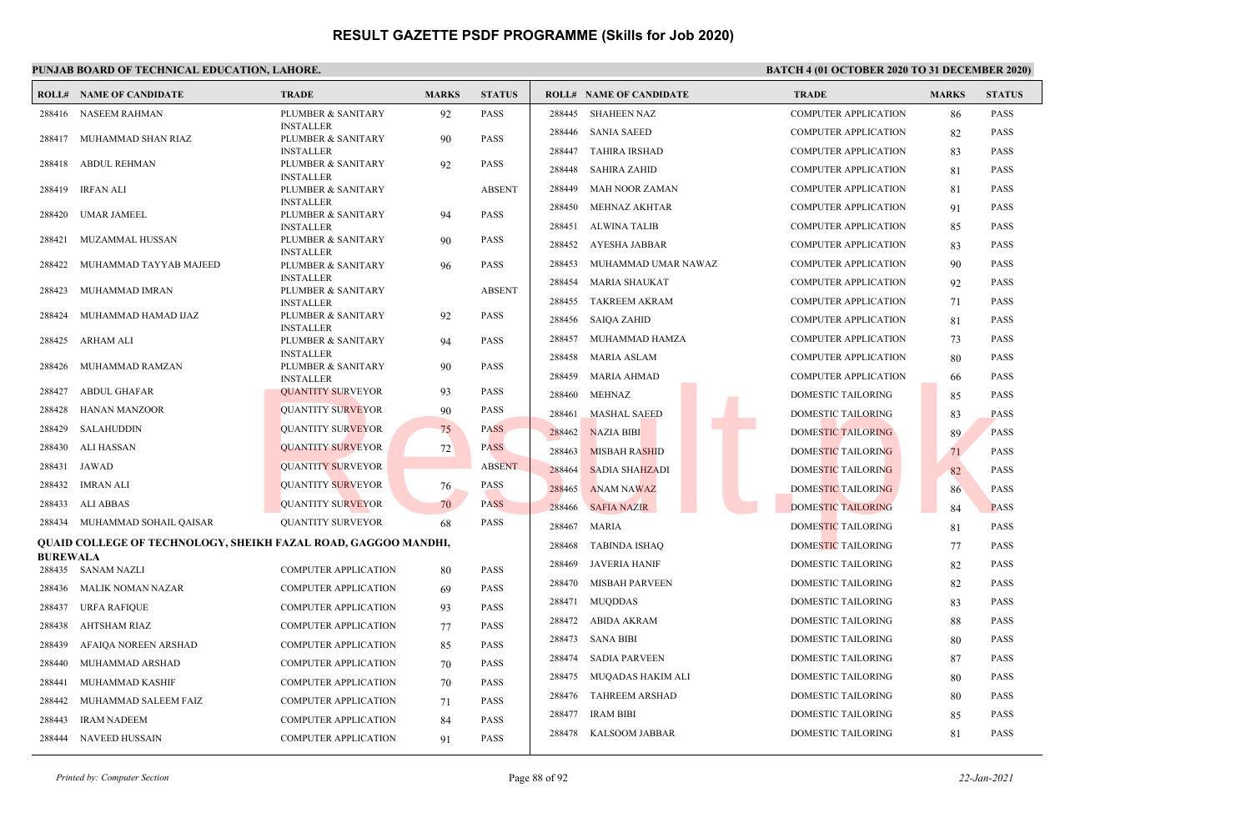### **PUNJAB BOARD OF TECHNICAL EDUCATION, LAHORE. BATCH 4 (01 OCTOBER 2020 TO 31 DECEMBER 2020)**

|                  | <b>ROLL# NAME OF CANDIDATE</b>                                 | <b>TRADE</b>                           | <b>MARKS</b> | <b>STATUS</b> |        | <b>ROLL# NAME OF CANDIDATE</b> | <b>TRADE</b>                | <b>MARKS</b> | <b>STATUS</b> |
|------------------|----------------------------------------------------------------|----------------------------------------|--------------|---------------|--------|--------------------------------|-----------------------------|--------------|---------------|
|                  | 288416 NASEEM RAHMAN                                           | PLUMBER & SANITARY                     | 92           | <b>PASS</b>   | 288445 | <b>SHAHEEN NAZ</b>             | <b>COMPUTER APPLICATION</b> | 86           | <b>PASS</b>   |
| 288417           | MUHAMMAD SHAN RIAZ                                             | <b>INSTALLER</b><br>PLUMBER & SANITARY | 90           | <b>PASS</b>   | 288446 | <b>SANIA SAEED</b>             | <b>COMPUTER APPLICATION</b> | 82           | <b>PASS</b>   |
|                  |                                                                | <b>INSTALLER</b>                       |              |               | 288447 | <b>TAHIRA IRSHAD</b>           | <b>COMPUTER APPLICATION</b> | 83           | <b>PASS</b>   |
| 288418           | <b>ABDUL REHMAN</b>                                            | PLUMBER & SANITARY<br><b>INSTALLER</b> | 92           | PASS          | 288448 | <b>SAHIRA ZAHID</b>            | <b>COMPUTER APPLICATION</b> | 81           | <b>PASS</b>   |
| 288419           | <b>IRFAN ALI</b>                                               | PLUMBER & SANITARY                     |              | <b>ABSENT</b> | 288449 | <b>MAH NOOR ZAMAN</b>          | <b>COMPUTER APPLICATION</b> | 81           | <b>PASS</b>   |
|                  |                                                                | <b>INSTALLER</b>                       |              |               | 288450 | MEHNAZ AKHTAR                  | <b>COMPUTER APPLICATION</b> | 91           | <b>PASS</b>   |
| 288420           | UMAR JAMEEL                                                    | PLUMBER & SANITARY<br><b>INSTALLER</b> | 94           | <b>PASS</b>   | 288451 | <b>ALWINA TALIB</b>            | COMPUTER APPLICATION        | 85           | PASS          |
| 288421           | MUZAMMAL HUSSAN                                                | PLUMBER & SANITARY                     | 90           | <b>PASS</b>   | 288452 | <b>AYESHA JABBAR</b>           | <b>COMPUTER APPLICATION</b> | 83           | PASS          |
| 288422           | MUHAMMAD TAYYAB MAJEED                                         | <b>INSTALLER</b><br>PLUMBER & SANITARY | 96           | <b>PASS</b>   | 288453 | MUHAMMAD UMAR NAWAZ            | <b>COMPUTER APPLICATION</b> | 90           | <b>PASS</b>   |
|                  |                                                                | <b>INSTALLER</b>                       |              |               | 288454 | <b>MARIA SHAUKAT</b>           | <b>COMPUTER APPLICATION</b> | 92           | <b>PASS</b>   |
| 288423           | MUHAMMAD IMRAN                                                 | PLUMBER & SANITARY<br><b>INSTALLER</b> |              | <b>ABSENT</b> | 288455 | <b>TAKREEM AKRAM</b>           | <b>COMPUTER APPLICATION</b> | 71           | <b>PASS</b>   |
| 288424           | MUHAMMAD HAMAD IJAZ                                            | PLUMBER & SANITARY                     | 92           | <b>PASS</b>   | 288456 | <b>SAIQA ZAHID</b>             | <b>COMPUTER APPLICATION</b> | 81           | <b>PASS</b>   |
| 288425           | ARHAM ALI                                                      | <b>INSTALLER</b><br>PLUMBER & SANITARY | 94           | <b>PASS</b>   | 288457 | MUHAMMAD HAMZA                 | <b>COMPUTER APPLICATION</b> | 73           | <b>PASS</b>   |
|                  |                                                                | <b>INSTALLER</b>                       |              |               | 288458 | <b>MARIA ASLAM</b>             | <b>COMPUTER APPLICATION</b> | 80           | <b>PASS</b>   |
| 288426           | MUHAMMAD RAMZAN                                                | PLUMBER & SANITARY<br><b>INSTALLER</b> | 90           | <b>PASS</b>   | 288459 | MARIA AHMAD                    | <b>COMPUTER APPLICATION</b> | -66          | <b>PASS</b>   |
| 288427           | <b>ABDUL GHAFAR</b>                                            | <b>QUANTITY SURVEYOR</b>               | 93           | <b>PASS</b>   | 288460 | MEHNAZ                         | DOMESTIC TAILORING          | 85           | <b>PASS</b>   |
| 288428           | <b>HANAN MANZOOR</b>                                           | <b>QUANTITY SURVEYOR</b>               | 90           | <b>PASS</b>   | 288461 | <b>MASHAL SAEED</b>            | DOMESTIC TAILORING          | 83           | <b>PASS</b>   |
| 288429           | <b>SALAHUDDIN</b>                                              | <b>QUANTITY SURVEYOR</b>               | 75           | <b>PASS</b>   | 288462 | <b>NAZIA BIBI</b>              | <b>DOMESTIC TAILORING</b>   | 89           | <b>PASS</b>   |
| 288430           | <b>ALI HASSAN</b>                                              | <b>QUANTITY SURVEYOR</b>               | 72           | <b>PASS</b>   | 288463 | <b>MISBAH RASHID</b>           | DOMESTIC TAILORING          | 71           | <b>PASS</b>   |
| 288431           | JAWAD                                                          | <b>QUANTITY SURVEYOR</b>               |              | <b>ABSENT</b> | 288464 | <b>SADIA SHAHZADI</b>          | DOMESTIC TAILORING          | 82           | <b>PASS</b>   |
| 288432           | <b>IMRAN ALI</b>                                               | <b>QUANTITY SURVEYOR</b>               | 76           | <b>PASS</b>   | 288465 | <b>ANAM NAWAZ</b>              | DOMESTIC TAILORING          | 86           | <b>PASS</b>   |
| 288433           | ALI ABBAS                                                      | <b>QUANTITY SURVEYOR</b>               | 70           | <b>PASS</b>   | 288466 | <b>SAFIA NAZIR</b>             | <b>DOMESTIC TAILORING</b>   | 84           | <b>PASS</b>   |
|                  | 288434 MUHAMMAD SOHAIL QAISAR                                  | <b>QUANTITY SURVEYOR</b>               | 68           | <b>PASS</b>   | 288467 | <b>MARIA</b>                   | <b>DOMESTIC TAILORING</b>   | 81           | PASS          |
|                  | QUAID COLLEGE OF TECHNOLOGY, SHEIKH FAZAL ROAD, GAGGOO MANDHI, |                                        |              |               | 288468 | <b>TABINDA ISHAQ</b>           | DOMESTIC TAILORING          | 77           | PASS          |
| <b>BUREWALA</b>  | 288435 SANAM NAZLI                                             | <b>COMPUTER APPLICATION</b>            | 80           | <b>PASS</b>   | 288469 | <b>JAVERIA HANIF</b>           | DOMESTIC TAILORING          | 82           | <b>PASS</b>   |
| 288436           | MALIK NOMAN NAZAR                                              | <b>COMPUTER APPLICATION</b>            |              | <b>PASS</b>   | 288470 | <b>MISBAH PARVEEN</b>          | DOMESTIC TAILORING          | 82           | <b>PASS</b>   |
|                  |                                                                |                                        | 69           | <b>PASS</b>   | 288471 | <b>MUQDDAS</b>                 | DOMESTIC TAILORING          | 83           | <b>PASS</b>   |
| 288437<br>288438 | URFA RAFIQUE                                                   | <b>COMPUTER APPLICATION</b>            | 93           | <b>PASS</b>   | 288472 | <b>ABIDA AKRAM</b>             | DOMESTIC TAILORING          | 88           | PASS          |
|                  | AHTSHAM RIAZ                                                   | <b>COMPUTER APPLICATION</b>            | 77           |               | 288473 | <b>SANA BIBI</b>               | DOMESTIC TAILORING          | 80           | <b>PASS</b>   |
| 288439           | AFAIQA NOREEN ARSHAD                                           | <b>COMPUTER APPLICATION</b>            | 85           | <b>PASS</b>   | 288474 | <b>SADIA PARVEEN</b>           | DOMESTIC TAILORING          | 87           | <b>PASS</b>   |
| 288440           | MUHAMMAD ARSHAD                                                | COMPUTER APPLICATION                   | 70           | <b>PASS</b>   | 288475 | MUQADAS HAKIM ALI              | DOMESTIC TAILORING          | 80           | <b>PASS</b>   |
| 288441           | MUHAMMAD KASHIF                                                | <b>COMPUTER APPLICATION</b>            | 70           | <b>PASS</b>   | 288476 | <b>TAHREEM ARSHAD</b>          | DOMESTIC TAILORING          | -80          | <b>PASS</b>   |
| 288442           | MUHAMMAD SALEEM FAIZ                                           | <b>COMPUTER APPLICATION</b>            | 71           | <b>PASS</b>   | 288477 | <b>IRAM BIBI</b>               | DOMESTIC TAILORING          | 85           | <b>PASS</b>   |
| 288443           | <b>IRAM NADEEM</b>                                             | COMPUTER APPLICATION                   | 84           | <b>PASS</b>   |        | 288478 KALSOOM JABBAR          | DOMESTIC TAILORING          | 81           | <b>PASS</b>   |
| 288444           | NAVEED HUSSAIN                                                 | <b>COMPUTER APPLICATION</b>            | 91           | <b>PASS</b>   |        |                                |                             |              |               |

*Printed by: Computer Section* Page 88 of 92 *22-Jan-2021*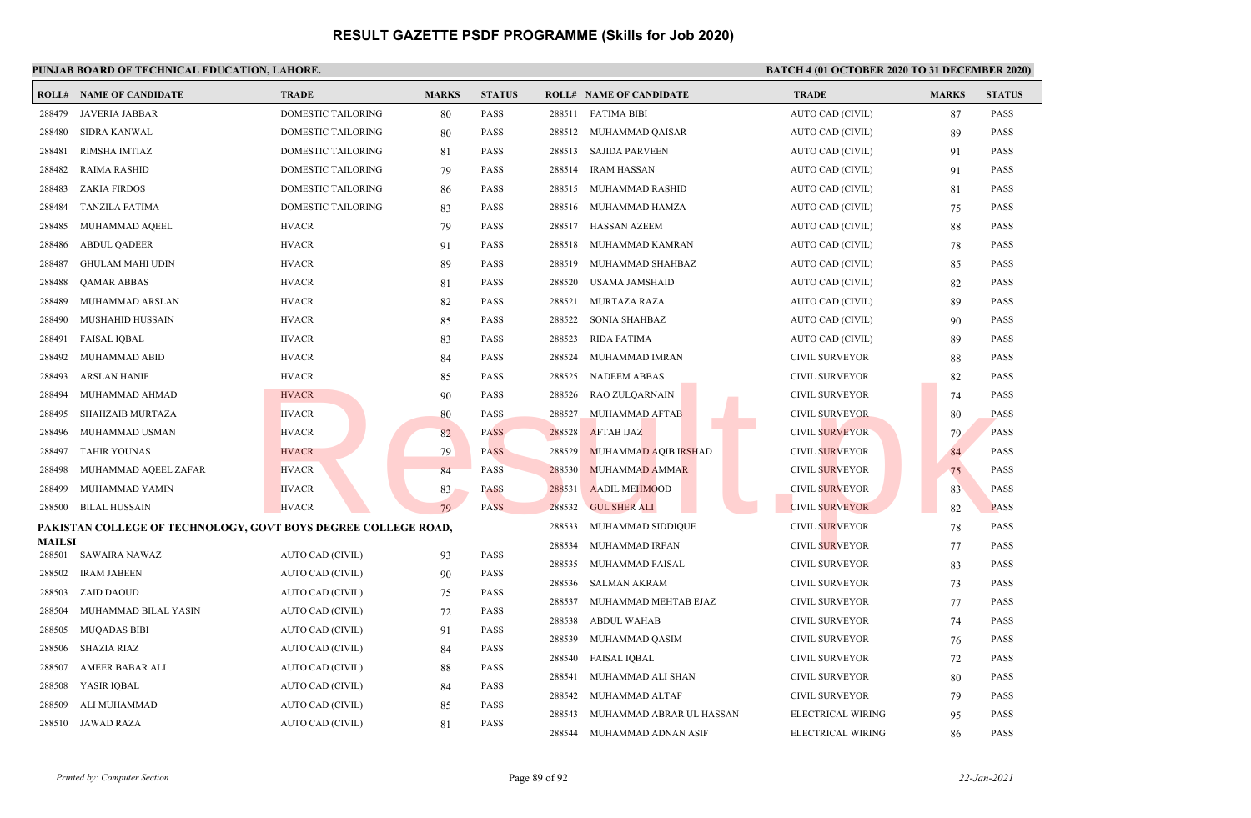|                  | <b>ROLL# NAME OF CANDIDATE</b>                                 | <b>TRADE</b>              | <b>MARKS</b> | <b>STATUS</b> | <b>ROLL# NAME OF CANDIDATE</b>     | <b>TRADE</b>          | <b>MARKS</b> | <b>STATUS</b> |
|------------------|----------------------------------------------------------------|---------------------------|--------------|---------------|------------------------------------|-----------------------|--------------|---------------|
| 288479           | <b>JAVERIA JABBAR</b>                                          | <b>DOMESTIC TAILORING</b> | 80           | <b>PASS</b>   | 288511 FATIMA BIBI                 | AUTO CAD (CIVIL)      | 87           | <b>PASS</b>   |
| 288480           | <b>SIDRA KANWAL</b>                                            | DOMESTIC TAILORING        | 80           | PASS          | 288512 MUHAMMAD QAISAR             | AUTO CAD (CIVIL)      | 89           | PASS          |
| 288481           | RIMSHA IMTIAZ                                                  | DOMESTIC TAILORING        | 81           | <b>PASS</b>   | 288513 SAJIDA PARVEEN              | AUTO CAD (CIVIL)      | 91           | <b>PASS</b>   |
| 288482           | <b>RAIMA RASHID</b>                                            | <b>DOMESTIC TAILORING</b> | 79           | PASS          | 288514<br><b>IRAM HASSAN</b>       | AUTO CAD (CIVIL)      | 91           | <b>PASS</b>   |
| 288483           | <b>ZAKIA FIRDOS</b>                                            | DOMESTIC TAILORING        | 86           | <b>PASS</b>   | 288515<br>MUHAMMAD RASHID          | AUTO CAD (CIVIL)      | 81           | <b>PASS</b>   |
| 288484           | <b>TANZILA FATIMA</b>                                          | <b>DOMESTIC TAILORING</b> | 83           | PASS          | 288516<br>MUHAMMAD HAMZA           | AUTO CAD (CIVIL)      | 75           | <b>PASS</b>   |
| 288485           | MUHAMMAD AQEEL                                                 | <b>HVACR</b>              | 79           | <b>PASS</b>   | 288517<br>HASSAN AZEEM             | AUTO CAD (CIVIL)      | 88           | <b>PASS</b>   |
| 288486           | <b>ABDUL QADEER</b>                                            | <b>HVACR</b>              | 91           | <b>PASS</b>   | 288518<br>MUHAMMAD KAMRAN          | AUTO CAD (CIVIL)      | 78           | <b>PASS</b>   |
| 288487           | <b>GHULAM MAHI UDIN</b>                                        | <b>HVACR</b>              | 89           | <b>PASS</b>   | 288519<br>MUHAMMAD SHAHBAZ         | AUTO CAD (CIVIL)      | 85           | <b>PASS</b>   |
| 288488           | <b>QAMAR ABBAS</b>                                             | <b>HVACR</b>              | 81           | <b>PASS</b>   | 288520<br>USAMA JAMSHAID           | AUTO CAD (CIVIL)      | 82           | <b>PASS</b>   |
| 288489           | MUHAMMAD ARSLAN                                                | <b>HVACR</b>              | 82           | <b>PASS</b>   | 288521<br>MURTAZA RAZA             | AUTO CAD (CIVIL)      | 89           | <b>PASS</b>   |
| 288490           | <b>MUSHAHID HUSSAIN</b>                                        | <b>HVACR</b>              | 85           | <b>PASS</b>   | 288522<br>SONIA SHAHBAZ            | AUTO CAD (CIVIL)      | 90           | <b>PASS</b>   |
| 288491           | <b>FAISAL IQBAL</b>                                            | <b>HVACR</b>              | 83           | <b>PASS</b>   | 288523<br>RIDA FATIMA              | AUTO CAD (CIVIL)      | 89           | <b>PASS</b>   |
| 288492           | MUHAMMAD ABID                                                  | <b>HVACR</b>              | 84           | <b>PASS</b>   | 288524<br>MUHAMMAD IMRAN           | <b>CIVIL SURVEYOR</b> | 88           | <b>PASS</b>   |
| 288493           | <b>ARSLAN HANIF</b>                                            | <b>HVACR</b>              | 85           | <b>PASS</b>   | 288525<br><b>NADEEM ABBAS</b>      | <b>CIVIL SURVEYOR</b> | 82           | <b>PASS</b>   |
| 288494           | MUHAMMAD AHMAD                                                 | <b>HVACR</b>              | 90           | <b>PASS</b>   | RAO ZULQARNAIN<br>288526           | <b>CIVIL SURVEYOR</b> | 74           | <b>PASS</b>   |
| 288495           | <b>SHAHZAIB MURTAZA</b>                                        | <b>HVACR</b>              | 80           | <b>PASS</b>   | 288527<br>MUHAMMAD AFTAB           | <b>CIVIL SURVEYOR</b> | 80           | <b>PASS</b>   |
| 288496           | MUHAMMAD USMAN                                                 | <b>HVACR</b>              | 82           | <b>PASS</b>   | <b>AFTAB IJAZ</b><br>288528        | <b>CIVIL SURVEYOR</b> | 79           | <b>PASS</b>   |
| 288497           | <b>TAHIR YOUNAS</b>                                            | <b>HVACR</b>              | 79           | <b>PASS</b>   | 288529<br>MUHAMMAD AQIB IRSHAD     | <b>CIVIL SURVEYOR</b> | 84           | <b>PASS</b>   |
| 288498           | MUHAMMAD AQEEL ZAFAR                                           | <b>HVACR</b>              | 84           | <b>PASS</b>   | <b>MUHAMMAD AMMAR</b><br>288530    | <b>CIVIL SURVEYOR</b> | 75           | <b>PASS</b>   |
| 288499           | MUHAMMAD YAMIN                                                 | <b>HVACR</b>              | 83           | <b>PASS</b>   | 288531<br><b>AADIL MEHMOOD</b>     | <b>CIVIL SURVEYOR</b> | 83           | <b>PASS</b>   |
| 288500           | <b>BILAL HUSSAIN</b>                                           | <b>HVACR</b>              | 79           | <b>PASS</b>   | 288532<br><b>GUL SHER ALI</b>      | <b>CIVIL SURVEYOR</b> | 82           | <b>PASS</b>   |
|                  | PAKISTAN COLLEGE OF TECHNOLOGY, GOVT BOYS DEGREE COLLEGE ROAD, |                           |              |               | 288533<br>MUHAMMAD SIDDIQUE        | <b>CIVIL SURVEYOR</b> | 78           | <b>PASS</b>   |
| MAILSI<br>288501 | SAWAIRA NAWAZ                                                  | AUTO CAD (CIVIL)          | 93           | PASS          | 288534<br>MUHAMMAD IRFAN           | <b>CIVIL SURVEYOR</b> | 77           | <b>PASS</b>   |
| 288502           | <b>IRAM JABEEN</b>                                             | AUTO CAD (CIVIL)          | 90           | <b>PASS</b>   | 288535<br>MUHAMMAD FAISAL          | <b>CIVIL SURVEYOR</b> | 83           | <b>PASS</b>   |
| 288503           | <b>ZAID DAOUD</b>                                              | AUTO CAD (CIVIL)          | 75           | <b>PASS</b>   | SALMAN AKRAM<br>288536             | <b>CIVIL SURVEYOR</b> | 73           | <b>PASS</b>   |
| 288504           | MUHAMMAD BILAL YASIN                                           | AUTO CAD (CIVIL)          | 72           | <b>PASS</b>   | 288537<br>MUHAMMAD MEHTAB EJAZ     | <b>CIVIL SURVEYOR</b> | 77           | <b>PASS</b>   |
| 288505           | <b>MUQADAS BIBI</b>                                            | AUTO CAD (CIVIL)          | 91           | <b>PASS</b>   | 288538<br>ABDUL WAHAB              | <b>CIVIL SURVEYOR</b> | 74           | <b>PASS</b>   |
| 288506           | <b>SHAZIA RIAZ</b>                                             | AUTO CAD (CIVIL)          | 84           | <b>PASS</b>   | 288539<br>MUHAMMAD QASIM           | <b>CIVIL SURVEYOR</b> | 76           | <b>PASS</b>   |
| 288507           | AMEER BABAR ALI                                                | AUTO CAD (CIVIL)          | 88           | <b>PASS</b>   | 288540<br><b>FAISAL IOBAL</b>      | <b>CIVIL SURVEYOR</b> | 72           | <b>PASS</b>   |
| 288508           | YASIR IQBAL                                                    | AUTO CAD (CIVIL)          | 84           | <b>PASS</b>   | 288541<br>MUHAMMAD ALI SHAN        | <b>CIVIL SURVEYOR</b> | 80           | <b>PASS</b>   |
| 288509           | ALI MUHAMMAD                                                   | AUTO CAD (CIVIL)          | 85           | <b>PASS</b>   | 288542<br>MUHAMMAD ALTAF           | <b>CIVIL SURVEYOR</b> | 79           | <b>PASS</b>   |
| 288510           | <b>JAWAD RAZA</b>                                              | AUTO CAD (CIVIL)          | 81           | <b>PASS</b>   | 288543<br>MUHAMMAD ABRAR UL HASSAN | ELECTRICAL WIRING     | 95           | <b>PASS</b>   |
|                  |                                                                |                           |              |               | 288544<br>MUHAMMAD ADNAN ASIF      | ELECTRICAL WIRING     | 86           | <b>PASS</b>   |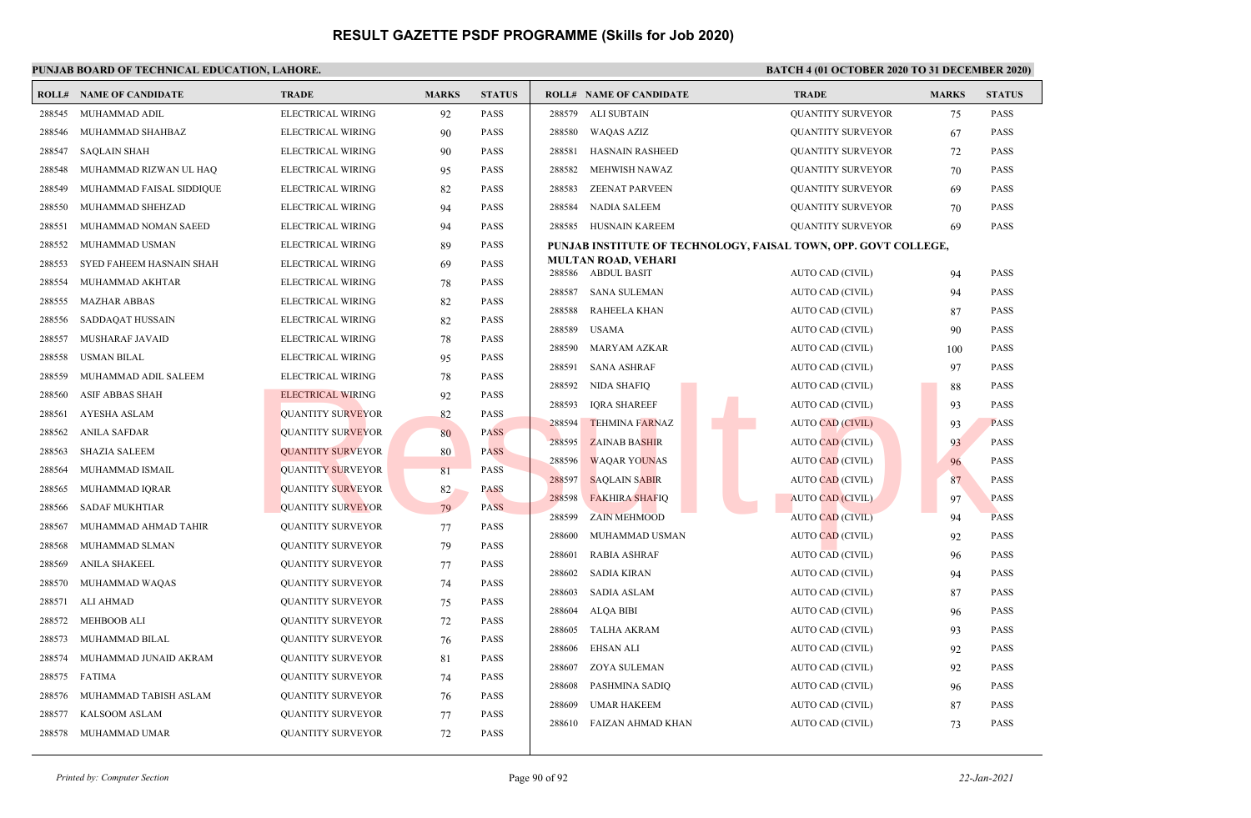|        | <b>ROLL# NAME OF CANDIDATE</b> | <b>TRADE</b>             | <b>MARKS</b> | <b>STATUS</b> |        | <b>ROLL# NAME OF CANDIDATE</b>                   | <b>TRADE</b>                                                    | <b>MARKS</b> | <b>STATUS</b> |
|--------|--------------------------------|--------------------------|--------------|---------------|--------|--------------------------------------------------|-----------------------------------------------------------------|--------------|---------------|
| 288545 | MUHAMMAD ADIL                  | ELECTRICAL WIRING        | 92           | <b>PASS</b>   | 288579 | ALI SUBTAIN                                      | <b>QUANTITY SURVEYOR</b>                                        | 75           | <b>PASS</b>   |
| 288546 | MUHAMMAD SHAHBAZ               | ELECTRICAL WIRING        | 90           | <b>PASS</b>   | 288580 | <b>WAQAS AZIZ</b>                                | <b>QUANTITY SURVEYOR</b>                                        | 67           | <b>PASS</b>   |
| 288547 | <b>SAQLAIN SHAH</b>            | ELECTRICAL WIRING        | 90           | <b>PASS</b>   | 288581 | <b>HASNAIN RASHEED</b>                           | <b>QUANTITY SURVEYOR</b>                                        | 72           | <b>PASS</b>   |
| 288548 | MUHAMMAD RIZWAN UL HAQ         | ELECTRICAL WIRING        | 95           | <b>PASS</b>   | 288582 | <b>MEHWISH NAWAZ</b>                             | <b>QUANTITY SURVEYOR</b>                                        | 70           | <b>PASS</b>   |
| 288549 | MUHAMMAD FAISAL SIDDIQUE       | ELECTRICAL WIRING        | 82           | <b>PASS</b>   | 288583 | <b>ZEENAT PARVEEN</b>                            | <b>QUANTITY SURVEYOR</b>                                        | 69           | <b>PASS</b>   |
| 288550 | MUHAMMAD SHEHZAD               | ELECTRICAL WIRING        | 94           | <b>PASS</b>   | 288584 | <b>NADIA SALEEM</b>                              | <b>QUANTITY SURVEYOR</b>                                        | 70           | <b>PASS</b>   |
| 288551 | MUHAMMAD NOMAN SAEED           | ELECTRICAL WIRING        | 94           | <b>PASS</b>   |        | 288585 HUSNAIN KAREEM                            | <b>QUANTITY SURVEYOR</b>                                        | 69           | <b>PASS</b>   |
| 288552 | MUHAMMAD USMAN                 | ELECTRICAL WIRING        | 89           | <b>PASS</b>   |        |                                                  | PUNJAB INSTITUTE OF TECHNOLOGY, FAISAL TOWN, OPP. GOVT COLLEGE, |              |               |
| 288553 | SYED FAHEEM HASNAIN SHAH       | ELECTRICAL WIRING        | 69           | <b>PASS</b>   |        | <b>MULTAN ROAD, VEHARI</b><br>288586 ABDUL BASIT | AUTO CAD (CIVIL)                                                | 94           | <b>PASS</b>   |
| 288554 | MUHAMMAD AKHTAR                | ELECTRICAL WIRING        | 78           | <b>PASS</b>   | 288587 | <b>SANA SULEMAN</b>                              | <b>AUTO CAD (CIVIL)</b>                                         | 94           | <b>PASS</b>   |
| 288555 | <b>MAZHAR ABBAS</b>            | ELECTRICAL WIRING        | 82           | <b>PASS</b>   | 288588 | <b>RAHEELA KHAN</b>                              | AUTO CAD (CIVIL)                                                | 87           | <b>PASS</b>   |
| 288556 | SADDAQAT HUSSAIN               | ELECTRICAL WIRING        | 82           | PASS          | 288589 | <b>USAMA</b>                                     | AUTO CAD (CIVIL)                                                | 90           | <b>PASS</b>   |
| 288557 | MUSHARAF JAVAID                | ELECTRICAL WIRING        | 78           | <b>PASS</b>   | 288590 | <b>MARYAM AZKAR</b>                              | AUTO CAD (CIVIL)                                                | 100          | <b>PASS</b>   |
| 288558 | <b>USMAN BILAL</b>             | ELECTRICAL WIRING        | 95           | <b>PASS</b>   | 288591 | <b>SANA ASHRAF</b>                               | AUTO CAD (CIVIL)                                                | 97           | <b>PASS</b>   |
| 288559 | MUHAMMAD ADIL SALEEM           | ELECTRICAL WIRING        | 78           | <b>PASS</b>   | 288592 | <b>NIDA SHAFIQ</b>                               | AUTO CAD (CIVIL)                                                | 88           | <b>PASS</b>   |
| 288560 | <b>ASIF ABBAS SHAH</b>         | ELECTRICAL WIRING        | 92           | <b>PASS</b>   | 288593 | <b>IQRA SHAREEF</b>                              | AUTO CAD (CIVIL)                                                | 93           | <b>PASS</b>   |
| 288561 | AYESHA ASLAM                   | <b>QUANTITY SURVEYOR</b> | 82           | <b>PASS</b>   | 288594 | <b>TEHMINA FARNAZ</b>                            | <b>AUTO CAD (CIVIL)</b>                                         | 93           | <b>PASS</b>   |
| 288562 | ANILA SAFDAR                   | <b>QUANTITY SURVEYOR</b> | 80           | <b>PASS</b>   | 288595 | <b>ZAINAB BASHIR</b>                             | <b>AUTO CAD (CIVIL)</b>                                         | 93           | <b>PASS</b>   |
| 288563 | <b>SHAZIA SALEEM</b>           | <b>QUANTITY SURVEYOR</b> | 80           | <b>PASS</b>   | 288596 | <b>WAOAR YOUNAS</b>                              | <b>AUTO CAD (CIVIL)</b>                                         | 96           | <b>PASS</b>   |
| 288564 | MUHAMMAD ISMAIL                | <b>QUANTITY SURVEYOR</b> | 81           | <b>PASS</b>   | 288597 | <b>SAQLAIN SABIR</b>                             | <b>AUTO CAD (CIVIL)</b>                                         | 87           | <b>PASS</b>   |
| 288565 | MUHAMMAD IQRAR                 | <b>QUANTITY SURVEYOR</b> | 82           | <b>PASS</b>   | 288598 | <b>FAKHIRA SHAFIQ</b>                            | <b>AUTO CAD (CIVIL)</b>                                         | 97           | <b>PASS</b>   |
| 288566 | <b>SADAF MUKHTIAR</b>          | <b>QUANTITY SURVEYOR</b> | 79           | <b>PASS</b>   | 288599 | <b>ZAIN MEHMOOD</b>                              | <b>AUTO CAD (CIVIL)</b>                                         | 94           | <b>PASS</b>   |
| 288567 | MUHAMMAD AHMAD TAHIR           | <b>QUANTITY SURVEYOR</b> | 77           | <b>PASS</b>   | 288600 | MUHAMMAD USMAN                                   | <b>AUTO CAD (CIVIL)</b>                                         | 92           | <b>PASS</b>   |
| 288568 | MUHAMMAD SLMAN                 | <b>QUANTITY SURVEYOR</b> | 79           | <b>PASS</b>   | 288601 | <b>RABIA ASHRAF</b>                              | AUTO CAD (CIVIL)                                                | 96           | <b>PASS</b>   |
| 288569 | ANILA SHAKEEL                  | <b>QUANTITY SURVEYOR</b> | 77           | <b>PASS</b>   | 288602 | <b>SADIA KIRAN</b>                               | AUTO CAD (CIVIL)                                                | 94           | <b>PASS</b>   |
| 288570 | MUHAMMAD WAQAS                 | <b>QUANTITY SURVEYOR</b> | 74           | <b>PASS</b>   | 288603 | <b>SADIA ASLAM</b>                               | AUTO CAD (CIVIL)                                                | 87           | <b>PASS</b>   |
| 288571 | <b>ALI AHMAD</b>               | <b>QUANTITY SURVEYOR</b> | 75           | <b>PASS</b>   | 288604 | <b>ALQA BIBI</b>                                 | AUTO CAD (CIVIL)                                                | 96           | <b>PASS</b>   |
| 288572 | <b>MEHBOOB ALI</b>             | <b>QUANTITY SURVEYOR</b> | 72           | <b>PASS</b>   | 288605 | <b>TALHA AKRAM</b>                               | AUTO CAD (CIVIL)                                                | 93           | <b>PASS</b>   |
| 288573 | MUHAMMAD BILAL                 | <b>QUANTITY SURVEYOR</b> | 76           | <b>PASS</b>   | 288606 | <b>EHSAN ALI</b>                                 | AUTO CAD (CIVIL)                                                | 92           | <b>PASS</b>   |
| 288574 | MUHAMMAD JUNAID AKRAM          | <b>QUANTITY SURVEYOR</b> | 81           | <b>PASS</b>   | 288607 | ZOYA SULEMAN                                     | AUTO CAD (CIVIL)                                                | 92           | <b>PASS</b>   |
| 288575 | <b>FATIMA</b>                  | <b>OUANTITY SURVEYOR</b> | 74           | <b>PASS</b>   | 288608 | PASHMINA SADIQ                                   | AUTO CAD (CIVIL)                                                | 96           | <b>PASS</b>   |
| 288576 | MUHAMMAD TABISH ASLAM          | <b>QUANTITY SURVEYOR</b> | 76           | <b>PASS</b>   | 288609 | <b>UMAR HAKEEM</b>                               | AUTO CAD (CIVIL)                                                | 87           | <b>PASS</b>   |
| 288577 | <b>KALSOOM ASLAM</b>           | <b>QUANTITY SURVEYOR</b> | 77           | <b>PASS</b>   | 288610 | FAIZAN AHMAD KHAN                                | AUTO CAD (CIVIL)                                                | 73           | <b>PASS</b>   |
|        | 288578 MUHAMMAD UMAR           | <b>QUANTITY SURVEYOR</b> | 72           | <b>PASS</b>   |        |                                                  |                                                                 |              |               |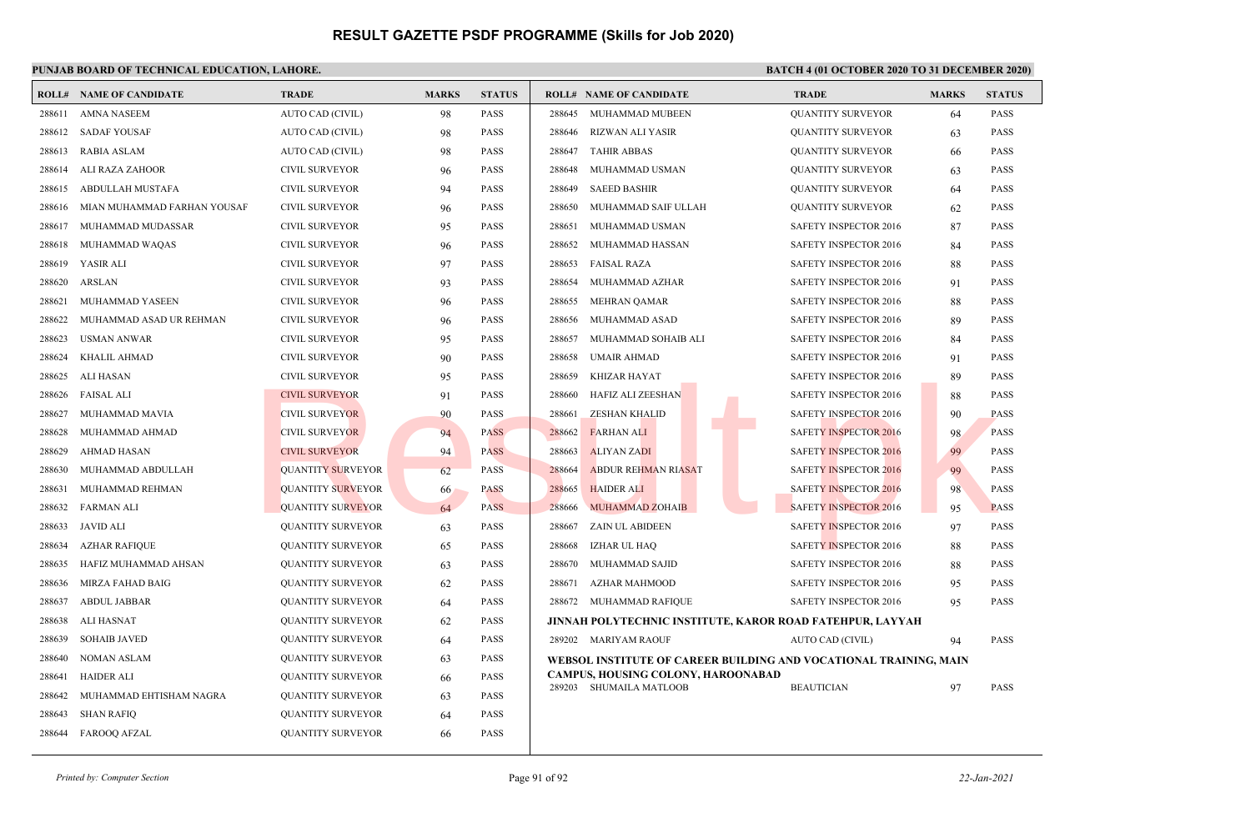|        | <b>ROLL# NAME OF CANDIDATE</b> | <b>TRADE</b>             | <b>MARKS</b> | <b>STATUS</b> | <b>ROLL# NAME OF CANDIDATE</b>       | <b>TRADE</b>                                                      | <b>MARKS</b> | <b>STATUS</b> |
|--------|--------------------------------|--------------------------|--------------|---------------|--------------------------------------|-------------------------------------------------------------------|--------------|---------------|
| 288611 | <b>AMNA NASEEM</b>             | AUTO CAD (CIVIL)         | 98           | <b>PASS</b>   | MUHAMMAD MUBEEN<br>288645            | <b>QUANTITY SURVEYOR</b>                                          | 64           | <b>PASS</b>   |
| 288612 | <b>SADAF YOUSAF</b>            | AUTO CAD (CIVIL)         | 98           | PASS          | RIZWAN ALI YASIR<br>288646           | <b>QUANTITY SURVEYOR</b>                                          | 63           | <b>PASS</b>   |
| 288613 | RABIA ASLAM                    | AUTO CAD (CIVIL)         | 98           | <b>PASS</b>   | 288647<br><b>TAHIR ABBAS</b>         | <b>QUANTITY SURVEYOR</b>                                          | 66           | <b>PASS</b>   |
| 288614 | ALI RAZA ZAHOOR                | <b>CIVIL SURVEYOR</b>    | 96           | <b>PASS</b>   | 288648<br>MUHAMMAD USMAN             | <b>QUANTITY SURVEYOR</b>                                          | 63           | <b>PASS</b>   |
| 288615 | ABDULLAH MUSTAFA               | <b>CIVIL SURVEYOR</b>    | 94           | <b>PASS</b>   | <b>SAEED BASHIR</b><br>288649        | <b>QUANTITY SURVEYOR</b>                                          | 64           | <b>PASS</b>   |
| 288616 | MIAN MUHAMMAD FARHAN YOUSAF    | <b>CIVIL SURVEYOR</b>    | 96           | <b>PASS</b>   | 288650<br>MUHAMMAD SAIF ULLAH        | <b>QUANTITY SURVEYOR</b>                                          | 62           | <b>PASS</b>   |
| 288617 | MUHAMMAD MUDASSAR              | <b>CIVIL SURVEYOR</b>    | 95           | <b>PASS</b>   | 288651<br>MUHAMMAD USMAN             | SAFETY INSPECTOR 2016                                             | 87           | <b>PASS</b>   |
| 288618 | MUHAMMAD WAQAS                 | <b>CIVIL SURVEYOR</b>    | 96           | <b>PASS</b>   | 288652<br>MUHAMMAD HASSAN            | SAFETY INSPECTOR 2016                                             | 84           | <b>PASS</b>   |
| 288619 | YASIR ALI                      | <b>CIVIL SURVEYOR</b>    | 97           | <b>PASS</b>   | <b>FAISAL RAZA</b><br>288653         | SAFETY INSPECTOR 2016                                             | 88           | <b>PASS</b>   |
| 288620 | ARSLAN                         | <b>CIVIL SURVEYOR</b>    | 93           | <b>PASS</b>   | 288654<br>MUHAMMAD AZHAR             | SAFETY INSPECTOR 2016                                             | 91           | <b>PASS</b>   |
| 288621 | MUHAMMAD YASEEN                | <b>CIVIL SURVEYOR</b>    | 96           | <b>PASS</b>   | <b>MEHRAN QAMAR</b><br>288655        | SAFETY INSPECTOR 2016                                             | 88           | <b>PASS</b>   |
| 288622 | MUHAMMAD ASAD UR REHMAN        | <b>CIVIL SURVEYOR</b>    | 96           | <b>PASS</b>   | 288656<br>MUHAMMAD ASAD              | SAFETY INSPECTOR 2016                                             | 89           | <b>PASS</b>   |
| 288623 | <b>USMAN ANWAR</b>             | <b>CIVIL SURVEYOR</b>    | 95           | <b>PASS</b>   | 288657<br>MUHAMMAD SOHAIB ALI        | SAFETY INSPECTOR 2016                                             | 84           | <b>PASS</b>   |
| 288624 | KHALIL AHMAD                   | CIVIL SURVEYOR           | 90           | <b>PASS</b>   | 288658<br>UMAIR AHMAD                | <b>SAFETY INSPECTOR 2016</b>                                      | 91           | <b>PASS</b>   |
| 288625 | ALI HASAN                      | <b>CIVIL SURVEYOR</b>    | 95           | <b>PASS</b>   | 288659<br><b>KHIZAR HAYAT</b>        | SAFETY INSPECTOR 2016                                             | 89           | <b>PASS</b>   |
| 288626 | FAISAL ALI                     | <b>CIVIL SURVEYOR</b>    | 91           | PASS          | HAFIZ ALI ZEESHAN<br>288660          | SAFETY INSPECTOR 2016                                             | 88           | <b>PASS</b>   |
| 288627 | MUHAMMAD MAVIA                 | <b>CIVIL SURVEYOR</b>    | 90           | <b>PASS</b>   | 288661<br><b>ZESHAN KHALID</b>       | <b>SAFETY INSPECTOR 2016</b>                                      | 90           | <b>PASS</b>   |
| 288628 | MUHAMMAD AHMAD                 | <b>CIVIL SURVEYOR</b>    | 94           | <b>PASS</b>   | 288662<br><b>FARHAN ALI</b>          | <b>SAFETY INSPECTOR 2016</b>                                      | 98           | <b>PASS</b>   |
| 288629 | <b>AHMAD HASAN</b>             | <b>CIVIL SURVEYOR</b>    | 94           | <b>PASS</b>   | 288663<br><b>ALIYAN ZADI</b>         | <b>SAFETY INSPECTOR 2016</b>                                      | 99           | <b>PASS</b>   |
| 288630 | MUHAMMAD ABDULLAH              | <b>QUANTITY SURVEYOR</b> | 62           | <b>PASS</b>   | 288664<br><b>ABDUR REHMAN RIASAT</b> | <b>SAFETY INSPECTOR 2016</b>                                      | 99           | <b>PASS</b>   |
| 288631 | MUHAMMAD REHMAN                | <b>QUANTITY SURVEYOR</b> | 66           | <b>PASS</b>   | 288665<br><b>HAIDER ALI</b>          | <b>SAFETY INSPECTOR 2016</b>                                      | 98           | <b>PASS</b>   |
| 288632 | FARMAN ALI                     | <b>QUANTITY SURVEYOR</b> | 64           | <b>PASS</b>   | <b>MUHAMMAD ZOHAIB</b><br>288666     | <b>SAFETY INSPECTOR 2016</b>                                      | 95           | <b>PASS</b>   |
| 288633 | <b>JAVID ALI</b>               | <b>QUANTITY SURVEYOR</b> | 63           | <b>PASS</b>   | <b>ZAIN UL ABIDEEN</b><br>288667     | SAFETY INSPECTOR 2016                                             | 97           | <b>PASS</b>   |
| 288634 | <b>AZHAR RAFIQUE</b>           | <b>QUANTITY SURVEYOR</b> | 65           | <b>PASS</b>   | 288668<br>IZHAR UL HAQ               | SAFETY INSPECTOR 2016                                             | 88           | <b>PASS</b>   |
| 288635 | HAFIZ MUHAMMAD AHSAN           | <b>QUANTITY SURVEYOR</b> | 63           | <b>PASS</b>   | MUHAMMAD SAJID<br>288670             | SAFETY INSPECTOR 2016                                             | 88           | <b>PASS</b>   |
| 288636 | MIRZA FAHAD BAIG               | <b>QUANTITY SURVEYOR</b> | 62           | <b>PASS</b>   | <b>AZHAR MAHMOOD</b><br>288671       | SAFETY INSPECTOR 2016                                             | 95           | <b>PASS</b>   |
| 288637 | <b>ABDUL JABBAR</b>            | <b>QUANTITY SURVEYOR</b> | 64           | <b>PASS</b>   | 288672 MUHAMMAD RAFIQUE              | <b>SAFETY INSPECTOR 2016</b>                                      | 95           | <b>PASS</b>   |
| 288638 | <b>ALI HASNAT</b>              | <b>QUANTITY SURVEYOR</b> | 62           | <b>PASS</b>   |                                      | JINNAH POLYTECHNIC INSTITUTE, KAROR ROAD FATEHPUR, LAYYAH         |              |               |
| 288639 | <b>SOHAIB JAVED</b>            | <b>QUANTITY SURVEYOR</b> | 64           | <b>PASS</b>   | 289202 MARIYAM RAOUF                 | AUTO CAD (CIVIL)                                                  | 94           | <b>PASS</b>   |
| 288640 | <b>NOMAN ASLAM</b>             | <b>QUANTITY SURVEYOR</b> | 63           | <b>PASS</b>   |                                      | WEBSOL INSTITUTE OF CAREER BUILDING AND VOCATIONAL TRAINING, MAIN |              |               |
| 288641 | <b>HAIDER ALI</b>              | <b>QUANTITY SURVEYOR</b> | 66           | <b>PASS</b>   | CAMPUS, HOUSING COLONY, HAROONABAD   |                                                                   |              |               |
| 288642 | MUHAMMAD EHTISHAM NAGRA        | <b>QUANTITY SURVEYOR</b> | 63           | <b>PASS</b>   | 289203 SHUMAILA MATLOOB              | <b>BEAUTICIAN</b>                                                 | 97           | <b>PASS</b>   |
| 288643 | <b>SHAN RAFIQ</b>              | <b>QUANTITY SURVEYOR</b> | 64           | <b>PASS</b>   |                                      |                                                                   |              |               |
| 288644 | FAROOQ AFZAL                   | <b>QUANTITY SURVEYOR</b> | 66           | <b>PASS</b>   |                                      |                                                                   |              |               |
|        |                                |                          |              |               |                                      |                                                                   |              |               |